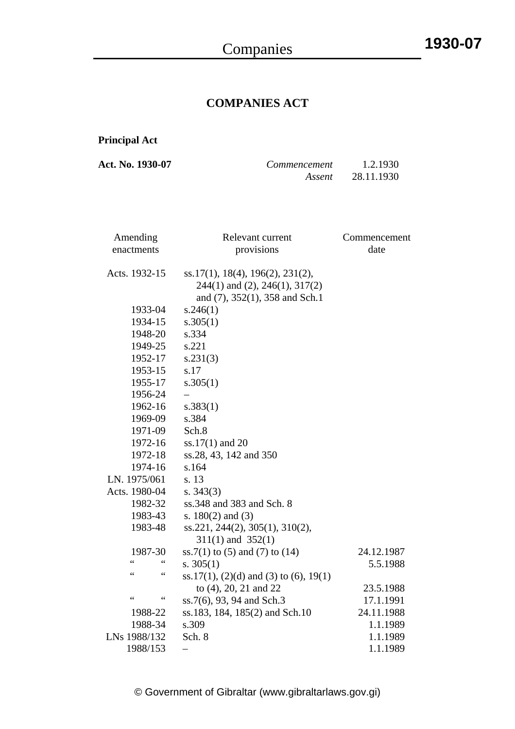## **COMPANIES ACT**

## **Principal Act**

| <b>Act. No. 1930-07</b> | Commencement | 1.2.1930   |
|-------------------------|--------------|------------|
|                         | Assent       | 28.11.1930 |

| Amending                           | Relevant current                       | Commencement |
|------------------------------------|----------------------------------------|--------------|
| enactments                         | provisions                             | date         |
|                                    |                                        |              |
| Acts. 1932-15                      | ss.17(1), 18(4), 196(2), 231(2),       |              |
|                                    | $244(1)$ and (2), $246(1)$ , $317(2)$  |              |
|                                    | and (7), 352(1), 358 and Sch.1         |              |
| 1933-04                            | s.246(1)                               |              |
| 1934-15                            | s.305(1)                               |              |
| 1948-20                            | s.334                                  |              |
| 1949-25                            | s.221                                  |              |
| 1952-17                            | s.231(3)                               |              |
| 1953-15                            | s.17                                   |              |
| 1955-17                            | s.305(1)                               |              |
| 1956-24                            |                                        |              |
| 1962-16                            | s.383(1)                               |              |
| 1969-09                            | s.384                                  |              |
| 1971-09                            | Sch.8                                  |              |
| 1972-16                            | $ss.17(1)$ and 20                      |              |
| 1972-18                            | ss.28, 43, 142 and 350                 |              |
| 1974-16                            | s.164                                  |              |
| LN. 1975/061                       | s. 13                                  |              |
| Acts. 1980-04                      | s. $343(3)$                            |              |
| 1982-32                            | ss.348 and 383 and Sch. 8              |              |
| 1983-43                            | s. $180(2)$ and $(3)$                  |              |
| 1983-48                            | ss.221, 244(2), 305(1), 310(2),        |              |
|                                    | $311(1)$ and $352(1)$                  |              |
| 1987-30                            | ss.7(1) to (5) and (7) to (14)         | 24.12.1987   |
| $\epsilon$                         | s. $305(1)$                            | 5.5.1988     |
| $\zeta$ $\zeta$<br>$\zeta$ $\zeta$ | ss.17(1), (2)(d) and (3) to (6), 19(1) |              |
|                                    | to (4), 20, 21 and 22                  | 23.5.1988    |
| $\zeta$ $\zeta$<br>$\zeta$ $\zeta$ | ss.7(6), 93, 94 and Sch.3              | 17.1.1991    |
| 1988-22                            | ss.183, 184, 185(2) and Sch.10         | 24.11.1988   |
| 1988-34                            | s.309                                  | 1.1.1989     |
| LNs 1988/132                       | Sch. 8                                 | 1.1.1989     |
| 1988/153                           |                                        | 1.1.1989     |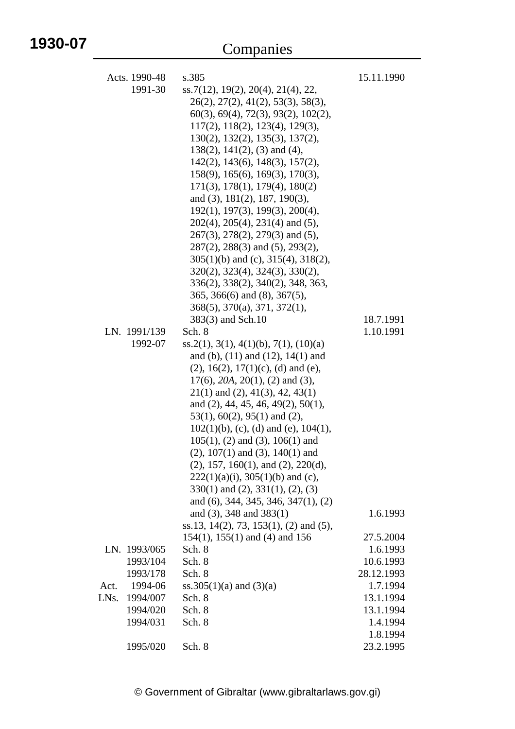# **Companies**

| Acts. 1990-48    | s.385                                                                         | 15.11.1990 |
|------------------|-------------------------------------------------------------------------------|------------|
| 1991-30          | ss.7(12), 19(2), 20(4), 21(4), 22,                                            |            |
|                  | 26(2), 27(2), 41(2), 53(3), 58(3),                                            |            |
|                  | $60(3)$ , $69(4)$ , $72(3)$ , $93(2)$ , $102(2)$ ,                            |            |
|                  | $117(2)$ , $118(2)$ , $123(4)$ , $129(3)$ ,                                   |            |
|                  | $130(2)$ , $132(2)$ , $135(3)$ , $137(2)$ ,                                   |            |
|                  | $138(2)$ , $141(2)$ , $(3)$ and $(4)$ ,                                       |            |
|                  | $142(2)$ , $143(6)$ , $148(3)$ , $157(2)$ ,                                   |            |
|                  | $158(9)$ , $165(6)$ , $169(3)$ , $170(3)$ ,                                   |            |
|                  | 171(3), 178(1), 179(4), 180(2)                                                |            |
|                  | and $(3)$ , $181(2)$ , $187$ , $190(3)$ ,                                     |            |
|                  | $192(1)$ , $197(3)$ , $199(3)$ , $200(4)$ ,                                   |            |
|                  | $202(4)$ , $205(4)$ , $231(4)$ and (5),                                       |            |
|                  | $267(3)$ , $278(2)$ , $279(3)$ and $(5)$ ,                                    |            |
|                  | $287(2)$ , $288(3)$ and $(5)$ , $293(2)$ ,                                    |            |
|                  | $305(1)(b)$ and (c), $315(4)$ , $318(2)$ ,                                    |            |
|                  | 320(2), 323(4), 324(3), 330(2),                                               |            |
|                  | 336(2), 338(2), 340(2), 348, 363,                                             |            |
|                  | $365, 366(6)$ and $(8), 367(5)$ ,                                             |            |
|                  | $368(5)$ , $370(a)$ , $371$ , $372(1)$ ,                                      |            |
|                  | 383(3) and Sch.10                                                             | 18.7.1991  |
| LN. 1991/139     | Sch. 8                                                                        | 1.10.1991  |
| 1992-07          | $\{ss.2(1), 3(1), 4(1)(b), 7(1), (10)(a)\}$                                   |            |
|                  | and (b), $(11)$ and $(12)$ , $14(1)$ and                                      |            |
|                  | $(2), 16(2), 17(1)(c), (d)$ and (e),                                          |            |
|                  | $17(6)$ , $20A$ , $20(1)$ , $(2)$ and $(3)$ ,                                 |            |
|                  | $21(1)$ and $(2)$ , $41(3)$ , $42$ , $43(1)$                                  |            |
|                  | and $(2)$ , 44, 45, 46, 49 $(2)$ , 50 $(1)$ ,                                 |            |
|                  | $53(1)$ , 60(2), 95(1) and (2),<br>$102(1)(b)$ , (c), (d) and (e), $104(1)$ , |            |
|                  | $105(1)$ , (2) and (3), $106(1)$ and                                          |            |
|                  | $(2)$ , 107 $(1)$ and $(3)$ , 140 $(1)$ and                                   |            |
|                  | $(2), 157, 160(1),$ and $(2), 220(d),$                                        |            |
|                  | $222(1)(a)(i)$ , $305(1)(b)$ and (c),                                         |            |
|                  | $330(1)$ and $(2)$ , $331(1)$ , $(2)$ , $(3)$                                 |            |
|                  | and (6), 344, 345, 346, 347(1), (2)                                           |            |
|                  | and $(3)$ , 348 and 383 $(1)$                                                 | 1.6.1993   |
|                  | ss.13, 14(2), 73, 153(1), (2) and (5),                                        |            |
|                  | $154(1)$ , $155(1)$ and $(4)$ and $156$                                       | 27.5.2004  |
| LN. 1993/065     | Sch. 8                                                                        | 1.6.1993   |
| 1993/104         | Sch. 8                                                                        | 10.6.1993  |
| 1993/178         | Sch. 8                                                                        | 28.12.1993 |
| 1994-06<br>Act.  | ss.305(1)(a) and (3)(a)                                                       | 1.7.1994   |
| LNs.<br>1994/007 | Sch. 8                                                                        | 13.1.1994  |
| 1994/020         | Sch. 8                                                                        | 13.1.1994  |
| 1994/031         | Sch. 8                                                                        | 1.4.1994   |
|                  |                                                                               | 1.8.1994   |
| 1995/020         | Sch. 8                                                                        | 23.2.1995  |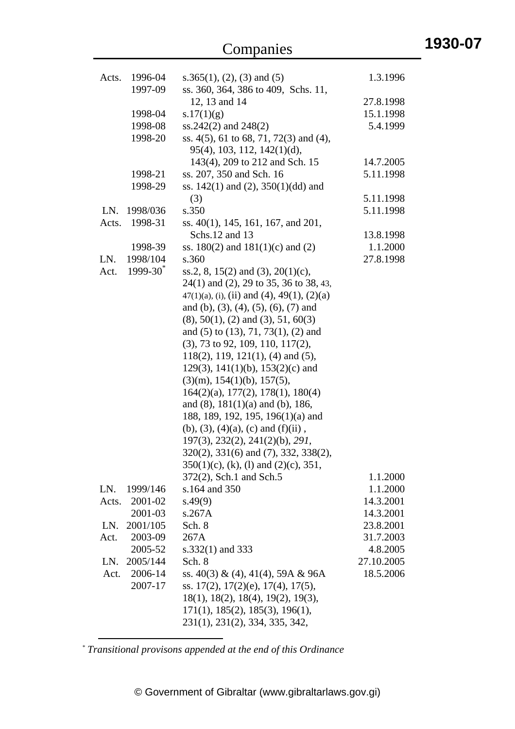| Acts. | 1996-04            | s.365(1), (2), (3) and (5)                                              | 1.3.1996               |
|-------|--------------------|-------------------------------------------------------------------------|------------------------|
|       | 1997-09            | ss. 360, 364, 386 to 409, Schs. 11,                                     |                        |
|       |                    | 12, 13 and 14                                                           | 27.8.1998              |
|       | 1998-04            | s.17(1)(g)                                                              | 15.1.1998              |
|       | 1998-08            | ss.242 $(2)$ and 248 $(2)$                                              | 5.4.1999               |
|       | 1998-20            | ss. 4(5), 61 to 68, 71, 72(3) and (4),                                  |                        |
|       |                    | $95(4)$ , 103, 112, 142(1)(d),                                          |                        |
|       |                    | 143(4), 209 to 212 and Sch. 15                                          | 14.7.2005              |
|       | 1998-21            | ss. 207, 350 and Sch. 16                                                | 5.11.1998              |
|       | 1998-29            | ss. $142(1)$ and $(2)$ , $350(1)(dd)$ and                               |                        |
|       |                    | (3)                                                                     | 5.11.1998              |
| LN.   | 1998/036           | s.350                                                                   | 5.11.1998              |
| Acts. | 1998-31            | ss. 40(1), 145, 161, 167, and 201,                                      |                        |
|       |                    | Schs.12 and 13                                                          | 13.8.1998              |
|       | 1998-39            | ss. $180(2)$ and $181(1)(c)$ and $(2)$                                  | 1.1.2000               |
| LN.   | 1998/104           | s.360                                                                   | 27.8.1998              |
| Act.  | $1999-30$          | ss.2, 8, 15(2) and (3), 20(1)(c),                                       |                        |
|       |                    | 24(1) and (2), 29 to 35, 36 to 38, 43,                                  |                        |
|       |                    | $47(1)(a)$ , (i), (ii) and (4), $49(1)$ , (2)(a)                        |                        |
|       |                    | and (b), (3), (4), (5), (6), (7) and                                    |                        |
|       |                    | $(8), 50(1), (2)$ and $(3), 51, 60(3)$                                  |                        |
|       |                    | and $(5)$ to $(13)$ , 71, 73 $(1)$ , $(2)$ and                          |                        |
|       |                    | $(3)$ , 73 to 92, 109, 110, 117(2),                                     |                        |
|       |                    | $118(2)$ , 119, 121(1), (4) and (5),                                    |                        |
|       |                    | 129(3), $141(1)(b)$ , $153(2)(c)$ and                                   |                        |
|       |                    | $(3)(m)$ , 154(1)(b), 157(5),                                           |                        |
|       |                    | $164(2)(a)$ , $177(2)$ , $178(1)$ , $180(4)$                            |                        |
|       |                    | and $(8)$ , $181(1)(a)$ and $(b)$ , 186,                                |                        |
|       |                    | 188, 189, 192, 195, 196(1)(a) and                                       |                        |
|       |                    | (b), (3), (4)(a), (c) and (f)(ii),                                      |                        |
|       |                    | 197(3), 232(2), 241(2)(b), 291,                                         |                        |
|       |                    | 320(2), 331(6) and (7), 332, 338(2),                                    |                        |
|       |                    | $350(1)(c)$ , (k), (l) and (2)(c), 351,                                 |                        |
|       |                    | 372(2), Sch.1 and Sch.5                                                 | 1.1.2000               |
| LN.   | 1999/146           | s.164 and 350                                                           | 1.1.2000               |
| Acts. | 2001-02            | s.49(9)                                                                 | 14.3.2001              |
|       | 2001-03            | s.267A                                                                  | 14.3.2001              |
| LN.   | 2001/105           | Sch. 8<br>267A                                                          | 23.8.2001              |
| Act.  | 2003-09<br>2005-52 |                                                                         | 31.7.2003              |
| LN.   | 2005/144           | $s.332(1)$ and 333<br>Sch. 8                                            | 4.8.2005<br>27.10.2005 |
|       | 2006-14            |                                                                         | 18.5.2006              |
| Act.  | 2007-17            | ss. 40(3) & (4), 41(4), 59A & 96A<br>ss. 17(2), 17(2)(e), 17(4), 17(5), |                        |
|       |                    | $18(1)$ , $18(2)$ , $18(4)$ , $19(2)$ , $19(3)$ ,                       |                        |
|       |                    | 171(1), 185(2), 185(3), 196(1),                                         |                        |
|       |                    |                                                                         |                        |
|       |                    | 231(1), 231(2), 334, 335, 342,                                          |                        |

\* *Transitional provisons appended at the end of this Ordinance*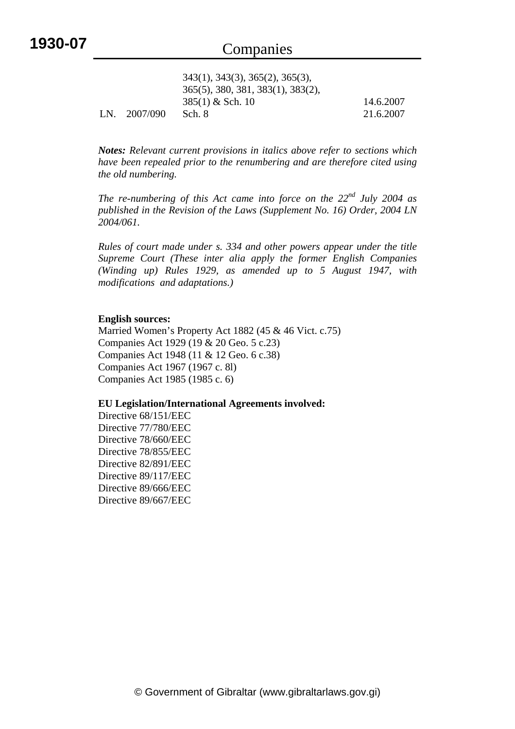|     |          | 343(1), 343(3), 365(2), 365(3),      |           |
|-----|----------|--------------------------------------|-----------|
|     |          | $365(5)$ , 380, 381, 383(1), 383(2), |           |
|     |          | $385(1)$ & Sch. 10                   | 14.6.2007 |
| LN. | 2007/090 | Sch. 8                               | 21.6.2007 |

*Notes: Relevant current provisions in italics above refer to sections which have been repealed prior to the renumbering and are therefore cited using the old numbering.* 

*The re-numbering of this Act came into force on the 22nd July 2004 as published in the Revision of the Laws (Supplement No. 16) Order, 2004 LN 2004/061.* 

*Rules of court made under s. 334 and other powers appear under the title Supreme Court (These inter alia apply the former English Companies (Winding up) Rules 1929, as amended up to 5 August 1947, with modifications and adaptations.)* 

#### **English sources:**

Married Women's Property Act 1882 (45 & 46 Vict. c.75) Companies Act 1929 (19 & 20 Geo. 5 c.23) Companies Act 1948 (11 & 12 Geo. 6 c.38) Companies Act 1967 (1967 c. 8l) Companies Act 1985 (1985 c. 6)

#### **EU Legislation/International Agreements involved:**

Directive 68/151/EEC Directive 77/780/EEC Directive 78/660/EEC Directive 78/855/EEC Directive 82/891/EEC Directive 89/117/EEC Directive 89/666/EEC Directive 89/667/EEC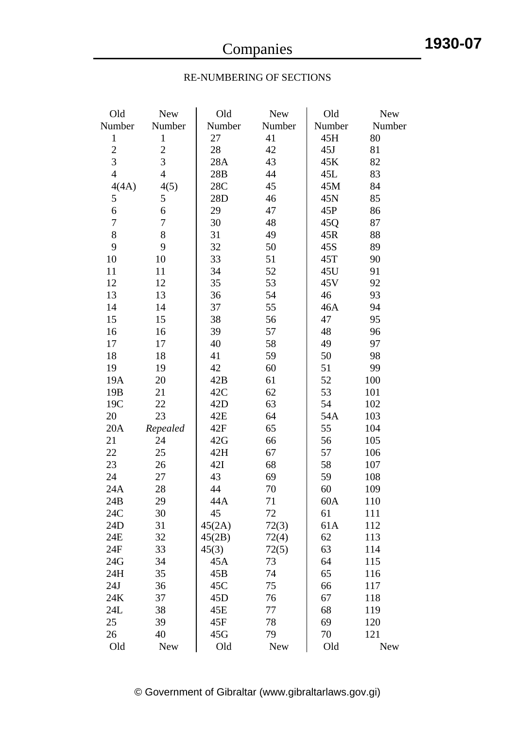**1930-07**

### RE-NUMBERING OF SECTIONS

| Old             | <b>New</b>     | Old             | <b>New</b> | Old    | <b>New</b> |
|-----------------|----------------|-----------------|------------|--------|------------|
| Number          | Number         | Number          | Number     | Number | Number     |
| $\mathbf{1}$    | $\mathbf{1}$   | 27              | 41         | 45H    | 80         |
| $\overline{c}$  | $\overline{c}$ | 28              | 42         | 45J    | 81         |
| $\overline{3}$  | $\overline{3}$ | 28A             | 43         | 45K    | 82         |
| $\overline{4}$  | $\overline{4}$ | 28B             | 44         | 45L    | 83         |
| 4(4A)           | 4(5)           | 28C             | 45         | 45M    | 84         |
| 5               | 5              | 28D             | 46         | 45N    | 85         |
| 6               | 6              | 29              | 47         | 45P    | 86         |
| $\overline{7}$  | $\overline{7}$ | 30              | 48         | 45Q    | 87         |
| 8               | 8              | 31              | 49         | 45R    | 88         |
| 9               | 9              | 32              | 50         | 45S    | 89         |
| 10              | 10             | 33              | 51         | 45T    | 90         |
| 11              | 11             | 34              | 52         | 45U    | 91         |
| 12              | 12             | 35              | 53         | 45V    | 92         |
| 13              | 13             | 36              | 54         | 46     | 93         |
| 14              | 14             | 37              | 55         | 46A    | 94         |
| 15              | 15             | 38              | 56         | 47     | 95         |
| 16              | 16             | 39              | 57         | 48     | 96         |
| 17              | 17             | 40              | 58         | 49     | 97         |
| 18              | 18             | 41              | 59         | 50     | 98         |
| 19              | 19             | 42              | 60         | 51     | 99         |
| 19A             | 20             | 42B             | 61         | 52     | 100        |
| 19 <sub>B</sub> | 21             | 42C             | 62         | 53     | 101        |
| 19C             | 22             | 42D             | 63         | 54     | 102        |
| 20              | 23             | 42E             | 64         | 54A    | 103        |
| 20A             | Repealed       | 42F             | 65         | 55     | 104        |
| 21              | 24             | 42G             | 66         | 56     | 105        |
| 22              | 25             | 42H             | 67         | 57     | 106        |
| 23              | 26             | 42I             | 68         | 58     | 107        |
| 24              | 27             | 43              | 69         | 59     | 108        |
| 24A             | 28             | 44              | 70         | 60     | 109        |
| 24B             | 29             | 44A             | 71         | 60A    | 110        |
| 24C             | 30             | 45              | 72         | 61     | 111        |
| 24D             | 31             | 45(2A)          | 72(3)      | 61A    | 112        |
| 24E             | 32             | 45(2B)          | 72(4)      | 62     | 113        |
| 24F             | 33             | 45(3)           | 72(5)      | 63     | 114        |
| 24G             | 34             | 45A             | 73         | 64     | 115        |
| 24H             | 35             | 45B             | 74         | 65     | 116        |
| 24J             | 36             | 45C             | 75         | 66     | 117        |
| 24K             | 37             | 45 <sub>D</sub> | 76         | 67     | 118        |
| 24L             | 38             | 45E             | 77         | 68     | 119        |
| 25              | 39             | 45F             | 78         | 69     | 120        |
| 26              | 40             | 45G             | 79         | 70     | 121        |
| Old             | <b>New</b>     | Old             | <b>New</b> | Old    | <b>New</b> |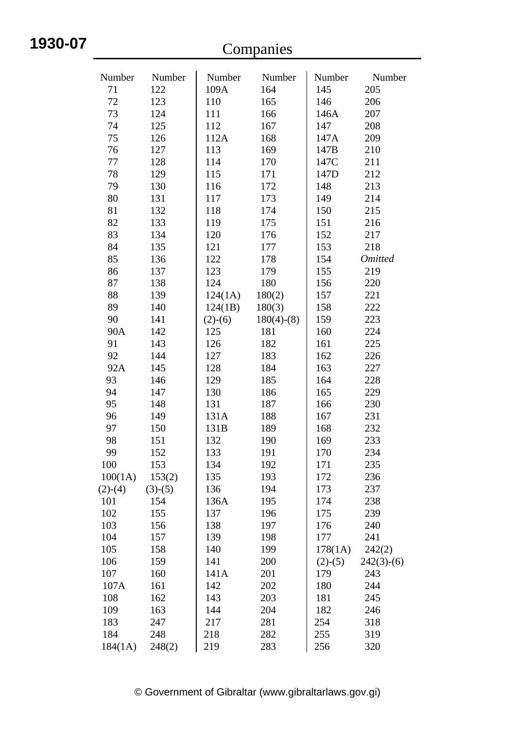**Companies** 

| Number    | Number    | Number    | Number       | Number    | Number         |
|-----------|-----------|-----------|--------------|-----------|----------------|
| 71        | 122       | 109A      | 164          | 145       | 205            |
| 72        | 123       | 110       | 165          | 146       | 206            |
| 73        | 124       | 111       | 166          | 146A      | 207            |
| 74        | 125       | 112       | 167          | 147       | 208            |
| 75        | 126       | 112A      | 168          | 147A      | 209            |
| 76        | 127       | 113       | 169          | 147B      | 210            |
| 77        | 128       | 114       | 170          | 147C      | 211            |
| 78        | 129       | 115       | 171          | 147D      | 212            |
| 79        | 130       | 116       | 172          | 148       | 213            |
| 80        | 131       | 117       | 173          | 149       | 214            |
| 81        | 132       | 118       | 174          | 150       | 215            |
| 82        | 133       | 119       | 175          | 151       | 216            |
| 83        | 134       | 120       | 176          | 152       | 217            |
| 84        | 135       | 121       | 177          | 153       | 218            |
| 85        | 136       | 122       | 178          | 154       | <b>Omitted</b> |
| 86        | 137       | 123       | 179          | 155       | 219            |
| 87        | 138       | 124       | 180          | 156       | 220            |
| 88        | 139       | 124(1A)   | 180(2)       | 157       | 221            |
| 89        | 140       | 124(1B)   | 180(3)       | 158       | 222            |
| 90        | 141       | $(2)-(6)$ | $180(4)-(8)$ | 159       | 223            |
| 90A       | 142       | 125       | 181          | 160       | 224            |
| 91        | 143       | 126       | 182          | 161       | 225            |
| 92        | 144       | 127       | 183          | 162       | 226            |
| 92A       | 145       | 128       | 184          | 163       | 227            |
| 93        | 146       | 129       | 185          | 164       | 228            |
| 94        | 147       | 130       | 186          | 165       | 229            |
| 95        | 148       | 131       | 187          | 166       | 230            |
| 96        | 149       | 131A      | 188          | 167       | 231            |
| 97        | 150       | 131B      | 189          | 168       | 232            |
| 98        | 151       | 132       | 190          | 169       | 233            |
| 99        | 152       | 133       | 191          | 170       | 234            |
| 100       | 153       | 134       | 192          | 171       | 235            |
| 100(1A)   | 153(2)    | 135       | 193          | 172       | 236            |
| $(2)-(4)$ | $(3)-(5)$ | 136       | 194          | 173       | 237            |
| 101       | 154       | 136A      | 195          | 174       | 238            |
| 102       | 155       | 137       | 196          | 175       | 239            |
| 103       | 156       | 138       | 197          | 176       | 240            |
| 104       | 157       | 139       | 198          | 177       | 241            |
| 105       | 158       | 140       | 199          | 178(1A)   | 242(2)         |
| 106       | 159       | 141       | 200          | $(2)-(5)$ | $242(3)-(6)$   |
| 107       | 160       | 141A      | 201          | 179       | 243            |
| 107A      | 161       | 142       | 202          | 180       | 244            |
| 108       | 162       | 143       | 203          | 181       | 245            |
| 109       | 163       | 144       | 204          | 182       | 246            |
| 183       | 247       | 217       | 281          | 254       | 318            |
| 184       | 248       | 218       | 282          | 255       | 319            |
| 184(1A)   | 248(2)    | 219       | 283          | 256       | 320            |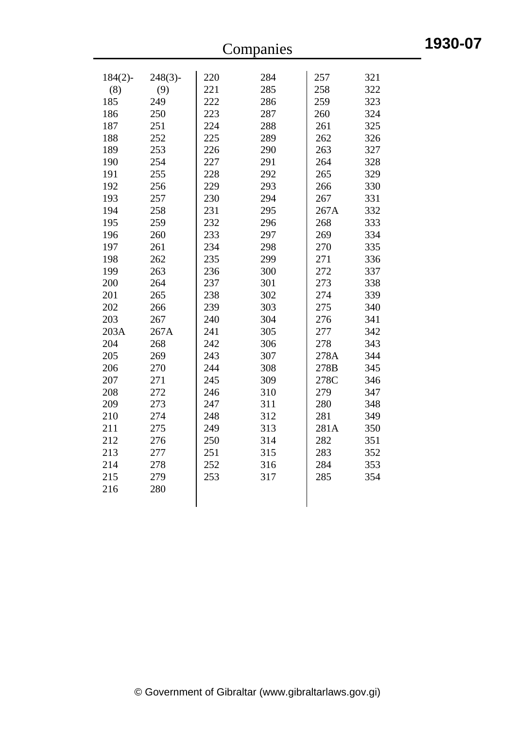| Companies  |            |     |     |      |     |  |
|------------|------------|-----|-----|------|-----|--|
|            |            |     |     |      |     |  |
| $184(2)$ - | $248(3)$ - | 220 | 284 | 257  | 321 |  |
| (8)        | (9)        | 221 | 285 | 258  | 322 |  |
| 185        | 249        | 222 | 286 | 259  | 323 |  |
| 186        | 250        | 223 | 287 | 260  | 324 |  |
| 187        | 251        | 224 | 288 | 261  | 325 |  |
| 188        | 252        | 225 | 289 | 262  | 326 |  |
| 189        | 253        | 226 | 290 | 263  | 327 |  |
| 190        | 254        | 227 | 291 | 264  | 328 |  |
| 191        | 255        | 228 | 292 | 265  | 329 |  |
| 192        | 256        | 229 | 293 | 266  | 330 |  |
| 193        | 257        | 230 | 294 | 267  | 331 |  |
| 194        | 258        | 231 | 295 | 267A | 332 |  |
| 195        | 259        | 232 | 296 | 268  | 333 |  |
| 196        | 260        | 233 | 297 | 269  | 334 |  |
| 197        | 261        | 234 | 298 | 270  | 335 |  |
| 198        | 262        | 235 | 299 | 271  | 336 |  |
| 199        | 263        | 236 | 300 | 272  | 337 |  |
| 200        | 264        | 237 | 301 | 273  | 338 |  |
| 201        | 265        | 238 | 302 | 274  | 339 |  |
| 202        | 266        | 239 | 303 | 275  | 340 |  |
| 203        | 267        | 240 | 304 | 276  | 341 |  |
| 203A       | 267A       | 241 | 305 | 277  | 342 |  |
| 204        | 268        | 242 | 306 | 278  | 343 |  |
| 205        | 269        | 243 | 307 | 278A | 344 |  |
| 206        | 270        | 244 | 308 | 278B | 345 |  |
| 207        | 271        | 245 | 309 | 278C | 346 |  |
| 208        | 272        | 246 | 310 | 279  | 347 |  |
| 209        | 273        | 247 | 311 | 280  | 348 |  |
| 210        | 274        | 248 | 312 | 281  | 349 |  |
| 211        | 275        | 249 | 313 | 281A | 350 |  |
| 212        | 276        | 250 | 314 | 282  | 351 |  |
| 213        | 277        | 251 | 315 | 283  | 352 |  |
| 214        | 278        | 252 | 316 | 284  | 353 |  |
| 215        | 279        | 253 | 317 | 285  | 354 |  |
| 216        | 280        |     |     |      |     |  |
|            |            |     |     |      |     |  |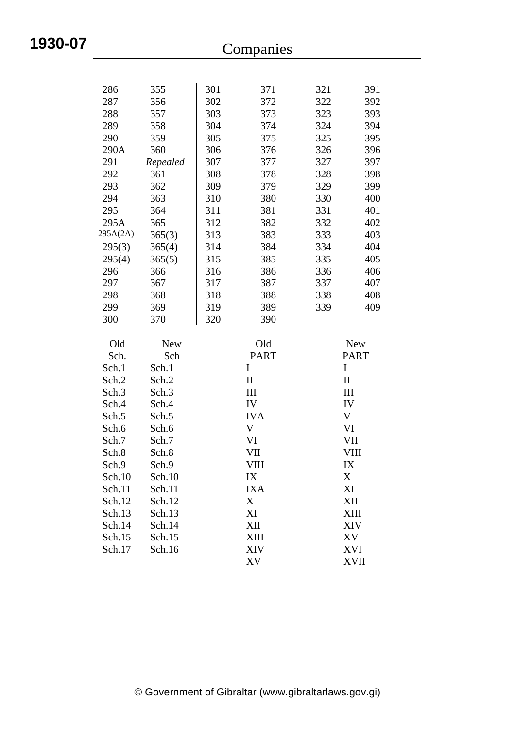|          | Companies  |             |              |              |             |  |  |
|----------|------------|-------------|--------------|--------------|-------------|--|--|
|          |            |             |              |              |             |  |  |
| 286      | 355        | 301         | 371          | 321          | 391         |  |  |
| 287      | 356        | 302         | 372          | 322          | 392         |  |  |
| 288      | 357        | 303         | 373          | 323          | 393         |  |  |
| 289      | 358        | 304         | 374          | 324          | 394         |  |  |
| 290      | 359        | 305         | 375          | 325          | 395         |  |  |
| 290A     | 360        | 306         | 376          | 326          | 396         |  |  |
| 291      | Repealed   | 307         | 377          | 327          | 397         |  |  |
| 292      | 361        | 308         | 378          | 328          | 398         |  |  |
| 293      | 362        | 309         | 379          | 329          | 399         |  |  |
| 294      | 363        | 310         | 380          | 330          | 400         |  |  |
| 295      | 364        | 311         | 381          | 331          | 401         |  |  |
| 295A     | 365        | 312         | 382          | 332          | 402         |  |  |
| 295A(2A) | 365(3)     | 313         | 383          | 333          | 403         |  |  |
| 295(3)   | 365(4)     | 314         | 384          | 334          | 404         |  |  |
| 295(4)   | 365(5)     | 315         | 385          | 335          | 405         |  |  |
| 296      | 366        | 316         | 386          | 336          | 406         |  |  |
| 297      | 367        | 317         | 387          | 337          | 407         |  |  |
| 298      | 368        | 318         | 388          | 338          | 408         |  |  |
| 299      | 369        | 319         | 389          | 339          | 409         |  |  |
| 300      | 370        | 320         | 390          |              |             |  |  |
| Old      | <b>New</b> |             | Old          |              | <b>New</b>  |  |  |
| Sch.     | Sch        |             | <b>PART</b>  |              | <b>PART</b> |  |  |
| Sch.1    | Sch.1      |             | $\bf{I}$     | $\mathbf I$  |             |  |  |
| Sch.2    | Sch.2      |             | $\mathbf{I}$ | $\mathbf{I}$ |             |  |  |
| Sch.3    | Sch.3      |             | III          |              | III         |  |  |
| Sch.4    | Sch.4      |             | IV           |              | IV          |  |  |
| Sch.5    | Sch.5      |             | <b>IVA</b>   | V            |             |  |  |
| Sch.6    | Sch.6      |             | V            |              | VI          |  |  |
| Sch.7    | Sch.7      |             | VI           |              | VII         |  |  |
| Sch.8    | Sch.8      | VII<br>VIII |              |              |             |  |  |
| Sch.9    | Sch.9      | VIII        |              |              | IX          |  |  |
| Sch.10   | Sch.10     | X<br>IX     |              |              |             |  |  |
| Sch.11   | Sch.11     |             | <b>IXA</b>   |              | XI          |  |  |
| Sch.12   | Sch.12     |             | X            |              | XII         |  |  |
| Sch.13   | Sch.13     |             | XI           |              | XIII        |  |  |
| Sch.14   | Sch.14     |             | XII          |              | XIV         |  |  |
| Sch.15   | Sch.15     |             | XIII         |              | XV          |  |  |
| Sch.17   | Sch.16     |             | <b>XIV</b>   |              | XVI         |  |  |
|          |            |             | XV           |              | <b>XVII</b> |  |  |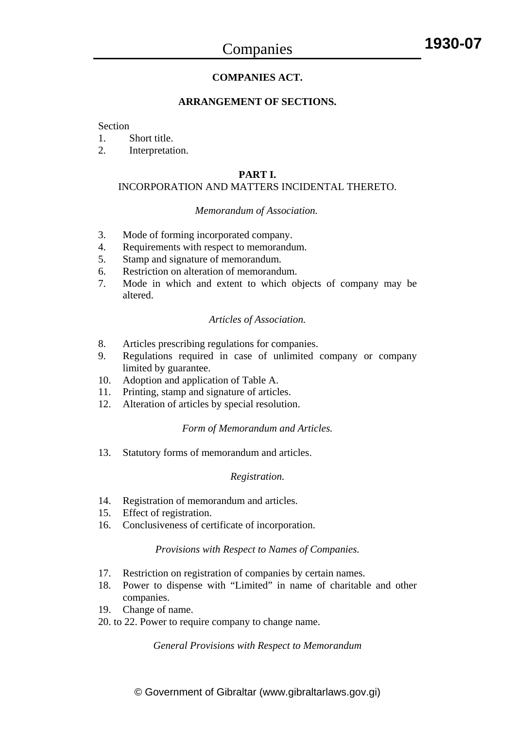### **COMPANIES ACT.**

#### **ARRANGEMENT OF SECTIONS.**

#### Section

- 1. Short title.
- 2. Interpretation.

#### **PART I.**

#### INCORPORATION AND MATTERS INCIDENTAL THERETO.

#### *Memorandum of Association.*

- 3. Mode of forming incorporated company.
- 4. Requirements with respect to memorandum.
- 5. Stamp and signature of memorandum.
- 6. Restriction on alteration of memorandum.
- 7. Mode in which and extent to which objects of company may be altered.

#### *Articles of Association.*

- 8. Articles prescribing regulations for companies.
- 9. Regulations required in case of unlimited company or company limited by guarantee.
- 10. Adoption and application of Table A.
- 11. Printing, stamp and signature of articles.
- 12. Alteration of articles by special resolution.

#### *Form of Memorandum and Articles.*

13. Statutory forms of memorandum and articles.

#### *Registration.*

- 14. Registration of memorandum and articles.
- 15. Effect of registration.
- 16. Conclusiveness of certificate of incorporation.

#### *Provisions with Respect to Names of Companies.*

- 17. Restriction on registration of companies by certain names.
- 18. Power to dispense with "Limited" in name of charitable and other companies.
- 19. Change of name.
- 20. to 22. Power to require company to change name.

#### *General Provisions with Respect to Memorandum*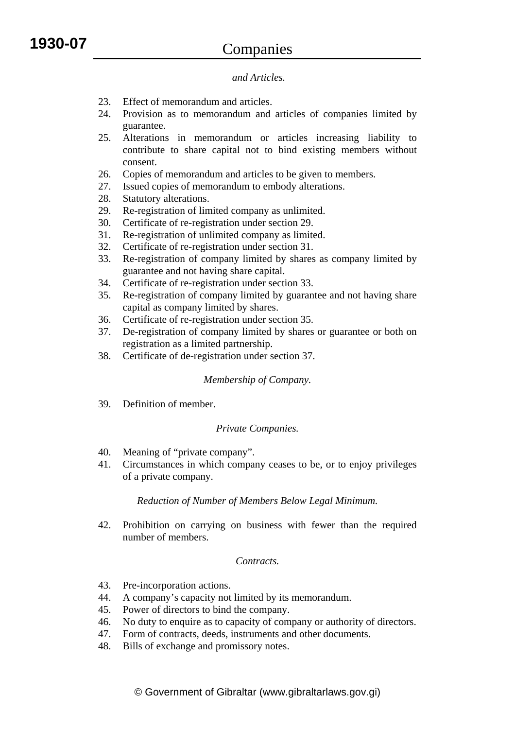#### *and Articles.*

- 23. Effect of memorandum and articles.
- 24. Provision as to memorandum and articles of companies limited by guarantee.
- 25. Alterations in memorandum or articles increasing liability to contribute to share capital not to bind existing members without consent.
- 26. Copies of memorandum and articles to be given to members.
- 27. Issued copies of memorandum to embody alterations.
- 28. Statutory alterations.
- 29. Re-registration of limited company as unlimited.
- 30. Certificate of re-registration under section 29.
- 31. Re-registration of unlimited company as limited.
- 32. Certificate of re-registration under section 31.
- 33. Re-registration of company limited by shares as company limited by guarantee and not having share capital.
- 34. Certificate of re-registration under section 33.
- 35. Re-registration of company limited by guarantee and not having share capital as company limited by shares.
- 36. Certificate of re-registration under section 35.
- 37. De-registration of company limited by shares or guarantee or both on registration as a limited partnership.
- 38. Certificate of de-registration under section 37.

#### *Membership of Company.*

39. Definition of member.

#### *Private Companies.*

- 40. Meaning of "private company".
- 41. Circumstances in which company ceases to be, or to enjoy privileges of a private company.

#### *Reduction of Number of Members Below Legal Minimum.*

42. Prohibition on carrying on business with fewer than the required number of members.

#### *Contracts.*

- 43. Pre-incorporation actions.
- 44. A company's capacity not limited by its memorandum.
- 45. Power of directors to bind the company.
- 46. No duty to enquire as to capacity of company or authority of directors.
- 47. Form of contracts, deeds, instruments and other documents.
- 48. Bills of exchange and promissory notes.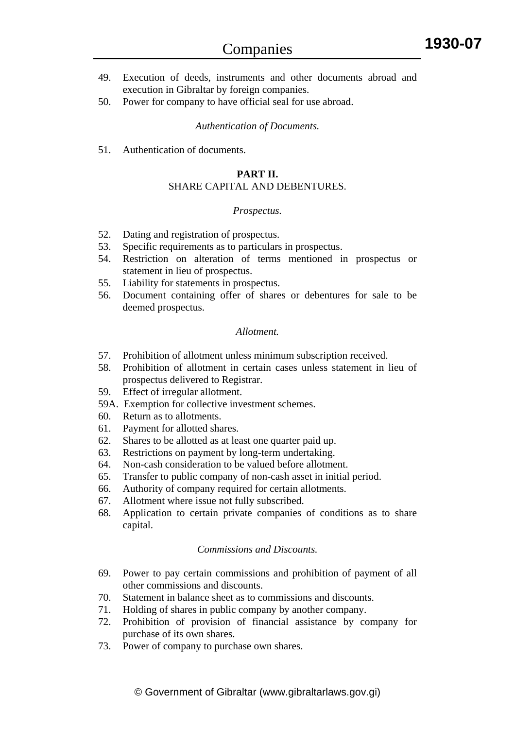- 49. Execution of deeds, instruments and other documents abroad and execution in Gibraltar by foreign companies.
- 50. Power for company to have official seal for use abroad.

#### *Authentication of Documents.*

51. Authentication of documents.

#### **PART II.**

### SHARE CAPITAL AND DEBENTURES.

#### *Prospectus.*

- 52. Dating and registration of prospectus.
- 53. Specific requirements as to particulars in prospectus.
- 54. Restriction on alteration of terms mentioned in prospectus or statement in lieu of prospectus.
- 55. Liability for statements in prospectus.
- 56. Document containing offer of shares or debentures for sale to be deemed prospectus.

#### *Allotment.*

- 57. Prohibition of allotment unless minimum subscription received.
- 58. Prohibition of allotment in certain cases unless statement in lieu of prospectus delivered to Registrar.
- 59. Effect of irregular allotment.
- 59A. Exemption for collective investment schemes.
- 60. Return as to allotments.
- 61. Payment for allotted shares.
- 62. Shares to be allotted as at least one quarter paid up.
- 63. Restrictions on payment by long-term undertaking.
- 64. Non-cash consideration to be valued before allotment.
- 65. Transfer to public company of non-cash asset in initial period.
- 66. Authority of company required for certain allotments.
- 67. Allotment where issue not fully subscribed.
- 68. Application to certain private companies of conditions as to share capital.

#### *Commissions and Discounts.*

- 69. Power to pay certain commissions and prohibition of payment of all other commissions and discounts.
- 70. Statement in balance sheet as to commissions and discounts.
- 71. Holding of shares in public company by another company.
- 72. Prohibition of provision of financial assistance by company for purchase of its own shares.
- 73. Power of company to purchase own shares.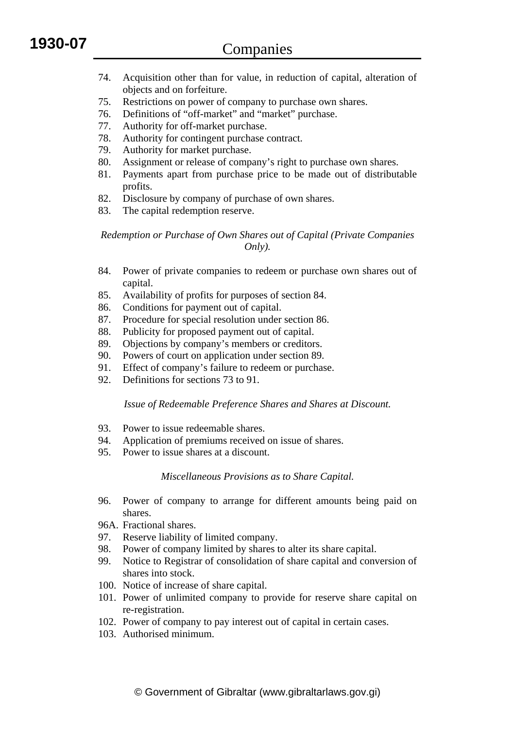- 74. Acquisition other than for value, in reduction of capital, alteration of objects and on forfeiture.
- 75. Restrictions on power of company to purchase own shares.
- 76. Definitions of "off-market" and "market" purchase.
- 77. Authority for off-market purchase.
- 78. Authority for contingent purchase contract.
- 79. Authority for market purchase.
- 80. Assignment or release of company's right to purchase own shares.
- 81. Payments apart from purchase price to be made out of distributable profits.
- 82. Disclosure by company of purchase of own shares.
- 83. The capital redemption reserve.

*Redemption or Purchase of Own Shares out of Capital (Private Companies Only).* 

- 84. Power of private companies to redeem or purchase own shares out of capital.
- 85. Availability of profits for purposes of section 84.
- 86. Conditions for payment out of capital.
- 87. Procedure for special resolution under section 86.
- 88. Publicity for proposed payment out of capital.
- 89. Objections by company's members or creditors.
- 90. Powers of court on application under section 89.
- 91. Effect of company's failure to redeem or purchase.
- 92. Definitions for sections 73 to 91.

*Issue of Redeemable Preference Shares and Shares at Discount.* 

- 93. Power to issue redeemable shares.
- 94. Application of premiums received on issue of shares.
- 95. Power to issue shares at a discount.

#### *Miscellaneous Provisions as to Share Capital.*

- 96. Power of company to arrange for different amounts being paid on shares.
- 96A. Fractional shares.
- 97. Reserve liability of limited company.
- 98. Power of company limited by shares to alter its share capital.
- 99. Notice to Registrar of consolidation of share capital and conversion of shares into stock.
- 100. Notice of increase of share capital.
- 101. Power of unlimited company to provide for reserve share capital on re-registration.
- 102. Power of company to pay interest out of capital in certain cases.
- 103. Authorised minimum.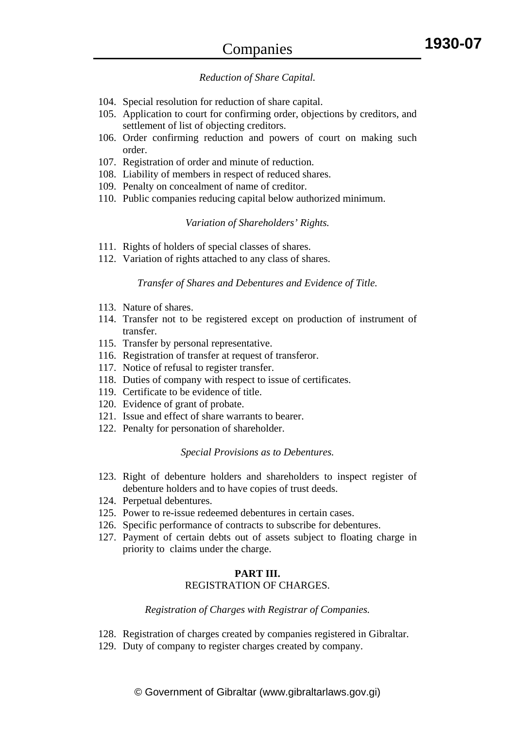#### *Reduction of Share Capital.*

- 104. Special resolution for reduction of share capital.
- 105. Application to court for confirming order, objections by creditors, and settlement of list of objecting creditors.
- 106. Order confirming reduction and powers of court on making such order.
- 107. Registration of order and minute of reduction.
- 108. Liability of members in respect of reduced shares.
- 109. Penalty on concealment of name of creditor.
- 110. Public companies reducing capital below authorized minimum.

#### *Variation of Shareholders' Rights.*

- 111. Rights of holders of special classes of shares.
- 112. Variation of rights attached to any class of shares.

#### *Transfer of Shares and Debentures and Evidence of Title.*

- 113. Nature of shares.
- 114. Transfer not to be registered except on production of instrument of transfer.
- 115. Transfer by personal representative.
- 116. Registration of transfer at request of transferor.
- 117. Notice of refusal to register transfer.
- 118. Duties of company with respect to issue of certificates.
- 119. Certificate to be evidence of title.
- 120. Evidence of grant of probate.
- 121. Issue and effect of share warrants to bearer.
- 122. Penalty for personation of shareholder.

#### *Special Provisions as to Debentures.*

- 123. Right of debenture holders and shareholders to inspect register of debenture holders and to have copies of trust deeds.
- 124. Perpetual debentures.
- 125. Power to re-issue redeemed debentures in certain cases.
- 126. Specific performance of contracts to subscribe for debentures.
- 127. Payment of certain debts out of assets subject to floating charge in priority to claims under the charge.

#### **PART III.**  REGISTRATION OF CHARGES.

#### *Registration of Charges with Registrar of Companies.*

- 128. Registration of charges created by companies registered in Gibraltar.
- 129. Duty of company to register charges created by company.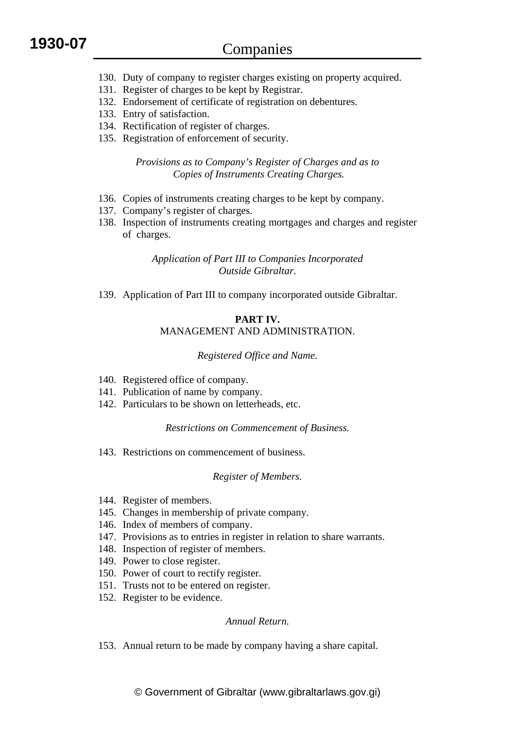- 130. Duty of company to register charges existing on property acquired.
- 131. Register of charges to be kept by Registrar.
- 132. Endorsement of certificate of registration on debentures.
- 133. Entry of satisfaction.
- 134. Rectification of register of charges.
- 135. Registration of enforcement of security.

*Provisions as to Company's Register of Charges and as to Copies of Instruments Creating Charges.* 

- 136. Copies of instruments creating charges to be kept by company.
- 137. Company's register of charges.
- 138. Inspection of instruments creating mortgages and charges and register of charges.

*Application of Part III to Companies Incorporated Outside Gibraltar.* 

139. Application of Part III to company incorporated outside Gibraltar.

### **PART IV.**  MANAGEMENT AND ADMINISTRATION.

#### *Registered Office and Name.*

- 140. Registered office of company.
- 141. Publication of name by company.
- 142. Particulars to be shown on letterheads, etc.

#### *Restrictions on Commencement of Business.*

143. Restrictions on commencement of business.

#### *Register of Members.*

- 144. Register of members.
- 145. Changes in membership of private company.
- 146. Index of members of company.
- 147. Provisions as to entries in register in relation to share warrants.
- 148. Inspection of register of members.
- 149. Power to close register.
- 150. Power of court to rectify register.
- 151. Trusts not to be entered on register.
- 152. Register to be evidence.

#### *Annual Return.*

153. Annual return to be made by company having a share capital.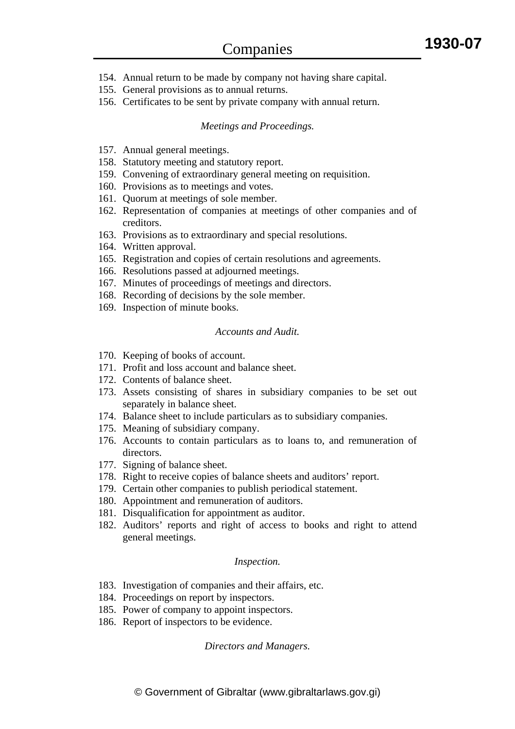- 154. Annual return to be made by company not having share capital.
- 155. General provisions as to annual returns.
- 156. Certificates to be sent by private company with annual return.

#### *Meetings and Proceedings.*

- 157. Annual general meetings.
- 158. Statutory meeting and statutory report.
- 159. Convening of extraordinary general meeting on requisition.
- 160. Provisions as to meetings and votes.
- 161. Quorum at meetings of sole member.
- 162. Representation of companies at meetings of other companies and of creditors.
- 163. Provisions as to extraordinary and special resolutions.
- 164. Written approval.
- 165. Registration and copies of certain resolutions and agreements.
- 166. Resolutions passed at adjourned meetings.
- 167. Minutes of proceedings of meetings and directors.
- 168. Recording of decisions by the sole member.
- 169. Inspection of minute books.

#### *Accounts and Audit.*

- 170. Keeping of books of account.
- 171. Profit and loss account and balance sheet.
- 172. Contents of balance sheet.
- 173. Assets consisting of shares in subsidiary companies to be set out separately in balance sheet.
- 174. Balance sheet to include particulars as to subsidiary companies.
- 175. Meaning of subsidiary company.
- 176. Accounts to contain particulars as to loans to, and remuneration of directors.
- 177. Signing of balance sheet.
- 178. Right to receive copies of balance sheets and auditors' report.
- 179. Certain other companies to publish periodical statement.
- 180. Appointment and remuneration of auditors.
- 181. Disqualification for appointment as auditor.
- 182. Auditors' reports and right of access to books and right to attend general meetings.

#### *Inspection.*

- 183. Investigation of companies and their affairs, etc.
- 184. Proceedings on report by inspectors.
- 185. Power of company to appoint inspectors.
- 186. Report of inspectors to be evidence.

#### *Directors and Managers.*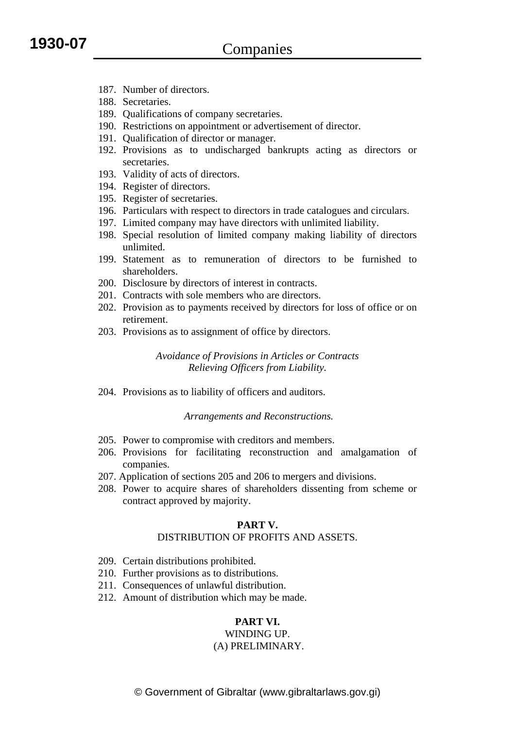- 187. Number of directors.
- 188. Secretaries.
- 189. Qualifications of company secretaries.
- 190. Restrictions on appointment or advertisement of director.
- 191. Qualification of director or manager.
- 192. Provisions as to undischarged bankrupts acting as directors or secretaries.
- 193. Validity of acts of directors.
- 194. Register of directors.
- 195. Register of secretaries.
- 196. Particulars with respect to directors in trade catalogues and circulars.
- 197. Limited company may have directors with unlimited liability.
- 198. Special resolution of limited company making liability of directors unlimited.
- 199. Statement as to remuneration of directors to be furnished to shareholders.
- 200. Disclosure by directors of interest in contracts.
- 201. Contracts with sole members who are directors.
- 202. Provision as to payments received by directors for loss of office or on retirement.
- 203. Provisions as to assignment of office by directors.

#### *Avoidance of Provisions in Articles or Contracts Relieving Officers from Liability.*

204. Provisions as to liability of officers and auditors.

#### *Arrangements and Reconstructions.*

- 205. Power to compromise with creditors and members.
- 206. Provisions for facilitating reconstruction and amalgamation of companies.
- 207. Application of sections 205 and 206 to mergers and divisions.
- 208. Power to acquire shares of shareholders dissenting from scheme or contract approved by majority.

#### **PART V.**

#### DISTRIBUTION OF PROFITS AND ASSETS.

- 209. Certain distributions prohibited.
- 210. Further provisions as to distributions.
- 211. Consequences of unlawful distribution.
- 212. Amount of distribution which may be made.

#### **PART VI.**

### WINDING UP.

#### (A) PRELIMINARY.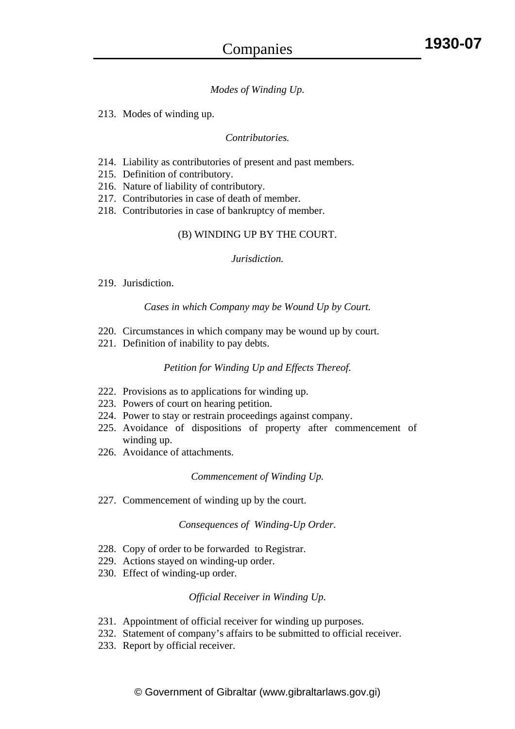### *Modes of Winding Up.*

213. Modes of winding up.

#### *Contributories.*

- 214. Liability as contributories of present and past members.
- 215. Definition of contributory.
- 216. Nature of liability of contributory.
- 217. Contributories in case of death of member.
- 218. Contributories in case of bankruptcy of member.

#### (B) WINDING UP BY THE COURT.

#### *Jurisdiction.*

219. Jurisdiction.

#### *Cases in which Company may be Wound Up by Court.*

- 220. Circumstances in which company may be wound up by court.
- 221. Definition of inability to pay debts.

#### *Petition for Winding Up and Effects Thereof.*

- 222. Provisions as to applications for winding up.
- 223. Powers of court on hearing petition.
- 224. Power to stay or restrain proceedings against company.
- 225. Avoidance of dispositions of property after commencement of winding up.
- 226. Avoidance of attachments.

#### *Commencement of Winding Up.*

227. Commencement of winding up by the court.

#### *Consequences of Winding-Up Order.*

- 228. Copy of order to be forwarded to Registrar.
- 229. Actions stayed on winding-up order.
- 230. Effect of winding-up order.

#### *Official Receiver in Winding Up.*

- 231. Appointment of official receiver for winding up purposes.
- 232. Statement of company's affairs to be submitted to official receiver.
- 233. Report by official receiver.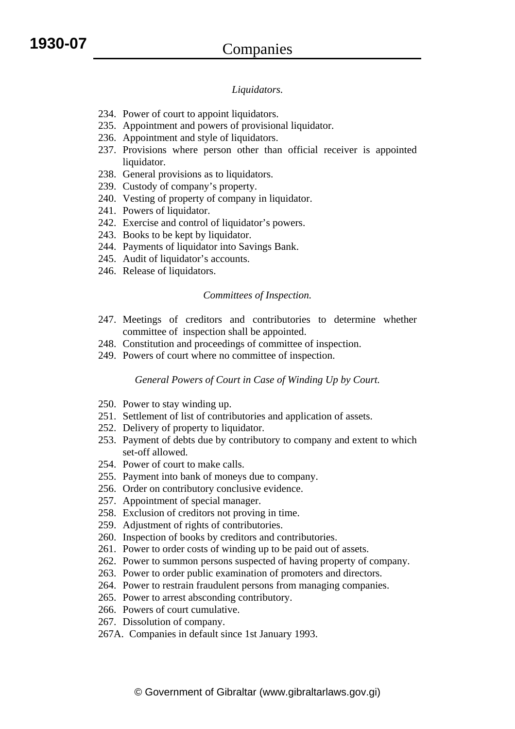### *Liquidators.*

- 234. Power of court to appoint liquidators.
- 235. Appointment and powers of provisional liquidator.
- 236. Appointment and style of liquidators.
- 237. Provisions where person other than official receiver is appointed liquidator.
- 238. General provisions as to liquidators.
- 239. Custody of company's property.
- 240. Vesting of property of company in liquidator.
- 241. Powers of liquidator.
- 242. Exercise and control of liquidator's powers.
- 243. Books to be kept by liquidator.
- 244. Payments of liquidator into Savings Bank.
- 245. Audit of liquidator's accounts.
- 246. Release of liquidators.

#### *Committees of Inspection.*

- 247. Meetings of creditors and contributories to determine whether committee of inspection shall be appointed.
- 248. Constitution and proceedings of committee of inspection.
- 249. Powers of court where no committee of inspection.

#### *General Powers of Court in Case of Winding Up by Court.*

- 250. Power to stay winding up.
- 251. Settlement of list of contributories and application of assets.
- 252. Delivery of property to liquidator.
- 253. Payment of debts due by contributory to company and extent to which set-off allowed.
- 254. Power of court to make calls.
- 255. Payment into bank of moneys due to company.
- 256. Order on contributory conclusive evidence.
- 257. Appointment of special manager.
- 258. Exclusion of creditors not proving in time.
- 259. Adjustment of rights of contributories.
- 260. Inspection of books by creditors and contributories.
- 261. Power to order costs of winding up to be paid out of assets.
- 262. Power to summon persons suspected of having property of company.
- 263. Power to order public examination of promoters and directors.
- 264. Power to restrain fraudulent persons from managing companies.
- 265. Power to arrest absconding contributory.
- 266. Powers of court cumulative.
- 267. Dissolution of company.
- 267A. Companies in default since 1st January 1993.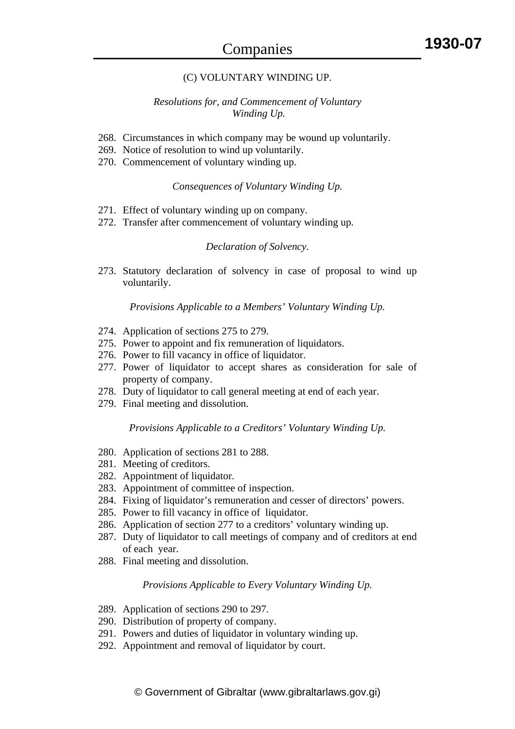### (C) VOLUNTARY WINDING UP.

*Resolutions for, and Commencement of Voluntary Winding Up.* 

- 268. Circumstances in which company may be wound up voluntarily.
- 269. Notice of resolution to wind up voluntarily.
- 270. Commencement of voluntary winding up.

#### *Consequences of Voluntary Winding Up.*

- 271. Effect of voluntary winding up on company.
- 272. Transfer after commencement of voluntary winding up.

#### *Declaration of Solvency.*

273. Statutory declaration of solvency in case of proposal to wind up voluntarily.

*Provisions Applicable to a Members' Voluntary Winding Up.* 

- 274. Application of sections 275 to 279.
- 275. Power to appoint and fix remuneration of liquidators.
- 276. Power to fill vacancy in office of liquidator.
- 277. Power of liquidator to accept shares as consideration for sale of property of company.
- 278. Duty of liquidator to call general meeting at end of each year.
- 279. Final meeting and dissolution.

*Provisions Applicable to a Creditors' Voluntary Winding Up.* 

- 280. Application of sections 281 to 288.
- 281. Meeting of creditors.
- 282. Appointment of liquidator.
- 283. Appointment of committee of inspection.
- 284. Fixing of liquidator's remuneration and cesser of directors' powers.
- 285. Power to fill vacancy in office of liquidator.
- 286. Application of section 277 to a creditors' voluntary winding up.
- 287. Duty of liquidator to call meetings of company and of creditors at end of each year.
- 288. Final meeting and dissolution.

#### *Provisions Applicable to Every Voluntary Winding Up.*

- 289. Application of sections 290 to 297.
- 290. Distribution of property of company.
- 291. Powers and duties of liquidator in voluntary winding up.
- 292. Appointment and removal of liquidator by court.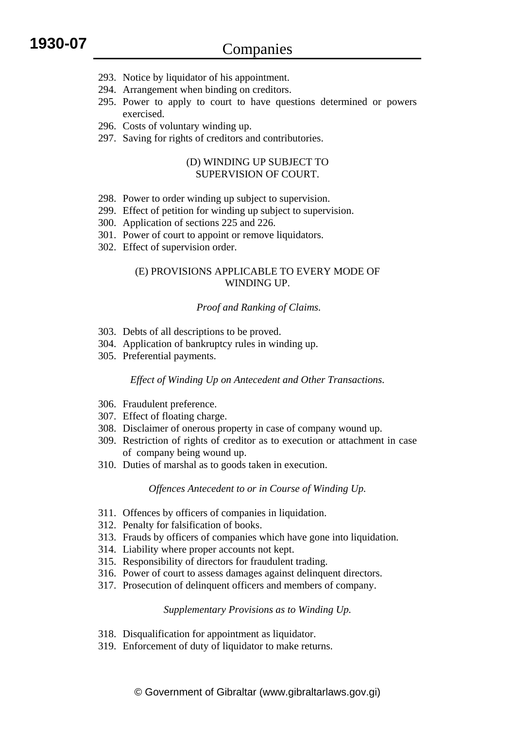- 293. Notice by liquidator of his appointment.
- 294. Arrangement when binding on creditors.
- 295. Power to apply to court to have questions determined or powers exercised.
- 296. Costs of voluntary winding up.
- 297. Saving for rights of creditors and contributories.

#### (D) WINDING UP SUBJECT TO SUPERVISION OF COURT.

- 298. Power to order winding up subject to supervision.
- 299. Effect of petition for winding up subject to supervision.
- 300. Application of sections 225 and 226.
- 301. Power of court to appoint or remove liquidators.
- 302. Effect of supervision order.

#### (E) PROVISIONS APPLICABLE TO EVERY MODE OF WINDING UP.

#### *Proof and Ranking of Claims.*

- 303. Debts of all descriptions to be proved.
- 304. Application of bankruptcy rules in winding up.
- 305. Preferential payments.

*Effect of Winding Up on Antecedent and Other Transactions.* 

- 306. Fraudulent preference.
- 307. Effect of floating charge.
- 308. Disclaimer of onerous property in case of company wound up.
- 309. Restriction of rights of creditor as to execution or attachment in case of company being wound up.
- 310. Duties of marshal as to goods taken in execution.

#### *Offences Antecedent to or in Course of Winding Up.*

- 311. Offences by officers of companies in liquidation.
- 312. Penalty for falsification of books.
- 313. Frauds by officers of companies which have gone into liquidation.
- 314. Liability where proper accounts not kept.
- 315. Responsibility of directors for fraudulent trading.
- 316. Power of court to assess damages against delinquent directors.
- 317. Prosecution of delinquent officers and members of company.

#### *Supplementary Provisions as to Winding Up.*

- 318. Disqualification for appointment as liquidator.
- 319. Enforcement of duty of liquidator to make returns.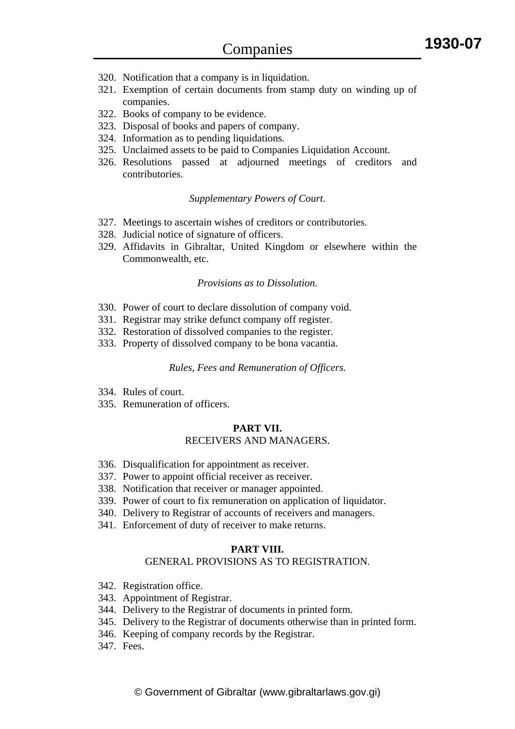- 320. Notification that a company is in liquidation.
- 321. Exemption of certain documents from stamp duty on winding up of companies.
- 322. Books of company to be evidence.
- 323. Disposal of books and papers of company.
- 324. Information as to pending liquidations.
- 325. Unclaimed assets to be paid to Companies Liquidation Account.
- 326. Resolutions passed at adjourned meetings of creditors and contributories.

#### *Supplementary Powers of Court.*

- 327. Meetings to ascertain wishes of creditors or contributories.
- 328. Judicial notice of signature of officers.
- 329. Affidavits in Gibraltar, United Kingdom or elsewhere within the Commonwealth, etc.

#### *Provisions as to Dissolution.*

- 330. Power of court to declare dissolution of company void.
- 331. Registrar may strike defunct company off register.
- 332. Restoration of dissolved companies to the register.
- 333. Property of dissolved company to be bona vacantia.

#### *Rules, Fees and Remuneration of Officers.*

- 334. Rules of court.
- 335. Remuneration of officers.

### **PART VII.**

### RECEIVERS AND MANAGERS.

- 336. Disqualification for appointment as receiver.
- 337. Power to appoint official receiver as receiver.
- 338. Notification that receiver or manager appointed.
- 339. Power of court to fix remuneration on application of liquidator.
- 340. Delivery to Registrar of accounts of receivers and managers.
- 341. Enforcement of duty of receiver to make returns.

#### **PART VIII.**

#### GENERAL PROVISIONS AS TO REGISTRATION.

- 342. Registration office.
- 343. Appointment of Registrar.
- 344. Delivery to the Registrar of documents in printed form.
- 345. Delivery to the Registrar of documents otherwise than in printed form.
- 346. Keeping of company records by the Registrar.
- 347. Fees.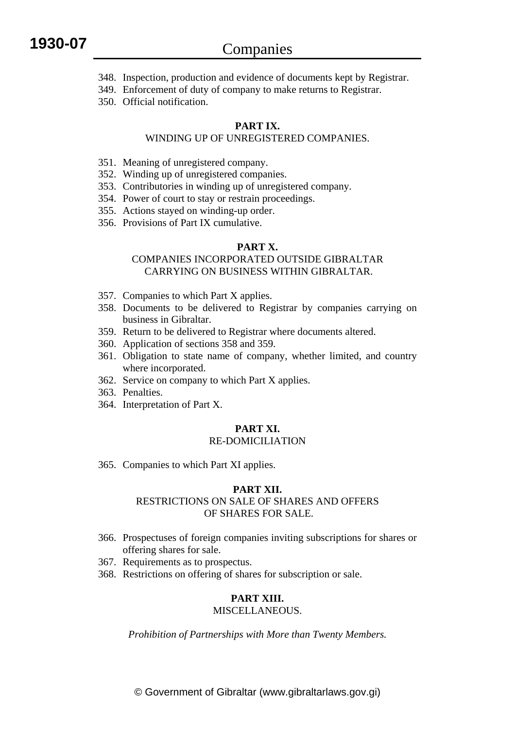- 348. Inspection, production and evidence of documents kept by Registrar.
- 349. Enforcement of duty of company to make returns to Registrar.
- 350. Official notification.

#### **PART IX.**

#### WINDING UP OF UNREGISTERED COMPANIES.

- 351. Meaning of unregistered company.
- 352. Winding up of unregistered companies.
- 353. Contributories in winding up of unregistered company.
- 354. Power of court to stay or restrain proceedings.
- 355. Actions stayed on winding-up order.
- 356. Provisions of Part IX cumulative.

#### **PART X.**

#### COMPANIES INCORPORATED OUTSIDE GIBRALTAR CARRYING ON BUSINESS WITHIN GIBRALTAR.

- 357. Companies to which Part X applies.
- 358. Documents to be delivered to Registrar by companies carrying on business in Gibraltar.
- 359. Return to be delivered to Registrar where documents altered.
- 360. Application of sections 358 and 359.
- 361. Obligation to state name of company, whether limited, and country where incorporated.
- 362. Service on company to which Part X applies.
- 363. Penalties.
- 364. Interpretation of Part X.

#### **PART XI.**  RE-DOMICILIATION

365. Companies to which Part XI applies.

#### **PART XII.**

#### RESTRICTIONS ON SALE OF SHARES AND OFFERS OF SHARES FOR SALE.

- 366. Prospectuses of foreign companies inviting subscriptions for shares or offering shares for sale.
- 367. Requirements as to prospectus.
- 368. Restrictions on offering of shares for subscription or sale.

#### **PART XIII.**  MISCELLANEOUS.

*Prohibition of Partnerships with More than Twenty Members.*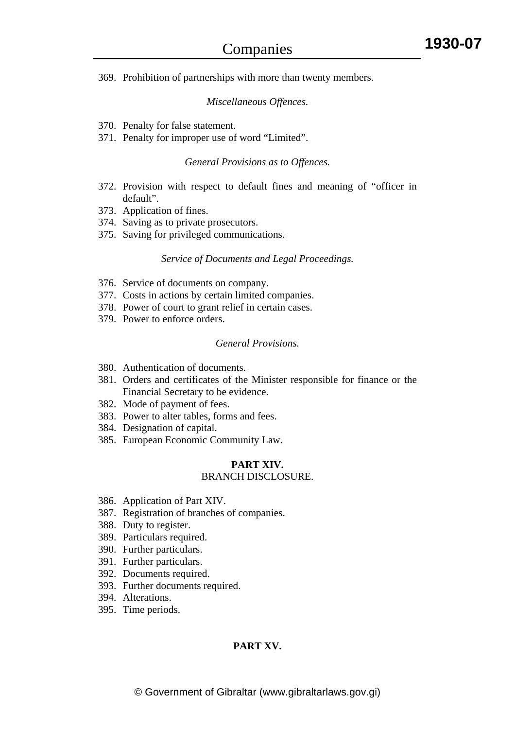369. Prohibition of partnerships with more than twenty members.

#### *Miscellaneous Offences.*

- 370. Penalty for false statement.
- 371. Penalty for improper use of word "Limited".

#### *General Provisions as to Offences.*

- 372. Provision with respect to default fines and meaning of "officer in default".
- 373. Application of fines.
- 374. Saving as to private prosecutors.
- 375. Saving for privileged communications.

#### *Service of Documents and Legal Proceedings.*

- 376. Service of documents on company.
- 377. Costs in actions by certain limited companies.
- 378. Power of court to grant relief in certain cases.
- 379. Power to enforce orders.

#### *General Provisions.*

- 380. Authentication of documents.
- 381. Orders and certificates of the Minister responsible for finance or the Financial Secretary to be evidence.
- 382. Mode of payment of fees.
- 383. Power to alter tables, forms and fees.
- 384. Designation of capital.
- 385. European Economic Community Law.

#### **PART XIV.**

#### BRANCH DISCLOSURE.

- 386. Application of Part XIV.
- 387. Registration of branches of companies.
- 388. Duty to register.
- 389. Particulars required.
- 390. Further particulars.
- 391. Further particulars.
- 392. Documents required.
- 393. Further documents required.
- 394. Alterations.
- 395. Time periods.

### **PART XV.**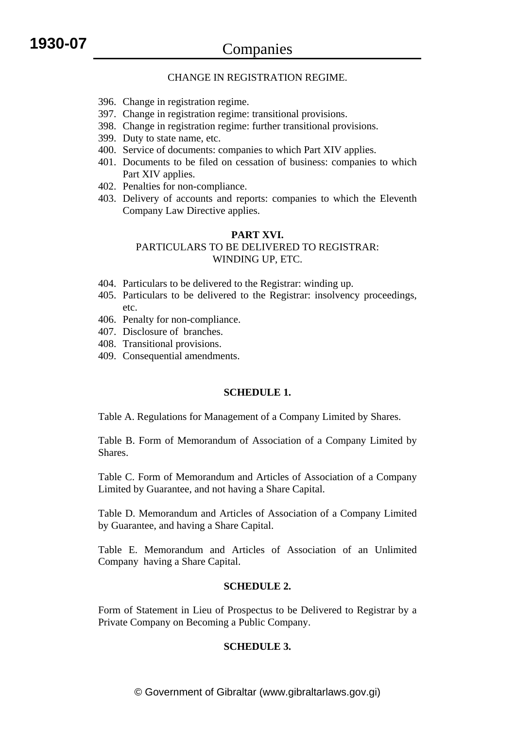#### CHANGE IN REGISTRATION REGIME.

- 396. Change in registration regime.
- 397. Change in registration regime: transitional provisions.
- 398. Change in registration regime: further transitional provisions.
- 399. Duty to state name, etc.
- 400. Service of documents: companies to which Part XIV applies.
- 401. Documents to be filed on cessation of business: companies to which Part XIV applies.
- 402. Penalties for non-compliance.
- 403. Delivery of accounts and reports: companies to which the Eleventh Company Law Directive applies.

#### **PART XVI.**

#### PARTICULARS TO BE DELIVERED TO REGISTRAR: WINDING UP, ETC.

- 404. Particulars to be delivered to the Registrar: winding up.
- 405. Particulars to be delivered to the Registrar: insolvency proceedings, etc.
- 406. Penalty for non-compliance.
- 407. Disclosure of branches.
- 408. Transitional provisions.
- 409. Consequential amendments.

#### **SCHEDULE 1.**

Table A. Regulations for Management of a Company Limited by Shares.

Table B. Form of Memorandum of Association of a Company Limited by **Shares**.

Table C. Form of Memorandum and Articles of Association of a Company Limited by Guarantee, and not having a Share Capital.

Table D. Memorandum and Articles of Association of a Company Limited by Guarantee, and having a Share Capital.

Table E. Memorandum and Articles of Association of an Unlimited Company having a Share Capital.

#### **SCHEDULE 2.**

Form of Statement in Lieu of Prospectus to be Delivered to Registrar by a Private Company on Becoming a Public Company.

#### **SCHEDULE 3.**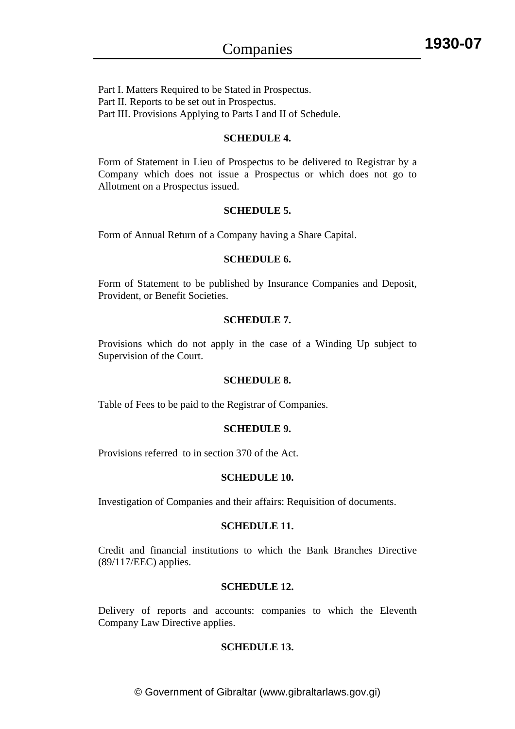Part I. Matters Required to be Stated in Prospectus. Part II. Reports to be set out in Prospectus. Part III. Provisions Applying to Parts I and II of Schedule.

#### **SCHEDULE 4.**

Form of Statement in Lieu of Prospectus to be delivered to Registrar by a Company which does not issue a Prospectus or which does not go to Allotment on a Prospectus issued.

#### **SCHEDULE 5.**

Form of Annual Return of a Company having a Share Capital.

#### **SCHEDULE 6.**

Form of Statement to be published by Insurance Companies and Deposit, Provident, or Benefit Societies.

#### **SCHEDULE 7.**

Provisions which do not apply in the case of a Winding Up subject to Supervision of the Court.

#### **SCHEDULE 8.**

Table of Fees to be paid to the Registrar of Companies.

#### **SCHEDULE 9.**

Provisions referred to in section 370 of the Act.

#### **SCHEDULE 10.**

Investigation of Companies and their affairs: Requisition of documents.

#### **SCHEDULE 11.**

Credit and financial institutions to which the Bank Branches Directive (89/117/EEC) applies.

#### **SCHEDULE 12.**

Delivery of reports and accounts: companies to which the Eleventh Company Law Directive applies.

#### **SCHEDULE 13.**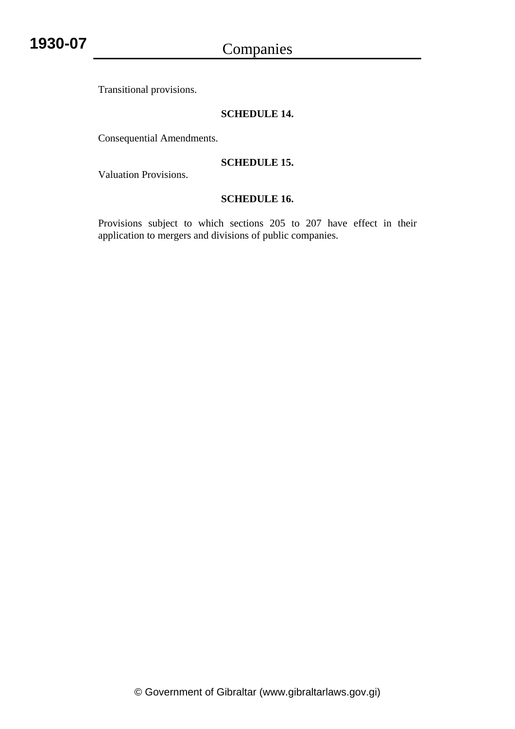Transitional provisions.

#### **SCHEDULE 14.**

Consequential Amendments.

#### **SCHEDULE 15.**

Valuation Provisions.

### **SCHEDULE 16.**

Provisions subject to which sections 205 to 207 have effect in their application to mergers and divisions of public companies.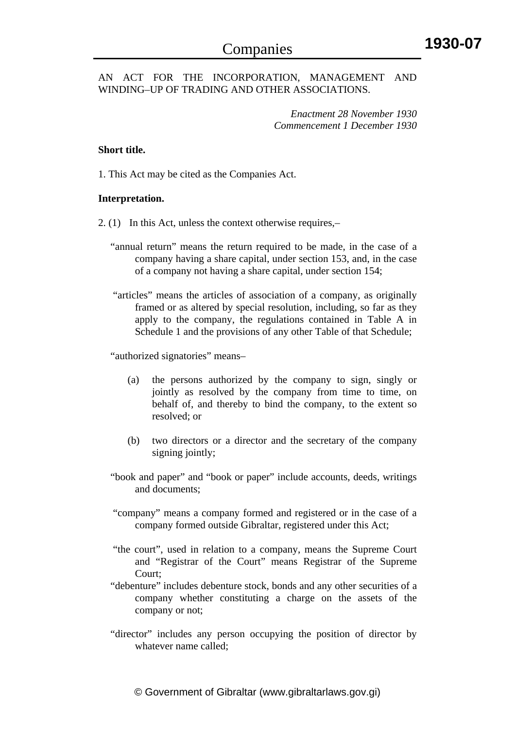#### AN ACT FOR THE INCORPORATION, MANAGEMENT AND WINDING–UP OF TRADING AND OTHER ASSOCIATIONS.

*Enactment 28 November 1930 Commencement 1 December 1930* 

#### **Short title.**

1. This Act may be cited as the Companies Act.

#### **Interpretation.**

- 2. (1) In this Act, unless the context otherwise requires,–
	- "annual return" means the return required to be made, in the case of a company having a share capital, under section 153, and, in the case of a company not having a share capital, under section 154;
	- "articles" means the articles of association of a company, as originally framed or as altered by special resolution, including, so far as they apply to the company, the regulations contained in Table A in Schedule 1 and the provisions of any other Table of that Schedule;

"authorized signatories" means–

- (a) the persons authorized by the company to sign, singly or jointly as resolved by the company from time to time, on behalf of, and thereby to bind the company, to the extent so resolved; or
- (b) two directors or a director and the secretary of the company signing jointly;
- "book and paper" and "book or paper" include accounts, deeds, writings and documents;
- "company" means a company formed and registered or in the case of a company formed outside Gibraltar, registered under this Act;
- "the court", used in relation to a company, means the Supreme Court and "Registrar of the Court" means Registrar of the Supreme Court;
- "debenture" includes debenture stock, bonds and any other securities of a company whether constituting a charge on the assets of the company or not;
- "director" includes any person occupying the position of director by whatever name called;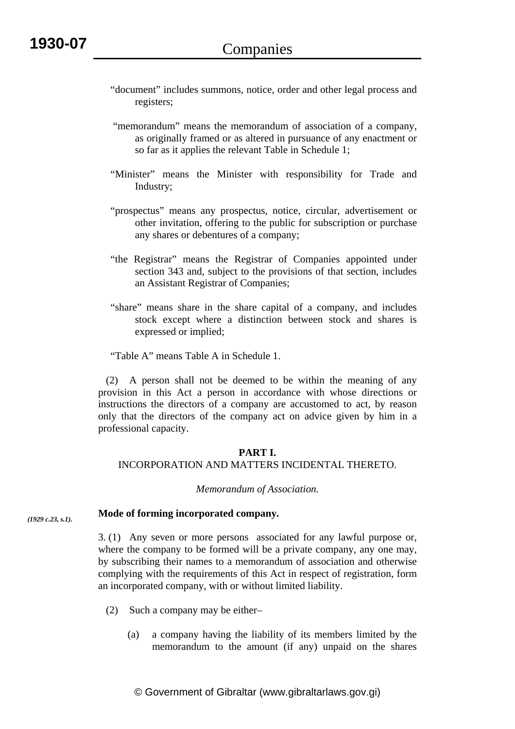- "document" includes summons, notice, order and other legal process and registers;
- "memorandum" means the memorandum of association of a company, as originally framed or as altered in pursuance of any enactment or so far as it applies the relevant Table in Schedule 1;
- "Minister" means the Minister with responsibility for Trade and Industry;
- "prospectus" means any prospectus, notice, circular, advertisement or other invitation, offering to the public for subscription or purchase any shares or debentures of a company;
- "the Registrar" means the Registrar of Companies appointed under section 343 and, subject to the provisions of that section, includes an Assistant Registrar of Companies;
- "share" means share in the share capital of a company, and includes stock except where a distinction between stock and shares is expressed or implied;

"Table A" means Table A in Schedule 1.

 (2) A person shall not be deemed to be within the meaning of any provision in this Act a person in accordance with whose directions or instructions the directors of a company are accustomed to act, by reason only that the directors of the company act on advice given by him in a professional capacity.

#### **PART I.**  INCORPORATION AND MATTERS INCIDENTAL THERETO.

#### *Memorandum of Association.*

#### **Mode of forming incorporated company.**  *(1929 c.23, s.1).*

3. (1) Any seven or more persons associated for any lawful purpose or, where the company to be formed will be a private company, any one may, by subscribing their names to a memorandum of association and otherwise complying with the requirements of this Act in respect of registration, form an incorporated company, with or without limited liability.

- (2) Such a company may be either–
	- (a) a company having the liability of its members limited by the memorandum to the amount (if any) unpaid on the shares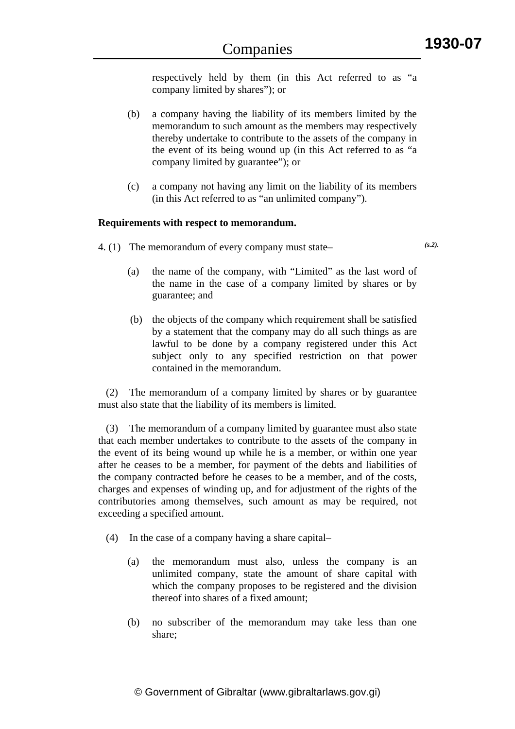respectively held by them (in this Act referred to as "a company limited by shares"); or

- (b) a company having the liability of its members limited by the memorandum to such amount as the members may respectively thereby undertake to contribute to the assets of the company in the event of its being wound up (in this Act referred to as "a company limited by guarantee"); or
- (c) a company not having any limit on the liability of its members (in this Act referred to as "an unlimited company").

#### **Requirements with respect to memorandum.**

4. (1) The memorandum of every company must state–

*(s.2).*

- (a) the name of the company, with "Limited" as the last word of the name in the case of a company limited by shares or by guarantee; and
- (b) the objects of the company which requirement shall be satisfied by a statement that the company may do all such things as are lawful to be done by a company registered under this Act subject only to any specified restriction on that power contained in the memorandum.

 (2) The memorandum of a company limited by shares or by guarantee must also state that the liability of its members is limited.

 (3) The memorandum of a company limited by guarantee must also state that each member undertakes to contribute to the assets of the company in the event of its being wound up while he is a member, or within one year after he ceases to be a member, for payment of the debts and liabilities of the company contracted before he ceases to be a member, and of the costs, charges and expenses of winding up, and for adjustment of the rights of the contributories among themselves, such amount as may be required, not exceeding a specified amount.

- (4) In the case of a company having a share capital–
	- (a) the memorandum must also, unless the company is an unlimited company, state the amount of share capital with which the company proposes to be registered and the division thereof into shares of a fixed amount;
	- (b) no subscriber of the memorandum may take less than one share;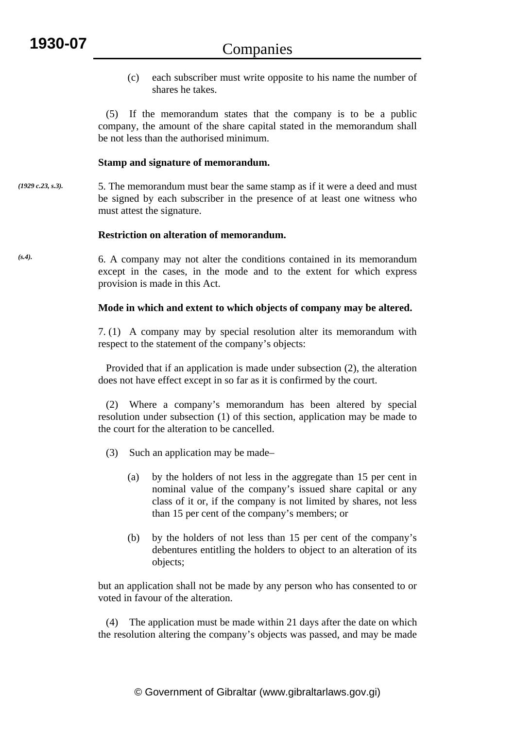*(s.4).*

(c) each subscriber must write opposite to his name the number of shares he takes.

 (5) If the memorandum states that the company is to be a public company, the amount of the share capital stated in the memorandum shall be not less than the authorised minimum.

#### **Stamp and signature of memorandum.**

5. The memorandum must bear the same stamp as if it were a deed and must be signed by each subscriber in the presence of at least one witness who must attest the signature. *(1929 c.23, s.3).*

#### **Restriction on alteration of memorandum.**

6. A company may not alter the conditions contained in its memorandum except in the cases, in the mode and to the extent for which express provision is made in this Act.

#### **Mode in which and extent to which objects of company may be altered.**

7. (1) A company may by special resolution alter its memorandum with respect to the statement of the company's objects:

 Provided that if an application is made under subsection (2), the alteration does not have effect except in so far as it is confirmed by the court.

 (2) Where a company's memorandum has been altered by special resolution under subsection (1) of this section, application may be made to the court for the alteration to be cancelled.

- (3) Such an application may be made–
	- (a) by the holders of not less in the aggregate than 15 per cent in nominal value of the company's issued share capital or any class of it or, if the company is not limited by shares, not less than 15 per cent of the company's members; or
	- (b) by the holders of not less than 15 per cent of the company's debentures entitling the holders to object to an alteration of its objects;

but an application shall not be made by any person who has consented to or voted in favour of the alteration.

 (4) The application must be made within 21 days after the date on which the resolution altering the company's objects was passed, and may be made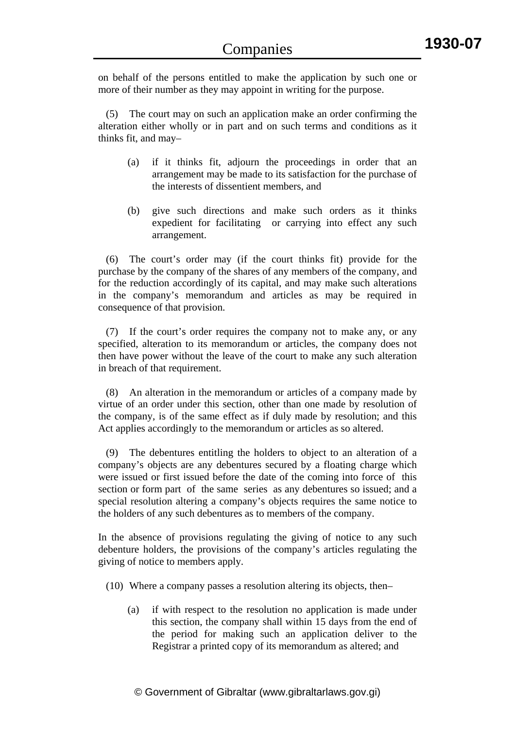on behalf of the persons entitled to make the application by such one or more of their number as they may appoint in writing for the purpose.

The court may on such an application make an order confirming the alteration either wholly or in part and on such terms and conditions as it thinks fit, and may–

- (a) if it thinks fit, adjourn the proceedings in order that an arrangement may be made to its satisfaction for the purchase of the interests of dissentient members, and
- (b) give such directions and make such orders as it thinks expedient for facilitating or carrying into effect any such arrangement.

 (6) The court's order may (if the court thinks fit) provide for the purchase by the company of the shares of any members of the company, and for the reduction accordingly of its capital, and may make such alterations in the company's memorandum and articles as may be required in consequence of that provision.

 (7) If the court's order requires the company not to make any, or any specified, alteration to its memorandum or articles, the company does not then have power without the leave of the court to make any such alteration in breach of that requirement.

 (8) An alteration in the memorandum or articles of a company made by virtue of an order under this section, other than one made by resolution of the company, is of the same effect as if duly made by resolution; and this Act applies accordingly to the memorandum or articles as so altered.

 (9) The debentures entitling the holders to object to an alteration of a company's objects are any debentures secured by a floating charge which were issued or first issued before the date of the coming into force of this section or form part of the same series as any debentures so issued; and a special resolution altering a company's objects requires the same notice to the holders of any such debentures as to members of the company.

In the absence of provisions regulating the giving of notice to any such debenture holders, the provisions of the company's articles regulating the giving of notice to members apply.

(10) Where a company passes a resolution altering its objects, then–

(a) if with respect to the resolution no application is made under this section, the company shall within 15 days from the end of the period for making such an application deliver to the Registrar a printed copy of its memorandum as altered; and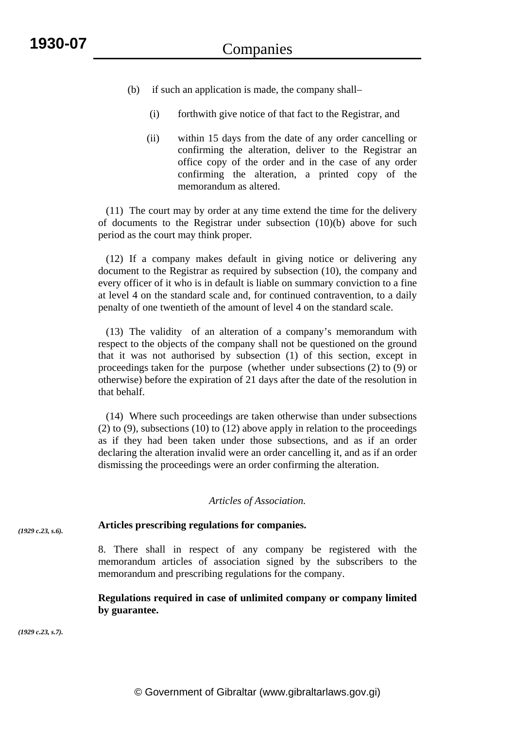- (b) if such an application is made, the company shall–
	- (i) forthwith give notice of that fact to the Registrar, and
	- (ii) within 15 days from the date of any order cancelling or confirming the alteration, deliver to the Registrar an office copy of the order and in the case of any order confirming the alteration, a printed copy of the memorandum as altered.

 (11) The court may by order at any time extend the time for the delivery of documents to the Registrar under subsection (10)(b) above for such period as the court may think proper.

 (12) If a company makes default in giving notice or delivering any document to the Registrar as required by subsection (10), the company and every officer of it who is in default is liable on summary conviction to a fine at level 4 on the standard scale and, for continued contravention, to a daily penalty of one twentieth of the amount of level 4 on the standard scale.

 (13) The validity of an alteration of a company's memorandum with respect to the objects of the company shall not be questioned on the ground that it was not authorised by subsection (1) of this section, except in proceedings taken for the purpose (whether under subsections (2) to (9) or otherwise) before the expiration of 21 days after the date of the resolution in that behalf.

 (14) Where such proceedings are taken otherwise than under subsections (2) to (9), subsections (10) to (12) above apply in relation to the proceedings as if they had been taken under those subsections, and as if an order declaring the alteration invalid were an order cancelling it, and as if an order dismissing the proceedings were an order confirming the alteration.

#### *Articles of Association.*

#### **Articles prescribing regulations for companies.**  *(1929 c.23, s.6).*

8. There shall in respect of any company be registered with the memorandum articles of association signed by the subscribers to the memorandum and prescribing regulations for the company.

#### **Regulations required in case of unlimited company or company limited by guarantee.**

*(1929 c.23, s.7).*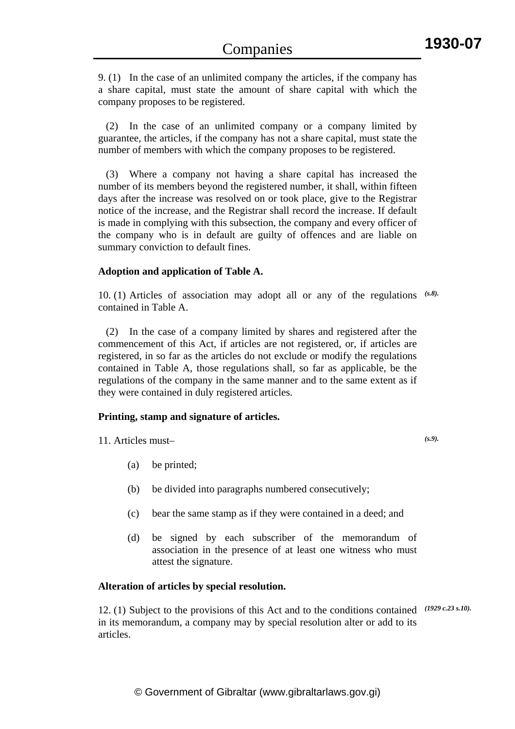*(s.9).*

9. (1) In the case of an unlimited company the articles, if the company has a share capital, must state the amount of share capital with which the company proposes to be registered.

 (2) In the case of an unlimited company or a company limited by guarantee, the articles, if the company has not a share capital, must state the number of members with which the company proposes to be registered.

 (3) Where a company not having a share capital has increased the number of its members beyond the registered number, it shall, within fifteen days after the increase was resolved on or took place, give to the Registrar notice of the increase, and the Registrar shall record the increase. If default is made in complying with this subsection, the company and every officer of the company who is in default are guilty of offences and are liable on summary conviction to default fines.

#### **Adoption and application of Table A.**

10. (1) Articles of association may adopt all or any of the regulations *(s.8).* contained in Table A.

 (2) In the case of a company limited by shares and registered after the commencement of this Act, if articles are not registered, or, if articles are registered, in so far as the articles do not exclude or modify the regulations contained in Table A, those regulations shall, so far as applicable, be the regulations of the company in the same manner and to the same extent as if they were contained in duly registered articles.

### **Printing, stamp and signature of articles.**

11. Articles must–

- (a) be printed;
- (b) be divided into paragraphs numbered consecutively;
- (c) bear the same stamp as if they were contained in a deed; and
- (d) be signed by each subscriber of the memorandum of association in the presence of at least one witness who must attest the signature.

#### **Alteration of articles by special resolution.**

12. (1) Subject to the provisions of this Act and to the conditions contained *(1929 c.23 s.10).*in its memorandum, a company may by special resolution alter or add to its articles.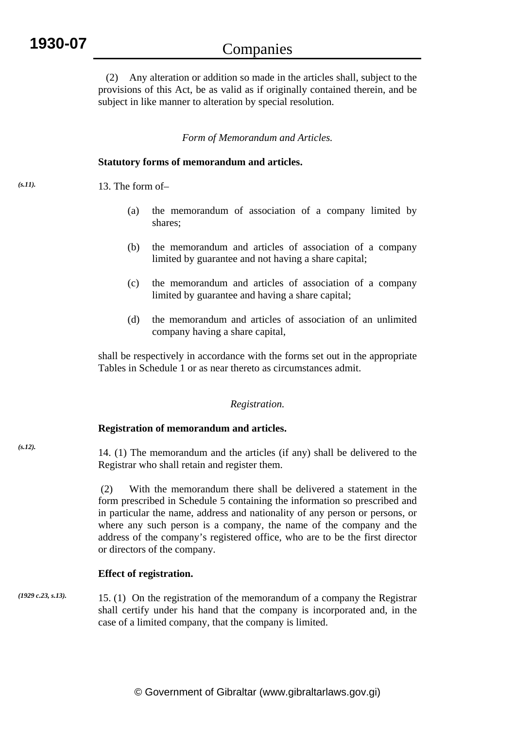*(s.11).*

 (2) Any alteration or addition so made in the articles shall, subject to the provisions of this Act, be as valid as if originally contained therein, and be subject in like manner to alteration by special resolution.

*Form of Memorandum and Articles.* 

#### **Statutory forms of memorandum and articles.**

13. The form of–

- (a) the memorandum of association of a company limited by shares;
- (b) the memorandum and articles of association of a company limited by guarantee and not having a share capital;
- (c) the memorandum and articles of association of a company limited by guarantee and having a share capital;
- (d) the memorandum and articles of association of an unlimited company having a share capital,

shall be respectively in accordance with the forms set out in the appropriate Tables in Schedule 1 or as near thereto as circumstances admit.

#### *Registration.*

#### **Registration of memorandum and articles.**

14. (1) The memorandum and the articles (if any) shall be delivered to the Registrar who shall retain and register them.

 (2) With the memorandum there shall be delivered a statement in the form prescribed in Schedule 5 containing the information so prescribed and in particular the name, address and nationality of any person or persons, or where any such person is a company, the name of the company and the address of the company's registered office, who are to be the first director or directors of the company.

#### **Effect of registration.**

*(1929 c.23, s.13).*

15. (1) On the registration of the memorandum of a company the Registrar shall certify under his hand that the company is incorporated and, in the case of a limited company, that the company is limited.

*(s.12).*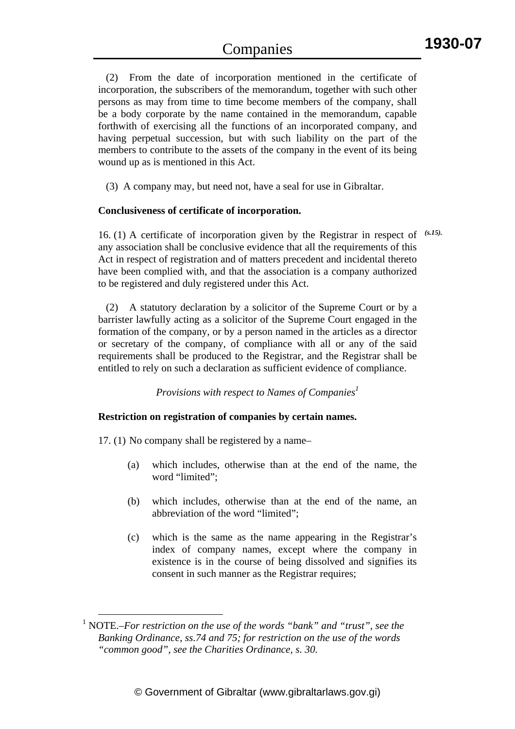(2) From the date of incorporation mentioned in the certificate of incorporation, the subscribers of the memorandum, together with such other persons as may from time to time become members of the company, shall be a body corporate by the name contained in the memorandum, capable forthwith of exercising all the functions of an incorporated company, and having perpetual succession, but with such liability on the part of the members to contribute to the assets of the company in the event of its being wound up as is mentioned in this Act.

(3) A company may, but need not, have a seal for use in Gibraltar.

#### **Conclusiveness of certificate of incorporation.**

16. (1) A certificate of incorporation given by the Registrar in respect of *(s.15).*any association shall be conclusive evidence that all the requirements of this Act in respect of registration and of matters precedent and incidental thereto have been complied with, and that the association is a company authorized to be registered and duly registered under this Act.

 (2) A statutory declaration by a solicitor of the Supreme Court or by a barrister lawfully acting as a solicitor of the Supreme Court engaged in the formation of the company, or by a person named in the articles as a director or secretary of the company, of compliance with all or any of the said requirements shall be produced to the Registrar, and the Registrar shall be entitled to rely on such a declaration as sufficient evidence of compliance.

*Provisions with respect to Names of Companies<sup>1</sup>* 

#### **Restriction on registration of companies by certain names.**

17. (1) No company shall be registered by a name–

- (a) which includes, otherwise than at the end of the name, the word "limited";
- (b) which includes, otherwise than at the end of the name, an abbreviation of the word "limited";
- (c) which is the same as the name appearing in the Registrar's index of company names, except where the company in existence is in the course of being dissolved and signifies its consent in such manner as the Registrar requires;

 <sup>1</sup> NOTE.–*For restriction on the use of the words "bank" and "trust", see the Banking Ordinance, ss.74 and 75; for restriction on the use of the words "common good", see the Charities Ordinance, s. 30.*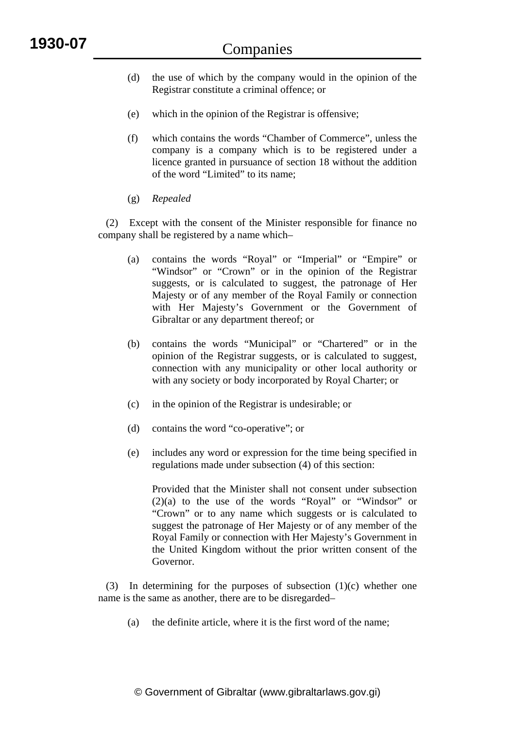- (d) the use of which by the company would in the opinion of the Registrar constitute a criminal offence; or
- (e) which in the opinion of the Registrar is offensive;
- (f) which contains the words "Chamber of Commerce", unless the company is a company which is to be registered under a licence granted in pursuance of section 18 without the addition of the word "Limited" to its name;
- (g) *Repealed*

 (2) Except with the consent of the Minister responsible for finance no company shall be registered by a name which–

- (a) contains the words "Royal" or "Imperial" or "Empire" or "Windsor" or "Crown" or in the opinion of the Registrar suggests, or is calculated to suggest, the patronage of Her Majesty or of any member of the Royal Family or connection with Her Majesty's Government or the Government of Gibraltar or any department thereof; or
- (b) contains the words "Municipal" or "Chartered" or in the opinion of the Registrar suggests, or is calculated to suggest, connection with any municipality or other local authority or with any society or body incorporated by Royal Charter; or
- (c) in the opinion of the Registrar is undesirable; or
- (d) contains the word "co-operative"; or
- (e) includes any word or expression for the time being specified in regulations made under subsection (4) of this section:

 Provided that the Minister shall not consent under subsection (2)(a) to the use of the words "Royal" or "Windsor" or "Crown" or to any name which suggests or is calculated to suggest the patronage of Her Majesty or of any member of the Royal Family or connection with Her Majesty's Government in the United Kingdom without the prior written consent of the Governor.

(3) In determining for the purposes of subsection  $(1)(c)$  whether one name is the same as another, there are to be disregarded–

(a) the definite article, where it is the first word of the name;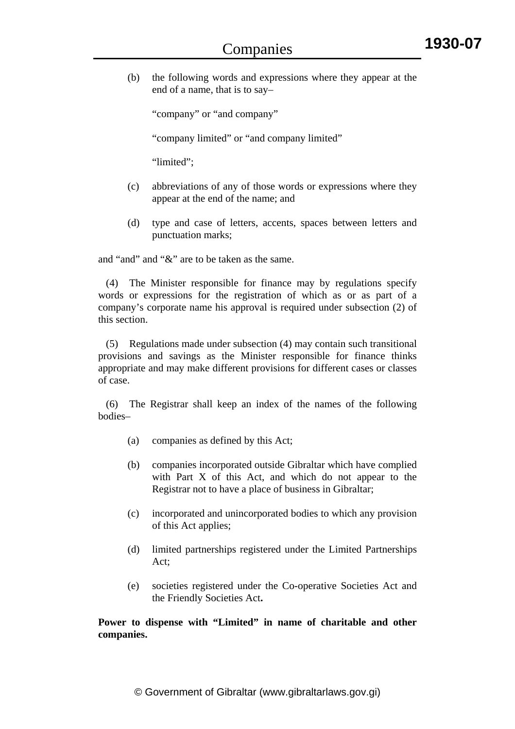(b) the following words and expressions where they appear at the end of a name, that is to say–

"company" or "and company"

"company limited" or "and company limited"

"limited":

- (c) abbreviations of any of those words or expressions where they appear at the end of the name; and
- (d) type and case of letters, accents, spaces between letters and punctuation marks;

and "and" and "&" are to be taken as the same.

 (4) The Minister responsible for finance may by regulations specify words or expressions for the registration of which as or as part of a company's corporate name his approval is required under subsection (2) of this section.

 (5) Regulations made under subsection (4) may contain such transitional provisions and savings as the Minister responsible for finance thinks appropriate and may make different provisions for different cases or classes of case.

 (6) The Registrar shall keep an index of the names of the following bodies–

- (a) companies as defined by this Act;
- (b) companies incorporated outside Gibraltar which have complied with Part X of this Act, and which do not appear to the Registrar not to have a place of business in Gibraltar;
- (c) incorporated and unincorporated bodies to which any provision of this Act applies;
- (d) limited partnerships registered under the Limited Partnerships Act;
- (e) societies registered under the Co-operative Societies Act and the Friendly Societies Act**.**

**Power to dispense with "Limited" in name of charitable and other companies.**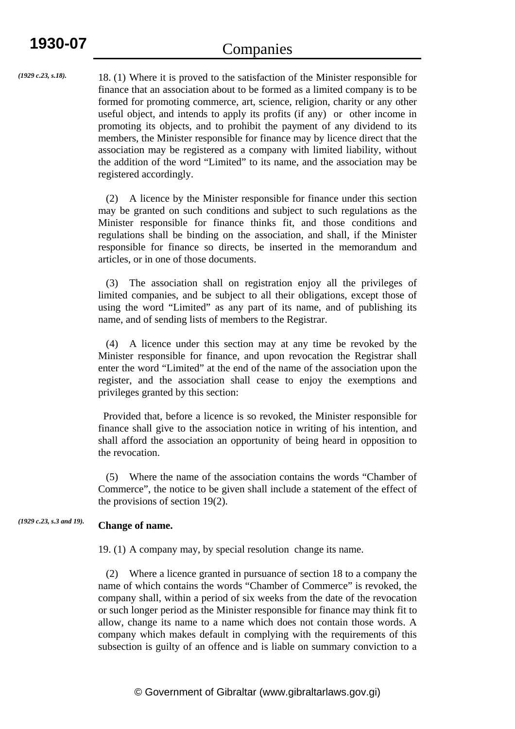*(1929 c.23, s.18).*

18. (1) Where it is proved to the satisfaction of the Minister responsible for finance that an association about to be formed as a limited company is to be formed for promoting commerce, art, science, religion, charity or any other useful object, and intends to apply its profits (if any) or other income in promoting its objects, and to prohibit the payment of any dividend to its members, the Minister responsible for finance may by licence direct that the association may be registered as a company with limited liability, without the addition of the word "Limited" to its name, and the association may be registered accordingly.

 (2) A licence by the Minister responsible for finance under this section may be granted on such conditions and subject to such regulations as the Minister responsible for finance thinks fit, and those conditions and regulations shall be binding on the association, and shall, if the Minister responsible for finance so directs, be inserted in the memorandum and articles, or in one of those documents.

 (3) The association shall on registration enjoy all the privileges of limited companies, and be subject to all their obligations, except those of using the word "Limited" as any part of its name, and of publishing its name, and of sending lists of members to the Registrar.

 (4) A licence under this section may at any time be revoked by the Minister responsible for finance, and upon revocation the Registrar shall enter the word "Limited" at the end of the name of the association upon the register, and the association shall cease to enjoy the exemptions and privileges granted by this section:

 Provided that, before a licence is so revoked, the Minister responsible for finance shall give to the association notice in writing of his intention, and shall afford the association an opportunity of being heard in opposition to the revocation.

 (5) Where the name of the association contains the words "Chamber of Commerce", the notice to be given shall include a statement of the effect of the provisions of section 19(2).

#### **Change of name.**  *(1929 c.23, s.3 and 19).*

19. (1) A company may, by special resolution change its name.

 (2) Where a licence granted in pursuance of section 18 to a company the name of which contains the words "Chamber of Commerce" is revoked, the company shall, within a period of six weeks from the date of the revocation or such longer period as the Minister responsible for finance may think fit to allow, change its name to a name which does not contain those words. A company which makes default in complying with the requirements of this subsection is guilty of an offence and is liable on summary conviction to a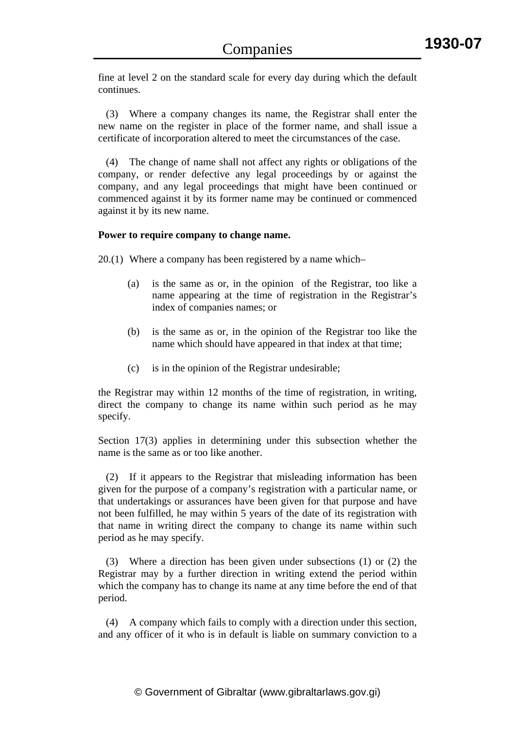fine at level 2 on the standard scale for every day during which the default continues.

 (3) Where a company changes its name, the Registrar shall enter the new name on the register in place of the former name, and shall issue a certificate of incorporation altered to meet the circumstances of the case.

 (4) The change of name shall not affect any rights or obligations of the company, or render defective any legal proceedings by or against the company, and any legal proceedings that might have been continued or commenced against it by its former name may be continued or commenced against it by its new name.

# **Power to require company to change name.**

20.(1) Where a company has been registered by a name which–

- (a) is the same as or, in the opinion of the Registrar, too like a name appearing at the time of registration in the Registrar's index of companies names; or
- (b) is the same as or, in the opinion of the Registrar too like the name which should have appeared in that index at that time;
- (c) is in the opinion of the Registrar undesirable;

the Registrar may within 12 months of the time of registration, in writing, direct the company to change its name within such period as he may specify.

Section 17(3) applies in determining under this subsection whether the name is the same as or too like another.

 (2) If it appears to the Registrar that misleading information has been given for the purpose of a company's registration with a particular name, or that undertakings or assurances have been given for that purpose and have not been fulfilled, he may within 5 years of the date of its registration with that name in writing direct the company to change its name within such period as he may specify.

 (3) Where a direction has been given under subsections (1) or (2) the Registrar may by a further direction in writing extend the period within which the company has to change its name at any time before the end of that period.

 (4) A company which fails to comply with a direction under this section, and any officer of it who is in default is liable on summary conviction to a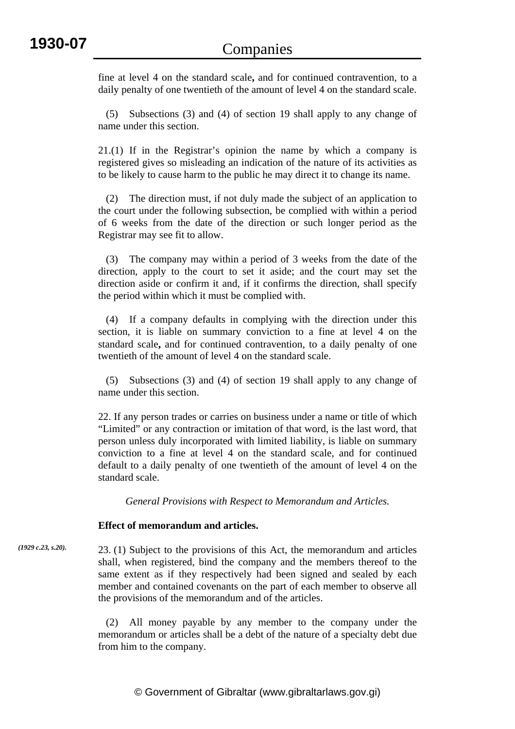fine at level 4 on the standard scale**,** and for continued contravention, to a daily penalty of one twentieth of the amount of level 4 on the standard scale.

 (5) Subsections (3) and (4) of section 19 shall apply to any change of name under this section.

21.(1) If in the Registrar's opinion the name by which a company is registered gives so misleading an indication of the nature of its activities as to be likely to cause harm to the public he may direct it to change its name.

 (2) The direction must, if not duly made the subject of an application to the court under the following subsection, be complied with within a period of 6 weeks from the date of the direction or such longer period as the Registrar may see fit to allow.

 (3) The company may within a period of 3 weeks from the date of the direction, apply to the court to set it aside; and the court may set the direction aside or confirm it and, if it confirms the direction, shall specify the period within which it must be complied with.

 (4) If a company defaults in complying with the direction under this section, it is liable on summary conviction to a fine at level 4 on the standard scale**,** and for continued contravention, to a daily penalty of one twentieth of the amount of level 4 on the standard scale.

 (5) Subsections (3) and (4) of section 19 shall apply to any change of name under this section.

22. If any person trades or carries on business under a name or title of which "Limited" or any contraction or imitation of that word, is the last word, that person unless duly incorporated with limited liability, is liable on summary conviction to a fine at level 4 on the standard scale, and for continued default to a daily penalty of one twentieth of the amount of level 4 on the standard scale.

*General Provisions with Respect to Memorandum and Articles.* 

# **Effect of memorandum and articles.**

23. (1) Subject to the provisions of this Act, the memorandum and articles shall, when registered, bind the company and the members thereof to the same extent as if they respectively had been signed and sealed by each member and contained covenants on the part of each member to observe all the provisions of the memorandum and of the articles. *(1929 c.23, s.20).*

> (2) All money payable by any member to the company under the memorandum or articles shall be a debt of the nature of a specialty debt due from him to the company.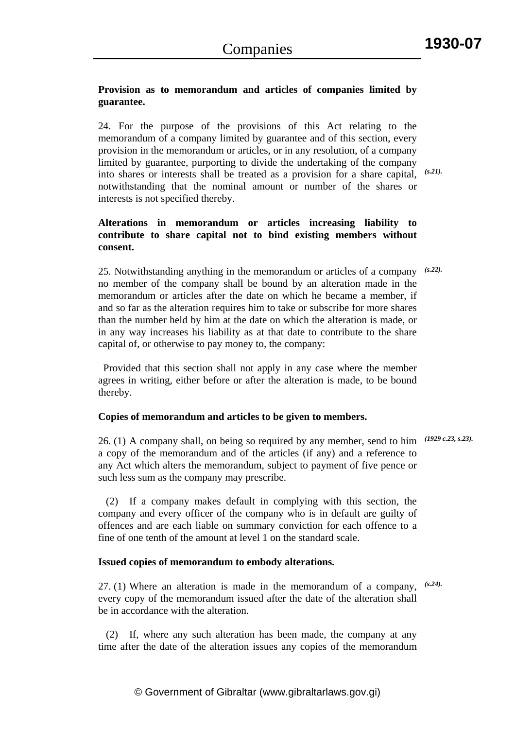# **Provision as to memorandum and articles of companies limited by guarantee.**

24. For the purpose of the provisions of this Act relating to the memorandum of a company limited by guarantee and of this section, every provision in the memorandum or articles, or in any resolution, of a company limited by guarantee, purporting to divide the undertaking of the company into shares or interests shall be treated as a provision for a share capital, notwithstanding that the nominal amount or number of the shares or interests is not specified thereby. *(s.21).*

# **Alterations in memorandum or articles increasing liability to contribute to share capital not to bind existing members without consent.**

25. Notwithstanding anything in the memorandum or articles of a company *(s.22).* no member of the company shall be bound by an alteration made in the memorandum or articles after the date on which he became a member, if and so far as the alteration requires him to take or subscribe for more shares than the number held by him at the date on which the alteration is made, or in any way increases his liability as at that date to contribute to the share capital of, or otherwise to pay money to, the company:

 Provided that this section shall not apply in any case where the member agrees in writing, either before or after the alteration is made, to be bound thereby.

# **Copies of memorandum and articles to be given to members.**

26. (1) A company shall, on being so required by any member, send to him *(1929 c.23, s.23).* a copy of the memorandum and of the articles (if any) and a reference to any Act which alters the memorandum, subject to payment of five pence or such less sum as the company may prescribe.

 (2) If a company makes default in complying with this section, the company and every officer of the company who is in default are guilty of offences and are each liable on summary conviction for each offence to a fine of one tenth of the amount at level 1 on the standard scale.

# **Issued copies of memorandum to embody alterations.**

27. (1) Where an alteration is made in the memorandum of a company, *(s.24).*every copy of the memorandum issued after the date of the alteration shall be in accordance with the alteration.

 (2) If, where any such alteration has been made, the company at any time after the date of the alteration issues any copies of the memorandum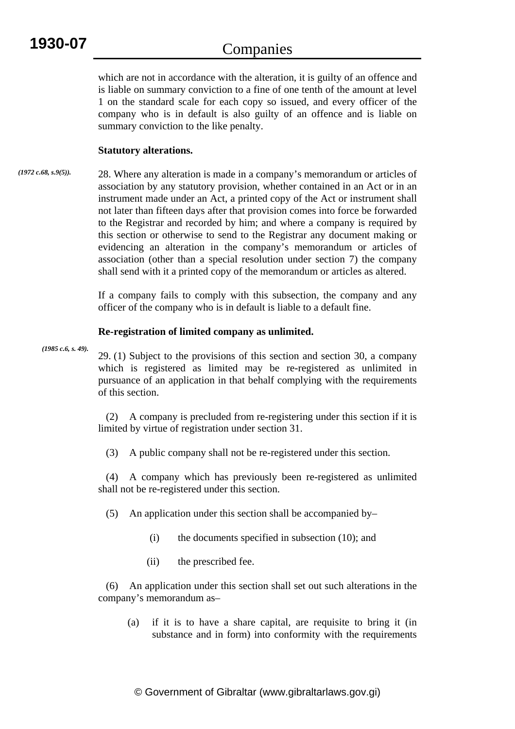which are not in accordance with the alteration, it is guilty of an offence and is liable on summary conviction to a fine of one tenth of the amount at level 1 on the standard scale for each copy so issued, and every officer of the company who is in default is also guilty of an offence and is liable on summary conviction to the like penalty.

### **Statutory alterations.**

28. Where any alteration is made in a company's memorandum or articles of association by any statutory provision, whether contained in an Act or in an instrument made under an Act, a printed copy of the Act or instrument shall not later than fifteen days after that provision comes into force be forwarded to the Registrar and recorded by him; and where a company is required by this section or otherwise to send to the Registrar any document making or evidencing an alteration in the company's memorandum or articles of association (other than a special resolution under section 7) the company shall send with it a printed copy of the memorandum or articles as altered. *(1972 c.68, s.9(5)).*

> If a company fails to comply with this subsection, the company and any officer of the company who is in default is liable to a default fine.

# **Re-registration of limited company as unlimited.**

*(1985 c.6, s. 49).* 

29. (1) Subject to the provisions of this section and section 30, a company which is registered as limited may be re-registered as unlimited in pursuance of an application in that behalf complying with the requirements of this section.

 (2) A company is precluded from re-registering under this section if it is limited by virtue of registration under section 31.

(3) A public company shall not be re-registered under this section.

 (4) A company which has previously been re-registered as unlimited shall not be re-registered under this section.

(5) An application under this section shall be accompanied by–

- (i) the documents specified in subsection (10); and
- (ii) the prescribed fee.

 (6) An application under this section shall set out such alterations in the company's memorandum as–

(a) if it is to have a share capital, are requisite to bring it (in substance and in form) into conformity with the requirements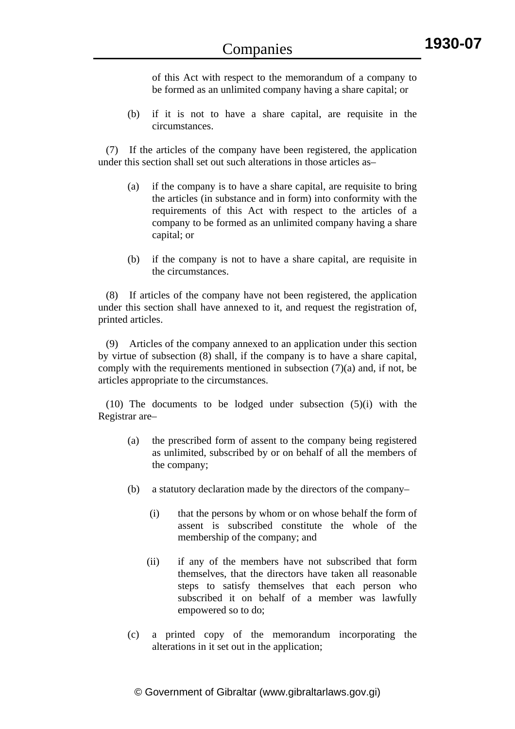of this Act with respect to the memorandum of a company to be formed as an unlimited company having a share capital; or

(b) if it is not to have a share capital, are requisite in the circumstances.

 (7) If the articles of the company have been registered, the application under this section shall set out such alterations in those articles as–

- (a) if the company is to have a share capital, are requisite to bring the articles (in substance and in form) into conformity with the requirements of this Act with respect to the articles of a company to be formed as an unlimited company having a share capital; or
- (b) if the company is not to have a share capital, are requisite in the circumstances.

 (8) If articles of the company have not been registered, the application under this section shall have annexed to it, and request the registration of, printed articles.

 (9) Articles of the company annexed to an application under this section by virtue of subsection (8) shall, if the company is to have a share capital, comply with the requirements mentioned in subsection  $(7)(a)$  and, if not, be articles appropriate to the circumstances.

 (10) The documents to be lodged under subsection (5)(i) with the Registrar are–

- (a) the prescribed form of assent to the company being registered as unlimited, subscribed by or on behalf of all the members of the company;
- (b) a statutory declaration made by the directors of the company–
	- (i) that the persons by whom or on whose behalf the form of assent is subscribed constitute the whole of the membership of the company; and
	- (ii) if any of the members have not subscribed that form themselves, that the directors have taken all reasonable steps to satisfy themselves that each person who subscribed it on behalf of a member was lawfully empowered so to do;
- (c) a printed copy of the memorandum incorporating the alterations in it set out in the application;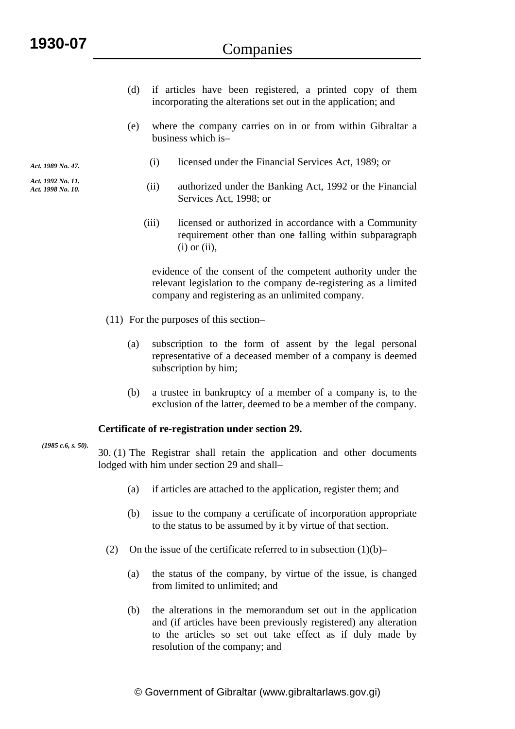*Act. 1989 No. 47. Act. 1992 No. 11. Act. 1998 No. 10.*

- (d) if articles have been registered, a printed copy of them incorporating the alterations set out in the application; and
- (e) where the company carries on in or from within Gibraltar a business which is–
	- (i) licensed under the Financial Services Act, 1989; or
	- (ii) authorized under the Banking Act, 1992 or the Financial Services Act, 1998; or
	- (iii) licensed or authorized in accordance with a Community requirement other than one falling within subparagraph  $(i)$  or  $(ii)$ ,

 evidence of the consent of the competent authority under the relevant legislation to the company de-registering as a limited company and registering as an unlimited company.

- (11) For the purposes of this section–
	- (a) subscription to the form of assent by the legal personal representative of a deceased member of a company is deemed subscription by him;
	- (b) a trustee in bankruptcy of a member of a company is, to the exclusion of the latter, deemed to be a member of the company.

#### **Certificate of re-registration under section 29.**

#### *(1985 c.6, s. 50).*

30. (1) The Registrar shall retain the application and other documents lodged with him under section 29 and shall–

- (a) if articles are attached to the application, register them; and
- (b) issue to the company a certificate of incorporation appropriate to the status to be assumed by it by virtue of that section.
- (2) On the issue of the certificate referred to in subsection  $(1)(b)$ 
	- (a) the status of the company, by virtue of the issue, is changed from limited to unlimited; and
	- (b) the alterations in the memorandum set out in the application and (if articles have been previously registered) any alteration to the articles so set out take effect as if duly made by resolution of the company; and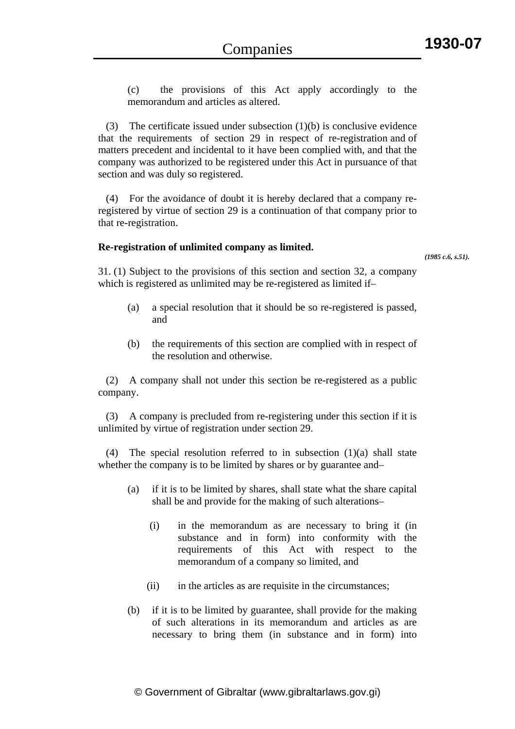(c) the provisions of this Act apply accordingly to the memorandum and articles as altered.

 (3) The certificate issued under subsection (1)(b) is conclusive evidence that the requirements of section 29 in respect of re-registration and of matters precedent and incidental to it have been complied with, and that the company was authorized to be registered under this Act in pursuance of that section and was duly so registered.

 (4) For the avoidance of doubt it is hereby declared that a company reregistered by virtue of section 29 is a continuation of that company prior to that re-registration.

# **Re-registration of unlimited company as limited.**

*(1985 c.6, s.51).*

31. (1) Subject to the provisions of this section and section 32, a company which is registered as unlimited may be re-registered as limited if–

- (a) a special resolution that it should be so re-registered is passed, and
- (b) the requirements of this section are complied with in respect of the resolution and otherwise.

 (2) A company shall not under this section be re-registered as a public company.

 (3) A company is precluded from re-registering under this section if it is unlimited by virtue of registration under section 29.

 (4) The special resolution referred to in subsection (1)(a) shall state whether the company is to be limited by shares or by guarantee and–

- (a) if it is to be limited by shares, shall state what the share capital shall be and provide for the making of such alterations–
	- (i) in the memorandum as are necessary to bring it (in substance and in form) into conformity with the requirements of this Act with respect to the memorandum of a company so limited, and
	- (ii) in the articles as are requisite in the circumstances;
- (b) if it is to be limited by guarantee, shall provide for the making of such alterations in its memorandum and articles as are necessary to bring them (in substance and in form) into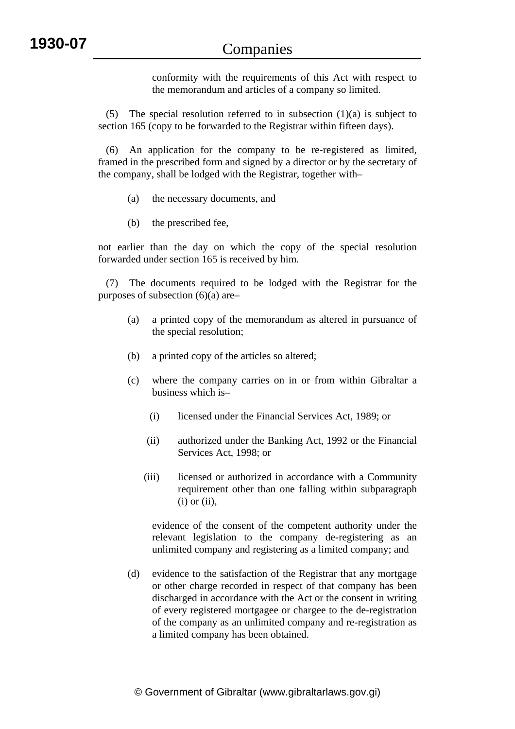conformity with the requirements of this Act with respect to the memorandum and articles of a company so limited.

(5) The special resolution referred to in subsection  $(1)(a)$  is subject to section 165 (copy to be forwarded to the Registrar within fifteen days).

 (6) An application for the company to be re-registered as limited, framed in the prescribed form and signed by a director or by the secretary of the company, shall be lodged with the Registrar, together with–

- (a) the necessary documents, and
- (b) the prescribed fee,

not earlier than the day on which the copy of the special resolution forwarded under section 165 is received by him.

 (7) The documents required to be lodged with the Registrar for the purposes of subsection (6)(a) are–

- (a) a printed copy of the memorandum as altered in pursuance of the special resolution;
- (b) a printed copy of the articles so altered;
- (c) where the company carries on in or from within Gibraltar a business which is–
	- (i) licensed under the Financial Services Act, 1989; or
	- (ii) authorized under the Banking Act, 1992 or the Financial Services Act, 1998; or
	- (iii) licensed or authorized in accordance with a Community requirement other than one falling within subparagraph  $(i)$  or  $(ii)$ ,

 evidence of the consent of the competent authority under the relevant legislation to the company de-registering as an unlimited company and registering as a limited company; and

(d) evidence to the satisfaction of the Registrar that any mortgage or other charge recorded in respect of that company has been discharged in accordance with the Act or the consent in writing of every registered mortgagee or chargee to the de-registration of the company as an unlimited company and re-registration as a limited company has been obtained.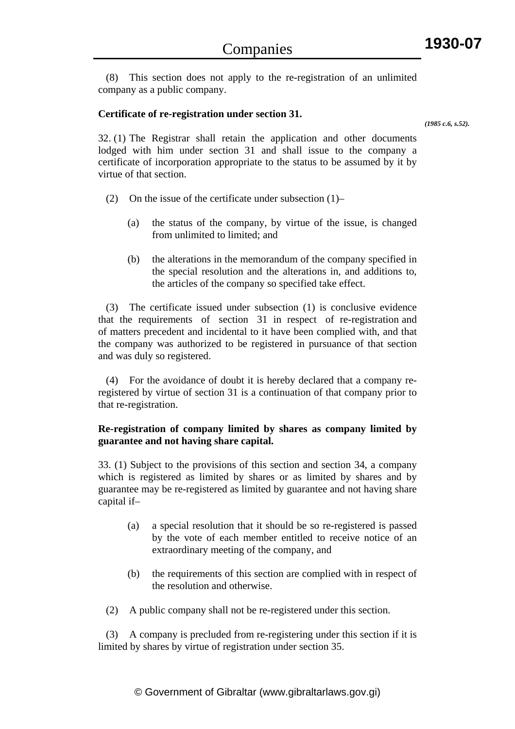(8) This section does not apply to the re-registration of an unlimited company as a public company.

# **Certificate of re-registration under section 31.**

*(1985 c.6, s.52).*

32. (1) The Registrar shall retain the application and other documents lodged with him under section 31 and shall issue to the company a certificate of incorporation appropriate to the status to be assumed by it by virtue of that section.

- (2) On the issue of the certificate under subsection (1)–
	- (a) the status of the company, by virtue of the issue, is changed from unlimited to limited; and
	- (b) the alterations in the memorandum of the company specified in the special resolution and the alterations in, and additions to, the articles of the company so specified take effect.

 (3) The certificate issued under subsection (1) is conclusive evidence that the requirements of section 31 in respect of re-registration and of matters precedent and incidental to it have been complied with, and that the company was authorized to be registered in pursuance of that section and was duly so registered.

 (4) For the avoidance of doubt it is hereby declared that a company reregistered by virtue of section 31 is a continuation of that company prior to that re-registration.

# **Re-registration of company limited by shares as company limited by guarantee and not having share capital.**

33. (1) Subject to the provisions of this section and section 34, a company which is registered as limited by shares or as limited by shares and by guarantee may be re-registered as limited by guarantee and not having share capital if–

- (a) a special resolution that it should be so re-registered is passed by the vote of each member entitled to receive notice of an extraordinary meeting of the company, and
- (b) the requirements of this section are complied with in respect of the resolution and otherwise.
- (2) A public company shall not be re-registered under this section.

 (3) A company is precluded from re-registering under this section if it is limited by shares by virtue of registration under section 35.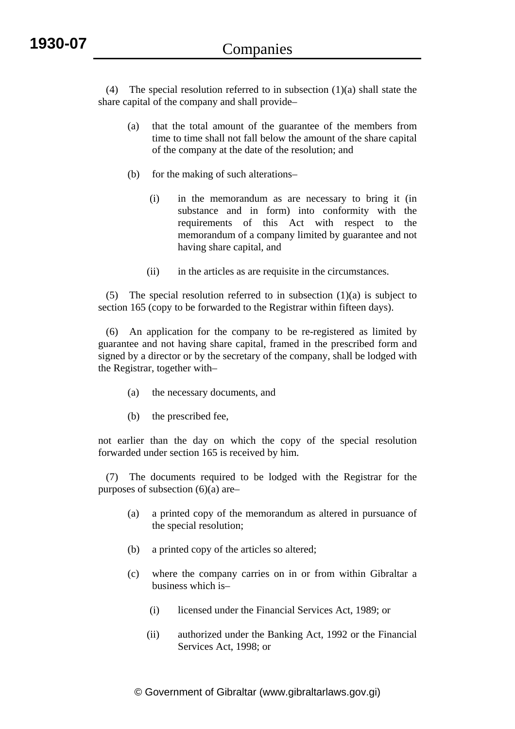(4) The special resolution referred to in subsection (1)(a) shall state the share capital of the company and shall provide–

- (a) that the total amount of the guarantee of the members from time to time shall not fall below the amount of the share capital of the company at the date of the resolution; and
- (b) for the making of such alterations–
	- (i) in the memorandum as are necessary to bring it (in substance and in form) into conformity with the requirements of this Act with respect to the memorandum of a company limited by guarantee and not having share capital, and
	- (ii) in the articles as are requisite in the circumstances.

(5) The special resolution referred to in subsection  $(1)(a)$  is subject to section 165 (copy to be forwarded to the Registrar within fifteen days).

 (6) An application for the company to be re-registered as limited by guarantee and not having share capital, framed in the prescribed form and signed by a director or by the secretary of the company, shall be lodged with the Registrar, together with–

- (a) the necessary documents, and
- (b) the prescribed fee,

not earlier than the day on which the copy of the special resolution forwarded under section 165 is received by him.

 (7) The documents required to be lodged with the Registrar for the purposes of subsection (6)(a) are–

- (a) a printed copy of the memorandum as altered in pursuance of the special resolution;
- (b) a printed copy of the articles so altered;
- (c) where the company carries on in or from within Gibraltar a business which is–
	- (i) licensed under the Financial Services Act, 1989; or
	- (ii) authorized under the Banking Act, 1992 or the Financial Services Act, 1998; or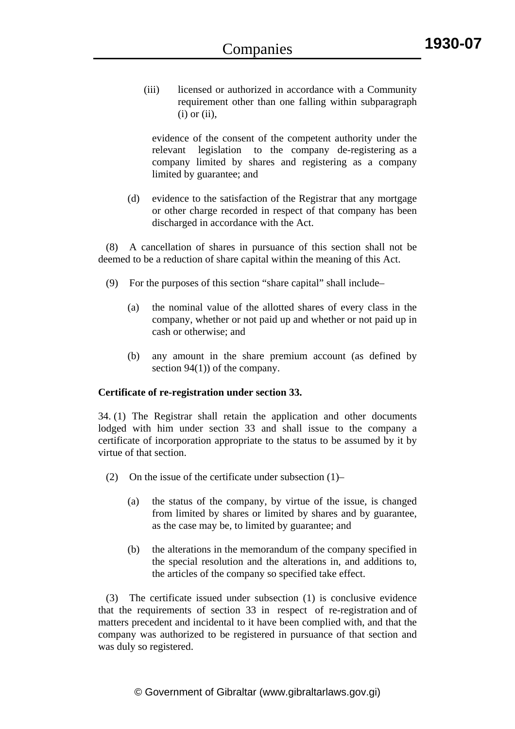(iii) licensed or authorized in accordance with a Community requirement other than one falling within subparagraph  $(i)$  or  $(ii)$ ,

 evidence of the consent of the competent authority under the relevant legislation to the company de-registering as a company limited by shares and registering as a company limited by guarantee; and

(d) evidence to the satisfaction of the Registrar that any mortgage or other charge recorded in respect of that company has been discharged in accordance with the Act.

 (8) A cancellation of shares in pursuance of this section shall not be deemed to be a reduction of share capital within the meaning of this Act.

- (9) For the purposes of this section "share capital" shall include–
	- (a) the nominal value of the allotted shares of every class in the company, whether or not paid up and whether or not paid up in cash or otherwise; and
	- (b) any amount in the share premium account (as defined by section 94(1)) of the company.

# **Certificate of re-registration under section 33.**

34. (1) The Registrar shall retain the application and other documents lodged with him under section 33 and shall issue to the company a certificate of incorporation appropriate to the status to be assumed by it by virtue of that section.

- (2) On the issue of the certificate under subsection (1)–
	- (a) the status of the company, by virtue of the issue, is changed from limited by shares or limited by shares and by guarantee, as the case may be, to limited by guarantee; and
	- (b) the alterations in the memorandum of the company specified in the special resolution and the alterations in, and additions to, the articles of the company so specified take effect.

 (3) The certificate issued under subsection (1) is conclusive evidence that the requirements of section 33 in respect of re-registration and of matters precedent and incidental to it have been complied with, and that the company was authorized to be registered in pursuance of that section and was duly so registered.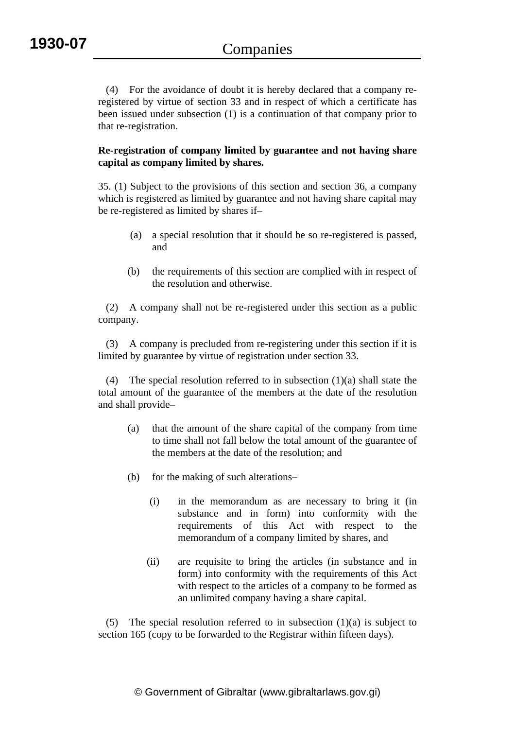(4) For the avoidance of doubt it is hereby declared that a company reregistered by virtue of section 33 and in respect of which a certificate has been issued under subsection (1) is a continuation of that company prior to that re-registration.

# **Re-registration of company limited by guarantee and not having share capital as company limited by shares.**

35. (1) Subject to the provisions of this section and section 36, a company which is registered as limited by guarantee and not having share capital may be re-registered as limited by shares if–

- (a) a special resolution that it should be so re-registered is passed, and
- (b) the requirements of this section are complied with in respect of the resolution and otherwise.

 (2) A company shall not be re-registered under this section as a public company.

 (3) A company is precluded from re-registering under this section if it is limited by guarantee by virtue of registration under section 33.

 (4) The special resolution referred to in subsection (1)(a) shall state the total amount of the guarantee of the members at the date of the resolution and shall provide–

- (a) that the amount of the share capital of the company from time to time shall not fall below the total amount of the guarantee of the members at the date of the resolution; and
- (b) for the making of such alterations–
	- (i) in the memorandum as are necessary to bring it (in substance and in form) into conformity with the requirements of this Act with respect to the memorandum of a company limited by shares, and
	- (ii) are requisite to bring the articles (in substance and in form) into conformity with the requirements of this Act with respect to the articles of a company to be formed as an unlimited company having a share capital.

(5) The special resolution referred to in subsection  $(1)(a)$  is subject to section 165 (copy to be forwarded to the Registrar within fifteen days).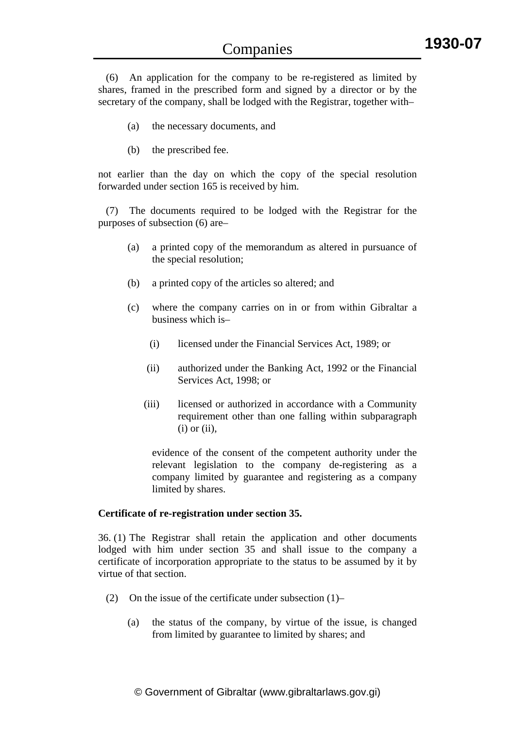(6) An application for the company to be re-registered as limited by shares, framed in the prescribed form and signed by a director or by the secretary of the company, shall be lodged with the Registrar, together with–

- (a) the necessary documents, and
- (b) the prescribed fee.

not earlier than the day on which the copy of the special resolution forwarded under section 165 is received by him.

The documents required to be lodged with the Registrar for the purposes of subsection (6) are–

- (a) a printed copy of the memorandum as altered in pursuance of the special resolution;
- (b) a printed copy of the articles so altered; and
- (c) where the company carries on in or from within Gibraltar a business which is–
	- (i) licensed under the Financial Services Act, 1989; or
	- (ii) authorized under the Banking Act, 1992 or the Financial Services Act, 1998; or
	- (iii) licensed or authorized in accordance with a Community requirement other than one falling within subparagraph  $(i)$  or  $(ii)$ ,

 evidence of the consent of the competent authority under the relevant legislation to the company de-registering as a company limited by guarantee and registering as a company limited by shares.

#### **Certificate of re-registration under section 35.**

36. (1) The Registrar shall retain the application and other documents lodged with him under section 35 and shall issue to the company a certificate of incorporation appropriate to the status to be assumed by it by virtue of that section.

- (2) On the issue of the certificate under subsection (1)–
	- (a) the status of the company, by virtue of the issue, is changed from limited by guarantee to limited by shares; and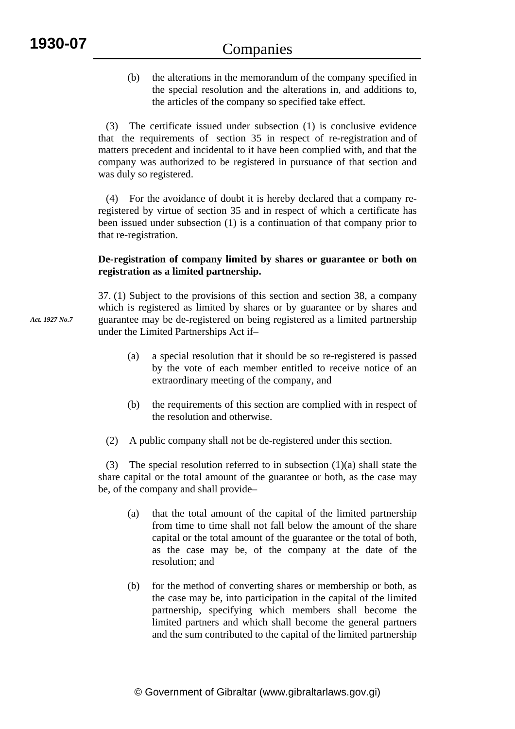*Act. 1927 No.7*

(b) the alterations in the memorandum of the company specified in the special resolution and the alterations in, and additions to, the articles of the company so specified take effect.

 (3) The certificate issued under subsection (1) is conclusive evidence that the requirements of section 35 in respect of re-registration and of matters precedent and incidental to it have been complied with, and that the company was authorized to be registered in pursuance of that section and was duly so registered.

 (4) For the avoidance of doubt it is hereby declared that a company reregistered by virtue of section 35 and in respect of which a certificate has been issued under subsection (1) is a continuation of that company prior to that re-registration.

# **De-registration of company limited by shares or guarantee or both on registration as a limited partnership.**

37. (1) Subject to the provisions of this section and section 38, a company which is registered as limited by shares or by guarantee or by shares and guarantee may be de-registered on being registered as a limited partnership under the Limited Partnerships Act if–

- (a) a special resolution that it should be so re-registered is passed by the vote of each member entitled to receive notice of an extraordinary meeting of the company, and
- (b) the requirements of this section are complied with in respect of the resolution and otherwise.
- (2) A public company shall not be de-registered under this section.

 (3) The special resolution referred to in subsection (1)(a) shall state the share capital or the total amount of the guarantee or both, as the case may be, of the company and shall provide–

- (a) that the total amount of the capital of the limited partnership from time to time shall not fall below the amount of the share capital or the total amount of the guarantee or the total of both, as the case may be, of the company at the date of the resolution; and
- (b) for the method of converting shares or membership or both, as the case may be, into participation in the capital of the limited partnership, specifying which members shall become the limited partners and which shall become the general partners and the sum contributed to the capital of the limited partnership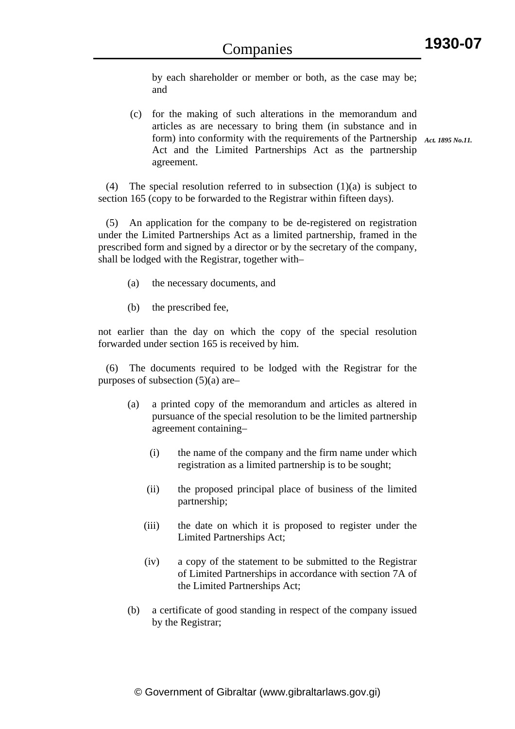by each shareholder or member or both, as the case may be; and

 (c) for the making of such alterations in the memorandum and articles as are necessary to bring them (in substance and in form) into conformity with the requirements of the Partnership Act. 1895 No.11. Act and the Limited Partnerships Act as the partnership agreement.

 (4) The special resolution referred to in subsection (1)(a) is subject to section 165 (copy to be forwarded to the Registrar within fifteen days).

 (5) An application for the company to be de-registered on registration under the Limited Partnerships Act as a limited partnership, framed in the prescribed form and signed by a director or by the secretary of the company, shall be lodged with the Registrar, together with–

- (a) the necessary documents, and
- (b) the prescribed fee,

not earlier than the day on which the copy of the special resolution forwarded under section 165 is received by him.

 (6) The documents required to be lodged with the Registrar for the purposes of subsection (5)(a) are–

- (a) a printed copy of the memorandum and articles as altered in pursuance of the special resolution to be the limited partnership agreement containing–
	- (i) the name of the company and the firm name under which registration as a limited partnership is to be sought;
	- (ii) the proposed principal place of business of the limited partnership;
	- (iii) the date on which it is proposed to register under the Limited Partnerships Act;
	- (iv) a copy of the statement to be submitted to the Registrar of Limited Partnerships in accordance with section 7A of the Limited Partnerships Act;
- (b) a certificate of good standing in respect of the company issued by the Registrar;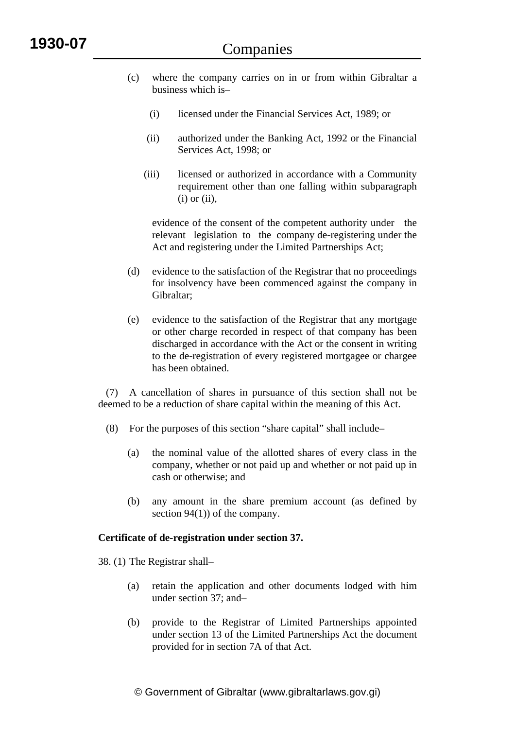- (c) where the company carries on in or from within Gibraltar a business which is–
	- (i) licensed under the Financial Services Act, 1989; or
	- (ii) authorized under the Banking Act, 1992 or the Financial Services Act, 1998; or
	- (iii) licensed or authorized in accordance with a Community requirement other than one falling within subparagraph  $(i)$  or  $(ii)$ ,

 evidence of the consent of the competent authority under the relevant legislation to the company de-registering under the Act and registering under the Limited Partnerships Act;

- (d) evidence to the satisfaction of the Registrar that no proceedings for insolvency have been commenced against the company in Gibraltar;
- (e) evidence to the satisfaction of the Registrar that any mortgage or other charge recorded in respect of that company has been discharged in accordance with the Act or the consent in writing to the de-registration of every registered mortgagee or chargee has been obtained.

 (7) A cancellation of shares in pursuance of this section shall not be deemed to be a reduction of share capital within the meaning of this Act.

- (8) For the purposes of this section "share capital" shall include–
	- (a) the nominal value of the allotted shares of every class in the company, whether or not paid up and whether or not paid up in cash or otherwise; and
	- (b) any amount in the share premium account (as defined by section 94(1)) of the company.

# **Certificate of de-registration under section 37.**

38. (1) The Registrar shall–

- (a) retain the application and other documents lodged with him under section 37; and–
- (b) provide to the Registrar of Limited Partnerships appointed under section 13 of the Limited Partnerships Act the document provided for in section 7A of that Act.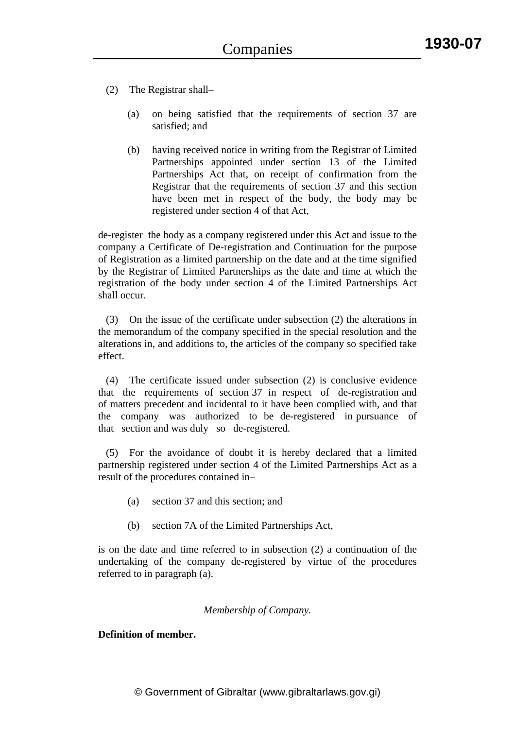- (2) The Registrar shall–
	- (a) on being satisfied that the requirements of section 37 are satisfied; and
	- (b) having received notice in writing from the Registrar of Limited Partnerships appointed under section 13 of the Limited Partnerships Act that, on receipt of confirmation from the Registrar that the requirements of section 37 and this section have been met in respect of the body, the body may be registered under section 4 of that Act,

de-register the body as a company registered under this Act and issue to the company a Certificate of De-registration and Continuation for the purpose of Registration as a limited partnership on the date and at the time signified by the Registrar of Limited Partnerships as the date and time at which the registration of the body under section 4 of the Limited Partnerships Act shall occur.

 (3) On the issue of the certificate under subsection (2) the alterations in the memorandum of the company specified in the special resolution and the alterations in, and additions to, the articles of the company so specified take effect.

 (4) The certificate issued under subsection (2) is conclusive evidence that the requirements of section 37 in respect of de-registration and of matters precedent and incidental to it have been complied with, and that the company was authorized to be de-registered in pursuance of that section and was duly so de-registered.

 (5) For the avoidance of doubt it is hereby declared that a limited partnership registered under section 4 of the Limited Partnerships Act as a result of the procedures contained in–

- (a) section 37 and this section; and
- (b) section 7A of the Limited Partnerships Act,

is on the date and time referred to in subsection (2) a continuation of the undertaking of the company de-registered by virtue of the procedures referred to in paragraph (a).

# *Membership of Company.*

# **Definition of member.**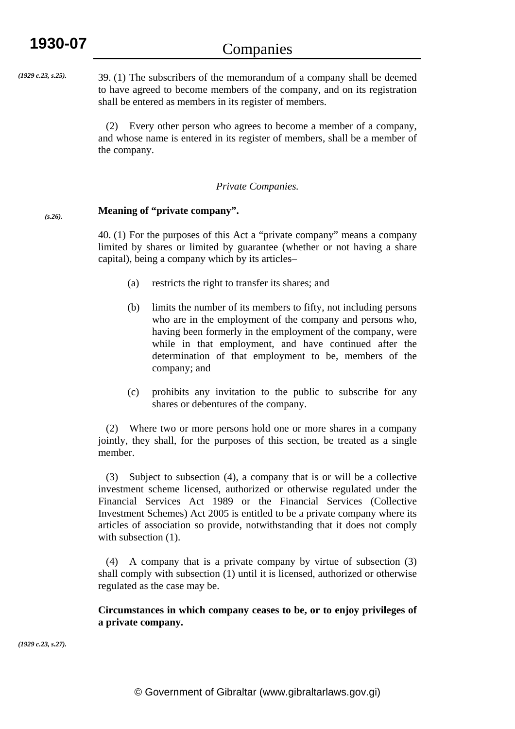*(1929 c.23, s.25).*

39. (1) The subscribers of the memorandum of a company shall be deemed to have agreed to become members of the company, and on its registration shall be entered as members in its register of members.

 (2) Every other person who agrees to become a member of a company, and whose name is entered in its register of members, shall be a member of the company.

### *Private Companies.*

#### **Meaning of "private company".**  *(s.26).*

40. (1) For the purposes of this Act a "private company" means a company limited by shares or limited by guarantee (whether or not having a share capital), being a company which by its articles–

- (a) restricts the right to transfer its shares; and
- (b) limits the number of its members to fifty, not including persons who are in the employment of the company and persons who, having been formerly in the employment of the company, were while in that employment, and have continued after the determination of that employment to be, members of the company; and
- (c) prohibits any invitation to the public to subscribe for any shares or debentures of the company.

 (2) Where two or more persons hold one or more shares in a company jointly, they shall, for the purposes of this section, be treated as a single member.

 (3) Subject to subsection (4), a company that is or will be a collective investment scheme licensed, authorized or otherwise regulated under the Financial Services Act 1989 or the Financial Services (Collective Investment Schemes) Act 2005 is entitled to be a private company where its articles of association so provide, notwithstanding that it does not comply with subsection  $(1)$ .

 (4) A company that is a private company by virtue of subsection (3) shall comply with subsection (1) until it is licensed, authorized or otherwise regulated as the case may be.

# **Circumstances in which company ceases to be, or to enjoy privileges of a private company.**

*(1929 c.23, s.27).*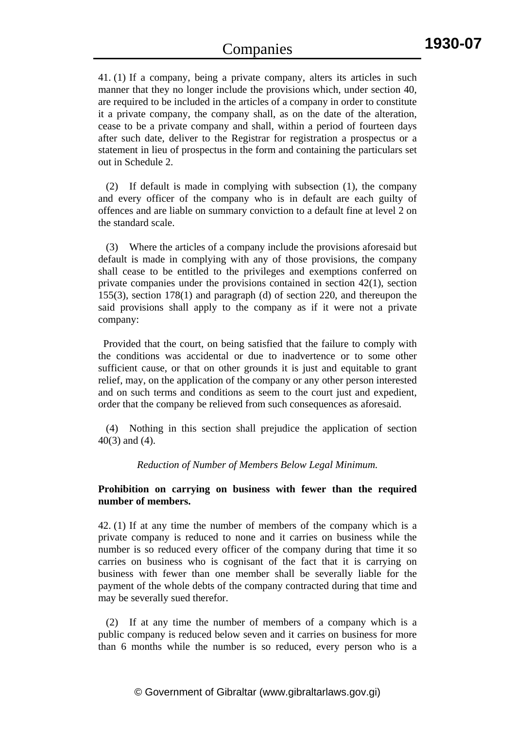41. (1) If a company, being a private company, alters its articles in such manner that they no longer include the provisions which, under section 40, are required to be included in the articles of a company in order to constitute it a private company, the company shall, as on the date of the alteration, cease to be a private company and shall, within a period of fourteen days after such date, deliver to the Registrar for registration a prospectus or a statement in lieu of prospectus in the form and containing the particulars set out in Schedule 2.

 (2) If default is made in complying with subsection (1), the company and every officer of the company who is in default are each guilty of offences and are liable on summary conviction to a default fine at level 2 on the standard scale.

 (3) Where the articles of a company include the provisions aforesaid but default is made in complying with any of those provisions, the company shall cease to be entitled to the privileges and exemptions conferred on private companies under the provisions contained in section 42(1), section 155(3), section 178(1) and paragraph (d) of section 220, and thereupon the said provisions shall apply to the company as if it were not a private company:

 Provided that the court, on being satisfied that the failure to comply with the conditions was accidental or due to inadvertence or to some other sufficient cause, or that on other grounds it is just and equitable to grant relief, may, on the application of the company or any other person interested and on such terms and conditions as seem to the court just and expedient, order that the company be relieved from such consequences as aforesaid.

 (4) Nothing in this section shall prejudice the application of section 40(3) and (4).

*Reduction of Number of Members Below Legal Minimum.* 

# **Prohibition on carrying on business with fewer than the required number of members.**

42. (1) If at any time the number of members of the company which is a private company is reduced to none and it carries on business while the number is so reduced every officer of the company during that time it so carries on business who is cognisant of the fact that it is carrying on business with fewer than one member shall be severally liable for the payment of the whole debts of the company contracted during that time and may be severally sued therefor.

 (2) If at any time the number of members of a company which is a public company is reduced below seven and it carries on business for more than 6 months while the number is so reduced, every person who is a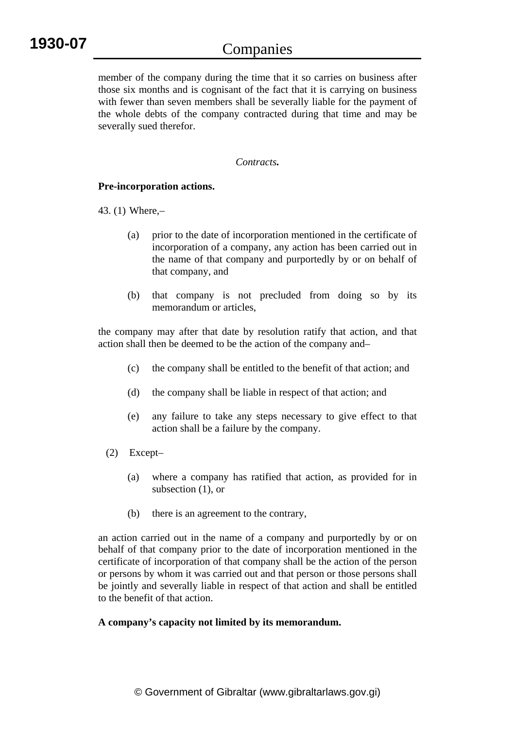member of the company during the time that it so carries on business after those six months and is cognisant of the fact that it is carrying on business with fewer than seven members shall be severally liable for the payment of the whole debts of the company contracted during that time and may be severally sued therefor.

# *Contracts.*

# **Pre-incorporation actions.**

43. (1) Where,–

- (a) prior to the date of incorporation mentioned in the certificate of incorporation of a company, any action has been carried out in the name of that company and purportedly by or on behalf of that company, and
- (b) that company is not precluded from doing so by its memorandum or articles,

the company may after that date by resolution ratify that action, and that action shall then be deemed to be the action of the company and–

- (c) the company shall be entitled to the benefit of that action; and
- (d) the company shall be liable in respect of that action; and
- (e) any failure to take any steps necessary to give effect to that action shall be a failure by the company.
- (2) Except–
	- (a) where a company has ratified that action, as provided for in subsection (1), or
	- (b) there is an agreement to the contrary,

an action carried out in the name of a company and purportedly by or on behalf of that company prior to the date of incorporation mentioned in the certificate of incorporation of that company shall be the action of the person or persons by whom it was carried out and that person or those persons shall be jointly and severally liable in respect of that action and shall be entitled to the benefit of that action.

# **A company's capacity not limited by its memorandum.**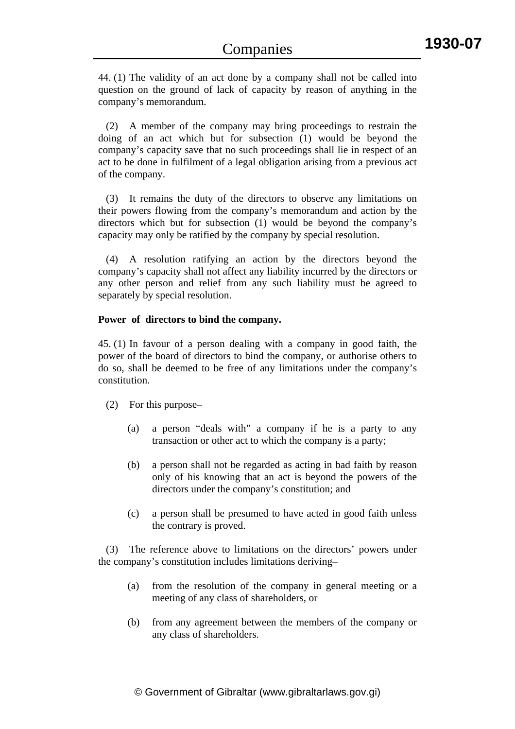44. (1) The validity of an act done by a company shall not be called into question on the ground of lack of capacity by reason of anything in the company's memorandum.

 (2) A member of the company may bring proceedings to restrain the doing of an act which but for subsection (1) would be beyond the company's capacity save that no such proceedings shall lie in respect of an act to be done in fulfilment of a legal obligation arising from a previous act of the company.

 (3) It remains the duty of the directors to observe any limitations on their powers flowing from the company's memorandum and action by the directors which but for subsection (1) would be beyond the company's capacity may only be ratified by the company by special resolution.

 (4) A resolution ratifying an action by the directors beyond the company's capacity shall not affect any liability incurred by the directors or any other person and relief from any such liability must be agreed to separately by special resolution.

# **Power of directors to bind the company.**

45. (1) In favour of a person dealing with a company in good faith, the power of the board of directors to bind the company, or authorise others to do so, shall be deemed to be free of any limitations under the company's constitution.

- (2) For this purpose–
	- (a) a person "deals with" a company if he is a party to any transaction or other act to which the company is a party;
	- (b) a person shall not be regarded as acting in bad faith by reason only of his knowing that an act is beyond the powers of the directors under the company's constitution; and
	- (c) a person shall be presumed to have acted in good faith unless the contrary is proved.

 (3) The reference above to limitations on the directors' powers under the company's constitution includes limitations deriving–

- (a) from the resolution of the company in general meeting or a meeting of any class of shareholders, or
- (b) from any agreement between the members of the company or any class of shareholders.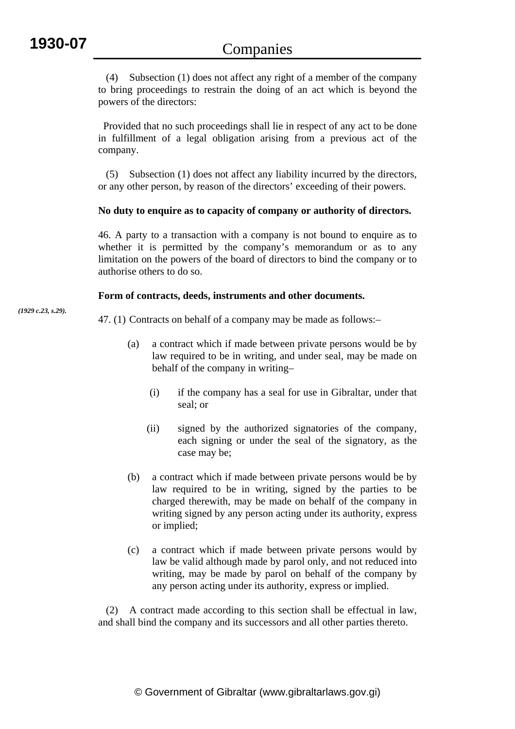(4) Subsection (1) does not affect any right of a member of the company to bring proceedings to restrain the doing of an act which is beyond the powers of the directors:

 Provided that no such proceedings shall lie in respect of any act to be done in fulfillment of a legal obligation arising from a previous act of the company.

 (5) Subsection (1) does not affect any liability incurred by the directors, or any other person, by reason of the directors' exceeding of their powers.

### **No duty to enquire as to capacity of company or authority of directors.**

46. A party to a transaction with a company is not bound to enquire as to whether it is permitted by the company's memorandum or as to any limitation on the powers of the board of directors to bind the company or to authorise others to do so.

### **Form of contracts, deeds, instruments and other documents.**

47. (1) Contracts on behalf of a company may be made as follows:–

- (a) a contract which if made between private persons would be by law required to be in writing, and under seal, may be made on behalf of the company in writing–
	- (i) if the company has a seal for use in Gibraltar, under that seal; or
	- (ii) signed by the authorized signatories of the company, each signing or under the seal of the signatory, as the case may be;
- (b) a contract which if made between private persons would be by law required to be in writing, signed by the parties to be charged therewith, may be made on behalf of the company in writing signed by any person acting under its authority, express or implied;
- (c) a contract which if made between private persons would by law be valid although made by parol only, and not reduced into writing, may be made by parol on behalf of the company by any person acting under its authority, express or implied.

 (2) A contract made according to this section shall be effectual in law, and shall bind the company and its successors and all other parties thereto.

*(1929 c.23, s.29).*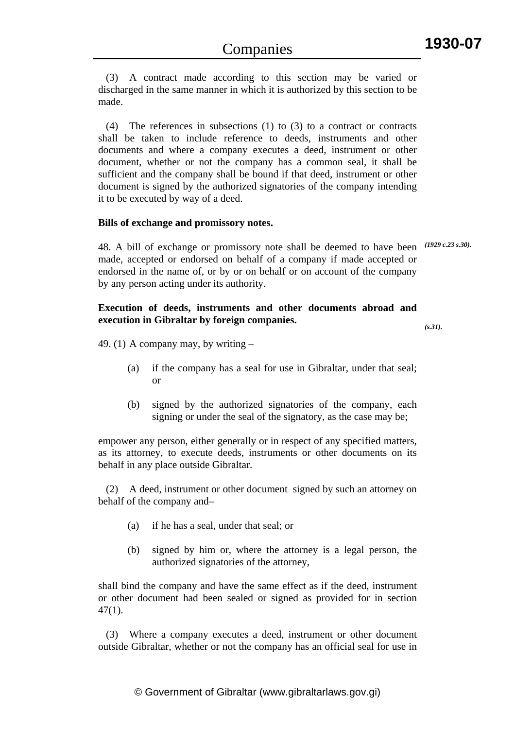(3) A contract made according to this section may be varied or discharged in the same manner in which it is authorized by this section to be made.

 (4) The references in subsections (1) to (3) to a contract or contracts shall be taken to include reference to deeds, instruments and other documents and where a company executes a deed, instrument or other document, whether or not the company has a common seal, it shall be sufficient and the company shall be bound if that deed, instrument or other document is signed by the authorized signatories of the company intending it to be executed by way of a deed.

# **Bills of exchange and promissory notes.**

48. A bill of exchange or promissory note shall be deemed to have been *(1929 c.23 s.30).* made, accepted or endorsed on behalf of a company if made accepted or endorsed in the name of, or by or on behalf or on account of the company by any person acting under its authority.

# **Execution of deeds, instruments and other documents abroad and execution in Gibraltar by foreign companies.**

*(s.31).*

49. (1) A company may, by writing  $-$ 

- (a) if the company has a seal for use in Gibraltar, under that seal; or
- (b) signed by the authorized signatories of the company, each signing or under the seal of the signatory, as the case may be;

empower any person, either generally or in respect of any specified matters, as its attorney, to execute deeds, instruments or other documents on its behalf in any place outside Gibraltar.

 (2) A deed, instrument or other document signed by such an attorney on behalf of the company and–

- (a) if he has a seal, under that seal; or
- (b) signed by him or, where the attorney is a legal person, the authorized signatories of the attorney,

shall bind the company and have the same effect as if the deed, instrument or other document had been sealed or signed as provided for in section 47(1).

 (3) Where a company executes a deed, instrument or other document outside Gibraltar, whether or not the company has an official seal for use in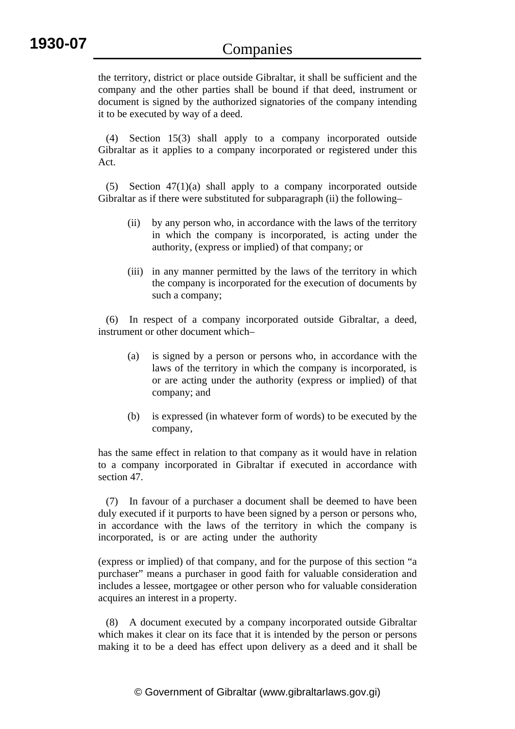the territory, district or place outside Gibraltar, it shall be sufficient and the company and the other parties shall be bound if that deed, instrument or document is signed by the authorized signatories of the company intending it to be executed by way of a deed.

 (4) Section 15(3) shall apply to a company incorporated outside Gibraltar as it applies to a company incorporated or registered under this Act.

 (5) Section 47(1)(a) shall apply to a company incorporated outside Gibraltar as if there were substituted for subparagraph (ii) the following–

- (ii) by any person who, in accordance with the laws of the territory in which the company is incorporated, is acting under the authority, (express or implied) of that company; or
- (iii) in any manner permitted by the laws of the territory in which the company is incorporated for the execution of documents by such a company;

 (6) In respect of a company incorporated outside Gibraltar, a deed, instrument or other document which–

- (a) is signed by a person or persons who, in accordance with the laws of the territory in which the company is incorporated, is or are acting under the authority (express or implied) of that company; and
- (b) is expressed (in whatever form of words) to be executed by the company,

has the same effect in relation to that company as it would have in relation to a company incorporated in Gibraltar if executed in accordance with section 47.

 (7) In favour of a purchaser a document shall be deemed to have been duly executed if it purports to have been signed by a person or persons who, in accordance with the laws of the territory in which the company is incorporated, is or are acting under the authority

(express or implied) of that company, and for the purpose of this section "a purchaser" means a purchaser in good faith for valuable consideration and includes a lessee, mortgagee or other person who for valuable consideration acquires an interest in a property.

 (8) A document executed by a company incorporated outside Gibraltar which makes it clear on its face that it is intended by the person or persons making it to be a deed has effect upon delivery as a deed and it shall be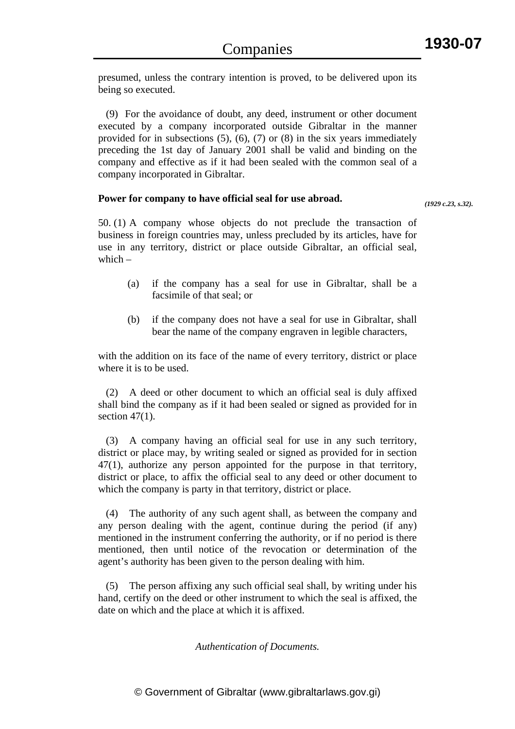presumed, unless the contrary intention is proved, to be delivered upon its being so executed.

 (9) For the avoidance of doubt, any deed, instrument or other document executed by a company incorporated outside Gibraltar in the manner provided for in subsections  $(5)$ ,  $(6)$ ,  $(7)$  or  $(8)$  in the six years immediately preceding the 1st day of January 2001 shall be valid and binding on the company and effective as if it had been sealed with the common seal of a company incorporated in Gibraltar.

# **Power for company to have official seal for use abroad.**

*(1929 c.23, s.32).*

50. (1) A company whose objects do not preclude the transaction of business in foreign countries may, unless precluded by its articles, have for use in any territory, district or place outside Gibraltar, an official seal, which –

- (a) if the company has a seal for use in Gibraltar, shall be a facsimile of that seal; or
- (b) if the company does not have a seal for use in Gibraltar, shall bear the name of the company engraven in legible characters,

with the addition on its face of the name of every territory, district or place where it is to be used.

 (2) A deed or other document to which an official seal is duly affixed shall bind the company as if it had been sealed or signed as provided for in section  $47(1)$ .

 (3) A company having an official seal for use in any such territory, district or place may, by writing sealed or signed as provided for in section 47(1), authorize any person appointed for the purpose in that territory, district or place, to affix the official seal to any deed or other document to which the company is party in that territory, district or place.

 (4) The authority of any such agent shall, as between the company and any person dealing with the agent, continue during the period (if any) mentioned in the instrument conferring the authority, or if no period is there mentioned, then until notice of the revocation or determination of the agent's authority has been given to the person dealing with him.

 (5) The person affixing any such official seal shall, by writing under his hand, certify on the deed or other instrument to which the seal is affixed, the date on which and the place at which it is affixed.

*Authentication of Documents.*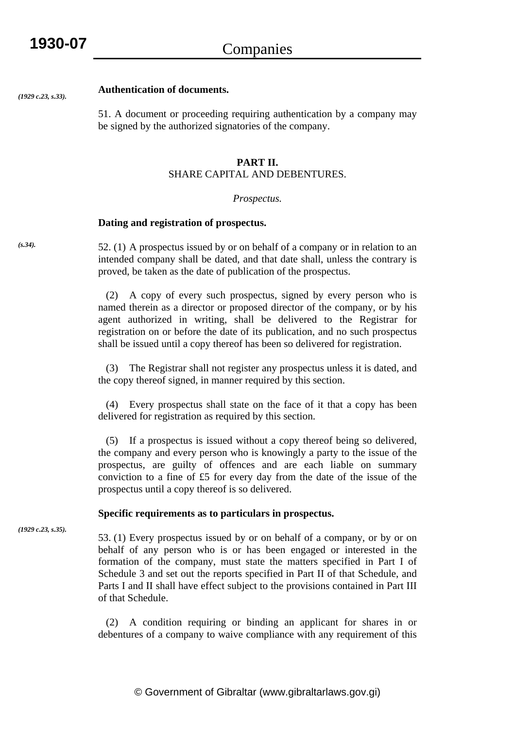#### **Authentication of documents.**  *(1929 c.23, s.33).*

51. A document or proceeding requiring authentication by a company may be signed by the authorized signatories of the company.

### **PART II.**

# SHARE CAPITAL AND DEBENTURES.

### *Prospectus.*

#### **Dating and registration of prospectus.**

52. (1) A prospectus issued by or on behalf of a company or in relation to an intended company shall be dated, and that date shall, unless the contrary is proved, be taken as the date of publication of the prospectus.

 (2) A copy of every such prospectus, signed by every person who is named therein as a director or proposed director of the company, or by his agent authorized in writing, shall be delivered to the Registrar for registration on or before the date of its publication, and no such prospectus shall be issued until a copy thereof has been so delivered for registration.

 (3) The Registrar shall not register any prospectus unless it is dated, and the copy thereof signed, in manner required by this section.

 (4) Every prospectus shall state on the face of it that a copy has been delivered for registration as required by this section.

 (5) If a prospectus is issued without a copy thereof being so delivered, the company and every person who is knowingly a party to the issue of the prospectus, are guilty of offences and are each liable on summary conviction to a fine of £5 for every day from the date of the issue of the prospectus until a copy thereof is so delivered.

#### **Specific requirements as to particulars in prospectus.**

*(1929 c.23, s.35).*

53. (1) Every prospectus issued by or on behalf of a company, or by or on behalf of any person who is or has been engaged or interested in the formation of the company, must state the matters specified in Part I of Schedule 3 and set out the reports specified in Part II of that Schedule, and Parts I and II shall have effect subject to the provisions contained in Part III of that Schedule.

 (2) A condition requiring or binding an applicant for shares in or debentures of a company to waive compliance with any requirement of this

*(s.34).*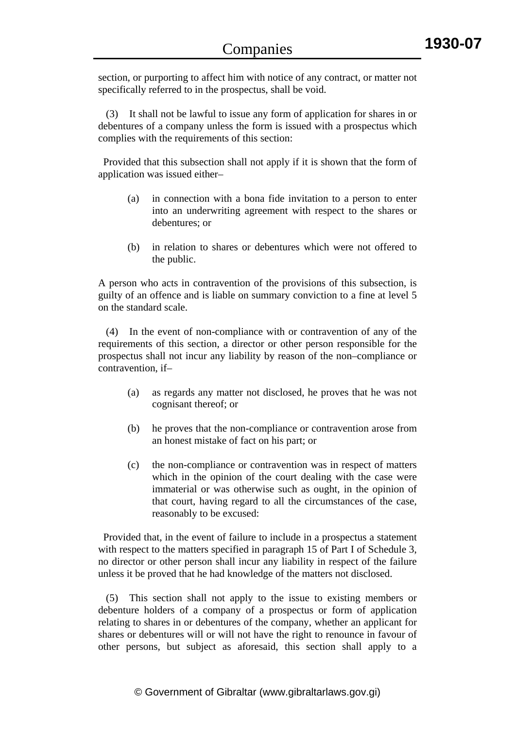section, or purporting to affect him with notice of any contract, or matter not specifically referred to in the prospectus, shall be void.

 (3) It shall not be lawful to issue any form of application for shares in or debentures of a company unless the form is issued with a prospectus which complies with the requirements of this section:

 Provided that this subsection shall not apply if it is shown that the form of application was issued either–

- (a) in connection with a bona fide invitation to a person to enter into an underwriting agreement with respect to the shares or debentures; or
- (b) in relation to shares or debentures which were not offered to the public.

A person who acts in contravention of the provisions of this subsection, is guilty of an offence and is liable on summary conviction to a fine at level 5 on the standard scale.

 (4) In the event of non-compliance with or contravention of any of the requirements of this section, a director or other person responsible for the prospectus shall not incur any liability by reason of the non–compliance or contravention, if–

- (a) as regards any matter not disclosed, he proves that he was not cognisant thereof; or
- (b) he proves that the non-compliance or contravention arose from an honest mistake of fact on his part; or
- (c) the non-compliance or contravention was in respect of matters which in the opinion of the court dealing with the case were immaterial or was otherwise such as ought, in the opinion of that court, having regard to all the circumstances of the case, reasonably to be excused:

 Provided that, in the event of failure to include in a prospectus a statement with respect to the matters specified in paragraph 15 of Part I of Schedule 3, no director or other person shall incur any liability in respect of the failure unless it be proved that he had knowledge of the matters not disclosed.

 (5) This section shall not apply to the issue to existing members or debenture holders of a company of a prospectus or form of application relating to shares in or debentures of the company, whether an applicant for shares or debentures will or will not have the right to renounce in favour of other persons, but subject as aforesaid, this section shall apply to a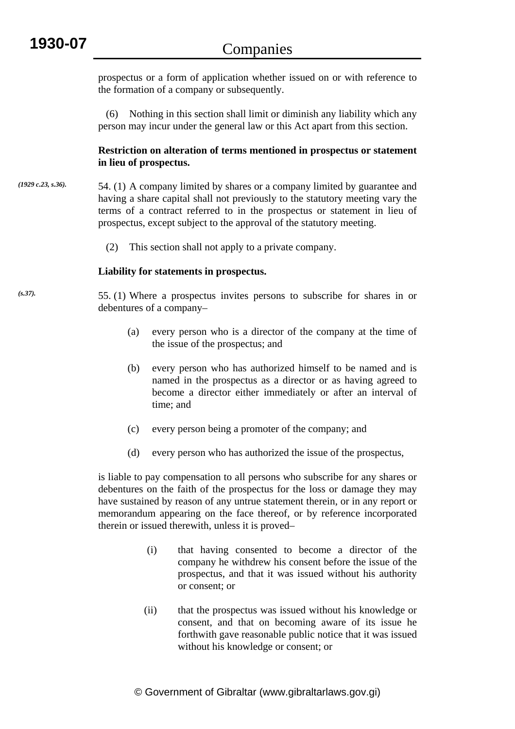*(s.37).*

prospectus or a form of application whether issued on or with reference to the formation of a company or subsequently.

Nothing in this section shall limit or diminish any liability which any person may incur under the general law or this Act apart from this section.

**Restriction on alteration of terms mentioned in prospectus or statement in lieu of prospectus.** 

- 54. (1) A company limited by shares or a company limited by guarantee and having a share capital shall not previously to the statutory meeting vary the terms of a contract referred to in the prospectus or statement in lieu of prospectus, except subject to the approval of the statutory meeting. *(1929 c.23, s.36).*
	- (2) This section shall not apply to a private company.

# **Liability for statements in prospectus.**

55. (1) Where a prospectus invites persons to subscribe for shares in or debentures of a company–

- (a) every person who is a director of the company at the time of the issue of the prospectus; and
- (b) every person who has authorized himself to be named and is named in the prospectus as a director or as having agreed to become a director either immediately or after an interval of time; and
- (c) every person being a promoter of the company; and
- (d) every person who has authorized the issue of the prospectus,

is liable to pay compensation to all persons who subscribe for any shares or debentures on the faith of the prospectus for the loss or damage they may have sustained by reason of any untrue statement therein, or in any report or memorandum appearing on the face thereof, or by reference incorporated therein or issued therewith, unless it is proved–

- (i) that having consented to become a director of the company he withdrew his consent before the issue of the prospectus, and that it was issued without his authority or consent; or
- (ii) that the prospectus was issued without his knowledge or consent, and that on becoming aware of its issue he forthwith gave reasonable public notice that it was issued without his knowledge or consent; or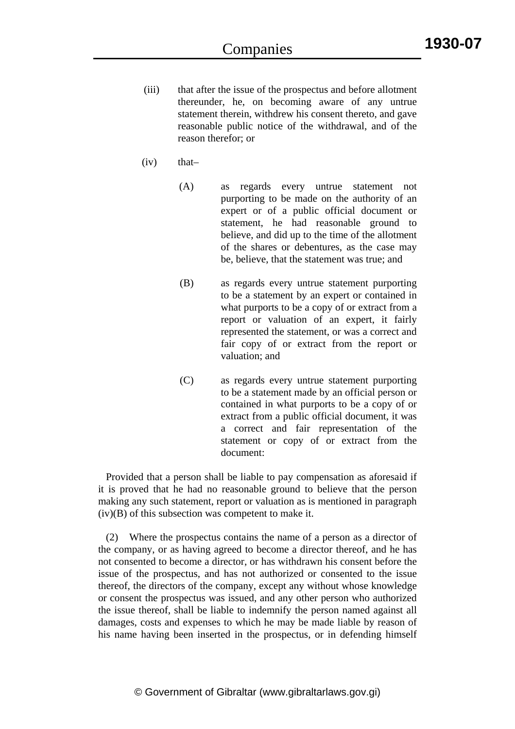- (iii) that after the issue of the prospectus and before allotment thereunder, he, on becoming aware of any untrue statement therein, withdrew his consent thereto, and gave reasonable public notice of the withdrawal, and of the reason therefor; or
- $(iv)$  that-
	- (A) as regards every untrue statement not purporting to be made on the authority of an expert or of a public official document or statement, he had reasonable ground to believe, and did up to the time of the allotment of the shares or debentures, as the case may be, believe, that the statement was true; and
	- (B) as regards every untrue statement purporting to be a statement by an expert or contained in what purports to be a copy of or extract from a report or valuation of an expert, it fairly represented the statement, or was a correct and fair copy of or extract from the report or valuation; and
	- (C) as regards every untrue statement purporting to be a statement made by an official person or contained in what purports to be a copy of or extract from a public official document, it was a correct and fair representation of the statement or copy of or extract from the document:

 Provided that a person shall be liable to pay compensation as aforesaid if it is proved that he had no reasonable ground to believe that the person making any such statement, report or valuation as is mentioned in paragraph  $(iv)(B)$  of this subsection was competent to make it.

 (2) Where the prospectus contains the name of a person as a director of the company, or as having agreed to become a director thereof, and he has not consented to become a director, or has withdrawn his consent before the issue of the prospectus, and has not authorized or consented to the issue thereof, the directors of the company, except any without whose knowledge or consent the prospectus was issued, and any other person who authorized the issue thereof, shall be liable to indemnify the person named against all damages, costs and expenses to which he may be made liable by reason of his name having been inserted in the prospectus, or in defending himself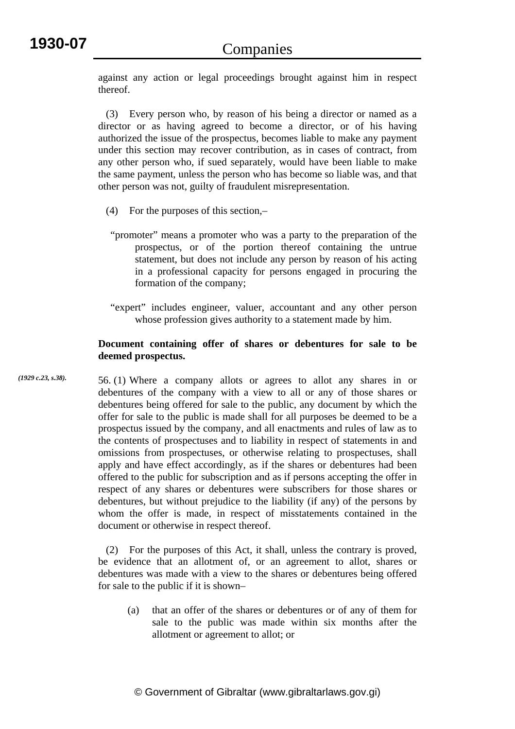against any action or legal proceedings brought against him in respect thereof.

 (3) Every person who, by reason of his being a director or named as a director or as having agreed to become a director, or of his having authorized the issue of the prospectus, becomes liable to make any payment under this section may recover contribution, as in cases of contract, from any other person who, if sued separately, would have been liable to make the same payment, unless the person who has become so liable was, and that other person was not, guilty of fraudulent misrepresentation.

- (4) For the purposes of this section,–
- "promoter" means a promoter who was a party to the preparation of the prospectus, or of the portion thereof containing the untrue statement, but does not include any person by reason of his acting in a professional capacity for persons engaged in procuring the formation of the company;
- "expert" includes engineer, valuer, accountant and any other person whose profession gives authority to a statement made by him.

# **Document containing offer of shares or debentures for sale to be deemed prospectus.**

56. (1) Where a company allots or agrees to allot any shares in or debentures of the company with a view to all or any of those shares or debentures being offered for sale to the public, any document by which the offer for sale to the public is made shall for all purposes be deemed to be a prospectus issued by the company, and all enactments and rules of law as to the contents of prospectuses and to liability in respect of statements in and omissions from prospectuses, or otherwise relating to prospectuses, shall apply and have effect accordingly, as if the shares or debentures had been offered to the public for subscription and as if persons accepting the offer in respect of any shares or debentures were subscribers for those shares or debentures, but without prejudice to the liability (if any) of the persons by whom the offer is made, in respect of misstatements contained in the document or otherwise in respect thereof. *(1929 c.23, s.38).*

> (2) For the purposes of this Act, it shall, unless the contrary is proved, be evidence that an allotment of, or an agreement to allot, shares or debentures was made with a view to the shares or debentures being offered for sale to the public if it is shown–

(a) that an offer of the shares or debentures or of any of them for sale to the public was made within six months after the allotment or agreement to allot; or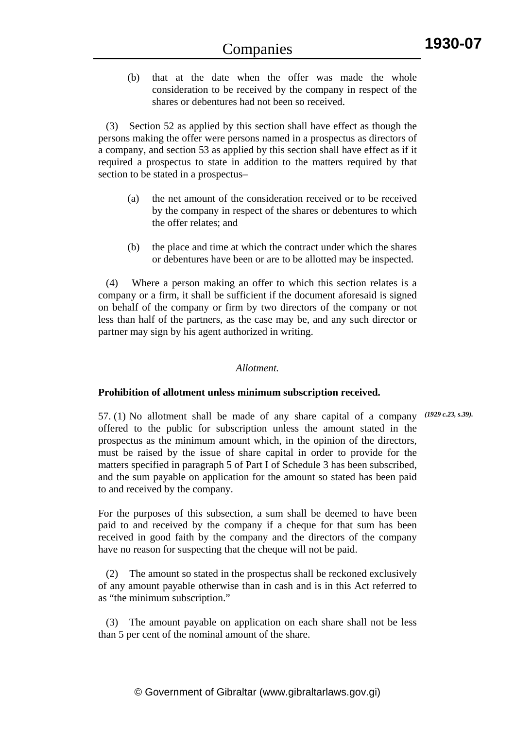(b) that at the date when the offer was made the whole consideration to be received by the company in respect of the shares or debentures had not been so received.

 (3) Section 52 as applied by this section shall have effect as though the persons making the offer were persons named in a prospectus as directors of a company, and section 53 as applied by this section shall have effect as if it required a prospectus to state in addition to the matters required by that section to be stated in a prospectus–

- (a) the net amount of the consideration received or to be received by the company in respect of the shares or debentures to which the offer relates; and
- (b) the place and time at which the contract under which the shares or debentures have been or are to be allotted may be inspected.

 (4) Where a person making an offer to which this section relates is a company or a firm, it shall be sufficient if the document aforesaid is signed on behalf of the company or firm by two directors of the company or not less than half of the partners, as the case may be, and any such director or partner may sign by his agent authorized in writing.

# *Allotment.*

# **Prohibition of allotment unless minimum subscription received.**

57. (1) No allotment shall be made of any share capital of a company *(1929 c.23, s.39).*offered to the public for subscription unless the amount stated in the prospectus as the minimum amount which, in the opinion of the directors, must be raised by the issue of share capital in order to provide for the matters specified in paragraph 5 of Part I of Schedule 3 has been subscribed, and the sum payable on application for the amount so stated has been paid to and received by the company.

For the purposes of this subsection, a sum shall be deemed to have been paid to and received by the company if a cheque for that sum has been received in good faith by the company and the directors of the company have no reason for suspecting that the cheque will not be paid.

 (2) The amount so stated in the prospectus shall be reckoned exclusively of any amount payable otherwise than in cash and is in this Act referred to as "the minimum subscription."

 (3) The amount payable on application on each share shall not be less than 5 per cent of the nominal amount of the share.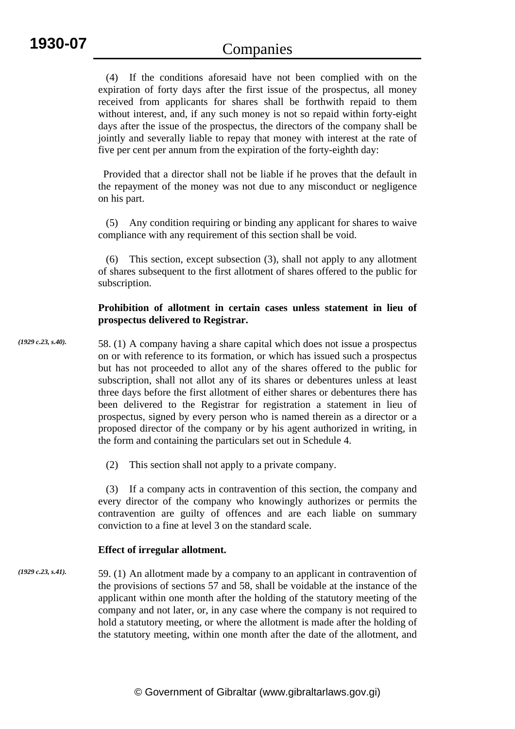(4) If the conditions aforesaid have not been complied with on the expiration of forty days after the first issue of the prospectus, all money received from applicants for shares shall be forthwith repaid to them without interest, and, if any such money is not so repaid within forty-eight days after the issue of the prospectus, the directors of the company shall be jointly and severally liable to repay that money with interest at the rate of five per cent per annum from the expiration of the forty-eighth day:

 Provided that a director shall not be liable if he proves that the default in the repayment of the money was not due to any misconduct or negligence on his part.

 (5) Any condition requiring or binding any applicant for shares to waive compliance with any requirement of this section shall be void.

 (6) This section, except subsection (3), shall not apply to any allotment of shares subsequent to the first allotment of shares offered to the public for subscription.

# **Prohibition of allotment in certain cases unless statement in lieu of prospectus delivered to Registrar.**

- 58. (1) A company having a share capital which does not issue a prospectus on or with reference to its formation, or which has issued such a prospectus but has not proceeded to allot any of the shares offered to the public for subscription, shall not allot any of its shares or debentures unless at least three days before the first allotment of either shares or debentures there has been delivered to the Registrar for registration a statement in lieu of prospectus, signed by every person who is named therein as a director or a proposed director of the company or by his agent authorized in writing, in the form and containing the particulars set out in Schedule 4. *(1929 c.23, s.40).*
	- (2) This section shall not apply to a private company.

 (3) If a company acts in contravention of this section, the company and every director of the company who knowingly authorizes or permits the contravention are guilty of offences and are each liable on summary conviction to a fine at level 3 on the standard scale.

# **Effect of irregular allotment.**

59. (1) An allotment made by a company to an applicant in contravention of the provisions of sections 57 and 58, shall be voidable at the instance of the applicant within one month after the holding of the statutory meeting of the company and not later, or, in any case where the company is not required to hold a statutory meeting, or where the allotment is made after the holding of the statutory meeting, within one month after the date of the allotment, and *(1929 c.23, s.41).*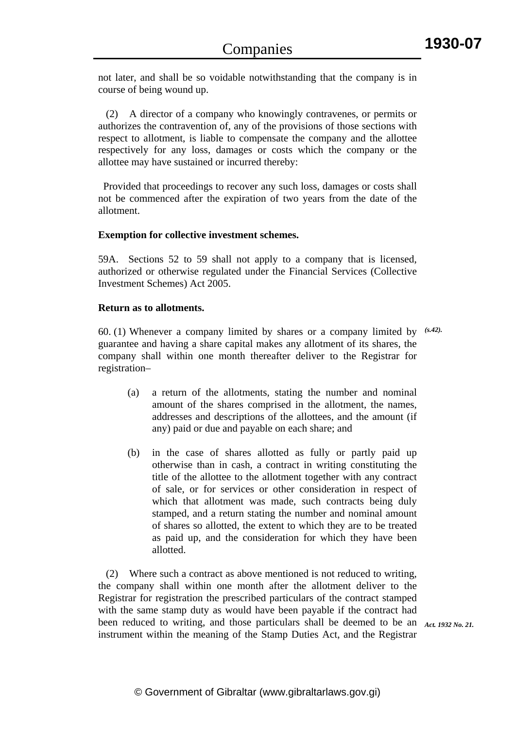not later, and shall be so voidable notwithstanding that the company is in course of being wound up.

 (2) A director of a company who knowingly contravenes, or permits or authorizes the contravention of, any of the provisions of those sections with respect to allotment, is liable to compensate the company and the allottee respectively for any loss, damages or costs which the company or the allottee may have sustained or incurred thereby:

 Provided that proceedings to recover any such loss, damages or costs shall not be commenced after the expiration of two years from the date of the allotment.

# **Exemption for collective investment schemes.**

59A. Sections 52 to 59 shall not apply to a company that is licensed, authorized or otherwise regulated under the Financial Services (Collective Investment Schemes) Act 2005.

### **Return as to allotments.**

60. (1) Whenever a company limited by shares or a company limited by *(s.42).* guarantee and having a share capital makes any allotment of its shares, the company shall within one month thereafter deliver to the Registrar for registration–

- (a) a return of the allotments, stating the number and nominal amount of the shares comprised in the allotment, the names, addresses and descriptions of the allottees, and the amount (if any) paid or due and payable on each share; and
- (b) in the case of shares allotted as fully or partly paid up otherwise than in cash, a contract in writing constituting the title of the allottee to the allotment together with any contract of sale, or for services or other consideration in respect of which that allotment was made, such contracts being duly stamped, and a return stating the number and nominal amount of shares so allotted, the extent to which they are to be treated as paid up, and the consideration for which they have been allotted.

 (2) Where such a contract as above mentioned is not reduced to writing, the company shall within one month after the allotment deliver to the Registrar for registration the prescribed particulars of the contract stamped with the same stamp duty as would have been payable if the contract had been reduced to writing, and those particulars shall be deemed to be an *Act. 1932 No. 21.*instrument within the meaning of the Stamp Duties Act, and the Registrar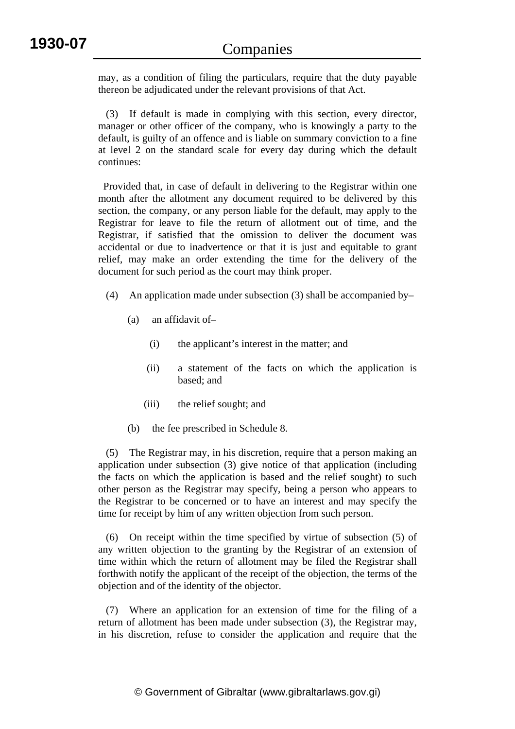may, as a condition of filing the particulars, require that the duty payable thereon be adjudicated under the relevant provisions of that Act.

If default is made in complying with this section, every director, manager or other officer of the company, who is knowingly a party to the default, is guilty of an offence and is liable on summary conviction to a fine at level 2 on the standard scale for every day during which the default continues:

 Provided that, in case of default in delivering to the Registrar within one month after the allotment any document required to be delivered by this section, the company, or any person liable for the default, may apply to the Registrar for leave to file the return of allotment out of time, and the Registrar, if satisfied that the omission to deliver the document was accidental or due to inadvertence or that it is just and equitable to grant relief, may make an order extending the time for the delivery of the document for such period as the court may think proper.

- (4) An application made under subsection (3) shall be accompanied by–
	- (a) an affidavit of–
		- (i) the applicant's interest in the matter; and
		- (ii) a statement of the facts on which the application is based; and
		- (iii) the relief sought; and
	- (b) the fee prescribed in Schedule 8.

 (5) The Registrar may, in his discretion, require that a person making an application under subsection (3) give notice of that application (including the facts on which the application is based and the relief sought) to such other person as the Registrar may specify, being a person who appears to the Registrar to be concerned or to have an interest and may specify the time for receipt by him of any written objection from such person.

 (6) On receipt within the time specified by virtue of subsection (5) of any written objection to the granting by the Registrar of an extension of time within which the return of allotment may be filed the Registrar shall forthwith notify the applicant of the receipt of the objection, the terms of the objection and of the identity of the objector.

 (7) Where an application for an extension of time for the filing of a return of allotment has been made under subsection (3), the Registrar may, in his discretion, refuse to consider the application and require that the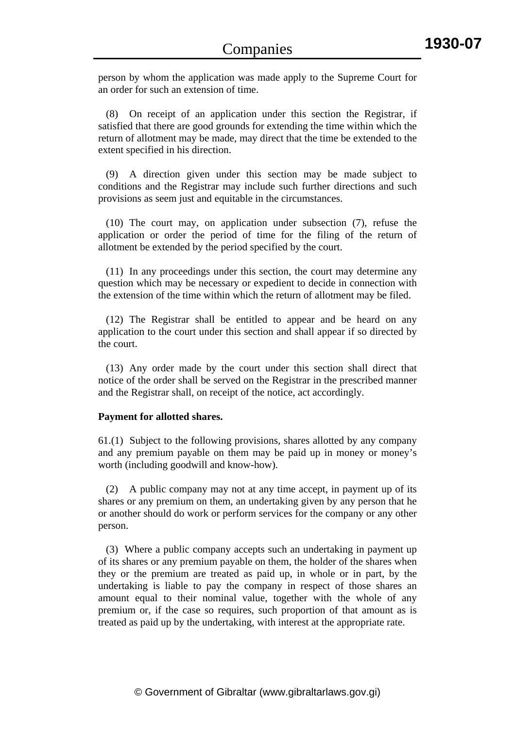person by whom the application was made apply to the Supreme Court for an order for such an extension of time.

 (8) On receipt of an application under this section the Registrar, if satisfied that there are good grounds for extending the time within which the return of allotment may be made, may direct that the time be extended to the extent specified in his direction.

A direction given under this section may be made subject to conditions and the Registrar may include such further directions and such provisions as seem just and equitable in the circumstances.

 (10) The court may, on application under subsection (7), refuse the application or order the period of time for the filing of the return of allotment be extended by the period specified by the court.

 (11) In any proceedings under this section, the court may determine any question which may be necessary or expedient to decide in connection with the extension of the time within which the return of allotment may be filed.

 (12) The Registrar shall be entitled to appear and be heard on any application to the court under this section and shall appear if so directed by the court.

 (13) Any order made by the court under this section shall direct that notice of the order shall be served on the Registrar in the prescribed manner and the Registrar shall, on receipt of the notice, act accordingly.

# **Payment for allotted shares.**

61.(1) Subject to the following provisions, shares allotted by any company and any premium payable on them may be paid up in money or money's worth (including goodwill and know-how).

 (2) A public company may not at any time accept, in payment up of its shares or any premium on them, an undertaking given by any person that he or another should do work or perform services for the company or any other person.

 (3) Where a public company accepts such an undertaking in payment up of its shares or any premium payable on them, the holder of the shares when they or the premium are treated as paid up, in whole or in part, by the undertaking is liable to pay the company in respect of those shares an amount equal to their nominal value, together with the whole of any premium or, if the case so requires, such proportion of that amount as is treated as paid up by the undertaking, with interest at the appropriate rate.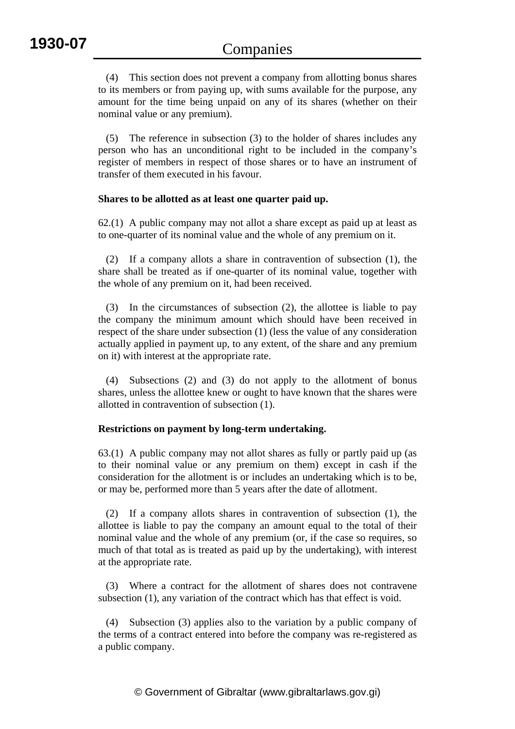(4) This section does not prevent a company from allotting bonus shares to its members or from paying up, with sums available for the purpose, any amount for the time being unpaid on any of its shares (whether on their nominal value or any premium).

 (5) The reference in subsection (3) to the holder of shares includes any person who has an unconditional right to be included in the company's register of members in respect of those shares or to have an instrument of transfer of them executed in his favour.

# **Shares to be allotted as at least one quarter paid up.**

62.(1) A public company may not allot a share except as paid up at least as to one-quarter of its nominal value and the whole of any premium on it.

 (2) If a company allots a share in contravention of subsection (1), the share shall be treated as if one-quarter of its nominal value, together with the whole of any premium on it, had been received.

 (3) In the circumstances of subsection (2), the allottee is liable to pay the company the minimum amount which should have been received in respect of the share under subsection (1) (less the value of any consideration actually applied in payment up, to any extent, of the share and any premium on it) with interest at the appropriate rate.

 (4) Subsections (2) and (3) do not apply to the allotment of bonus shares, unless the allottee knew or ought to have known that the shares were allotted in contravention of subsection (1).

#### **Restrictions on payment by long-term undertaking.**

63.(1) A public company may not allot shares as fully or partly paid up (as to their nominal value or any premium on them) except in cash if the consideration for the allotment is or includes an undertaking which is to be, or may be, performed more than 5 years after the date of allotment.

 (2) If a company allots shares in contravention of subsection (1), the allottee is liable to pay the company an amount equal to the total of their nominal value and the whole of any premium (or, if the case so requires, so much of that total as is treated as paid up by the undertaking), with interest at the appropriate rate.

 (3) Where a contract for the allotment of shares does not contravene subsection (1), any variation of the contract which has that effect is void.

 (4) Subsection (3) applies also to the variation by a public company of the terms of a contract entered into before the company was re-registered as a public company.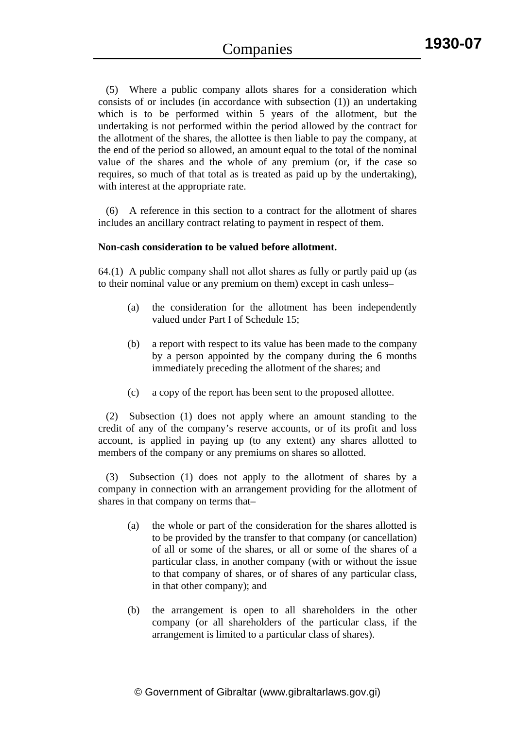(5) Where a public company allots shares for a consideration which consists of or includes (in accordance with subsection (1)) an undertaking which is to be performed within 5 years of the allotment, but the undertaking is not performed within the period allowed by the contract for the allotment of the shares, the allottee is then liable to pay the company, at the end of the period so allowed, an amount equal to the total of the nominal value of the shares and the whole of any premium (or, if the case so requires, so much of that total as is treated as paid up by the undertaking), with interest at the appropriate rate.

 (6) A reference in this section to a contract for the allotment of shares includes an ancillary contract relating to payment in respect of them.

### **Non-cash consideration to be valued before allotment.**

64.(1) A public company shall not allot shares as fully or partly paid up (as to their nominal value or any premium on them) except in cash unless–

- (a) the consideration for the allotment has been independently valued under Part I of Schedule 15;
- (b) a report with respect to its value has been made to the company by a person appointed by the company during the 6 months immediately preceding the allotment of the shares; and
- (c) a copy of the report has been sent to the proposed allottee.

 (2) Subsection (1) does not apply where an amount standing to the credit of any of the company's reserve accounts, or of its profit and loss account, is applied in paying up (to any extent) any shares allotted to members of the company or any premiums on shares so allotted.

 (3) Subsection (1) does not apply to the allotment of shares by a company in connection with an arrangement providing for the allotment of shares in that company on terms that–

- (a) the whole or part of the consideration for the shares allotted is to be provided by the transfer to that company (or cancellation) of all or some of the shares, or all or some of the shares of a particular class, in another company (with or without the issue to that company of shares, or of shares of any particular class, in that other company); and
- (b) the arrangement is open to all shareholders in the other company (or all shareholders of the particular class, if the arrangement is limited to a particular class of shares).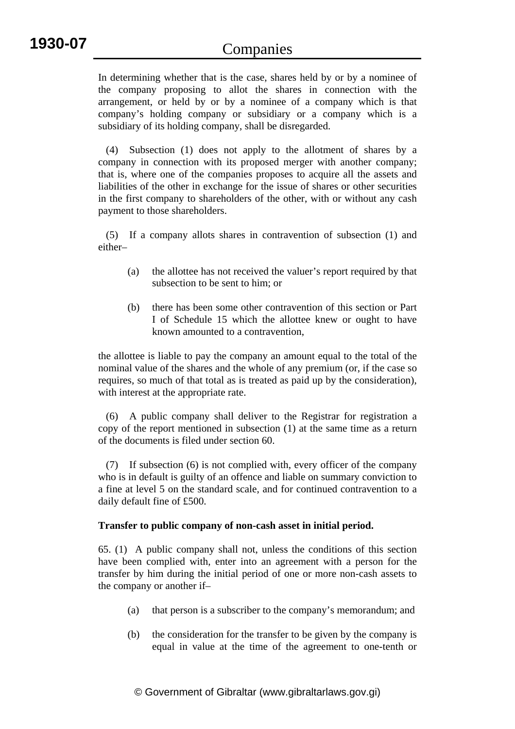In determining whether that is the case, shares held by or by a nominee of the company proposing to allot the shares in connection with the arrangement, or held by or by a nominee of a company which is that company's holding company or subsidiary or a company which is a subsidiary of its holding company, shall be disregarded.

 (4) Subsection (1) does not apply to the allotment of shares by a company in connection with its proposed merger with another company; that is, where one of the companies proposes to acquire all the assets and liabilities of the other in exchange for the issue of shares or other securities in the first company to shareholders of the other, with or without any cash payment to those shareholders.

 (5) If a company allots shares in contravention of subsection (1) and either–

- (a) the allottee has not received the valuer's report required by that subsection to be sent to him; or
- (b) there has been some other contravention of this section or Part I of Schedule 15 which the allottee knew or ought to have known amounted to a contravention,

the allottee is liable to pay the company an amount equal to the total of the nominal value of the shares and the whole of any premium (or, if the case so requires, so much of that total as is treated as paid up by the consideration), with interest at the appropriate rate.

 (6) A public company shall deliver to the Registrar for registration a copy of the report mentioned in subsection (1) at the same time as a return of the documents is filed under section 60.

 (7) If subsection (6) is not complied with, every officer of the company who is in default is guilty of an offence and liable on summary conviction to a fine at level 5 on the standard scale, and for continued contravention to a daily default fine of £500.

# **Transfer to public company of non-cash asset in initial period.**

65. (1) A public company shall not, unless the conditions of this section have been complied with, enter into an agreement with a person for the transfer by him during the initial period of one or more non-cash assets to the company or another if–

- (a) that person is a subscriber to the company's memorandum; and
- (b) the consideration for the transfer to be given by the company is equal in value at the time of the agreement to one-tenth or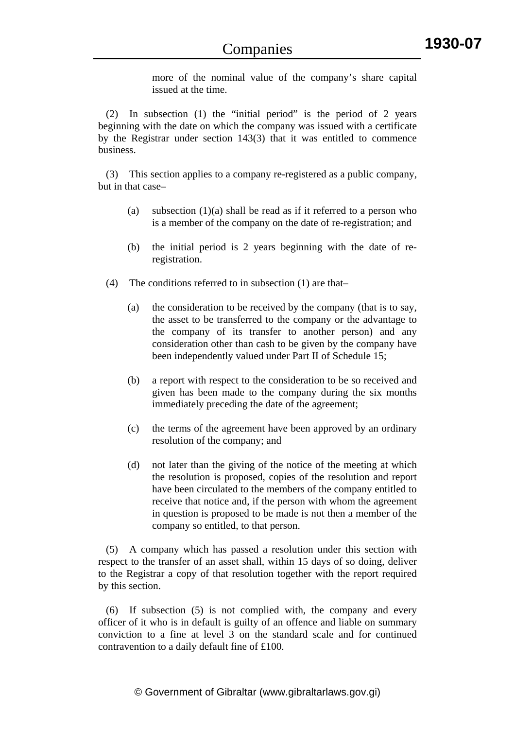more of the nominal value of the company's share capital issued at the time.

 (2) In subsection (1) the "initial period" is the period of 2 years beginning with the date on which the company was issued with a certificate by the Registrar under section 143(3) that it was entitled to commence business.

 (3) This section applies to a company re-registered as a public company, but in that case–

- (a) subsection  $(1)(a)$  shall be read as if it referred to a person who is a member of the company on the date of re-registration; and
- (b) the initial period is 2 years beginning with the date of reregistration.
- (4) The conditions referred to in subsection (1) are that–
	- (a) the consideration to be received by the company (that is to say, the asset to be transferred to the company or the advantage to the company of its transfer to another person) and any consideration other than cash to be given by the company have been independently valued under Part II of Schedule 15;
	- (b) a report with respect to the consideration to be so received and given has been made to the company during the six months immediately preceding the date of the agreement;
	- (c) the terms of the agreement have been approved by an ordinary resolution of the company; and
	- (d) not later than the giving of the notice of the meeting at which the resolution is proposed, copies of the resolution and report have been circulated to the members of the company entitled to receive that notice and, if the person with whom the agreement in question is proposed to be made is not then a member of the company so entitled, to that person.

 (5) A company which has passed a resolution under this section with respect to the transfer of an asset shall, within 15 days of so doing, deliver to the Registrar a copy of that resolution together with the report required by this section.

 (6) If subsection (5) is not complied with, the company and every officer of it who is in default is guilty of an offence and liable on summary conviction to a fine at level 3 on the standard scale and for continued contravention to a daily default fine of £100.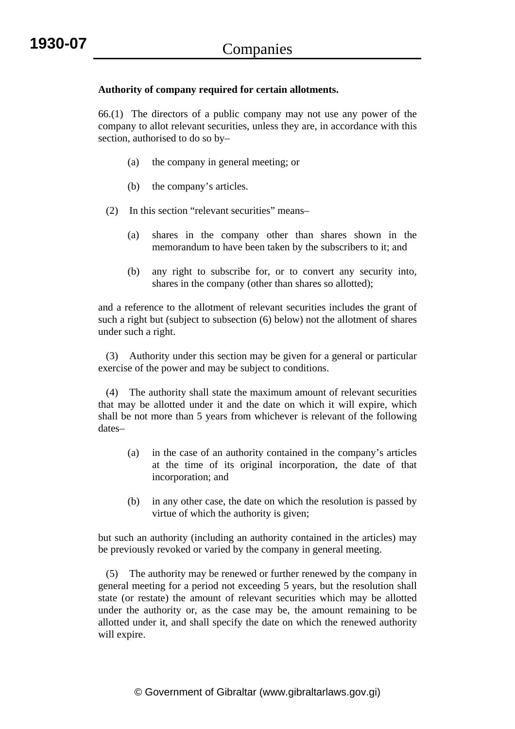# **Authority of company required for certain allotments.**

66.(1) The directors of a public company may not use any power of the company to allot relevant securities, unless they are, in accordance with this section, authorised to do so by–

- (a) the company in general meeting; or
- (b) the company's articles.
- (2) In this section "relevant securities" means–
	- (a) shares in the company other than shares shown in the memorandum to have been taken by the subscribers to it; and
	- (b) any right to subscribe for, or to convert any security into, shares in the company (other than shares so allotted);

and a reference to the allotment of relevant securities includes the grant of such a right but (subject to subsection (6) below) not the allotment of shares under such a right.

 (3) Authority under this section may be given for a general or particular exercise of the power and may be subject to conditions.

 (4) The authority shall state the maximum amount of relevant securities that may be allotted under it and the date on which it will expire, which shall be not more than 5 years from whichever is relevant of the following dates–

- (a) in the case of an authority contained in the company's articles at the time of its original incorporation, the date of that incorporation; and
- (b) in any other case, the date on which the resolution is passed by virtue of which the authority is given;

but such an authority (including an authority contained in the articles) may be previously revoked or varied by the company in general meeting.

 (5) The authority may be renewed or further renewed by the company in general meeting for a period not exceeding 5 years, but the resolution shall state (or restate) the amount of relevant securities which may be allotted under the authority or, as the case may be, the amount remaining to be allotted under it, and shall specify the date on which the renewed authority will expire.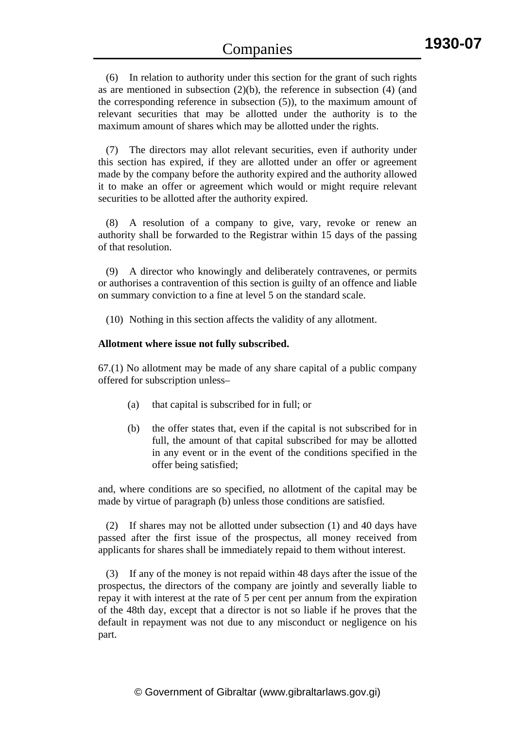(6) In relation to authority under this section for the grant of such rights as are mentioned in subsection  $(2)(b)$ , the reference in subsection  $(4)$  (and the corresponding reference in subsection (5)), to the maximum amount of relevant securities that may be allotted under the authority is to the maximum amount of shares which may be allotted under the rights.

 (7) The directors may allot relevant securities, even if authority under this section has expired, if they are allotted under an offer or agreement made by the company before the authority expired and the authority allowed it to make an offer or agreement which would or might require relevant securities to be allotted after the authority expired.

 (8) A resolution of a company to give, vary, revoke or renew an authority shall be forwarded to the Registrar within 15 days of the passing of that resolution.

 (9) A director who knowingly and deliberately contravenes, or permits or authorises a contravention of this section is guilty of an offence and liable on summary conviction to a fine at level 5 on the standard scale.

(10) Nothing in this section affects the validity of any allotment.

#### **Allotment where issue not fully subscribed.**

67.(1) No allotment may be made of any share capital of a public company offered for subscription unless–

- (a) that capital is subscribed for in full; or
- (b) the offer states that, even if the capital is not subscribed for in full, the amount of that capital subscribed for may be allotted in any event or in the event of the conditions specified in the offer being satisfied;

and, where conditions are so specified, no allotment of the capital may be made by virtue of paragraph (b) unless those conditions are satisfied.

 (2) If shares may not be allotted under subsection (1) and 40 days have passed after the first issue of the prospectus, all money received from applicants for shares shall be immediately repaid to them without interest.

 (3) If any of the money is not repaid within 48 days after the issue of the prospectus, the directors of the company are jointly and severally liable to repay it with interest at the rate of 5 per cent per annum from the expiration of the 48th day, except that a director is not so liable if he proves that the default in repayment was not due to any misconduct or negligence on his part.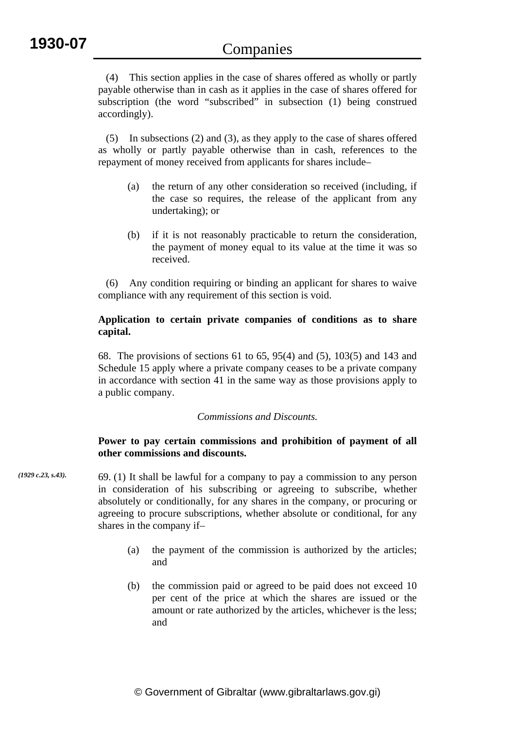(4) This section applies in the case of shares offered as wholly or partly payable otherwise than in cash as it applies in the case of shares offered for subscription (the word "subscribed" in subsection (1) being construed accordingly).

 (5) In subsections (2) and (3), as they apply to the case of shares offered as wholly or partly payable otherwise than in cash, references to the repayment of money received from applicants for shares include–

- (a) the return of any other consideration so received (including, if the case so requires, the release of the applicant from any undertaking); or
- (b) if it is not reasonably practicable to return the consideration, the payment of money equal to its value at the time it was so received.

 (6) Any condition requiring or binding an applicant for shares to waive compliance with any requirement of this section is void.

# **Application to certain private companies of conditions as to share capital.**

68. The provisions of sections 61 to 65, 95(4) and (5), 103(5) and 143 and Schedule 15 apply where a private company ceases to be a private company in accordance with section 41 in the same way as those provisions apply to a public company.

# *Commissions and Discounts.*

# **Power to pay certain commissions and prohibition of payment of all other commissions and discounts.**

- 69. (1) It shall be lawful for a company to pay a commission to any person in consideration of his subscribing or agreeing to subscribe, whether absolutely or conditionally, for any shares in the company, or procuring or agreeing to procure subscriptions, whether absolute or conditional, for any shares in the company if– *(1929 c.23, s.43).*
	- (a) the payment of the commission is authorized by the articles; and
	- (b) the commission paid or agreed to be paid does not exceed 10 per cent of the price at which the shares are issued or the amount or rate authorized by the articles, whichever is the less; and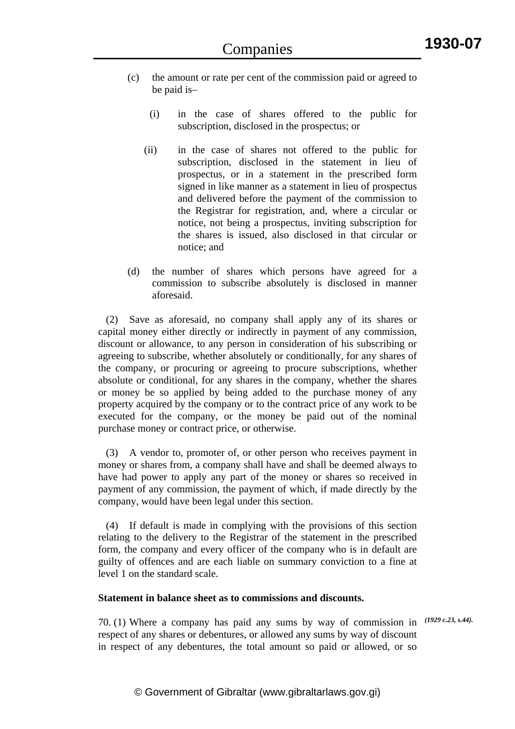- (c) the amount or rate per cent of the commission paid or agreed to be paid is–
	- (i) in the case of shares offered to the public for subscription, disclosed in the prospectus; or
	- (ii) in the case of shares not offered to the public for subscription, disclosed in the statement in lieu of prospectus, or in a statement in the prescribed form signed in like manner as a statement in lieu of prospectus and delivered before the payment of the commission to the Registrar for registration, and, where a circular or notice, not being a prospectus, inviting subscription for the shares is issued, also disclosed in that circular or notice; and
- (d) the number of shares which persons have agreed for a commission to subscribe absolutely is disclosed in manner aforesaid.

 (2) Save as aforesaid, no company shall apply any of its shares or capital money either directly or indirectly in payment of any commission, discount or allowance, to any person in consideration of his subscribing or agreeing to subscribe, whether absolutely or conditionally, for any shares of the company, or procuring or agreeing to procure subscriptions, whether absolute or conditional, for any shares in the company, whether the shares or money be so applied by being added to the purchase money of any property acquired by the company or to the contract price of any work to be executed for the company, or the money be paid out of the nominal purchase money or contract price, or otherwise.

 (3) A vendor to, promoter of, or other person who receives payment in money or shares from, a company shall have and shall be deemed always to have had power to apply any part of the money or shares so received in payment of any commission, the payment of which, if made directly by the company, would have been legal under this section.

 (4) If default is made in complying with the provisions of this section relating to the delivery to the Registrar of the statement in the prescribed form, the company and every officer of the company who is in default are guilty of offences and are each liable on summary conviction to a fine at level 1 on the standard scale.

# **Statement in balance sheet as to commissions and discounts.**

70. (1) Where a company has paid any sums by way of commission in *(1929 c.23, s.44).*respect of any shares or debentures, or allowed any sums by way of discount in respect of any debentures, the total amount so paid or allowed, or so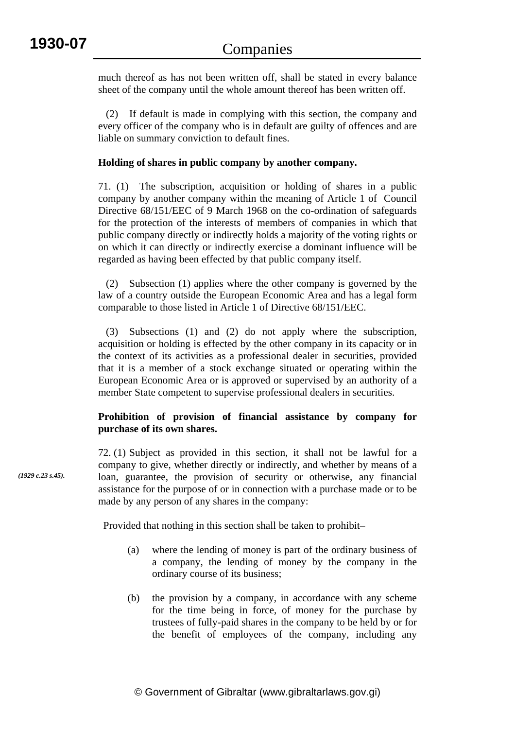much thereof as has not been written off, shall be stated in every balance sheet of the company until the whole amount thereof has been written off.

 (2) If default is made in complying with this section, the company and every officer of the company who is in default are guilty of offences and are liable on summary conviction to default fines.

# **Holding of shares in public company by another company.**

71. (1) The subscription, acquisition or holding of shares in a public company by another company within the meaning of Article 1 of Council Directive 68/151/EEC of 9 March 1968 on the co-ordination of safeguards for the protection of the interests of members of companies in which that public company directly or indirectly holds a majority of the voting rights or on which it can directly or indirectly exercise a dominant influence will be regarded as having been effected by that public company itself.

 (2) Subsection (1) applies where the other company is governed by the law of a country outside the European Economic Area and has a legal form comparable to those listed in Article 1 of Directive 68/151/EEC.

 (3) Subsections (1) and (2) do not apply where the subscription, acquisition or holding is effected by the other company in its capacity or in the context of its activities as a professional dealer in securities, provided that it is a member of a stock exchange situated or operating within the European Economic Area or is approved or supervised by an authority of a member State competent to supervise professional dealers in securities.

# **Prohibition of provision of financial assistance by company for purchase of its own shares.**

72. (1) Subject as provided in this section, it shall not be lawful for a company to give, whether directly or indirectly, and whether by means of a loan, guarantee, the provision of security or otherwise, any financial assistance for the purpose of or in connection with a purchase made or to be made by any person of any shares in the company:

Provided that nothing in this section shall be taken to prohibit–

- (a) where the lending of money is part of the ordinary business of a company, the lending of money by the company in the ordinary course of its business;
- (b) the provision by a company, in accordance with any scheme for the time being in force, of money for the purchase by trustees of fully-paid shares in the company to be held by or for the benefit of employees of the company, including any

*(1929 c.23 s.45).*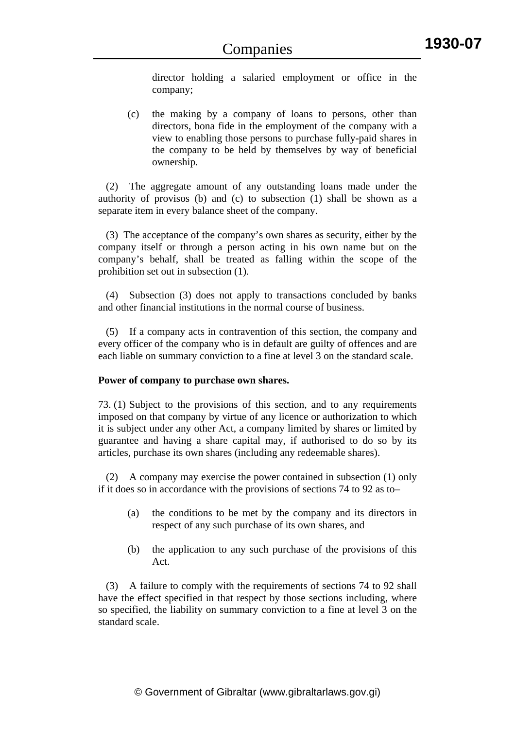director holding a salaried employment or office in the company;

(c) the making by a company of loans to persons, other than directors, bona fide in the employment of the company with a view to enabling those persons to purchase fully-paid shares in the company to be held by themselves by way of beneficial ownership.

 (2) The aggregate amount of any outstanding loans made under the authority of provisos (b) and (c) to subsection (1) shall be shown as a separate item in every balance sheet of the company.

(3) The acceptance of the company's own shares as security, either by the company itself or through a person acting in his own name but on the company's behalf, shall be treated as falling within the scope of the prohibition set out in subsection (1).

 (4) Subsection (3) does not apply to transactions concluded by banks and other financial institutions in the normal course of business.

 (5) If a company acts in contravention of this section, the company and every officer of the company who is in default are guilty of offences and are each liable on summary conviction to a fine at level 3 on the standard scale.

# **Power of company to purchase own shares.**

73. (1) Subject to the provisions of this section, and to any requirements imposed on that company by virtue of any licence or authorization to which it is subject under any other Act, a company limited by shares or limited by guarantee and having a share capital may, if authorised to do so by its articles, purchase its own shares (including any redeemable shares).

 (2) A company may exercise the power contained in subsection (1) only if it does so in accordance with the provisions of sections 74 to 92 as to–

- (a) the conditions to be met by the company and its directors in respect of any such purchase of its own shares, and
- (b) the application to any such purchase of the provisions of this Act.

 (3) A failure to comply with the requirements of sections 74 to 92 shall have the effect specified in that respect by those sections including, where so specified, the liability on summary conviction to a fine at level 3 on the standard scale.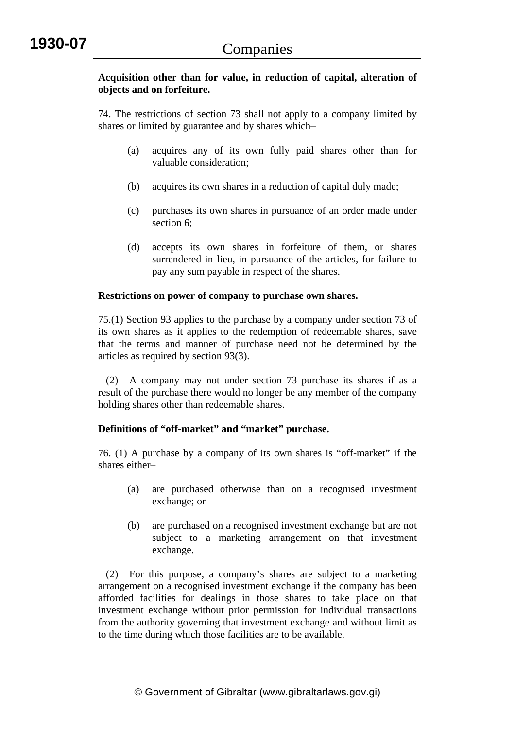# **Acquisition other than for value, in reduction of capital, alteration of objects and on forfeiture.**

74. The restrictions of section 73 shall not apply to a company limited by shares or limited by guarantee and by shares which–

- (a) acquires any of its own fully paid shares other than for valuable consideration;
- (b) acquires its own shares in a reduction of capital duly made;
- (c) purchases its own shares in pursuance of an order made under section 6;
- (d) accepts its own shares in forfeiture of them, or shares surrendered in lieu, in pursuance of the articles, for failure to pay any sum payable in respect of the shares.

# **Restrictions on power of company to purchase own shares.**

75.(1) Section 93 applies to the purchase by a company under section 73 of its own shares as it applies to the redemption of redeemable shares, save that the terms and manner of purchase need not be determined by the articles as required by section 93(3).

 (2) A company may not under section 73 purchase its shares if as a result of the purchase there would no longer be any member of the company holding shares other than redeemable shares.

# **Definitions of "off-market" and "market" purchase.**

76. (1) A purchase by a company of its own shares is "off-market" if the shares either–

- (a) are purchased otherwise than on a recognised investment exchange; or
- (b) are purchased on a recognised investment exchange but are not subject to a marketing arrangement on that investment exchange.

 (2) For this purpose, a company's shares are subject to a marketing arrangement on a recognised investment exchange if the company has been afforded facilities for dealings in those shares to take place on that investment exchange without prior permission for individual transactions from the authority governing that investment exchange and without limit as to the time during which those facilities are to be available.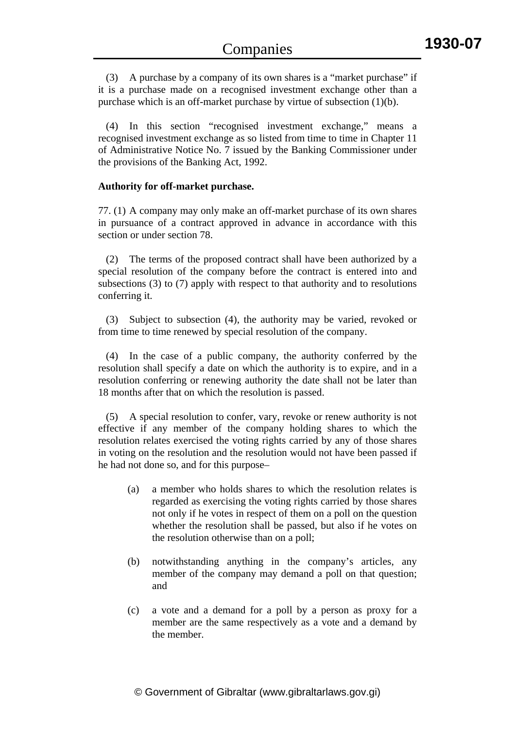(3) A purchase by a company of its own shares is a "market purchase" if it is a purchase made on a recognised investment exchange other than a purchase which is an off-market purchase by virtue of subsection (1)(b).

 (4) In this section "recognised investment exchange," means a recognised investment exchange as so listed from time to time in Chapter 11 of Administrative Notice No. 7 issued by the Banking Commissioner under the provisions of the Banking Act, 1992.

#### **Authority for off-market purchase.**

77. (1) A company may only make an off-market purchase of its own shares in pursuance of a contract approved in advance in accordance with this section or under section 78.

 (2) The terms of the proposed contract shall have been authorized by a special resolution of the company before the contract is entered into and subsections (3) to (7) apply with respect to that authority and to resolutions conferring it.

 (3) Subject to subsection (4), the authority may be varied, revoked or from time to time renewed by special resolution of the company.

 (4) In the case of a public company, the authority conferred by the resolution shall specify a date on which the authority is to expire, and in a resolution conferring or renewing authority the date shall not be later than 18 months after that on which the resolution is passed.

 (5) A special resolution to confer, vary, revoke or renew authority is not effective if any member of the company holding shares to which the resolution relates exercised the voting rights carried by any of those shares in voting on the resolution and the resolution would not have been passed if he had not done so, and for this purpose–

- (a) a member who holds shares to which the resolution relates is regarded as exercising the voting rights carried by those shares not only if he votes in respect of them on a poll on the question whether the resolution shall be passed, but also if he votes on the resolution otherwise than on a poll;
- (b) notwithstanding anything in the company's articles, any member of the company may demand a poll on that question; and
- (c) a vote and a demand for a poll by a person as proxy for a member are the same respectively as a vote and a demand by the member.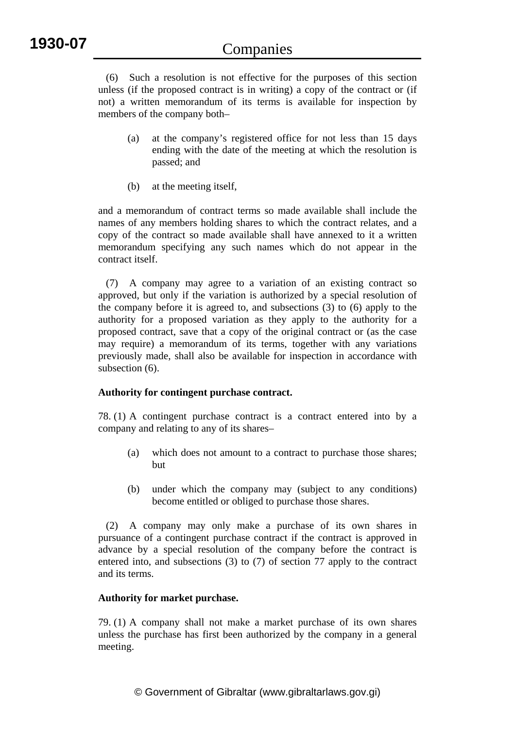(6) Such a resolution is not effective for the purposes of this section unless (if the proposed contract is in writing) a copy of the contract or (if not) a written memorandum of its terms is available for inspection by members of the company both–

- (a) at the company's registered office for not less than 15 days ending with the date of the meeting at which the resolution is passed; and
- (b) at the meeting itself,

and a memorandum of contract terms so made available shall include the names of any members holding shares to which the contract relates, and a copy of the contract so made available shall have annexed to it a written memorandum specifying any such names which do not appear in the contract itself.

 (7) A company may agree to a variation of an existing contract so approved, but only if the variation is authorized by a special resolution of the company before it is agreed to, and subsections (3) to (6) apply to the authority for a proposed variation as they apply to the authority for a proposed contract, save that a copy of the original contract or (as the case may require) a memorandum of its terms, together with any variations previously made, shall also be available for inspection in accordance with subsection  $(6)$ .

# **Authority for contingent purchase contract.**

78. (1) A contingent purchase contract is a contract entered into by a company and relating to any of its shares–

- (a) which does not amount to a contract to purchase those shares; but
- (b) under which the company may (subject to any conditions) become entitled or obliged to purchase those shares.

 (2) A company may only make a purchase of its own shares in pursuance of a contingent purchase contract if the contract is approved in advance by a special resolution of the company before the contract is entered into, and subsections (3) to (7) of section 77 apply to the contract and its terms.

# **Authority for market purchase.**

79. (1) A company shall not make a market purchase of its own shares unless the purchase has first been authorized by the company in a general meeting.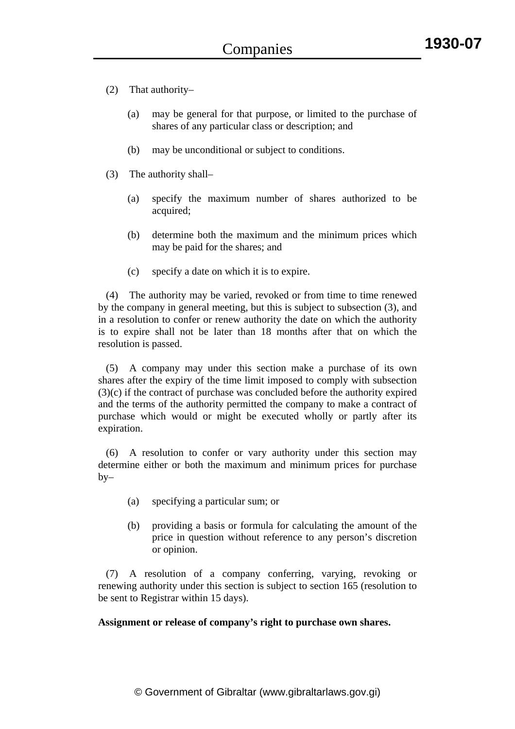- (2) That authority–
	- (a) may be general for that purpose, or limited to the purchase of shares of any particular class or description; and
	- (b) may be unconditional or subject to conditions.
- (3) The authority shall–
	- (a) specify the maximum number of shares authorized to be acquired;
	- (b) determine both the maximum and the minimum prices which may be paid for the shares; and
	- (c) specify a date on which it is to expire.

 (4) The authority may be varied, revoked or from time to time renewed by the company in general meeting, but this is subject to subsection (3), and in a resolution to confer or renew authority the date on which the authority is to expire shall not be later than 18 months after that on which the resolution is passed.

 (5) A company may under this section make a purchase of its own shares after the expiry of the time limit imposed to comply with subsection (3)(c) if the contract of purchase was concluded before the authority expired and the terms of the authority permitted the company to make a contract of purchase which would or might be executed wholly or partly after its expiration.

 (6) A resolution to confer or vary authority under this section may determine either or both the maximum and minimum prices for purchase  $by-$ 

- (a) specifying a particular sum; or
- (b) providing a basis or formula for calculating the amount of the price in question without reference to any person's discretion or opinion.

 (7) A resolution of a company conferring, varying, revoking or renewing authority under this section is subject to section 165 (resolution to be sent to Registrar within 15 days).

#### **Assignment or release of company's right to purchase own shares.**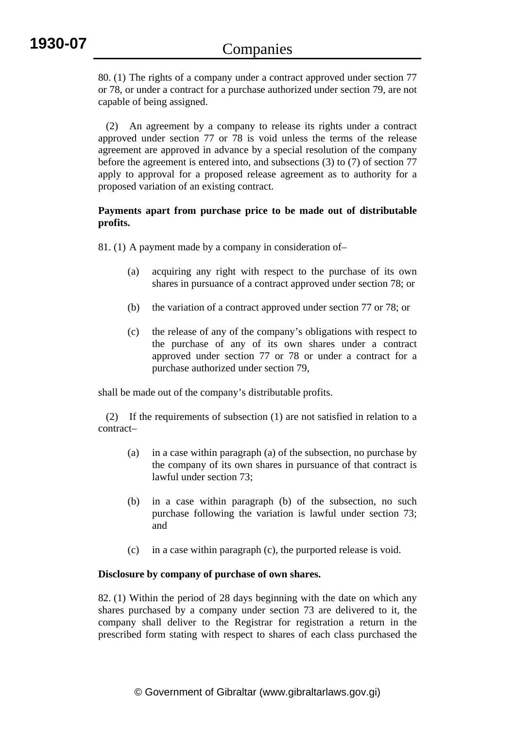80. (1) The rights of a company under a contract approved under section 77 or 78, or under a contract for a purchase authorized under section 79, are not capable of being assigned.

 (2) An agreement by a company to release its rights under a contract approved under section 77 or 78 is void unless the terms of the release agreement are approved in advance by a special resolution of the company before the agreement is entered into, and subsections (3) to (7) of section 77 apply to approval for a proposed release agreement as to authority for a proposed variation of an existing contract.

# **Payments apart from purchase price to be made out of distributable profits.**

81. (1) A payment made by a company in consideration of–

- (a) acquiring any right with respect to the purchase of its own shares in pursuance of a contract approved under section 78; or
- (b) the variation of a contract approved under section 77 or 78; or
- (c) the release of any of the company's obligations with respect to the purchase of any of its own shares under a contract approved under section 77 or 78 or under a contract for a purchase authorized under section 79,

shall be made out of the company's distributable profits.

 (2) If the requirements of subsection (1) are not satisfied in relation to a contract–

- (a) in a case within paragraph (a) of the subsection, no purchase by the company of its own shares in pursuance of that contract is lawful under section 73;
- (b) in a case within paragraph (b) of the subsection, no such purchase following the variation is lawful under section 73; and
- (c) in a case within paragraph (c), the purported release is void.

# **Disclosure by company of purchase of own shares.**

82. (1) Within the period of 28 days beginning with the date on which any shares purchased by a company under section 73 are delivered to it, the company shall deliver to the Registrar for registration a return in the prescribed form stating with respect to shares of each class purchased the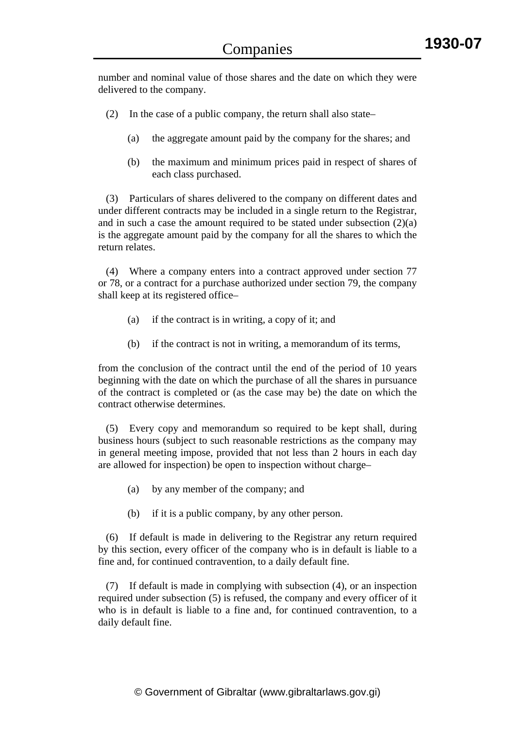number and nominal value of those shares and the date on which they were delivered to the company.

- (2) In the case of a public company, the return shall also state–
	- (a) the aggregate amount paid by the company for the shares; and
	- (b) the maximum and minimum prices paid in respect of shares of each class purchased.

 (3) Particulars of shares delivered to the company on different dates and under different contracts may be included in a single return to the Registrar, and in such a case the amount required to be stated under subsection (2)(a) is the aggregate amount paid by the company for all the shares to which the return relates.

 (4) Where a company enters into a contract approved under section 77 or 78, or a contract for a purchase authorized under section 79, the company shall keep at its registered office–

- (a) if the contract is in writing, a copy of it; and
- (b) if the contract is not in writing, a memorandum of its terms,

from the conclusion of the contract until the end of the period of 10 years beginning with the date on which the purchase of all the shares in pursuance of the contract is completed or (as the case may be) the date on which the contract otherwise determines.

 (5) Every copy and memorandum so required to be kept shall, during business hours (subject to such reasonable restrictions as the company may in general meeting impose, provided that not less than 2 hours in each day are allowed for inspection) be open to inspection without charge–

- (a) by any member of the company; and
- (b) if it is a public company, by any other person.

 (6) If default is made in delivering to the Registrar any return required by this section, every officer of the company who is in default is liable to a fine and, for continued contravention, to a daily default fine.

 (7) If default is made in complying with subsection (4), or an inspection required under subsection (5) is refused, the company and every officer of it who is in default is liable to a fine and, for continued contravention, to a daily default fine.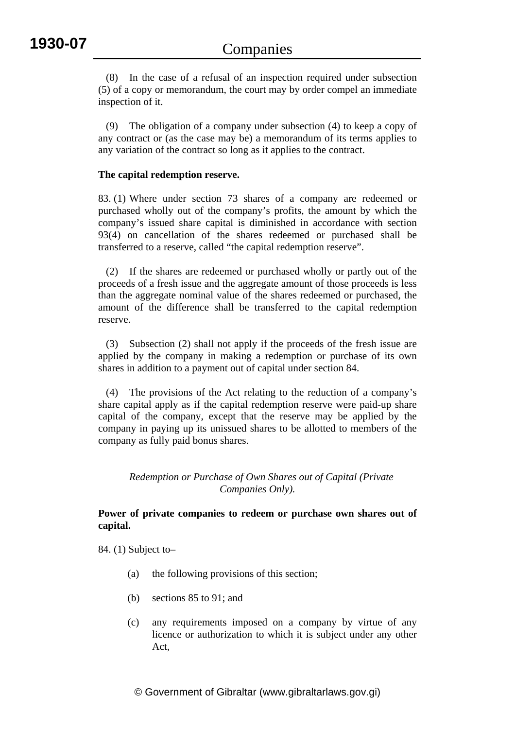(8) In the case of a refusal of an inspection required under subsection (5) of a copy or memorandum, the court may by order compel an immediate inspection of it.

 (9) The obligation of a company under subsection (4) to keep a copy of any contract or (as the case may be) a memorandum of its terms applies to any variation of the contract so long as it applies to the contract.

# **The capital redemption reserve.**

83. (1) Where under section 73 shares of a company are redeemed or purchased wholly out of the company's profits, the amount by which the company's issued share capital is diminished in accordance with section 93(4) on cancellation of the shares redeemed or purchased shall be transferred to a reserve, called "the capital redemption reserve".

 (2) If the shares are redeemed or purchased wholly or partly out of the proceeds of a fresh issue and the aggregate amount of those proceeds is less than the aggregate nominal value of the shares redeemed or purchased, the amount of the difference shall be transferred to the capital redemption reserve.

 (3) Subsection (2) shall not apply if the proceeds of the fresh issue are applied by the company in making a redemption or purchase of its own shares in addition to a payment out of capital under section 84.

 (4) The provisions of the Act relating to the reduction of a company's share capital apply as if the capital redemption reserve were paid-up share capital of the company, except that the reserve may be applied by the company in paying up its unissued shares to be allotted to members of the company as fully paid bonus shares.

# *Redemption or Purchase of Own Shares out of Capital (Private Companies Only).*

# **Power of private companies to redeem or purchase own shares out of capital.**

84. (1) Subject to–

- (a) the following provisions of this section;
- (b) sections 85 to 91; and
- (c) any requirements imposed on a company by virtue of any licence or authorization to which it is subject under any other Act,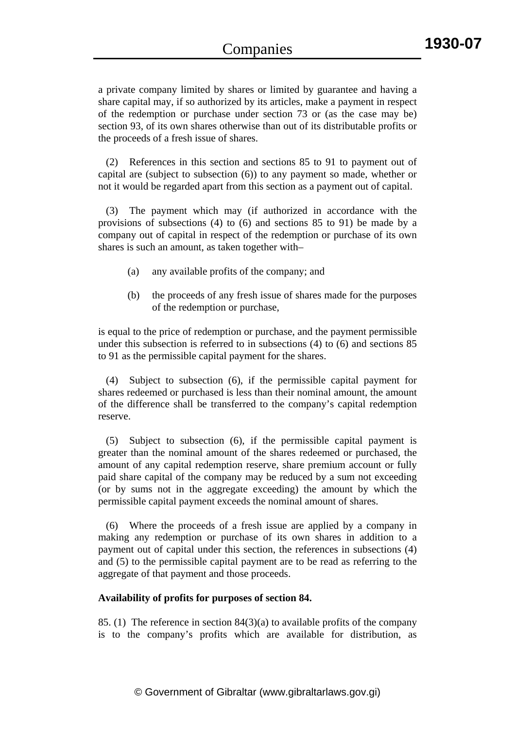a private company limited by shares or limited by guarantee and having a share capital may, if so authorized by its articles, make a payment in respect of the redemption or purchase under section 73 or (as the case may be) section 93, of its own shares otherwise than out of its distributable profits or the proceeds of a fresh issue of shares.

 (2) References in this section and sections 85 to 91 to payment out of capital are (subject to subsection (6)) to any payment so made, whether or not it would be regarded apart from this section as a payment out of capital.

The payment which may (if authorized in accordance with the provisions of subsections (4) to (6) and sections 85 to 91) be made by a company out of capital in respect of the redemption or purchase of its own shares is such an amount, as taken together with–

- (a) any available profits of the company; and
- (b) the proceeds of any fresh issue of shares made for the purposes of the redemption or purchase,

is equal to the price of redemption or purchase, and the payment permissible under this subsection is referred to in subsections (4) to (6) and sections 85 to 91 as the permissible capital payment for the shares.

 (4) Subject to subsection (6), if the permissible capital payment for shares redeemed or purchased is less than their nominal amount, the amount of the difference shall be transferred to the company's capital redemption reserve.

 (5) Subject to subsection (6), if the permissible capital payment is greater than the nominal amount of the shares redeemed or purchased, the amount of any capital redemption reserve, share premium account or fully paid share capital of the company may be reduced by a sum not exceeding (or by sums not in the aggregate exceeding) the amount by which the permissible capital payment exceeds the nominal amount of shares.

 (6) Where the proceeds of a fresh issue are applied by a company in making any redemption or purchase of its own shares in addition to a payment out of capital under this section, the references in subsections (4) and (5) to the permissible capital payment are to be read as referring to the aggregate of that payment and those proceeds.

# **Availability of profits for purposes of section 84.**

85. (1) The reference in section 84(3)(a) to available profits of the company is to the company's profits which are available for distribution, as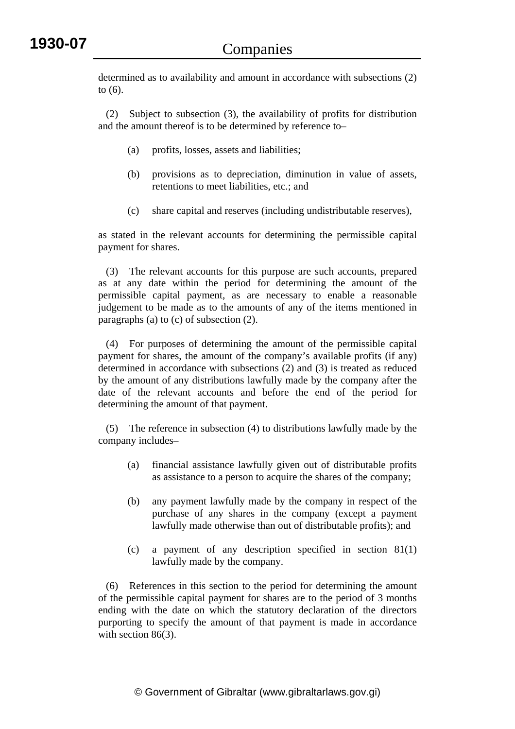determined as to availability and amount in accordance with subsections (2) to (6).

 (2) Subject to subsection (3), the availability of profits for distribution and the amount thereof is to be determined by reference to–

- (a) profits, losses, assets and liabilities;
- (b) provisions as to depreciation, diminution in value of assets, retentions to meet liabilities, etc.; and
- (c) share capital and reserves (including undistributable reserves),

as stated in the relevant accounts for determining the permissible capital payment for shares.

 (3) The relevant accounts for this purpose are such accounts, prepared as at any date within the period for determining the amount of the permissible capital payment, as are necessary to enable a reasonable judgement to be made as to the amounts of any of the items mentioned in paragraphs (a) to (c) of subsection (2).

 (4) For purposes of determining the amount of the permissible capital payment for shares, the amount of the company's available profits (if any) determined in accordance with subsections (2) and (3) is treated as reduced by the amount of any distributions lawfully made by the company after the date of the relevant accounts and before the end of the period for determining the amount of that payment.

 (5) The reference in subsection (4) to distributions lawfully made by the company includes–

- (a) financial assistance lawfully given out of distributable profits as assistance to a person to acquire the shares of the company;
- (b) any payment lawfully made by the company in respect of the purchase of any shares in the company (except a payment lawfully made otherwise than out of distributable profits); and
- (c) a payment of any description specified in section 81(1) lawfully made by the company.

 (6) References in this section to the period for determining the amount of the permissible capital payment for shares are to the period of 3 months ending with the date on which the statutory declaration of the directors purporting to specify the amount of that payment is made in accordance with section 86(3).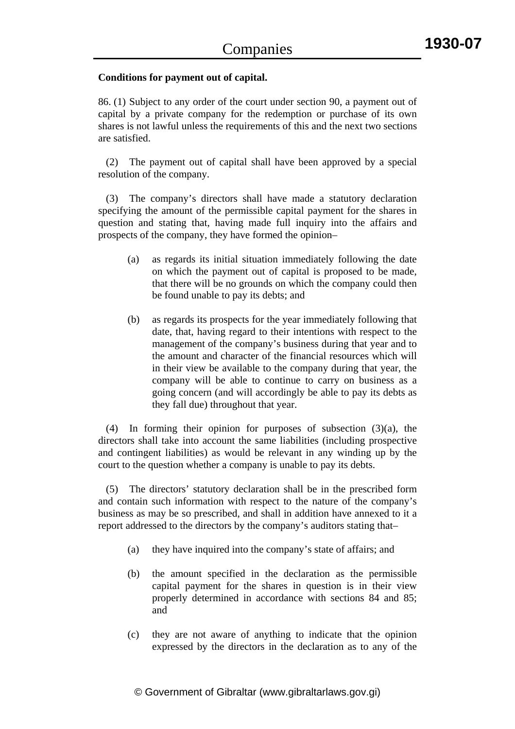## **Conditions for payment out of capital.**

86. (1) Subject to any order of the court under section 90, a payment out of capital by a private company for the redemption or purchase of its own shares is not lawful unless the requirements of this and the next two sections are satisfied.

 (2) The payment out of capital shall have been approved by a special resolution of the company.

 (3) The company's directors shall have made a statutory declaration specifying the amount of the permissible capital payment for the shares in question and stating that, having made full inquiry into the affairs and prospects of the company, they have formed the opinion–

- (a) as regards its initial situation immediately following the date on which the payment out of capital is proposed to be made, that there will be no grounds on which the company could then be found unable to pay its debts; and
- (b) as regards its prospects for the year immediately following that date, that, having regard to their intentions with respect to the management of the company's business during that year and to the amount and character of the financial resources which will in their view be available to the company during that year, the company will be able to continue to carry on business as a going concern (and will accordingly be able to pay its debts as they fall due) throughout that year.

 (4) In forming their opinion for purposes of subsection (3)(a), the directors shall take into account the same liabilities (including prospective and contingent liabilities) as would be relevant in any winding up by the court to the question whether a company is unable to pay its debts.

 (5) The directors' statutory declaration shall be in the prescribed form and contain such information with respect to the nature of the company's business as may be so prescribed, and shall in addition have annexed to it a report addressed to the directors by the company's auditors stating that–

- (a) they have inquired into the company's state of affairs; and
- (b) the amount specified in the declaration as the permissible capital payment for the shares in question is in their view properly determined in accordance with sections 84 and 85; and
- (c) they are not aware of anything to indicate that the opinion expressed by the directors in the declaration as to any of the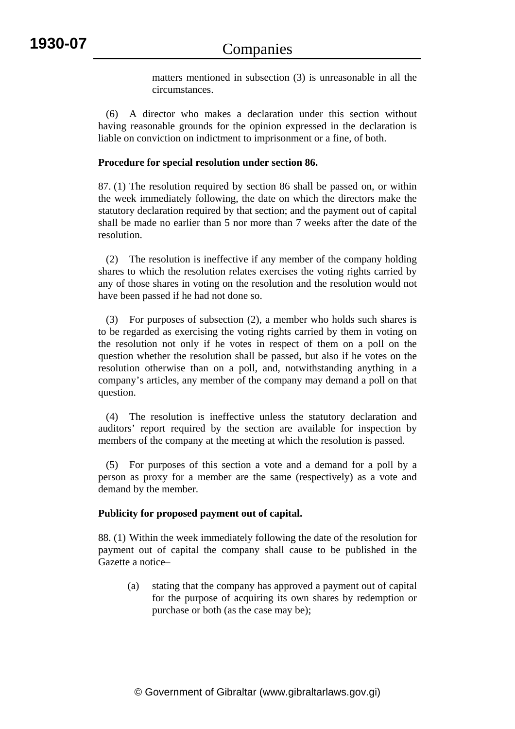matters mentioned in subsection (3) is unreasonable in all the circumstances.

 (6) A director who makes a declaration under this section without having reasonable grounds for the opinion expressed in the declaration is liable on conviction on indictment to imprisonment or a fine, of both.

# **Procedure for special resolution under section 86.**

87. (1) The resolution required by section 86 shall be passed on, or within the week immediately following, the date on which the directors make the statutory declaration required by that section; and the payment out of capital shall be made no earlier than 5 nor more than 7 weeks after the date of the resolution.

 (2) The resolution is ineffective if any member of the company holding shares to which the resolution relates exercises the voting rights carried by any of those shares in voting on the resolution and the resolution would not have been passed if he had not done so.

 (3) For purposes of subsection (2), a member who holds such shares is to be regarded as exercising the voting rights carried by them in voting on the resolution not only if he votes in respect of them on a poll on the question whether the resolution shall be passed, but also if he votes on the resolution otherwise than on a poll, and, notwithstanding anything in a company's articles, any member of the company may demand a poll on that question.

 (4) The resolution is ineffective unless the statutory declaration and auditors' report required by the section are available for inspection by members of the company at the meeting at which the resolution is passed.

 (5) For purposes of this section a vote and a demand for a poll by a person as proxy for a member are the same (respectively) as a vote and demand by the member.

# **Publicity for proposed payment out of capital.**

88. (1) Within the week immediately following the date of the resolution for payment out of capital the company shall cause to be published in the Gazette a notice–

(a) stating that the company has approved a payment out of capital for the purpose of acquiring its own shares by redemption or purchase or both (as the case may be);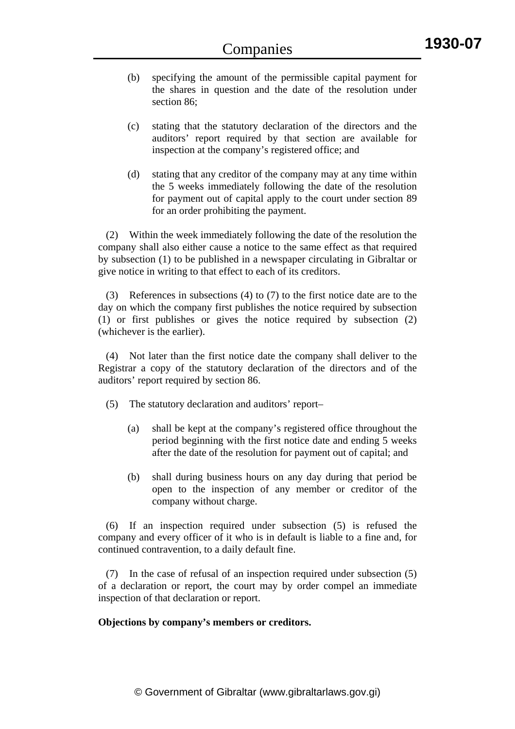- (b) specifying the amount of the permissible capital payment for the shares in question and the date of the resolution under section 86;
- (c) stating that the statutory declaration of the directors and the auditors' report required by that section are available for inspection at the company's registered office; and
- (d) stating that any creditor of the company may at any time within the 5 weeks immediately following the date of the resolution for payment out of capital apply to the court under section 89 for an order prohibiting the payment.

 (2) Within the week immediately following the date of the resolution the company shall also either cause a notice to the same effect as that required by subsection (1) to be published in a newspaper circulating in Gibraltar or give notice in writing to that effect to each of its creditors.

 (3) References in subsections (4) to (7) to the first notice date are to the day on which the company first publishes the notice required by subsection (1) or first publishes or gives the notice required by subsection (2) (whichever is the earlier).

 (4) Not later than the first notice date the company shall deliver to the Registrar a copy of the statutory declaration of the directors and of the auditors' report required by section 86.

- (5) The statutory declaration and auditors' report–
	- (a) shall be kept at the company's registered office throughout the period beginning with the first notice date and ending 5 weeks after the date of the resolution for payment out of capital; and
	- (b) shall during business hours on any day during that period be open to the inspection of any member or creditor of the company without charge.

 (6) If an inspection required under subsection (5) is refused the company and every officer of it who is in default is liable to a fine and, for continued contravention, to a daily default fine.

 (7) In the case of refusal of an inspection required under subsection (5) of a declaration or report, the court may by order compel an immediate inspection of that declaration or report.

# **Objections by company's members or creditors.**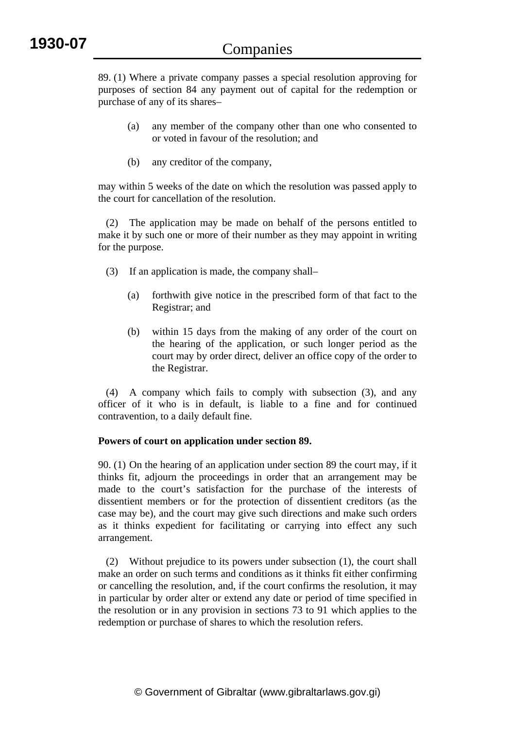89. (1) Where a private company passes a special resolution approving for purposes of section 84 any payment out of capital for the redemption or purchase of any of its shares–

- (a) any member of the company other than one who consented to or voted in favour of the resolution; and
- (b) any creditor of the company,

may within 5 weeks of the date on which the resolution was passed apply to the court for cancellation of the resolution.

 (2) The application may be made on behalf of the persons entitled to make it by such one or more of their number as they may appoint in writing for the purpose.

- (3) If an application is made, the company shall–
	- (a) forthwith give notice in the prescribed form of that fact to the Registrar; and
	- (b) within 15 days from the making of any order of the court on the hearing of the application, or such longer period as the court may by order direct, deliver an office copy of the order to the Registrar.

 (4) A company which fails to comply with subsection (3), and any officer of it who is in default, is liable to a fine and for continued contravention, to a daily default fine.

# **Powers of court on application under section 89.**

90. (1) On the hearing of an application under section 89 the court may, if it thinks fit, adjourn the proceedings in order that an arrangement may be made to the court's satisfaction for the purchase of the interests of dissentient members or for the protection of dissentient creditors (as the case may be), and the court may give such directions and make such orders as it thinks expedient for facilitating or carrying into effect any such arrangement.

 (2) Without prejudice to its powers under subsection (1), the court shall make an order on such terms and conditions as it thinks fit either confirming or cancelling the resolution, and, if the court confirms the resolution, it may in particular by order alter or extend any date or period of time specified in the resolution or in any provision in sections 73 to 91 which applies to the redemption or purchase of shares to which the resolution refers.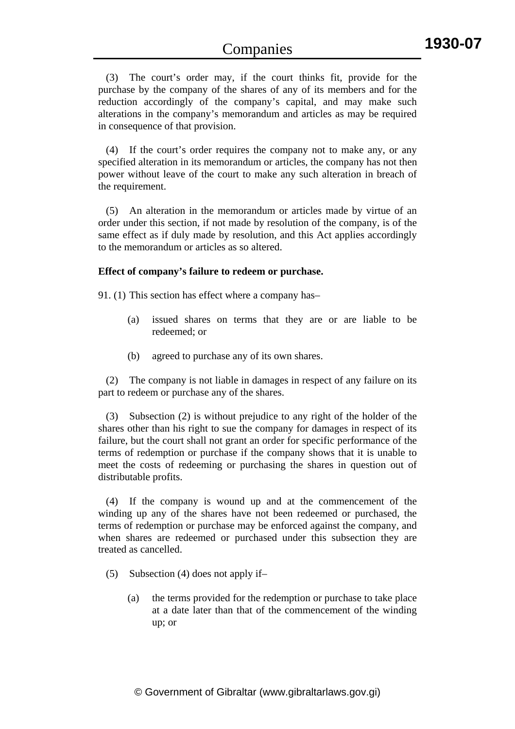(3) The court's order may, if the court thinks fit, provide for the purchase by the company of the shares of any of its members and for the reduction accordingly of the company's capital, and may make such alterations in the company's memorandum and articles as may be required in consequence of that provision.

 (4) If the court's order requires the company not to make any, or any specified alteration in its memorandum or articles, the company has not then power without leave of the court to make any such alteration in breach of the requirement.

 (5) An alteration in the memorandum or articles made by virtue of an order under this section, if not made by resolution of the company, is of the same effect as if duly made by resolution, and this Act applies accordingly to the memorandum or articles as so altered.

## **Effect of company's failure to redeem or purchase.**

91. (1) This section has effect where a company has–

- (a) issued shares on terms that they are or are liable to be redeemed; or
- (b) agreed to purchase any of its own shares.

 (2) The company is not liable in damages in respect of any failure on its part to redeem or purchase any of the shares.

 (3) Subsection (2) is without prejudice to any right of the holder of the shares other than his right to sue the company for damages in respect of its failure, but the court shall not grant an order for specific performance of the terms of redemption or purchase if the company shows that it is unable to meet the costs of redeeming or purchasing the shares in question out of distributable profits.

 (4) If the company is wound up and at the commencement of the winding up any of the shares have not been redeemed or purchased, the terms of redemption or purchase may be enforced against the company, and when shares are redeemed or purchased under this subsection they are treated as cancelled.

- (5) Subsection (4) does not apply if–
	- (a) the terms provided for the redemption or purchase to take place at a date later than that of the commencement of the winding up; or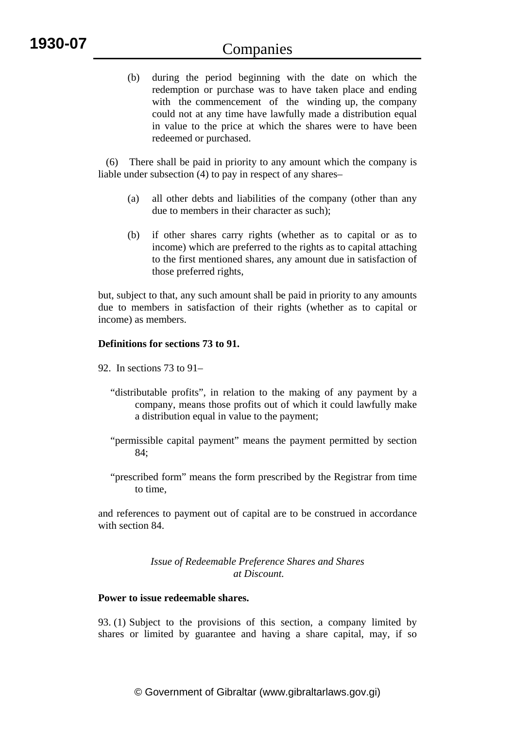(b) during the period beginning with the date on which the redemption or purchase was to have taken place and ending with the commencement of the winding up, the company could not at any time have lawfully made a distribution equal in value to the price at which the shares were to have been redeemed or purchased.

 (6) There shall be paid in priority to any amount which the company is liable under subsection (4) to pay in respect of any shares–

- (a) all other debts and liabilities of the company (other than any due to members in their character as such);
- (b) if other shares carry rights (whether as to capital or as to income) which are preferred to the rights as to capital attaching to the first mentioned shares, any amount due in satisfaction of those preferred rights,

but, subject to that, any such amount shall be paid in priority to any amounts due to members in satisfaction of their rights (whether as to capital or income) as members.

# **Definitions for sections 73 to 91.**

92. In sections 73 to 91–

- "distributable profits", in relation to the making of any payment by a company, means those profits out of which it could lawfully make a distribution equal in value to the payment;
- "permissible capital payment" means the payment permitted by section 84;
- "prescribed form" means the form prescribed by the Registrar from time to time,

and references to payment out of capital are to be construed in accordance with section 84.

# *Issue of Redeemable Preference Shares and Shares at Discount.*

# **Power to issue redeemable shares.**

93. (1) Subject to the provisions of this section, a company limited by shares or limited by guarantee and having a share capital, may, if so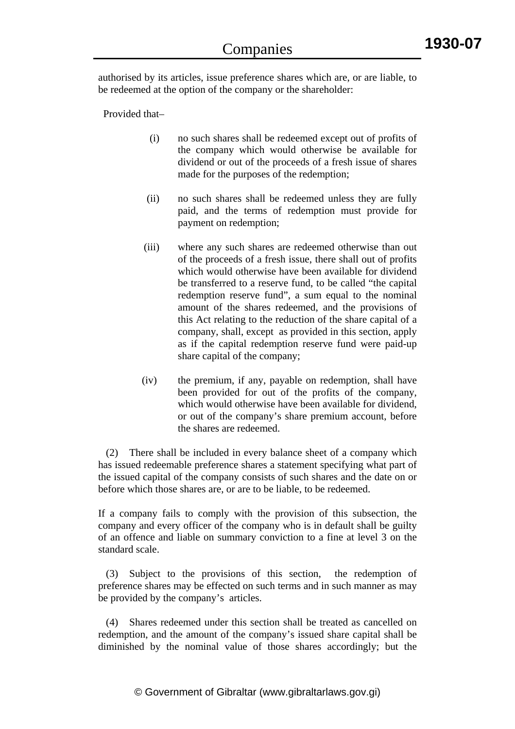authorised by its articles, issue preference shares which are, or are liable, to be redeemed at the option of the company or the shareholder:

Provided that–

- (i) no such shares shall be redeemed except out of profits of the company which would otherwise be available for dividend or out of the proceeds of a fresh issue of shares made for the purposes of the redemption;
- (ii) no such shares shall be redeemed unless they are fully paid, and the terms of redemption must provide for payment on redemption;
- (iii) where any such shares are redeemed otherwise than out of the proceeds of a fresh issue, there shall out of profits which would otherwise have been available for dividend be transferred to a reserve fund, to be called "the capital redemption reserve fund", a sum equal to the nominal amount of the shares redeemed, and the provisions of this Act relating to the reduction of the share capital of a company, shall, except as provided in this section, apply as if the capital redemption reserve fund were paid-up share capital of the company;
- (iv) the premium, if any, payable on redemption, shall have been provided for out of the profits of the company, which would otherwise have been available for dividend, or out of the company's share premium account, before the shares are redeemed.

 (2) There shall be included in every balance sheet of a company which has issued redeemable preference shares a statement specifying what part of the issued capital of the company consists of such shares and the date on or before which those shares are, or are to be liable, to be redeemed.

If a company fails to comply with the provision of this subsection, the company and every officer of the company who is in default shall be guilty of an offence and liable on summary conviction to a fine at level 3 on the standard scale.

 (3) Subject to the provisions of this section, the redemption of preference shares may be effected on such terms and in such manner as may be provided by the company's articles.

 (4) Shares redeemed under this section shall be treated as cancelled on redemption, and the amount of the company's issued share capital shall be diminished by the nominal value of those shares accordingly; but the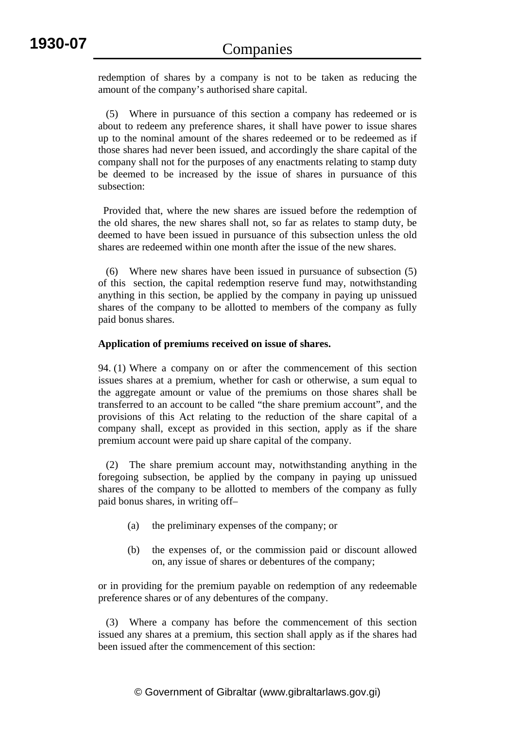redemption of shares by a company is not to be taken as reducing the amount of the company's authorised share capital.

Where in pursuance of this section a company has redeemed or is about to redeem any preference shares, it shall have power to issue shares up to the nominal amount of the shares redeemed or to be redeemed as if those shares had never been issued, and accordingly the share capital of the company shall not for the purposes of any enactments relating to stamp duty be deemed to be increased by the issue of shares in pursuance of this subsection:

 Provided that, where the new shares are issued before the redemption of the old shares, the new shares shall not, so far as relates to stamp duty, be deemed to have been issued in pursuance of this subsection unless the old shares are redeemed within one month after the issue of the new shares.

 (6) Where new shares have been issued in pursuance of subsection (5) of this section, the capital redemption reserve fund may, notwithstanding anything in this section, be applied by the company in paying up unissued shares of the company to be allotted to members of the company as fully paid bonus shares.

# **Application of premiums received on issue of shares.**

94. (1) Where a company on or after the commencement of this section issues shares at a premium, whether for cash or otherwise, a sum equal to the aggregate amount or value of the premiums on those shares shall be transferred to an account to be called "the share premium account", and the provisions of this Act relating to the reduction of the share capital of a company shall, except as provided in this section, apply as if the share premium account were paid up share capital of the company.

 (2) The share premium account may, notwithstanding anything in the foregoing subsection, be applied by the company in paying up unissued shares of the company to be allotted to members of the company as fully paid bonus shares, in writing off–

- (a) the preliminary expenses of the company; or
- (b) the expenses of, or the commission paid or discount allowed on, any issue of shares or debentures of the company;

or in providing for the premium payable on redemption of any redeemable preference shares or of any debentures of the company.

 (3) Where a company has before the commencement of this section issued any shares at a premium, this section shall apply as if the shares had been issued after the commencement of this section: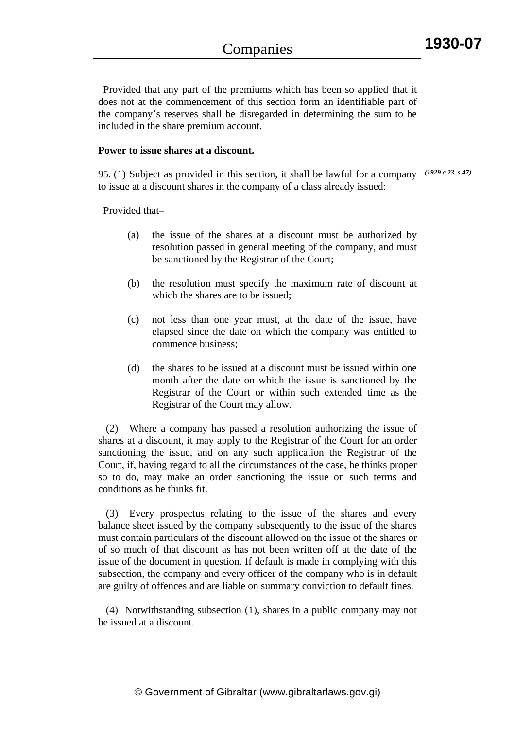Provided that any part of the premiums which has been so applied that it does not at the commencement of this section form an identifiable part of the company's reserves shall be disregarded in determining the sum to be included in the share premium account.

### **Power to issue shares at a discount.**

95. (1) Subject as provided in this section, it shall be lawful for a company *(1929 c.23, s.47).*to issue at a discount shares in the company of a class already issued:

Provided that–

- (a) the issue of the shares at a discount must be authorized by resolution passed in general meeting of the company, and must be sanctioned by the Registrar of the Court;
- (b) the resolution must specify the maximum rate of discount at which the shares are to be issued;
- (c) not less than one year must, at the date of the issue, have elapsed since the date on which the company was entitled to commence business;
- (d) the shares to be issued at a discount must be issued within one month after the date on which the issue is sanctioned by the Registrar of the Court or within such extended time as the Registrar of the Court may allow.

 (2) Where a company has passed a resolution authorizing the issue of shares at a discount, it may apply to the Registrar of the Court for an order sanctioning the issue, and on any such application the Registrar of the Court, if, having regard to all the circumstances of the case, he thinks proper so to do, may make an order sanctioning the issue on such terms and conditions as he thinks fit.

 (3) Every prospectus relating to the issue of the shares and every balance sheet issued by the company subsequently to the issue of the shares must contain particulars of the discount allowed on the issue of the shares or of so much of that discount as has not been written off at the date of the issue of the document in question. If default is made in complying with this subsection, the company and every officer of the company who is in default are guilty of offences and are liable on summary conviction to default fines.

 (4) Notwithstanding subsection (1), shares in a public company may not be issued at a discount.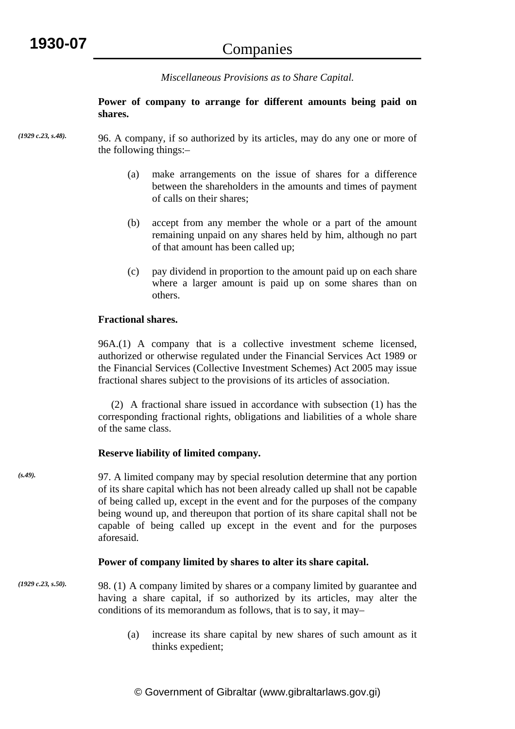*Miscellaneous Provisions as to Share Capital.* 

**Power of company to arrange for different amounts being paid on shares.** 

*(1929 c.23, s.48).*

96. A company, if so authorized by its articles, may do any one or more of the following things:–

- (a) make arrangements on the issue of shares for a difference between the shareholders in the amounts and times of payment of calls on their shares;
- (b) accept from any member the whole or a part of the amount remaining unpaid on any shares held by him, although no part of that amount has been called up;
- (c) pay dividend in proportion to the amount paid up on each share where a larger amount is paid up on some shares than on others.

# **Fractional shares.**

96A.(1) A company that is a collective investment scheme licensed, authorized or otherwise regulated under the Financial Services Act 1989 or the Financial Services (Collective Investment Schemes) Act 2005 may issue fractional shares subject to the provisions of its articles of association.

 (2) A fractional share issued in accordance with subsection (1) has the corresponding fractional rights, obligations and liabilities of a whole share of the same class.

#### **Reserve liability of limited company.**

97. A limited company may by special resolution determine that any portion of its share capital which has not been already called up shall not be capable of being called up, except in the event and for the purposes of the company being wound up, and thereupon that portion of its share capital shall not be capable of being called up except in the event and for the purposes aforesaid.

#### **Power of company limited by shares to alter its share capital.**

- 98. (1) A company limited by shares or a company limited by guarantee and having a share capital, if so authorized by its articles, may alter the conditions of its memorandum as follows, that is to say, it may– *(1929 c.23, s.50).*
	- (a) increase its share capital by new shares of such amount as it thinks expedient;

*(s.49).*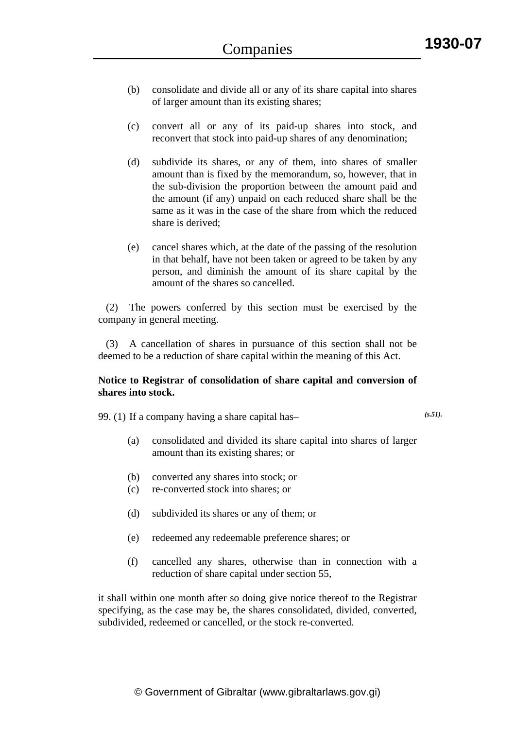- (b) consolidate and divide all or any of its share capital into shares of larger amount than its existing shares;
- (c) convert all or any of its paid-up shares into stock, and reconvert that stock into paid-up shares of any denomination;
- (d) subdivide its shares, or any of them, into shares of smaller amount than is fixed by the memorandum, so, however, that in the sub-division the proportion between the amount paid and the amount (if any) unpaid on each reduced share shall be the same as it was in the case of the share from which the reduced share is derived;
- (e) cancel shares which, at the date of the passing of the resolution in that behalf, have not been taken or agreed to be taken by any person, and diminish the amount of its share capital by the amount of the shares so cancelled.

 (2) The powers conferred by this section must be exercised by the company in general meeting.

 (3) A cancellation of shares in pursuance of this section shall not be deemed to be a reduction of share capital within the meaning of this Act.

# **Notice to Registrar of consolidation of share capital and conversion of shares into stock.**

99. (1) If a company having a share capital has–

*(s.51).*

- (a) consolidated and divided its share capital into shares of larger amount than its existing shares; or
- (b) converted any shares into stock; or
- (c) re-converted stock into shares; or
- (d) subdivided its shares or any of them; or
- (e) redeemed any redeemable preference shares; or
- (f) cancelled any shares, otherwise than in connection with a reduction of share capital under section 55,

it shall within one month after so doing give notice thereof to the Registrar specifying, as the case may be, the shares consolidated, divided, converted, subdivided, redeemed or cancelled, or the stock re-converted.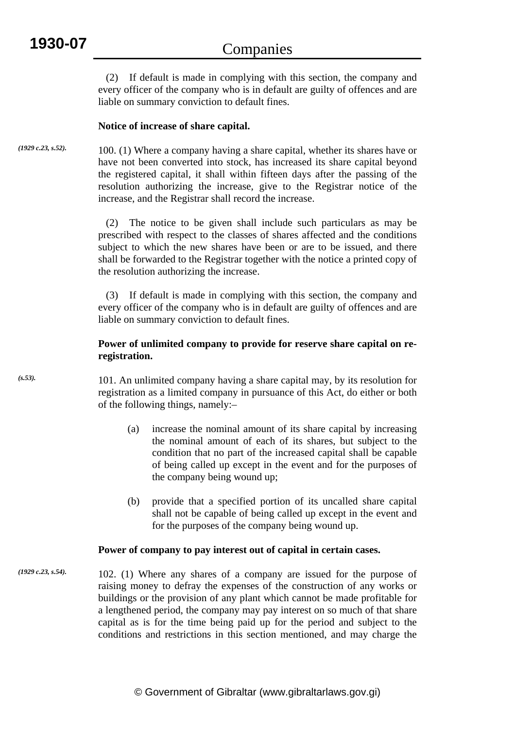(2) If default is made in complying with this section, the company and every officer of the company who is in default are guilty of offences and are liable on summary conviction to default fines.

## **Notice of increase of share capital.**

100. (1) Where a company having a share capital, whether its shares have or have not been converted into stock, has increased its share capital beyond the registered capital, it shall within fifteen days after the passing of the resolution authorizing the increase, give to the Registrar notice of the increase, and the Registrar shall record the increase. *(1929 c.23, s.52).*

> (2) The notice to be given shall include such particulars as may be prescribed with respect to the classes of shares affected and the conditions subject to which the new shares have been or are to be issued, and there shall be forwarded to the Registrar together with the notice a printed copy of the resolution authorizing the increase.

> (3) If default is made in complying with this section, the company and every officer of the company who is in default are guilty of offences and are liable on summary conviction to default fines.

# **Power of unlimited company to provide for reserve share capital on reregistration.**

101. An unlimited company having a share capital may, by its resolution for registration as a limited company in pursuance of this Act, do either or both of the following things, namely:–

- (a) increase the nominal amount of its share capital by increasing the nominal amount of each of its shares, but subject to the condition that no part of the increased capital shall be capable of being called up except in the event and for the purposes of the company being wound up;
- (b) provide that a specified portion of its uncalled share capital shall not be capable of being called up except in the event and for the purposes of the company being wound up.

# **Power of company to pay interest out of capital in certain cases.**

102. (1) Where any shares of a company are issued for the purpose of raising money to defray the expenses of the construction of any works or buildings or the provision of any plant which cannot be made profitable for a lengthened period, the company may pay interest on so much of that share capital as is for the time being paid up for the period and subject to the conditions and restrictions in this section mentioned, and may charge the *(1929 c.23, s.54).*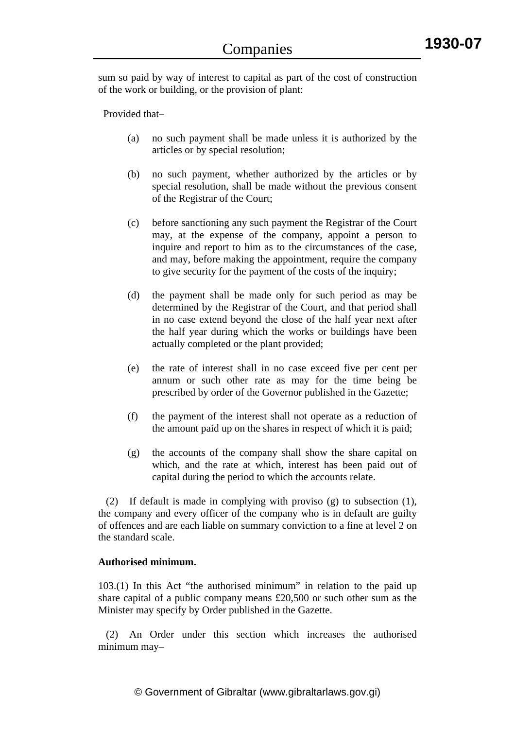sum so paid by way of interest to capital as part of the cost of construction of the work or building, or the provision of plant:

Provided that–

- (a) no such payment shall be made unless it is authorized by the articles or by special resolution;
- (b) no such payment, whether authorized by the articles or by special resolution, shall be made without the previous consent of the Registrar of the Court;
- (c) before sanctioning any such payment the Registrar of the Court may, at the expense of the company, appoint a person to inquire and report to him as to the circumstances of the case, and may, before making the appointment, require the company to give security for the payment of the costs of the inquiry;
- (d) the payment shall be made only for such period as may be determined by the Registrar of the Court, and that period shall in no case extend beyond the close of the half year next after the half year during which the works or buildings have been actually completed or the plant provided;
- (e) the rate of interest shall in no case exceed five per cent per annum or such other rate as may for the time being be prescribed by order of the Governor published in the Gazette;
- (f) the payment of the interest shall not operate as a reduction of the amount paid up on the shares in respect of which it is paid;
- (g) the accounts of the company shall show the share capital on which, and the rate at which, interest has been paid out of capital during the period to which the accounts relate.

 (2) If default is made in complying with proviso (g) to subsection (1), the company and every officer of the company who is in default are guilty of offences and are each liable on summary conviction to a fine at level 2 on the standard scale.

# **Authorised minimum.**

103.(1) In this Act "the authorised minimum" in relation to the paid up share capital of a public company means £20,500 or such other sum as the Minister may specify by Order published in the Gazette.

 (2) An Order under this section which increases the authorised minimum may–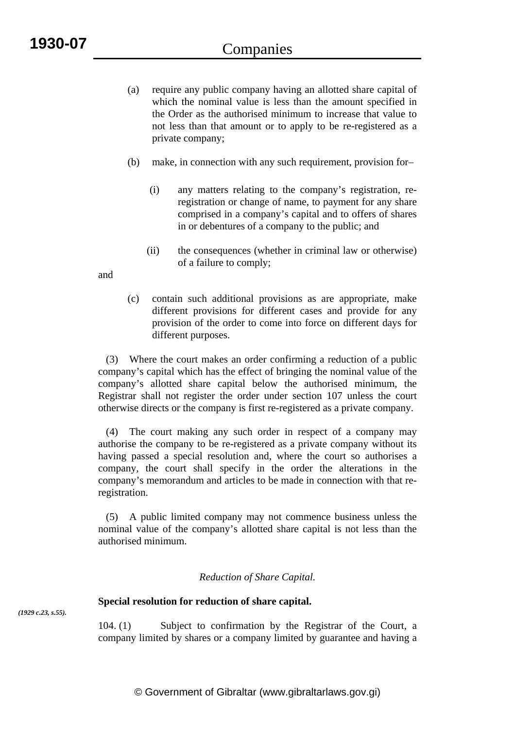- (a) require any public company having an allotted share capital of which the nominal value is less than the amount specified in the Order as the authorised minimum to increase that value to not less than that amount or to apply to be re-registered as a private company;
- (b) make, in connection with any such requirement, provision for–
	- (i) any matters relating to the company's registration, reregistration or change of name, to payment for any share comprised in a company's capital and to offers of shares in or debentures of a company to the public; and
	- (ii) the consequences (whether in criminal law or otherwise) of a failure to comply;

and

(c) contain such additional provisions as are appropriate, make different provisions for different cases and provide for any provision of the order to come into force on different days for different purposes.

 (3) Where the court makes an order confirming a reduction of a public company's capital which has the effect of bringing the nominal value of the company's allotted share capital below the authorised minimum, the Registrar shall not register the order under section 107 unless the court otherwise directs or the company is first re-registered as a private company.

 (4) The court making any such order in respect of a company may authorise the company to be re-registered as a private company without its having passed a special resolution and, where the court so authorises a company, the court shall specify in the order the alterations in the company's memorandum and articles to be made in connection with that reregistration.

 (5) A public limited company may not commence business unless the nominal value of the company's allotted share capital is not less than the authorised minimum.

# *Reduction of Share Capital.*

# **Special resolution for reduction of share capital.**

*(1929 c.23, s.55).*

104. (1) Subject to confirmation by the Registrar of the Court, a company limited by shares or a company limited by guarantee and having a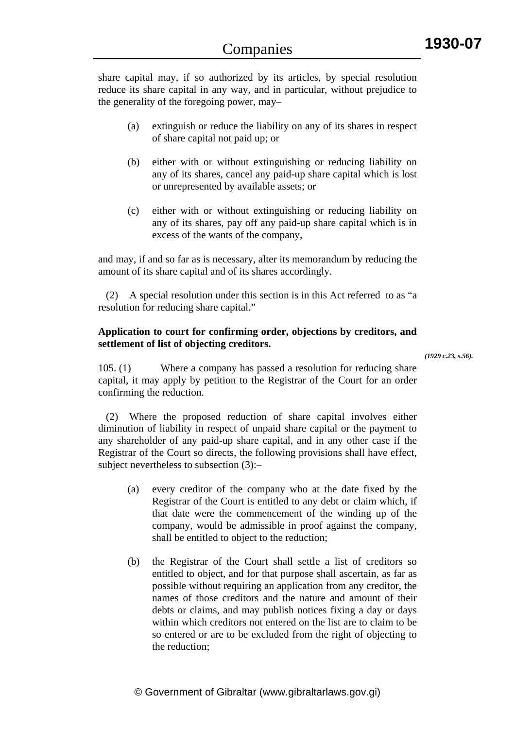share capital may, if so authorized by its articles, by special resolution reduce its share capital in any way, and in particular, without prejudice to the generality of the foregoing power, may–

- (a) extinguish or reduce the liability on any of its shares in respect of share capital not paid up; or
- (b) either with or without extinguishing or reducing liability on any of its shares, cancel any paid-up share capital which is lost or unrepresented by available assets; or
- (c) either with or without extinguishing or reducing liability on any of its shares, pay off any paid-up share capital which is in excess of the wants of the company,

and may, if and so far as is necessary, alter its memorandum by reducing the amount of its share capital and of its shares accordingly.

 (2) A special resolution under this section is in this Act referred to as "a resolution for reducing share capital."

# **Application to court for confirming order, objections by creditors, and settlement of list of objecting creditors.**

*(1929 c.23, s.56).*

105. (1) Where a company has passed a resolution for reducing share capital, it may apply by petition to the Registrar of the Court for an order confirming the reduction.

 (2) Where the proposed reduction of share capital involves either diminution of liability in respect of unpaid share capital or the payment to any shareholder of any paid-up share capital, and in any other case if the Registrar of the Court so directs, the following provisions shall have effect, subject nevertheless to subsection (3):–

- (a) every creditor of the company who at the date fixed by the Registrar of the Court is entitled to any debt or claim which, if that date were the commencement of the winding up of the company, would be admissible in proof against the company, shall be entitled to object to the reduction;
- (b) the Registrar of the Court shall settle a list of creditors so entitled to object, and for that purpose shall ascertain, as far as possible without requiring an application from any creditor, the names of those creditors and the nature and amount of their debts or claims, and may publish notices fixing a day or days within which creditors not entered on the list are to claim to be so entered or are to be excluded from the right of objecting to the reduction;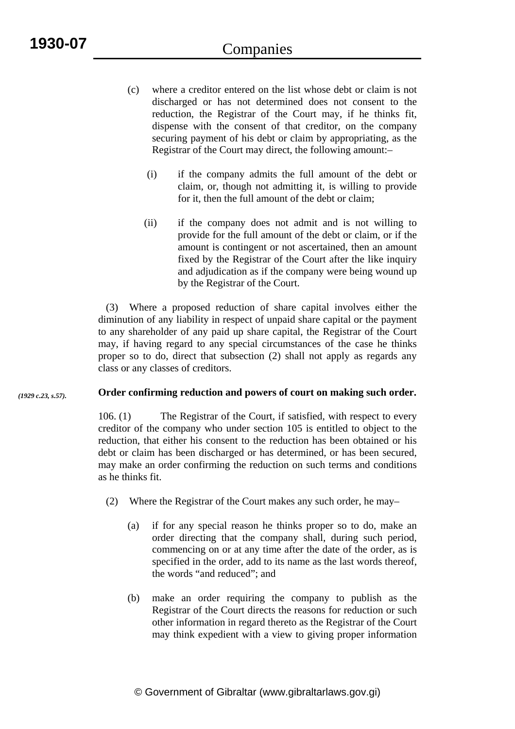- (c) where a creditor entered on the list whose debt or claim is not discharged or has not determined does not consent to the reduction, the Registrar of the Court may, if he thinks fit, dispense with the consent of that creditor, on the company securing payment of his debt or claim by appropriating, as the Registrar of the Court may direct, the following amount:–
	- (i) if the company admits the full amount of the debt or claim, or, though not admitting it, is willing to provide for it, then the full amount of the debt or claim;
	- (ii) if the company does not admit and is not willing to provide for the full amount of the debt or claim, or if the amount is contingent or not ascertained, then an amount fixed by the Registrar of the Court after the like inquiry and adjudication as if the company were being wound up by the Registrar of the Court.

 (3) Where a proposed reduction of share capital involves either the diminution of any liability in respect of unpaid share capital or the payment to any shareholder of any paid up share capital, the Registrar of the Court may, if having regard to any special circumstances of the case he thinks proper so to do, direct that subsection (2) shall not apply as regards any class or any classes of creditors.

#### **Order confirming reduction and powers of court on making such order.**  *(1929 c.23, s.57).*

106. (1) The Registrar of the Court, if satisfied, with respect to every creditor of the company who under section 105 is entitled to object to the reduction, that either his consent to the reduction has been obtained or his debt or claim has been discharged or has determined, or has been secured, may make an order confirming the reduction on such terms and conditions as he thinks fit.

- (2) Where the Registrar of the Court makes any such order, he may–
	- (a) if for any special reason he thinks proper so to do, make an order directing that the company shall, during such period, commencing on or at any time after the date of the order, as is specified in the order, add to its name as the last words thereof, the words "and reduced"; and
	- (b) make an order requiring the company to publish as the Registrar of the Court directs the reasons for reduction or such other information in regard thereto as the Registrar of the Court may think expedient with a view to giving proper information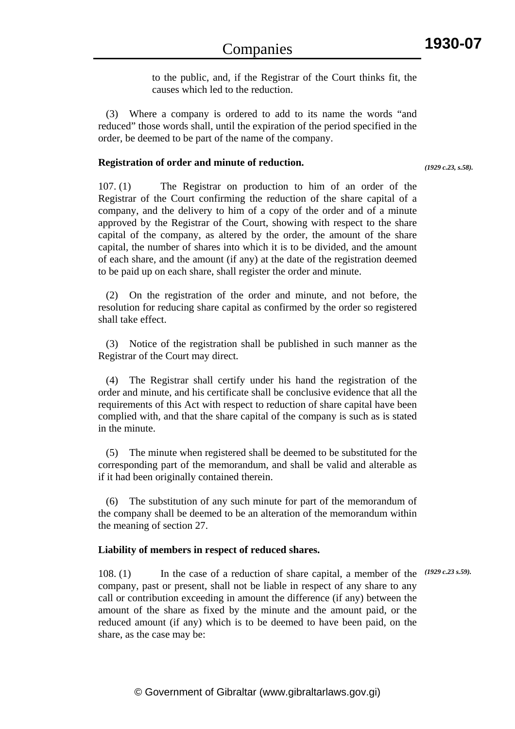to the public, and, if the Registrar of the Court thinks fit, the causes which led to the reduction.

 (3) Where a company is ordered to add to its name the words "and reduced" those words shall, until the expiration of the period specified in the order, be deemed to be part of the name of the company.

## **Registration of order and minute of reduction.**

*(1929 c.23, s.58).*

107. (1) The Registrar on production to him of an order of the Registrar of the Court confirming the reduction of the share capital of a company, and the delivery to him of a copy of the order and of a minute approved by the Registrar of the Court, showing with respect to the share capital of the company, as altered by the order, the amount of the share capital, the number of shares into which it is to be divided, and the amount of each share, and the amount (if any) at the date of the registration deemed to be paid up on each share, shall register the order and minute.

 (2) On the registration of the order and minute, and not before, the resolution for reducing share capital as confirmed by the order so registered shall take effect.

 (3) Notice of the registration shall be published in such manner as the Registrar of the Court may direct.

 (4) The Registrar shall certify under his hand the registration of the order and minute, and his certificate shall be conclusive evidence that all the requirements of this Act with respect to reduction of share capital have been complied with, and that the share capital of the company is such as is stated in the minute.

 (5) The minute when registered shall be deemed to be substituted for the corresponding part of the memorandum, and shall be valid and alterable as if it had been originally contained therein.

 (6) The substitution of any such minute for part of the memorandum of the company shall be deemed to be an alteration of the memorandum within the meaning of section 27.

## **Liability of members in respect of reduced shares.**

108. (1) In the case of a reduction of share capital, a member of the  $(1929 \text{ c.}23 \text{ s.}59)$ . company, past or present, shall not be liable in respect of any share to any call or contribution exceeding in amount the difference (if any) between the amount of the share as fixed by the minute and the amount paid, or the reduced amount (if any) which is to be deemed to have been paid, on the share, as the case may be: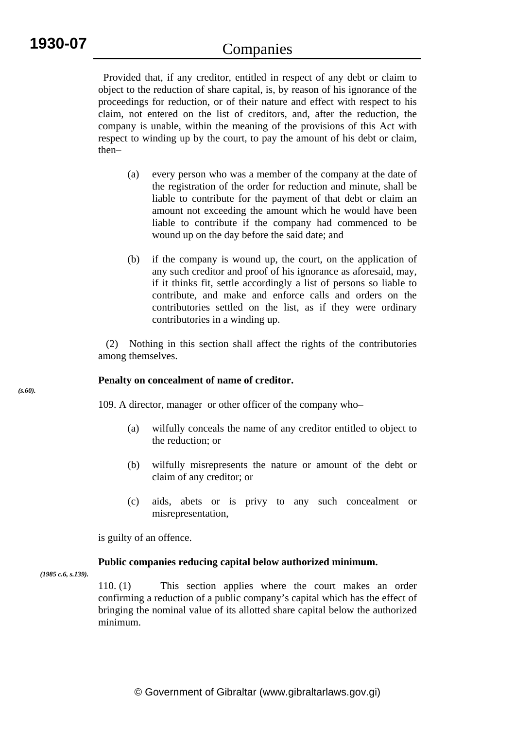Provided that, if any creditor, entitled in respect of any debt or claim to object to the reduction of share capital, is, by reason of his ignorance of the proceedings for reduction, or of their nature and effect with respect to his claim, not entered on the list of creditors, and, after the reduction, the company is unable, within the meaning of the provisions of this Act with respect to winding up by the court, to pay the amount of his debt or claim, then–

- (a) every person who was a member of the company at the date of the registration of the order for reduction and minute, shall be liable to contribute for the payment of that debt or claim an amount not exceeding the amount which he would have been liable to contribute if the company had commenced to be wound up on the day before the said date; and
- (b) if the company is wound up, the court, on the application of any such creditor and proof of his ignorance as aforesaid, may, if it thinks fit, settle accordingly a list of persons so liable to contribute, and make and enforce calls and orders on the contributories settled on the list, as if they were ordinary contributories in a winding up.

 (2) Nothing in this section shall affect the rights of the contributories among themselves.

## **Penalty on concealment of name of creditor.**

109. A director, manager or other officer of the company who–

- (a) wilfully conceals the name of any creditor entitled to object to the reduction; or
- (b) wilfully misrepresents the nature or amount of the debt or claim of any creditor; or
- (c) aids, abets or is privy to any such concealment or misrepresentation,

is guilty of an offence.

# **Public companies reducing capital below authorized minimum.**

*(1985 c.6, s.139).*

110. (1) This section applies where the court makes an order confirming a reduction of a public company's capital which has the effect of bringing the nominal value of its allotted share capital below the authorized minimum.

*(s.60).*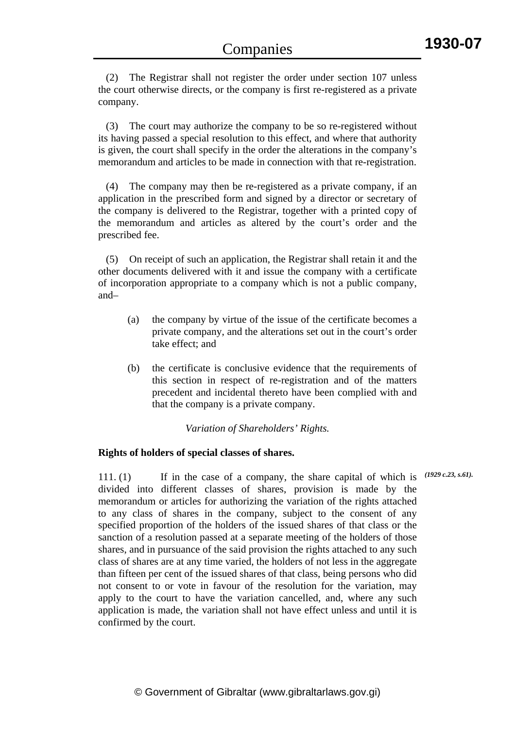(2) The Registrar shall not register the order under section 107 unless the court otherwise directs, or the company is first re-registered as a private company.

 (3) The court may authorize the company to be so re-registered without its having passed a special resolution to this effect, and where that authority is given, the court shall specify in the order the alterations in the company's memorandum and articles to be made in connection with that re-registration.

 (4) The company may then be re-registered as a private company, if an application in the prescribed form and signed by a director or secretary of the company is delivered to the Registrar, together with a printed copy of the memorandum and articles as altered by the court's order and the prescribed fee.

 (5) On receipt of such an application, the Registrar shall retain it and the other documents delivered with it and issue the company with a certificate of incorporation appropriate to a company which is not a public company, and–

- (a) the company by virtue of the issue of the certificate becomes a private company, and the alterations set out in the court's order take effect; and
- (b) the certificate is conclusive evidence that the requirements of this section in respect of re-registration and of the matters precedent and incidental thereto have been complied with and that the company is a private company.

## *Variation of Shareholders' Rights.*

## **Rights of holders of special classes of shares.**

111. (1) If in the case of a company, the share capital of which is  $(1929 \text{ c.23}, \text{s.61}).$ divided into different classes of shares, provision is made by the memorandum or articles for authorizing the variation of the rights attached to any class of shares in the company, subject to the consent of any specified proportion of the holders of the issued shares of that class or the sanction of a resolution passed at a separate meeting of the holders of those shares, and in pursuance of the said provision the rights attached to any such class of shares are at any time varied, the holders of not less in the aggregate than fifteen per cent of the issued shares of that class, being persons who did not consent to or vote in favour of the resolution for the variation, may apply to the court to have the variation cancelled, and, where any such application is made, the variation shall not have effect unless and until it is confirmed by the court.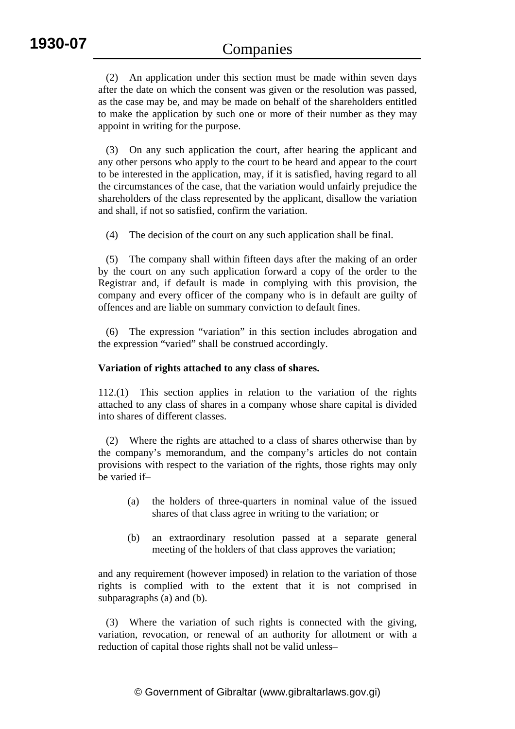(2) An application under this section must be made within seven days after the date on which the consent was given or the resolution was passed, as the case may be, and may be made on behalf of the shareholders entitled to make the application by such one or more of their number as they may appoint in writing for the purpose.

 (3) On any such application the court, after hearing the applicant and any other persons who apply to the court to be heard and appear to the court to be interested in the application, may, if it is satisfied, having regard to all the circumstances of the case, that the variation would unfairly prejudice the shareholders of the class represented by the applicant, disallow the variation and shall, if not so satisfied, confirm the variation.

(4) The decision of the court on any such application shall be final.

 (5) The company shall within fifteen days after the making of an order by the court on any such application forward a copy of the order to the Registrar and, if default is made in complying with this provision, the company and every officer of the company who is in default are guilty of offences and are liable on summary conviction to default fines.

 (6) The expression "variation" in this section includes abrogation and the expression "varied" shall be construed accordingly.

#### **Variation of rights attached to any class of shares.**

112.(1) This section applies in relation to the variation of the rights attached to any class of shares in a company whose share capital is divided into shares of different classes.

 (2) Where the rights are attached to a class of shares otherwise than by the company's memorandum, and the company's articles do not contain provisions with respect to the variation of the rights, those rights may only be varied if–

- (a) the holders of three-quarters in nominal value of the issued shares of that class agree in writing to the variation; or
- (b) an extraordinary resolution passed at a separate general meeting of the holders of that class approves the variation;

and any requirement (however imposed) in relation to the variation of those rights is complied with to the extent that it is not comprised in subparagraphs (a) and (b).

 (3) Where the variation of such rights is connected with the giving, variation, revocation, or renewal of an authority for allotment or with a reduction of capital those rights shall not be valid unless–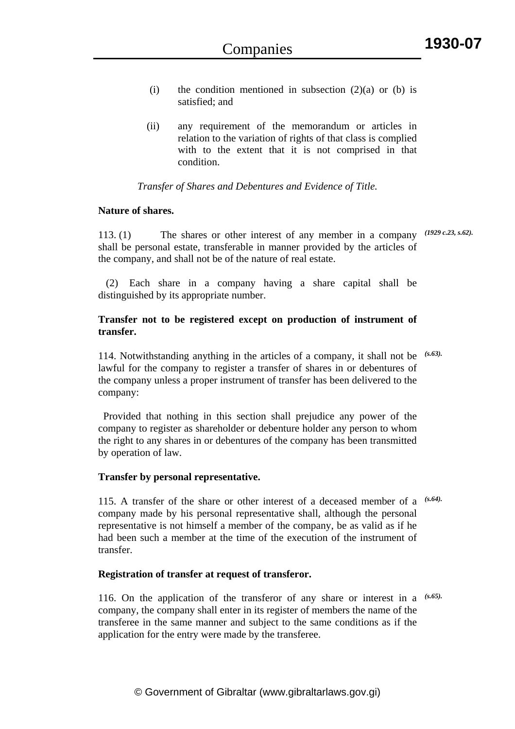- (i) the condition mentioned in subsection  $(2)(a)$  or (b) is satisfied; and
- (ii) any requirement of the memorandum or articles in relation to the variation of rights of that class is complied with to the extent that it is not comprised in that condition.

*Transfer of Shares and Debentures and Evidence of Title.* 

#### **Nature of shares.**

113. (1) The shares or other interest of any member in a company *(1929 c.23, s.62).* shall be personal estate, transferable in manner provided by the articles of the company, and shall not be of the nature of real estate.

 (2) Each share in a company having a share capital shall be distinguished by its appropriate number.

## **Transfer not to be registered except on production of instrument of transfer.**

114. Notwithstanding anything in the articles of a company, it shall not be *(s.63).* lawful for the company to register a transfer of shares in or debentures of the company unless a proper instrument of transfer has been delivered to the company:

 Provided that nothing in this section shall prejudice any power of the company to register as shareholder or debenture holder any person to whom the right to any shares in or debentures of the company has been transmitted by operation of law.

## **Transfer by personal representative.**

115. A transfer of the share or other interest of a deceased member of a *(s.64).* company made by his personal representative shall, although the personal representative is not himself a member of the company, be as valid as if he had been such a member at the time of the execution of the instrument of transfer.

## **Registration of transfer at request of transferor.**

116. On the application of the transferor of any share or interest in a *(s.65).*company, the company shall enter in its register of members the name of the transferee in the same manner and subject to the same conditions as if the application for the entry were made by the transferee.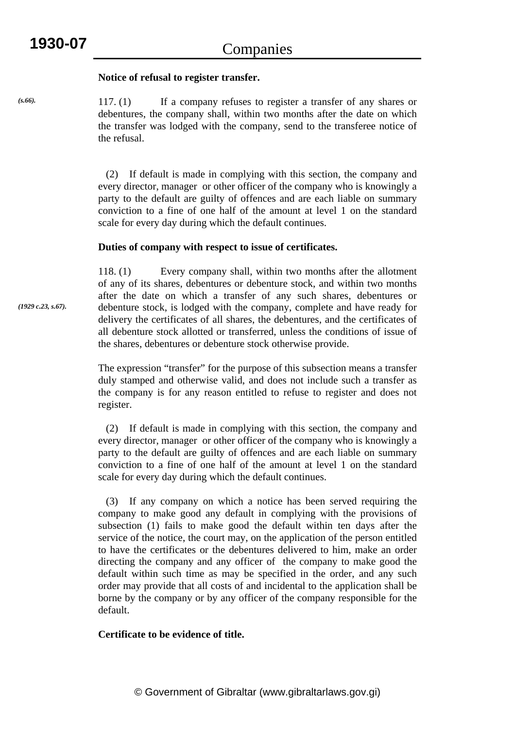*(s.66).*

## **Notice of refusal to register transfer.**

117. (1) If a company refuses to register a transfer of any shares or debentures, the company shall, within two months after the date on which the transfer was lodged with the company, send to the transferee notice of the refusal.

 (2) If default is made in complying with this section, the company and every director, manager or other officer of the company who is knowingly a party to the default are guilty of offences and are each liable on summary conviction to a fine of one half of the amount at level 1 on the standard scale for every day during which the default continues.

#### **Duties of company with respect to issue of certificates.**

118. (1) Every company shall, within two months after the allotment of any of its shares, debentures or debenture stock, and within two months after the date on which a transfer of any such shares, debentures or debenture stock, is lodged with the company, complete and have ready for delivery the certificates of all shares, the debentures, and the certificates of all debenture stock allotted or transferred, unless the conditions of issue of the shares, debentures or debenture stock otherwise provide.

The expression "transfer" for the purpose of this subsection means a transfer duly stamped and otherwise valid, and does not include such a transfer as the company is for any reason entitled to refuse to register and does not register.

 (2) If default is made in complying with this section, the company and every director, manager or other officer of the company who is knowingly a party to the default are guilty of offences and are each liable on summary conviction to a fine of one half of the amount at level 1 on the standard scale for every day during which the default continues.

 (3) If any company on which a notice has been served requiring the company to make good any default in complying with the provisions of subsection (1) fails to make good the default within ten days after the service of the notice, the court may, on the application of the person entitled to have the certificates or the debentures delivered to him, make an order directing the company and any officer of the company to make good the default within such time as may be specified in the order, and any such order may provide that all costs of and incidental to the application shall be borne by the company or by any officer of the company responsible for the default.

## **Certificate to be evidence of title.**

*(1929 c.23, s.67).*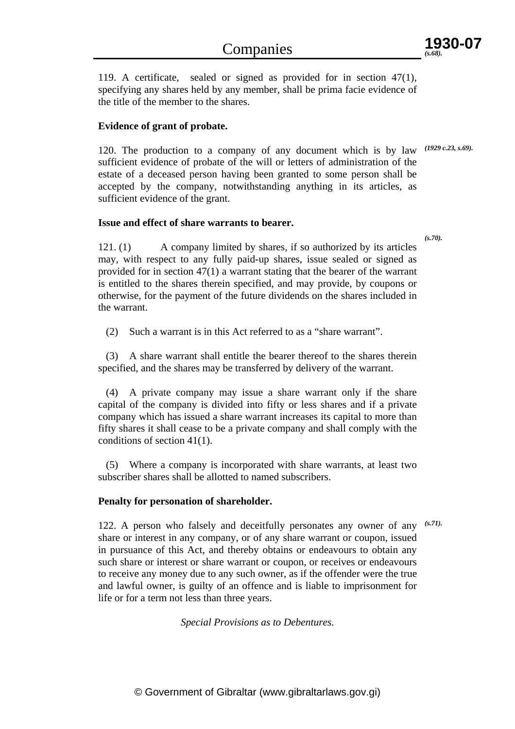119. A certificate, sealed or signed as provided for in section 47(1), specifying any shares held by any member, shall be prima facie evidence of the title of the member to the shares.

## **Evidence of grant of probate.**

120. The production to a company of any document which is by law *(1929 c.23, s.69).* sufficient evidence of probate of the will or letters of administration of the estate of a deceased person having been granted to some person shall be accepted by the company, notwithstanding anything in its articles, as sufficient evidence of the grant.

## **Issue and effect of share warrants to bearer.**

*(s.70).*

121. (1) A company limited by shares, if so authorized by its articles may, with respect to any fully paid-up shares, issue sealed or signed as provided for in section 47(1) a warrant stating that the bearer of the warrant is entitled to the shares therein specified, and may provide, by coupons or otherwise, for the payment of the future dividends on the shares included in the warrant.

(2) Such a warrant is in this Act referred to as a "share warrant".

 (3) A share warrant shall entitle the bearer thereof to the shares therein specified, and the shares may be transferred by delivery of the warrant.

(4) A private company may issue a share warrant only if the share capital of the company is divided into fifty or less shares and if a private company which has issued a share warrant increases its capital to more than fifty shares it shall cease to be a private company and shall comply with the conditions of section 41(1).

 (5) Where a company is incorporated with share warrants, at least two subscriber shares shall be allotted to named subscribers.

# **Penalty for personation of shareholder.**

122. A person who falsely and deceitfully personates any owner of any *(s.71).*share or interest in any company, or of any share warrant or coupon, issued in pursuance of this Act, and thereby obtains or endeavours to obtain any such share or interest or share warrant or coupon, or receives or endeavours to receive any money due to any such owner, as if the offender were the true and lawful owner, is guilty of an offence and is liable to imprisonment for life or for a term not less than three years.

*Special Provisions as to Debentures.*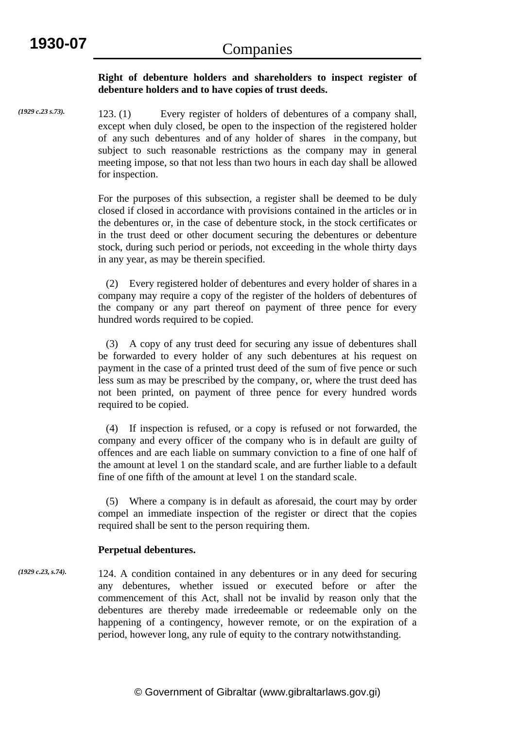# **Right of debenture holders and shareholders to inspect register of debenture holders and to have copies of trust deeds.**

123. (1) Every register of holders of debentures of a company shall, except when duly closed, be open to the inspection of the registered holder of any such debentures and of any holder of shares in the company, but subject to such reasonable restrictions as the company may in general meeting impose, so that not less than two hours in each day shall be allowed for inspection. *(1929 c.23 s.73).*

> For the purposes of this subsection, a register shall be deemed to be duly closed if closed in accordance with provisions contained in the articles or in the debentures or, in the case of debenture stock, in the stock certificates or in the trust deed or other document securing the debentures or debenture stock, during such period or periods, not exceeding in the whole thirty days in any year, as may be therein specified.

> (2) Every registered holder of debentures and every holder of shares in a company may require a copy of the register of the holders of debentures of the company or any part thereof on payment of three pence for every hundred words required to be copied.

> (3) A copy of any trust deed for securing any issue of debentures shall be forwarded to every holder of any such debentures at his request on payment in the case of a printed trust deed of the sum of five pence or such less sum as may be prescribed by the company, or, where the trust deed has not been printed, on payment of three pence for every hundred words required to be copied.

> (4) If inspection is refused, or a copy is refused or not forwarded, the company and every officer of the company who is in default are guilty of offences and are each liable on summary conviction to a fine of one half of the amount at level 1 on the standard scale, and are further liable to a default fine of one fifth of the amount at level 1 on the standard scale.

> (5) Where a company is in default as aforesaid, the court may by order compel an immediate inspection of the register or direct that the copies required shall be sent to the person requiring them.

## **Perpetual debentures.**

124. A condition contained in any debentures or in any deed for securing any debentures, whether issued or executed before or after the commencement of this Act, shall not be invalid by reason only that the debentures are thereby made irredeemable or redeemable only on the happening of a contingency, however remote, or on the expiration of a period, however long, any rule of equity to the contrary notwithstanding. *(1929 c.23, s.74).*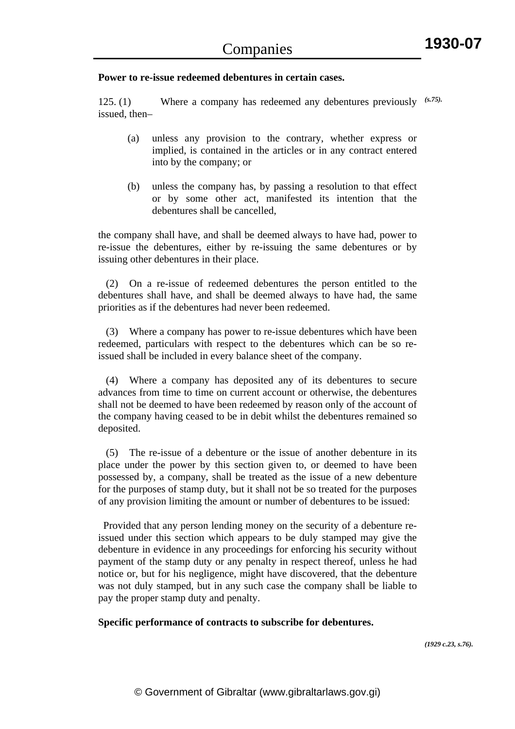### **Power to re-issue redeemed debentures in certain cases.**

125. (1) Where a company has redeemed any debentures previously *(s.75).* issued, then–

- (a) unless any provision to the contrary, whether express or implied, is contained in the articles or in any contract entered into by the company; or
- (b) unless the company has, by passing a resolution to that effect or by some other act, manifested its intention that the debentures shall be cancelled,

the company shall have, and shall be deemed always to have had, power to re-issue the debentures, either by re-issuing the same debentures or by issuing other debentures in their place.

 (2) On a re-issue of redeemed debentures the person entitled to the debentures shall have, and shall be deemed always to have had, the same priorities as if the debentures had never been redeemed.

 (3) Where a company has power to re-issue debentures which have been redeemed, particulars with respect to the debentures which can be so reissued shall be included in every balance sheet of the company.

 (4) Where a company has deposited any of its debentures to secure advances from time to time on current account or otherwise, the debentures shall not be deemed to have been redeemed by reason only of the account of the company having ceased to be in debit whilst the debentures remained so deposited.

 (5) The re-issue of a debenture or the issue of another debenture in its place under the power by this section given to, or deemed to have been possessed by, a company, shall be treated as the issue of a new debenture for the purposes of stamp duty, but it shall not be so treated for the purposes of any provision limiting the amount or number of debentures to be issued:

 Provided that any person lending money on the security of a debenture reissued under this section which appears to be duly stamped may give the debenture in evidence in any proceedings for enforcing his security without payment of the stamp duty or any penalty in respect thereof, unless he had notice or, but for his negligence, might have discovered, that the debenture was not duly stamped, but in any such case the company shall be liable to pay the proper stamp duty and penalty.

#### **Specific performance of contracts to subscribe for debentures.**

*(1929 c.23, s.76).*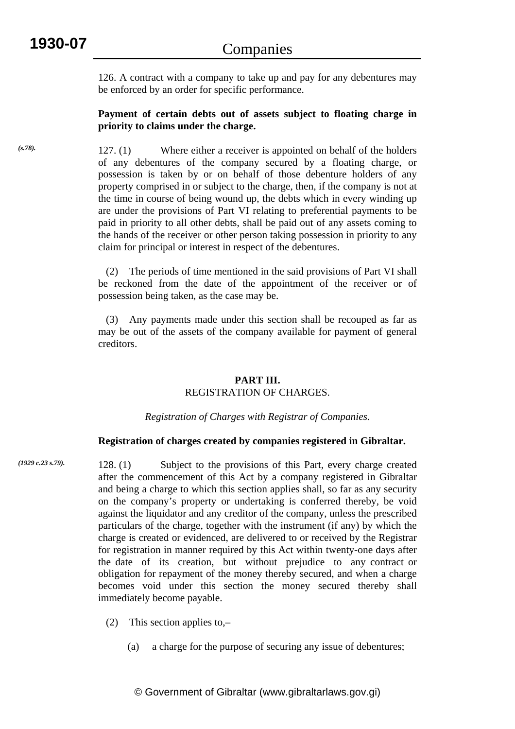*(s.78).*

126. A contract with a company to take up and pay for any debentures may be enforced by an order for specific performance.

# **Payment of certain debts out of assets subject to floating charge in priority to claims under the charge.**

127. (1) Where either a receiver is appointed on behalf of the holders of any debentures of the company secured by a floating charge, or possession is taken by or on behalf of those debenture holders of any property comprised in or subject to the charge, then, if the company is not at the time in course of being wound up, the debts which in every winding up are under the provisions of Part VI relating to preferential payments to be paid in priority to all other debts, shall be paid out of any assets coming to the hands of the receiver or other person taking possession in priority to any claim for principal or interest in respect of the debentures.

 (2) The periods of time mentioned in the said provisions of Part VI shall be reckoned from the date of the appointment of the receiver or of possession being taken, as the case may be.

 (3) Any payments made under this section shall be recouped as far as may be out of the assets of the company available for payment of general creditors.

# **PART III.**  REGISTRATION OF CHARGES.

*Registration of Charges with Registrar of Companies.* 

# **Registration of charges created by companies registered in Gibraltar.**

- 128. (1) Subject to the provisions of this Part, every charge created after the commencement of this Act by a company registered in Gibraltar and being a charge to which this section applies shall, so far as any security on the company's property or undertaking is conferred thereby, be void against the liquidator and any creditor of the company, unless the prescribed particulars of the charge, together with the instrument (if any) by which the charge is created or evidenced, are delivered to or received by the Registrar for registration in manner required by this Act within twenty-one days after the date of its creation, but without prejudice to any contract or obligation for repayment of the money thereby secured, and when a charge becomes void under this section the money secured thereby shall immediately become payable. *(1929 c.23 s.79).*
	- (2) This section applies to,–
		- (a) a charge for the purpose of securing any issue of debentures;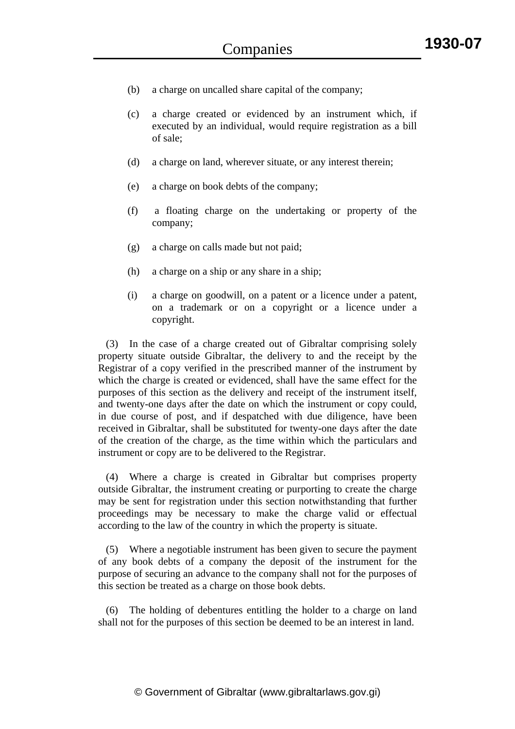- (b) a charge on uncalled share capital of the company;
- (c) a charge created or evidenced by an instrument which, if executed by an individual, would require registration as a bill of sale;
- (d) a charge on land, wherever situate, or any interest therein;
- (e) a charge on book debts of the company;
- (f) a floating charge on the undertaking or property of the company;
- (g) a charge on calls made but not paid;
- (h) a charge on a ship or any share in a ship;
- (i) a charge on goodwill, on a patent or a licence under a patent, on a trademark or on a copyright or a licence under a copyright.

 (3) In the case of a charge created out of Gibraltar comprising solely property situate outside Gibraltar, the delivery to and the receipt by the Registrar of a copy verified in the prescribed manner of the instrument by which the charge is created or evidenced, shall have the same effect for the purposes of this section as the delivery and receipt of the instrument itself, and twenty-one days after the date on which the instrument or copy could, in due course of post, and if despatched with due diligence, have been received in Gibraltar, shall be substituted for twenty-one days after the date of the creation of the charge, as the time within which the particulars and instrument or copy are to be delivered to the Registrar.

 (4) Where a charge is created in Gibraltar but comprises property outside Gibraltar, the instrument creating or purporting to create the charge may be sent for registration under this section notwithstanding that further proceedings may be necessary to make the charge valid or effectual according to the law of the country in which the property is situate.

 (5) Where a negotiable instrument has been given to secure the payment of any book debts of a company the deposit of the instrument for the purpose of securing an advance to the company shall not for the purposes of this section be treated as a charge on those book debts.

 (6) The holding of debentures entitling the holder to a charge on land shall not for the purposes of this section be deemed to be an interest in land.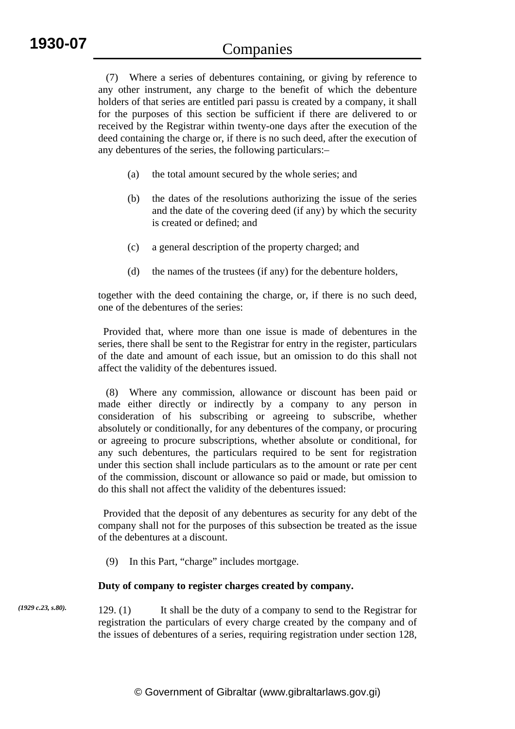(7) Where a series of debentures containing, or giving by reference to any other instrument, any charge to the benefit of which the debenture holders of that series are entitled pari passu is created by a company, it shall for the purposes of this section be sufficient if there are delivered to or received by the Registrar within twenty-one days after the execution of the deed containing the charge or, if there is no such deed, after the execution of any debentures of the series, the following particulars:–

- (a) the total amount secured by the whole series; and
- (b) the dates of the resolutions authorizing the issue of the series and the date of the covering deed (if any) by which the security is created or defined; and
- (c) a general description of the property charged; and
- (d) the names of the trustees (if any) for the debenture holders,

together with the deed containing the charge, or, if there is no such deed, one of the debentures of the series:

 Provided that, where more than one issue is made of debentures in the series, there shall be sent to the Registrar for entry in the register, particulars of the date and amount of each issue, but an omission to do this shall not affect the validity of the debentures issued.

 (8) Where any commission, allowance or discount has been paid or made either directly or indirectly by a company to any person in consideration of his subscribing or agreeing to subscribe, whether absolutely or conditionally, for any debentures of the company, or procuring or agreeing to procure subscriptions, whether absolute or conditional, for any such debentures, the particulars required to be sent for registration under this section shall include particulars as to the amount or rate per cent of the commission, discount or allowance so paid or made, but omission to do this shall not affect the validity of the debentures issued:

 Provided that the deposit of any debentures as security for any debt of the company shall not for the purposes of this subsection be treated as the issue of the debentures at a discount.

(9) In this Part, "charge" includes mortgage.

## **Duty of company to register charges created by company.**

129. (1) It shall be the duty of a company to send to the Registrar for registration the particulars of every charge created by the company and of the issues of debentures of a series, requiring registration under section 128, *(1929 c.23, s.80).*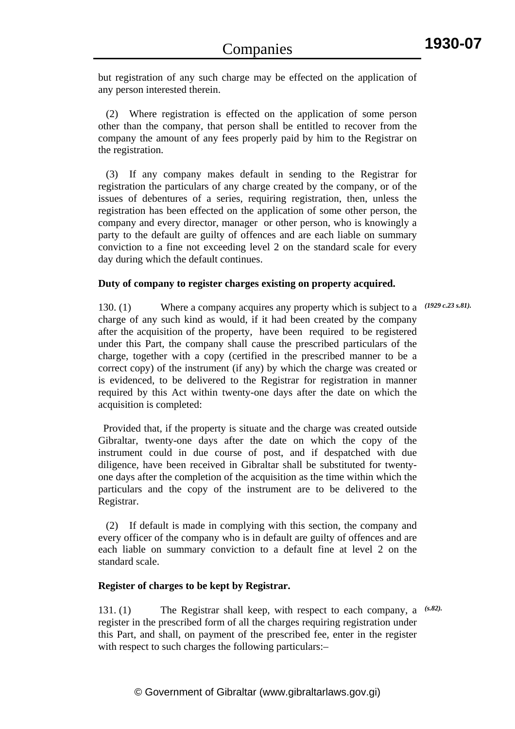but registration of any such charge may be effected on the application of any person interested therein.

 (2) Where registration is effected on the application of some person other than the company, that person shall be entitled to recover from the company the amount of any fees properly paid by him to the Registrar on the registration.

 (3) If any company makes default in sending to the Registrar for registration the particulars of any charge created by the company, or of the issues of debentures of a series, requiring registration, then, unless the registration has been effected on the application of some other person, the company and every director, manager or other person, who is knowingly a party to the default are guilty of offences and are each liable on summary conviction to a fine not exceeding level 2 on the standard scale for every day during which the default continues.

## **Duty of company to register charges existing on property acquired.**

130. (1) Where a company acquires any property which is subject to a charge of any such kind as would, if it had been created by the company after the acquisition of the property, have been required to be registered under this Part, the company shall cause the prescribed particulars of the charge, together with a copy (certified in the prescribed manner to be a correct copy) of the instrument (if any) by which the charge was created or is evidenced, to be delivered to the Registrar for registration in manner required by this Act within twenty-one days after the date on which the acquisition is completed: *(1929 c.23 s.81).*

 Provided that, if the property is situate and the charge was created outside Gibraltar, twenty-one days after the date on which the copy of the instrument could in due course of post, and if despatched with due diligence, have been received in Gibraltar shall be substituted for twentyone days after the completion of the acquisition as the time within which the particulars and the copy of the instrument are to be delivered to the Registrar.

 (2) If default is made in complying with this section, the company and every officer of the company who is in default are guilty of offences and are each liable on summary conviction to a default fine at level 2 on the standard scale.

# **Register of charges to be kept by Registrar.**

131. (1) The Registrar shall keep, with respect to each company, a *(s.82).*register in the prescribed form of all the charges requiring registration under this Part, and shall, on payment of the prescribed fee, enter in the register with respect to such charges the following particulars:-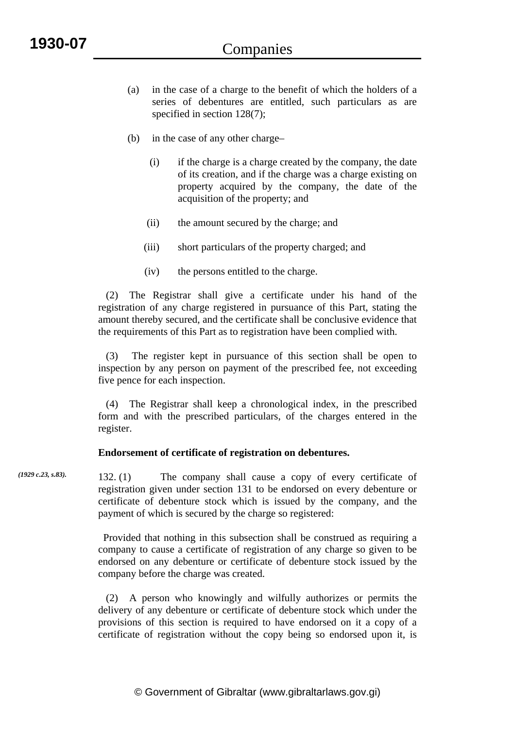- (a) in the case of a charge to the benefit of which the holders of a series of debentures are entitled, such particulars as are specified in section 128(7);
- (b) in the case of any other charge–
	- (i) if the charge is a charge created by the company, the date of its creation, and if the charge was a charge existing on property acquired by the company, the date of the acquisition of the property; and
	- (ii) the amount secured by the charge; and
	- (iii) short particulars of the property charged; and
	- (iv) the persons entitled to the charge.

 (2) The Registrar shall give a certificate under his hand of the registration of any charge registered in pursuance of this Part, stating the amount thereby secured, and the certificate shall be conclusive evidence that the requirements of this Part as to registration have been complied with.

 (3) The register kept in pursuance of this section shall be open to inspection by any person on payment of the prescribed fee, not exceeding five pence for each inspection.

 (4) The Registrar shall keep a chronological index, in the prescribed form and with the prescribed particulars, of the charges entered in the register.

## **Endorsement of certificate of registration on debentures.**

132. (1) The company shall cause a copy of every certificate of registration given under section 131 to be endorsed on every debenture or certificate of debenture stock which is issued by the company, and the payment of which is secured by the charge so registered: *(1929 c.23, s.83).*

> Provided that nothing in this subsection shall be construed as requiring a company to cause a certificate of registration of any charge so given to be endorsed on any debenture or certificate of debenture stock issued by the company before the charge was created.

> (2) A person who knowingly and wilfully authorizes or permits the delivery of any debenture or certificate of debenture stock which under the provisions of this section is required to have endorsed on it a copy of a certificate of registration without the copy being so endorsed upon it, is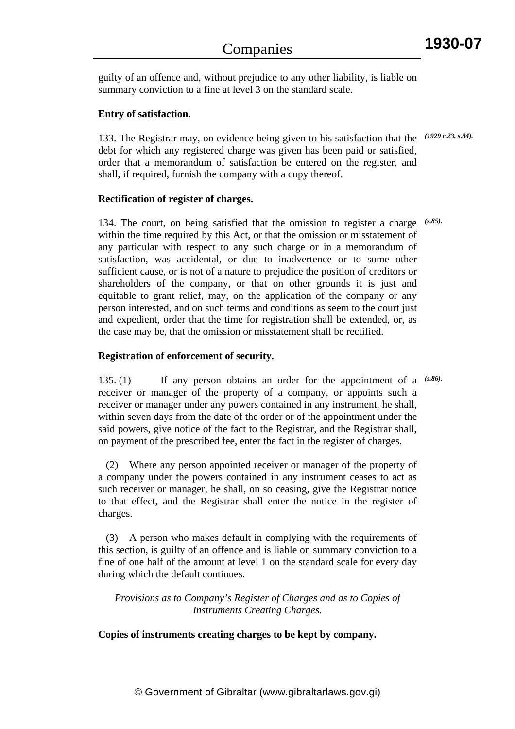guilty of an offence and, without prejudice to any other liability, is liable on summary conviction to a fine at level 3 on the standard scale.

## **Entry of satisfaction.**

133. The Registrar may, on evidence being given to his satisfaction that the *(1929 c.23, s.84).* debt for which any registered charge was given has been paid or satisfied, order that a memorandum of satisfaction be entered on the register, and shall, if required, furnish the company with a copy thereof.

## **Rectification of register of charges.**

134. The court, on being satisfied that the omission to register a charge *(s.85).* within the time required by this Act, or that the omission or misstatement of any particular with respect to any such charge or in a memorandum of satisfaction, was accidental, or due to inadvertence or to some other sufficient cause, or is not of a nature to prejudice the position of creditors or shareholders of the company, or that on other grounds it is just and equitable to grant relief, may, on the application of the company or any person interested, and on such terms and conditions as seem to the court just and expedient, order that the time for registration shall be extended, or, as the case may be, that the omission or misstatement shall be rectified.

## **Registration of enforcement of security.**

135. (1) If any person obtains an order for the appointment of a *(s.86).*receiver or manager of the property of a company, or appoints such a receiver or manager under any powers contained in any instrument, he shall, within seven days from the date of the order or of the appointment under the said powers, give notice of the fact to the Registrar, and the Registrar shall, on payment of the prescribed fee, enter the fact in the register of charges.

 (2) Where any person appointed receiver or manager of the property of a company under the powers contained in any instrument ceases to act as such receiver or manager, he shall, on so ceasing, give the Registrar notice to that effect, and the Registrar shall enter the notice in the register of charges.

 (3) A person who makes default in complying with the requirements of this section, is guilty of an offence and is liable on summary conviction to a fine of one half of the amount at level 1 on the standard scale for every day during which the default continues.

*Provisions as to Company's Register of Charges and as to Copies of Instruments Creating Charges.* 

**Copies of instruments creating charges to be kept by company.**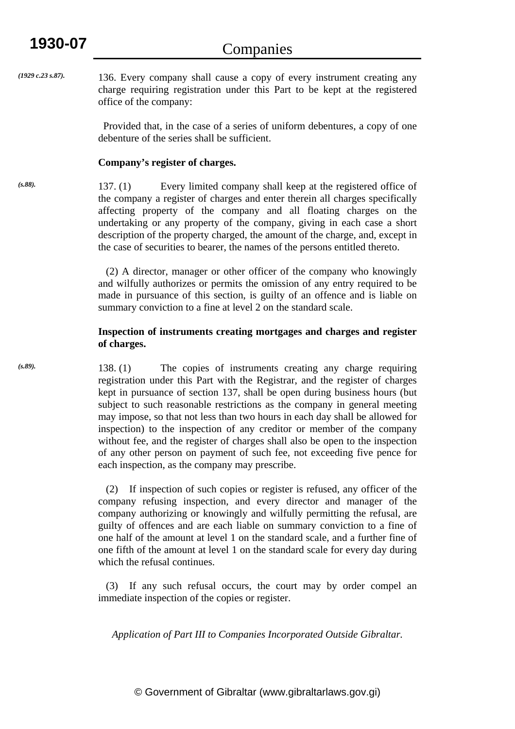136. Every company shall cause a copy of every instrument creating any charge requiring registration under this Part to be kept at the registered office of the company: *(1929 c.23 s.87).*

> Provided that, in the case of a series of uniform debentures, a copy of one debenture of the series shall be sufficient.

## **Company's register of charges.**

*(s.88).*

*(s.89).*

137. (1) Every limited company shall keep at the registered office of the company a register of charges and enter therein all charges specifically affecting property of the company and all floating charges on the undertaking or any property of the company, giving in each case a short description of the property charged, the amount of the charge, and, except in the case of securities to bearer, the names of the persons entitled thereto.

 (2) A director, manager or other officer of the company who knowingly and wilfully authorizes or permits the omission of any entry required to be made in pursuance of this section, is guilty of an offence and is liable on summary conviction to a fine at level 2 on the standard scale.

## **Inspection of instruments creating mortgages and charges and register of charges.**

138. (1) The copies of instruments creating any charge requiring registration under this Part with the Registrar, and the register of charges kept in pursuance of section 137, shall be open during business hours (but subject to such reasonable restrictions as the company in general meeting may impose, so that not less than two hours in each day shall be allowed for inspection) to the inspection of any creditor or member of the company without fee, and the register of charges shall also be open to the inspection of any other person on payment of such fee, not exceeding five pence for each inspection, as the company may prescribe.

 (2) If inspection of such copies or register is refused, any officer of the company refusing inspection, and every director and manager of the company authorizing or knowingly and wilfully permitting the refusal, are guilty of offences and are each liable on summary conviction to a fine of one half of the amount at level 1 on the standard scale, and a further fine of one fifth of the amount at level 1 on the standard scale for every day during which the refusal continues.

 (3) If any such refusal occurs, the court may by order compel an immediate inspection of the copies or register.

*Application of Part III to Companies Incorporated Outside Gibraltar.*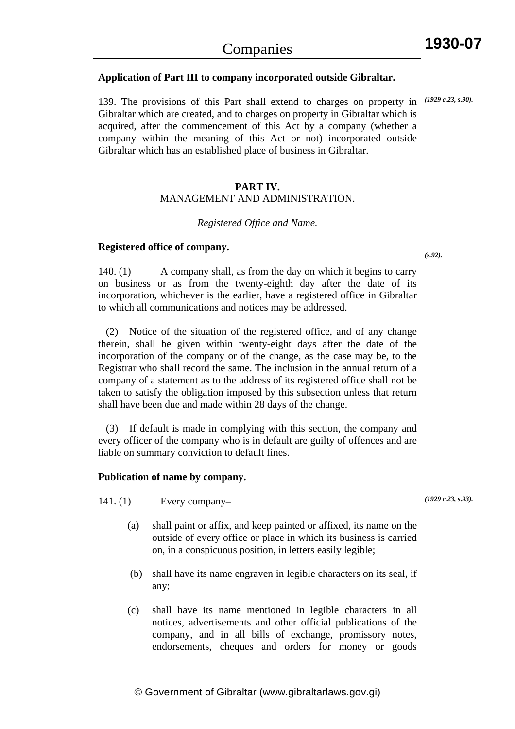### **Application of Part III to company incorporated outside Gibraltar.**

139. The provisions of this Part shall extend to charges on property in *(1929 c.23, s.90).* Gibraltar which are created, and to charges on property in Gibraltar which is acquired, after the commencement of this Act by a company (whether a company within the meaning of this Act or not) incorporated outside Gibraltar which has an established place of business in Gibraltar.

## **PART IV.**  MANAGEMENT AND ADMINISTRATION.

### *Registered Office and Name.*

#### **Registered office of company.**

140. (1) A company shall, as from the day on which it begins to carry on business or as from the twenty-eighth day after the date of its incorporation, whichever is the earlier, have a registered office in Gibraltar to which all communications and notices may be addressed.

 (2) Notice of the situation of the registered office, and of any change therein, shall be given within twenty-eight days after the date of the incorporation of the company or of the change, as the case may be, to the Registrar who shall record the same. The inclusion in the annual return of a company of a statement as to the address of its registered office shall not be taken to satisfy the obligation imposed by this subsection unless that return shall have been due and made within 28 days of the change.

 (3) If default is made in complying with this section, the company and every officer of the company who is in default are guilty of offences and are liable on summary conviction to default fines.

## **Publication of name by company.**

- 141. (1) Every company–
	- (a) shall paint or affix, and keep painted or affixed, its name on the outside of every office or place in which its business is carried on, in a conspicuous position, in letters easily legible;
	- (b) shall have its name engraven in legible characters on its seal, if any;
	- (c) shall have its name mentioned in legible characters in all notices, advertisements and other official publications of the company, and in all bills of exchange, promissory notes, endorsements, cheques and orders for money or goods

*(1929 c.23, s.93).*

*(s.92).*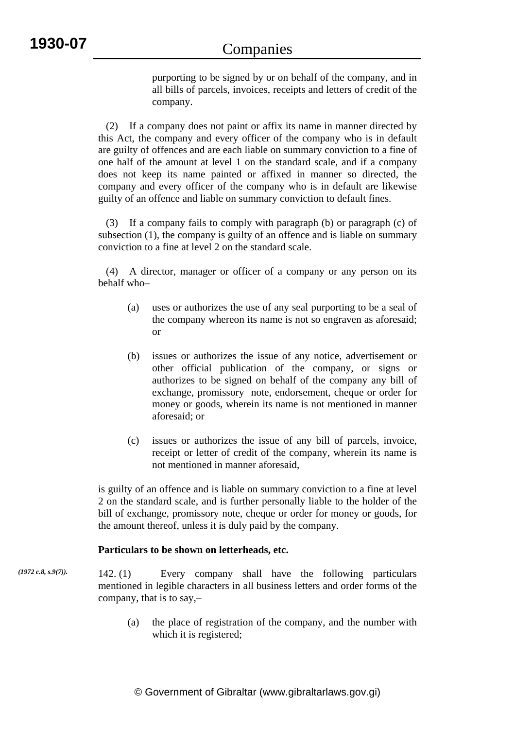purporting to be signed by or on behalf of the company, and in all bills of parcels, invoices, receipts and letters of credit of the company.

 (2) If a company does not paint or affix its name in manner directed by this Act, the company and every officer of the company who is in default are guilty of offences and are each liable on summary conviction to a fine of one half of the amount at level 1 on the standard scale, and if a company does not keep its name painted or affixed in manner so directed, the company and every officer of the company who is in default are likewise guilty of an offence and liable on summary conviction to default fines.

 (3) If a company fails to comply with paragraph (b) or paragraph (c) of subsection (1), the company is guilty of an offence and is liable on summary conviction to a fine at level 2 on the standard scale.

 (4) A director, manager or officer of a company or any person on its behalf who–

- (a) uses or authorizes the use of any seal purporting to be a seal of the company whereon its name is not so engraven as aforesaid; or
- (b) issues or authorizes the issue of any notice, advertisement or other official publication of the company, or signs or authorizes to be signed on behalf of the company any bill of exchange, promissory note, endorsement, cheque or order for money or goods, wherein its name is not mentioned in manner aforesaid; or
- (c) issues or authorizes the issue of any bill of parcels, invoice, receipt or letter of credit of the company, wherein its name is not mentioned in manner aforesaid,

is guilty of an offence and is liable on summary conviction to a fine at level 2 on the standard scale, and is further personally liable to the holder of the bill of exchange, promissory note, cheque or order for money or goods, for the amount thereof, unless it is duly paid by the company.

## **Particulars to be shown on letterheads, etc.**

- 142. (1) Every company shall have the following particulars mentioned in legible characters in all business letters and order forms of the company, that is to say,– *(1972 c.8, s.9(7)).*
	- (a) the place of registration of the company, and the number with which it is registered;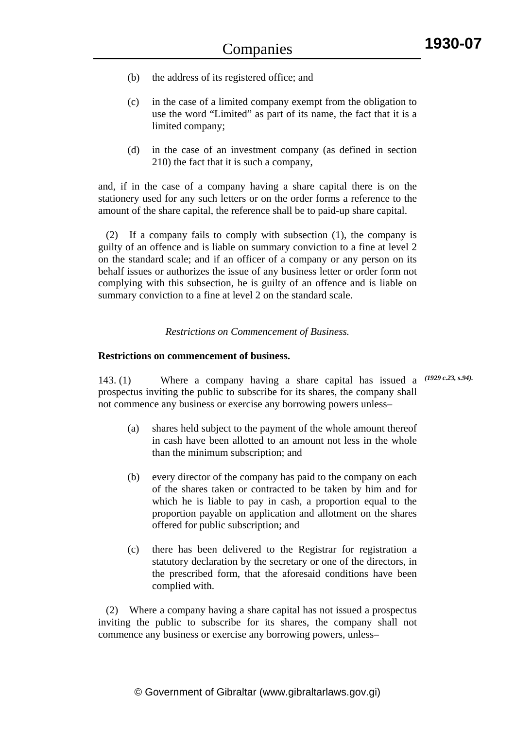- (b) the address of its registered office; and
- (c) in the case of a limited company exempt from the obligation to use the word "Limited" as part of its name, the fact that it is a limited company;
- (d) in the case of an investment company (as defined in section 210) the fact that it is such a company,

and, if in the case of a company having a share capital there is on the stationery used for any such letters or on the order forms a reference to the amount of the share capital, the reference shall be to paid-up share capital.

 (2) If a company fails to comply with subsection (1), the company is guilty of an offence and is liable on summary conviction to a fine at level 2 on the standard scale; and if an officer of a company or any person on its behalf issues or authorizes the issue of any business letter or order form not complying with this subsection, he is guilty of an offence and is liable on summary conviction to a fine at level 2 on the standard scale.

#### *Restrictions on Commencement of Business.*

## **Restrictions on commencement of business.**

143. (1) Where a company having a share capital has issued a *(1929 c.23, s.94).*prospectus inviting the public to subscribe for its shares, the company shall not commence any business or exercise any borrowing powers unless–

- (a) shares held subject to the payment of the whole amount thereof in cash have been allotted to an amount not less in the whole than the minimum subscription; and
- (b) every director of the company has paid to the company on each of the shares taken or contracted to be taken by him and for which he is liable to pay in cash, a proportion equal to the proportion payable on application and allotment on the shares offered for public subscription; and
- (c) there has been delivered to the Registrar for registration a statutory declaration by the secretary or one of the directors, in the prescribed form, that the aforesaid conditions have been complied with.

 (2) Where a company having a share capital has not issued a prospectus inviting the public to subscribe for its shares, the company shall not commence any business or exercise any borrowing powers, unless–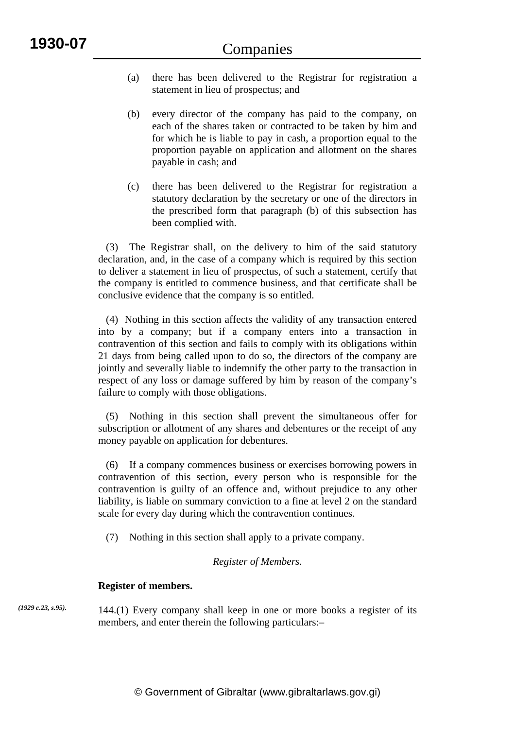- (a) there has been delivered to the Registrar for registration a statement in lieu of prospectus; and
- (b) every director of the company has paid to the company, on each of the shares taken or contracted to be taken by him and for which he is liable to pay in cash, a proportion equal to the proportion payable on application and allotment on the shares payable in cash; and
- (c) there has been delivered to the Registrar for registration a statutory declaration by the secretary or one of the directors in the prescribed form that paragraph (b) of this subsection has been complied with.

 (3) The Registrar shall, on the delivery to him of the said statutory declaration, and, in the case of a company which is required by this section to deliver a statement in lieu of prospectus, of such a statement, certify that the company is entitled to commence business, and that certificate shall be conclusive evidence that the company is so entitled.

 (4) Nothing in this section affects the validity of any transaction entered into by a company; but if a company enters into a transaction in contravention of this section and fails to comply with its obligations within 21 days from being called upon to do so, the directors of the company are jointly and severally liable to indemnify the other party to the transaction in respect of any loss or damage suffered by him by reason of the company's failure to comply with those obligations.

 (5) Nothing in this section shall prevent the simultaneous offer for subscription or allotment of any shares and debentures or the receipt of any money payable on application for debentures.

 (6) If a company commences business or exercises borrowing powers in contravention of this section, every person who is responsible for the contravention is guilty of an offence and, without prejudice to any other liability, is liable on summary conviction to a fine at level 2 on the standard scale for every day during which the contravention continues.

(7) Nothing in this section shall apply to a private company.

## *Register of Members.*

## **Register of members.**

144.(1) Every company shall keep in one or more books a register of its members, and enter therein the following particulars:– *(1929 c.23, s.95).*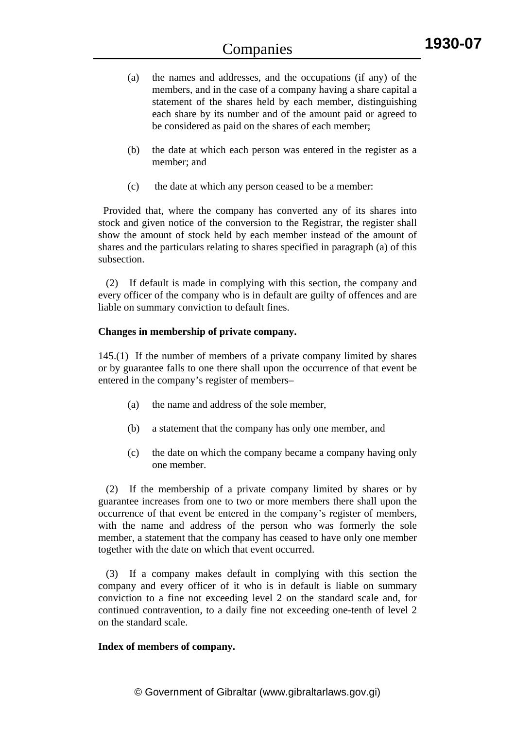- (a) the names and addresses, and the occupations (if any) of the members, and in the case of a company having a share capital a statement of the shares held by each member, distinguishing each share by its number and of the amount paid or agreed to be considered as paid on the shares of each member;
- (b) the date at which each person was entered in the register as a member; and
- (c) the date at which any person ceased to be a member:

 Provided that, where the company has converted any of its shares into stock and given notice of the conversion to the Registrar, the register shall show the amount of stock held by each member instead of the amount of shares and the particulars relating to shares specified in paragraph (a) of this subsection.

 (2) If default is made in complying with this section, the company and every officer of the company who is in default are guilty of offences and are liable on summary conviction to default fines.

## **Changes in membership of private company.**

145.(1) If the number of members of a private company limited by shares or by guarantee falls to one there shall upon the occurrence of that event be entered in the company's register of members–

- (a) the name and address of the sole member,
- (b) a statement that the company has only one member, and
- (c) the date on which the company became a company having only one member.

 (2) If the membership of a private company limited by shares or by guarantee increases from one to two or more members there shall upon the occurrence of that event be entered in the company's register of members, with the name and address of the person who was formerly the sole member, a statement that the company has ceased to have only one member together with the date on which that event occurred.

 (3) If a company makes default in complying with this section the company and every officer of it who is in default is liable on summary conviction to a fine not exceeding level 2 on the standard scale and, for continued contravention, to a daily fine not exceeding one-tenth of level 2 on the standard scale.

## **Index of members of company.**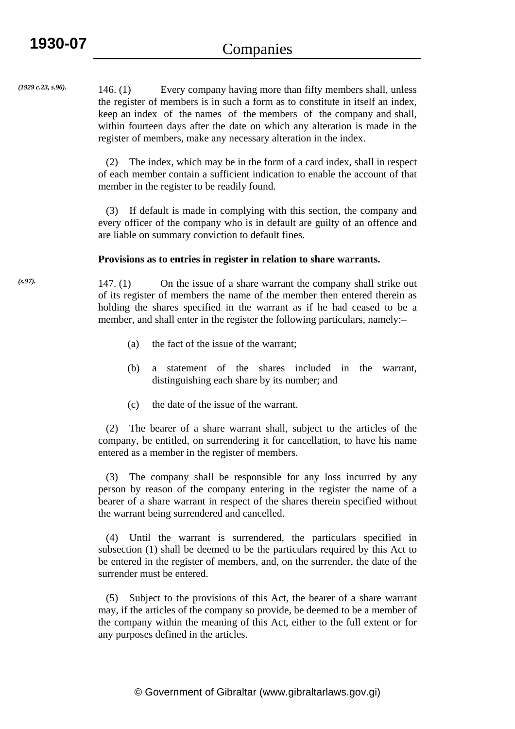146. (1) Every company having more than fifty members shall, unless the register of members is in such a form as to constitute in itself an index, keep an index of the names of the members of the company and shall, within fourteen days after the date on which any alteration is made in the register of members, make any necessary alteration in the index. *(1929 c.23, s.96).*

> (2) The index, which may be in the form of a card index, shall in respect of each member contain a sufficient indication to enable the account of that member in the register to be readily found.

> (3) If default is made in complying with this section, the company and every officer of the company who is in default are guilty of an offence and are liable on summary conviction to default fines.

#### **Provisions as to entries in register in relation to share warrants.**

147. (1) On the issue of a share warrant the company shall strike out of its register of members the name of the member then entered therein as holding the shares specified in the warrant as if he had ceased to be a member, and shall enter in the register the following particulars, namely:–

- (a) the fact of the issue of the warrant;
- (b) a statement of the shares included in the warrant, distinguishing each share by its number; and
- (c) the date of the issue of the warrant.

 (2) The bearer of a share warrant shall, subject to the articles of the company, be entitled, on surrendering it for cancellation, to have his name entered as a member in the register of members.

 (3) The company shall be responsible for any loss incurred by any person by reason of the company entering in the register the name of a bearer of a share warrant in respect of the shares therein specified without the warrant being surrendered and cancelled.

 (4) Until the warrant is surrendered, the particulars specified in subsection (1) shall be deemed to be the particulars required by this Act to be entered in the register of members, and, on the surrender, the date of the surrender must be entered.

 (5) Subject to the provisions of this Act, the bearer of a share warrant may, if the articles of the company so provide, be deemed to be a member of the company within the meaning of this Act, either to the full extent or for any purposes defined in the articles.

*(s.97).*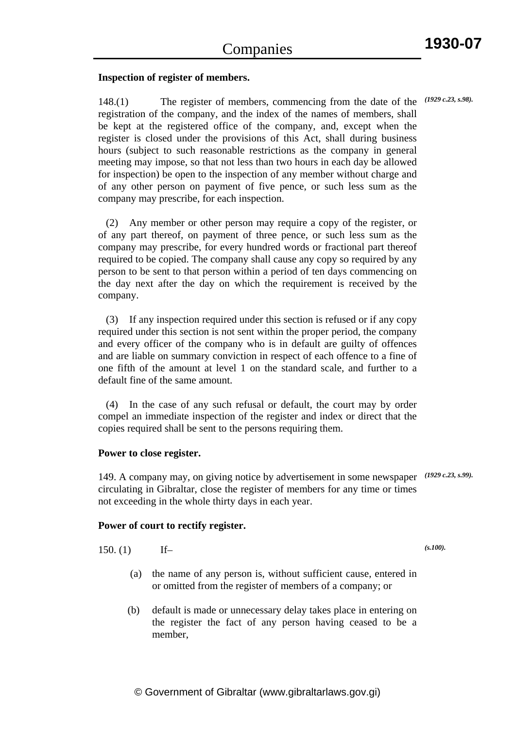*(s.100).*

#### **Inspection of register of members.**

148.(1) The register of members, commencing from the date of the *(1929 c.23, s.98).* registration of the company, and the index of the names of members, shall be kept at the registered office of the company, and, except when the register is closed under the provisions of this Act, shall during business hours (subject to such reasonable restrictions as the company in general meeting may impose, so that not less than two hours in each day be allowed for inspection) be open to the inspection of any member without charge and of any other person on payment of five pence, or such less sum as the company may prescribe, for each inspection.

 (2) Any member or other person may require a copy of the register, or of any part thereof, on payment of three pence, or such less sum as the company may prescribe, for every hundred words or fractional part thereof required to be copied. The company shall cause any copy so required by any person to be sent to that person within a period of ten days commencing on the day next after the day on which the requirement is received by the company.

 (3) If any inspection required under this section is refused or if any copy required under this section is not sent within the proper period, the company and every officer of the company who is in default are guilty of offences and are liable on summary conviction in respect of each offence to a fine of one fifth of the amount at level 1 on the standard scale, and further to a default fine of the same amount.

 (4) In the case of any such refusal or default, the court may by order compel an immediate inspection of the register and index or direct that the copies required shall be sent to the persons requiring them.

#### **Power to close register.**

149. A company may, on giving notice by advertisement in some newspaper *(1929 c.23, s.99).* circulating in Gibraltar, close the register of members for any time or times not exceeding in the whole thirty days in each year.

#### **Power of court to rectify register.**

150. (1) If–

- (a) the name of any person is, without sufficient cause, entered in or omitted from the register of members of a company; or
- (b) default is made or unnecessary delay takes place in entering on the register the fact of any person having ceased to be a member,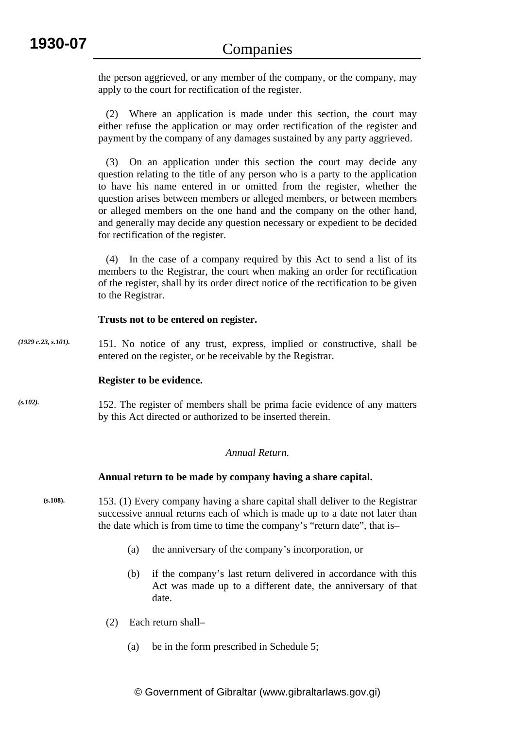the person aggrieved, or any member of the company, or the company, may apply to the court for rectification of the register.

 (2) Where an application is made under this section, the court may either refuse the application or may order rectification of the register and payment by the company of any damages sustained by any party aggrieved.

 (3) On an application under this section the court may decide any question relating to the title of any person who is a party to the application to have his name entered in or omitted from the register, whether the question arises between members or alleged members, or between members or alleged members on the one hand and the company on the other hand, and generally may decide any question necessary or expedient to be decided for rectification of the register.

 (4) In the case of a company required by this Act to send a list of its members to the Registrar, the court when making an order for rectification of the register, shall by its order direct notice of the rectification to be given to the Registrar.

## **Trusts not to be entered on register.**

151. No notice of any trust, express, implied or constructive, shall be entered on the register, or be receivable by the Registrar. *(1929 c.23, s.101).*

## **Register to be evidence.**

152. The register of members shall be prima facie evidence of any matters by this Act directed or authorized to be inserted therein. *(s.102).*

# *Annual Return.*

## **Annual return to be made by company having a share capital.**

- 153. (1) Every company having a share capital shall deliver to the Registrar successive annual returns each of which is made up to a date not later than the date which is from time to time the company's "return date", that is– **(s.108).**
	- (a) the anniversary of the company's incorporation, or
	- (b) if the company's last return delivered in accordance with this Act was made up to a different date, the anniversary of that date.
	- (2) Each return shall–
		- (a) be in the form prescribed in Schedule 5;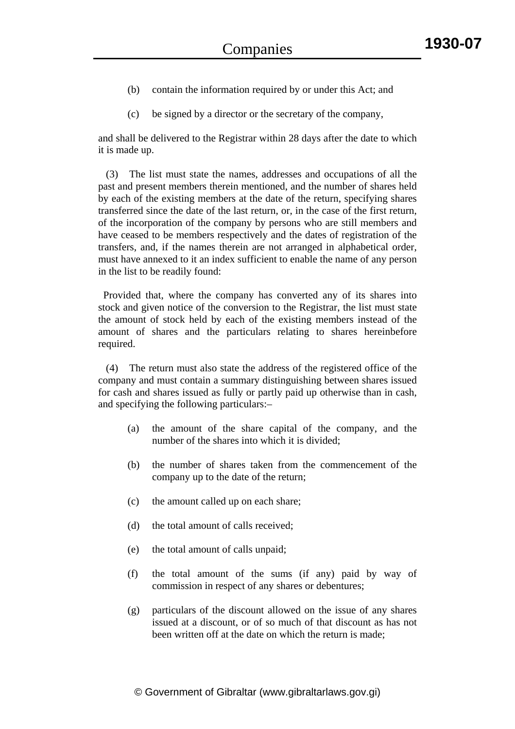- (b) contain the information required by or under this Act; and
- (c) be signed by a director or the secretary of the company,

and shall be delivered to the Registrar within 28 days after the date to which it is made up.

 (3) The list must state the names, addresses and occupations of all the past and present members therein mentioned, and the number of shares held by each of the existing members at the date of the return, specifying shares transferred since the date of the last return, or, in the case of the first return, of the incorporation of the company by persons who are still members and have ceased to be members respectively and the dates of registration of the transfers, and, if the names therein are not arranged in alphabetical order, must have annexed to it an index sufficient to enable the name of any person in the list to be readily found:

 Provided that, where the company has converted any of its shares into stock and given notice of the conversion to the Registrar, the list must state the amount of stock held by each of the existing members instead of the amount of shares and the particulars relating to shares hereinbefore required.

 (4) The return must also state the address of the registered office of the company and must contain a summary distinguishing between shares issued for cash and shares issued as fully or partly paid up otherwise than in cash, and specifying the following particulars:–

- (a) the amount of the share capital of the company, and the number of the shares into which it is divided;
- (b) the number of shares taken from the commencement of the company up to the date of the return;
- (c) the amount called up on each share;
- (d) the total amount of calls received;
- (e) the total amount of calls unpaid;
- (f) the total amount of the sums (if any) paid by way of commission in respect of any shares or debentures;
- (g) particulars of the discount allowed on the issue of any shares issued at a discount, or of so much of that discount as has not been written off at the date on which the return is made;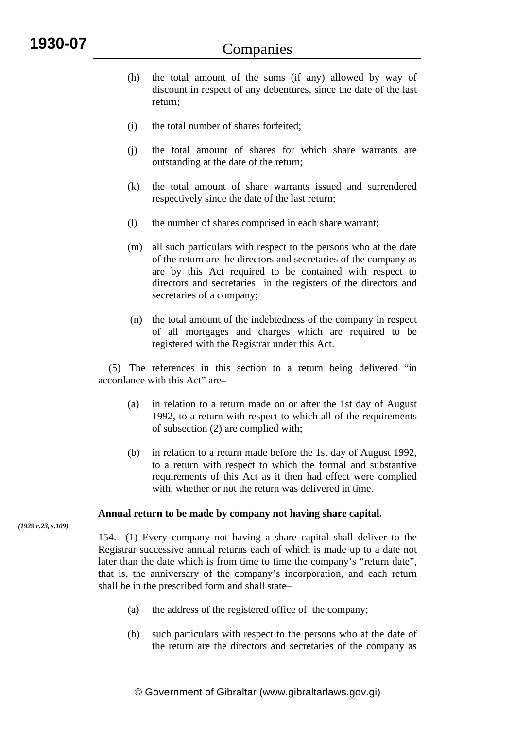- (h) the total amount of the sums (if any) allowed by way of discount in respect of any debentures, since the date of the last return;
- (i) the total number of shares forfeited;
- (j) the total amount of shares for which share warrants are outstanding at the date of the return;
- (k) the total amount of share warrants issued and surrendered respectively since the date of the last return;
- (l) the number of shares comprised in each share warrant;
- (m) all such particulars with respect to the persons who at the date of the return are the directors and secretaries of the company as are by this Act required to be contained with respect to directors and secretaries in the registers of the directors and secretaries of a company;
- (n) the total amount of the indebtedness of the company in respect of all mortgages and charges which are required to be registered with the Registrar under this Act.

 (5) The references in this section to a return being delivered "in accordance with this Act" are–

- (a) in relation to a return made on or after the 1st day of August 1992, to a return with respect to which all of the requirements of subsection (2) are complied with;
- (b) in relation to a return made before the 1st day of August 1992, to a return with respect to which the formal and substantive requirements of this Act as it then had effect were complied with, whether or not the return was delivered in time.

# **Annual return to be made by company not having share capital.**

154. (1) Every company not having a share capital shall deliver to the Registrar successive annual returns each of which is made up to a date not later than the date which is from time to time the company's "return date", that is, the anniversary of the company's incorporation, and each return shall be in the prescribed form and shall state–

- (a) the address of the registered office of the company;
- (b) such particulars with respect to the persons who at the date of the return are the directors and secretaries of the company as

*(1929 c.23, s.109).*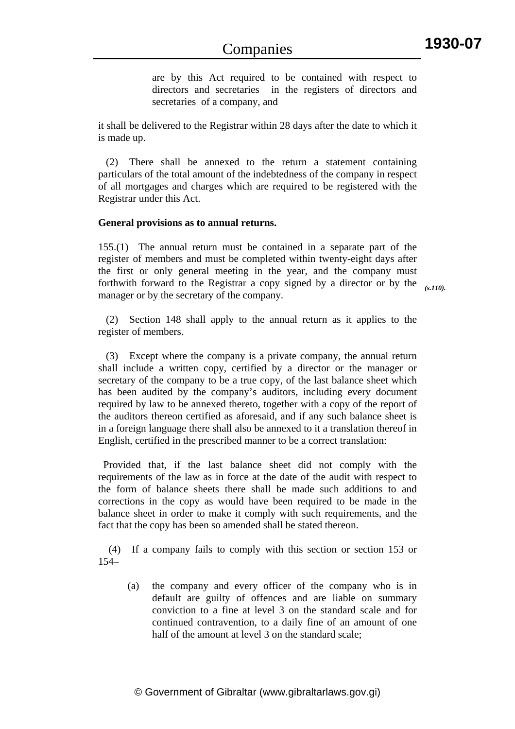are by this Act required to be contained with respect to directors and secretaries in the registers of directors and secretaries of a company, and

it shall be delivered to the Registrar within 28 days after the date to which it is made up.

 (2) There shall be annexed to the return a statement containing particulars of the total amount of the indebtedness of the company in respect of all mortgages and charges which are required to be registered with the Registrar under this Act.

### **General provisions as to annual returns.**

155.(1) The annual return must be contained in a separate part of the register of members and must be completed within twenty-eight days after the first or only general meeting in the year, and the company must forthwith forward to the Registrar a copy signed by a director or by the *(s.110).*manager or by the secretary of the company.

 (2) Section 148 shall apply to the annual return as it applies to the register of members.

 (3) Except where the company is a private company, the annual return shall include a written copy, certified by a director or the manager or secretary of the company to be a true copy, of the last balance sheet which has been audited by the company's auditors, including every document required by law to be annexed thereto, together with a copy of the report of the auditors thereon certified as aforesaid, and if any such balance sheet is in a foreign language there shall also be annexed to it a translation thereof in English, certified in the prescribed manner to be a correct translation:

 Provided that, if the last balance sheet did not comply with the requirements of the law as in force at the date of the audit with respect to the form of balance sheets there shall be made such additions to and corrections in the copy as would have been required to be made in the balance sheet in order to make it comply with such requirements, and the fact that the copy has been so amended shall be stated thereon.

 (4) If a company fails to comply with this section or section 153 or 154–

(a) the company and every officer of the company who is in default are guilty of offences and are liable on summary conviction to a fine at level 3 on the standard scale and for continued contravention, to a daily fine of an amount of one half of the amount at level 3 on the standard scale;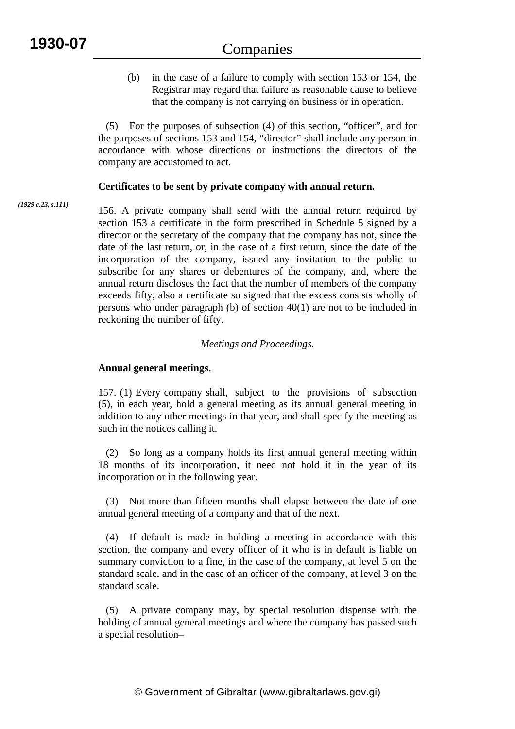(b) in the case of a failure to comply with section 153 or 154, the Registrar may regard that failure as reasonable cause to believe that the company is not carrying on business or in operation.

 (5) For the purposes of subsection (4) of this section, "officer", and for the purposes of sections 153 and 154, "director" shall include any person in accordance with whose directions or instructions the directors of the company are accustomed to act.

## **Certificates to be sent by private company with annual return.**

*(1929 c.23, s.111).*

156. A private company shall send with the annual return required by section 153 a certificate in the form prescribed in Schedule 5 signed by a director or the secretary of the company that the company has not, since the date of the last return, or, in the case of a first return, since the date of the incorporation of the company, issued any invitation to the public to subscribe for any shares or debentures of the company, and, where the annual return discloses the fact that the number of members of the company exceeds fifty, also a certificate so signed that the excess consists wholly of persons who under paragraph (b) of section 40(1) are not to be included in reckoning the number of fifty.

## *Meetings and Proceedings.*

## **Annual general meetings.**

157. (1) Every company shall, subject to the provisions of subsection (5), in each year, hold a general meeting as its annual general meeting in addition to any other meetings in that year, and shall specify the meeting as such in the notices calling it.

 (2) So long as a company holds its first annual general meeting within 18 months of its incorporation, it need not hold it in the year of its incorporation or in the following year.

 (3) Not more than fifteen months shall elapse between the date of one annual general meeting of a company and that of the next.

 (4) If default is made in holding a meeting in accordance with this section, the company and every officer of it who is in default is liable on summary conviction to a fine, in the case of the company, at level 5 on the standard scale, and in the case of an officer of the company, at level 3 on the standard scale.

 (5) A private company may, by special resolution dispense with the holding of annual general meetings and where the company has passed such a special resolution–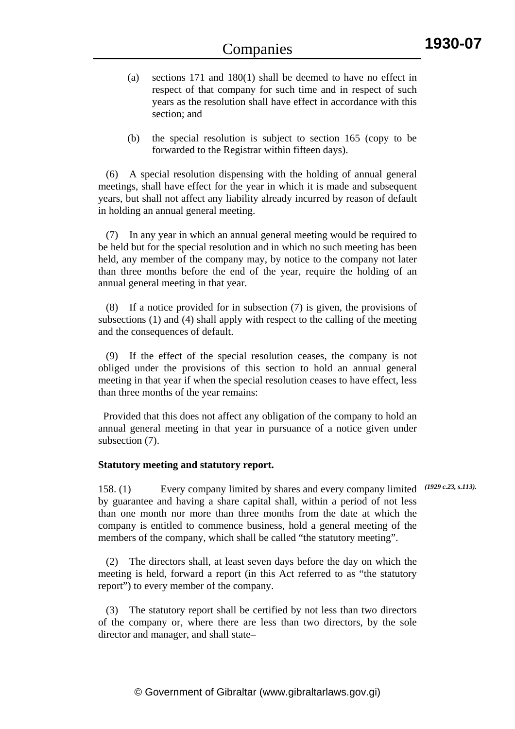- (a) sections 171 and 180(1) shall be deemed to have no effect in respect of that company for such time and in respect of such years as the resolution shall have effect in accordance with this section; and
- (b) the special resolution is subject to section 165 (copy to be forwarded to the Registrar within fifteen days).

 (6) A special resolution dispensing with the holding of annual general meetings, shall have effect for the year in which it is made and subsequent years, but shall not affect any liability already incurred by reason of default in holding an annual general meeting.

 (7) In any year in which an annual general meeting would be required to be held but for the special resolution and in which no such meeting has been held, any member of the company may, by notice to the company not later than three months before the end of the year, require the holding of an annual general meeting in that year.

 (8) If a notice provided for in subsection (7) is given, the provisions of subsections (1) and (4) shall apply with respect to the calling of the meeting and the consequences of default.

 (9) If the effect of the special resolution ceases, the company is not obliged under the provisions of this section to hold an annual general meeting in that year if when the special resolution ceases to have effect, less than three months of the year remains:

 Provided that this does not affect any obligation of the company to hold an annual general meeting in that year in pursuance of a notice given under subsection (7).

## **Statutory meeting and statutory report.**

158. (1) Every company limited by shares and every company limited *(1929 c.23, s.113).*by guarantee and having a share capital shall, within a period of not less than one month nor more than three months from the date at which the company is entitled to commence business, hold a general meeting of the members of the company, which shall be called "the statutory meeting".

 (2) The directors shall, at least seven days before the day on which the meeting is held, forward a report (in this Act referred to as "the statutory report") to every member of the company.

 (3) The statutory report shall be certified by not less than two directors of the company or, where there are less than two directors, by the sole director and manager, and shall state–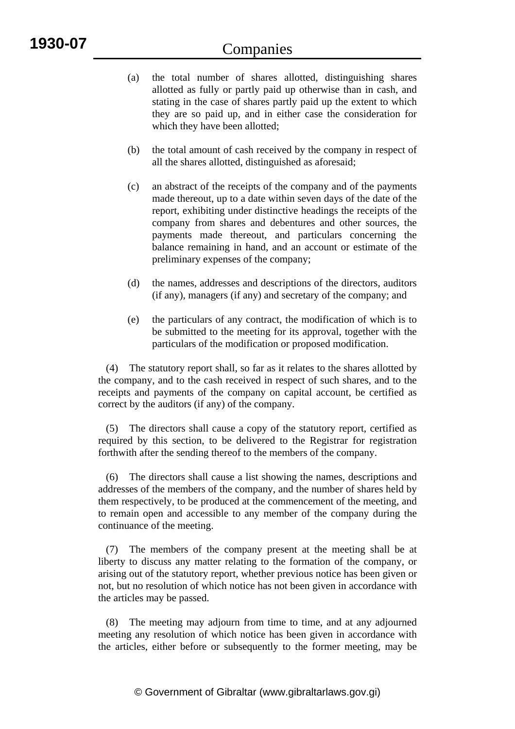- (a) the total number of shares allotted, distinguishing shares allotted as fully or partly paid up otherwise than in cash, and stating in the case of shares partly paid up the extent to which they are so paid up, and in either case the consideration for which they have been allotted;
- (b) the total amount of cash received by the company in respect of all the shares allotted, distinguished as aforesaid;
- (c) an abstract of the receipts of the company and of the payments made thereout, up to a date within seven days of the date of the report, exhibiting under distinctive headings the receipts of the company from shares and debentures and other sources, the payments made thereout, and particulars concerning the balance remaining in hand, and an account or estimate of the preliminary expenses of the company;
- (d) the names, addresses and descriptions of the directors, auditors (if any), managers (if any) and secretary of the company; and
- (e) the particulars of any contract, the modification of which is to be submitted to the meeting for its approval, together with the particulars of the modification or proposed modification.

 (4) The statutory report shall, so far as it relates to the shares allotted by the company, and to the cash received in respect of such shares, and to the receipts and payments of the company on capital account, be certified as correct by the auditors (if any) of the company.

 (5) The directors shall cause a copy of the statutory report, certified as required by this section, to be delivered to the Registrar for registration forthwith after the sending thereof to the members of the company.

 (6) The directors shall cause a list showing the names, descriptions and addresses of the members of the company, and the number of shares held by them respectively, to be produced at the commencement of the meeting, and to remain open and accessible to any member of the company during the continuance of the meeting.

 (7) The members of the company present at the meeting shall be at liberty to discuss any matter relating to the formation of the company, or arising out of the statutory report, whether previous notice has been given or not, but no resolution of which notice has not been given in accordance with the articles may be passed.

 (8) The meeting may adjourn from time to time, and at any adjourned meeting any resolution of which notice has been given in accordance with the articles, either before or subsequently to the former meeting, may be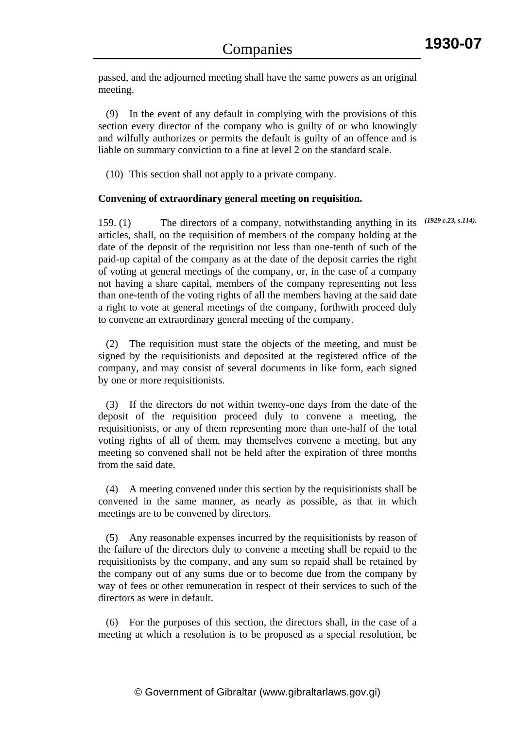passed, and the adjourned meeting shall have the same powers as an original meeting.

 (9) In the event of any default in complying with the provisions of this section every director of the company who is guilty of or who knowingly and wilfully authorizes or permits the default is guilty of an offence and is liable on summary conviction to a fine at level 2 on the standard scale.

(10) This section shall not apply to a private company.

## **Convening of extraordinary general meeting on requisition.**

159. (1) The directors of a company, notwithstanding anything in its *(1929 c.23, s.114).*articles, shall, on the requisition of members of the company holding at the date of the deposit of the requisition not less than one-tenth of such of the paid-up capital of the company as at the date of the deposit carries the right of voting at general meetings of the company, or, in the case of a company not having a share capital, members of the company representing not less than one-tenth of the voting rights of all the members having at the said date a right to vote at general meetings of the company, forthwith proceed duly to convene an extraordinary general meeting of the company.

 (2) The requisition must state the objects of the meeting, and must be signed by the requisitionists and deposited at the registered office of the company, and may consist of several documents in like form, each signed by one or more requisitionists.

 (3) If the directors do not within twenty-one days from the date of the deposit of the requisition proceed duly to convene a meeting, the requisitionists, or any of them representing more than one-half of the total voting rights of all of them, may themselves convene a meeting, but any meeting so convened shall not be held after the expiration of three months from the said date.

 (4) A meeting convened under this section by the requisitionists shall be convened in the same manner, as nearly as possible, as that in which meetings are to be convened by directors.

 (5) Any reasonable expenses incurred by the requisitionists by reason of the failure of the directors duly to convene a meeting shall be repaid to the requisitionists by the company, and any sum so repaid shall be retained by the company out of any sums due or to become due from the company by way of fees or other remuneration in respect of their services to such of the directors as were in default.

 (6) For the purposes of this section, the directors shall, in the case of a meeting at which a resolution is to be proposed as a special resolution, be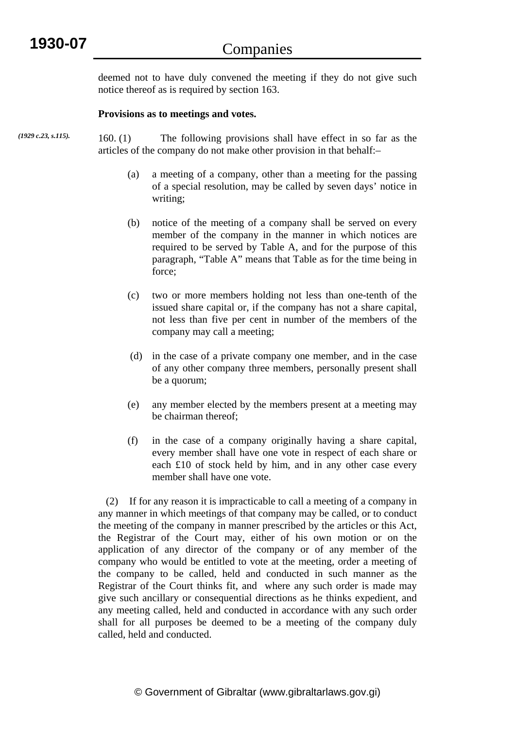deemed not to have duly convened the meeting if they do not give such notice thereof as is required by section 163.

### **Provisions as to meetings and votes.**

160. (1) The following provisions shall have effect in so far as the articles of the company do not make other provision in that behalf:– *(1929 c.23, s.115).*

- (a) a meeting of a company, other than a meeting for the passing of a special resolution, may be called by seven days' notice in writing;
- (b) notice of the meeting of a company shall be served on every member of the company in the manner in which notices are required to be served by Table A, and for the purpose of this paragraph, "Table A" means that Table as for the time being in force;
- (c) two or more members holding not less than one-tenth of the issued share capital or, if the company has not a share capital, not less than five per cent in number of the members of the company may call a meeting;
- (d) in the case of a private company one member, and in the case of any other company three members, personally present shall be a quorum;
- (e) any member elected by the members present at a meeting may be chairman thereof;
- (f) in the case of a company originally having a share capital, every member shall have one vote in respect of each share or each £10 of stock held by him, and in any other case every member shall have one vote.

 (2) If for any reason it is impracticable to call a meeting of a company in any manner in which meetings of that company may be called, or to conduct the meeting of the company in manner prescribed by the articles or this Act, the Registrar of the Court may, either of his own motion or on the application of any director of the company or of any member of the company who would be entitled to vote at the meeting, order a meeting of the company to be called, held and conducted in such manner as the Registrar of the Court thinks fit, and where any such order is made may give such ancillary or consequential directions as he thinks expedient, and any meeting called, held and conducted in accordance with any such order shall for all purposes be deemed to be a meeting of the company duly called, held and conducted.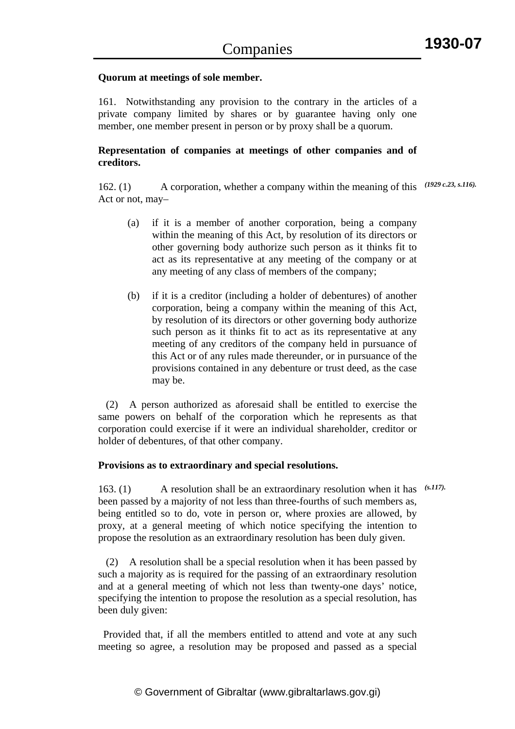### **Quorum at meetings of sole member.**

161. Notwithstanding any provision to the contrary in the articles of a private company limited by shares or by guarantee having only one member, one member present in person or by proxy shall be a quorum.

## **Representation of companies at meetings of other companies and of creditors.**

162. (1) A corporation, whether a company within the meaning of this *(1929 c.23, s.116).* Act or not, may–

- (a) if it is a member of another corporation, being a company within the meaning of this Act, by resolution of its directors or other governing body authorize such person as it thinks fit to act as its representative at any meeting of the company or at any meeting of any class of members of the company;
- (b) if it is a creditor (including a holder of debentures) of another corporation, being a company within the meaning of this Act, by resolution of its directors or other governing body authorize such person as it thinks fit to act as its representative at any meeting of any creditors of the company held in pursuance of this Act or of any rules made thereunder, or in pursuance of the provisions contained in any debenture or trust deed, as the case may be.

 (2) A person authorized as aforesaid shall be entitled to exercise the same powers on behalf of the corporation which he represents as that corporation could exercise if it were an individual shareholder, creditor or holder of debentures, of that other company.

## **Provisions as to extraordinary and special resolutions.**

163. (1) A resolution shall be an extraordinary resolution when it has *(s.117).*been passed by a majority of not less than three-fourths of such members as, being entitled so to do, vote in person or, where proxies are allowed, by proxy, at a general meeting of which notice specifying the intention to propose the resolution as an extraordinary resolution has been duly given.

 (2) A resolution shall be a special resolution when it has been passed by such a majority as is required for the passing of an extraordinary resolution and at a general meeting of which not less than twenty-one days' notice, specifying the intention to propose the resolution as a special resolution, has been duly given:

 Provided that, if all the members entitled to attend and vote at any such meeting so agree, a resolution may be proposed and passed as a special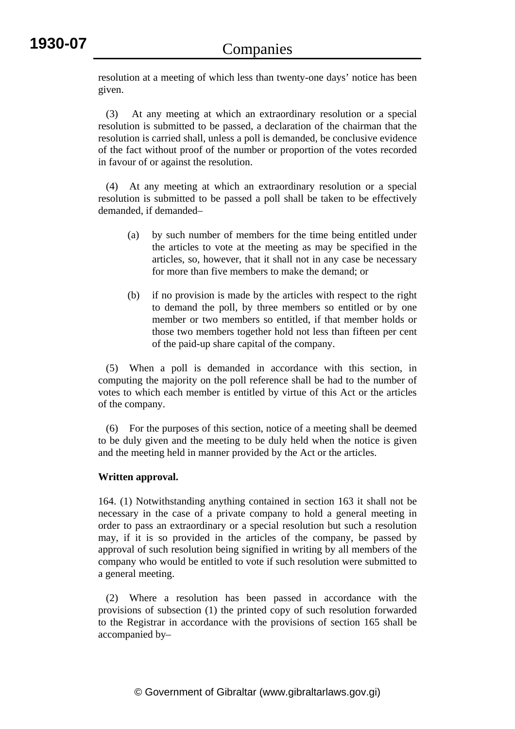resolution at a meeting of which less than twenty-one days' notice has been given.

 (3) At any meeting at which an extraordinary resolution or a special resolution is submitted to be passed, a declaration of the chairman that the resolution is carried shall, unless a poll is demanded, be conclusive evidence of the fact without proof of the number or proportion of the votes recorded in favour of or against the resolution.

 (4) At any meeting at which an extraordinary resolution or a special resolution is submitted to be passed a poll shall be taken to be effectively demanded, if demanded–

- (a) by such number of members for the time being entitled under the articles to vote at the meeting as may be specified in the articles, so, however, that it shall not in any case be necessary for more than five members to make the demand; or
- (b) if no provision is made by the articles with respect to the right to demand the poll, by three members so entitled or by one member or two members so entitled, if that member holds or those two members together hold not less than fifteen per cent of the paid-up share capital of the company.

 (5) When a poll is demanded in accordance with this section, in computing the majority on the poll reference shall be had to the number of votes to which each member is entitled by virtue of this Act or the articles of the company.

 (6) For the purposes of this section, notice of a meeting shall be deemed to be duly given and the meeting to be duly held when the notice is given and the meeting held in manner provided by the Act or the articles.

# **Written approval.**

164. (1) Notwithstanding anything contained in section 163 it shall not be necessary in the case of a private company to hold a general meeting in order to pass an extraordinary or a special resolution but such a resolution may, if it is so provided in the articles of the company, be passed by approval of such resolution being signified in writing by all members of the company who would be entitled to vote if such resolution were submitted to a general meeting.

 (2) Where a resolution has been passed in accordance with the provisions of subsection (1) the printed copy of such resolution forwarded to the Registrar in accordance with the provisions of section 165 shall be accompanied by–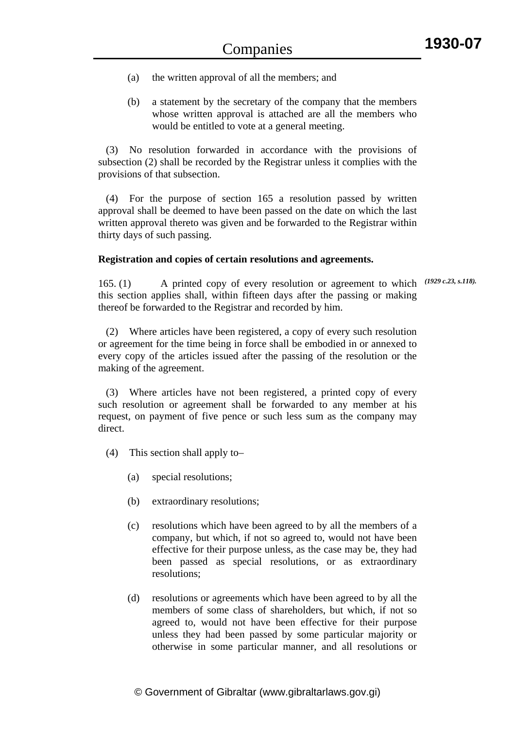- (a) the written approval of all the members; and
- (b) a statement by the secretary of the company that the members whose written approval is attached are all the members who would be entitled to vote at a general meeting.

 (3) No resolution forwarded in accordance with the provisions of subsection (2) shall be recorded by the Registrar unless it complies with the provisions of that subsection.

 (4) For the purpose of section 165 a resolution passed by written approval shall be deemed to have been passed on the date on which the last written approval thereto was given and be forwarded to the Registrar within thirty days of such passing.

#### **Registration and copies of certain resolutions and agreements.**

165. (1) A printed copy of every resolution or agreement to which *(1929 c.23, s.118).*this section applies shall, within fifteen days after the passing or making thereof be forwarded to the Registrar and recorded by him.

 (2) Where articles have been registered, a copy of every such resolution or agreement for the time being in force shall be embodied in or annexed to every copy of the articles issued after the passing of the resolution or the making of the agreement.

 (3) Where articles have not been registered, a printed copy of every such resolution or agreement shall be forwarded to any member at his request, on payment of five pence or such less sum as the company may direct.

- (4) This section shall apply to–
	- (a) special resolutions;
	- (b) extraordinary resolutions;
	- (c) resolutions which have been agreed to by all the members of a company, but which, if not so agreed to, would not have been effective for their purpose unless, as the case may be, they had been passed as special resolutions, or as extraordinary resolutions;
	- (d) resolutions or agreements which have been agreed to by all the members of some class of shareholders, but which, if not so agreed to, would not have been effective for their purpose unless they had been passed by some particular majority or otherwise in some particular manner, and all resolutions or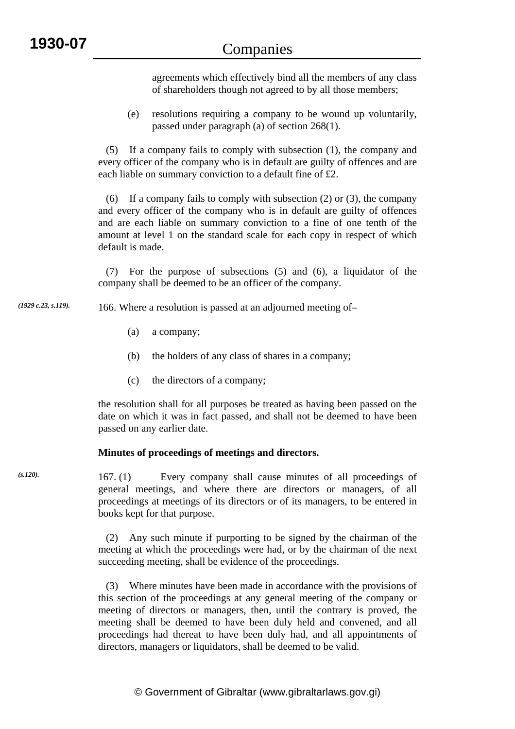agreements which effectively bind all the members of any class of shareholders though not agreed to by all those members;

(e) resolutions requiring a company to be wound up voluntarily, passed under paragraph (a) of section 268(1).

 (5) If a company fails to comply with subsection (1), the company and every officer of the company who is in default are guilty of offences and are each liable on summary conviction to a default fine of £2.

 (6) If a company fails to comply with subsection (2) or (3), the company and every officer of the company who is in default are guilty of offences and are each liable on summary conviction to a fine of one tenth of the amount at level 1 on the standard scale for each copy in respect of which default is made.

 (7) For the purpose of subsections (5) and (6), a liquidator of the company shall be deemed to be an officer of the company.

166. Where a resolution is passed at an adjourned meeting of– *(1929 c.23, s.119).*

- (a) a company;
- (b) the holders of any class of shares in a company;
- (c) the directors of a company;

the resolution shall for all purposes be treated as having been passed on the date on which it was in fact passed, and shall not be deemed to have been passed on any earlier date.

## **Minutes of proceedings of meetings and directors.**

167. (1) Every company shall cause minutes of all proceedings of general meetings, and where there are directors or managers, of all proceedings at meetings of its directors or of its managers, to be entered in books kept for that purpose.

 (2) Any such minute if purporting to be signed by the chairman of the meeting at which the proceedings were had, or by the chairman of the next succeeding meeting, shall be evidence of the proceedings.

 (3) Where minutes have been made in accordance with the provisions of this section of the proceedings at any general meeting of the company or meeting of directors or managers, then, until the contrary is proved, the meeting shall be deemed to have been duly held and convened, and all proceedings had thereat to have been duly had, and all appointments of directors, managers or liquidators, shall be deemed to be valid.

*(s.120).*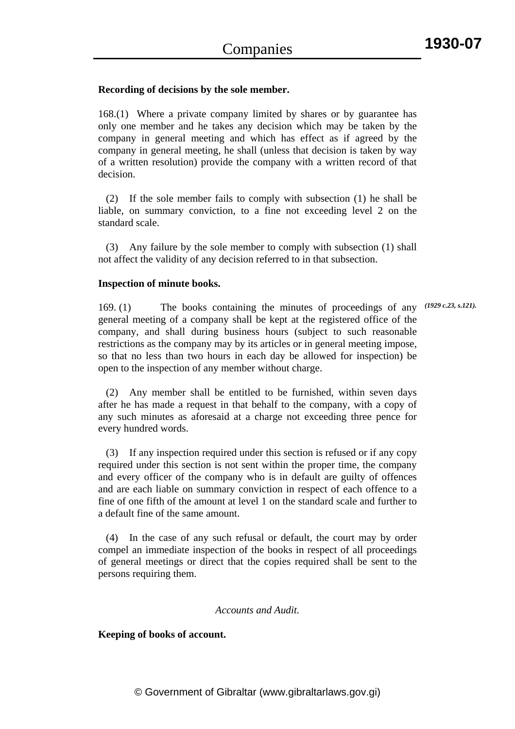### **Recording of decisions by the sole member.**

168.(1) Where a private company limited by shares or by guarantee has only one member and he takes any decision which may be taken by the company in general meeting and which has effect as if agreed by the company in general meeting, he shall (unless that decision is taken by way of a written resolution) provide the company with a written record of that decision.

 (2) If the sole member fails to comply with subsection (1) he shall be liable, on summary conviction, to a fine not exceeding level 2 on the standard scale.

 (3) Any failure by the sole member to comply with subsection (1) shall not affect the validity of any decision referred to in that subsection.

#### **Inspection of minute books.**

169. (1) The books containing the minutes of proceedings of any *(1929 c.23, s.121).*general meeting of a company shall be kept at the registered office of the company, and shall during business hours (subject to such reasonable restrictions as the company may by its articles or in general meeting impose, so that no less than two hours in each day be allowed for inspection) be open to the inspection of any member without charge.

 (2) Any member shall be entitled to be furnished, within seven days after he has made a request in that behalf to the company, with a copy of any such minutes as aforesaid at a charge not exceeding three pence for every hundred words.

 (3) If any inspection required under this section is refused or if any copy required under this section is not sent within the proper time, the company and every officer of the company who is in default are guilty of offences and are each liable on summary conviction in respect of each offence to a fine of one fifth of the amount at level 1 on the standard scale and further to a default fine of the same amount.

 (4) In the case of any such refusal or default, the court may by order compel an immediate inspection of the books in respect of all proceedings of general meetings or direct that the copies required shall be sent to the persons requiring them.

#### *Accounts and Audit.*

#### **Keeping of books of account.**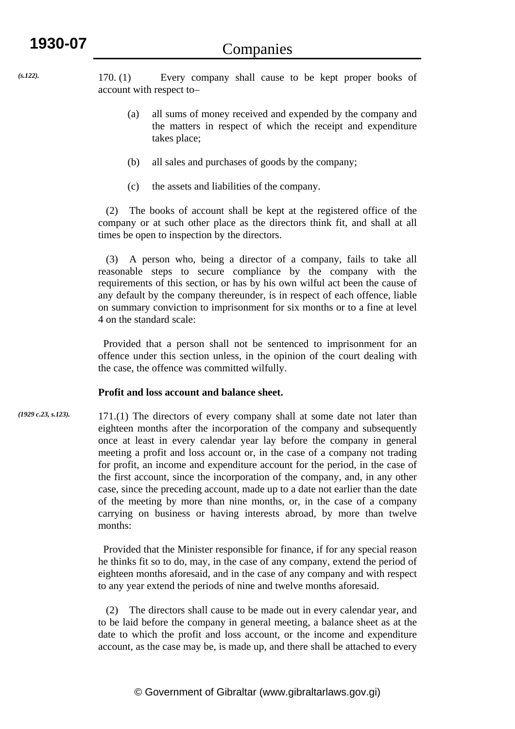170. (1) Every company shall cause to be kept proper books of account with respect to–

- (a) all sums of money received and expended by the company and the matters in respect of which the receipt and expenditure takes place;
- (b) all sales and purchases of goods by the company;
- (c) the assets and liabilities of the company.

 (2) The books of account shall be kept at the registered office of the company or at such other place as the directors think fit, and shall at all times be open to inspection by the directors.

 (3) A person who, being a director of a company, fails to take all reasonable steps to secure compliance by the company with the requirements of this section, or has by his own wilful act been the cause of any default by the company thereunder, is in respect of each offence, liable on summary conviction to imprisonment for six months or to a fine at level 4 on the standard scale:

 Provided that a person shall not be sentenced to imprisonment for an offence under this section unless, in the opinion of the court dealing with the case, the offence was committed wilfully.

### **Profit and loss account and balance sheet.**

171.(1) The directors of every company shall at some date not later than eighteen months after the incorporation of the company and subsequently once at least in every calendar year lay before the company in general meeting a profit and loss account or, in the case of a company not trading for profit, an income and expenditure account for the period, in the case of the first account, since the incorporation of the company, and, in any other case, since the preceding account, made up to a date not earlier than the date of the meeting by more than nine months, or, in the case of a company carrying on business or having interests abroad, by more than twelve months: *(1929 c.23, s.123).*

> Provided that the Minister responsible for finance, if for any special reason he thinks fit so to do, may, in the case of any company, extend the period of eighteen months aforesaid, and in the case of any company and with respect to any year extend the periods of nine and twelve months aforesaid.

> (2) The directors shall cause to be made out in every calendar year, and to be laid before the company in general meeting, a balance sheet as at the date to which the profit and loss account, or the income and expenditure account, as the case may be, is made up, and there shall be attached to every

*(s.122).*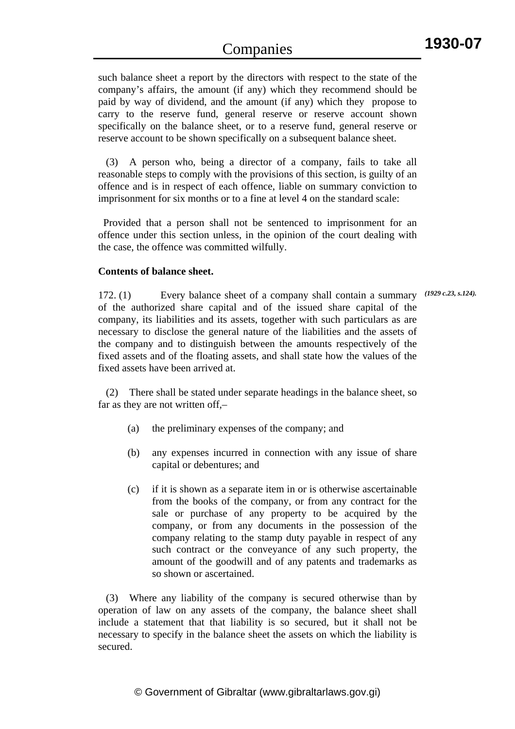**1930-07**

such balance sheet a report by the directors with respect to the state of the company's affairs, the amount (if any) which they recommend should be paid by way of dividend, and the amount (if any) which they propose to carry to the reserve fund, general reserve or reserve account shown specifically on the balance sheet, or to a reserve fund, general reserve or reserve account to be shown specifically on a subsequent balance sheet.

 (3) A person who, being a director of a company, fails to take all reasonable steps to comply with the provisions of this section, is guilty of an offence and is in respect of each offence, liable on summary conviction to imprisonment for six months or to a fine at level 4 on the standard scale:

 Provided that a person shall not be sentenced to imprisonment for an offence under this section unless, in the opinion of the court dealing with the case, the offence was committed wilfully.

### **Contents of balance sheet.**

172. (1) Every balance sheet of a company shall contain a summary *(1929 c.23, s.124).*of the authorized share capital and of the issued share capital of the company, its liabilities and its assets, together with such particulars as are necessary to disclose the general nature of the liabilities and the assets of the company and to distinguish between the amounts respectively of the fixed assets and of the floating assets, and shall state how the values of the fixed assets have been arrived at.

 (2) There shall be stated under separate headings in the balance sheet, so far as they are not written off,–

- (a) the preliminary expenses of the company; and
- (b) any expenses incurred in connection with any issue of share capital or debentures; and
- (c) if it is shown as a separate item in or is otherwise ascertainable from the books of the company, or from any contract for the sale or purchase of any property to be acquired by the company, or from any documents in the possession of the company relating to the stamp duty payable in respect of any such contract or the conveyance of any such property, the amount of the goodwill and of any patents and trademarks as so shown or ascertained.

 (3) Where any liability of the company is secured otherwise than by operation of law on any assets of the company, the balance sheet shall include a statement that that liability is so secured, but it shall not be necessary to specify in the balance sheet the assets on which the liability is secured.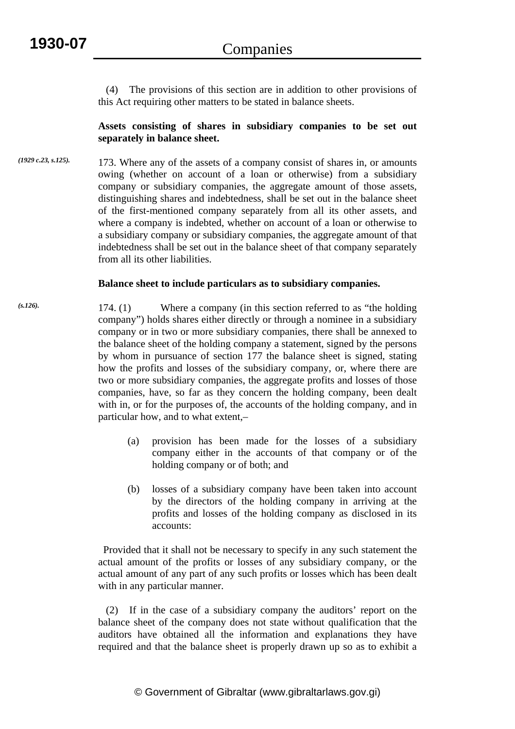(4) The provisions of this section are in addition to other provisions of this Act requiring other matters to be stated in balance sheets.

## **Assets consisting of shares in subsidiary companies to be set out separately in balance sheet.**

173. Where any of the assets of a company consist of shares in, or amounts owing (whether on account of a loan or otherwise) from a subsidiary company or subsidiary companies, the aggregate amount of those assets, distinguishing shares and indebtedness, shall be set out in the balance sheet of the first-mentioned company separately from all its other assets, and where a company is indebted, whether on account of a loan or otherwise to a subsidiary company or subsidiary companies, the aggregate amount of that indebtedness shall be set out in the balance sheet of that company separately from all its other liabilities. *(1929 c.23, s.125).*

### **Balance sheet to include particulars as to subsidiary companies.**

174. (1) Where a company (in this section referred to as "the holding company") holds shares either directly or through a nominee in a subsidiary company or in two or more subsidiary companies, there shall be annexed to the balance sheet of the holding company a statement, signed by the persons by whom in pursuance of section 177 the balance sheet is signed, stating how the profits and losses of the subsidiary company, or, where there are two or more subsidiary companies, the aggregate profits and losses of those companies, have, so far as they concern the holding company, been dealt with in, or for the purposes of, the accounts of the holding company, and in particular how, and to what extent,– *(s.126).*

- (a) provision has been made for the losses of a subsidiary company either in the accounts of that company or of the holding company or of both; and
- (b) losses of a subsidiary company have been taken into account by the directors of the holding company in arriving at the profits and losses of the holding company as disclosed in its accounts:

 Provided that it shall not be necessary to specify in any such statement the actual amount of the profits or losses of any subsidiary company, or the actual amount of any part of any such profits or losses which has been dealt with in any particular manner.

 (2) If in the case of a subsidiary company the auditors' report on the balance sheet of the company does not state without qualification that the auditors have obtained all the information and explanations they have required and that the balance sheet is properly drawn up so as to exhibit a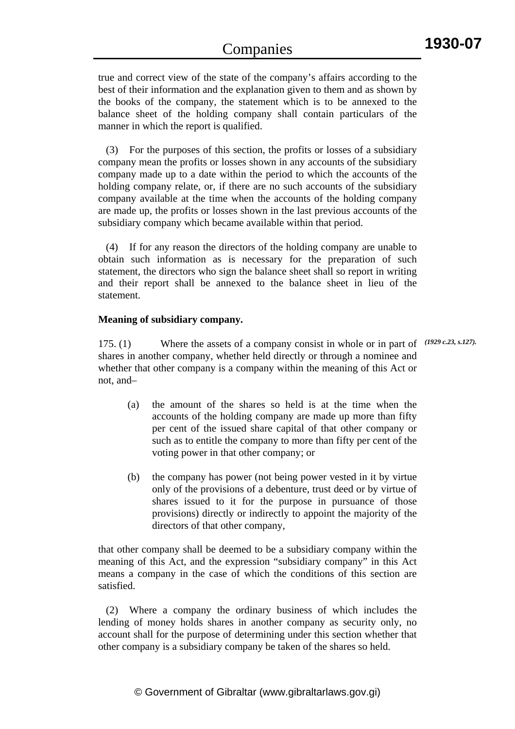true and correct view of the state of the company's affairs according to the best of their information and the explanation given to them and as shown by the books of the company, the statement which is to be annexed to the balance sheet of the holding company shall contain particulars of the manner in which the report is qualified.

 (3) For the purposes of this section, the profits or losses of a subsidiary company mean the profits or losses shown in any accounts of the subsidiary company made up to a date within the period to which the accounts of the holding company relate, or, if there are no such accounts of the subsidiary company available at the time when the accounts of the holding company are made up, the profits or losses shown in the last previous accounts of the subsidiary company which became available within that period.

 (4) If for any reason the directors of the holding company are unable to obtain such information as is necessary for the preparation of such statement, the directors who sign the balance sheet shall so report in writing and their report shall be annexed to the balance sheet in lieu of the statement.

## **Meaning of subsidiary company.**

175. (1) Where the assets of a company consist in whole or in part of  $(1929 \text{ c.23}, s.127)$ . shares in another company, whether held directly or through a nominee and whether that other company is a company within the meaning of this Act or not, and–

- (a) the amount of the shares so held is at the time when the accounts of the holding company are made up more than fifty per cent of the issued share capital of that other company or such as to entitle the company to more than fifty per cent of the voting power in that other company; or
- (b) the company has power (not being power vested in it by virtue only of the provisions of a debenture, trust deed or by virtue of shares issued to it for the purpose in pursuance of those provisions) directly or indirectly to appoint the majority of the directors of that other company,

that other company shall be deemed to be a subsidiary company within the meaning of this Act, and the expression "subsidiary company" in this Act means a company in the case of which the conditions of this section are satisfied.

 (2) Where a company the ordinary business of which includes the lending of money holds shares in another company as security only, no account shall for the purpose of determining under this section whether that other company is a subsidiary company be taken of the shares so held.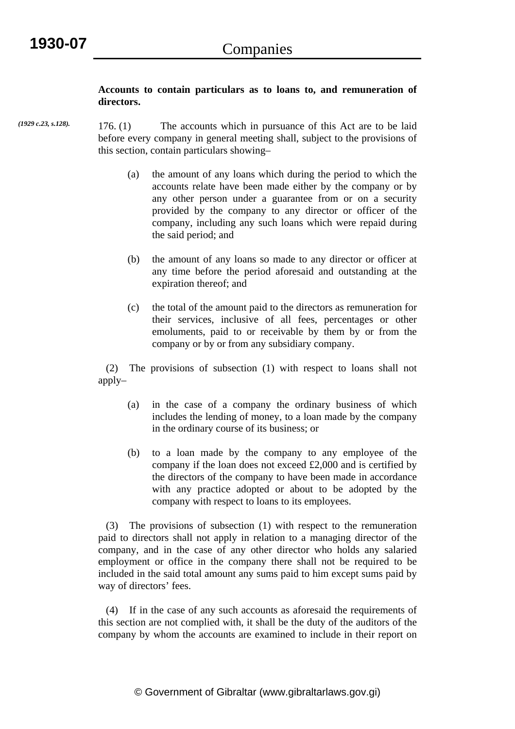**Accounts to contain particulars as to loans to, and remuneration of directors.** 

*(1929 c.23, s.128).*

176. (1) The accounts which in pursuance of this Act are to be laid before every company in general meeting shall, subject to the provisions of this section, contain particulars showing–

- (a) the amount of any loans which during the period to which the accounts relate have been made either by the company or by any other person under a guarantee from or on a security provided by the company to any director or officer of the company, including any such loans which were repaid during the said period; and
- (b) the amount of any loans so made to any director or officer at any time before the period aforesaid and outstanding at the expiration thereof; and
- (c) the total of the amount paid to the directors as remuneration for their services, inclusive of all fees, percentages or other emoluments, paid to or receivable by them by or from the company or by or from any subsidiary company.

 (2) The provisions of subsection (1) with respect to loans shall not apply–

- (a) in the case of a company the ordinary business of which includes the lending of money, to a loan made by the company in the ordinary course of its business; or
- (b) to a loan made by the company to any employee of the company if the loan does not exceed £2,000 and is certified by the directors of the company to have been made in accordance with any practice adopted or about to be adopted by the company with respect to loans to its employees.

 (3) The provisions of subsection (1) with respect to the remuneration paid to directors shall not apply in relation to a managing director of the company, and in the case of any other director who holds any salaried employment or office in the company there shall not be required to be included in the said total amount any sums paid to him except sums paid by way of directors' fees.

 (4) If in the case of any such accounts as aforesaid the requirements of this section are not complied with, it shall be the duty of the auditors of the company by whom the accounts are examined to include in their report on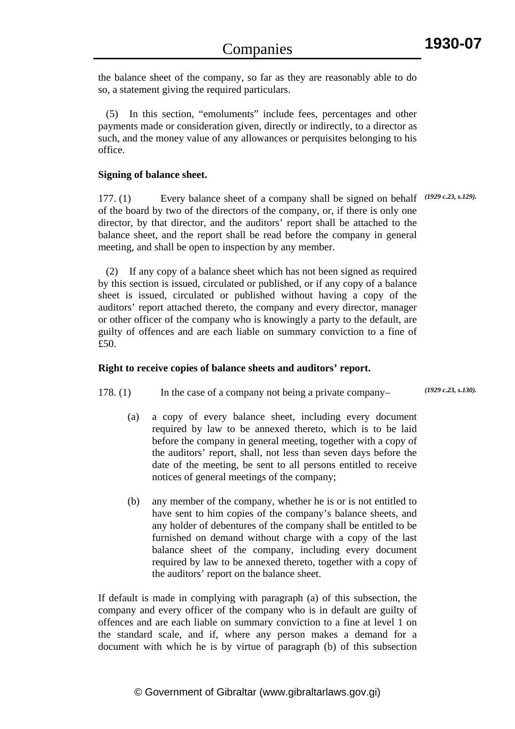the balance sheet of the company, so far as they are reasonably able to do so, a statement giving the required particulars.

 (5) In this section, "emoluments" include fees, percentages and other payments made or consideration given, directly or indirectly, to a director as such, and the money value of any allowances or perquisites belonging to his office.

## **Signing of balance sheet.**

177. (1) Every balance sheet of a company shall be signed on behalf *(1929 c.23, s.129).* of the board by two of the directors of the company, or, if there is only one director, by that director, and the auditors' report shall be attached to the balance sheet, and the report shall be read before the company in general meeting, and shall be open to inspection by any member.

 (2) If any copy of a balance sheet which has not been signed as required by this section is issued, circulated or published, or if any copy of a balance sheet is issued, circulated or published without having a copy of the auditors' report attached thereto, the company and every director, manager or other officer of the company who is knowingly a party to the default, are guilty of offences and are each liable on summary conviction to a fine of £50.

### **Right to receive copies of balance sheets and auditors' report.**

178. (1) In the case of a company not being a private company-

- *(1929 c.23, s.130).*
- (a) a copy of every balance sheet, including every document required by law to be annexed thereto, which is to be laid before the company in general meeting, together with a copy of the auditors' report, shall, not less than seven days before the date of the meeting, be sent to all persons entitled to receive notices of general meetings of the company;
- (b) any member of the company, whether he is or is not entitled to have sent to him copies of the company's balance sheets, and any holder of debentures of the company shall be entitled to be furnished on demand without charge with a copy of the last balance sheet of the company, including every document required by law to be annexed thereto, together with a copy of the auditors' report on the balance sheet.

If default is made in complying with paragraph (a) of this subsection, the company and every officer of the company who is in default are guilty of offences and are each liable on summary conviction to a fine at level 1 on the standard scale, and if, where any person makes a demand for a document with which he is by virtue of paragraph (b) of this subsection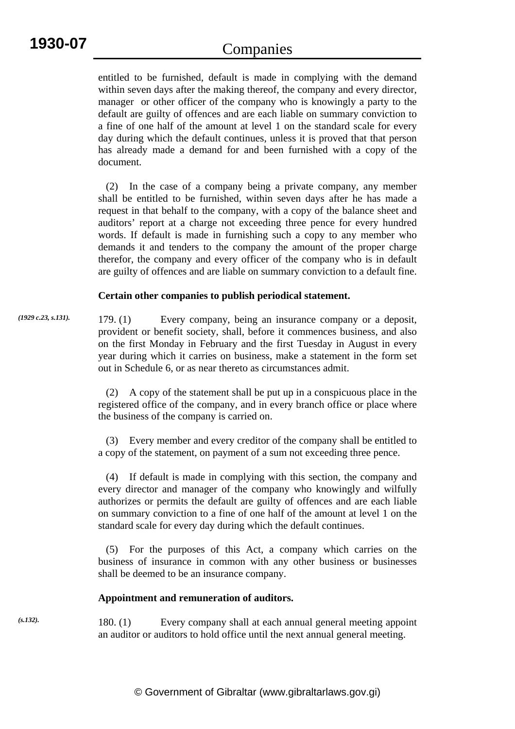entitled to be furnished, default is made in complying with the demand within seven days after the making thereof, the company and every director, manager or other officer of the company who is knowingly a party to the default are guilty of offences and are each liable on summary conviction to a fine of one half of the amount at level 1 on the standard scale for every day during which the default continues, unless it is proved that that person has already made a demand for and been furnished with a copy of the document.

 (2) In the case of a company being a private company, any member shall be entitled to be furnished, within seven days after he has made a request in that behalf to the company, with a copy of the balance sheet and auditors' report at a charge not exceeding three pence for every hundred words. If default is made in furnishing such a copy to any member who demands it and tenders to the company the amount of the proper charge therefor, the company and every officer of the company who is in default are guilty of offences and are liable on summary conviction to a default fine.

## **Certain other companies to publish periodical statement.**

179. (1) Every company, being an insurance company or a deposit, provident or benefit society, shall, before it commences business, and also on the first Monday in February and the first Tuesday in August in every year during which it carries on business, make a statement in the form set out in Schedule 6, or as near thereto as circumstances admit. *(1929 c.23, s.131).*

> (2) A copy of the statement shall be put up in a conspicuous place in the registered office of the company, and in every branch office or place where the business of the company is carried on.

> (3) Every member and every creditor of the company shall be entitled to a copy of the statement, on payment of a sum not exceeding three pence.

> (4) If default is made in complying with this section, the company and every director and manager of the company who knowingly and wilfully authorizes or permits the default are guilty of offences and are each liable on summary conviction to a fine of one half of the amount at level 1 on the standard scale for every day during which the default continues.

> (5) For the purposes of this Act, a company which carries on the business of insurance in common with any other business or businesses shall be deemed to be an insurance company.

## **Appointment and remuneration of auditors.**

180. (1) Every company shall at each annual general meeting appoint an auditor or auditors to hold office until the next annual general meeting.

*(s.132).*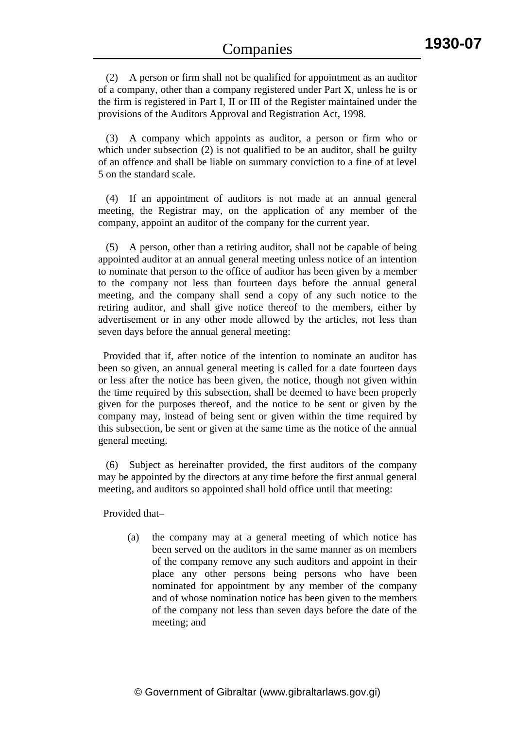(2) A person or firm shall not be qualified for appointment as an auditor of a company, other than a company registered under Part X, unless he is or the firm is registered in Part I, II or III of the Register maintained under the provisions of the Auditors Approval and Registration Act, 1998.

 (3) A company which appoints as auditor, a person or firm who or which under subsection (2) is not qualified to be an auditor, shall be guilty of an offence and shall be liable on summary conviction to a fine of at level 5 on the standard scale.

 (4) If an appointment of auditors is not made at an annual general meeting, the Registrar may, on the application of any member of the company, appoint an auditor of the company for the current year.

 (5) A person, other than a retiring auditor, shall not be capable of being appointed auditor at an annual general meeting unless notice of an intention to nominate that person to the office of auditor has been given by a member to the company not less than fourteen days before the annual general meeting, and the company shall send a copy of any such notice to the retiring auditor, and shall give notice thereof to the members, either by advertisement or in any other mode allowed by the articles, not less than seven days before the annual general meeting:

 Provided that if, after notice of the intention to nominate an auditor has been so given, an annual general meeting is called for a date fourteen days or less after the notice has been given, the notice, though not given within the time required by this subsection, shall be deemed to have been properly given for the purposes thereof, and the notice to be sent or given by the company may, instead of being sent or given within the time required by this subsection, be sent or given at the same time as the notice of the annual general meeting.

 (6) Subject as hereinafter provided, the first auditors of the company may be appointed by the directors at any time before the first annual general meeting, and auditors so appointed shall hold office until that meeting:

Provided that–

(a) the company may at a general meeting of which notice has been served on the auditors in the same manner as on members of the company remove any such auditors and appoint in their place any other persons being persons who have been nominated for appointment by any member of the company and of whose nomination notice has been given to the members of the company not less than seven days before the date of the meeting; and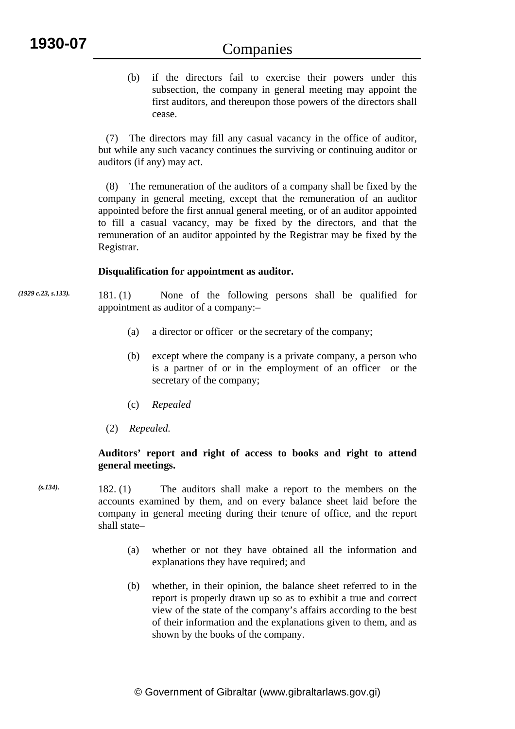(b) if the directors fail to exercise their powers under this subsection, the company in general meeting may appoint the first auditors, and thereupon those powers of the directors shall cease.

 (7) The directors may fill any casual vacancy in the office of auditor, but while any such vacancy continues the surviving or continuing auditor or auditors (if any) may act.

 (8) The remuneration of the auditors of a company shall be fixed by the company in general meeting, except that the remuneration of an auditor appointed before the first annual general meeting, or of an auditor appointed to fill a casual vacancy, may be fixed by the directors, and that the remuneration of an auditor appointed by the Registrar may be fixed by the Registrar.

## **Disqualification for appointment as auditor.**

181. (1) None of the following persons shall be qualified for appointment as auditor of a company:– *(1929 c.23, s.133).*

- (a) a director or officer or the secretary of the company;
- (b) except where the company is a private company, a person who is a partner of or in the employment of an officer or the secretary of the company;
- (c) *Repealed*
- (2) *Repealed.*

## **Auditors' report and right of access to books and right to attend general meetings.**

- 182. (1) The auditors shall make a report to the members on the accounts examined by them, and on every balance sheet laid before the company in general meeting during their tenure of office, and the report shall state– *(s.134).*
	- (a) whether or not they have obtained all the information and explanations they have required; and
	- (b) whether, in their opinion, the balance sheet referred to in the report is properly drawn up so as to exhibit a true and correct view of the state of the company's affairs according to the best of their information and the explanations given to them, and as shown by the books of the company.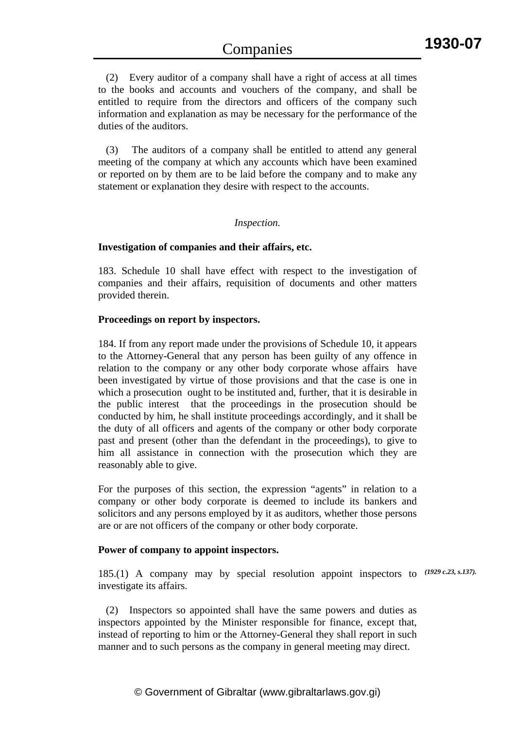(2) Every auditor of a company shall have a right of access at all times to the books and accounts and vouchers of the company, and shall be entitled to require from the directors and officers of the company such information and explanation as may be necessary for the performance of the duties of the auditors.

 (3) The auditors of a company shall be entitled to attend any general meeting of the company at which any accounts which have been examined or reported on by them are to be laid before the company and to make any statement or explanation they desire with respect to the accounts.

### *Inspection.*

### **Investigation of companies and their affairs, etc.**

183. Schedule 10 shall have effect with respect to the investigation of companies and their affairs, requisition of documents and other matters provided therein.

### **Proceedings on report by inspectors.**

184. If from any report made under the provisions of Schedule 10, it appears to the Attorney-General that any person has been guilty of any offence in relation to the company or any other body corporate whose affairs have been investigated by virtue of those provisions and that the case is one in which a prosecution ought to be instituted and, further, that it is desirable in the public interest that the proceedings in the prosecution should be conducted by him, he shall institute proceedings accordingly, and it shall be the duty of all officers and agents of the company or other body corporate past and present (other than the defendant in the proceedings), to give to him all assistance in connection with the prosecution which they are reasonably able to give.

For the purposes of this section, the expression "agents" in relation to a company or other body corporate is deemed to include its bankers and solicitors and any persons employed by it as auditors, whether those persons are or are not officers of the company or other body corporate.

#### **Power of company to appoint inspectors.**

185.(1) A company may by special resolution appoint inspectors to *(1929 c.23, s.137).*investigate its affairs.

 (2) Inspectors so appointed shall have the same powers and duties as inspectors appointed by the Minister responsible for finance, except that, instead of reporting to him or the Attorney-General they shall report in such manner and to such persons as the company in general meeting may direct.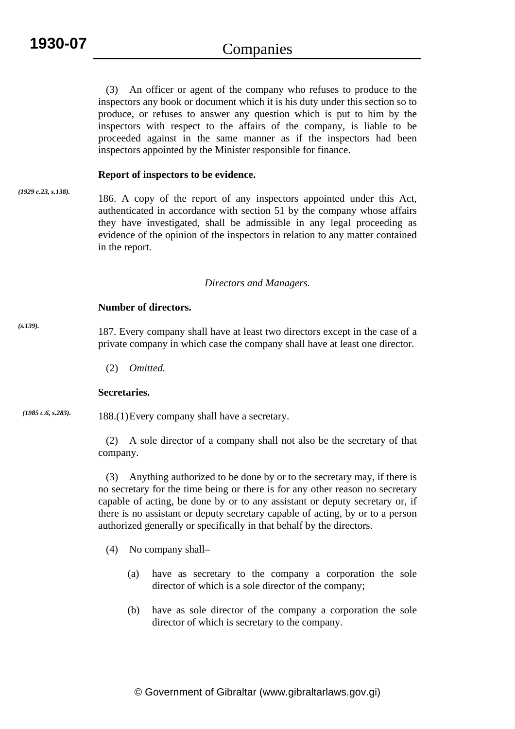(3) An officer or agent of the company who refuses to produce to the inspectors any book or document which it is his duty under this section so to produce, or refuses to answer any question which is put to him by the inspectors with respect to the affairs of the company, is liable to be proceeded against in the same manner as if the inspectors had been inspectors appointed by the Minister responsible for finance.

#### **Report of inspectors to be evidence.**

186. A copy of the report of any inspectors appointed under this Act, authenticated in accordance with section 51 by the company whose affairs they have investigated, shall be admissible in any legal proceeding as evidence of the opinion of the inspectors in relation to any matter contained in the report. *(1929 c.23, s.138).*

## *Directors and Managers.*

### **Number of directors.**

187. Every company shall have at least two directors except in the case of a private company in which case the company shall have at least one director.

(2) *Omitted.*

# **Secretaries.**

188.(1) Every company shall have a secretary.  *(1985 c.6, s.283).*

*(s.139).*

 (2) A sole director of a company shall not also be the secretary of that company.

 (3) Anything authorized to be done by or to the secretary may, if there is no secretary for the time being or there is for any other reason no secretary capable of acting, be done by or to any assistant or deputy secretary or, if there is no assistant or deputy secretary capable of acting, by or to a person authorized generally or specifically in that behalf by the directors.

(4) No company shall–

- (a) have as secretary to the company a corporation the sole director of which is a sole director of the company;
- (b) have as sole director of the company a corporation the sole director of which is secretary to the company.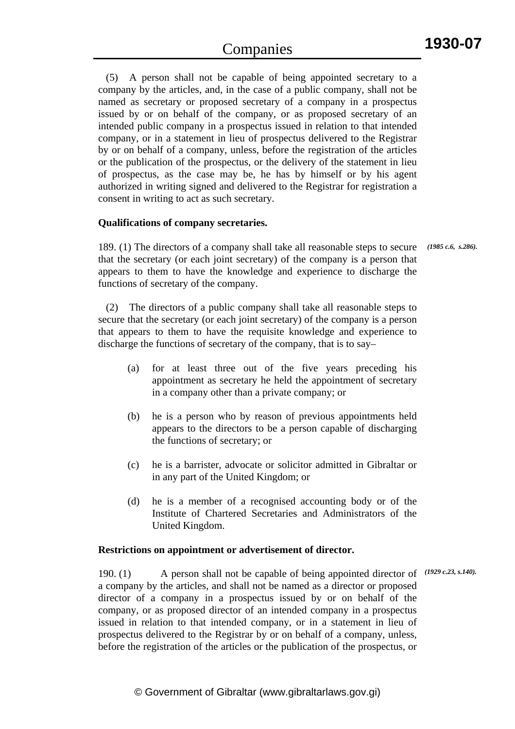(5) A person shall not be capable of being appointed secretary to a company by the articles, and, in the case of a public company, shall not be named as secretary or proposed secretary of a company in a prospectus issued by or on behalf of the company, or as proposed secretary of an intended public company in a prospectus issued in relation to that intended company, or in a statement in lieu of prospectus delivered to the Registrar by or on behalf of a company, unless, before the registration of the articles or the publication of the prospectus, or the delivery of the statement in lieu of prospectus, as the case may be, he has by himself or by his agent authorized in writing signed and delivered to the Registrar for registration a consent in writing to act as such secretary.

## **Qualifications of company secretaries.**

189. (1) The directors of a company shall take all reasonable steps to secure *(1985 c.6, s.286).*  that the secretary (or each joint secretary) of the company is a person that appears to them to have the knowledge and experience to discharge the functions of secretary of the company.

 (2) The directors of a public company shall take all reasonable steps to secure that the secretary (or each joint secretary) of the company is a person that appears to them to have the requisite knowledge and experience to discharge the functions of secretary of the company, that is to say–

- (a) for at least three out of the five years preceding his appointment as secretary he held the appointment of secretary in a company other than a private company; or
- (b) he is a person who by reason of previous appointments held appears to the directors to be a person capable of discharging the functions of secretary; or
- (c) he is a barrister, advocate or solicitor admitted in Gibraltar or in any part of the United Kingdom; or
- (d) he is a member of a recognised accounting body or of the Institute of Chartered Secretaries and Administrators of the United Kingdom.

## **Restrictions on appointment or advertisement of director.**

190. (1) A person shall not be capable of being appointed director of  $(1929 \text{ c.23}, s.140)$ . a company by the articles, and shall not be named as a director or proposed director of a company in a prospectus issued by or on behalf of the company, or as proposed director of an intended company in a prospectus issued in relation to that intended company, or in a statement in lieu of prospectus delivered to the Registrar by or on behalf of a company, unless, before the registration of the articles or the publication of the prospectus, or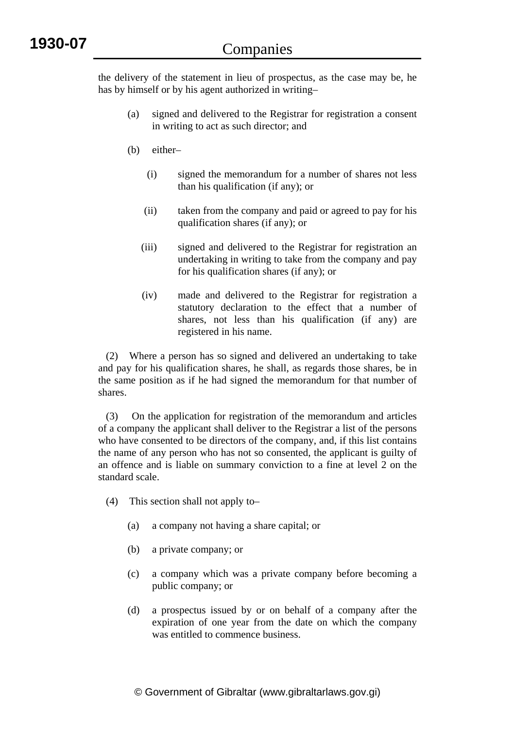the delivery of the statement in lieu of prospectus, as the case may be, he has by himself or by his agent authorized in writing–

- (a) signed and delivered to the Registrar for registration a consent in writing to act as such director; and
- (b) either–
	- (i) signed the memorandum for a number of shares not less than his qualification (if any); or
	- (ii) taken from the company and paid or agreed to pay for his qualification shares (if any); or
	- (iii) signed and delivered to the Registrar for registration an undertaking in writing to take from the company and pay for his qualification shares (if any); or
	- (iv) made and delivered to the Registrar for registration a statutory declaration to the effect that a number of shares, not less than his qualification (if any) are registered in his name.

 (2) Where a person has so signed and delivered an undertaking to take and pay for his qualification shares, he shall, as regards those shares, be in the same position as if he had signed the memorandum for that number of shares.

 (3) On the application for registration of the memorandum and articles of a company the applicant shall deliver to the Registrar a list of the persons who have consented to be directors of the company, and, if this list contains the name of any person who has not so consented, the applicant is guilty of an offence and is liable on summary conviction to a fine at level 2 on the standard scale.

- (4) This section shall not apply to–
	- (a) a company not having a share capital; or
	- (b) a private company; or
	- (c) a company which was a private company before becoming a public company; or
	- (d) a prospectus issued by or on behalf of a company after the expiration of one year from the date on which the company was entitled to commence business.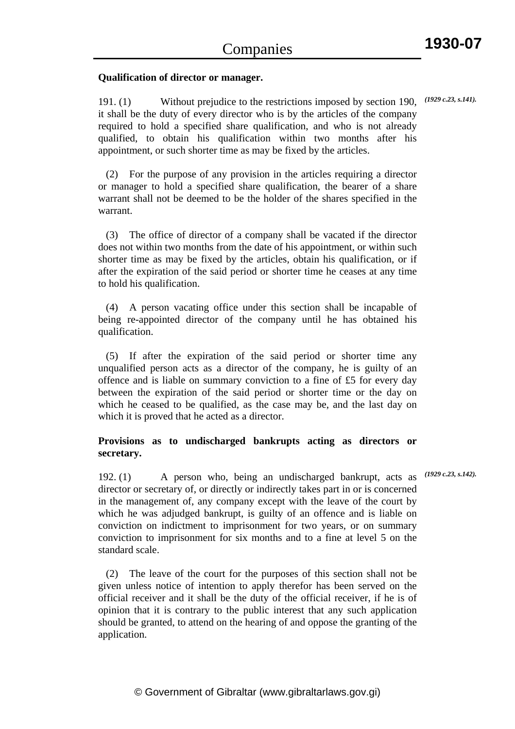### **Qualification of director or manager.**

191. (1) Without prejudice to the restrictions imposed by section 190,  $(1929 \text{ c.23}, \text{s.141}).$ it shall be the duty of every director who is by the articles of the company required to hold a specified share qualification, and who is not already qualified, to obtain his qualification within two months after his appointment, or such shorter time as may be fixed by the articles.

 (2) For the purpose of any provision in the articles requiring a director or manager to hold a specified share qualification, the bearer of a share warrant shall not be deemed to be the holder of the shares specified in the warrant.

 (3) The office of director of a company shall be vacated if the director does not within two months from the date of his appointment, or within such shorter time as may be fixed by the articles, obtain his qualification, or if after the expiration of the said period or shorter time he ceases at any time to hold his qualification.

 (4) A person vacating office under this section shall be incapable of being re-appointed director of the company until he has obtained his qualification.

 (5) If after the expiration of the said period or shorter time any unqualified person acts as a director of the company, he is guilty of an offence and is liable on summary conviction to a fine of £5 for every day between the expiration of the said period or shorter time or the day on which he ceased to be qualified, as the case may be, and the last day on which it is proved that he acted as a director.

# **Provisions as to undischarged bankrupts acting as directors or secretary.**

*(1929 c.23, s.142).*

192. (1) A person who, being an undischarged bankrupt, acts as director or secretary of, or directly or indirectly takes part in or is concerned in the management of, any company except with the leave of the court by which he was adjudged bankrupt, is guilty of an offence and is liable on conviction on indictment to imprisonment for two years, or on summary conviction to imprisonment for six months and to a fine at level 5 on the standard scale.

 (2) The leave of the court for the purposes of this section shall not be given unless notice of intention to apply therefor has been served on the official receiver and it shall be the duty of the official receiver, if he is of opinion that it is contrary to the public interest that any such application should be granted, to attend on the hearing of and oppose the granting of the application.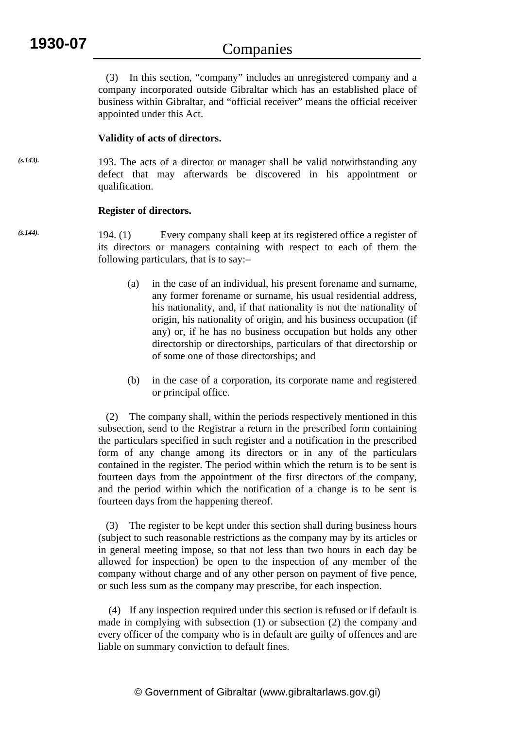(3) In this section, "company" includes an unregistered company and a company incorporated outside Gibraltar which has an established place of business within Gibraltar, and "official receiver" means the official receiver appointed under this Act.

## **Validity of acts of directors.**

193. The acts of a director or manager shall be valid notwithstanding any defect that may afterwards be discovered in his appointment or qualification. *(s.143).*

## **Register of directors.**

- 194. (1) Every company shall keep at its registered office a register of its directors or managers containing with respect to each of them the following particulars, that is to say:– *(s.144).*
	- (a) in the case of an individual, his present forename and surname, any former forename or surname, his usual residential address, his nationality, and, if that nationality is not the nationality of origin, his nationality of origin, and his business occupation (if any) or, if he has no business occupation but holds any other directorship or directorships, particulars of that directorship or of some one of those directorships; and
	- (b) in the case of a corporation, its corporate name and registered or principal office.

 (2) The company shall, within the periods respectively mentioned in this subsection, send to the Registrar a return in the prescribed form containing the particulars specified in such register and a notification in the prescribed form of any change among its directors or in any of the particulars contained in the register. The period within which the return is to be sent is fourteen days from the appointment of the first directors of the company, and the period within which the notification of a change is to be sent is fourteen days from the happening thereof.

 (3) The register to be kept under this section shall during business hours (subject to such reasonable restrictions as the company may by its articles or in general meeting impose, so that not less than two hours in each day be allowed for inspection) be open to the inspection of any member of the company without charge and of any other person on payment of five pence, or such less sum as the company may prescribe, for each inspection.

 (4) If any inspection required under this section is refused or if default is made in complying with subsection (1) or subsection (2) the company and every officer of the company who is in default are guilty of offences and are liable on summary conviction to default fines.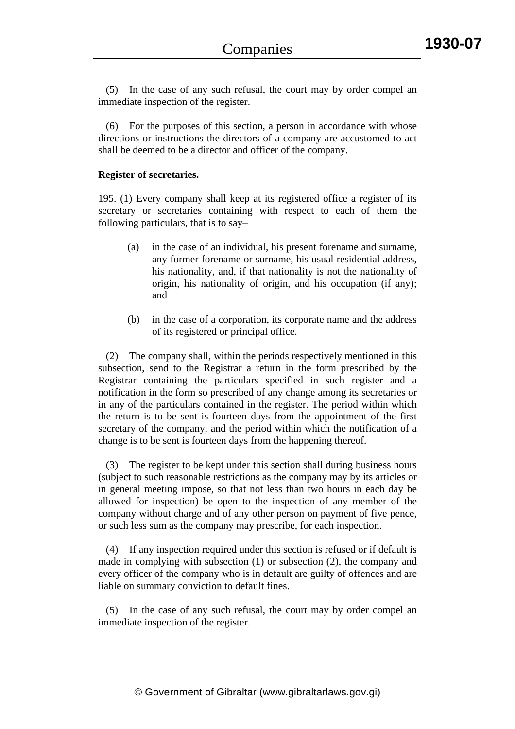(5) In the case of any such refusal, the court may by order compel an immediate inspection of the register.

 (6) For the purposes of this section, a person in accordance with whose directions or instructions the directors of a company are accustomed to act shall be deemed to be a director and officer of the company.

### **Register of secretaries.**

195. (1) Every company shall keep at its registered office a register of its secretary or secretaries containing with respect to each of them the following particulars, that is to say–

- (a) in the case of an individual, his present forename and surname, any former forename or surname, his usual residential address, his nationality, and, if that nationality is not the nationality of origin, his nationality of origin, and his occupation (if any); and
- (b) in the case of a corporation, its corporate name and the address of its registered or principal office.

 (2) The company shall, within the periods respectively mentioned in this subsection, send to the Registrar a return in the form prescribed by the Registrar containing the particulars specified in such register and a notification in the form so prescribed of any change among its secretaries or in any of the particulars contained in the register. The period within which the return is to be sent is fourteen days from the appointment of the first secretary of the company, and the period within which the notification of a change is to be sent is fourteen days from the happening thereof.

 (3) The register to be kept under this section shall during business hours (subject to such reasonable restrictions as the company may by its articles or in general meeting impose, so that not less than two hours in each day be allowed for inspection) be open to the inspection of any member of the company without charge and of any other person on payment of five pence, or such less sum as the company may prescribe, for each inspection.

 (4) If any inspection required under this section is refused or if default is made in complying with subsection (1) or subsection (2), the company and every officer of the company who is in default are guilty of offences and are liable on summary conviction to default fines.

 (5) In the case of any such refusal, the court may by order compel an immediate inspection of the register.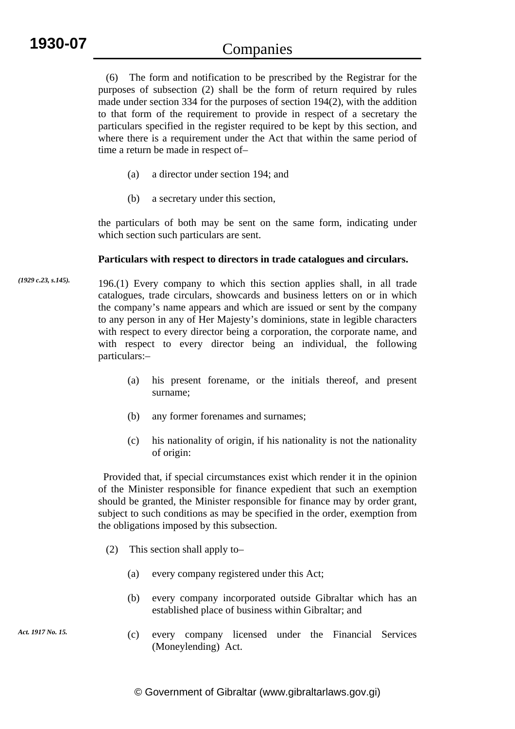(6) The form and notification to be prescribed by the Registrar for the purposes of subsection (2) shall be the form of return required by rules made under section 334 for the purposes of section 194(2), with the addition to that form of the requirement to provide in respect of a secretary the particulars specified in the register required to be kept by this section, and where there is a requirement under the Act that within the same period of time a return be made in respect of–

- (a) a director under section 194; and
- (b) a secretary under this section,

the particulars of both may be sent on the same form, indicating under which section such particulars are sent.

## **Particulars with respect to directors in trade catalogues and circulars.**

- 196.(1) Every company to which this section applies shall, in all trade catalogues, trade circulars, showcards and business letters on or in which the company's name appears and which are issued or sent by the company to any person in any of Her Majesty's dominions, state in legible characters with respect to every director being a corporation, the corporate name, and with respect to every director being an individual, the following particulars:– *(1929 c.23, s.145).*
	- (a) his present forename, or the initials thereof, and present surname;
	- (b) any former forenames and surnames;
	- (c) his nationality of origin, if his nationality is not the nationality of origin:

 Provided that, if special circumstances exist which render it in the opinion of the Minister responsible for finance expedient that such an exemption should be granted, the Minister responsible for finance may by order grant, subject to such conditions as may be specified in the order, exemption from the obligations imposed by this subsection.

- (2) This section shall apply to–
	- (a) every company registered under this Act;
	- (b) every company incorporated outside Gibraltar which has an established place of business within Gibraltar; and
	- (c) every company licensed under the Financial Services (Moneylending) Act.

*Act. 1917 No. 15.*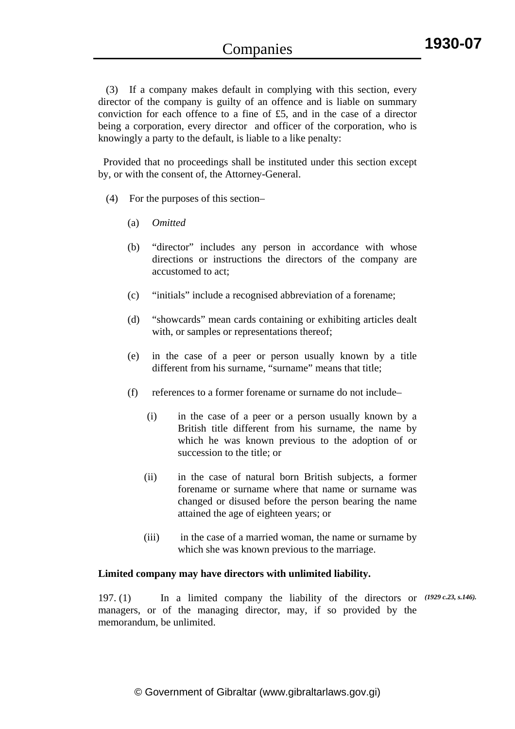(3) If a company makes default in complying with this section, every director of the company is guilty of an offence and is liable on summary conviction for each offence to a fine of £5, and in the case of a director being a corporation, every director and officer of the corporation, who is knowingly a party to the default, is liable to a like penalty:

 Provided that no proceedings shall be instituted under this section except by, or with the consent of, the Attorney-General.

- (4) For the purposes of this section–
	- (a) *Omitted*
	- (b) "director" includes any person in accordance with whose directions or instructions the directors of the company are accustomed to act;
	- (c) "initials" include a recognised abbreviation of a forename;
	- (d) "showcards" mean cards containing or exhibiting articles dealt with, or samples or representations thereof;
	- (e) in the case of a peer or person usually known by a title different from his surname, "surname" means that title;
	- (f) references to a former forename or surname do not include–
		- (i) in the case of a peer or a person usually known by a British title different from his surname, the name by which he was known previous to the adoption of or succession to the title; or
		- (ii) in the case of natural born British subjects, a former forename or surname where that name or surname was changed or disused before the person bearing the name attained the age of eighteen years; or
		- (iii) in the case of a married woman, the name or surname by which she was known previous to the marriage.

#### **Limited company may have directors with unlimited liability.**

197. (1) In a limited company the liability of the directors or *(1929 c.23, s.146).*managers, or of the managing director, may, if so provided by the memorandum, be unlimited.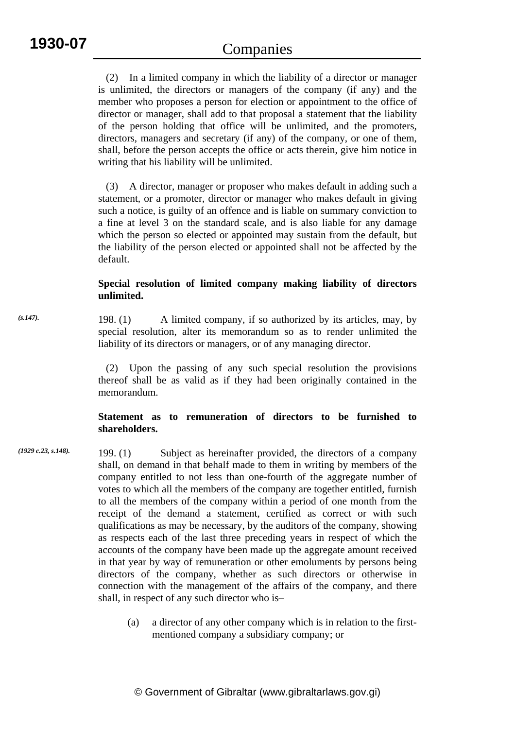(2) In a limited company in which the liability of a director or manager is unlimited, the directors or managers of the company (if any) and the member who proposes a person for election or appointment to the office of director or manager, shall add to that proposal a statement that the liability of the person holding that office will be unlimited, and the promoters, directors, managers and secretary (if any) of the company, or one of them, shall, before the person accepts the office or acts therein, give him notice in writing that his liability will be unlimited.

 (3) A director, manager or proposer who makes default in adding such a statement, or a promoter, director or manager who makes default in giving such a notice, is guilty of an offence and is liable on summary conviction to a fine at level 3 on the standard scale, and is also liable for any damage which the person so elected or appointed may sustain from the default, but the liability of the person elected or appointed shall not be affected by the default.

# **Special resolution of limited company making liability of directors unlimited.**

198. (1) A limited company, if so authorized by its articles, may, by special resolution, alter its memorandum so as to render unlimited the liability of its directors or managers, or of any managing director.

 (2) Upon the passing of any such special resolution the provisions thereof shall be as valid as if they had been originally contained in the memorandum.

## **Statement as to remuneration of directors to be furnished to shareholders.**

- 199. (1) Subject as hereinafter provided, the directors of a company shall, on demand in that behalf made to them in writing by members of the company entitled to not less than one-fourth of the aggregate number of votes to which all the members of the company are together entitled, furnish to all the members of the company within a period of one month from the receipt of the demand a statement, certified as correct or with such qualifications as may be necessary, by the auditors of the company, showing as respects each of the last three preceding years in respect of which the accounts of the company have been made up the aggregate amount received in that year by way of remuneration or other emoluments by persons being directors of the company, whether as such directors or otherwise in connection with the management of the affairs of the company, and there shall, in respect of any such director who is– *(1929 c.23, s.148).*
	- (a) a director of any other company which is in relation to the firstmentioned company a subsidiary company; or

*(s.147).*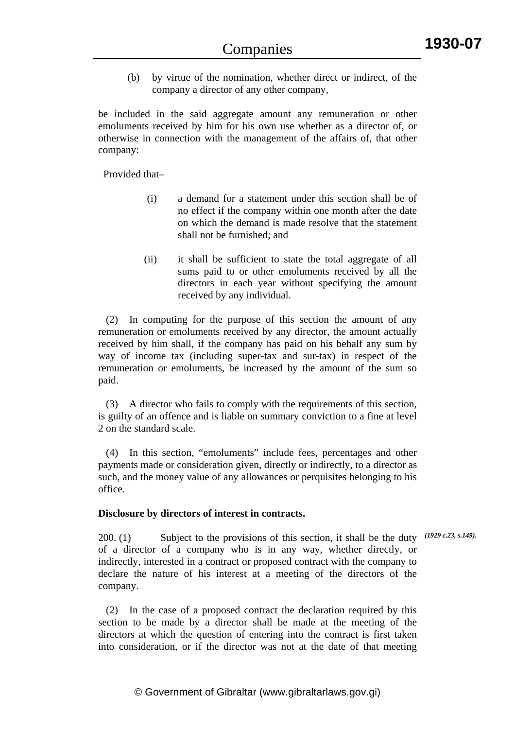(b) by virtue of the nomination, whether direct or indirect, of the company a director of any other company,

be included in the said aggregate amount any remuneration or other emoluments received by him for his own use whether as a director of, or otherwise in connection with the management of the affairs of, that other company:

Provided that–

- (i) a demand for a statement under this section shall be of no effect if the company within one month after the date on which the demand is made resolve that the statement shall not be furnished; and
- (ii) it shall be sufficient to state the total aggregate of all sums paid to or other emoluments received by all the directors in each year without specifying the amount received by any individual.

 (2) In computing for the purpose of this section the amount of any remuneration or emoluments received by any director, the amount actually received by him shall, if the company has paid on his behalf any sum by way of income tax (including super-tax and sur-tax) in respect of the remuneration or emoluments, be increased by the amount of the sum so paid.

 (3) A director who fails to comply with the requirements of this section, is guilty of an offence and is liable on summary conviction to a fine at level 2 on the standard scale.

 (4) In this section, "emoluments" include fees, percentages and other payments made or consideration given, directly or indirectly, to a director as such, and the money value of any allowances or perquisites belonging to his office.

## **Disclosure by directors of interest in contracts.**

200. (1) Subject to the provisions of this section, it shall be the duty *(1929 c.23, s.149).*of a director of a company who is in any way, whether directly, or indirectly, interested in a contract or proposed contract with the company to declare the nature of his interest at a meeting of the directors of the company.

 (2) In the case of a proposed contract the declaration required by this section to be made by a director shall be made at the meeting of the directors at which the question of entering into the contract is first taken into consideration, or if the director was not at the date of that meeting

**1930-07**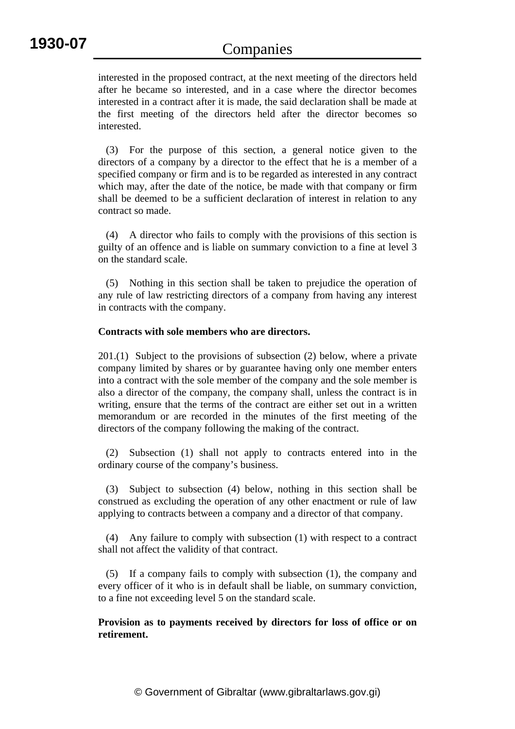interested in the proposed contract, at the next meeting of the directors held after he became so interested, and in a case where the director becomes interested in a contract after it is made, the said declaration shall be made at the first meeting of the directors held after the director becomes so interested.

 (3) For the purpose of this section, a general notice given to the directors of a company by a director to the effect that he is a member of a specified company or firm and is to be regarded as interested in any contract which may, after the date of the notice, be made with that company or firm shall be deemed to be a sufficient declaration of interest in relation to any contract so made.

 (4) A director who fails to comply with the provisions of this section is guilty of an offence and is liable on summary conviction to a fine at level 3 on the standard scale.

 (5) Nothing in this section shall be taken to prejudice the operation of any rule of law restricting directors of a company from having any interest in contracts with the company.

## **Contracts with sole members who are directors.**

201.(1) Subject to the provisions of subsection (2) below, where a private company limited by shares or by guarantee having only one member enters into a contract with the sole member of the company and the sole member is also a director of the company, the company shall, unless the contract is in writing, ensure that the terms of the contract are either set out in a written memorandum or are recorded in the minutes of the first meeting of the directors of the company following the making of the contract.

 (2) Subsection (1) shall not apply to contracts entered into in the ordinary course of the company's business.

 (3) Subject to subsection (4) below, nothing in this section shall be construed as excluding the operation of any other enactment or rule of law applying to contracts between a company and a director of that company.

 (4) Any failure to comply with subsection (1) with respect to a contract shall not affect the validity of that contract.

 (5) If a company fails to comply with subsection (1), the company and every officer of it who is in default shall be liable, on summary conviction, to a fine not exceeding level 5 on the standard scale.

## **Provision as to payments received by directors for loss of office or on retirement.**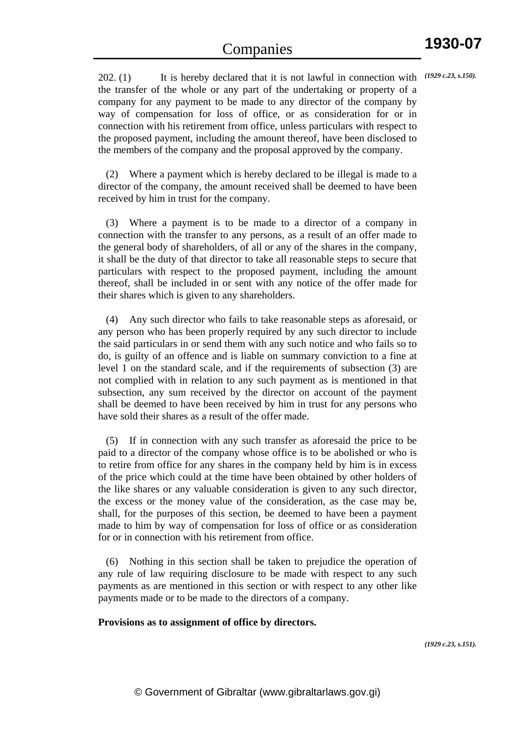*(1929 c.23, s.150).*

202. (1) It is hereby declared that it is not lawful in connection with the transfer of the whole or any part of the undertaking or property of a company for any payment to be made to any director of the company by way of compensation for loss of office, or as consideration for or in connection with his retirement from office, unless particulars with respect to the proposed payment, including the amount thereof, have been disclosed to the members of the company and the proposal approved by the company.

Where a payment which is hereby declared to be illegal is made to a director of the company, the amount received shall be deemed to have been received by him in trust for the company.

 (3) Where a payment is to be made to a director of a company in connection with the transfer to any persons, as a result of an offer made to the general body of shareholders, of all or any of the shares in the company, it shall be the duty of that director to take all reasonable steps to secure that particulars with respect to the proposed payment, including the amount thereof, shall be included in or sent with any notice of the offer made for their shares which is given to any shareholders.

 (4) Any such director who fails to take reasonable steps as aforesaid, or any person who has been properly required by any such director to include the said particulars in or send them with any such notice and who fails so to do, is guilty of an offence and is liable on summary conviction to a fine at level 1 on the standard scale, and if the requirements of subsection (3) are not complied with in relation to any such payment as is mentioned in that subsection, any sum received by the director on account of the payment shall be deemed to have been received by him in trust for any persons who have sold their shares as a result of the offer made.

 (5) If in connection with any such transfer as aforesaid the price to be paid to a director of the company whose office is to be abolished or who is to retire from office for any shares in the company held by him is in excess of the price which could at the time have been obtained by other holders of the like shares or any valuable consideration is given to any such director, the excess or the money value of the consideration, as the case may be, shall, for the purposes of this section, be deemed to have been a payment made to him by way of compensation for loss of office or as consideration for or in connection with his retirement from office.

 (6) Nothing in this section shall be taken to prejudice the operation of any rule of law requiring disclosure to be made with respect to any such payments as are mentioned in this section or with respect to any other like payments made or to be made to the directors of a company.

**Provisions as to assignment of office by directors.** 

*(1929 c.23, s.151).*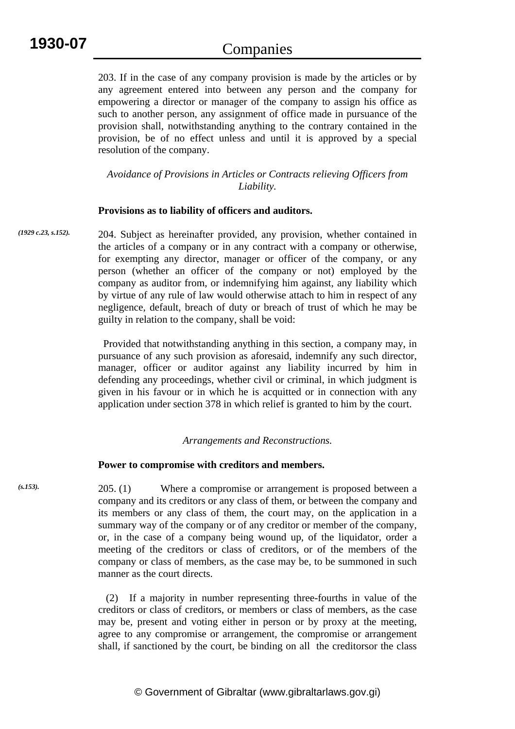203. If in the case of any company provision is made by the articles or by any agreement entered into between any person and the company for empowering a director or manager of the company to assign his office as such to another person, any assignment of office made in pursuance of the provision shall, notwithstanding anything to the contrary contained in the provision, be of no effect unless and until it is approved by a special resolution of the company.

*Avoidance of Provisions in Articles or Contracts relieving Officers from Liability.* 

### **Provisions as to liability of officers and auditors.**

204. Subject as hereinafter provided, any provision, whether contained in the articles of a company or in any contract with a company or otherwise, for exempting any director, manager or officer of the company, or any person (whether an officer of the company or not) employed by the company as auditor from, or indemnifying him against, any liability which by virtue of any rule of law would otherwise attach to him in respect of any negligence, default, breach of duty or breach of trust of which he may be guilty in relation to the company, shall be void: *(1929 c.23, s.152).*

> Provided that notwithstanding anything in this section, a company may, in pursuance of any such provision as aforesaid, indemnify any such director, manager, officer or auditor against any liability incurred by him in defending any proceedings, whether civil or criminal, in which judgment is given in his favour or in which he is acquitted or in connection with any application under section 378 in which relief is granted to him by the court.

#### *Arrangements and Reconstructions.*

#### **Power to compromise with creditors and members.**

205. (1) Where a compromise or arrangement is proposed between a company and its creditors or any class of them, or between the company and its members or any class of them, the court may, on the application in a summary way of the company or of any creditor or member of the company, or, in the case of a company being wound up, of the liquidator, order a meeting of the creditors or class of creditors, or of the members of the company or class of members, as the case may be, to be summoned in such manner as the court directs.

> (2) If a majority in number representing three-fourths in value of the creditors or class of creditors, or members or class of members, as the case may be, present and voting either in person or by proxy at the meeting, agree to any compromise or arrangement, the compromise or arrangement shall, if sanctioned by the court, be binding on all the creditorsor the class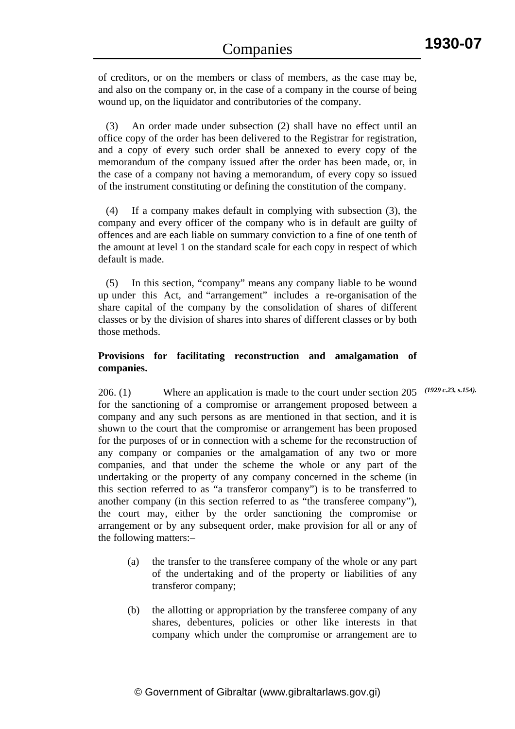of creditors, or on the members or class of members, as the case may be, and also on the company or, in the case of a company in the course of being wound up, on the liquidator and contributories of the company.

 (3) An order made under subsection (2) shall have no effect until an office copy of the order has been delivered to the Registrar for registration, and a copy of every such order shall be annexed to every copy of the memorandum of the company issued after the order has been made, or, in the case of a company not having a memorandum, of every copy so issued of the instrument constituting or defining the constitution of the company.

 (4) If a company makes default in complying with subsection (3), the company and every officer of the company who is in default are guilty of offences and are each liable on summary conviction to a fine of one tenth of the amount at level 1 on the standard scale for each copy in respect of which default is made.

 (5) In this section, "company" means any company liable to be wound up under this Act, and "arrangement" includes a re-organisation of the share capital of the company by the consolidation of shares of different classes or by the division of shares into shares of different classes or by both those methods.

## **Provisions for facilitating reconstruction and amalgamation of companies.**

206. (1) Where an application is made to the court under section 205 *(1929 c.23, s.154).*for the sanctioning of a compromise or arrangement proposed between a company and any such persons as are mentioned in that section, and it is shown to the court that the compromise or arrangement has been proposed for the purposes of or in connection with a scheme for the reconstruction of any company or companies or the amalgamation of any two or more companies, and that under the scheme the whole or any part of the undertaking or the property of any company concerned in the scheme (in this section referred to as "a transferor company") is to be transferred to another company (in this section referred to as "the transferee company"), the court may, either by the order sanctioning the compromise or arrangement or by any subsequent order, make provision for all or any of the following matters:–

- (a) the transfer to the transferee company of the whole or any part of the undertaking and of the property or liabilities of any transferor company;
- (b) the allotting or appropriation by the transferee company of any shares, debentures, policies or other like interests in that company which under the compromise or arrangement are to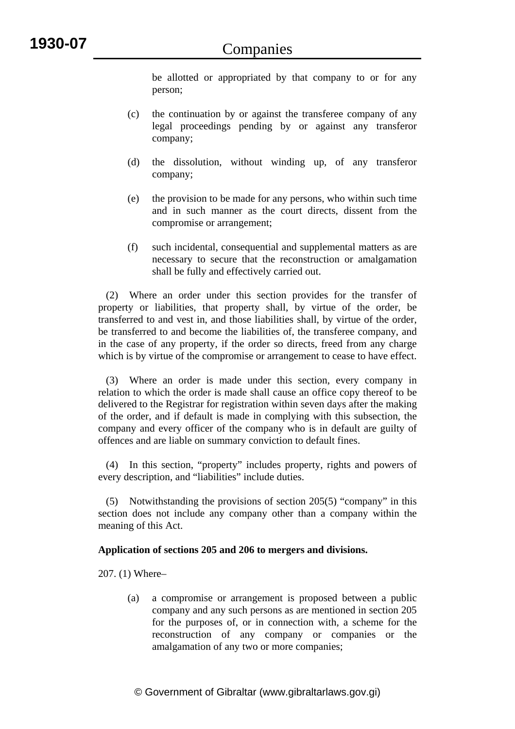be allotted or appropriated by that company to or for any person;

- (c) the continuation by or against the transferee company of any legal proceedings pending by or against any transferor company;
- (d) the dissolution, without winding up, of any transferor company;
- (e) the provision to be made for any persons, who within such time and in such manner as the court directs, dissent from the compromise or arrangement;
- (f) such incidental, consequential and supplemental matters as are necessary to secure that the reconstruction or amalgamation shall be fully and effectively carried out.

 (2) Where an order under this section provides for the transfer of property or liabilities, that property shall, by virtue of the order, be transferred to and vest in, and those liabilities shall, by virtue of the order, be transferred to and become the liabilities of, the transferee company, and in the case of any property, if the order so directs, freed from any charge which is by virtue of the compromise or arrangement to cease to have effect.

 (3) Where an order is made under this section, every company in relation to which the order is made shall cause an office copy thereof to be delivered to the Registrar for registration within seven days after the making of the order, and if default is made in complying with this subsection, the company and every officer of the company who is in default are guilty of offences and are liable on summary conviction to default fines.

 (4) In this section, "property" includes property, rights and powers of every description, and "liabilities" include duties.

 (5) Notwithstanding the provisions of section 205(5) "company" in this section does not include any company other than a company within the meaning of this Act.

# **Application of sections 205 and 206 to mergers and divisions.**

207. (1) Where–

(a) a compromise or arrangement is proposed between a public company and any such persons as are mentioned in section 205 for the purposes of, or in connection with, a scheme for the reconstruction of any company or companies or the amalgamation of any two or more companies;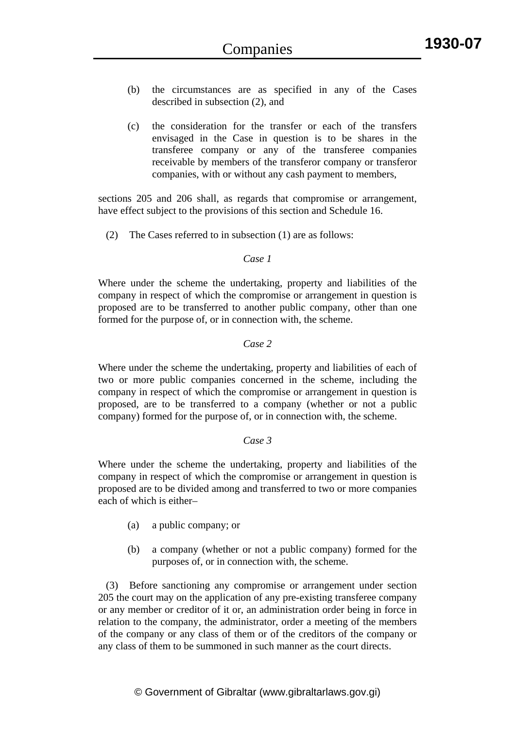- (b) the circumstances are as specified in any of the Cases described in subsection (2), and
- (c) the consideration for the transfer or each of the transfers envisaged in the Case in question is to be shares in the transferee company or any of the transferee companies receivable by members of the transferor company or transferor companies, with or without any cash payment to members,

sections 205 and 206 shall, as regards that compromise or arrangement, have effect subject to the provisions of this section and Schedule 16.

(2) The Cases referred to in subsection (1) are as follows:

### *Case 1*

Where under the scheme the undertaking, property and liabilities of the company in respect of which the compromise or arrangement in question is proposed are to be transferred to another public company, other than one formed for the purpose of, or in connection with, the scheme.

## *Case 2*

Where under the scheme the undertaking, property and liabilities of each of two or more public companies concerned in the scheme, including the company in respect of which the compromise or arrangement in question is proposed, are to be transferred to a company (whether or not a public company) formed for the purpose of, or in connection with, the scheme.

## *Case 3*

Where under the scheme the undertaking, property and liabilities of the company in respect of which the compromise or arrangement in question is proposed are to be divided among and transferred to two or more companies each of which is either–

- (a) a public company; or
- (b) a company (whether or not a public company) formed for the purposes of, or in connection with, the scheme.

 (3) Before sanctioning any compromise or arrangement under section 205 the court may on the application of any pre-existing transferee company or any member or creditor of it or, an administration order being in force in relation to the company, the administrator, order a meeting of the members of the company or any class of them or of the creditors of the company or any class of them to be summoned in such manner as the court directs.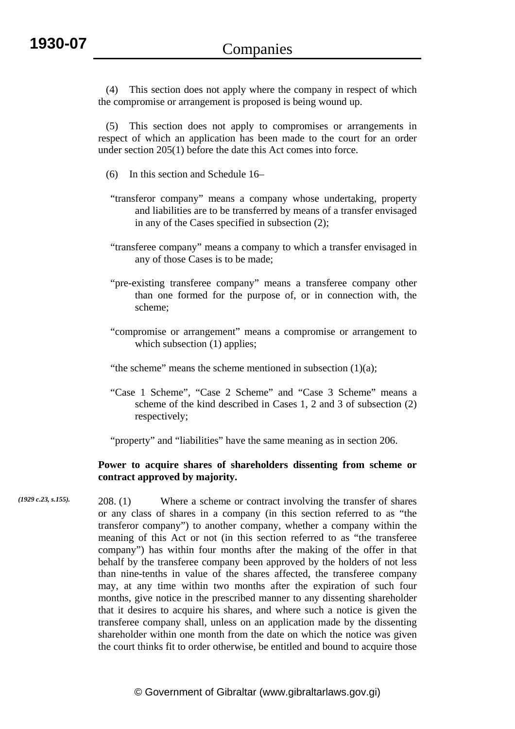(4) This section does not apply where the company in respect of which the compromise or arrangement is proposed is being wound up.

 (5) This section does not apply to compromises or arrangements in respect of which an application has been made to the court for an order under section 205(1) before the date this Act comes into force.

- (6) In this section and Schedule 16–
- "transferor company" means a company whose undertaking, property and liabilities are to be transferred by means of a transfer envisaged in any of the Cases specified in subsection (2);
- "transferee company" means a company to which a transfer envisaged in any of those Cases is to be made;
- "pre-existing transferee company" means a transferee company other than one formed for the purpose of, or in connection with, the scheme;
- "compromise or arrangement" means a compromise or arrangement to which subsection (1) applies;
- "the scheme" means the scheme mentioned in subsection (1)(a);
- "Case 1 Scheme", "Case 2 Scheme" and "Case 3 Scheme" means a scheme of the kind described in Cases 1, 2 and 3 of subsection (2) respectively;

"property" and "liabilities" have the same meaning as in section 206.

## **Power to acquire shares of shareholders dissenting from scheme or contract approved by majority.**

208. (1) Where a scheme or contract involving the transfer of shares or any class of shares in a company (in this section referred to as "the transferor company") to another company, whether a company within the meaning of this Act or not (in this section referred to as "the transferee company") has within four months after the making of the offer in that behalf by the transferee company been approved by the holders of not less than nine-tenths in value of the shares affected, the transferee company may, at any time within two months after the expiration of such four months, give notice in the prescribed manner to any dissenting shareholder that it desires to acquire his shares, and where such a notice is given the transferee company shall, unless on an application made by the dissenting shareholder within one month from the date on which the notice was given the court thinks fit to order otherwise, be entitled and bound to acquire those *(1929 c.23, s.155).*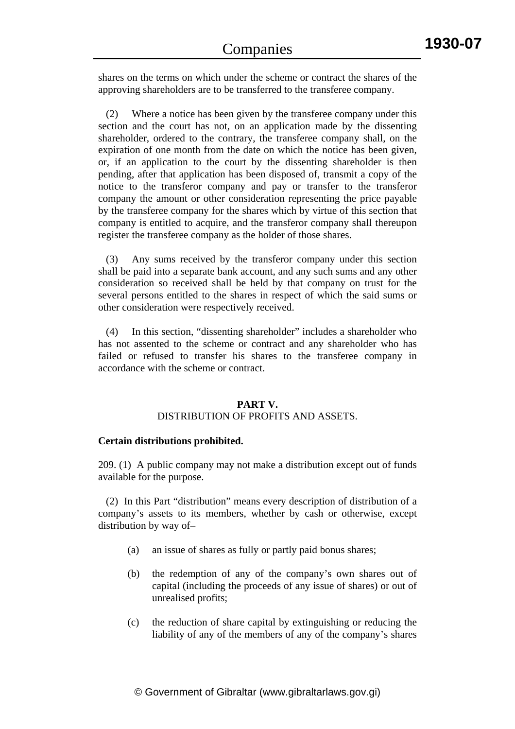shares on the terms on which under the scheme or contract the shares of the approving shareholders are to be transferred to the transferee company.

 (2) Where a notice has been given by the transferee company under this section and the court has not, on an application made by the dissenting shareholder, ordered to the contrary, the transferee company shall, on the expiration of one month from the date on which the notice has been given, or, if an application to the court by the dissenting shareholder is then pending, after that application has been disposed of, transmit a copy of the notice to the transferor company and pay or transfer to the transferor company the amount or other consideration representing the price payable by the transferee company for the shares which by virtue of this section that company is entitled to acquire, and the transferor company shall thereupon register the transferee company as the holder of those shares.

 (3) Any sums received by the transferor company under this section shall be paid into a separate bank account, and any such sums and any other consideration so received shall be held by that company on trust for the several persons entitled to the shares in respect of which the said sums or other consideration were respectively received.

 (4) In this section, "dissenting shareholder" includes a shareholder who has not assented to the scheme or contract and any shareholder who has failed or refused to transfer his shares to the transferee company in accordance with the scheme or contract.

# **PART V.**

## DISTRIBUTION OF PROFITS AND ASSETS.

## **Certain distributions prohibited.**

209. (1) A public company may not make a distribution except out of funds available for the purpose.

 (2) In this Part "distribution" means every description of distribution of a company's assets to its members, whether by cash or otherwise, except distribution by way of–

- (a) an issue of shares as fully or partly paid bonus shares;
- (b) the redemption of any of the company's own shares out of capital (including the proceeds of any issue of shares) or out of unrealised profits;
- (c) the reduction of share capital by extinguishing or reducing the liability of any of the members of any of the company's shares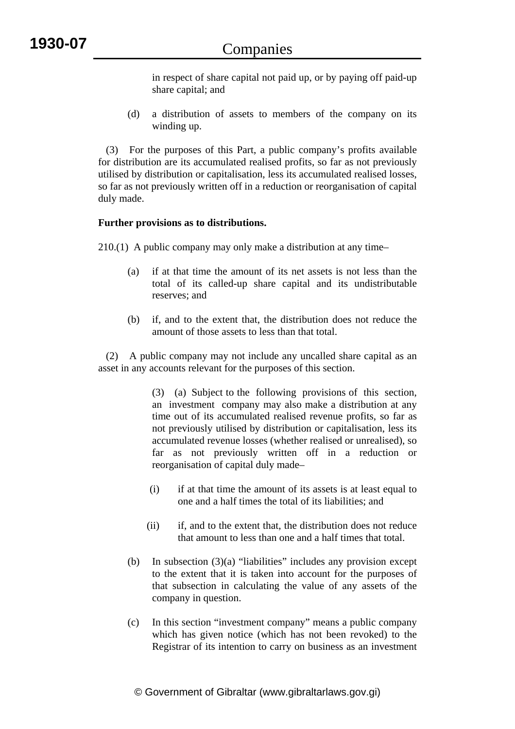in respect of share capital not paid up, or by paying off paid-up share capital; and

(d) a distribution of assets to members of the company on its winding up.

 (3) For the purposes of this Part, a public company's profits available for distribution are its accumulated realised profits, so far as not previously utilised by distribution or capitalisation, less its accumulated realised losses, so far as not previously written off in a reduction or reorganisation of capital duly made.

# **Further provisions as to distributions.**

210.(1) A public company may only make a distribution at any time–

- (a) if at that time the amount of its net assets is not less than the total of its called-up share capital and its undistributable reserves; and
- (b) if, and to the extent that, the distribution does not reduce the amount of those assets to less than that total.

 (2) A public company may not include any uncalled share capital as an asset in any accounts relevant for the purposes of this section.

> (3) (a) Subject to the following provisions of this section, an investment company may also make a distribution at any time out of its accumulated realised revenue profits, so far as not previously utilised by distribution or capitalisation, less its accumulated revenue losses (whether realised or unrealised), so far as not previously written off in a reduction or reorganisation of capital duly made–

- (i) if at that time the amount of its assets is at least equal to one and a half times the total of its liabilities; and
- (ii) if, and to the extent that, the distribution does not reduce that amount to less than one and a half times that total.
- (b) In subsection  $(3)(a)$  "liabilities" includes any provision except to the extent that it is taken into account for the purposes of that subsection in calculating the value of any assets of the company in question.
- (c) In this section "investment company" means a public company which has given notice (which has not been revoked) to the Registrar of its intention to carry on business as an investment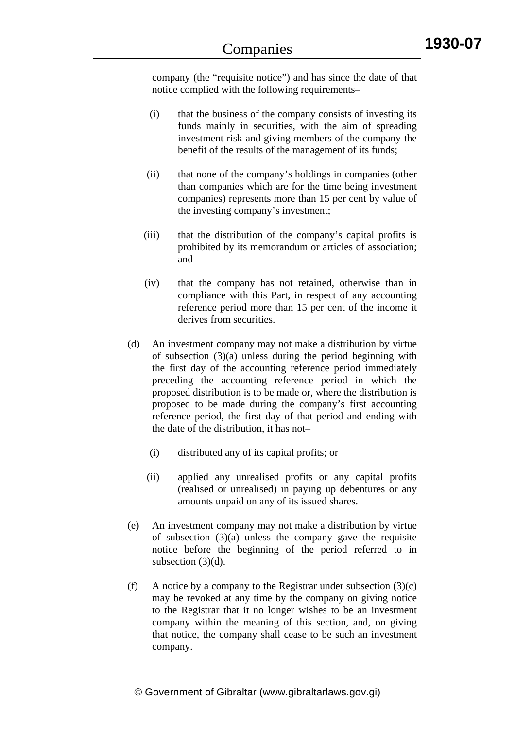company (the "requisite notice") and has since the date of that notice complied with the following requirements–

- (i) that the business of the company consists of investing its funds mainly in securities, with the aim of spreading investment risk and giving members of the company the benefit of the results of the management of its funds;
- (ii) that none of the company's holdings in companies (other than companies which are for the time being investment companies) represents more than 15 per cent by value of the investing company's investment;
- (iii) that the distribution of the company's capital profits is prohibited by its memorandum or articles of association; and
- (iv) that the company has not retained, otherwise than in compliance with this Part, in respect of any accounting reference period more than 15 per cent of the income it derives from securities.
- (d) An investment company may not make a distribution by virtue of subsection (3)(a) unless during the period beginning with the first day of the accounting reference period immediately preceding the accounting reference period in which the proposed distribution is to be made or, where the distribution is proposed to be made during the company's first accounting reference period, the first day of that period and ending with the date of the distribution, it has not–
	- (i) distributed any of its capital profits; or
	- (ii) applied any unrealised profits or any capital profits (realised or unrealised) in paying up debentures or any amounts unpaid on any of its issued shares.
- (e) An investment company may not make a distribution by virtue of subsection  $(3)(a)$  unless the company gave the requisite notice before the beginning of the period referred to in subsection (3)(d).
- (f) A notice by a company to the Registrar under subsection  $(3)(c)$ may be revoked at any time by the company on giving notice to the Registrar that it no longer wishes to be an investment company within the meaning of this section, and, on giving that notice, the company shall cease to be such an investment company.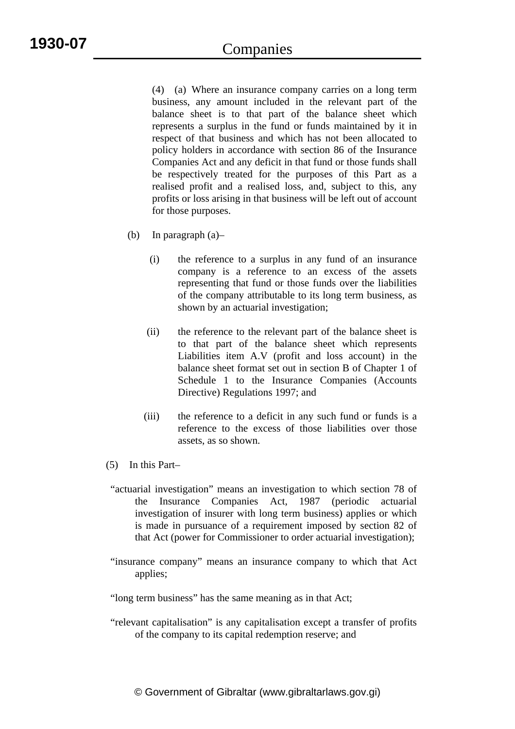(4) (a) Where an insurance company carries on a long term business, any amount included in the relevant part of the balance sheet is to that part of the balance sheet which represents a surplus in the fund or funds maintained by it in respect of that business and which has not been allocated to policy holders in accordance with section 86 of the Insurance Companies Act and any deficit in that fund or those funds shall be respectively treated for the purposes of this Part as a realised profit and a realised loss, and, subject to this, any profits or loss arising in that business will be left out of account for those purposes.

- (b) In paragraph (a)–
	- (i) the reference to a surplus in any fund of an insurance company is a reference to an excess of the assets representing that fund or those funds over the liabilities of the company attributable to its long term business, as shown by an actuarial investigation;
	- (ii) the reference to the relevant part of the balance sheet is to that part of the balance sheet which represents Liabilities item A.V (profit and loss account) in the balance sheet format set out in section B of Chapter 1 of Schedule 1 to the Insurance Companies (Accounts Directive) Regulations 1997; and
	- (iii) the reference to a deficit in any such fund or funds is a reference to the excess of those liabilities over those assets, as so shown.
- (5) In this Part–
- "actuarial investigation" means an investigation to which section 78 of the Insurance Companies Act, 1987 (periodic actuarial investigation of insurer with long term business) applies or which is made in pursuance of a requirement imposed by section 82 of that Act (power for Commissioner to order actuarial investigation);
- "insurance company" means an insurance company to which that Act applies;
- "long term business" has the same meaning as in that Act;
- "relevant capitalisation" is any capitalisation except a transfer of profits of the company to its capital redemption reserve; and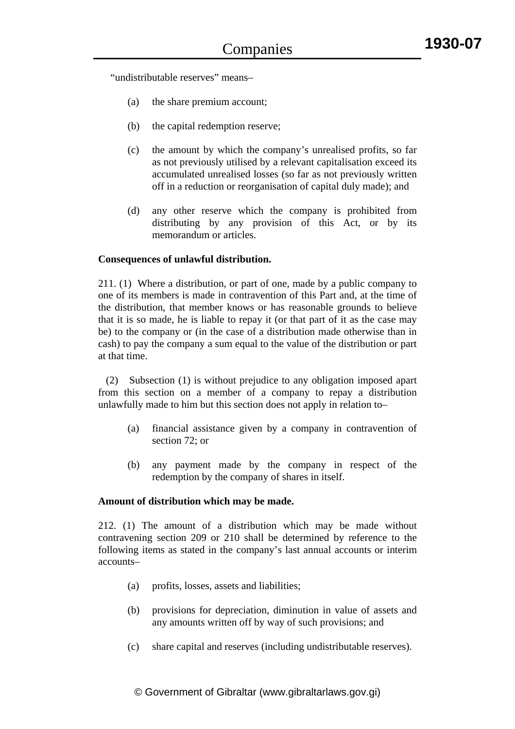"undistributable reserves" means–

- (a) the share premium account;
- (b) the capital redemption reserve;
- (c) the amount by which the company's unrealised profits, so far as not previously utilised by a relevant capitalisation exceed its accumulated unrealised losses (so far as not previously written off in a reduction or reorganisation of capital duly made); and
- (d) any other reserve which the company is prohibited from distributing by any provision of this Act, or by its memorandum or articles.

### **Consequences of unlawful distribution.**

211. (1) Where a distribution, or part of one, made by a public company to one of its members is made in contravention of this Part and, at the time of the distribution, that member knows or has reasonable grounds to believe that it is so made, he is liable to repay it (or that part of it as the case may be) to the company or (in the case of a distribution made otherwise than in cash) to pay the company a sum equal to the value of the distribution or part at that time.

 (2) Subsection (1) is without prejudice to any obligation imposed apart from this section on a member of a company to repay a distribution unlawfully made to him but this section does not apply in relation to–

- (a) financial assistance given by a company in contravention of section 72; or
- (b) any payment made by the company in respect of the redemption by the company of shares in itself.

#### **Amount of distribution which may be made.**

212. (1) The amount of a distribution which may be made without contravening section 209 or 210 shall be determined by reference to the following items as stated in the company's last annual accounts or interim accounts–

- (a) profits, losses, assets and liabilities;
- (b) provisions for depreciation, diminution in value of assets and any amounts written off by way of such provisions; and
- (c) share capital and reserves (including undistributable reserves).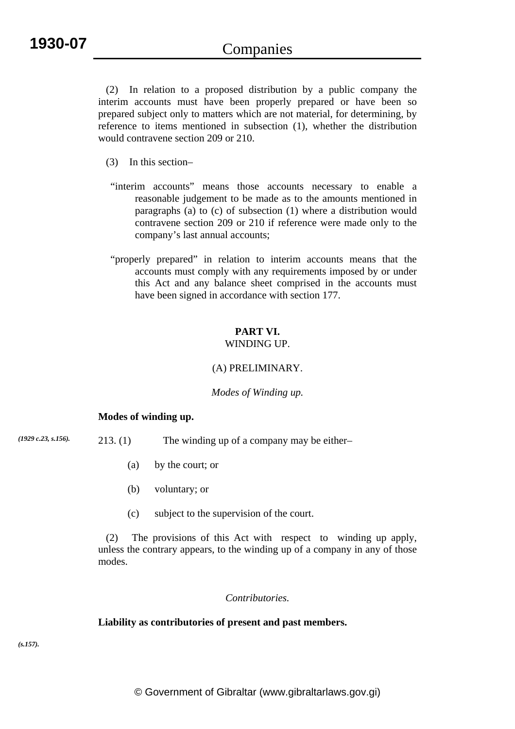(2) In relation to a proposed distribution by a public company the interim accounts must have been properly prepared or have been so prepared subject only to matters which are not material, for determining, by reference to items mentioned in subsection (1), whether the distribution would contravene section 209 or 210.

- (3) In this section–
- "interim accounts" means those accounts necessary to enable a reasonable judgement to be made as to the amounts mentioned in paragraphs (a) to (c) of subsection (1) where a distribution would contravene section 209 or 210 if reference were made only to the company's last annual accounts;
- "properly prepared" in relation to interim accounts means that the accounts must comply with any requirements imposed by or under this Act and any balance sheet comprised in the accounts must have been signed in accordance with section 177.

### **PART VI.**  WINDING UP.

# (A) PRELIMINARY.

# *Modes of Winding up.*

## **Modes of winding up.**

- 213. (1) The winding up of a company may be either– *(1929 c.23, s.156).*
	- (a) by the court; or
	- (b) voluntary; or
	- (c) subject to the supervision of the court.

 (2) The provisions of this Act with respect to winding up apply, unless the contrary appears, to the winding up of a company in any of those modes.

## *Contributories.*

## **Liability as contributories of present and past members.**

*(s.157).*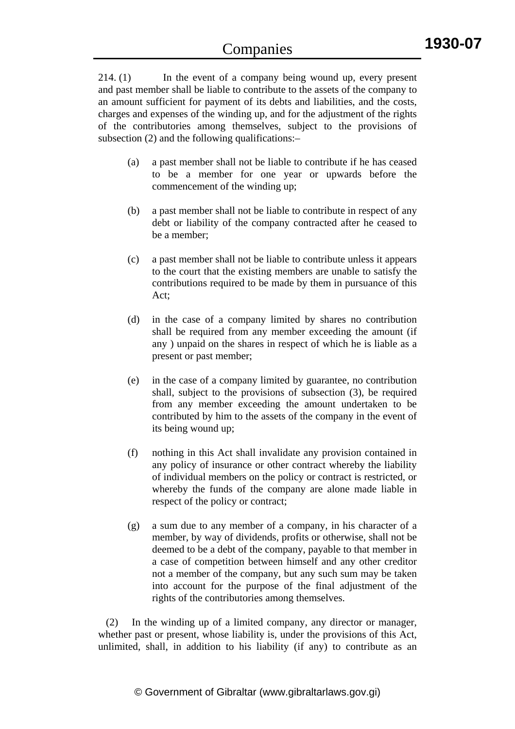$214. (1)$  In the event of a company being wound up, every present and past member shall be liable to contribute to the assets of the company to an amount sufficient for payment of its debts and liabilities, and the costs, charges and expenses of the winding up, and for the adjustment of the rights of the contributories among themselves, subject to the provisions of subsection (2) and the following qualifications:–

- (a) a past member shall not be liable to contribute if he has ceased to be a member for one year or upwards before the commencement of the winding up;
- (b) a past member shall not be liable to contribute in respect of any debt or liability of the company contracted after he ceased to be a member;
- (c) a past member shall not be liable to contribute unless it appears to the court that the existing members are unable to satisfy the contributions required to be made by them in pursuance of this Act;
- (d) in the case of a company limited by shares no contribution shall be required from any member exceeding the amount (if any ) unpaid on the shares in respect of which he is liable as a present or past member;
- (e) in the case of a company limited by guarantee, no contribution shall, subject to the provisions of subsection (3), be required from any member exceeding the amount undertaken to be contributed by him to the assets of the company in the event of its being wound up;
- (f) nothing in this Act shall invalidate any provision contained in any policy of insurance or other contract whereby the liability of individual members on the policy or contract is restricted, or whereby the funds of the company are alone made liable in respect of the policy or contract;
- (g) a sum due to any member of a company, in his character of a member, by way of dividends, profits or otherwise, shall not be deemed to be a debt of the company, payable to that member in a case of competition between himself and any other creditor not a member of the company, but any such sum may be taken into account for the purpose of the final adjustment of the rights of the contributories among themselves.

 (2) In the winding up of a limited company, any director or manager, whether past or present, whose liability is, under the provisions of this Act, unlimited, shall, in addition to his liability (if any) to contribute as an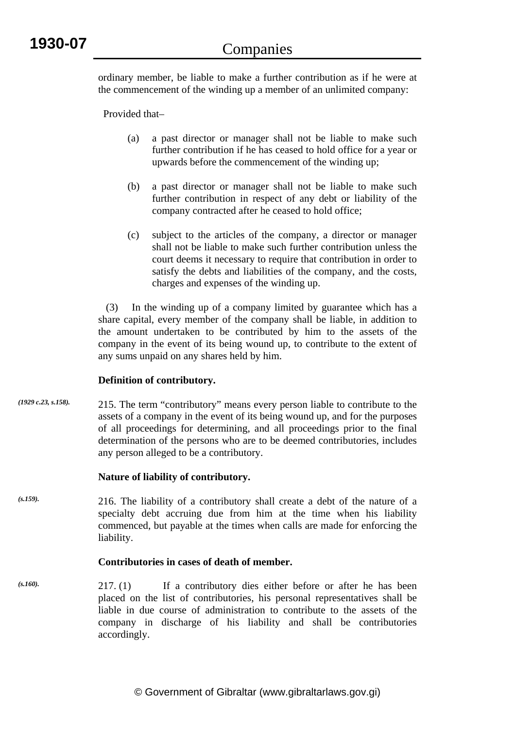ordinary member, be liable to make a further contribution as if he were at the commencement of the winding up a member of an unlimited company:

Provided that–

- (a) a past director or manager shall not be liable to make such further contribution if he has ceased to hold office for a year or upwards before the commencement of the winding up;
- (b) a past director or manager shall not be liable to make such further contribution in respect of any debt or liability of the company contracted after he ceased to hold office;
- (c) subject to the articles of the company, a director or manager shall not be liable to make such further contribution unless the court deems it necessary to require that contribution in order to satisfy the debts and liabilities of the company, and the costs, charges and expenses of the winding up.

 (3) In the winding up of a company limited by guarantee which has a share capital, every member of the company shall be liable, in addition to the amount undertaken to be contributed by him to the assets of the company in the event of its being wound up, to contribute to the extent of any sums unpaid on any shares held by him.

## **Definition of contributory.**

215. The term "contributory" means every person liable to contribute to the assets of a company in the event of its being wound up, and for the purposes of all proceedings for determining, and all proceedings prior to the final determination of the persons who are to be deemed contributories, includes any person alleged to be a contributory. *(1929 c.23, s.158).*

## **Nature of liability of contributory.**

216. The liability of a contributory shall create a debt of the nature of a specialty debt accruing due from him at the time when his liability commenced, but payable at the times when calls are made for enforcing the liability. *(s.159).*

## **Contributories in cases of death of member.**

217. (1) If a contributory dies either before or after he has been placed on the list of contributories, his personal representatives shall be liable in due course of administration to contribute to the assets of the company in discharge of his liability and shall be contributories accordingly. *(s.160).*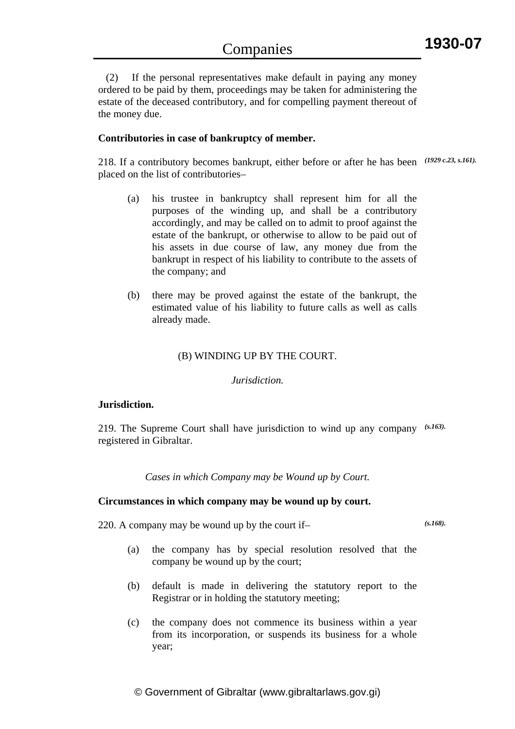(2) If the personal representatives make default in paying any money ordered to be paid by them, proceedings may be taken for administering the estate of the deceased contributory, and for compelling payment thereout of the money due.

## **Contributories in case of bankruptcy of member.**

218. If a contributory becomes bankrupt, either before or after he has been *(1929 c.23, s.161).* placed on the list of contributories–

- (a) his trustee in bankruptcy shall represent him for all the purposes of the winding up, and shall be a contributory accordingly, and may be called on to admit to proof against the estate of the bankrupt, or otherwise to allow to be paid out of his assets in due course of law, any money due from the bankrupt in respect of his liability to contribute to the assets of the company; and
- (b) there may be proved against the estate of the bankrupt, the estimated value of his liability to future calls as well as calls already made.

## (B) WINDING UP BY THE COURT.

*Jurisdiction.* 

## **Jurisdiction.**

219. The Supreme Court shall have jurisdiction to wind up any company *(s.163).* registered in Gibraltar.

*Cases in which Company may be Wound up by Court.* 

## **Circumstances in which company may be wound up by court.**

220. A company may be wound up by the court if–

*(s.168).*

- (a) the company has by special resolution resolved that the company be wound up by the court;
- (b) default is made in delivering the statutory report to the Registrar or in holding the statutory meeting;
- (c) the company does not commence its business within a year from its incorporation, or suspends its business for a whole year;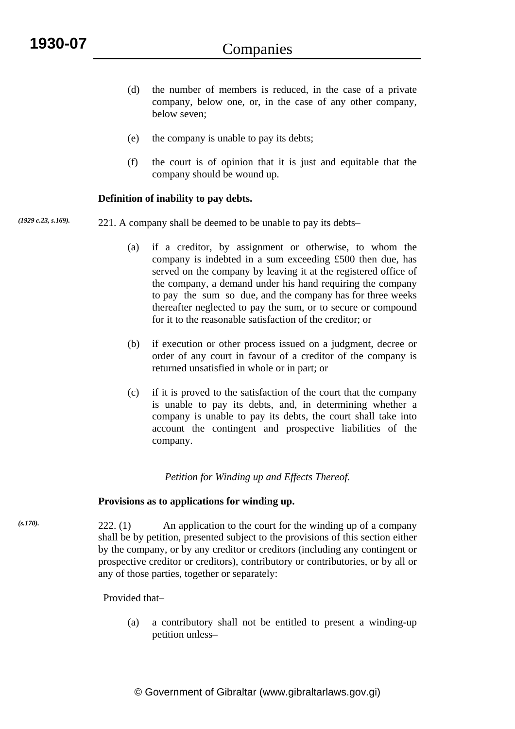- (d) the number of members is reduced, in the case of a private company, below one, or, in the case of any other company, below seven;
- (e) the company is unable to pay its debts;
- (f) the court is of opinion that it is just and equitable that the company should be wound up.

## **Definition of inability to pay debts.**

- 221. A company shall be deemed to be unable to pay its debts– *(1929 c.23, s.169).*
	- (a) if a creditor, by assignment or otherwise, to whom the company is indebted in a sum exceeding £500 then due, has served on the company by leaving it at the registered office of the company, a demand under his hand requiring the company to pay the sum so due, and the company has for three weeks thereafter neglected to pay the sum, or to secure or compound for it to the reasonable satisfaction of the creditor; or
	- (b) if execution or other process issued on a judgment, decree or order of any court in favour of a creditor of the company is returned unsatisfied in whole or in part; or
	- (c) if it is proved to the satisfaction of the court that the company is unable to pay its debts, and, in determining whether a company is unable to pay its debts, the court shall take into account the contingent and prospective liabilities of the company.

## *Petition for Winding up and Effects Thereof.*

#### **Provisions as to applications for winding up.**

222. (1) An application to the court for the winding up of a company shall be by petition, presented subject to the provisions of this section either by the company, or by any creditor or creditors (including any contingent or prospective creditor or creditors), contributory or contributories, or by all or any of those parties, together or separately:

Provided that–

*(s.170).*

(a) a contributory shall not be entitled to present a winding-up petition unless–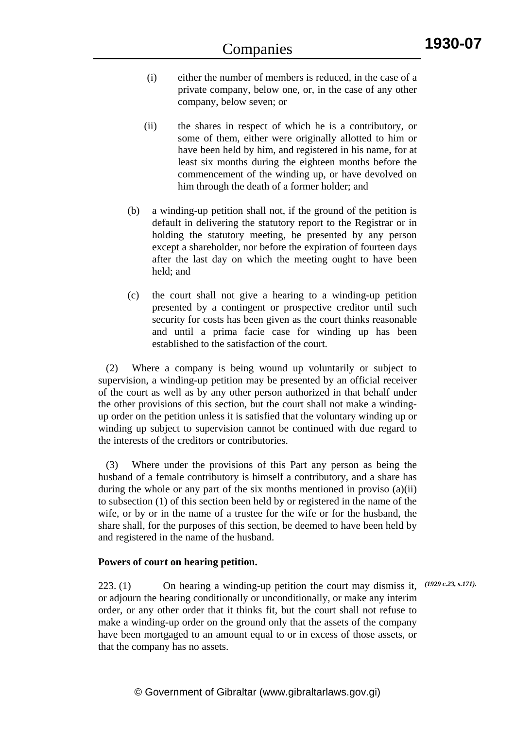- (i) either the number of members is reduced, in the case of a private company, below one, or, in the case of any other company, below seven; or
- (ii) the shares in respect of which he is a contributory, or some of them, either were originally allotted to him or have been held by him, and registered in his name, for at least six months during the eighteen months before the commencement of the winding up, or have devolved on him through the death of a former holder; and
- (b) a winding-up petition shall not, if the ground of the petition is default in delivering the statutory report to the Registrar or in holding the statutory meeting, be presented by any person except a shareholder, nor before the expiration of fourteen days after the last day on which the meeting ought to have been held; and
- (c) the court shall not give a hearing to a winding-up petition presented by a contingent or prospective creditor until such security for costs has been given as the court thinks reasonable and until a prima facie case for winding up has been established to the satisfaction of the court.

 (2) Where a company is being wound up voluntarily or subject to supervision, a winding-up petition may be presented by an official receiver of the court as well as by any other person authorized in that behalf under the other provisions of this section, but the court shall not make a windingup order on the petition unless it is satisfied that the voluntary winding up or winding up subject to supervision cannot be continued with due regard to the interests of the creditors or contributories.

 (3) Where under the provisions of this Part any person as being the husband of a female contributory is himself a contributory, and a share has during the whole or any part of the six months mentioned in proviso  $(a)(ii)$ to subsection (1) of this section been held by or registered in the name of the wife, or by or in the name of a trustee for the wife or for the husband, the share shall, for the purposes of this section, be deemed to have been held by and registered in the name of the husband.

## **Powers of court on hearing petition.**

223. (1) On hearing a winding-up petition the court may dismiss it, or adjourn the hearing conditionally or unconditionally, or make any interim order, or any other order that it thinks fit, but the court shall not refuse to make a winding-up order on the ground only that the assets of the company have been mortgaged to an amount equal to or in excess of those assets, or that the company has no assets. *(1929 c.23, s.171).*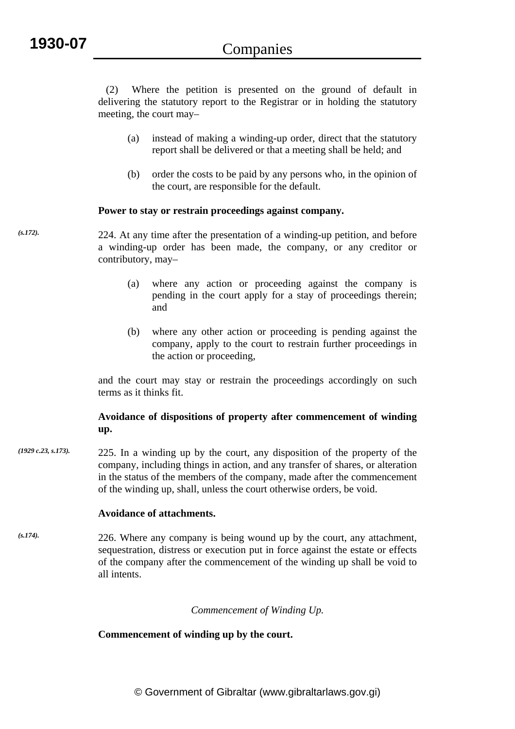(2) Where the petition is presented on the ground of default in delivering the statutory report to the Registrar or in holding the statutory meeting, the court may–

- (a) instead of making a winding-up order, direct that the statutory report shall be delivered or that a meeting shall be held; and
- (b) order the costs to be paid by any persons who, in the opinion of the court, are responsible for the default.

#### **Power to stay or restrain proceedings against company.**

*(s.172).*

224. At any time after the presentation of a winding-up petition, and before a winding-up order has been made, the company, or any creditor or contributory, may–

- (a) where any action or proceeding against the company is pending in the court apply for a stay of proceedings therein; and
- (b) where any other action or proceeding is pending against the company, apply to the court to restrain further proceedings in the action or proceeding,

and the court may stay or restrain the proceedings accordingly on such terms as it thinks fit.

## **Avoidance of dispositions of property after commencement of winding up.**

225. In a winding up by the court, any disposition of the property of the company, including things in action, and any transfer of shares, or alteration in the status of the members of the company, made after the commencement of the winding up, shall, unless the court otherwise orders, be void. *(1929 c.23, s.173).*

## **Avoidance of attachments.**

226. Where any company is being wound up by the court, any attachment, sequestration, distress or execution put in force against the estate or effects of the company after the commencement of the winding up shall be void to all intents. *(s.174).*

## *Commencement of Winding Up.*

**Commencement of winding up by the court.**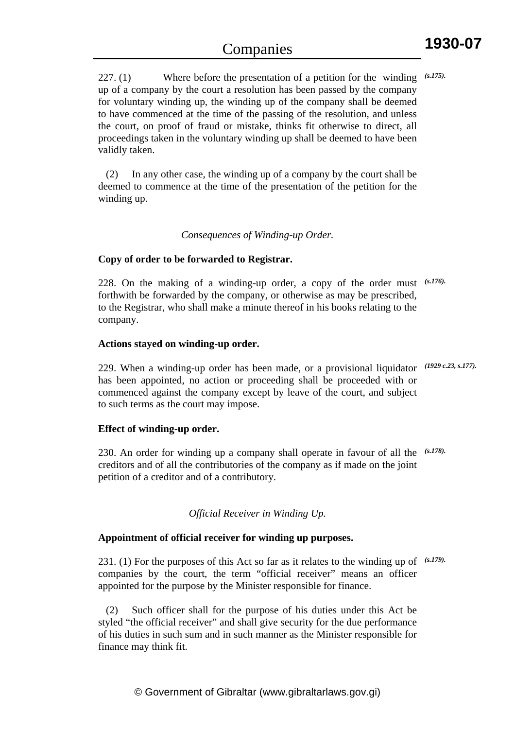227. (1) Where before the presentation of a petition for the winding up of a company by the court a resolution has been passed by the company for voluntary winding up, the winding up of the company shall be deemed to have commenced at the time of the passing of the resolution, and unless the court, on proof of fraud or mistake, thinks fit otherwise to direct, all proceedings taken in the voluntary winding up shall be deemed to have been validly taken. *(s.175).*

 (2) In any other case, the winding up of a company by the court shall be deemed to commence at the time of the presentation of the petition for the winding up.

#### *Consequences of Winding-up Order.*

#### **Copy of order to be forwarded to Registrar.**

228. On the making of a winding-up order, a copy of the order must *(s.176).* forthwith be forwarded by the company, or otherwise as may be prescribed, to the Registrar, who shall make a minute thereof in his books relating to the company.

#### **Actions stayed on winding-up order.**

229. When a winding-up order has been made, or a provisional liquidator *(1929 c.23, s.177).* has been appointed, no action or proceeding shall be proceeded with or commenced against the company except by leave of the court, and subject to such terms as the court may impose.

#### **Effect of winding-up order.**

230. An order for winding up a company shall operate in favour of all the *(s.178).* creditors and of all the contributories of the company as if made on the joint petition of a creditor and of a contributory.

*Official Receiver in Winding Up.* 

## **Appointment of official receiver for winding up purposes.**

231. (1) For the purposes of this Act so far as it relates to the winding up of *(s.179).*companies by the court, the term "official receiver" means an officer appointed for the purpose by the Minister responsible for finance.

 (2) Such officer shall for the purpose of his duties under this Act be styled "the official receiver" and shall give security for the due performance of his duties in such sum and in such manner as the Minister responsible for finance may think fit.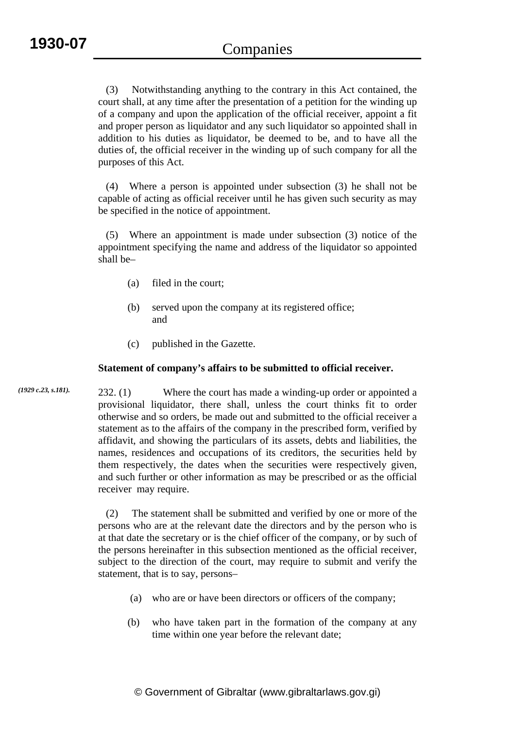(3) Notwithstanding anything to the contrary in this Act contained, the court shall, at any time after the presentation of a petition for the winding up of a company and upon the application of the official receiver, appoint a fit and proper person as liquidator and any such liquidator so appointed shall in addition to his duties as liquidator, be deemed to be, and to have all the duties of, the official receiver in the winding up of such company for all the purposes of this Act.

 (4) Where a person is appointed under subsection (3) he shall not be capable of acting as official receiver until he has given such security as may be specified in the notice of appointment.

 (5) Where an appointment is made under subsection (3) notice of the appointment specifying the name and address of the liquidator so appointed shall be–

- (a) filed in the court;
- (b) served upon the company at its registered office; and
- (c) published in the Gazette.

## **Statement of company's affairs to be submitted to official receiver.**

232. (1) Where the court has made a winding-up order or appointed a provisional liquidator, there shall, unless the court thinks fit to order otherwise and so orders, be made out and submitted to the official receiver a statement as to the affairs of the company in the prescribed form, verified by affidavit, and showing the particulars of its assets, debts and liabilities, the names, residences and occupations of its creditors, the securities held by them respectively, the dates when the securities were respectively given, and such further or other information as may be prescribed or as the official receiver may require. *(1929 c.23, s.181).*

> (2) The statement shall be submitted and verified by one or more of the persons who are at the relevant date the directors and by the person who is at that date the secretary or is the chief officer of the company, or by such of the persons hereinafter in this subsection mentioned as the official receiver, subject to the direction of the court, may require to submit and verify the statement, that is to say, persons–

- (a) who are or have been directors or officers of the company;
- (b) who have taken part in the formation of the company at any time within one year before the relevant date;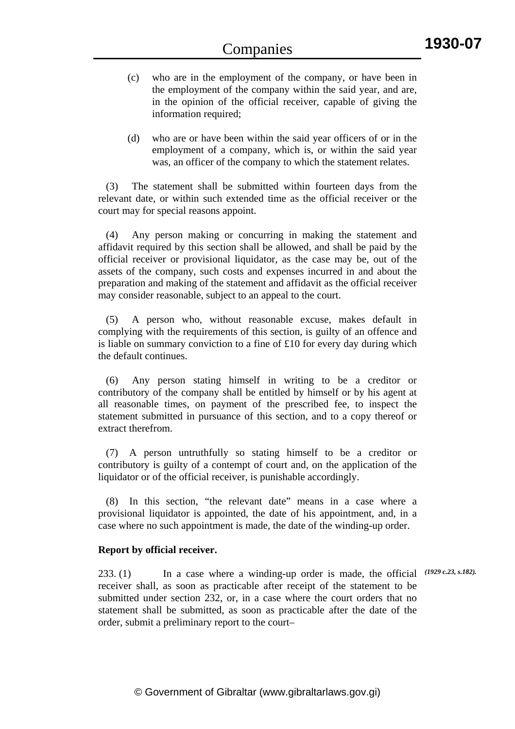- (c) who are in the employment of the company, or have been in the employment of the company within the said year, and are, in the opinion of the official receiver, capable of giving the information required;
- (d) who are or have been within the said year officers of or in the employment of a company, which is, or within the said year was, an officer of the company to which the statement relates.

 (3) The statement shall be submitted within fourteen days from the relevant date, or within such extended time as the official receiver or the court may for special reasons appoint.

 (4) Any person making or concurring in making the statement and affidavit required by this section shall be allowed, and shall be paid by the official receiver or provisional liquidator, as the case may be, out of the assets of the company, such costs and expenses incurred in and about the preparation and making of the statement and affidavit as the official receiver may consider reasonable, subject to an appeal to the court.

 (5) A person who, without reasonable excuse, makes default in complying with the requirements of this section, is guilty of an offence and is liable on summary conviction to a fine of £10 for every day during which the default continues.

 (6) Any person stating himself in writing to be a creditor or contributory of the company shall be entitled by himself or by his agent at all reasonable times, on payment of the prescribed fee, to inspect the statement submitted in pursuance of this section, and to a copy thereof or extract therefrom.

 (7) A person untruthfully so stating himself to be a creditor or contributory is guilty of a contempt of court and, on the application of the liquidator or of the official receiver, is punishable accordingly.

 (8) In this section, "the relevant date" means in a case where a provisional liquidator is appointed, the date of his appointment, and, in a case where no such appointment is made, the date of the winding-up order.

## **Report by official receiver.**

233. (1) In a case where a winding-up order is made, the official *(1929 c.23, s.182).*receiver shall, as soon as practicable after receipt of the statement to be submitted under section 232, or, in a case where the court orders that no statement shall be submitted, as soon as practicable after the date of the order, submit a preliminary report to the court–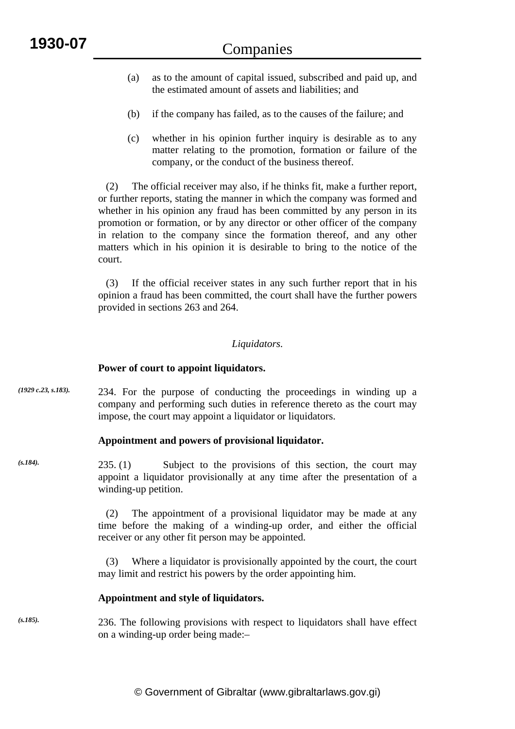*(s.185).*

- (a) as to the amount of capital issued, subscribed and paid up, and the estimated amount of assets and liabilities; and
- (b) if the company has failed, as to the causes of the failure; and
- (c) whether in his opinion further inquiry is desirable as to any matter relating to the promotion, formation or failure of the company, or the conduct of the business thereof.

 (2) The official receiver may also, if he thinks fit, make a further report, or further reports, stating the manner in which the company was formed and whether in his opinion any fraud has been committed by any person in its promotion or formation, or by any director or other officer of the company in relation to the company since the formation thereof, and any other matters which in his opinion it is desirable to bring to the notice of the court.

 (3) If the official receiver states in any such further report that in his opinion a fraud has been committed, the court shall have the further powers provided in sections 263 and 264.

# *Liquidators.*

## **Power of court to appoint liquidators.**

234. For the purpose of conducting the proceedings in winding up a company and performing such duties in reference thereto as the court may impose, the court may appoint a liquidator or liquidators. *(1929 c.23, s.183).*

# **Appointment and powers of provisional liquidator.**

235. (1) Subject to the provisions of this section, the court may appoint a liquidator provisionally at any time after the presentation of a winding-up petition. *(s.184).*

> (2) The appointment of a provisional liquidator may be made at any time before the making of a winding-up order, and either the official receiver or any other fit person may be appointed.

> (3) Where a liquidator is provisionally appointed by the court, the court may limit and restrict his powers by the order appointing him.

## **Appointment and style of liquidators.**

236. The following provisions with respect to liquidators shall have effect on a winding-up order being made:–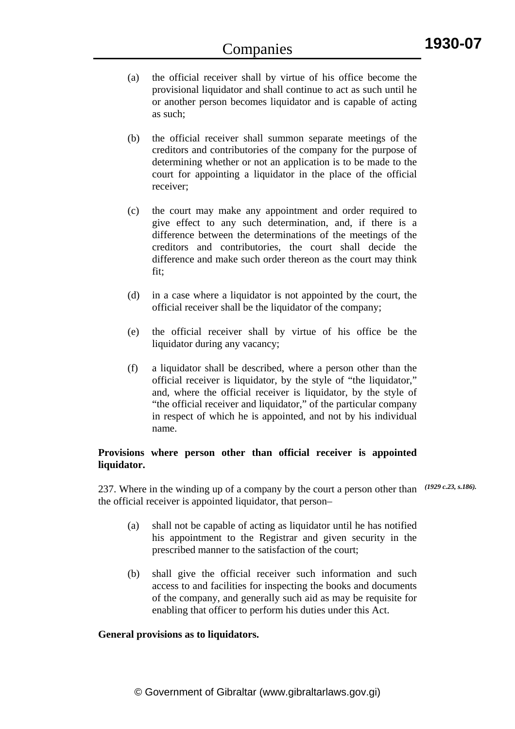- (a) the official receiver shall by virtue of his office become the provisional liquidator and shall continue to act as such until he or another person becomes liquidator and is capable of acting as such;
- (b) the official receiver shall summon separate meetings of the creditors and contributories of the company for the purpose of determining whether or not an application is to be made to the court for appointing a liquidator in the place of the official receiver;
- (c) the court may make any appointment and order required to give effect to any such determination, and, if there is a difference between the determinations of the meetings of the creditors and contributories, the court shall decide the difference and make such order thereon as the court may think fit;
- (d) in a case where a liquidator is not appointed by the court, the official receiver shall be the liquidator of the company;
- (e) the official receiver shall by virtue of his office be the liquidator during any vacancy;
- (f) a liquidator shall be described, where a person other than the official receiver is liquidator, by the style of "the liquidator," and, where the official receiver is liquidator, by the style of "the official receiver and liquidator," of the particular company in respect of which he is appointed, and not by his individual name.

# **Provisions where person other than official receiver is appointed liquidator.**

237. Where in the winding up of a company by the court a person other than *(1929 c.23, s.186).*the official receiver is appointed liquidator, that person–

- (a) shall not be capable of acting as liquidator until he has notified his appointment to the Registrar and given security in the prescribed manner to the satisfaction of the court;
- (b) shall give the official receiver such information and such access to and facilities for inspecting the books and documents of the company, and generally such aid as may be requisite for enabling that officer to perform his duties under this Act.

# **General provisions as to liquidators.**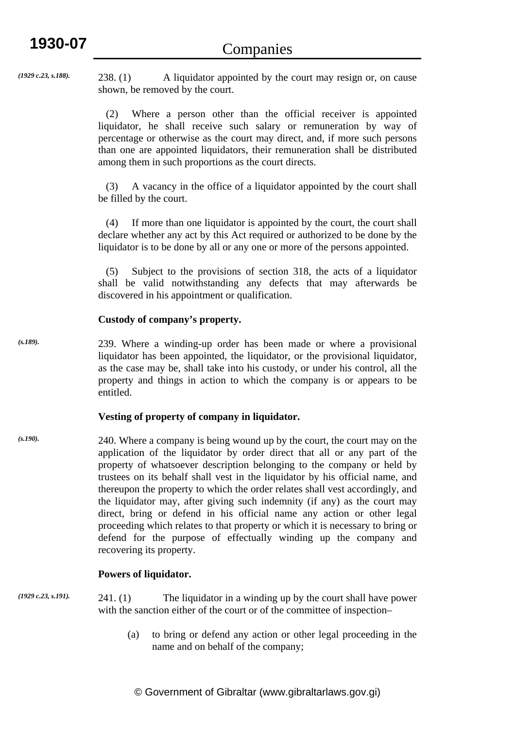*(1929 c.23, s.188).*

238. (1) A liquidator appointed by the court may resign or, on cause shown, be removed by the court.

 (2) Where a person other than the official receiver is appointed liquidator, he shall receive such salary or remuneration by way of percentage or otherwise as the court may direct, and, if more such persons than one are appointed liquidators, their remuneration shall be distributed among them in such proportions as the court directs.

 (3) A vacancy in the office of a liquidator appointed by the court shall be filled by the court.

 (4) If more than one liquidator is appointed by the court, the court shall declare whether any act by this Act required or authorized to be done by the liquidator is to be done by all or any one or more of the persons appointed.

 (5) Subject to the provisions of section 318, the acts of a liquidator shall be valid notwithstanding any defects that may afterwards be discovered in his appointment or qualification.

## **Custody of company's property.**

239. Where a winding-up order has been made or where a provisional liquidator has been appointed, the liquidator, or the provisional liquidator, as the case may be, shall take into his custody, or under his control, all the property and things in action to which the company is or appears to be entitled. *(s.189).*

# **Vesting of property of company in liquidator.**

240. Where a company is being wound up by the court, the court may on the application of the liquidator by order direct that all or any part of the property of whatsoever description belonging to the company or held by trustees on its behalf shall vest in the liquidator by his official name, and thereupon the property to which the order relates shall vest accordingly, and the liquidator may, after giving such indemnity (if any) as the court may direct, bring or defend in his official name any action or other legal proceeding which relates to that property or which it is necessary to bring or defend for the purpose of effectually winding up the company and recovering its property. *(s.190).*

# **Powers of liquidator.**

*(1929 c.23, s.191).*

241. (1) The liquidator in a winding up by the court shall have power with the sanction either of the court or of the committee of inspection–

> (a) to bring or defend any action or other legal proceeding in the name and on behalf of the company;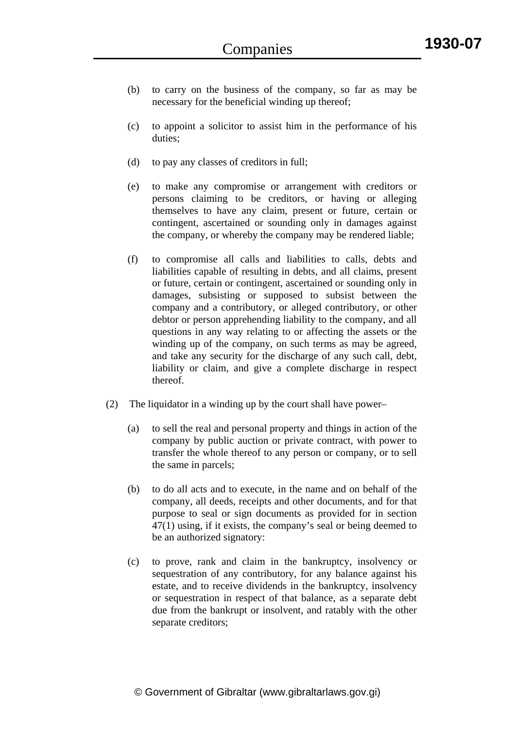- (b) to carry on the business of the company, so far as may be necessary for the beneficial winding up thereof;
- (c) to appoint a solicitor to assist him in the performance of his duties;
- (d) to pay any classes of creditors in full;
- (e) to make any compromise or arrangement with creditors or persons claiming to be creditors, or having or alleging themselves to have any claim, present or future, certain or contingent, ascertained or sounding only in damages against the company, or whereby the company may be rendered liable;
- (f) to compromise all calls and liabilities to calls, debts and liabilities capable of resulting in debts, and all claims, present or future, certain or contingent, ascertained or sounding only in damages, subsisting or supposed to subsist between the company and a contributory, or alleged contributory, or other debtor or person apprehending liability to the company, and all questions in any way relating to or affecting the assets or the winding up of the company, on such terms as may be agreed, and take any security for the discharge of any such call, debt, liability or claim, and give a complete discharge in respect thereof.
- (2) The liquidator in a winding up by the court shall have power–
	- (a) to sell the real and personal property and things in action of the company by public auction or private contract, with power to transfer the whole thereof to any person or company, or to sell the same in parcels;
	- (b) to do all acts and to execute, in the name and on behalf of the company, all deeds, receipts and other documents, and for that purpose to seal or sign documents as provided for in section 47(1) using, if it exists, the company's seal or being deemed to be an authorized signatory:
	- (c) to prove, rank and claim in the bankruptcy, insolvency or sequestration of any contributory, for any balance against his estate, and to receive dividends in the bankruptcy, insolvency or sequestration in respect of that balance, as a separate debt due from the bankrupt or insolvent, and ratably with the other separate creditors;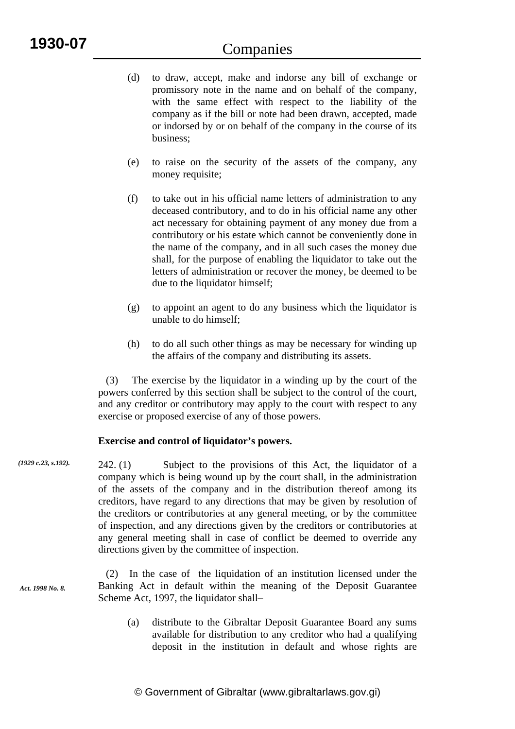- (d) to draw, accept, make and indorse any bill of exchange or promissory note in the name and on behalf of the company, with the same effect with respect to the liability of the company as if the bill or note had been drawn, accepted, made or indorsed by or on behalf of the company in the course of its business;
- (e) to raise on the security of the assets of the company, any money requisite;
- (f) to take out in his official name letters of administration to any deceased contributory, and to do in his official name any other act necessary for obtaining payment of any money due from a contributory or his estate which cannot be conveniently done in the name of the company, and in all such cases the money due shall, for the purpose of enabling the liquidator to take out the letters of administration or recover the money, be deemed to be due to the liquidator himself;
- (g) to appoint an agent to do any business which the liquidator is unable to do himself;
- (h) to do all such other things as may be necessary for winding up the affairs of the company and distributing its assets.

 (3) The exercise by the liquidator in a winding up by the court of the powers conferred by this section shall be subject to the control of the court, and any creditor or contributory may apply to the court with respect to any exercise or proposed exercise of any of those powers.

# **Exercise and control of liquidator's powers.**

- 242. (1) Subject to the provisions of this Act, the liquidator of a company which is being wound up by the court shall, in the administration of the assets of the company and in the distribution thereof among its creditors, have regard to any directions that may be given by resolution of the creditors or contributories at any general meeting, or by the committee of inspection, and any directions given by the creditors or contributories at any general meeting shall in case of conflict be deemed to override any directions given by the committee of inspection. *(1929 c.23, s.192).*
- (2) In the case of the liquidation of an institution licensed under the Banking Act in default within the meaning of the Deposit Guarantee Scheme Act, 1997, the liquidator shall– *Act. 1998 No. 8.* 
	- (a) distribute to the Gibraltar Deposit Guarantee Board any sums available for distribution to any creditor who had a qualifying deposit in the institution in default and whose rights are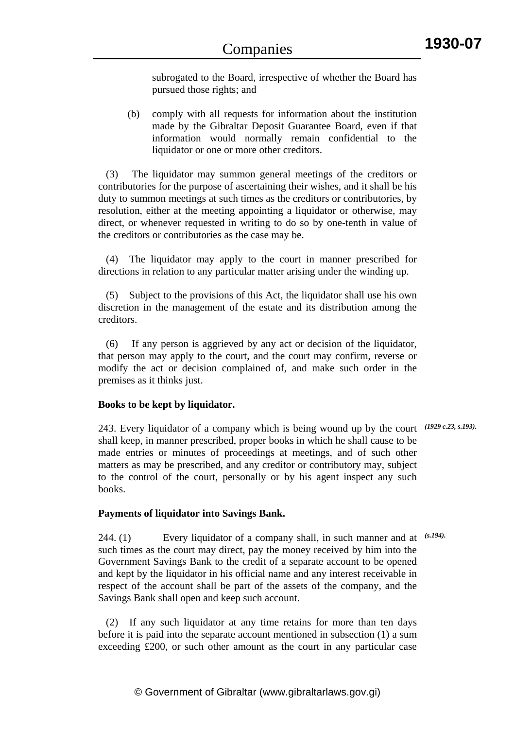subrogated to the Board, irrespective of whether the Board has pursued those rights; and

(b) comply with all requests for information about the institution made by the Gibraltar Deposit Guarantee Board, even if that information would normally remain confidential to the liquidator or one or more other creditors.

 (3) The liquidator may summon general meetings of the creditors or contributories for the purpose of ascertaining their wishes, and it shall be his duty to summon meetings at such times as the creditors or contributories, by resolution, either at the meeting appointing a liquidator or otherwise, may direct, or whenever requested in writing to do so by one-tenth in value of the creditors or contributories as the case may be.

 (4) The liquidator may apply to the court in manner prescribed for directions in relation to any particular matter arising under the winding up.

 (5) Subject to the provisions of this Act, the liquidator shall use his own discretion in the management of the estate and its distribution among the creditors.

 (6) If any person is aggrieved by any act or decision of the liquidator, that person may apply to the court, and the court may confirm, reverse or modify the act or decision complained of, and make such order in the premises as it thinks just.

## **Books to be kept by liquidator.**

243. Every liquidator of a company which is being wound up by the court *(1929 c.23, s.193).* shall keep, in manner prescribed, proper books in which he shall cause to be made entries or minutes of proceedings at meetings, and of such other matters as may be prescribed, and any creditor or contributory may, subject to the control of the court, personally or by his agent inspect any such books.

# **Payments of liquidator into Savings Bank.**

244. (1) Every liquidator of a company shall, in such manner and at *(s.194).*such times as the court may direct, pay the money received by him into the Government Savings Bank to the credit of a separate account to be opened and kept by the liquidator in his official name and any interest receivable in respect of the account shall be part of the assets of the company, and the Savings Bank shall open and keep such account.

 (2) If any such liquidator at any time retains for more than ten days before it is paid into the separate account mentioned in subsection (1) a sum exceeding £200, or such other amount as the court in any particular case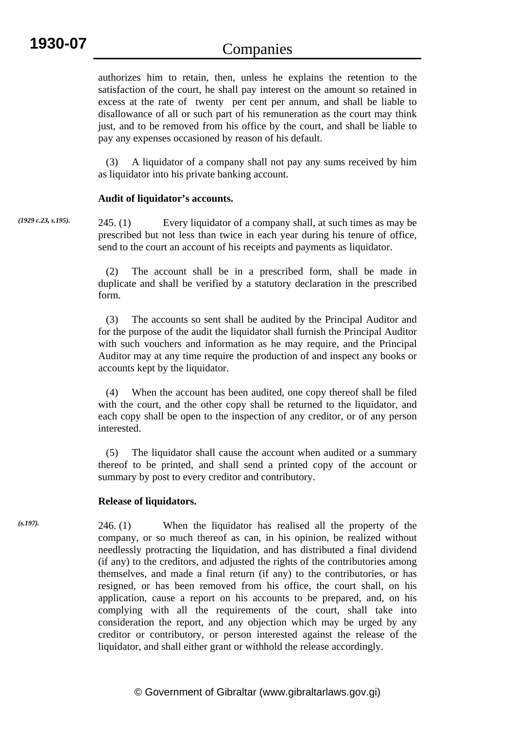*(s.197).*

authorizes him to retain, then, unless he explains the retention to the satisfaction of the court, he shall pay interest on the amount so retained in excess at the rate of twenty per cent per annum, and shall be liable to disallowance of all or such part of his remuneration as the court may think just, and to be removed from his office by the court, and shall be liable to pay any expenses occasioned by reason of his default.

 (3) A liquidator of a company shall not pay any sums received by him as liquidator into his private banking account.

## **Audit of liquidator's accounts.**

245. (1) Every liquidator of a company shall, at such times as may be prescribed but not less than twice in each year during his tenure of office, send to the court an account of his receipts and payments as liquidator. *(1929 c.23, s.195).*

> (2) The account shall be in a prescribed form, shall be made in duplicate and shall be verified by a statutory declaration in the prescribed form.

> (3) The accounts so sent shall be audited by the Principal Auditor and for the purpose of the audit the liquidator shall furnish the Principal Auditor with such vouchers and information as he may require, and the Principal Auditor may at any time require the production of and inspect any books or accounts kept by the liquidator.

> (4) When the account has been audited, one copy thereof shall be filed with the court, and the other copy shall be returned to the liquidator, and each copy shall be open to the inspection of any creditor, or of any person interested.

> (5) The liquidator shall cause the account when audited or a summary thereof to be printed, and shall send a printed copy of the account or summary by post to every creditor and contributory.

## **Release of liquidators.**

246. (1) When the liquidator has realised all the property of the company, or so much thereof as can, in his opinion, be realized without needlessly protracting the liquidation, and has distributed a final dividend (if any) to the creditors, and adjusted the rights of the contributories among themselves, and made a final return (if any) to the contributories, or has resigned, or has been removed from his office, the court shall, on his application, cause a report on his accounts to be prepared, and, on his complying with all the requirements of the court, shall take into consideration the report, and any objection which may be urged by any creditor or contributory, or person interested against the release of the liquidator, and shall either grant or withhold the release accordingly.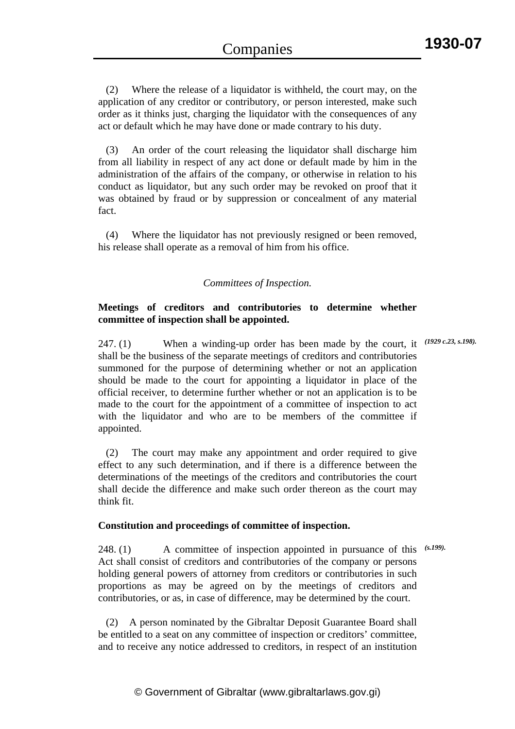(2) Where the release of a liquidator is withheld, the court may, on the application of any creditor or contributory, or person interested, make such order as it thinks just, charging the liquidator with the consequences of any act or default which he may have done or made contrary to his duty.

 (3) An order of the court releasing the liquidator shall discharge him from all liability in respect of any act done or default made by him in the administration of the affairs of the company, or otherwise in relation to his conduct as liquidator, but any such order may be revoked on proof that it was obtained by fraud or by suppression or concealment of any material fact.

 (4) Where the liquidator has not previously resigned or been removed, his release shall operate as a removal of him from his office.

#### *Committees of Inspection.*

## **Meetings of creditors and contributories to determine whether committee of inspection shall be appointed.**

247. (1) When a winding-up order has been made by the court, it *(1929 c.23, s.198).* shall be the business of the separate meetings of creditors and contributories summoned for the purpose of determining whether or not an application should be made to the court for appointing a liquidator in place of the official receiver, to determine further whether or not an application is to be made to the court for the appointment of a committee of inspection to act with the liquidator and who are to be members of the committee if appointed.

 (2) The court may make any appointment and order required to give effect to any such determination, and if there is a difference between the determinations of the meetings of the creditors and contributories the court shall decide the difference and make such order thereon as the court may think fit.

## **Constitution and proceedings of committee of inspection.**

248. (1) A committee of inspection appointed in pursuance of this *(s.199).*Act shall consist of creditors and contributories of the company or persons holding general powers of attorney from creditors or contributories in such proportions as may be agreed on by the meetings of creditors and contributories, or as, in case of difference, may be determined by the court.

 (2) A person nominated by the Gibraltar Deposit Guarantee Board shall be entitled to a seat on any committee of inspection or creditors' committee, and to receive any notice addressed to creditors, in respect of an institution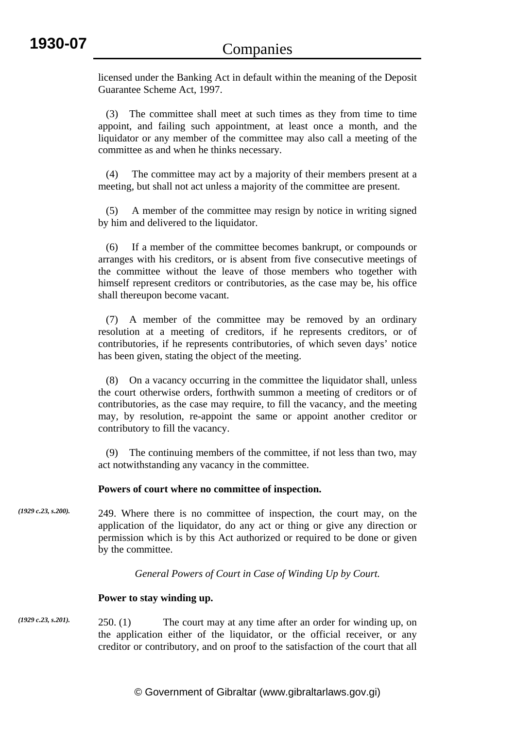licensed under the Banking Act in default within the meaning of the Deposit Guarantee Scheme Act, 1997.

 (3) The committee shall meet at such times as they from time to time appoint, and failing such appointment, at least once a month, and the liquidator or any member of the committee may also call a meeting of the committee as and when he thinks necessary.

 (4) The committee may act by a majority of their members present at a meeting, but shall not act unless a majority of the committee are present.

 (5) A member of the committee may resign by notice in writing signed by him and delivered to the liquidator.

 (6) If a member of the committee becomes bankrupt, or compounds or arranges with his creditors, or is absent from five consecutive meetings of the committee without the leave of those members who together with himself represent creditors or contributories, as the case may be, his office shall thereupon become vacant.

 (7) A member of the committee may be removed by an ordinary resolution at a meeting of creditors, if he represents creditors, or of contributories, if he represents contributories, of which seven days' notice has been given, stating the object of the meeting.

 (8) On a vacancy occurring in the committee the liquidator shall, unless the court otherwise orders, forthwith summon a meeting of creditors or of contributories, as the case may require, to fill the vacancy, and the meeting may, by resolution, re-appoint the same or appoint another creditor or contributory to fill the vacancy.

 (9) The continuing members of the committee, if not less than two, may act notwithstanding any vacancy in the committee.

#### **Powers of court where no committee of inspection.**

249. Where there is no committee of inspection, the court may, on the application of the liquidator, do any act or thing or give any direction or permission which is by this Act authorized or required to be done or given by the committee. *(1929 c.23, s.200).*

*General Powers of Court in Case of Winding Up by Court.* 

#### **Power to stay winding up.**

250. (1) The court may at any time after an order for winding up, on the application either of the liquidator, or the official receiver, or any creditor or contributory, and on proof to the satisfaction of the court that all *(1929 c.23, s.201).*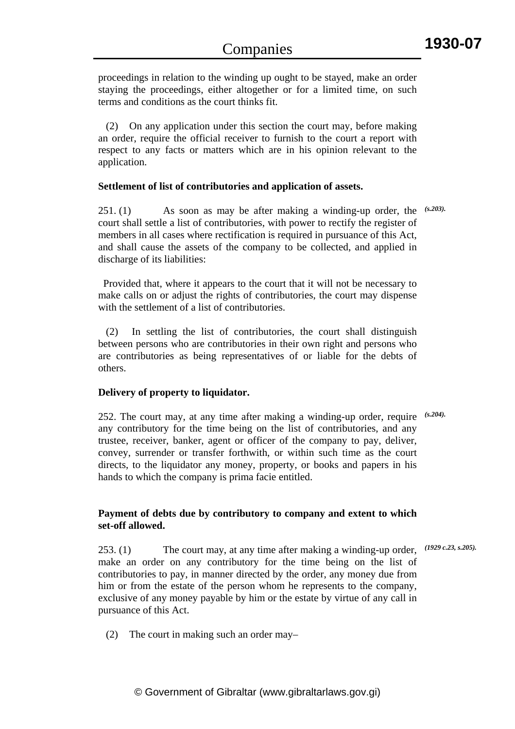proceedings in relation to the winding up ought to be stayed, make an order staying the proceedings, either altogether or for a limited time, on such terms and conditions as the court thinks fit.

 (2) On any application under this section the court may, before making an order, require the official receiver to furnish to the court a report with respect to any facts or matters which are in his opinion relevant to the application.

#### **Settlement of list of contributories and application of assets.**

251. (1) As soon as may be after making a winding-up order, the court shall settle a list of contributories, with power to rectify the register of members in all cases where rectification is required in pursuance of this Act, and shall cause the assets of the company to be collected, and applied in discharge of its liabilities: *(s.203).*

 Provided that, where it appears to the court that it will not be necessary to make calls on or adjust the rights of contributories, the court may dispense with the settlement of a list of contributories.

 (2) In settling the list of contributories, the court shall distinguish between persons who are contributories in their own right and persons who are contributories as being representatives of or liable for the debts of others.

## **Delivery of property to liquidator.**

252. The court may, at any time after making a winding-up order, require *(s.204).* any contributory for the time being on the list of contributories, and any trustee, receiver, banker, agent or officer of the company to pay, deliver, convey, surrender or transfer forthwith, or within such time as the court directs, to the liquidator any money, property, or books and papers in his hands to which the company is prima facie entitled.

## **Payment of debts due by contributory to company and extent to which set-off allowed.**

253. (1) The court may, at any time after making a winding-up order, *(1929 c.23, s.205).*make an order on any contributory for the time being on the list of contributories to pay, in manner directed by the order, any money due from him or from the estate of the person whom he represents to the company, exclusive of any money payable by him or the estate by virtue of any call in pursuance of this Act.

(2) The court in making such an order may–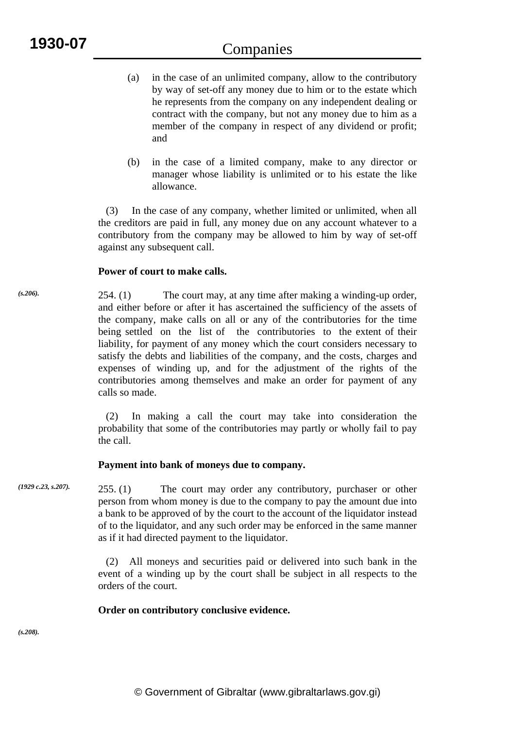- (a) in the case of an unlimited company, allow to the contributory by way of set-off any money due to him or to the estate which he represents from the company on any independent dealing or contract with the company, but not any money due to him as a member of the company in respect of any dividend or profit; and
- (b) in the case of a limited company, make to any director or manager whose liability is unlimited or to his estate the like allowance.

 (3) In the case of any company, whether limited or unlimited, when all the creditors are paid in full, any money due on any account whatever to a contributory from the company may be allowed to him by way of set-off against any subsequent call.

## **Power of court to make calls.**

254. (1) The court may, at any time after making a winding-up order, and either before or after it has ascertained the sufficiency of the assets of the company, make calls on all or any of the contributories for the time being settled on the list of the contributories to the extent of their liability, for payment of any money which the court considers necessary to satisfy the debts and liabilities of the company, and the costs, charges and expenses of winding up, and for the adjustment of the rights of the contributories among themselves and make an order for payment of any calls so made.

 (2) In making a call the court may take into consideration the probability that some of the contributories may partly or wholly fail to pay the call.

## **Payment into bank of moneys due to company.**

255. (1) The court may order any contributory, purchaser or other person from whom money is due to the company to pay the amount due into a bank to be approved of by the court to the account of the liquidator instead of to the liquidator, and any such order may be enforced in the same manner as if it had directed payment to the liquidator. *(1929 c.23, s.207).*

> (2) All moneys and securities paid or delivered into such bank in the event of a winding up by the court shall be subject in all respects to the orders of the court.

#### **Order on contributory conclusive evidence.**

*(s.208).*

*(s.206).*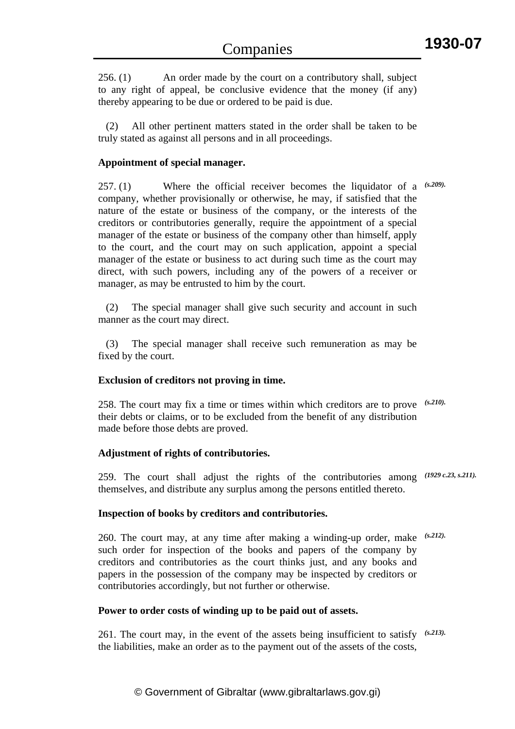256. (1) An order made by the court on a contributory shall, subject to any right of appeal, be conclusive evidence that the money (if any) thereby appearing to be due or ordered to be paid is due.

 (2) All other pertinent matters stated in the order shall be taken to be truly stated as against all persons and in all proceedings.

## **Appointment of special manager.**

257. (1) Where the official receiver becomes the liquidator of a *(s.209).* company, whether provisionally or otherwise, he may, if satisfied that the nature of the estate or business of the company, or the interests of the creditors or contributories generally, require the appointment of a special manager of the estate or business of the company other than himself, apply to the court, and the court may on such application, appoint a special manager of the estate or business to act during such time as the court may direct, with such powers, including any of the powers of a receiver or manager, as may be entrusted to him by the court.

 (2) The special manager shall give such security and account in such manner as the court may direct.

 (3) The special manager shall receive such remuneration as may be fixed by the court.

## **Exclusion of creditors not proving in time.**

258. The court may fix a time or times within which creditors are to prove *(s.210).* their debts or claims, or to be excluded from the benefit of any distribution made before those debts are proved.

## **Adjustment of rights of contributories.**

259. The court shall adjust the rights of the contributories among *(1929 c.23, s.211).* themselves, and distribute any surplus among the persons entitled thereto.

## **Inspection of books by creditors and contributories.**

260. The court may, at any time after making a winding-up order, make *(s.212).* such order for inspection of the books and papers of the company by creditors and contributories as the court thinks just, and any books and papers in the possession of the company may be inspected by creditors or contributories accordingly, but not further or otherwise.

## **Power to order costs of winding up to be paid out of assets.**

261. The court may, in the event of the assets being insufficient to satisfy *(s.213).*the liabilities, make an order as to the payment out of the assets of the costs,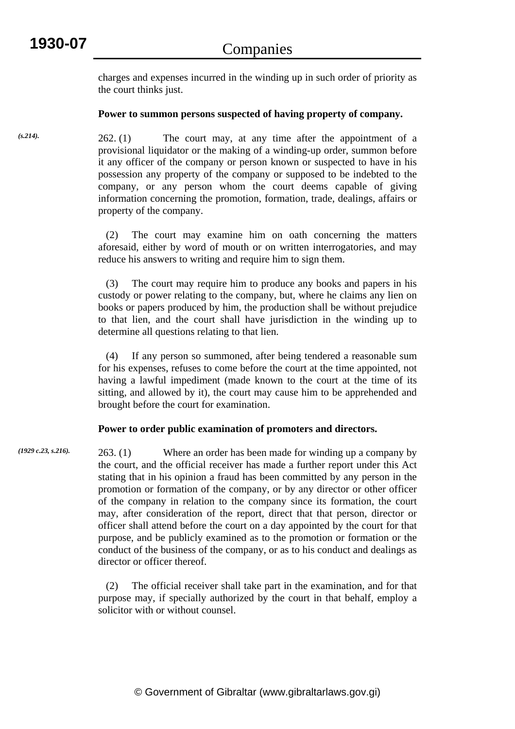charges and expenses incurred in the winding up in such order of priority as the court thinks just.

## **Power to summon persons suspected of having property of company.**

262. (1) The court may, at any time after the appointment of a provisional liquidator or the making of a winding-up order, summon before it any officer of the company or person known or suspected to have in his possession any property of the company or supposed to be indebted to the company, or any person whom the court deems capable of giving information concerning the promotion, formation, trade, dealings, affairs or property of the company.

 (2) The court may examine him on oath concerning the matters aforesaid, either by word of mouth or on written interrogatories, and may reduce his answers to writing and require him to sign them.

 (3) The court may require him to produce any books and papers in his custody or power relating to the company, but, where he claims any lien on books or papers produced by him, the production shall be without prejudice to that lien, and the court shall have jurisdiction in the winding up to determine all questions relating to that lien.

 (4) If any person so summoned, after being tendered a reasonable sum for his expenses, refuses to come before the court at the time appointed, not having a lawful impediment (made known to the court at the time of its sitting, and allowed by it), the court may cause him to be apprehended and brought before the court for examination.

## **Power to order public examination of promoters and directors.**

263. (1) Where an order has been made for winding up a company by the court, and the official receiver has made a further report under this Act stating that in his opinion a fraud has been committed by any person in the promotion or formation of the company, or by any director or other officer of the company in relation to the company since its formation, the court may, after consideration of the report, direct that that person, director or officer shall attend before the court on a day appointed by the court for that purpose, and be publicly examined as to the promotion or formation or the conduct of the business of the company, or as to his conduct and dealings as director or officer thereof. *(1929 c.23, s.216).*

> (2) The official receiver shall take part in the examination, and for that purpose may, if specially authorized by the court in that behalf, employ a solicitor with or without counsel.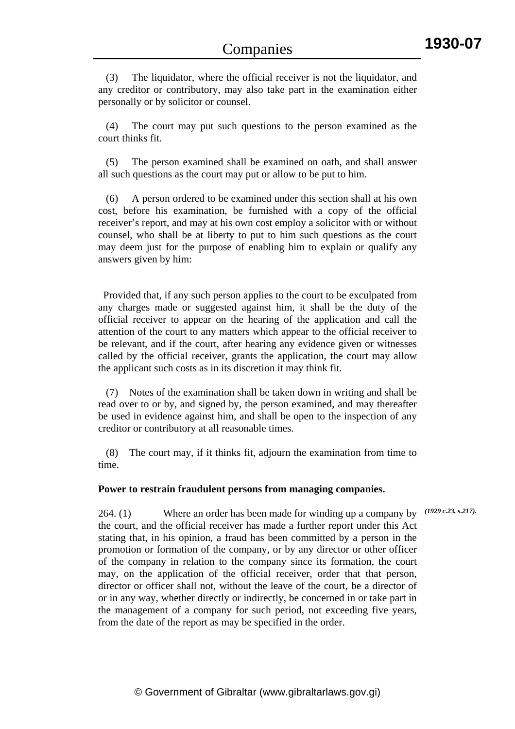(3) The liquidator, where the official receiver is not the liquidator, and any creditor or contributory, may also take part in the examination either personally or by solicitor or counsel.

 (4) The court may put such questions to the person examined as the court thinks fit.

 (5) The person examined shall be examined on oath, and shall answer all such questions as the court may put or allow to be put to him.

 (6) A person ordered to be examined under this section shall at his own cost, before his examination, be furnished with a copy of the official receiver's report, and may at his own cost employ a solicitor with or without counsel, who shall be at liberty to put to him such questions as the court may deem just for the purpose of enabling him to explain or qualify any answers given by him:

 Provided that, if any such person applies to the court to be exculpated from any charges made or suggested against him, it shall be the duty of the official receiver to appear on the hearing of the application and call the attention of the court to any matters which appear to the official receiver to be relevant, and if the court, after hearing any evidence given or witnesses called by the official receiver, grants the application, the court may allow the applicant such costs as in its discretion it may think fit.

 (7) Notes of the examination shall be taken down in writing and shall be read over to or by, and signed by, the person examined, and may thereafter be used in evidence against him, and shall be open to the inspection of any creditor or contributory at all reasonable times.

 (8) The court may, if it thinks fit, adjourn the examination from time to time.

#### **Power to restrain fraudulent persons from managing companies.**

264. (1) Where an order has been made for winding up a company by *(1929 c.23, s.217).*the court, and the official receiver has made a further report under this Act stating that, in his opinion, a fraud has been committed by a person in the promotion or formation of the company, or by any director or other officer of the company in relation to the company since its formation, the court may, on the application of the official receiver, order that that person, director or officer shall not, without the leave of the court, be a director of or in any way, whether directly or indirectly, be concerned in or take part in the management of a company for such period, not exceeding five years, from the date of the report as may be specified in the order.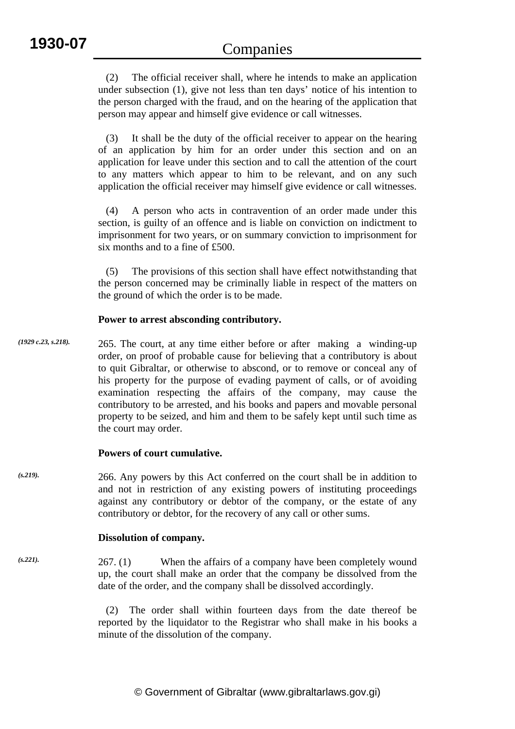(2) The official receiver shall, where he intends to make an application under subsection (1), give not less than ten days' notice of his intention to the person charged with the fraud, and on the hearing of the application that person may appear and himself give evidence or call witnesses.

 (3) It shall be the duty of the official receiver to appear on the hearing of an application by him for an order under this section and on an application for leave under this section and to call the attention of the court to any matters which appear to him to be relevant, and on any such application the official receiver may himself give evidence or call witnesses.

 (4) A person who acts in contravention of an order made under this section, is guilty of an offence and is liable on conviction on indictment to imprisonment for two years, or on summary conviction to imprisonment for six months and to a fine of £500.

 (5) The provisions of this section shall have effect notwithstanding that the person concerned may be criminally liable in respect of the matters on the ground of which the order is to be made.

## **Power to arrest absconding contributory.**

265. The court, at any time either before or after making a winding-up order, on proof of probable cause for believing that a contributory is about to quit Gibraltar, or otherwise to abscond, or to remove or conceal any of his property for the purpose of evading payment of calls, or of avoiding examination respecting the affairs of the company, may cause the contributory to be arrested, and his books and papers and movable personal property to be seized, and him and them to be safely kept until such time as the court may order. *(1929 c.23, s.218).*

## **Powers of court cumulative.**

266. Any powers by this Act conferred on the court shall be in addition to and not in restriction of any existing powers of instituting proceedings against any contributory or debtor of the company, or the estate of any contributory or debtor, for the recovery of any call or other sums. *(s.219).*

#### **Dissolution of company.**

267. (1) When the affairs of a company have been completely wound up, the court shall make an order that the company be dissolved from the date of the order, and the company shall be dissolved accordingly. *(s.221).*

> (2) The order shall within fourteen days from the date thereof be reported by the liquidator to the Registrar who shall make in his books a minute of the dissolution of the company.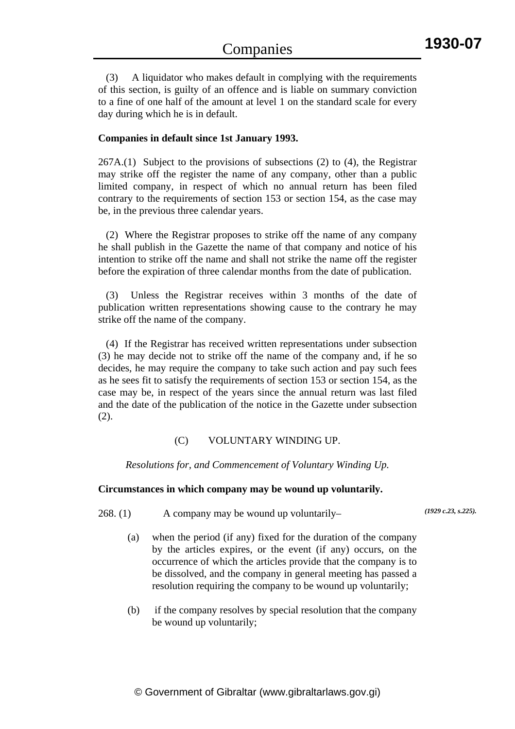(3) A liquidator who makes default in complying with the requirements of this section, is guilty of an offence and is liable on summary conviction to a fine of one half of the amount at level 1 on the standard scale for every day during which he is in default.

## **Companies in default since 1st January 1993.**

 $267A(1)$  Subject to the provisions of subsections (2) to (4), the Registrar may strike off the register the name of any company, other than a public limited company, in respect of which no annual return has been filed contrary to the requirements of section 153 or section 154, as the case may be, in the previous three calendar years.

 (2) Where the Registrar proposes to strike off the name of any company he shall publish in the Gazette the name of that company and notice of his intention to strike off the name and shall not strike the name off the register before the expiration of three calendar months from the date of publication.

 (3) Unless the Registrar receives within 3 months of the date of publication written representations showing cause to the contrary he may strike off the name of the company.

 (4) If the Registrar has received written representations under subsection (3) he may decide not to strike off the name of the company and, if he so decides, he may require the company to take such action and pay such fees as he sees fit to satisfy the requirements of section 153 or section 154, as the case may be, in respect of the years since the annual return was last filed and the date of the publication of the notice in the Gazette under subsection (2).

# (C) VOLUNTARY WINDING UP.

*Resolutions for, and Commencement of Voluntary Winding Up.* 

## **Circumstances in which company may be wound up voluntarily.**

268. (1) A company may be wound up voluntarily–

- *(1929 c.23, s.225).*
- (a) when the period (if any) fixed for the duration of the company by the articles expires, or the event (if any) occurs, on the occurrence of which the articles provide that the company is to be dissolved, and the company in general meeting has passed a resolution requiring the company to be wound up voluntarily;
- (b) if the company resolves by special resolution that the company be wound up voluntarily;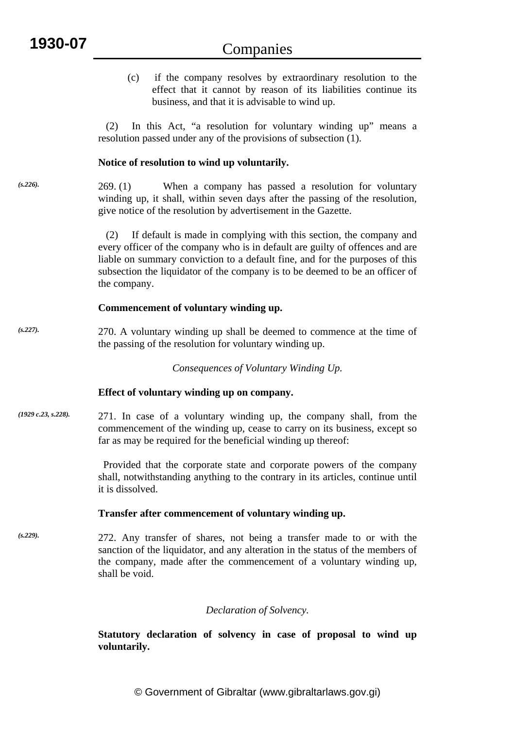|                     | if the company resolves by extraordinary resolution to the<br>(c)<br>effect that it cannot by reason of its liabilities continue its<br>business, and that it is advisable to wind up.<br>In this Act, "a resolution for voluntary winding up" means a<br>(2)<br>resolution passed under any of the provisions of subsection (1).          |
|---------------------|--------------------------------------------------------------------------------------------------------------------------------------------------------------------------------------------------------------------------------------------------------------------------------------------------------------------------------------------|
|                     | Notice of resolution to wind up voluntarily.                                                                                                                                                                                                                                                                                               |
| $(s.226)$ .         | 269. (1)<br>When a company has passed a resolution for voluntary<br>winding up, it shall, within seven days after the passing of the resolution,<br>give notice of the resolution by advertisement in the Gazette.                                                                                                                         |
|                     | If default is made in complying with this section, the company and<br>(2)<br>every officer of the company who is in default are guilty of offences and are<br>liable on summary conviction to a default fine, and for the purposes of this<br>subsection the liquidator of the company is to be deemed to be an officer of<br>the company. |
|                     | Commencement of voluntary winding up.                                                                                                                                                                                                                                                                                                      |
| (s.227).            | 270. A voluntary winding up shall be deemed to commence at the time of<br>the passing of the resolution for voluntary winding up.                                                                                                                                                                                                          |
|                     | Consequences of Voluntary Winding Up.                                                                                                                                                                                                                                                                                                      |
|                     | Effect of voluntary winding up on company.                                                                                                                                                                                                                                                                                                 |
| (1929 c.23, s.228). | 271. In case of a voluntary winding up, the company shall, from the<br>commencement of the winding up, cease to carry on its business, except so<br>far as may be required for the beneficial winding up thereof:                                                                                                                          |
|                     | Provided that the corporate state and corporate powers of the company<br>shall, notwithstanding anything to the contrary in its articles, continue until<br>it is dissolved.                                                                                                                                                               |
|                     | Transfer after commencement of voluntary winding up.                                                                                                                                                                                                                                                                                       |
| (s.229).            | 272. Any transfer of shares, not being a transfer made to or with the<br>sanction of the liquidator, and any alteration in the status of the members of<br>the company, made after the commencement of a voluntary winding up,<br>shall be void.                                                                                           |
|                     | Declaration of Solvency.                                                                                                                                                                                                                                                                                                                   |

**Statutory declaration of solvency in case of proposal to wind up voluntarily.**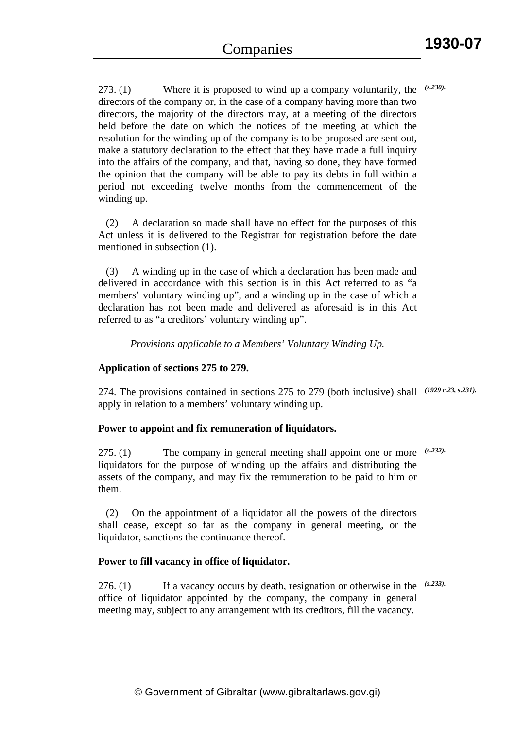273. (1) Where it is proposed to wind up a company voluntarily, the directors of the company or, in the case of a company having more than two directors, the majority of the directors may, at a meeting of the directors held before the date on which the notices of the meeting at which the resolution for the winding up of the company is to be proposed are sent out, make a statutory declaration to the effect that they have made a full inquiry into the affairs of the company, and that, having so done, they have formed the opinion that the company will be able to pay its debts in full within a period not exceeding twelve months from the commencement of the winding up. *(s.230).*

 (2) A declaration so made shall have no effect for the purposes of this Act unless it is delivered to the Registrar for registration before the date mentioned in subsection (1).

 (3) A winding up in the case of which a declaration has been made and delivered in accordance with this section is in this Act referred to as "a members' voluntary winding up", and a winding up in the case of which a declaration has not been made and delivered as aforesaid is in this Act referred to as "a creditors' voluntary winding up".

*Provisions applicable to a Members' Voluntary Winding Up.* 

#### **Application of sections 275 to 279.**

274. The provisions contained in sections 275 to 279 (both inclusive) shall *(1929 c.23, s.231).* apply in relation to a members' voluntary winding up.

## **Power to appoint and fix remuneration of liquidators.**

275. (1) The company in general meeting shall appoint one or more *(s.232).* liquidators for the purpose of winding up the affairs and distributing the assets of the company, and may fix the remuneration to be paid to him or them.

 (2) On the appointment of a liquidator all the powers of the directors shall cease, except so far as the company in general meeting, or the liquidator, sanctions the continuance thereof.

## **Power to fill vacancy in office of liquidator.**

276. (1) If a vacancy occurs by death, resignation or otherwise in the *(s.233).*office of liquidator appointed by the company, the company in general meeting may, subject to any arrangement with its creditors, fill the vacancy.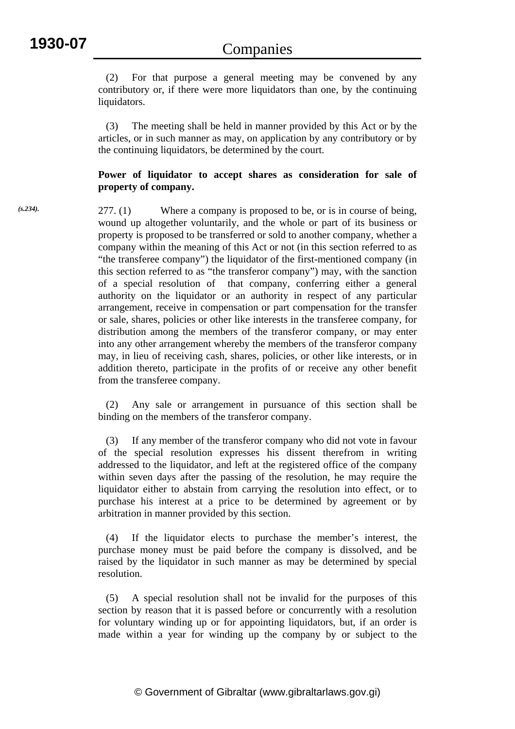(2) For that purpose a general meeting may be convened by any contributory or, if there were more liquidators than one, by the continuing liquidators.

 (3) The meeting shall be held in manner provided by this Act or by the articles, or in such manner as may, on application by any contributory or by the continuing liquidators, be determined by the court.

## **Power of liquidator to accept shares as consideration for sale of property of company.**

277. (1) Where a company is proposed to be, or is in course of being, wound up altogether voluntarily, and the whole or part of its business or property is proposed to be transferred or sold to another company, whether a company within the meaning of this Act or not (in this section referred to as "the transferee company") the liquidator of the first-mentioned company (in this section referred to as "the transferor company") may, with the sanction of a special resolution of that company, conferring either a general authority on the liquidator or an authority in respect of any particular arrangement, receive in compensation or part compensation for the transfer or sale, shares, policies or other like interests in the transferee company, for distribution among the members of the transferor company, or may enter into any other arrangement whereby the members of the transferor company may, in lieu of receiving cash, shares, policies, or other like interests, or in addition thereto, participate in the profits of or receive any other benefit from the transferee company.

 (2) Any sale or arrangement in pursuance of this section shall be binding on the members of the transferor company.

 (3) If any member of the transferor company who did not vote in favour of the special resolution expresses his dissent therefrom in writing addressed to the liquidator, and left at the registered office of the company within seven days after the passing of the resolution, he may require the liquidator either to abstain from carrying the resolution into effect, or to purchase his interest at a price to be determined by agreement or by arbitration in manner provided by this section.

 (4) If the liquidator elects to purchase the member's interest, the purchase money must be paid before the company is dissolved, and be raised by the liquidator in such manner as may be determined by special resolution.

 (5) A special resolution shall not be invalid for the purposes of this section by reason that it is passed before or concurrently with a resolution for voluntary winding up or for appointing liquidators, but, if an order is made within a year for winding up the company by or subject to the

*(s.234).*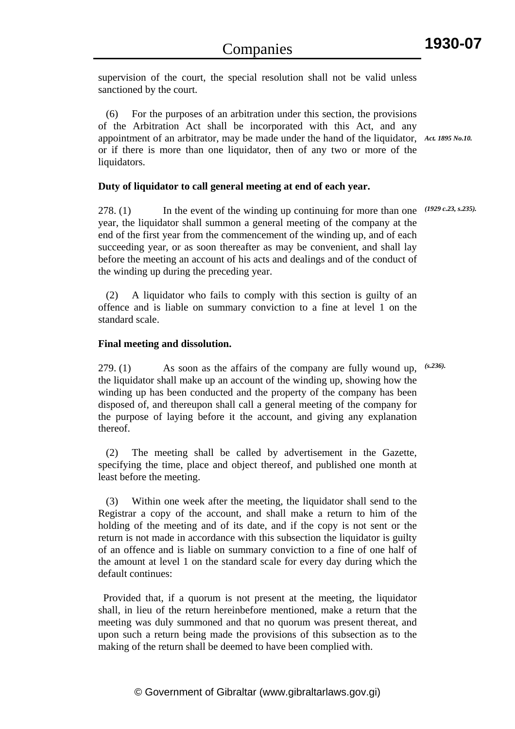supervision of the court, the special resolution shall not be valid unless sanctioned by the court.

 (6) For the purposes of an arbitration under this section, the provisions of the Arbitration Act shall be incorporated with this Act, and any appointment of an arbitrator, may be made under the hand of the liquidator, *Act. 1895 No.10.* or if there is more than one liquidator, then of any two or more of the liquidators.

## **Duty of liquidator to call general meeting at end of each year.**

278. (1) In the event of the winding up continuing for more than one *(1929 c.23, s.235).* year, the liquidator shall summon a general meeting of the company at the end of the first year from the commencement of the winding up, and of each succeeding year, or as soon thereafter as may be convenient, and shall lay before the meeting an account of his acts and dealings and of the conduct of the winding up during the preceding year.

 (2) A liquidator who fails to comply with this section is guilty of an offence and is liable on summary conviction to a fine at level 1 on the standard scale.

## **Final meeting and dissolution.**

279. (1) As soon as the affairs of the company are fully wound up, the liquidator shall make up an account of the winding up, showing how the winding up has been conducted and the property of the company has been disposed of, and thereupon shall call a general meeting of the company for the purpose of laying before it the account, and giving any explanation thereof. *(s.236).*

 (2) The meeting shall be called by advertisement in the Gazette, specifying the time, place and object thereof, and published one month at least before the meeting.

 (3) Within one week after the meeting, the liquidator shall send to the Registrar a copy of the account, and shall make a return to him of the holding of the meeting and of its date, and if the copy is not sent or the return is not made in accordance with this subsection the liquidator is guilty of an offence and is liable on summary conviction to a fine of one half of the amount at level 1 on the standard scale for every day during which the default continues:

 Provided that, if a quorum is not present at the meeting, the liquidator shall, in lieu of the return hereinbefore mentioned, make a return that the meeting was duly summoned and that no quorum was present thereat, and upon such a return being made the provisions of this subsection as to the making of the return shall be deemed to have been complied with.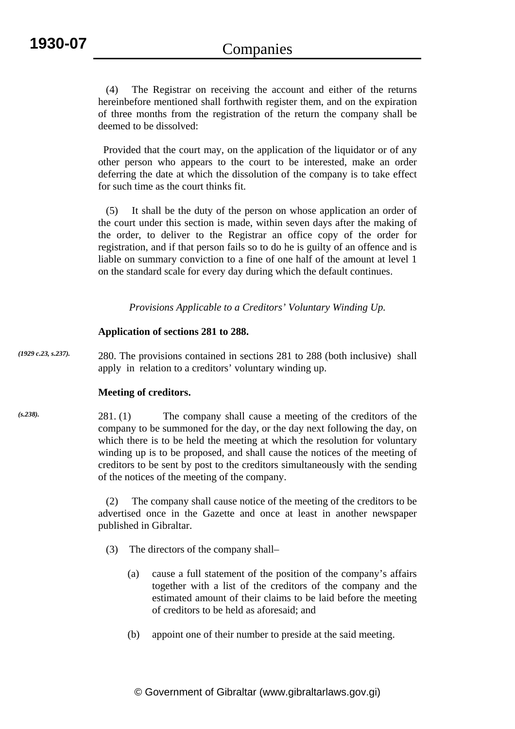*(s.238).*

 (4) The Registrar on receiving the account and either of the returns hereinbefore mentioned shall forthwith register them, and on the expiration of three months from the registration of the return the company shall be deemed to be dissolved:

 Provided that the court may, on the application of the liquidator or of any other person who appears to the court to be interested, make an order deferring the date at which the dissolution of the company is to take effect for such time as the court thinks fit.

 (5) It shall be the duty of the person on whose application an order of the court under this section is made, within seven days after the making of the order, to deliver to the Registrar an office copy of the order for registration, and if that person fails so to do he is guilty of an offence and is liable on summary conviction to a fine of one half of the amount at level 1 on the standard scale for every day during which the default continues.

*Provisions Applicable to a Creditors' Voluntary Winding Up.* 

## **Application of sections 281 to 288.**

280. The provisions contained in sections 281 to 288 (both inclusive) shall apply in relation to a creditors' voluntary winding up. *(1929 c.23, s.237).*

## **Meeting of creditors.**

281. (1) The company shall cause a meeting of the creditors of the company to be summoned for the day, or the day next following the day, on which there is to be held the meeting at which the resolution for voluntary winding up is to be proposed, and shall cause the notices of the meeting of creditors to be sent by post to the creditors simultaneously with the sending of the notices of the meeting of the company.

 (2) The company shall cause notice of the meeting of the creditors to be advertised once in the Gazette and once at least in another newspaper published in Gibraltar.

- (3) The directors of the company shall–
	- (a) cause a full statement of the position of the company's affairs together with a list of the creditors of the company and the estimated amount of their claims to be laid before the meeting of creditors to be held as aforesaid; and
	- (b) appoint one of their number to preside at the said meeting.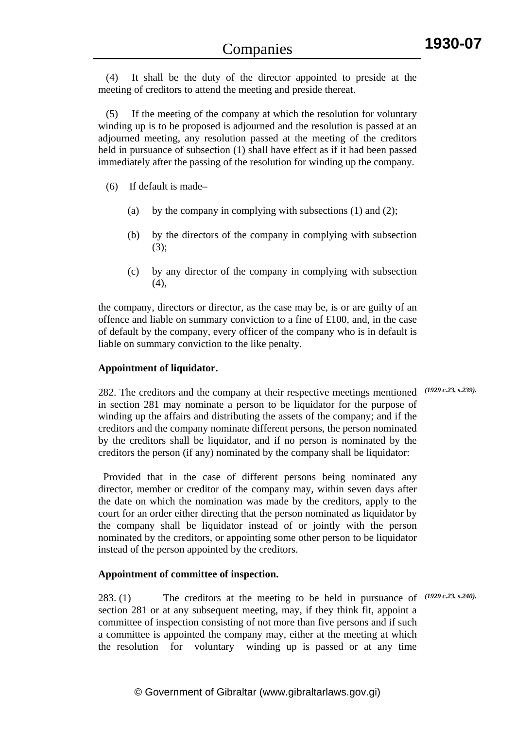(4) It shall be the duty of the director appointed to preside at the meeting of creditors to attend the meeting and preside thereat.

 (5) If the meeting of the company at which the resolution for voluntary winding up is to be proposed is adjourned and the resolution is passed at an adjourned meeting, any resolution passed at the meeting of the creditors held in pursuance of subsection (1) shall have effect as if it had been passed immediately after the passing of the resolution for winding up the company.

- (6) If default is made–
	- (a) by the company in complying with subsections  $(1)$  and  $(2)$ ;
	- (b) by the directors of the company in complying with subsection (3);
	- (c) by any director of the company in complying with subsection  $(4)$ ,

the company, directors or director, as the case may be, is or are guilty of an offence and liable on summary conviction to a fine of £100, and, in the case of default by the company, every officer of the company who is in default is liable on summary conviction to the like penalty.

## **Appointment of liquidator.**

282. The creditors and the company at their respective meetings mentioned *(1929 c.23, s.239).* in section 281 may nominate a person to be liquidator for the purpose of winding up the affairs and distributing the assets of the company; and if the creditors and the company nominate different persons, the person nominated by the creditors shall be liquidator, and if no person is nominated by the creditors the person (if any) nominated by the company shall be liquidator:

 Provided that in the case of different persons being nominated any director, member or creditor of the company may, within seven days after the date on which the nomination was made by the creditors, apply to the court for an order either directing that the person nominated as liquidator by the company shall be liquidator instead of or jointly with the person nominated by the creditors, or appointing some other person to be liquidator instead of the person appointed by the creditors.

# **Appointment of committee of inspection.**

283. (1) The creditors at the meeting to be held in pursuance of *(1929 c.23, s.240).*section 281 or at any subsequent meeting, may, if they think fit, appoint a committee of inspection consisting of not more than five persons and if such a committee is appointed the company may, either at the meeting at which the resolution for voluntary winding up is passed or at any time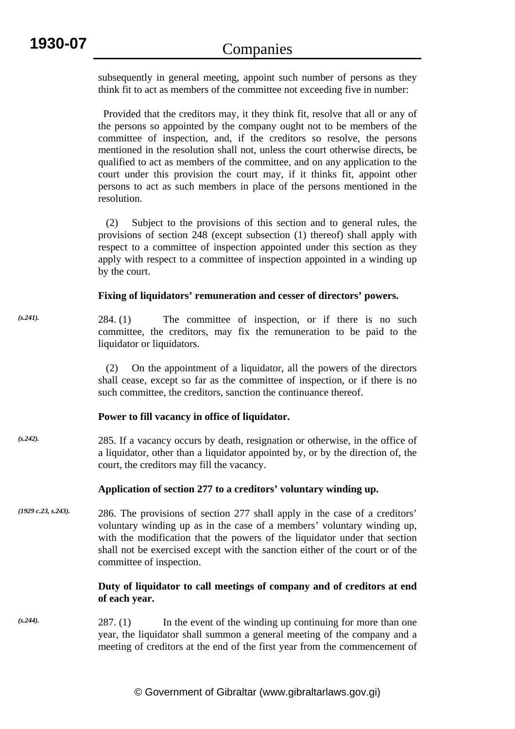subsequently in general meeting, appoint such number of persons as they think fit to act as members of the committee not exceeding five in number:

 Provided that the creditors may, it they think fit, resolve that all or any of the persons so appointed by the company ought not to be members of the committee of inspection, and, if the creditors so resolve, the persons mentioned in the resolution shall not, unless the court otherwise directs, be qualified to act as members of the committee, and on any application to the court under this provision the court may, if it thinks fit, appoint other persons to act as such members in place of the persons mentioned in the resolution.

 (2) Subject to the provisions of this section and to general rules, the provisions of section 248 (except subsection (1) thereof) shall apply with respect to a committee of inspection appointed under this section as they apply with respect to a committee of inspection appointed in a winding up by the court.

#### **Fixing of liquidators' remuneration and cesser of directors' powers.**

284. (1) The committee of inspection, or if there is no such committee, the creditors, may fix the remuneration to be paid to the liquidator or liquidators. *(s.241).*

> (2) On the appointment of a liquidator, all the powers of the directors shall cease, except so far as the committee of inspection, or if there is no such committee, the creditors, sanction the continuance thereof.

## **Power to fill vacancy in office of liquidator.**

285. If a vacancy occurs by death, resignation or otherwise, in the office of a liquidator, other than a liquidator appointed by, or by the direction of, the court, the creditors may fill the vacancy. *(s.242).*

#### **Application of section 277 to a creditors' voluntary winding up.**

286. The provisions of section 277 shall apply in the case of a creditors' voluntary winding up as in the case of a members' voluntary winding up, with the modification that the powers of the liquidator under that section shall not be exercised except with the sanction either of the court or of the committee of inspection. *(1929 c.23, s.243).*

## **Duty of liquidator to call meetings of company and of creditors at end of each year.**

287. (1) In the event of the winding up continuing for more than one year, the liquidator shall summon a general meeting of the company and a meeting of creditors at the end of the first year from the commencement of *(s.244).*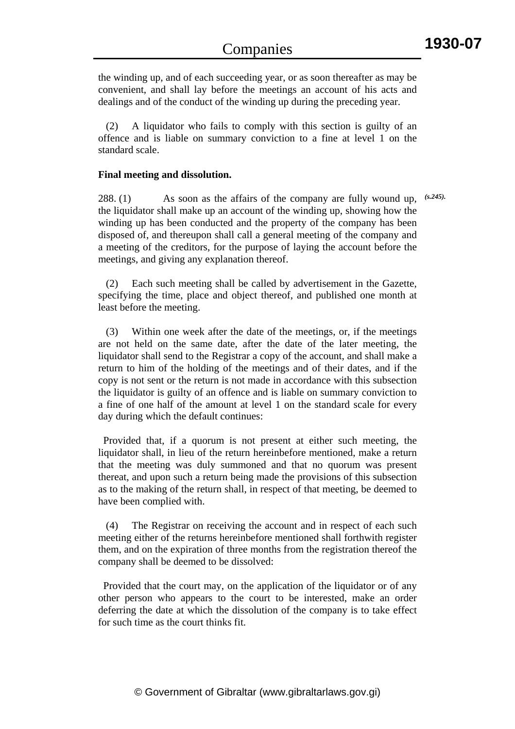the winding up, and of each succeeding year, or as soon thereafter as may be convenient, and shall lay before the meetings an account of his acts and dealings and of the conduct of the winding up during the preceding year.

 (2) A liquidator who fails to comply with this section is guilty of an offence and is liable on summary conviction to a fine at level 1 on the standard scale.

#### **Final meeting and dissolution.**

288. (1) As soon as the affairs of the company are fully wound up, *(s.245).*the liquidator shall make up an account of the winding up, showing how the winding up has been conducted and the property of the company has been disposed of, and thereupon shall call a general meeting of the company and a meeting of the creditors, for the purpose of laying the account before the meetings, and giving any explanation thereof.

 (2) Each such meeting shall be called by advertisement in the Gazette, specifying the time, place and object thereof, and published one month at least before the meeting.

 (3) Within one week after the date of the meetings, or, if the meetings are not held on the same date, after the date of the later meeting, the liquidator shall send to the Registrar a copy of the account, and shall make a return to him of the holding of the meetings and of their dates, and if the copy is not sent or the return is not made in accordance with this subsection the liquidator is guilty of an offence and is liable on summary conviction to a fine of one half of the amount at level 1 on the standard scale for every day during which the default continues:

 Provided that, if a quorum is not present at either such meeting, the liquidator shall, in lieu of the return hereinbefore mentioned, make a return that the meeting was duly summoned and that no quorum was present thereat, and upon such a return being made the provisions of this subsection as to the making of the return shall, in respect of that meeting, be deemed to have been complied with.

 (4) The Registrar on receiving the account and in respect of each such meeting either of the returns hereinbefore mentioned shall forthwith register them, and on the expiration of three months from the registration thereof the company shall be deemed to be dissolved:

 Provided that the court may, on the application of the liquidator or of any other person who appears to the court to be interested, make an order deferring the date at which the dissolution of the company is to take effect for such time as the court thinks fit.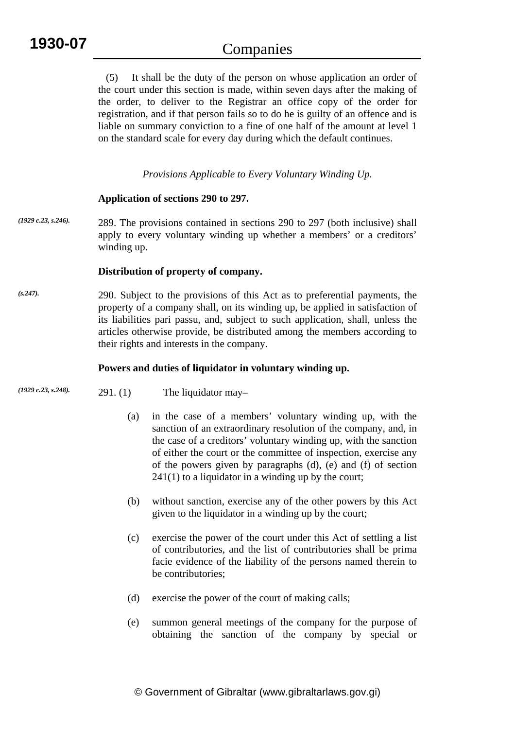(5) It shall be the duty of the person on whose application an order of the court under this section is made, within seven days after the making of the order, to deliver to the Registrar an office copy of the order for registration, and if that person fails so to do he is guilty of an offence and is liable on summary conviction to a fine of one half of the amount at level 1 on the standard scale for every day during which the default continues.

*Provisions Applicable to Every Voluntary Winding Up.* 

#### **Application of sections 290 to 297.**

289. The provisions contained in sections 290 to 297 (both inclusive) shall apply to every voluntary winding up whether a members' or a creditors' winding up. *(1929 c.23, s.246).*

#### **Distribution of property of company.**

290. Subject to the provisions of this Act as to preferential payments, the property of a company shall, on its winding up, be applied in satisfaction of its liabilities pari passu, and, subject to such application, shall, unless the articles otherwise provide, be distributed among the members according to their rights and interests in the company. *(s.247).*

#### **Powers and duties of liquidator in voluntary winding up.**

- 291. (1) The liquidator may– *(1929 c.23, s.248).*
	- (a) in the case of a members' voluntary winding up, with the sanction of an extraordinary resolution of the company, and, in the case of a creditors' voluntary winding up, with the sanction of either the court or the committee of inspection, exercise any of the powers given by paragraphs (d), (e) and (f) of section 241(1) to a liquidator in a winding up by the court;
	- (b) without sanction, exercise any of the other powers by this Act given to the liquidator in a winding up by the court;
	- (c) exercise the power of the court under this Act of settling a list of contributories, and the list of contributories shall be prima facie evidence of the liability of the persons named therein to be contributories;
	- (d) exercise the power of the court of making calls;
	- (e) summon general meetings of the company for the purpose of obtaining the sanction of the company by special or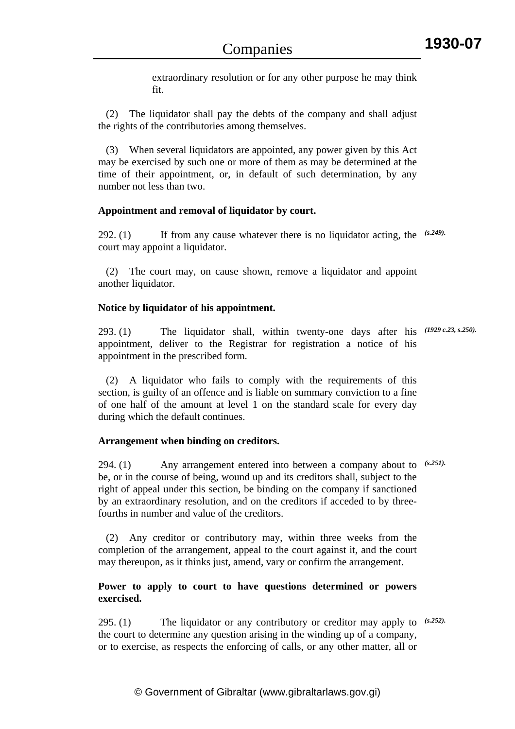extraordinary resolution or for any other purpose he may think fit.

 (2) The liquidator shall pay the debts of the company and shall adjust the rights of the contributories among themselves.

 (3) When several liquidators are appointed, any power given by this Act may be exercised by such one or more of them as may be determined at the time of their appointment, or, in default of such determination, by any number not less than two.

## **Appointment and removal of liquidator by court.**

292. (1) If from any cause whatever there is no liquidator acting, the *(s.249).* court may appoint a liquidator.

 (2) The court may, on cause shown, remove a liquidator and appoint another liquidator.

## **Notice by liquidator of his appointment.**

293. (1) The liquidator shall, within twenty-one days after his *(1929 c.23, s.250).* appointment, deliver to the Registrar for registration a notice of his appointment in the prescribed form.

 (2) A liquidator who fails to comply with the requirements of this section, is guilty of an offence and is liable on summary conviction to a fine of one half of the amount at level 1 on the standard scale for every day during which the default continues.

# **Arrangement when binding on creditors.**

294. (1) Any arrangement entered into between a company about to be, or in the course of being, wound up and its creditors shall, subject to the right of appeal under this section, be binding on the company if sanctioned by an extraordinary resolution, and on the creditors if acceded to by threefourths in number and value of the creditors. *(s.251).*

 (2) Any creditor or contributory may, within three weeks from the completion of the arrangement, appeal to the court against it, and the court may thereupon, as it thinks just, amend, vary or confirm the arrangement.

## **Power to apply to court to have questions determined or powers exercised.**

295. (1) The liquidator or any contributory or creditor may apply to *(s.252).*the court to determine any question arising in the winding up of a company, or to exercise, as respects the enforcing of calls, or any other matter, all or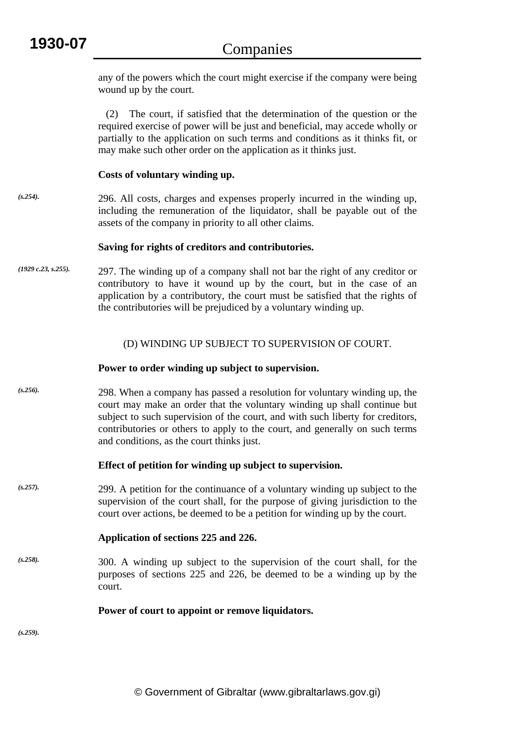any of the powers which the court might exercise if the company were being wound up by the court.

 (2) The court, if satisfied that the determination of the question or the required exercise of power will be just and beneficial, may accede wholly or partially to the application on such terms and conditions as it thinks fit, or may make such other order on the application as it thinks just.

#### **Costs of voluntary winding up.**

296. All costs, charges and expenses properly incurred in the winding up, including the remuneration of the liquidator, shall be payable out of the assets of the company in priority to all other claims. *(s.254).*

#### **Saving for rights of creditors and contributories.**

297. The winding up of a company shall not bar the right of any creditor or contributory to have it wound up by the court, but in the case of an application by a contributory, the court must be satisfied that the rights of the contributories will be prejudiced by a voluntary winding up. *(1929 c.23, s.255).*

## (D) WINDING UP SUBJECT TO SUPERVISION OF COURT.

#### **Power to order winding up subject to supervision.**

298. When a company has passed a resolution for voluntary winding up, the court may make an order that the voluntary winding up shall continue but subject to such supervision of the court, and with such liberty for creditors, contributories or others to apply to the court, and generally on such terms and conditions, as the court thinks just. *(s.256).*

#### **Effect of petition for winding up subject to supervision.**

299. A petition for the continuance of a voluntary winding up subject to the supervision of the court shall, for the purpose of giving jurisdiction to the court over actions, be deemed to be a petition for winding up by the court. *(s.257).*

#### **Application of sections 225 and 226.**

300. A winding up subject to the supervision of the court shall, for the purposes of sections 225 and 226, be deemed to be a winding up by the court. *(s.258).*

#### **Power of court to appoint or remove liquidators.**

*(s.259).*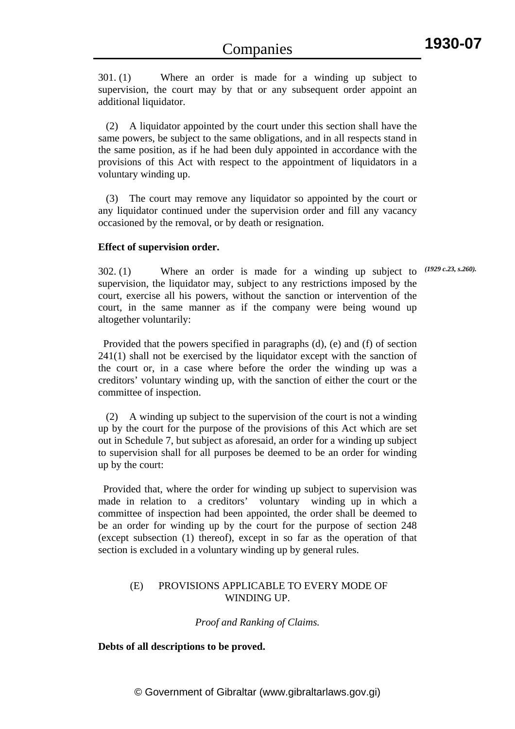301. (1) Where an order is made for a winding up subject to supervision, the court may by that or any subsequent order appoint an additional liquidator.

 (2) A liquidator appointed by the court under this section shall have the same powers, be subject to the same obligations, and in all respects stand in the same position, as if he had been duly appointed in accordance with the provisions of this Act with respect to the appointment of liquidators in a voluntary winding up.

 (3) The court may remove any liquidator so appointed by the court or any liquidator continued under the supervision order and fill any vacancy occasioned by the removal, or by death or resignation.

#### **Effect of supervision order.**

302. (1) Where an order is made for a winding up subject to *(1929 c.23, s.260).*supervision, the liquidator may, subject to any restrictions imposed by the court, exercise all his powers, without the sanction or intervention of the court, in the same manner as if the company were being wound up altogether voluntarily:

 Provided that the powers specified in paragraphs (d), (e) and (f) of section 241(1) shall not be exercised by the liquidator except with the sanction of the court or, in a case where before the order the winding up was a creditors' voluntary winding up, with the sanction of either the court or the committee of inspection.

 (2) A winding up subject to the supervision of the court is not a winding up by the court for the purpose of the provisions of this Act which are set out in Schedule 7, but subject as aforesaid, an order for a winding up subject to supervision shall for all purposes be deemed to be an order for winding up by the court:

 Provided that, where the order for winding up subject to supervision was made in relation to a creditors' voluntary winding up in which a committee of inspection had been appointed, the order shall be deemed to be an order for winding up by the court for the purpose of section 248 (except subsection (1) thereof), except in so far as the operation of that section is excluded in a voluntary winding up by general rules.

## (E) PROVISIONS APPLICABLE TO EVERY MODE OF WINDING UP.

*Proof and Ranking of Claims.* 

## **Debts of all descriptions to be proved.**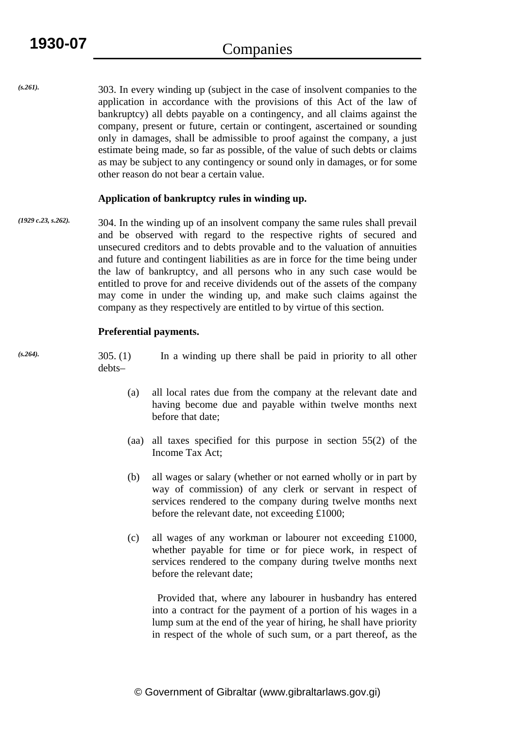303. In every winding up (subject in the case of insolvent companies to the application in accordance with the provisions of this Act of the law of bankruptcy) all debts payable on a contingency, and all claims against the company, present or future, certain or contingent, ascertained or sounding only in damages, shall be admissible to proof against the company, a just estimate being made, so far as possible, of the value of such debts or claims as may be subject to any contingency or sound only in damages, or for some other reason do not bear a certain value. *(s.261).*

## **Application of bankruptcy rules in winding up.**

304. In the winding up of an insolvent company the same rules shall prevail and be observed with regard to the respective rights of secured and unsecured creditors and to debts provable and to the valuation of annuities and future and contingent liabilities as are in force for the time being under the law of bankruptcy, and all persons who in any such case would be entitled to prove for and receive dividends out of the assets of the company may come in under the winding up, and make such claims against the company as they respectively are entitled to by virtue of this section. *(1929 c.23, s.262).*

## **Preferential payments.**

305. (1) In a winding up there shall be paid in priority to all other debts– *(s.264).*

- (a) all local rates due from the company at the relevant date and having become due and payable within twelve months next before that date;
- (aa) all taxes specified for this purpose in section 55(2) of the Income Tax Act;
- (b) all wages or salary (whether or not earned wholly or in part by way of commission) of any clerk or servant in respect of services rendered to the company during twelve months next before the relevant date, not exceeding £1000;
- (c) all wages of any workman or labourer not exceeding £1000, whether payable for time or for piece work, in respect of services rendered to the company during twelve months next before the relevant date;

 Provided that, where any labourer in husbandry has entered into a contract for the payment of a portion of his wages in a lump sum at the end of the year of hiring, he shall have priority in respect of the whole of such sum, or a part thereof, as the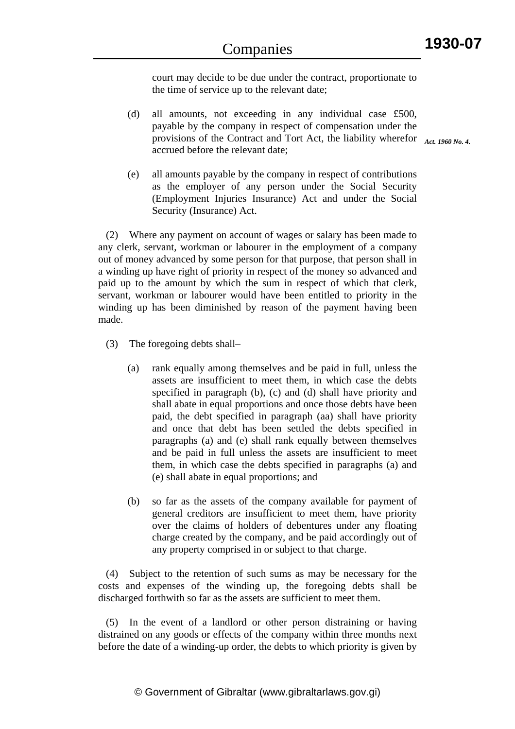court may decide to be due under the contract, proportionate to the time of service up to the relevant date;

(d) all amounts, not exceeding in any individual case £500, payable by the company in respect of compensation under the provisions of the Contract and Tort Act, the liability wherefor <sub>Act. 1960 No. 4</sub>. accrued before the relevant date;

(e) all amounts payable by the company in respect of contributions as the employer of any person under the Social Security (Employment Injuries Insurance) Act and under the Social Security (Insurance) Act.

 (2) Where any payment on account of wages or salary has been made to any clerk, servant, workman or labourer in the employment of a company out of money advanced by some person for that purpose, that person shall in a winding up have right of priority in respect of the money so advanced and paid up to the amount by which the sum in respect of which that clerk, servant, workman or labourer would have been entitled to priority in the winding up has been diminished by reason of the payment having been made.

- (3) The foregoing debts shall–
	- (a) rank equally among themselves and be paid in full, unless the assets are insufficient to meet them, in which case the debts specified in paragraph (b), (c) and (d) shall have priority and shall abate in equal proportions and once those debts have been paid, the debt specified in paragraph (aa) shall have priority and once that debt has been settled the debts specified in paragraphs (a) and (e) shall rank equally between themselves and be paid in full unless the assets are insufficient to meet them, in which case the debts specified in paragraphs (a) and (e) shall abate in equal proportions; and
	- (b) so far as the assets of the company available for payment of general creditors are insufficient to meet them, have priority over the claims of holders of debentures under any floating charge created by the company, and be paid accordingly out of any property comprised in or subject to that charge.

 (4) Subject to the retention of such sums as may be necessary for the costs and expenses of the winding up, the foregoing debts shall be discharged forthwith so far as the assets are sufficient to meet them.

 (5) In the event of a landlord or other person distraining or having distrained on any goods or effects of the company within three months next before the date of a winding-up order, the debts to which priority is given by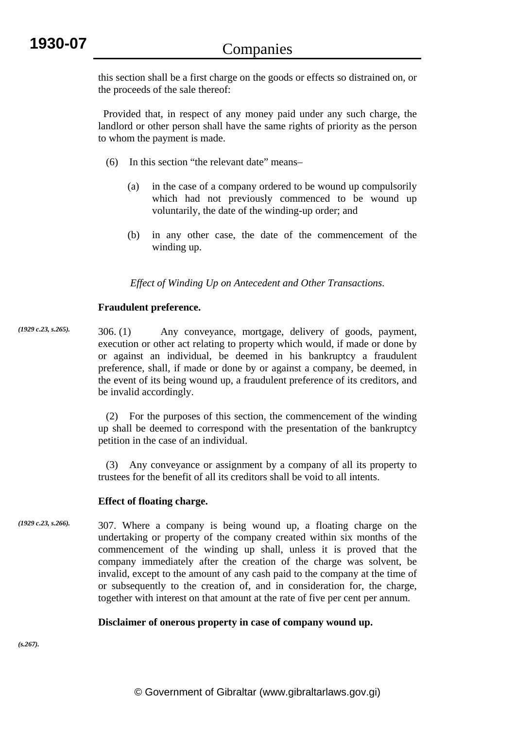this section shall be a first charge on the goods or effects so distrained on, or the proceeds of the sale thereof:

 Provided that, in respect of any money paid under any such charge, the landlord or other person shall have the same rights of priority as the person to whom the payment is made.

- (6) In this section "the relevant date" means–
	- (a) in the case of a company ordered to be wound up compulsorily which had not previously commenced to be wound up voluntarily, the date of the winding-up order; and
	- (b) in any other case, the date of the commencement of the winding up.

*Effect of Winding Up on Antecedent and Other Transactions.* 

#### **Fraudulent preference.**

306. (1) Any conveyance, mortgage, delivery of goods, payment, execution or other act relating to property which would, if made or done by or against an individual, be deemed in his bankruptcy a fraudulent preference, shall, if made or done by or against a company, be deemed, in the event of its being wound up, a fraudulent preference of its creditors, and be invalid accordingly. *(1929 c.23, s.265).*

> (2) For the purposes of this section, the commencement of the winding up shall be deemed to correspond with the presentation of the bankruptcy petition in the case of an individual.

> (3) Any conveyance or assignment by a company of all its property to trustees for the benefit of all its creditors shall be void to all intents.

#### **Effect of floating charge.**

307. Where a company is being wound up, a floating charge on the undertaking or property of the company created within six months of the commencement of the winding up shall, unless it is proved that the company immediately after the creation of the charge was solvent, be invalid, except to the amount of any cash paid to the company at the time of or subsequently to the creation of, and in consideration for, the charge, together with interest on that amount at the rate of five per cent per annum. *(1929 c.23, s.266).*

#### **Disclaimer of onerous property in case of company wound up.**

*(s.267).*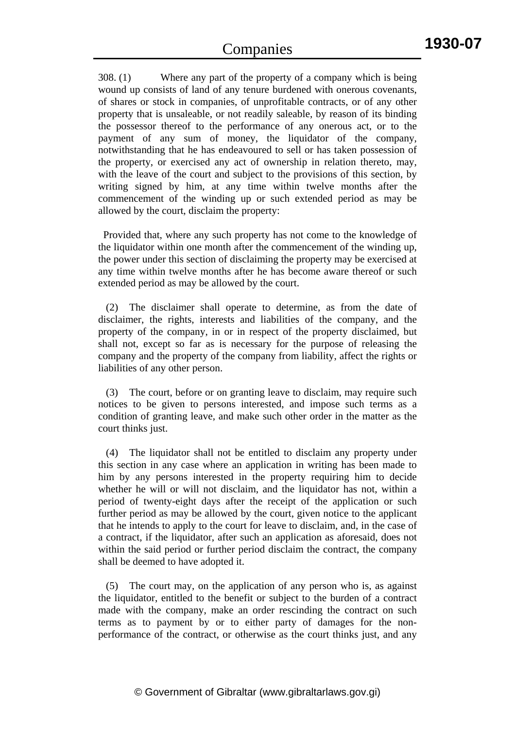308. (1) Where any part of the property of a company which is being wound up consists of land of any tenure burdened with onerous covenants, of shares or stock in companies, of unprofitable contracts, or of any other property that is unsaleable, or not readily saleable, by reason of its binding the possessor thereof to the performance of any onerous act, or to the payment of any sum of money, the liquidator of the company, notwithstanding that he has endeavoured to sell or has taken possession of the property, or exercised any act of ownership in relation thereto, may, with the leave of the court and subject to the provisions of this section, by writing signed by him, at any time within twelve months after the commencement of the winding up or such extended period as may be allowed by the court, disclaim the property:

 Provided that, where any such property has not come to the knowledge of the liquidator within one month after the commencement of the winding up, the power under this section of disclaiming the property may be exercised at any time within twelve months after he has become aware thereof or such extended period as may be allowed by the court.

 (2) The disclaimer shall operate to determine, as from the date of disclaimer, the rights, interests and liabilities of the company, and the property of the company, in or in respect of the property disclaimed, but shall not, except so far as is necessary for the purpose of releasing the company and the property of the company from liability, affect the rights or liabilities of any other person.

 (3) The court, before or on granting leave to disclaim, may require such notices to be given to persons interested, and impose such terms as a condition of granting leave, and make such other order in the matter as the court thinks just.

 (4) The liquidator shall not be entitled to disclaim any property under this section in any case where an application in writing has been made to him by any persons interested in the property requiring him to decide whether he will or will not disclaim, and the liquidator has not, within a period of twenty-eight days after the receipt of the application or such further period as may be allowed by the court, given notice to the applicant that he intends to apply to the court for leave to disclaim, and, in the case of a contract, if the liquidator, after such an application as aforesaid, does not within the said period or further period disclaim the contract, the company shall be deemed to have adopted it.

 (5) The court may, on the application of any person who is, as against the liquidator, entitled to the benefit or subject to the burden of a contract made with the company, make an order rescinding the contract on such terms as to payment by or to either party of damages for the nonperformance of the contract, or otherwise as the court thinks just, and any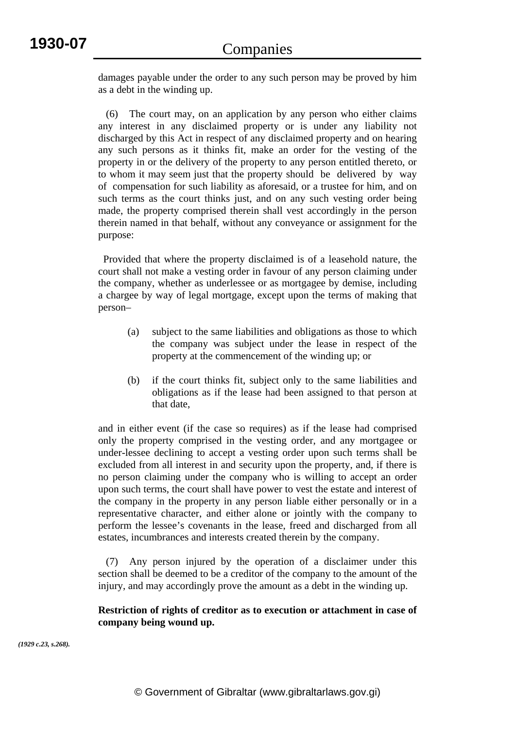damages payable under the order to any such person may be proved by him as a debt in the winding up.

 (6) The court may, on an application by any person who either claims any interest in any disclaimed property or is under any liability not discharged by this Act in respect of any disclaimed property and on hearing any such persons as it thinks fit, make an order for the vesting of the property in or the delivery of the property to any person entitled thereto, or to whom it may seem just that the property should be delivered by way of compensation for such liability as aforesaid, or a trustee for him, and on such terms as the court thinks just, and on any such vesting order being made, the property comprised therein shall vest accordingly in the person therein named in that behalf, without any conveyance or assignment for the purpose:

 Provided that where the property disclaimed is of a leasehold nature, the court shall not make a vesting order in favour of any person claiming under the company, whether as underlessee or as mortgagee by demise, including a chargee by way of legal mortgage, except upon the terms of making that person–

- (a) subject to the same liabilities and obligations as those to which the company was subject under the lease in respect of the property at the commencement of the winding up; or
- (b) if the court thinks fit, subject only to the same liabilities and obligations as if the lease had been assigned to that person at that date,

and in either event (if the case so requires) as if the lease had comprised only the property comprised in the vesting order, and any mortgagee or under-lessee declining to accept a vesting order upon such terms shall be excluded from all interest in and security upon the property, and, if there is no person claiming under the company who is willing to accept an order upon such terms, the court shall have power to vest the estate and interest of the company in the property in any person liable either personally or in a representative character, and either alone or jointly with the company to perform the lessee's covenants in the lease, freed and discharged from all estates, incumbrances and interests created therein by the company.

 (7) Any person injured by the operation of a disclaimer under this section shall be deemed to be a creditor of the company to the amount of the injury, and may accordingly prove the amount as a debt in the winding up.

# **Restriction of rights of creditor as to execution or attachment in case of company being wound up.**

*(1929 c.23, s.268).*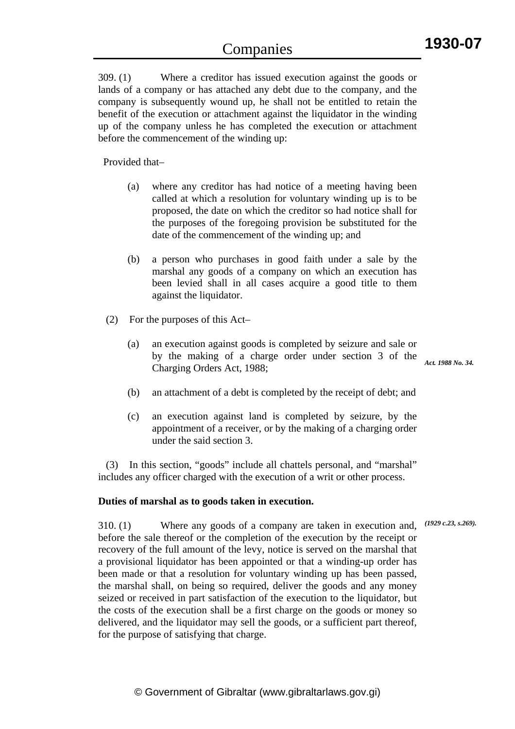309. (1) Where a creditor has issued execution against the goods or lands of a company or has attached any debt due to the company, and the company is subsequently wound up, he shall not be entitled to retain the benefit of the execution or attachment against the liquidator in the winding up of the company unless he has completed the execution or attachment before the commencement of the winding up:

Provided that–

- (a) where any creditor has had notice of a meeting having been called at which a resolution for voluntary winding up is to be proposed, the date on which the creditor so had notice shall for the purposes of the foregoing provision be substituted for the date of the commencement of the winding up; and
- (b) a person who purchases in good faith under a sale by the marshal any goods of a company on which an execution has been levied shall in all cases acquire a good title to them against the liquidator.
- (2) For the purposes of this Act–
	- (a) an execution against goods is completed by seizure and sale or by the making of a charge order under section 3 of the Charging Orders Act, 1988;

*Act. 1988 No. 34.* 

- (b) an attachment of a debt is completed by the receipt of debt; and
- (c) an execution against land is completed by seizure, by the appointment of a receiver, or by the making of a charging order under the said section 3.

 (3) In this section, "goods" include all chattels personal, and "marshal" includes any officer charged with the execution of a writ or other process.

#### **Duties of marshal as to goods taken in execution.**

310. (1) Where any goods of a company are taken in execution and, *(1929 c.23, s.269).*before the sale thereof or the completion of the execution by the receipt or recovery of the full amount of the levy, notice is served on the marshal that a provisional liquidator has been appointed or that a winding-up order has been made or that a resolution for voluntary winding up has been passed, the marshal shall, on being so required, deliver the goods and any money seized or received in part satisfaction of the execution to the liquidator, but the costs of the execution shall be a first charge on the goods or money so delivered, and the liquidator may sell the goods, or a sufficient part thereof, for the purpose of satisfying that charge.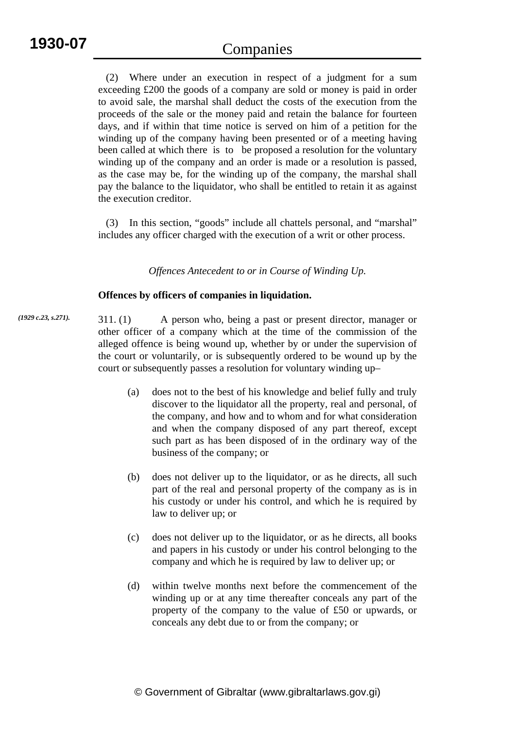(2) Where under an execution in respect of a judgment for a sum exceeding £200 the goods of a company are sold or money is paid in order to avoid sale, the marshal shall deduct the costs of the execution from the proceeds of the sale or the money paid and retain the balance for fourteen days, and if within that time notice is served on him of a petition for the winding up of the company having been presented or of a meeting having been called at which there is to be proposed a resolution for the voluntary winding up of the company and an order is made or a resolution is passed, as the case may be, for the winding up of the company, the marshal shall pay the balance to the liquidator, who shall be entitled to retain it as against the execution creditor.

 (3) In this section, "goods" include all chattels personal, and "marshal" includes any officer charged with the execution of a writ or other process.

*Offences Antecedent to or in Course of Winding Up.* 

#### **Offences by officers of companies in liquidation.**

311. (1) A person who, being a past or present director, manager or other officer of a company which at the time of the commission of the alleged offence is being wound up, whether by or under the supervision of the court or voluntarily, or is subsequently ordered to be wound up by the court or subsequently passes a resolution for voluntary winding up– *(1929 c.23, s.271).*

- (a) does not to the best of his knowledge and belief fully and truly discover to the liquidator all the property, real and personal, of the company, and how and to whom and for what consideration and when the company disposed of any part thereof, except such part as has been disposed of in the ordinary way of the business of the company; or
- (b) does not deliver up to the liquidator, or as he directs, all such part of the real and personal property of the company as is in his custody or under his control, and which he is required by law to deliver up; or
- (c) does not deliver up to the liquidator, or as he directs, all books and papers in his custody or under his control belonging to the company and which he is required by law to deliver up; or
- (d) within twelve months next before the commencement of the winding up or at any time thereafter conceals any part of the property of the company to the value of £50 or upwards, or conceals any debt due to or from the company; or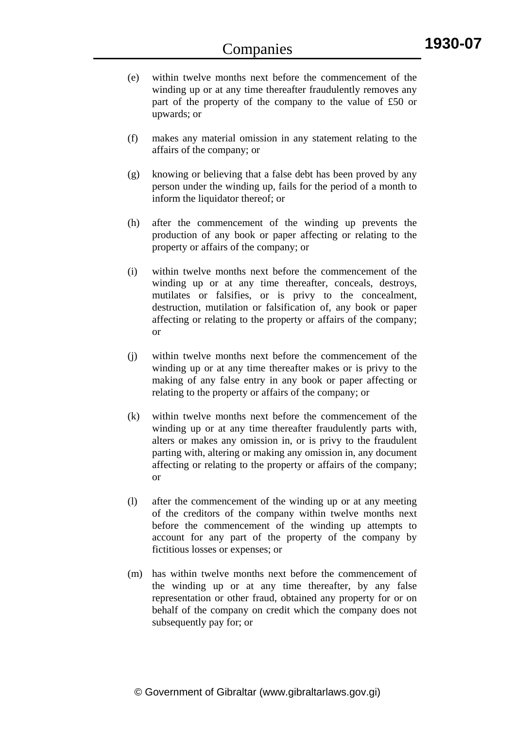- (e) within twelve months next before the commencement of the winding up or at any time thereafter fraudulently removes any part of the property of the company to the value of £50 or upwards; or
- (f) makes any material omission in any statement relating to the affairs of the company; or
- (g) knowing or believing that a false debt has been proved by any person under the winding up, fails for the period of a month to inform the liquidator thereof; or
- (h) after the commencement of the winding up prevents the production of any book or paper affecting or relating to the property or affairs of the company; or
- (i) within twelve months next before the commencement of the winding up or at any time thereafter, conceals, destroys, mutilates or falsifies, or is privy to the concealment, destruction, mutilation or falsification of, any book or paper affecting or relating to the property or affairs of the company; or
- (j) within twelve months next before the commencement of the winding up or at any time thereafter makes or is privy to the making of any false entry in any book or paper affecting or relating to the property or affairs of the company; or
- (k) within twelve months next before the commencement of the winding up or at any time thereafter fraudulently parts with, alters or makes any omission in, or is privy to the fraudulent parting with, altering or making any omission in, any document affecting or relating to the property or affairs of the company; or
- (l) after the commencement of the winding up or at any meeting of the creditors of the company within twelve months next before the commencement of the winding up attempts to account for any part of the property of the company by fictitious losses or expenses; or
- (m) has within twelve months next before the commencement of the winding up or at any time thereafter, by any false representation or other fraud, obtained any property for or on behalf of the company on credit which the company does not subsequently pay for; or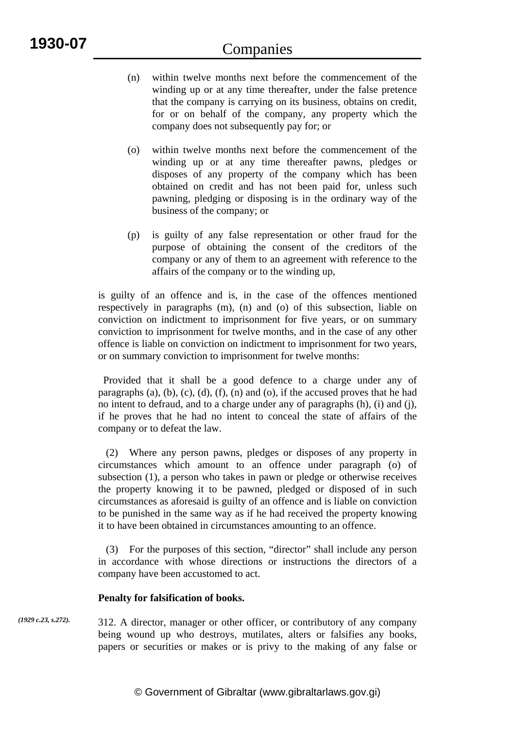- (n) within twelve months next before the commencement of the winding up or at any time thereafter, under the false pretence that the company is carrying on its business, obtains on credit, for or on behalf of the company, any property which the company does not subsequently pay for; or
- (o) within twelve months next before the commencement of the winding up or at any time thereafter pawns, pledges or disposes of any property of the company which has been obtained on credit and has not been paid for, unless such pawning, pledging or disposing is in the ordinary way of the business of the company; or
- (p) is guilty of any false representation or other fraud for the purpose of obtaining the consent of the creditors of the company or any of them to an agreement with reference to the affairs of the company or to the winding up,

is guilty of an offence and is, in the case of the offences mentioned respectively in paragraphs (m), (n) and (o) of this subsection, liable on conviction on indictment to imprisonment for five years, or on summary conviction to imprisonment for twelve months, and in the case of any other offence is liable on conviction on indictment to imprisonment for two years, or on summary conviction to imprisonment for twelve months:

 Provided that it shall be a good defence to a charge under any of paragraphs (a), (b), (c), (d), (f), (n) and (o), if the accused proves that he had no intent to defraud, and to a charge under any of paragraphs (h), (i) and (j), if he proves that he had no intent to conceal the state of affairs of the company or to defeat the law.

 (2) Where any person pawns, pledges or disposes of any property in circumstances which amount to an offence under paragraph (o) of subsection (1), a person who takes in pawn or pledge or otherwise receives the property knowing it to be pawned, pledged or disposed of in such circumstances as aforesaid is guilty of an offence and is liable on conviction to be punished in the same way as if he had received the property knowing it to have been obtained in circumstances amounting to an offence.

 (3) For the purposes of this section, "director" shall include any person in accordance with whose directions or instructions the directors of a company have been accustomed to act.

#### **Penalty for falsification of books.**

*(1929 c.23, s.272).*

312. A director, manager or other officer, or contributory of any company being wound up who destroys, mutilates, alters or falsifies any books, papers or securities or makes or is privy to the making of any false or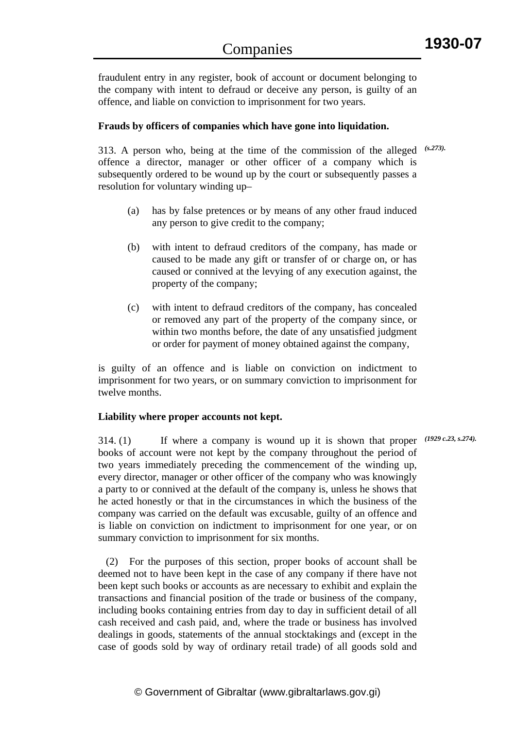fraudulent entry in any register, book of account or document belonging to the company with intent to defraud or deceive any person, is guilty of an offence, and liable on conviction to imprisonment for two years.

#### **Frauds by officers of companies which have gone into liquidation.**

313. A person who, being at the time of the commission of the alleged *(s.273).* offence a director, manager or other officer of a company which is subsequently ordered to be wound up by the court or subsequently passes a resolution for voluntary winding up–

- (a) has by false pretences or by means of any other fraud induced any person to give credit to the company;
- (b) with intent to defraud creditors of the company, has made or caused to be made any gift or transfer of or charge on, or has caused or connived at the levying of any execution against, the property of the company;
- (c) with intent to defraud creditors of the company, has concealed or removed any part of the property of the company since, or within two months before, the date of any unsatisfied judgment or order for payment of money obtained against the company,

is guilty of an offence and is liable on conviction on indictment to imprisonment for two years, or on summary conviction to imprisonment for twelve months.

#### **Liability where proper accounts not kept.**

314. (1) If where a company is wound up it is shown that proper  $(1929 \text{ c.23}, s.274)$ . books of account were not kept by the company throughout the period of two years immediately preceding the commencement of the winding up, every director, manager or other officer of the company who was knowingly a party to or connived at the default of the company is, unless he shows that he acted honestly or that in the circumstances in which the business of the company was carried on the default was excusable, guilty of an offence and is liable on conviction on indictment to imprisonment for one year, or on summary conviction to imprisonment for six months.

 (2) For the purposes of this section, proper books of account shall be deemed not to have been kept in the case of any company if there have not been kept such books or accounts as are necessary to exhibit and explain the transactions and financial position of the trade or business of the company, including books containing entries from day to day in sufficient detail of all cash received and cash paid, and, where the trade or business has involved dealings in goods, statements of the annual stocktakings and (except in the case of goods sold by way of ordinary retail trade) of all goods sold and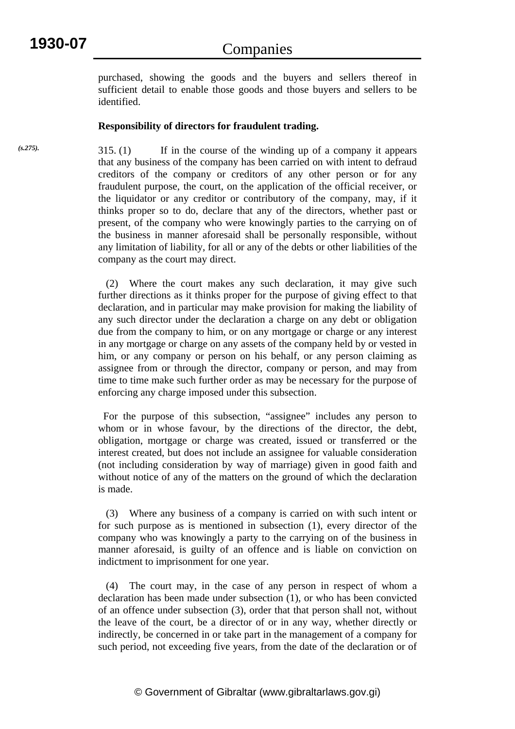*(s.275).*

purchased, showing the goods and the buyers and sellers thereof in sufficient detail to enable those goods and those buyers and sellers to be identified.

#### **Responsibility of directors for fraudulent trading.**

315. (1) If in the course of the winding up of a company it appears that any business of the company has been carried on with intent to defraud creditors of the company or creditors of any other person or for any fraudulent purpose, the court, on the application of the official receiver, or the liquidator or any creditor or contributory of the company, may, if it thinks proper so to do, declare that any of the directors, whether past or present, of the company who were knowingly parties to the carrying on of the business in manner aforesaid shall be personally responsible, without any limitation of liability, for all or any of the debts or other liabilities of the company as the court may direct.

 (2) Where the court makes any such declaration, it may give such further directions as it thinks proper for the purpose of giving effect to that declaration, and in particular may make provision for making the liability of any such director under the declaration a charge on any debt or obligation due from the company to him, or on any mortgage or charge or any interest in any mortgage or charge on any assets of the company held by or vested in him, or any company or person on his behalf, or any person claiming as assignee from or through the director, company or person, and may from time to time make such further order as may be necessary for the purpose of enforcing any charge imposed under this subsection.

 For the purpose of this subsection, "assignee" includes any person to whom or in whose favour, by the directions of the director, the debt, obligation, mortgage or charge was created, issued or transferred or the interest created, but does not include an assignee for valuable consideration (not including consideration by way of marriage) given in good faith and without notice of any of the matters on the ground of which the declaration is made.

 (3) Where any business of a company is carried on with such intent or for such purpose as is mentioned in subsection (1), every director of the company who was knowingly a party to the carrying on of the business in manner aforesaid, is guilty of an offence and is liable on conviction on indictment to imprisonment for one year.

 (4) The court may, in the case of any person in respect of whom a declaration has been made under subsection (1), or who has been convicted of an offence under subsection (3), order that that person shall not, without the leave of the court, be a director of or in any way, whether directly or indirectly, be concerned in or take part in the management of a company for such period, not exceeding five years, from the date of the declaration or of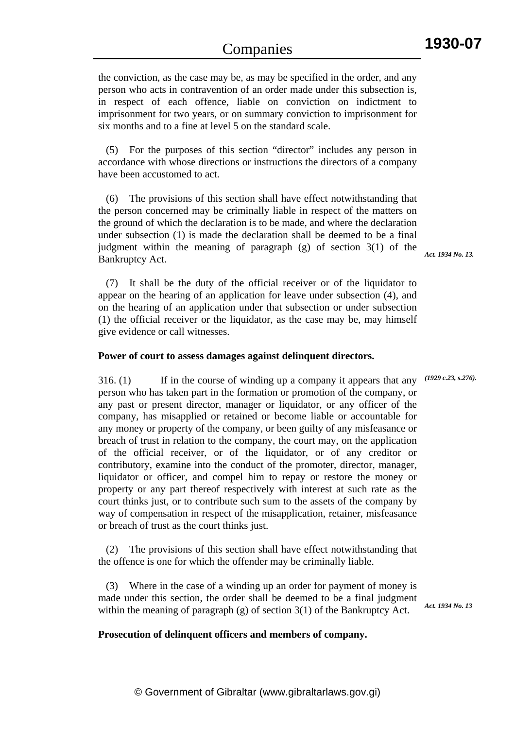the conviction, as the case may be, as may be specified in the order, and any person who acts in contravention of an order made under this subsection is, in respect of each offence, liable on conviction on indictment to imprisonment for two years, or on summary conviction to imprisonment for six months and to a fine at level 5 on the standard scale.

 (5) For the purposes of this section "director" includes any person in accordance with whose directions or instructions the directors of a company have been accustomed to act.

 (6) The provisions of this section shall have effect notwithstanding that the person concerned may be criminally liable in respect of the matters on the ground of which the declaration is to be made, and where the declaration under subsection (1) is made the declaration shall be deemed to be a final judgment within the meaning of paragraph  $(g)$  of section  $3(1)$  of the Bankruptcy Act.

 (7) It shall be the duty of the official receiver or of the liquidator to appear on the hearing of an application for leave under subsection (4), and on the hearing of an application under that subsection or under subsection (1) the official receiver or the liquidator, as the case may be, may himself give evidence or call witnesses.

#### **Power of court to assess damages against delinquent directors.**

316. (1) If in the course of winding up a company it appears that any person who has taken part in the formation or promotion of the company, or any past or present director, manager or liquidator, or any officer of the company, has misapplied or retained or become liable or accountable for any money or property of the company, or been guilty of any misfeasance or breach of trust in relation to the company, the court may, on the application of the official receiver, or of the liquidator, or of any creditor or contributory, examine into the conduct of the promoter, director, manager, liquidator or officer, and compel him to repay or restore the money or property or any part thereof respectively with interest at such rate as the court thinks just, or to contribute such sum to the assets of the company by way of compensation in respect of the misapplication, retainer, misfeasance or breach of trust as the court thinks just. *(1929 c.23, s.276).*

 (2) The provisions of this section shall have effect notwithstanding that the offence is one for which the offender may be criminally liable.

 (3) Where in the case of a winding up an order for payment of money is made under this section, the order shall be deemed to be a final judgment within the meaning of paragraph (g) of section 3(1) of the Bankruptcy Act.

#### *Act. 1934 No. 13*

#### **Prosecution of delinquent officers and members of company.**

© Government of Gibraltar (www.gibraltarlaws.gov.gi)

*Act. 1934 No. 13.*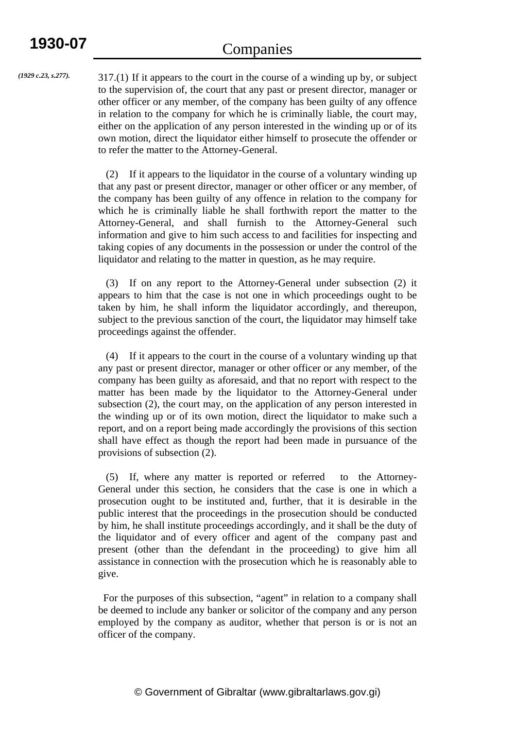*(1929 c.23, s.277).*

317.(1) If it appears to the court in the course of a winding up by, or subject to the supervision of, the court that any past or present director, manager or other officer or any member, of the company has been guilty of any offence in relation to the company for which he is criminally liable, the court may, either on the application of any person interested in the winding up or of its own motion, direct the liquidator either himself to prosecute the offender or to refer the matter to the Attorney-General.

 (2) If it appears to the liquidator in the course of a voluntary winding up that any past or present director, manager or other officer or any member, of the company has been guilty of any offence in relation to the company for which he is criminally liable he shall forthwith report the matter to the Attorney-General, and shall furnish to the Attorney-General such information and give to him such access to and facilities for inspecting and taking copies of any documents in the possession or under the control of the liquidator and relating to the matter in question, as he may require.

 (3) If on any report to the Attorney-General under subsection (2) it appears to him that the case is not one in which proceedings ought to be taken by him, he shall inform the liquidator accordingly, and thereupon, subject to the previous sanction of the court, the liquidator may himself take proceedings against the offender.

 (4) If it appears to the court in the course of a voluntary winding up that any past or present director, manager or other officer or any member, of the company has been guilty as aforesaid, and that no report with respect to the matter has been made by the liquidator to the Attorney-General under subsection (2), the court may, on the application of any person interested in the winding up or of its own motion, direct the liquidator to make such a report, and on a report being made accordingly the provisions of this section shall have effect as though the report had been made in pursuance of the provisions of subsection (2).

 (5) If, where any matter is reported or referred to the Attorney-General under this section, he considers that the case is one in which a prosecution ought to be instituted and, further, that it is desirable in the public interest that the proceedings in the prosecution should be conducted by him, he shall institute proceedings accordingly, and it shall be the duty of the liquidator and of every officer and agent of the company past and present (other than the defendant in the proceeding) to give him all assistance in connection with the prosecution which he is reasonably able to give.

 For the purposes of this subsection, "agent" in relation to a company shall be deemed to include any banker or solicitor of the company and any person employed by the company as auditor, whether that person is or is not an officer of the company.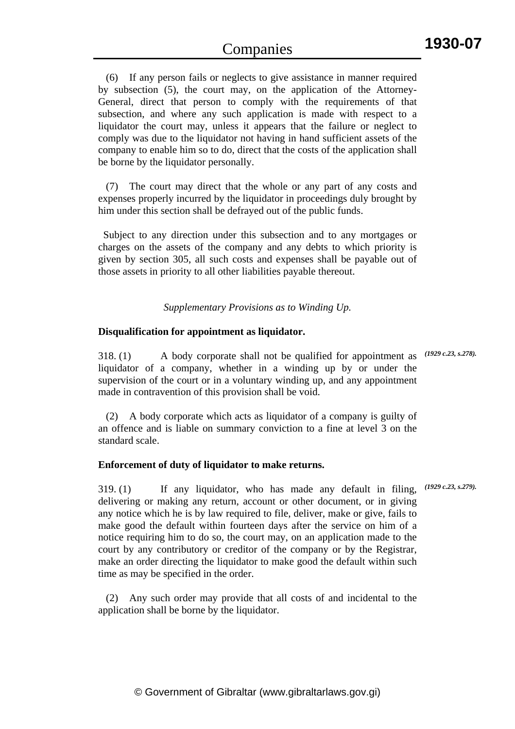(6) If any person fails or neglects to give assistance in manner required by subsection (5), the court may, on the application of the Attorney-General, direct that person to comply with the requirements of that subsection, and where any such application is made with respect to a liquidator the court may, unless it appears that the failure or neglect to comply was due to the liquidator not having in hand sufficient assets of the company to enable him so to do, direct that the costs of the application shall be borne by the liquidator personally.

 (7) The court may direct that the whole or any part of any costs and expenses properly incurred by the liquidator in proceedings duly brought by him under this section shall be defrayed out of the public funds.

 Subject to any direction under this subsection and to any mortgages or charges on the assets of the company and any debts to which priority is given by section 305, all such costs and expenses shall be payable out of those assets in priority to all other liabilities payable thereout.

# *Supplementary Provisions as to Winding Up.*

#### **Disqualification for appointment as liquidator.**

318. (1) A body corporate shall not be qualified for appointment as *(1929 c.23, s.278).* liquidator of a company, whether in a winding up by or under the supervision of the court or in a voluntary winding up, and any appointment made in contravention of this provision shall be void.

 (2) A body corporate which acts as liquidator of a company is guilty of an offence and is liable on summary conviction to a fine at level 3 on the standard scale.

#### **Enforcement of duty of liquidator to make returns.**

319. (1) If any liquidator, who has made any default in filing, delivering or making any return, account or other document, or in giving any notice which he is by law required to file, deliver, make or give, fails to make good the default within fourteen days after the service on him of a notice requiring him to do so, the court may, on an application made to the court by any contributory or creditor of the company or by the Registrar, make an order directing the liquidator to make good the default within such time as may be specified in the order. *(1929 c.23, s.279).*

 (2) Any such order may provide that all costs of and incidental to the application shall be borne by the liquidator.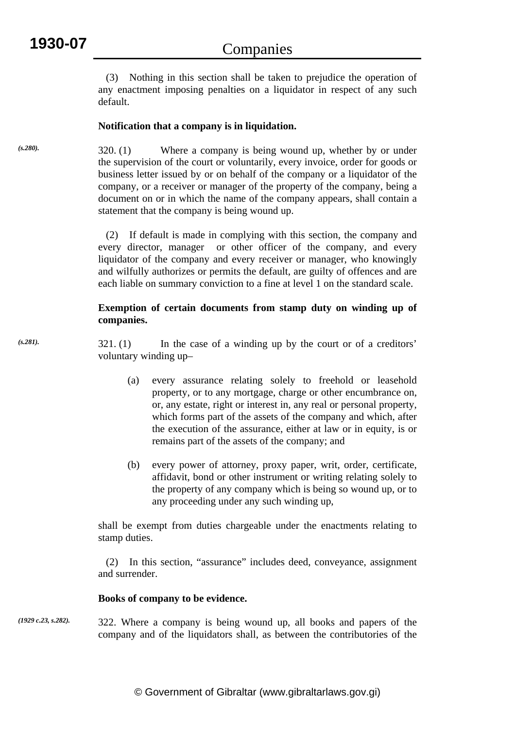(3) Nothing in this section shall be taken to prejudice the operation of any enactment imposing penalties on a liquidator in respect of any such default.

# **Notification that a company is in liquidation.**

320. (1) Where a company is being wound up, whether by or under the supervision of the court or voluntarily, every invoice, order for goods or business letter issued by or on behalf of the company or a liquidator of the company, or a receiver or manager of the property of the company, being a document on or in which the name of the company appears, shall contain a statement that the company is being wound up.

 (2) If default is made in complying with this section, the company and every director, manager or other officer of the company, and every liquidator of the company and every receiver or manager, who knowingly and wilfully authorizes or permits the default, are guilty of offences and are each liable on summary conviction to a fine at level 1 on the standard scale.

# **Exemption of certain documents from stamp duty on winding up of companies.**

321. (1) In the case of a winding up by the court or of a creditors' voluntary winding up–

- (a) every assurance relating solely to freehold or leasehold property, or to any mortgage, charge or other encumbrance on, or, any estate, right or interest in, any real or personal property, which forms part of the assets of the company and which, after the execution of the assurance, either at law or in equity, is or remains part of the assets of the company; and
- (b) every power of attorney, proxy paper, writ, order, certificate, affidavit, bond or other instrument or writing relating solely to the property of any company which is being so wound up, or to any proceeding under any such winding up,

shall be exempt from duties chargeable under the enactments relating to stamp duties.

 (2) In this section, "assurance" includes deed, conveyance, assignment and surrender.

#### **Books of company to be evidence.**

322. Where a company is being wound up, all books and papers of the company and of the liquidators shall, as between the contributories of the *(1929 c.23, s.282).*

*(s.281).*

*(s.280).*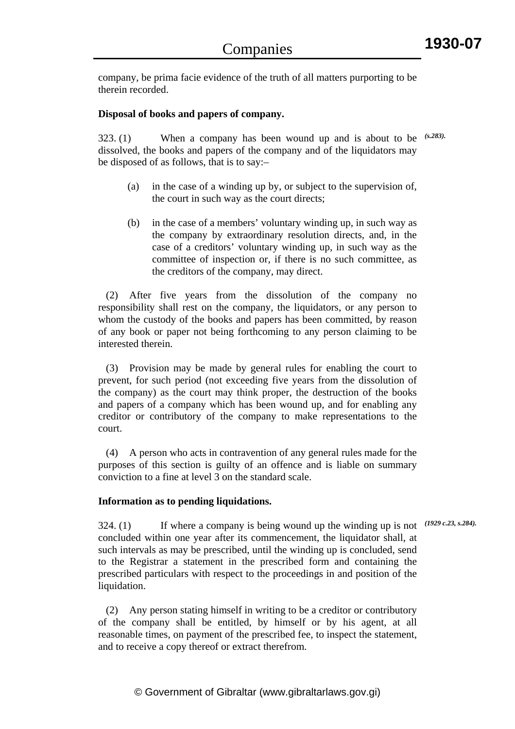company, be prima facie evidence of the truth of all matters purporting to be therein recorded.

# **Disposal of books and papers of company.**

323. (1) When a company has been wound up and is about to be *(s.283).* dissolved, the books and papers of the company and of the liquidators may be disposed of as follows, that is to say:–

- (a) in the case of a winding up by, or subject to the supervision of, the court in such way as the court directs;
- (b) in the case of a members' voluntary winding up, in such way as the company by extraordinary resolution directs, and, in the case of a creditors' voluntary winding up, in such way as the committee of inspection or, if there is no such committee, as the creditors of the company, may direct.

 (2) After five years from the dissolution of the company no responsibility shall rest on the company, the liquidators, or any person to whom the custody of the books and papers has been committed, by reason of any book or paper not being forthcoming to any person claiming to be interested therein.

 (3) Provision may be made by general rules for enabling the court to prevent, for such period (not exceeding five years from the dissolution of the company) as the court may think proper, the destruction of the books and papers of a company which has been wound up, and for enabling any creditor or contributory of the company to make representations to the court.

 (4) A person who acts in contravention of any general rules made for the purposes of this section is guilty of an offence and is liable on summary conviction to a fine at level 3 on the standard scale.

#### **Information as to pending liquidations.**

324. (1) If where a company is being wound up the winding up is not *(1929 c.23, s.284).*concluded within one year after its commencement, the liquidator shall, at such intervals as may be prescribed, until the winding up is concluded, send to the Registrar a statement in the prescribed form and containing the prescribed particulars with respect to the proceedings in and position of the liquidation.

 (2) Any person stating himself in writing to be a creditor or contributory of the company shall be entitled, by himself or by his agent, at all reasonable times, on payment of the prescribed fee, to inspect the statement, and to receive a copy thereof or extract therefrom.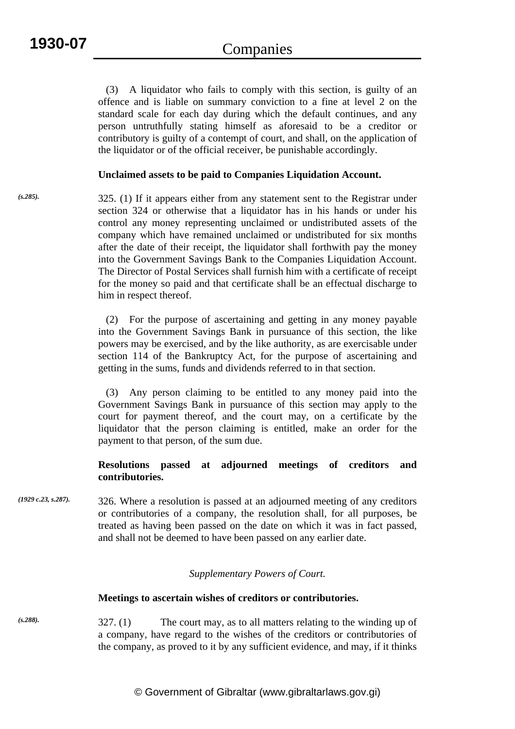*(s.285).*

 (3) A liquidator who fails to comply with this section, is guilty of an offence and is liable on summary conviction to a fine at level 2 on the standard scale for each day during which the default continues, and any person untruthfully stating himself as aforesaid to be a creditor or contributory is guilty of a contempt of court, and shall, on the application of the liquidator or of the official receiver, be punishable accordingly.

#### **Unclaimed assets to be paid to Companies Liquidation Account.**

325. (1) If it appears either from any statement sent to the Registrar under section 324 or otherwise that a liquidator has in his hands or under his control any money representing unclaimed or undistributed assets of the company which have remained unclaimed or undistributed for six months after the date of their receipt, the liquidator shall forthwith pay the money into the Government Savings Bank to the Companies Liquidation Account. The Director of Postal Services shall furnish him with a certificate of receipt for the money so paid and that certificate shall be an effectual discharge to him in respect thereof.

 (2) For the purpose of ascertaining and getting in any money payable into the Government Savings Bank in pursuance of this section, the like powers may be exercised, and by the like authority, as are exercisable under section 114 of the Bankruptcy Act, for the purpose of ascertaining and getting in the sums, funds and dividends referred to in that section.

 (3) Any person claiming to be entitled to any money paid into the Government Savings Bank in pursuance of this section may apply to the court for payment thereof, and the court may, on a certificate by the liquidator that the person claiming is entitled, make an order for the payment to that person, of the sum due.

#### **Resolutions passed at adjourned meetings of creditors and contributories.**

326. Where a resolution is passed at an adjourned meeting of any creditors or contributories of a company, the resolution shall, for all purposes, be treated as having been passed on the date on which it was in fact passed, and shall not be deemed to have been passed on any earlier date. *(1929 c.23, s.287).*

#### *Supplementary Powers of Court.*

#### **Meetings to ascertain wishes of creditors or contributories.**

*(s.288).*

327. (1) The court may, as to all matters relating to the winding up of a company, have regard to the wishes of the creditors or contributories of the company, as proved to it by any sufficient evidence, and may, if it thinks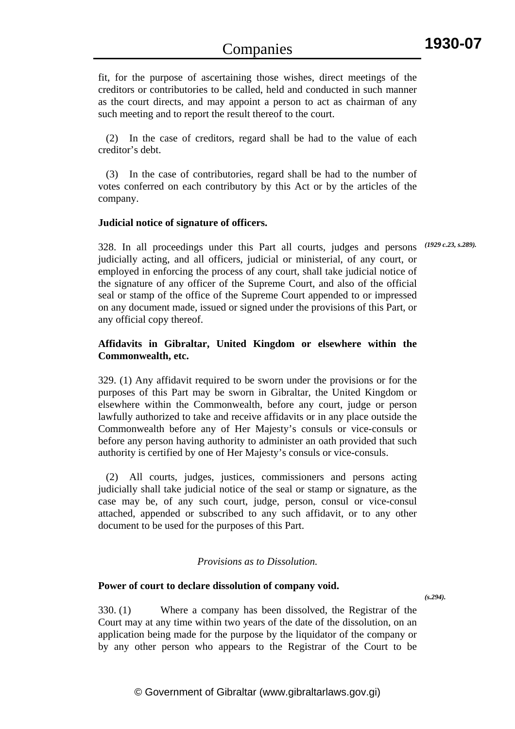fit, for the purpose of ascertaining those wishes, direct meetings of the creditors or contributories to be called, held and conducted in such manner as the court directs, and may appoint a person to act as chairman of any such meeting and to report the result thereof to the court.

 (2) In the case of creditors, regard shall be had to the value of each creditor's debt.

 (3) In the case of contributories, regard shall be had to the number of votes conferred on each contributory by this Act or by the articles of the company.

#### **Judicial notice of signature of officers.**

328. In all proceedings under this Part all courts, judges and persons *(1929 c.23, s.289).* judicially acting, and all officers, judicial or ministerial, of any court, or employed in enforcing the process of any court, shall take judicial notice of the signature of any officer of the Supreme Court, and also of the official seal or stamp of the office of the Supreme Court appended to or impressed on any document made, issued or signed under the provisions of this Part, or any official copy thereof.

# **Affidavits in Gibraltar, United Kingdom or elsewhere within the Commonwealth, etc.**

329. (1) Any affidavit required to be sworn under the provisions or for the purposes of this Part may be sworn in Gibraltar, the United Kingdom or elsewhere within the Commonwealth, before any court, judge or person lawfully authorized to take and receive affidavits or in any place outside the Commonwealth before any of Her Majesty's consuls or vice-consuls or before any person having authority to administer an oath provided that such authority is certified by one of Her Majesty's consuls or vice-consuls.

 (2) All courts, judges, justices, commissioners and persons acting judicially shall take judicial notice of the seal or stamp or signature, as the case may be, of any such court, judge, person, consul or vice-consul attached, appended or subscribed to any such affidavit, or to any other document to be used for the purposes of this Part.

#### *Provisions as to Dissolution.*

#### **Power of court to declare dissolution of company void.**

*(s.294).*

330. (1) Where a company has been dissolved, the Registrar of the Court may at any time within two years of the date of the dissolution, on an application being made for the purpose by the liquidator of the company or by any other person who appears to the Registrar of the Court to be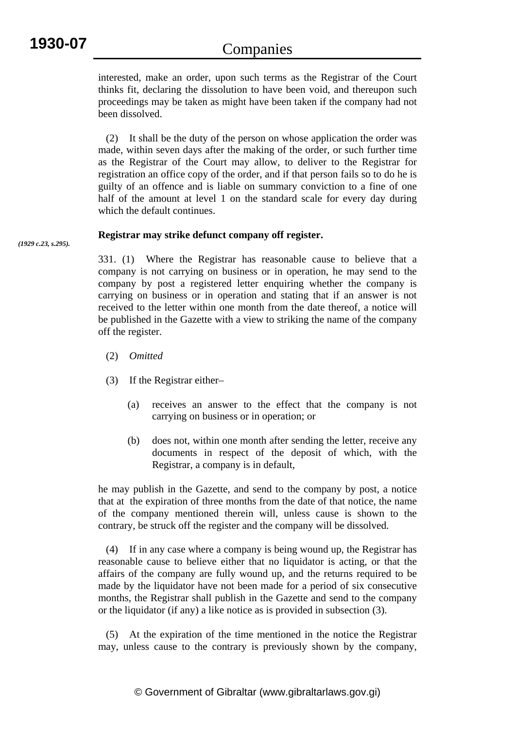interested, make an order, upon such terms as the Registrar of the Court thinks fit, declaring the dissolution to have been void, and thereupon such proceedings may be taken as might have been taken if the company had not been dissolved.

 (2) It shall be the duty of the person on whose application the order was made, within seven days after the making of the order, or such further time as the Registrar of the Court may allow, to deliver to the Registrar for registration an office copy of the order, and if that person fails so to do he is guilty of an offence and is liable on summary conviction to a fine of one half of the amount at level 1 on the standard scale for every day during which the default continues.

#### **Registrar may strike defunct company off register.**  *(1929 c.23, s.295).*

331. (1) Where the Registrar has reasonable cause to believe that a company is not carrying on business or in operation, he may send to the company by post a registered letter enquiring whether the company is carrying on business or in operation and stating that if an answer is not received to the letter within one month from the date thereof, a notice will be published in the Gazette with a view to striking the name of the company off the register.

- (2) *Omitted*
- (3) If the Registrar either–
	- (a) receives an answer to the effect that the company is not carrying on business or in operation; or
	- (b) does not, within one month after sending the letter, receive any documents in respect of the deposit of which, with the Registrar, a company is in default,

he may publish in the Gazette, and send to the company by post, a notice that at the expiration of three months from the date of that notice, the name of the company mentioned therein will, unless cause is shown to the contrary, be struck off the register and the company will be dissolved.

 (4) If in any case where a company is being wound up, the Registrar has reasonable cause to believe either that no liquidator is acting, or that the affairs of the company are fully wound up, and the returns required to be made by the liquidator have not been made for a period of six consecutive months, the Registrar shall publish in the Gazette and send to the company or the liquidator (if any) a like notice as is provided in subsection (3).

 (5) At the expiration of the time mentioned in the notice the Registrar may, unless cause to the contrary is previously shown by the company,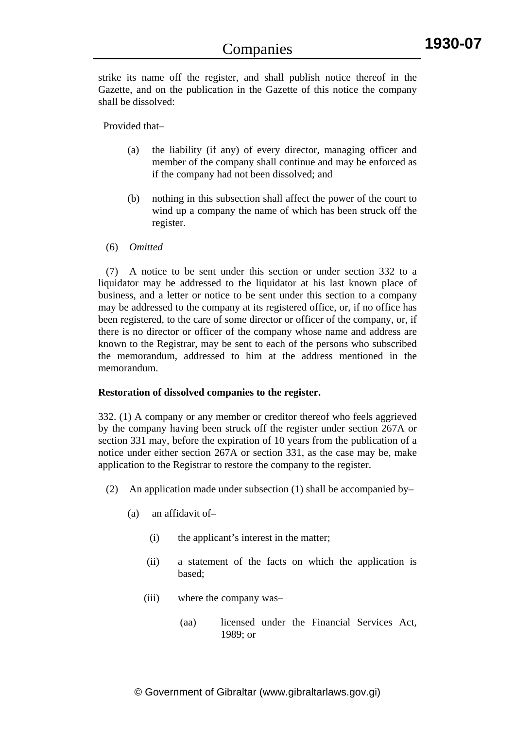strike its name off the register, and shall publish notice thereof in the Gazette, and on the publication in the Gazette of this notice the company shall be dissolved:

Provided that–

- (a) the liability (if any) of every director, managing officer and member of the company shall continue and may be enforced as if the company had not been dissolved; and
- (b) nothing in this subsection shall affect the power of the court to wind up a company the name of which has been struck off the register.
- (6) *Omitted*

 (7) A notice to be sent under this section or under section 332 to a liquidator may be addressed to the liquidator at his last known place of business, and a letter or notice to be sent under this section to a company may be addressed to the company at its registered office, or, if no office has been registered, to the care of some director or officer of the company, or, if there is no director or officer of the company whose name and address are known to the Registrar, may be sent to each of the persons who subscribed the memorandum, addressed to him at the address mentioned in the memorandum.

#### **Restoration of dissolved companies to the register.**

332. (1) A company or any member or creditor thereof who feels aggrieved by the company having been struck off the register under section 267A or section 331 may, before the expiration of 10 years from the publication of a notice under either section 267A or section 331, as the case may be, make application to the Registrar to restore the company to the register.

- (2) An application made under subsection (1) shall be accompanied by–
	- (a) an affidavit of–
		- (i) the applicant's interest in the matter;
		- (ii) a statement of the facts on which the application is based;
		- (iii) where the company was–
			- (aa) licensed under the Financial Services Act, 1989; or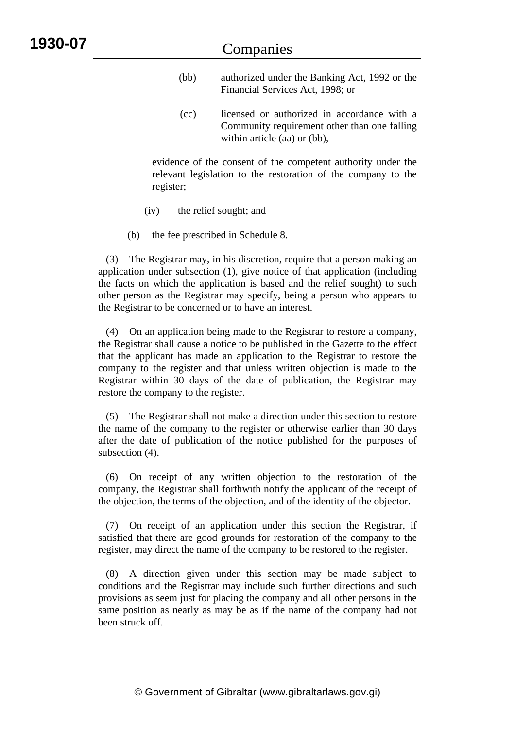- (bb) authorized under the Banking Act, 1992 or the Financial Services Act, 1998; or
- (cc) licensed or authorized in accordance with a Community requirement other than one falling within article (aa) or (bb),

 evidence of the consent of the competent authority under the relevant legislation to the restoration of the company to the register;

- (iv) the relief sought; and
- (b) the fee prescribed in Schedule 8.

 (3) The Registrar may, in his discretion, require that a person making an application under subsection (1), give notice of that application (including the facts on which the application is based and the relief sought) to such other person as the Registrar may specify, being a person who appears to the Registrar to be concerned or to have an interest.

 (4) On an application being made to the Registrar to restore a company, the Registrar shall cause a notice to be published in the Gazette to the effect that the applicant has made an application to the Registrar to restore the company to the register and that unless written objection is made to the Registrar within 30 days of the date of publication, the Registrar may restore the company to the register.

 (5) The Registrar shall not make a direction under this section to restore the name of the company to the register or otherwise earlier than 30 days after the date of publication of the notice published for the purposes of subsection  $(4)$ .

 (6) On receipt of any written objection to the restoration of the company, the Registrar shall forthwith notify the applicant of the receipt of the objection, the terms of the objection, and of the identity of the objector.

 (7) On receipt of an application under this section the Registrar, if satisfied that there are good grounds for restoration of the company to the register, may direct the name of the company to be restored to the register.

 (8) A direction given under this section may be made subject to conditions and the Registrar may include such further directions and such provisions as seem just for placing the company and all other persons in the same position as nearly as may be as if the name of the company had not been struck off.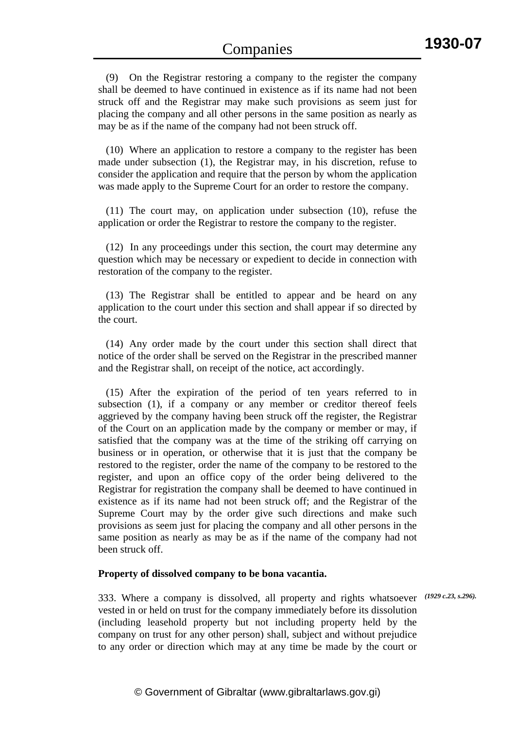(9) On the Registrar restoring a company to the register the company shall be deemed to have continued in existence as if its name had not been struck off and the Registrar may make such provisions as seem just for placing the company and all other persons in the same position as nearly as may be as if the name of the company had not been struck off.

 (10) Where an application to restore a company to the register has been made under subsection (1), the Registrar may, in his discretion, refuse to consider the application and require that the person by whom the application was made apply to the Supreme Court for an order to restore the company.

 (11) The court may, on application under subsection (10), refuse the application or order the Registrar to restore the company to the register.

 (12) In any proceedings under this section, the court may determine any question which may be necessary or expedient to decide in connection with restoration of the company to the register.

 (13) The Registrar shall be entitled to appear and be heard on any application to the court under this section and shall appear if so directed by the court.

 (14) Any order made by the court under this section shall direct that notice of the order shall be served on the Registrar in the prescribed manner and the Registrar shall, on receipt of the notice, act accordingly.

 (15) After the expiration of the period of ten years referred to in subsection (1), if a company or any member or creditor thereof feels aggrieved by the company having been struck off the register, the Registrar of the Court on an application made by the company or member or may, if satisfied that the company was at the time of the striking off carrying on business or in operation, or otherwise that it is just that the company be restored to the register, order the name of the company to be restored to the register, and upon an office copy of the order being delivered to the Registrar for registration the company shall be deemed to have continued in existence as if its name had not been struck off; and the Registrar of the Supreme Court may by the order give such directions and make such provisions as seem just for placing the company and all other persons in the same position as nearly as may be as if the name of the company had not been struck off.

#### **Property of dissolved company to be bona vacantia.**

333. Where a company is dissolved, all property and rights whatsoever *(1929 c.23, s.296).*vested in or held on trust for the company immediately before its dissolution (including leasehold property but not including property held by the company on trust for any other person) shall, subject and without prejudice to any order or direction which may at any time be made by the court or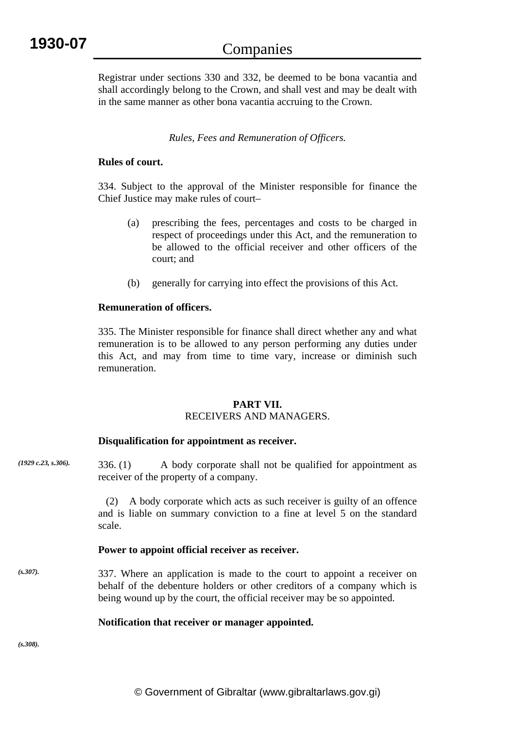Registrar under sections 330 and 332, be deemed to be bona vacantia and shall accordingly belong to the Crown, and shall vest and may be dealt with in the same manner as other bona vacantia accruing to the Crown.

# *Rules, Fees and Remuneration of Officers.*

# **Rules of court.**

334. Subject to the approval of the Minister responsible for finance the Chief Justice may make rules of court–

- (a) prescribing the fees, percentages and costs to be charged in respect of proceedings under this Act, and the remuneration to be allowed to the official receiver and other officers of the court; and
- (b) generally for carrying into effect the provisions of this Act.

# **Remuneration of officers.**

335. The Minister responsible for finance shall direct whether any and what remuneration is to be allowed to any person performing any duties under this Act, and may from time to time vary, increase or diminish such remuneration.

# **PART VII.**

#### RECEIVERS AND MANAGERS.

#### **Disqualification for appointment as receiver.**

336. (1) A body corporate shall not be qualified for appointment as receiver of the property of a company. *(1929 c.23, s.306).*

> (2) A body corporate which acts as such receiver is guilty of an offence and is liable on summary conviction to a fine at level 5 on the standard scale.

#### Power to appoint official receiver as receiver.

337. Where an application is made to the court to appoint a receiver on behalf of the debenture holders or other creditors of a company which is being wound up by the court, the official receiver may be so appointed. *(s.307).*

#### **Notification that receiver or manager appointed.**

*(s.308).*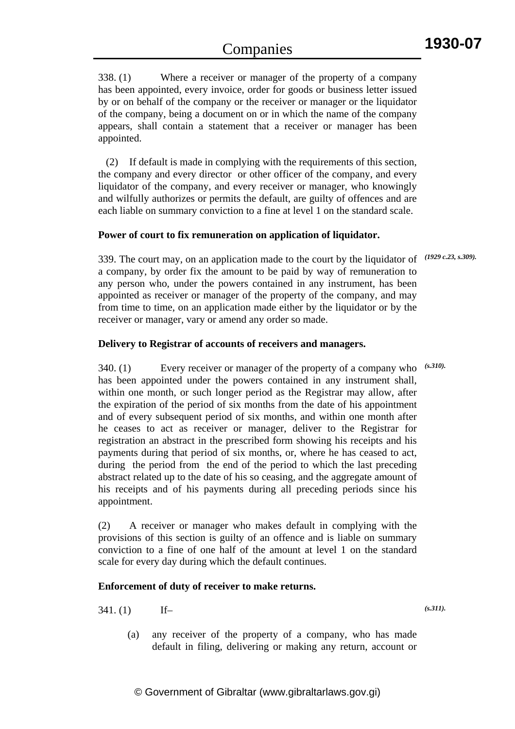338. (1) Where a receiver or manager of the property of a company has been appointed, every invoice, order for goods or business letter issued by or on behalf of the company or the receiver or manager or the liquidator of the company, being a document on or in which the name of the company appears, shall contain a statement that a receiver or manager has been appointed.

 (2) If default is made in complying with the requirements of this section, the company and every director or other officer of the company, and every liquidator of the company, and every receiver or manager, who knowingly and wilfully authorizes or permits the default, are guilty of offences and are each liable on summary conviction to a fine at level 1 on the standard scale.

#### **Power of court to fix remuneration on application of liquidator.**

339. The court may, on an application made to the court by the liquidator of *(1929 c.23, s.309).* a company, by order fix the amount to be paid by way of remuneration to any person who, under the powers contained in any instrument, has been appointed as receiver or manager of the property of the company, and may from time to time, on an application made either by the liquidator or by the receiver or manager, vary or amend any order so made.

#### **Delivery to Registrar of accounts of receivers and managers.**

340. (1) Every receiver or manager of the property of a company who has been appointed under the powers contained in any instrument shall, within one month, or such longer period as the Registrar may allow, after the expiration of the period of six months from the date of his appointment and of every subsequent period of six months, and within one month after he ceases to act as receiver or manager, deliver to the Registrar for registration an abstract in the prescribed form showing his receipts and his payments during that period of six months, or, where he has ceased to act, during the period from the end of the period to which the last preceding abstract related up to the date of his so ceasing, and the aggregate amount of his receipts and of his payments during all preceding periods since his appointment. *(s.310).*

(2) A receiver or manager who makes default in complying with the provisions of this section is guilty of an offence and is liable on summary conviction to a fine of one half of the amount at level 1 on the standard scale for every day during which the default continues.

#### **Enforcement of duty of receiver to make returns.**

$$
341. (1)
$$
 If-

(a) any receiver of the property of a company, who has made default in filing, delivering or making any return, account or

*(s.311).*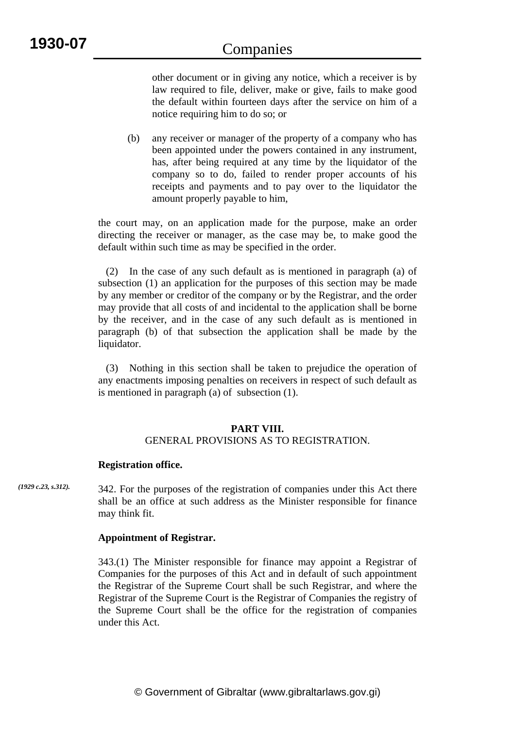other document or in giving any notice, which a receiver is by law required to file, deliver, make or give, fails to make good the default within fourteen days after the service on him of a notice requiring him to do so; or

(b) any receiver or manager of the property of a company who has been appointed under the powers contained in any instrument, has, after being required at any time by the liquidator of the company so to do, failed to render proper accounts of his receipts and payments and to pay over to the liquidator the amount properly payable to him,

the court may, on an application made for the purpose, make an order directing the receiver or manager, as the case may be, to make good the default within such time as may be specified in the order.

 (2) In the case of any such default as is mentioned in paragraph (a) of subsection (1) an application for the purposes of this section may be made by any member or creditor of the company or by the Registrar, and the order may provide that all costs of and incidental to the application shall be borne by the receiver, and in the case of any such default as is mentioned in paragraph (b) of that subsection the application shall be made by the liquidator.

 (3) Nothing in this section shall be taken to prejudice the operation of any enactments imposing penalties on receivers in respect of such default as is mentioned in paragraph (a) of subsection (1).

#### **PART VIII.**

# GENERAL PROVISIONS AS TO REGISTRATION.

#### **Registration office.**

342. For the purposes of the registration of companies under this Act there shall be an office at such address as the Minister responsible for finance may think fit. *(1929 c.23, s.312).*

#### **Appointment of Registrar.**

343.(1) The Minister responsible for finance may appoint a Registrar of Companies for the purposes of this Act and in default of such appointment the Registrar of the Supreme Court shall be such Registrar, and where the Registrar of the Supreme Court is the Registrar of Companies the registry of the Supreme Court shall be the office for the registration of companies under this Act.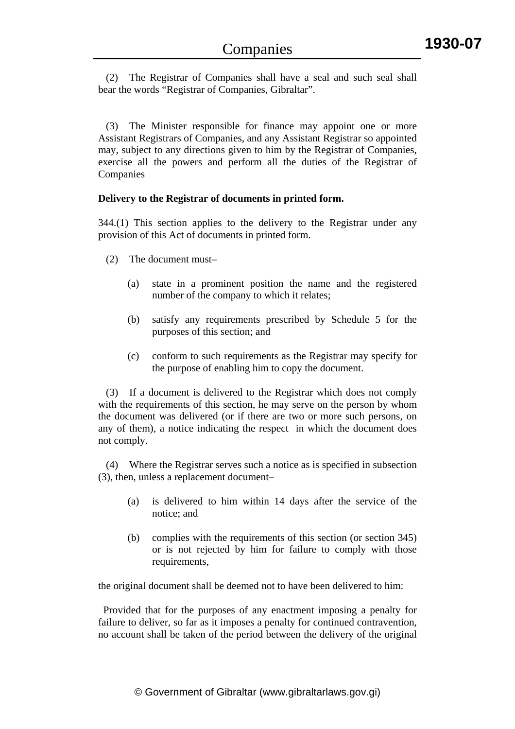(2) The Registrar of Companies shall have a seal and such seal shall bear the words "Registrar of Companies, Gibraltar".

 (3) The Minister responsible for finance may appoint one or more Assistant Registrars of Companies, and any Assistant Registrar so appointed may, subject to any directions given to him by the Registrar of Companies, exercise all the powers and perform all the duties of the Registrar of Companies

#### **Delivery to the Registrar of documents in printed form.**

344.(1) This section applies to the delivery to the Registrar under any provision of this Act of documents in printed form.

- (2) The document must–
	- (a) state in a prominent position the name and the registered number of the company to which it relates;
	- (b) satisfy any requirements prescribed by Schedule 5 for the purposes of this section; and
	- (c) conform to such requirements as the Registrar may specify for the purpose of enabling him to copy the document.

 (3) If a document is delivered to the Registrar which does not comply with the requirements of this section, he may serve on the person by whom the document was delivered (or if there are two or more such persons, on any of them), a notice indicating the respect in which the document does not comply.

 (4) Where the Registrar serves such a notice as is specified in subsection (3), then, unless a replacement document–

- (a) is delivered to him within 14 days after the service of the notice; and
- (b) complies with the requirements of this section (or section 345) or is not rejected by him for failure to comply with those requirements,

the original document shall be deemed not to have been delivered to him:

 Provided that for the purposes of any enactment imposing a penalty for failure to deliver, so far as it imposes a penalty for continued contravention, no account shall be taken of the period between the delivery of the original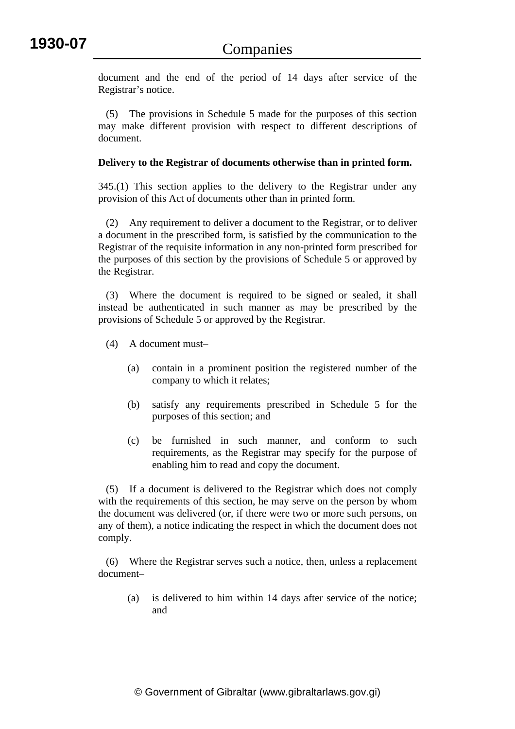document and the end of the period of 14 days after service of the Registrar's notice.

 (5) The provisions in Schedule 5 made for the purposes of this section may make different provision with respect to different descriptions of document.

# **Delivery to the Registrar of documents otherwise than in printed form.**

345.(1) This section applies to the delivery to the Registrar under any provision of this Act of documents other than in printed form.

 (2) Any requirement to deliver a document to the Registrar, or to deliver a document in the prescribed form, is satisfied by the communication to the Registrar of the requisite information in any non-printed form prescribed for the purposes of this section by the provisions of Schedule 5 or approved by the Registrar.

 (3) Where the document is required to be signed or sealed, it shall instead be authenticated in such manner as may be prescribed by the provisions of Schedule 5 or approved by the Registrar.

- (4) A document must–
	- (a) contain in a prominent position the registered number of the company to which it relates;
	- (b) satisfy any requirements prescribed in Schedule 5 for the purposes of this section; and
	- (c) be furnished in such manner, and conform to such requirements, as the Registrar may specify for the purpose of enabling him to read and copy the document.

 (5) If a document is delivered to the Registrar which does not comply with the requirements of this section, he may serve on the person by whom the document was delivered (or, if there were two or more such persons, on any of them), a notice indicating the respect in which the document does not comply.

 (6) Where the Registrar serves such a notice, then, unless a replacement document–

(a) is delivered to him within 14 days after service of the notice; and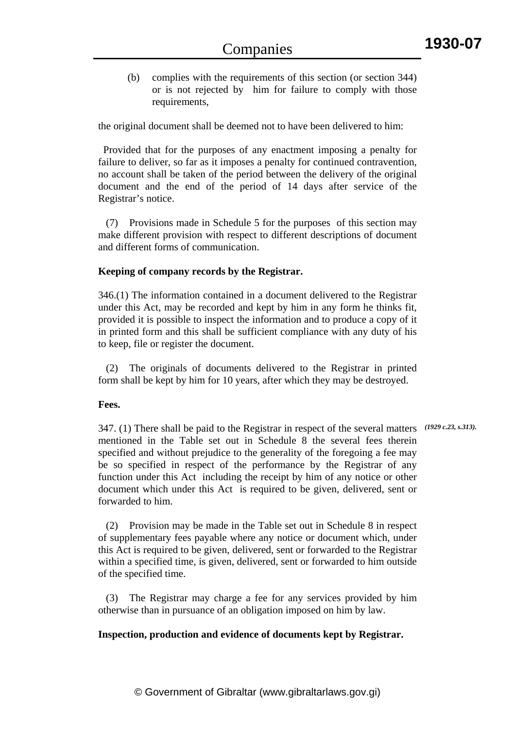(b) complies with the requirements of this section (or section 344) or is not rejected by him for failure to comply with those requirements,

the original document shall be deemed not to have been delivered to him:

 Provided that for the purposes of any enactment imposing a penalty for failure to deliver, so far as it imposes a penalty for continued contravention, no account shall be taken of the period between the delivery of the original document and the end of the period of 14 days after service of the Registrar's notice.

 (7) Provisions made in Schedule 5 for the purposes of this section may make different provision with respect to different descriptions of document and different forms of communication.

#### **Keeping of company records by the Registrar.**

346.(1) The information contained in a document delivered to the Registrar under this Act, may be recorded and kept by him in any form he thinks fit, provided it is possible to inspect the information and to produce a copy of it in printed form and this shall be sufficient compliance with any duty of his to keep, file or register the document.

 (2) The originals of documents delivered to the Registrar in printed form shall be kept by him for 10 years, after which they may be destroyed.

#### **Fees.**

347. (1) There shall be paid to the Registrar in respect of the several matters mentioned in the Table set out in Schedule 8 the several fees therein specified and without prejudice to the generality of the foregoing a fee may be so specified in respect of the performance by the Registrar of any function under this Act including the receipt by him of any notice or other document which under this Act is required to be given, delivered, sent or forwarded to him. *(1929 c.23, s.313).*

 (2) Provision may be made in the Table set out in Schedule 8 in respect of supplementary fees payable where any notice or document which, under this Act is required to be given, delivered, sent or forwarded to the Registrar within a specified time, is given, delivered, sent or forwarded to him outside of the specified time.

 (3) The Registrar may charge a fee for any services provided by him otherwise than in pursuance of an obligation imposed on him by law.

#### **Inspection, production and evidence of documents kept by Registrar.**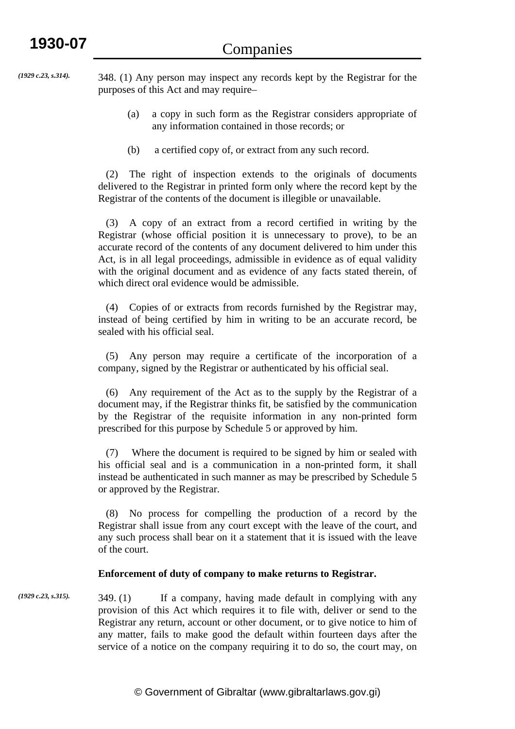*(1929 c.23, s.314).*

348. (1) Any person may inspect any records kept by the Registrar for the purposes of this Act and may require–

- (a) a copy in such form as the Registrar considers appropriate of any information contained in those records; or
- (b) a certified copy of, or extract from any such record.

 (2) The right of inspection extends to the originals of documents delivered to the Registrar in printed form only where the record kept by the Registrar of the contents of the document is illegible or unavailable.

 (3) A copy of an extract from a record certified in writing by the Registrar (whose official position it is unnecessary to prove), to be an accurate record of the contents of any document delivered to him under this Act, is in all legal proceedings, admissible in evidence as of equal validity with the original document and as evidence of any facts stated therein, of which direct oral evidence would be admissible.

 (4) Copies of or extracts from records furnished by the Registrar may, instead of being certified by him in writing to be an accurate record, be sealed with his official seal.

 (5) Any person may require a certificate of the incorporation of a company, signed by the Registrar or authenticated by his official seal.

 (6) Any requirement of the Act as to the supply by the Registrar of a document may, if the Registrar thinks fit, be satisfied by the communication by the Registrar of the requisite information in any non-printed form prescribed for this purpose by Schedule 5 or approved by him.

 (7) Where the document is required to be signed by him or sealed with his official seal and is a communication in a non-printed form, it shall instead be authenticated in such manner as may be prescribed by Schedule 5 or approved by the Registrar.

 (8) No process for compelling the production of a record by the Registrar shall issue from any court except with the leave of the court, and any such process shall bear on it a statement that it is issued with the leave of the court.

#### **Enforcement of duty of company to make returns to Registrar.**

*(1929 c.23, s.315).*

349. (1) If a company, having made default in complying with any provision of this Act which requires it to file with, deliver or send to the Registrar any return, account or other document, or to give notice to him of any matter, fails to make good the default within fourteen days after the service of a notice on the company requiring it to do so, the court may, on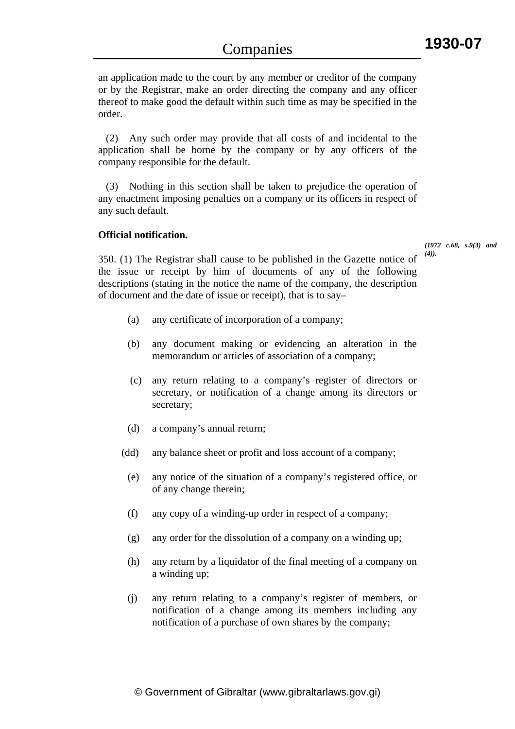an application made to the court by any member or creditor of the company or by the Registrar, make an order directing the company and any officer thereof to make good the default within such time as may be specified in the order.

 (2) Any such order may provide that all costs of and incidental to the application shall be borne by the company or by any officers of the company responsible for the default.

 (3) Nothing in this section shall be taken to prejudice the operation of any enactment imposing penalties on a company or its officers in respect of any such default.

#### **Official notification.**

*(1972 c.68, s.9(3) and (4)).*

350. (1) The Registrar shall cause to be published in the Gazette notice of the issue or receipt by him of documents of any of the following descriptions (stating in the notice the name of the company, the description of document and the date of issue or receipt), that is to say–

- (a) any certificate of incorporation of a company;
- (b) any document making or evidencing an alteration in the memorandum or articles of association of a company;
- (c) any return relating to a company's register of directors or secretary, or notification of a change among its directors or secretary;
- (d) a company's annual return;
- (dd) any balance sheet or profit and loss account of a company;
	- (e) any notice of the situation of a company's registered office, or of any change therein;
	- (f) any copy of a winding-up order in respect of a company;
	- (g) any order for the dissolution of a company on a winding up;
	- (h) any return by a liquidator of the final meeting of a company on a winding up;
	- (j) any return relating to a company's register of members, or notification of a change among its members including any notification of a purchase of own shares by the company;

**1930-07**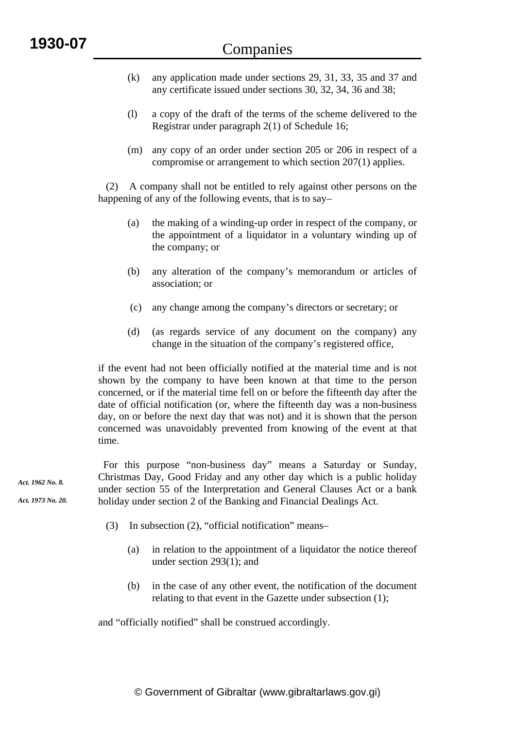- (k) any application made under sections 29, 31, 33, 35 and 37 and any certificate issued under sections 30, 32, 34, 36 and 38;
- (l) a copy of the draft of the terms of the scheme delivered to the Registrar under paragraph 2(1) of Schedule 16;
- (m) any copy of an order under section 205 or 206 in respect of a compromise or arrangement to which section 207(1) applies.

 (2) A company shall not be entitled to rely against other persons on the happening of any of the following events, that is to say-

- (a) the making of a winding-up order in respect of the company, or the appointment of a liquidator in a voluntary winding up of the company; or
- (b) any alteration of the company's memorandum or articles of association; or
- (c) any change among the company's directors or secretary; or
- (d) (as regards service of any document on the company) any change in the situation of the company's registered office,

if the event had not been officially notified at the material time and is not shown by the company to have been known at that time to the person concerned, or if the material time fell on or before the fifteenth day after the date of official notification (or, where the fifteenth day was a non-business day, on or before the next day that was not) and it is shown that the person concerned was unavoidably prevented from knowing of the event at that time.

 For this purpose "non-business day" means a Saturday or Sunday, Christmas Day, Good Friday and any other day which is a public holiday under section 55 of the Interpretation and General Clauses Act or a bank holiday under section 2 of the Banking and Financial Dealings Act. *Act. 1962 No. 8. Act. 1973 No. 20.*

- (3) In subsection (2), "official notification" means–
	- (a) in relation to the appointment of a liquidator the notice thereof under section 293(1); and
	- (b) in the case of any other event, the notification of the document relating to that event in the Gazette under subsection (1);

and "officially notified" shall be construed accordingly.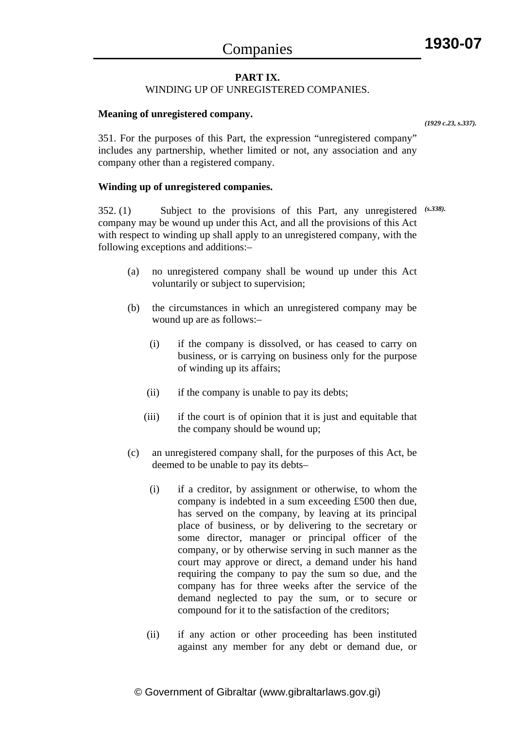# **1930-07**

#### **PART IX.**  WINDING UP OF UNREGISTERED COMPANIES.

# **Meaning of unregistered company.**

*(1929 c.23, s.337).*

351. For the purposes of this Part, the expression "unregistered company" includes any partnership, whether limited or not, any association and any company other than a registered company.

# **Winding up of unregistered companies.**

352. (1) Subject to the provisions of this Part, any unregistered *(s.338).*company may be wound up under this Act, and all the provisions of this Act with respect to winding up shall apply to an unregistered company, with the following exceptions and additions:–

- (a) no unregistered company shall be wound up under this Act voluntarily or subject to supervision;
- (b) the circumstances in which an unregistered company may be wound up are as follows:–
	- (i) if the company is dissolved, or has ceased to carry on business, or is carrying on business only for the purpose of winding up its affairs;
	- (ii) if the company is unable to pay its debts;
	- (iii) if the court is of opinion that it is just and equitable that the company should be wound up;
- (c) an unregistered company shall, for the purposes of this Act, be deemed to be unable to pay its debts–
	- (i) if a creditor, by assignment or otherwise, to whom the company is indebted in a sum exceeding £500 then due, has served on the company, by leaving at its principal place of business, or by delivering to the secretary or some director, manager or principal officer of the company, or by otherwise serving in such manner as the court may approve or direct, a demand under his hand requiring the company to pay the sum so due, and the company has for three weeks after the service of the demand neglected to pay the sum, or to secure or compound for it to the satisfaction of the creditors;
	- (ii) if any action or other proceeding has been instituted against any member for any debt or demand due, or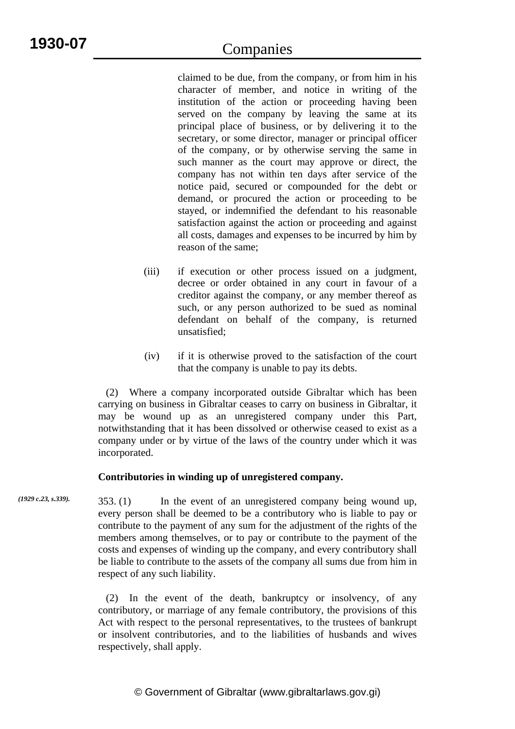claimed to be due, from the company, or from him in his character of member, and notice in writing of the institution of the action or proceeding having been served on the company by leaving the same at its principal place of business, or by delivering it to the secretary, or some director, manager or principal officer of the company, or by otherwise serving the same in such manner as the court may approve or direct, the company has not within ten days after service of the notice paid, secured or compounded for the debt or demand, or procured the action or proceeding to be stayed, or indemnified the defendant to his reasonable satisfaction against the action or proceeding and against all costs, damages and expenses to be incurred by him by reason of the same;

- (iii) if execution or other process issued on a judgment, decree or order obtained in any court in favour of a creditor against the company, or any member thereof as such, or any person authorized to be sued as nominal defendant on behalf of the company, is returned unsatisfied;
- (iv) if it is otherwise proved to the satisfaction of the court that the company is unable to pay its debts.

 (2) Where a company incorporated outside Gibraltar which has been carrying on business in Gibraltar ceases to carry on business in Gibraltar, it may be wound up as an unregistered company under this Part, notwithstanding that it has been dissolved or otherwise ceased to exist as a company under or by virtue of the laws of the country under which it was incorporated.

# **Contributories in winding up of unregistered company.**

353. (1) In the event of an unregistered company being wound up, every person shall be deemed to be a contributory who is liable to pay or contribute to the payment of any sum for the adjustment of the rights of the members among themselves, or to pay or contribute to the payment of the costs and expenses of winding up the company, and every contributory shall be liable to contribute to the assets of the company all sums due from him in respect of any such liability. *(1929 c.23, s.339).*

> (2) In the event of the death, bankruptcy or insolvency, of any contributory, or marriage of any female contributory, the provisions of this Act with respect to the personal representatives, to the trustees of bankrupt or insolvent contributories, and to the liabilities of husbands and wives respectively, shall apply.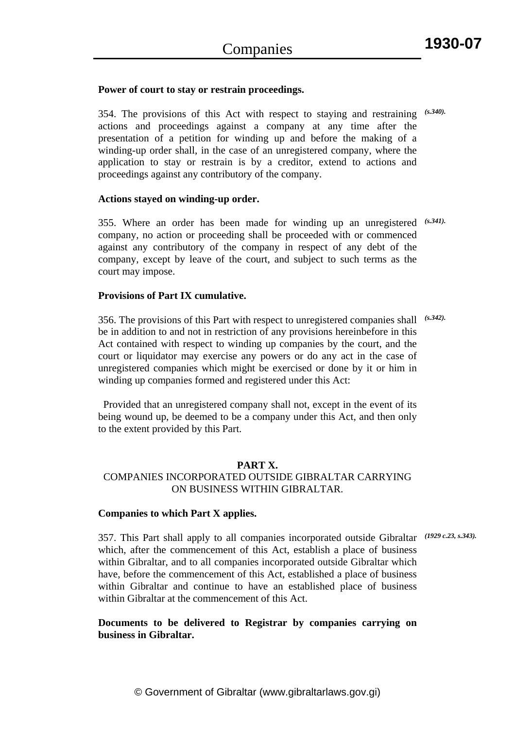#### **Power of court to stay or restrain proceedings.**

354. The provisions of this Act with respect to staying and restraining *(s.340).* actions and proceedings against a company at any time after the presentation of a petition for winding up and before the making of a winding-up order shall, in the case of an unregistered company, where the application to stay or restrain is by a creditor, extend to actions and proceedings against any contributory of the company.

#### **Actions stayed on winding-up order.**

355. Where an order has been made for winding up an unregistered *(s.341).* company, no action or proceeding shall be proceeded with or commenced against any contributory of the company in respect of any debt of the company, except by leave of the court, and subject to such terms as the court may impose.

#### **Provisions of Part IX cumulative.**

356. The provisions of this Part with respect to unregistered companies shall *(s.342).* be in addition to and not in restriction of any provisions hereinbefore in this Act contained with respect to winding up companies by the court, and the court or liquidator may exercise any powers or do any act in the case of unregistered companies which might be exercised or done by it or him in winding up companies formed and registered under this Act:

 Provided that an unregistered company shall not, except in the event of its being wound up, be deemed to be a company under this Act, and then only to the extent provided by this Part.

#### **PART X.**

# COMPANIES INCORPORATED OUTSIDE GIBRALTAR CARRYING ON BUSINESS WITHIN GIBRALTAR.

#### **Companies to which Part X applies.**

357. This Part shall apply to all companies incorporated outside Gibraltar *(1929 c.23, s.343).*which, after the commencement of this Act, establish a place of business within Gibraltar, and to all companies incorporated outside Gibraltar which have, before the commencement of this Act, established a place of business within Gibraltar and continue to have an established place of business within Gibraltar at the commencement of this Act.

# **Documents to be delivered to Registrar by companies carrying on business in Gibraltar.**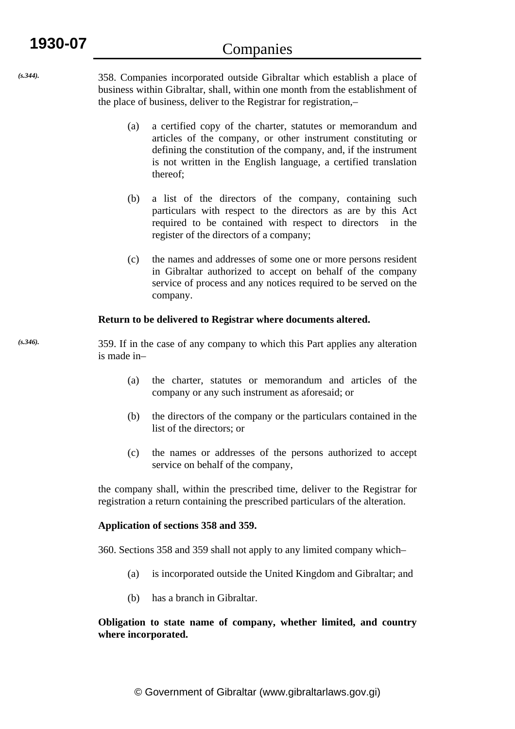358. Companies incorporated outside Gibraltar which establish a place of business within Gibraltar, shall, within one month from the establishment of the place of business, deliver to the Registrar for registration,– *(s.344).*

- (a) a certified copy of the charter, statutes or memorandum and articles of the company, or other instrument constituting or defining the constitution of the company, and, if the instrument is not written in the English language, a certified translation thereof;
- (b) a list of the directors of the company, containing such particulars with respect to the directors as are by this Act required to be contained with respect to directors in the register of the directors of a company;
- (c) the names and addresses of some one or more persons resident in Gibraltar authorized to accept on behalf of the company service of process and any notices required to be served on the company.

#### **Return to be delivered to Registrar where documents altered.**

359. If in the case of any company to which this Part applies any alteration is made in– *(s.346).*

- (a) the charter, statutes or memorandum and articles of the company or any such instrument as aforesaid; or
- (b) the directors of the company or the particulars contained in the list of the directors; or
- (c) the names or addresses of the persons authorized to accept service on behalf of the company,

the company shall, within the prescribed time, deliver to the Registrar for registration a return containing the prescribed particulars of the alteration.

# **Application of sections 358 and 359.**

360. Sections 358 and 359 shall not apply to any limited company which–

- (a) is incorporated outside the United Kingdom and Gibraltar; and
- (b) has a branch in Gibraltar.

# **Obligation to state name of company, whether limited, and country where incorporated.**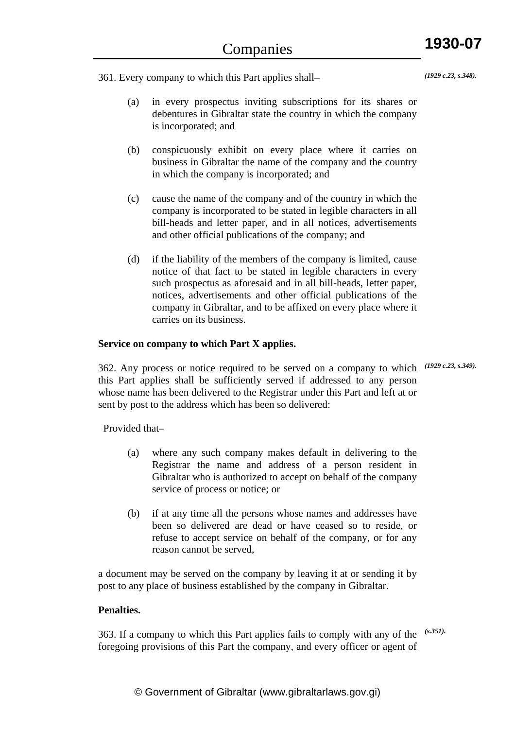361. Every company to which this Part applies shall–

*(1929 c.23, s.348).*

- (a) in every prospectus inviting subscriptions for its shares or debentures in Gibraltar state the country in which the company is incorporated; and
- (b) conspicuously exhibit on every place where it carries on business in Gibraltar the name of the company and the country in which the company is incorporated; and
- (c) cause the name of the company and of the country in which the company is incorporated to be stated in legible characters in all bill-heads and letter paper, and in all notices, advertisements and other official publications of the company; and
- (d) if the liability of the members of the company is limited, cause notice of that fact to be stated in legible characters in every such prospectus as aforesaid and in all bill-heads, letter paper, notices, advertisements and other official publications of the company in Gibraltar, and to be affixed on every place where it carries on its business.

#### **Service on company to which Part X applies.**

362. Any process or notice required to be served on a company to which *(1929 c.23, s.349).* this Part applies shall be sufficiently served if addressed to any person whose name has been delivered to the Registrar under this Part and left at or sent by post to the address which has been so delivered:

Provided that–

- (a) where any such company makes default in delivering to the Registrar the name and address of a person resident in Gibraltar who is authorized to accept on behalf of the company service of process or notice; or
- (b) if at any time all the persons whose names and addresses have been so delivered are dead or have ceased so to reside, or refuse to accept service on behalf of the company, or for any reason cannot be served,

a document may be served on the company by leaving it at or sending it by post to any place of business established by the company in Gibraltar.

#### **Penalties.**

363. If a company to which this Part applies fails to comply with any of the *(s.351).*foregoing provisions of this Part the company, and every officer or agent of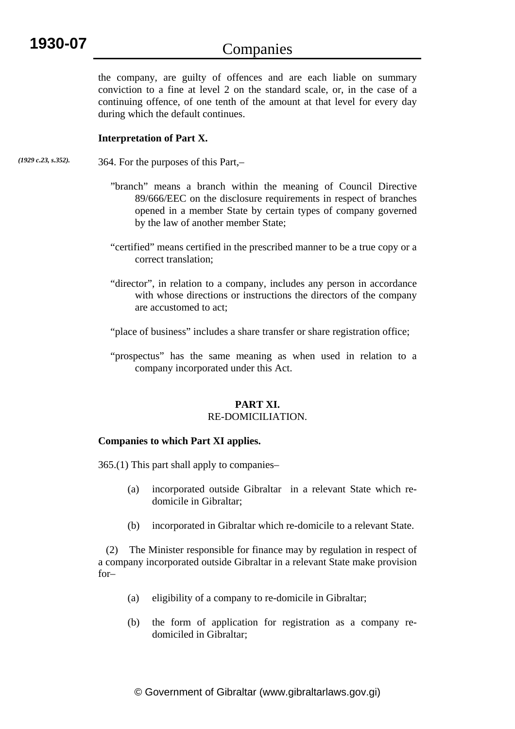the company, are guilty of offences and are each liable on summary conviction to a fine at level 2 on the standard scale, or, in the case of a continuing offence, of one tenth of the amount at that level for every day during which the default continues.

#### **Interpretation of Part X.**

- 364. For the purposes of this Part,– *(1929 c.23, s.352).*
	- "branch" means a branch within the meaning of Council Directive 89/666/EEC on the disclosure requirements in respect of branches opened in a member State by certain types of company governed by the law of another member State;
	- "certified" means certified in the prescribed manner to be a true copy or a correct translation;
	- "director", in relation to a company, includes any person in accordance with whose directions or instructions the directors of the company are accustomed to act;
	- "place of business" includes a share transfer or share registration office;
	- "prospectus" has the same meaning as when used in relation to a company incorporated under this Act.

# **PART XI.**  RE-DOMICILIATION.

#### **Companies to which Part XI applies.**

365.(1) This part shall apply to companies–

- (a) incorporated outside Gibraltar in a relevant State which redomicile in Gibraltar;
- (b) incorporated in Gibraltar which re-domicile to a relevant State.

 (2) The Minister responsible for finance may by regulation in respect of a company incorporated outside Gibraltar in a relevant State make provision for–

- (a) eligibility of a company to re-domicile in Gibraltar;
- (b) the form of application for registration as a company redomiciled in Gibraltar;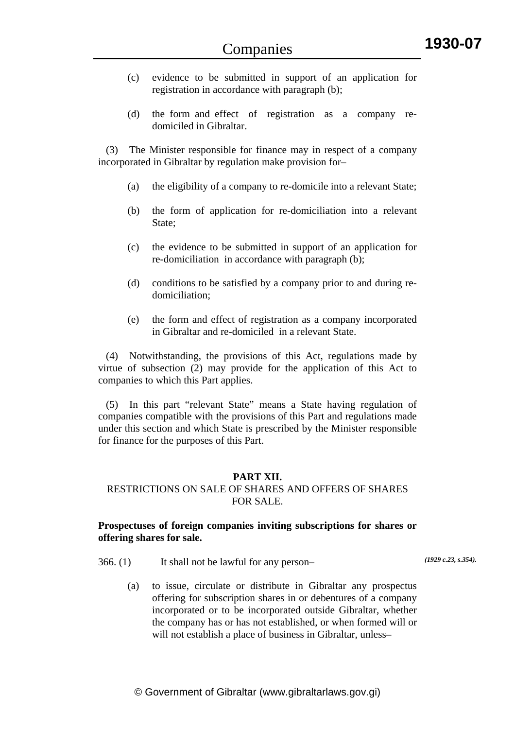- (c) evidence to be submitted in support of an application for registration in accordance with paragraph (b);
- (d) the form and effect of registration as a company redomiciled in Gibraltar.

 (3) The Minister responsible for finance may in respect of a company incorporated in Gibraltar by regulation make provision for–

- (a) the eligibility of a company to re-domicile into a relevant State;
- (b) the form of application for re-domiciliation into a relevant State;
- (c) the evidence to be submitted in support of an application for re-domiciliation in accordance with paragraph (b);
- (d) conditions to be satisfied by a company prior to and during redomiciliation;
- (e) the form and effect of registration as a company incorporated in Gibraltar and re-domiciled in a relevant State.

 (4) Notwithstanding, the provisions of this Act, regulations made by virtue of subsection (2) may provide for the application of this Act to companies to which this Part applies.

 (5) In this part "relevant State" means a State having regulation of companies compatible with the provisions of this Part and regulations made under this section and which State is prescribed by the Minister responsible for finance for the purposes of this Part.

#### **PART XII.**

### RESTRICTIONS ON SALE OF SHARES AND OFFERS OF SHARES FOR SALE.

#### **Prospectuses of foreign companies inviting subscriptions for shares or offering shares for sale.**

366. (1) It shall not be lawful for any person–

*(1929 c.23, s.354).*

(a) to issue, circulate or distribute in Gibraltar any prospectus offering for subscription shares in or debentures of a company incorporated or to be incorporated outside Gibraltar, whether the company has or has not established, or when formed will or will not establish a place of business in Gibraltar, unless–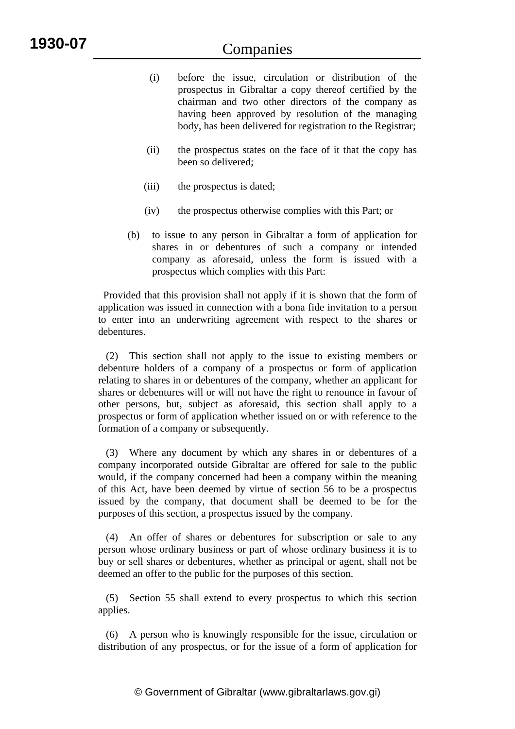# Companies

- (i) before the issue, circulation or distribution of the prospectus in Gibraltar a copy thereof certified by the chairman and two other directors of the company as having been approved by resolution of the managing body, has been delivered for registration to the Registrar;
- (ii) the prospectus states on the face of it that the copy has been so delivered;
- (iii) the prospectus is dated:
- (iv) the prospectus otherwise complies with this Part; or
- (b) to issue to any person in Gibraltar a form of application for shares in or debentures of such a company or intended company as aforesaid, unless the form is issued with a prospectus which complies with this Part:

 Provided that this provision shall not apply if it is shown that the form of application was issued in connection with a bona fide invitation to a person to enter into an underwriting agreement with respect to the shares or debentures.

 (2) This section shall not apply to the issue to existing members or debenture holders of a company of a prospectus or form of application relating to shares in or debentures of the company, whether an applicant for shares or debentures will or will not have the right to renounce in favour of other persons, but, subject as aforesaid, this section shall apply to a prospectus or form of application whether issued on or with reference to the formation of a company or subsequently.

 (3) Where any document by which any shares in or debentures of a company incorporated outside Gibraltar are offered for sale to the public would, if the company concerned had been a company within the meaning of this Act, have been deemed by virtue of section 56 to be a prospectus issued by the company, that document shall be deemed to be for the purposes of this section, a prospectus issued by the company.

 (4) An offer of shares or debentures for subscription or sale to any person whose ordinary business or part of whose ordinary business it is to buy or sell shares or debentures, whether as principal or agent, shall not be deemed an offer to the public for the purposes of this section.

 (5) Section 55 shall extend to every prospectus to which this section applies.

 (6) A person who is knowingly responsible for the issue, circulation or distribution of any prospectus, or for the issue of a form of application for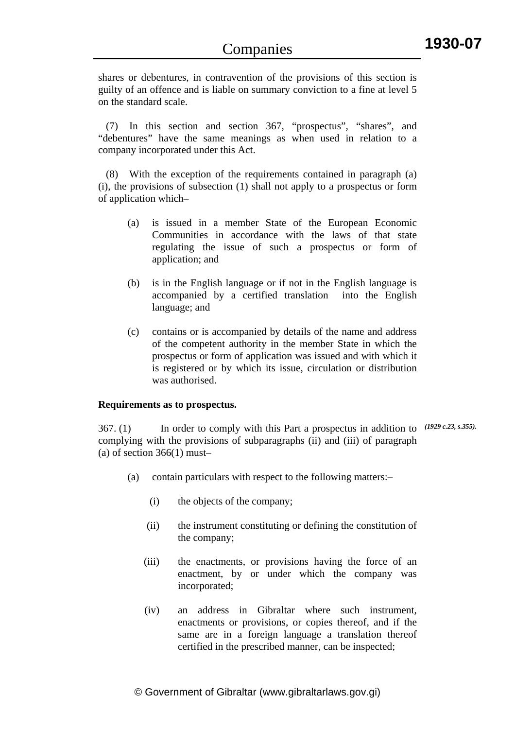shares or debentures, in contravention of the provisions of this section is guilty of an offence and is liable on summary conviction to a fine at level 5 on the standard scale.

 (7) In this section and section 367, "prospectus", "shares", and "debentures" have the same meanings as when used in relation to a company incorporated under this Act.

With the exception of the requirements contained in paragraph (a) (i), the provisions of subsection (1) shall not apply to a prospectus or form of application which–

- (a) is issued in a member State of the European Economic Communities in accordance with the laws of that state regulating the issue of such a prospectus or form of application; and
- (b) is in the English language or if not in the English language is accompanied by a certified translation into the English language; and
- (c) contains or is accompanied by details of the name and address of the competent authority in the member State in which the prospectus or form of application was issued and with which it is registered or by which its issue, circulation or distribution was authorised.

#### **Requirements as to prospectus.**

367. (1) In order to comply with this Part a prospectus in addition to *(1929 c.23, s.355).*complying with the provisions of subparagraphs (ii) and (iii) of paragraph (a) of section  $366(1)$  must-

- (a) contain particulars with respect to the following matters:–
	- (i) the objects of the company;
	- (ii) the instrument constituting or defining the constitution of the company;
	- (iii) the enactments, or provisions having the force of an enactment, by or under which the company was incorporated;
	- (iv) an address in Gibraltar where such instrument, enactments or provisions, or copies thereof, and if the same are in a foreign language a translation thereof certified in the prescribed manner, can be inspected;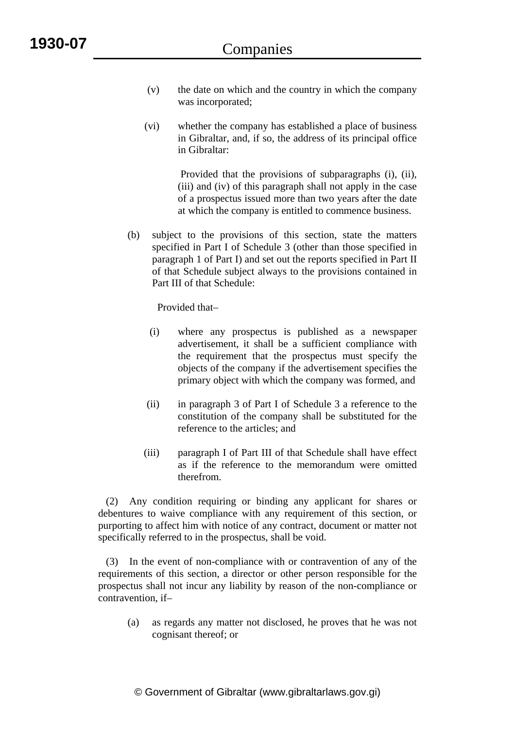- (v) the date on which and the country in which the company was incorporated;
- (vi) whether the company has established a place of business in Gibraltar, and, if so, the address of its principal office in Gibraltar:

 Provided that the provisions of subparagraphs (i), (ii), (iii) and (iv) of this paragraph shall not apply in the case of a prospectus issued more than two years after the date at which the company is entitled to commence business.

(b) subject to the provisions of this section, state the matters specified in Part I of Schedule 3 (other than those specified in paragraph 1 of Part I) and set out the reports specified in Part II of that Schedule subject always to the provisions contained in Part III of that Schedule:

Provided that–

- (i) where any prospectus is published as a newspaper advertisement, it shall be a sufficient compliance with the requirement that the prospectus must specify the objects of the company if the advertisement specifies the primary object with which the company was formed, and
- (ii) in paragraph 3 of Part I of Schedule 3 a reference to the constitution of the company shall be substituted for the reference to the articles; and
- (iii) paragraph I of Part III of that Schedule shall have effect as if the reference to the memorandum were omitted therefrom.

 (2) Any condition requiring or binding any applicant for shares or debentures to waive compliance with any requirement of this section, or purporting to affect him with notice of any contract, document or matter not specifically referred to in the prospectus, shall be void.

 (3) In the event of non-compliance with or contravention of any of the requirements of this section, a director or other person responsible for the prospectus shall not incur any liability by reason of the non-compliance or contravention, if–

(a) as regards any matter not disclosed, he proves that he was not cognisant thereof; or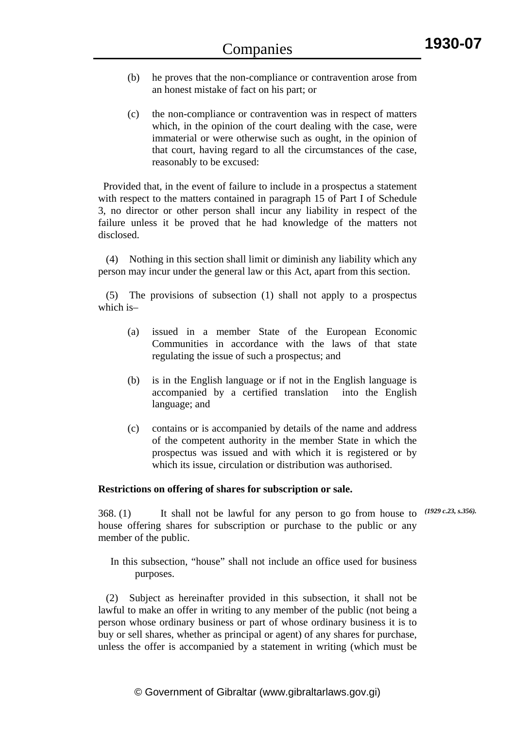- (b) he proves that the non-compliance or contravention arose from an honest mistake of fact on his part; or
- (c) the non-compliance or contravention was in respect of matters which, in the opinion of the court dealing with the case, were immaterial or were otherwise such as ought, in the opinion of that court, having regard to all the circumstances of the case, reasonably to be excused:

 Provided that, in the event of failure to include in a prospectus a statement with respect to the matters contained in paragraph 15 of Part I of Schedule 3, no director or other person shall incur any liability in respect of the failure unless it be proved that he had knowledge of the matters not disclosed.

 (4) Nothing in this section shall limit or diminish any liability which any person may incur under the general law or this Act, apart from this section.

(5) The provisions of subsection (1) shall not apply to a prospectus which is–

- (a) issued in a member State of the European Economic Communities in accordance with the laws of that state regulating the issue of such a prospectus; and
- (b) is in the English language or if not in the English language is accompanied by a certified translation into the English language; and
- (c) contains or is accompanied by details of the name and address of the competent authority in the member State in which the prospectus was issued and with which it is registered or by which its issue, circulation or distribution was authorised.

#### **Restrictions on offering of shares for subscription or sale.**

368. (1) It shall not be lawful for any person to go from house to *(1929 c.23, s.356).*house offering shares for subscription or purchase to the public or any member of the public.

In this subsection, "house" shall not include an office used for business purposes.

 (2) Subject as hereinafter provided in this subsection, it shall not be lawful to make an offer in writing to any member of the public (not being a person whose ordinary business or part of whose ordinary business it is to buy or sell shares, whether as principal or agent) of any shares for purchase, unless the offer is accompanied by a statement in writing (which must be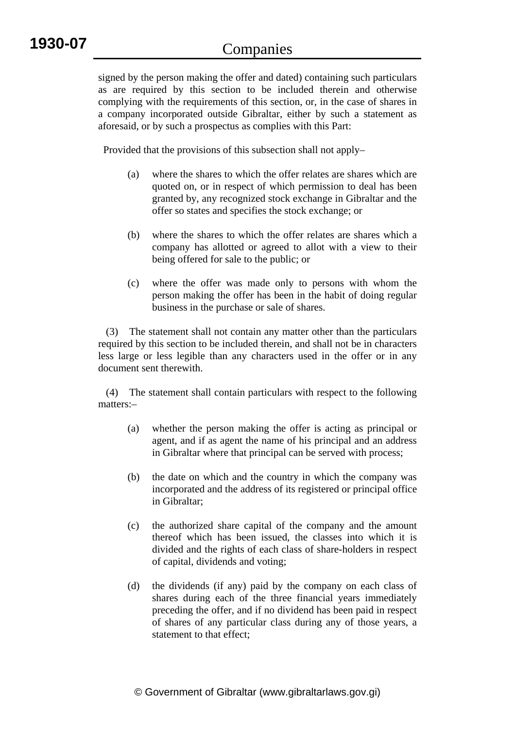signed by the person making the offer and dated) containing such particulars as are required by this section to be included therein and otherwise complying with the requirements of this section, or, in the case of shares in a company incorporated outside Gibraltar, either by such a statement as aforesaid, or by such a prospectus as complies with this Part:

Provided that the provisions of this subsection shall not apply–

- (a) where the shares to which the offer relates are shares which are quoted on, or in respect of which permission to deal has been granted by, any recognized stock exchange in Gibraltar and the offer so states and specifies the stock exchange; or
- (b) where the shares to which the offer relates are shares which a company has allotted or agreed to allot with a view to their being offered for sale to the public; or
- (c) where the offer was made only to persons with whom the person making the offer has been in the habit of doing regular business in the purchase or sale of shares.

 (3) The statement shall not contain any matter other than the particulars required by this section to be included therein, and shall not be in characters less large or less legible than any characters used in the offer or in any document sent therewith.

 (4) The statement shall contain particulars with respect to the following matters:–

- (a) whether the person making the offer is acting as principal or agent, and if as agent the name of his principal and an address in Gibraltar where that principal can be served with process;
- (b) the date on which and the country in which the company was incorporated and the address of its registered or principal office in Gibraltar;
- (c) the authorized share capital of the company and the amount thereof which has been issued, the classes into which it is divided and the rights of each class of share-holders in respect of capital, dividends and voting;
- (d) the dividends (if any) paid by the company on each class of shares during each of the three financial years immediately preceding the offer, and if no dividend has been paid in respect of shares of any particular class during any of those years, a statement to that effect;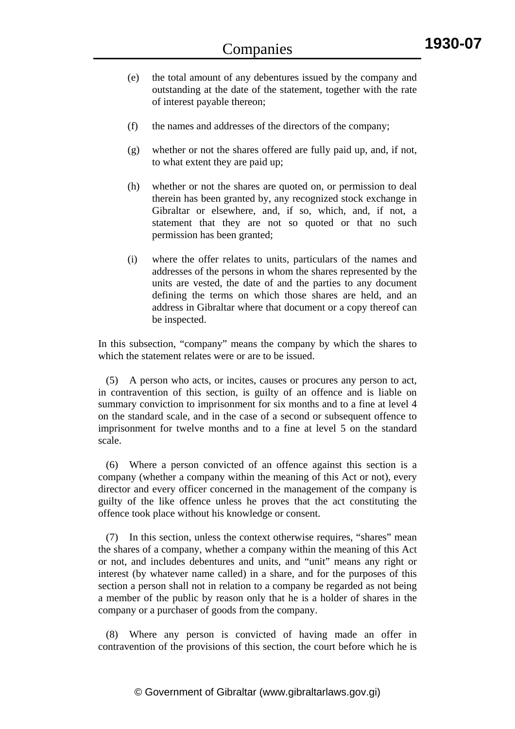- (e) the total amount of any debentures issued by the company and outstanding at the date of the statement, together with the rate of interest payable thereon;
- (f) the names and addresses of the directors of the company;
- (g) whether or not the shares offered are fully paid up, and, if not, to what extent they are paid up;
- (h) whether or not the shares are quoted on, or permission to deal therein has been granted by, any recognized stock exchange in Gibraltar or elsewhere, and, if so, which, and, if not, a statement that they are not so quoted or that no such permission has been granted;
- (i) where the offer relates to units, particulars of the names and addresses of the persons in whom the shares represented by the units are vested, the date of and the parties to any document defining the terms on which those shares are held, and an address in Gibraltar where that document or a copy thereof can be inspected.

In this subsection, "company" means the company by which the shares to which the statement relates were or are to be issued.

 (5) A person who acts, or incites, causes or procures any person to act, in contravention of this section, is guilty of an offence and is liable on summary conviction to imprisonment for six months and to a fine at level 4 on the standard scale, and in the case of a second or subsequent offence to imprisonment for twelve months and to a fine at level 5 on the standard scale.

 (6) Where a person convicted of an offence against this section is a company (whether a company within the meaning of this Act or not), every director and every officer concerned in the management of the company is guilty of the like offence unless he proves that the act constituting the offence took place without his knowledge or consent.

 (7) In this section, unless the context otherwise requires, "shares" mean the shares of a company, whether a company within the meaning of this Act or not, and includes debentures and units, and "unit" means any right or interest (by whatever name called) in a share, and for the purposes of this section a person shall not in relation to a company be regarded as not being a member of the public by reason only that he is a holder of shares in the company or a purchaser of goods from the company.

 (8) Where any person is convicted of having made an offer in contravention of the provisions of this section, the court before which he is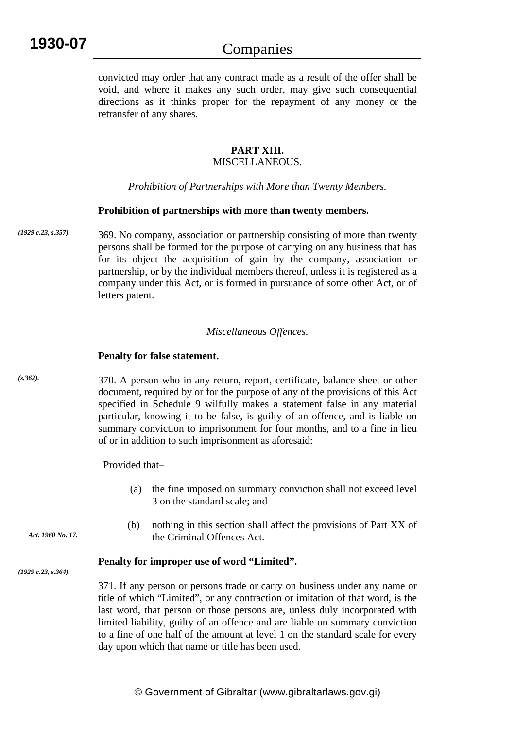convicted may order that any contract made as a result of the offer shall be void, and where it makes any such order, may give such consequential directions as it thinks proper for the repayment of any money or the retransfer of any shares.

# **PART XIII.**

#### MISCELLANEOUS.

*Prohibition of Partnerships with More than Twenty Members.* 

#### **Prohibition of partnerships with more than twenty members.**

369. No company, association or partnership consisting of more than twenty persons shall be formed for the purpose of carrying on any business that has for its object the acquisition of gain by the company, association or partnership, or by the individual members thereof, unless it is registered as a company under this Act, or is formed in pursuance of some other Act, or of letters patent. *(1929 c.23, s.357).*

### *Miscellaneous Offences.*

#### **Penalty for false statement.**

370. A person who in any return, report, certificate, balance sheet or other document, required by or for the purpose of any of the provisions of this Act specified in Schedule 9 wilfully makes a statement false in any material particular, knowing it to be false, is guilty of an offence, and is liable on summary conviction to imprisonment for four months, and to a fine in lieu of or in addition to such imprisonment as aforesaid:

Provided that–

- (a) the fine imposed on summary conviction shall not exceed level 3 on the standard scale; and
- (b) nothing in this section shall affect the provisions of Part XX of the Criminal Offences Act.

#### **Penalty for improper use of word "Limited".**

371. If any person or persons trade or carry on business under any name or title of which "Limited", or any contraction or imitation of that word, is the last word, that person or those persons are, unless duly incorporated with limited liability, guilty of an offence and are liable on summary conviction to a fine of one half of the amount at level 1 on the standard scale for every day upon which that name or title has been used.

*Act. 1960 No. 17.*

*(1929 c.23, s.364).*

*(s.362).*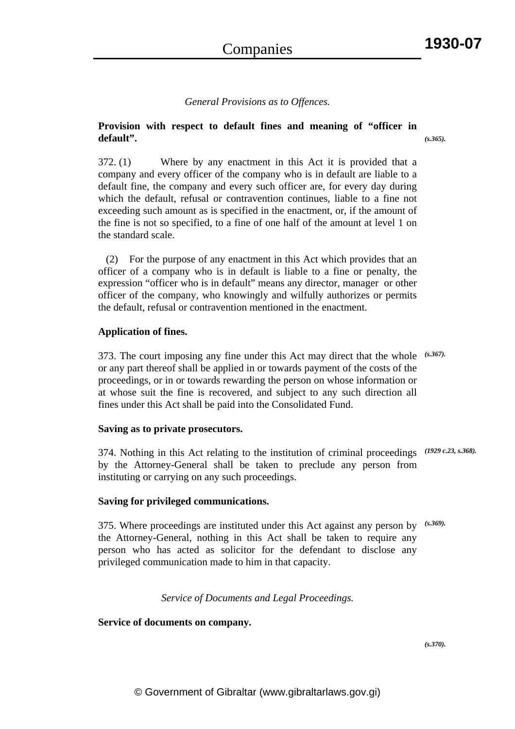#### *General Provisions as to Offences.*

#### **Provision with respect to default fines and meaning of "officer in default".**  *(s.365).*

372. (1) Where by any enactment in this Act it is provided that a company and every officer of the company who is in default are liable to a default fine, the company and every such officer are, for every day during which the default, refusal or contravention continues, liable to a fine not exceeding such amount as is specified in the enactment, or, if the amount of the fine is not so specified, to a fine of one half of the amount at level 1 on the standard scale.

 (2) For the purpose of any enactment in this Act which provides that an officer of a company who is in default is liable to a fine or penalty, the expression "officer who is in default" means any director, manager or other officer of the company, who knowingly and wilfully authorizes or permits the default, refusal or contravention mentioned in the enactment.

#### **Application of fines.**

373. The court imposing any fine under this Act may direct that the whole *(s.367).* or any part thereof shall be applied in or towards payment of the costs of the proceedings, or in or towards rewarding the person on whose information or at whose suit the fine is recovered, and subject to any such direction all fines under this Act shall be paid into the Consolidated Fund.

#### **Saving as to private prosecutors.**

374. Nothing in this Act relating to the institution of criminal proceedings *(1929 c.23, s.368).* by the Attorney-General shall be taken to preclude any person from instituting or carrying on any such proceedings.

#### **Saving for privileged communications.**

375. Where proceedings are instituted under this Act against any person by *(s.369).* the Attorney-General, nothing in this Act shall be taken to require any person who has acted as solicitor for the defendant to disclose any privileged communication made to him in that capacity.

#### *Service of Documents and Legal Proceedings.*

**Service of documents on company.**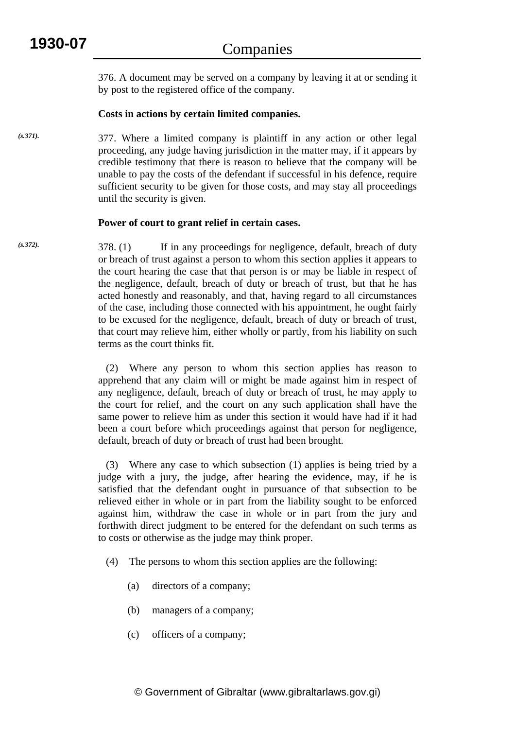*(s.371).*

*(s.372).*

376. A document may be served on a company by leaving it at or sending it by post to the registered office of the company.

# **Costs in actions by certain limited companies.**

377. Where a limited company is plaintiff in any action or other legal proceeding, any judge having jurisdiction in the matter may, if it appears by credible testimony that there is reason to believe that the company will be unable to pay the costs of the defendant if successful in his defence, require sufficient security to be given for those costs, and may stay all proceedings until the security is given.

### **Power of court to grant relief in certain cases.**

378. (1) If in any proceedings for negligence, default, breach of duty or breach of trust against a person to whom this section applies it appears to the court hearing the case that that person is or may be liable in respect of the negligence, default, breach of duty or breach of trust, but that he has acted honestly and reasonably, and that, having regard to all circumstances of the case, including those connected with his appointment, he ought fairly to be excused for the negligence, default, breach of duty or breach of trust, that court may relieve him, either wholly or partly, from his liability on such terms as the court thinks fit.

> (2) Where any person to whom this section applies has reason to apprehend that any claim will or might be made against him in respect of any negligence, default, breach of duty or breach of trust, he may apply to the court for relief, and the court on any such application shall have the same power to relieve him as under this section it would have had if it had been a court before which proceedings against that person for negligence, default, breach of duty or breach of trust had been brought.

> (3) Where any case to which subsection (1) applies is being tried by a judge with a jury, the judge, after hearing the evidence, may, if he is satisfied that the defendant ought in pursuance of that subsection to be relieved either in whole or in part from the liability sought to be enforced against him, withdraw the case in whole or in part from the jury and forthwith direct judgment to be entered for the defendant on such terms as to costs or otherwise as the judge may think proper.

(4) The persons to whom this section applies are the following:

- (a) directors of a company;
- (b) managers of a company;
- (c) officers of a company;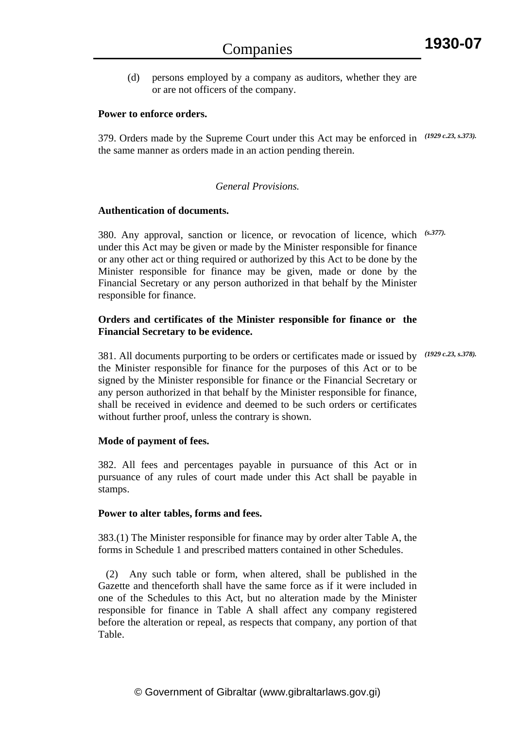(d) persons employed by a company as auditors, whether they are or are not officers of the company.

#### **Power to enforce orders.**

379. Orders made by the Supreme Court under this Act may be enforced in *(1929 c.23, s.373).* the same manner as orders made in an action pending therein.

#### *General Provisions.*

#### **Authentication of documents.**

380. Any approval, sanction or licence, or revocation of licence, which *(s.377).* under this Act may be given or made by the Minister responsible for finance or any other act or thing required or authorized by this Act to be done by the Minister responsible for finance may be given, made or done by the Financial Secretary or any person authorized in that behalf by the Minister responsible for finance.

#### **Orders and certificates of the Minister responsible for finance or the Financial Secretary to be evidence.**

381. All documents purporting to be orders or certificates made or issued by *(1929 c.23, s.378).*the Minister responsible for finance for the purposes of this Act or to be signed by the Minister responsible for finance or the Financial Secretary or any person authorized in that behalf by the Minister responsible for finance, shall be received in evidence and deemed to be such orders or certificates without further proof, unless the contrary is shown.

#### **Mode of payment of fees.**

382. All fees and percentages payable in pursuance of this Act or in pursuance of any rules of court made under this Act shall be payable in stamps.

#### **Power to alter tables, forms and fees.**

383.(1) The Minister responsible for finance may by order alter Table A, the forms in Schedule 1 and prescribed matters contained in other Schedules.

 (2) Any such table or form, when altered, shall be published in the Gazette and thenceforth shall have the same force as if it were included in one of the Schedules to this Act, but no alteration made by the Minister responsible for finance in Table A shall affect any company registered before the alteration or repeal, as respects that company, any portion of that Table.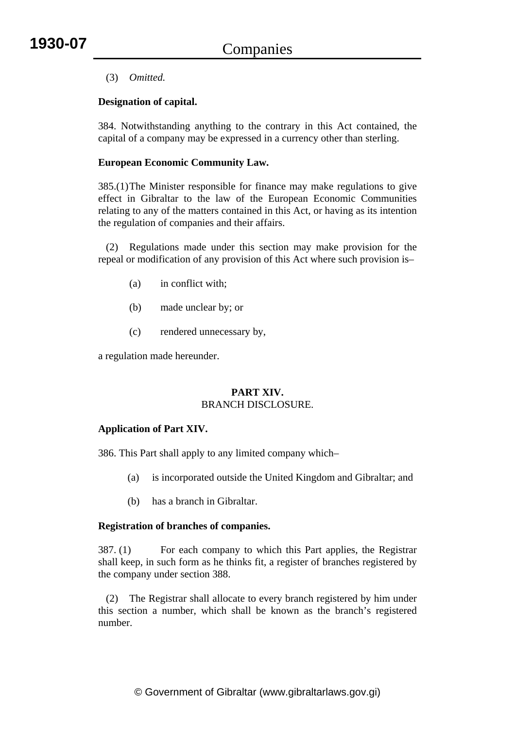# (3) *Omitted.*

# **Designation of capital.**

384. Notwithstanding anything to the contrary in this Act contained, the capital of a company may be expressed in a currency other than sterling.

# **European Economic Community Law.**

385.(1) The Minister responsible for finance may make regulations to give effect in Gibraltar to the law of the European Economic Communities relating to any of the matters contained in this Act, or having as its intention the regulation of companies and their affairs.

 (2) Regulations made under this section may make provision for the repeal or modification of any provision of this Act where such provision is–

- (a) in conflict with;
- (b) made unclear by; or
- (c) rendered unnecessary by,

a regulation made hereunder.

#### **PART XIV.**  BRANCH DISCLOSURE.

#### **Application of Part XIV.**

386. This Part shall apply to any limited company which–

- (a) is incorporated outside the United Kingdom and Gibraltar; and
- (b) has a branch in Gibraltar.

#### **Registration of branches of companies.**

387. (1) For each company to which this Part applies, the Registrar shall keep, in such form as he thinks fit, a register of branches registered by the company under section 388.

 (2) The Registrar shall allocate to every branch registered by him under this section a number, which shall be known as the branch's registered number.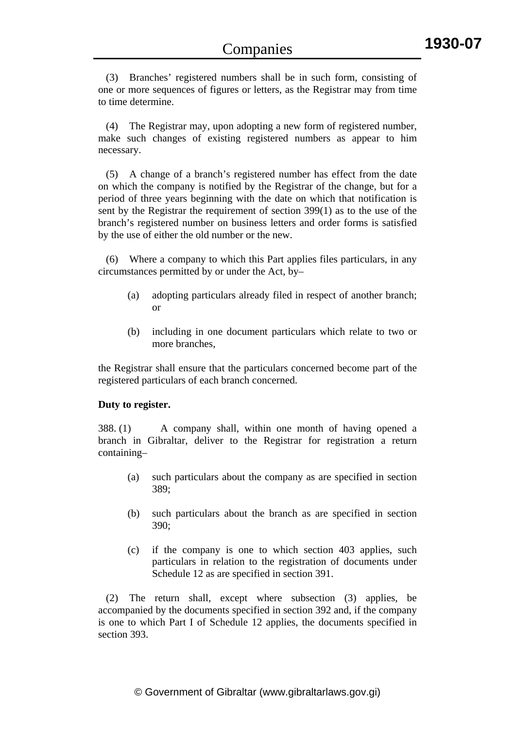(3) Branches' registered numbers shall be in such form, consisting of one or more sequences of figures or letters, as the Registrar may from time to time determine.

 (4) The Registrar may, upon adopting a new form of registered number, make such changes of existing registered numbers as appear to him necessary.

 (5) A change of a branch's registered number has effect from the date on which the company is notified by the Registrar of the change, but for a period of three years beginning with the date on which that notification is sent by the Registrar the requirement of section 399(1) as to the use of the branch's registered number on business letters and order forms is satisfied by the use of either the old number or the new.

 (6) Where a company to which this Part applies files particulars, in any circumstances permitted by or under the Act, by–

- (a) adopting particulars already filed in respect of another branch; or
- (b) including in one document particulars which relate to two or more branches,

the Registrar shall ensure that the particulars concerned become part of the registered particulars of each branch concerned.

#### **Duty to register.**

388. (1) A company shall, within one month of having opened a branch in Gibraltar, deliver to the Registrar for registration a return containing–

- (a) such particulars about the company as are specified in section 389;
- (b) such particulars about the branch as are specified in section 390;
- (c) if the company is one to which section 403 applies, such particulars in relation to the registration of documents under Schedule 12 as are specified in section 391.

 (2) The return shall, except where subsection (3) applies, be accompanied by the documents specified in section 392 and, if the company is one to which Part I of Schedule 12 applies, the documents specified in section 393.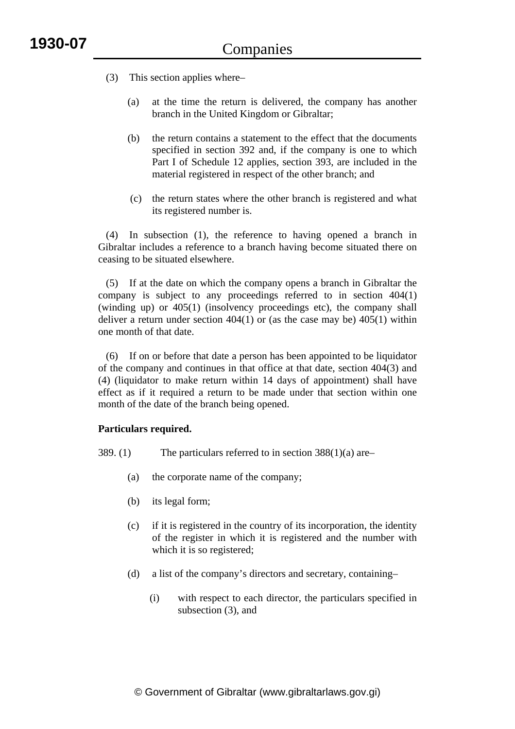- (3) This section applies where–
	- (a) at the time the return is delivered, the company has another branch in the United Kingdom or Gibraltar;
	- (b) the return contains a statement to the effect that the documents specified in section 392 and, if the company is one to which Part I of Schedule 12 applies, section 393, are included in the material registered in respect of the other branch; and
	- (c) the return states where the other branch is registered and what its registered number is.

 (4) In subsection (1), the reference to having opened a branch in Gibraltar includes a reference to a branch having become situated there on ceasing to be situated elsewhere.

 (5) If at the date on which the company opens a branch in Gibraltar the company is subject to any proceedings referred to in section 404(1) (winding up) or 405(1) (insolvency proceedings etc), the company shall deliver a return under section  $404(1)$  or (as the case may be)  $405(1)$  within one month of that date.

 (6) If on or before that date a person has been appointed to be liquidator of the company and continues in that office at that date, section 404(3) and (4) (liquidator to make return within 14 days of appointment) shall have effect as if it required a return to be made under that section within one month of the date of the branch being opened.

#### **Particulars required.**

- 389. (1) The particulars referred to in section 388(1)(a) are–
	- (a) the corporate name of the company;
	- (b) its legal form;
	- (c) if it is registered in the country of its incorporation, the identity of the register in which it is registered and the number with which it is so registered;
	- (d) a list of the company's directors and secretary, containing–
		- (i) with respect to each director, the particulars specified in subsection (3), and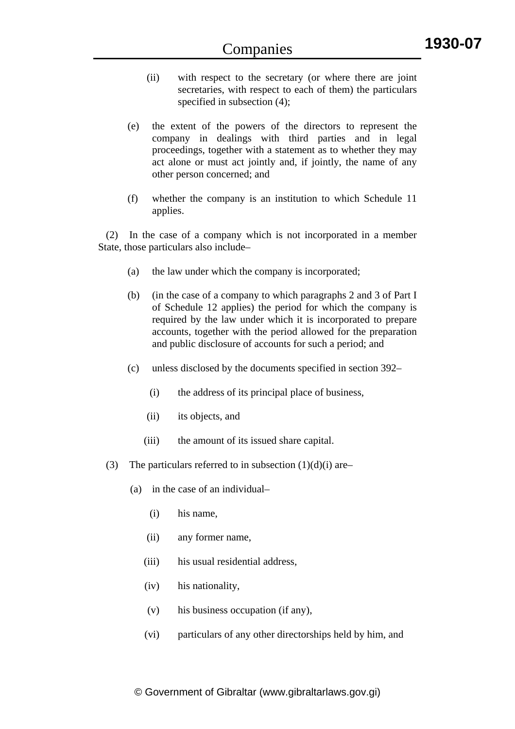- (ii) with respect to the secretary (or where there are joint secretaries, with respect to each of them) the particulars specified in subsection  $(4)$ ;
- (e) the extent of the powers of the directors to represent the company in dealings with third parties and in legal proceedings, together with a statement as to whether they may act alone or must act jointly and, if jointly, the name of any other person concerned; and
- (f) whether the company is an institution to which Schedule 11 applies.

 (2) In the case of a company which is not incorporated in a member State, those particulars also include–

- (a) the law under which the company is incorporated;
- (b) (in the case of a company to which paragraphs 2 and 3 of Part I of Schedule 12 applies) the period for which the company is required by the law under which it is incorporated to prepare accounts, together with the period allowed for the preparation and public disclosure of accounts for such a period; and
- (c) unless disclosed by the documents specified in section 392–
	- (i) the address of its principal place of business,
	- (ii) its objects, and
	- (iii) the amount of its issued share capital.
- (3) The particulars referred to in subsection  $(1)(d)(i)$  are–
	- (a) in the case of an individual–
		- (i) his name,
		- (ii) any former name,
		- (iii) his usual residential address,
		- (iv) his nationality,
		- (v) his business occupation (if any),
		- (vi) particulars of any other directorships held by him, and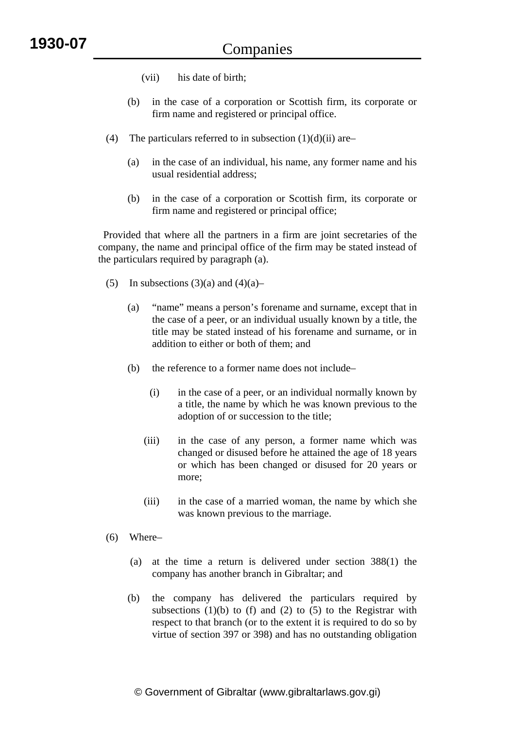- (vii) his date of birth;
- (b) in the case of a corporation or Scottish firm, its corporate or firm name and registered or principal office.
- (4) The particulars referred to in subsection  $(1)(d)(ii)$  are–
	- (a) in the case of an individual, his name, any former name and his usual residential address;
	- (b) in the case of a corporation or Scottish firm, its corporate or firm name and registered or principal office;

 Provided that where all the partners in a firm are joint secretaries of the company, the name and principal office of the firm may be stated instead of the particulars required by paragraph (a).

- (5) In subsections  $(3)(a)$  and  $(4)(a)$ 
	- (a) "name" means a person's forename and surname, except that in the case of a peer, or an individual usually known by a title, the title may be stated instead of his forename and surname, or in addition to either or both of them; and
	- (b) the reference to a former name does not include–
		- (i) in the case of a peer, or an individual normally known by a title, the name by which he was known previous to the adoption of or succession to the title;
		- (iii) in the case of any person, a former name which was changed or disused before he attained the age of 18 years or which has been changed or disused for 20 years or more;
		- (iii) in the case of a married woman, the name by which she was known previous to the marriage.
- (6) Where–
	- (a) at the time a return is delivered under section 388(1) the company has another branch in Gibraltar; and
	- (b) the company has delivered the particulars required by subsections  $(1)(b)$  to  $(f)$  and  $(2)$  to  $(5)$  to the Registrar with respect to that branch (or to the extent it is required to do so by virtue of section 397 or 398) and has no outstanding obligation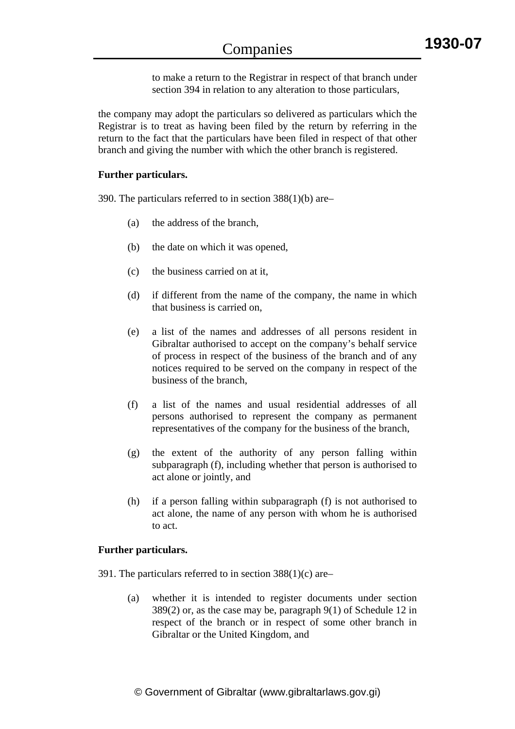to make a return to the Registrar in respect of that branch under section 394 in relation to any alteration to those particulars,

the company may adopt the particulars so delivered as particulars which the Registrar is to treat as having been filed by the return by referring in the return to the fact that the particulars have been filed in respect of that other branch and giving the number with which the other branch is registered.

#### **Further particulars.**

390. The particulars referred to in section 388(1)(b) are–

- (a) the address of the branch,
- (b) the date on which it was opened,
- (c) the business carried on at it,
- (d) if different from the name of the company, the name in which that business is carried on,
- (e) a list of the names and addresses of all persons resident in Gibraltar authorised to accept on the company's behalf service of process in respect of the business of the branch and of any notices required to be served on the company in respect of the business of the branch,
- (f) a list of the names and usual residential addresses of all persons authorised to represent the company as permanent representatives of the company for the business of the branch,
- (g) the extent of the authority of any person falling within subparagraph (f), including whether that person is authorised to act alone or jointly, and
- (h) if a person falling within subparagraph (f) is not authorised to act alone, the name of any person with whom he is authorised to act.

#### **Further particulars.**

391. The particulars referred to in section 388(1)(c) are–

(a) whether it is intended to register documents under section 389(2) or, as the case may be, paragraph 9(1) of Schedule 12 in respect of the branch or in respect of some other branch in Gibraltar or the United Kingdom, and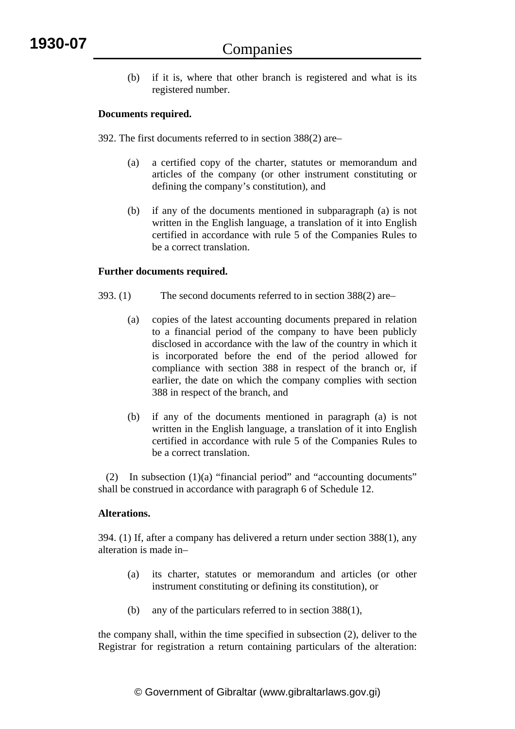(b) if it is, where that other branch is registered and what is its registered number.

### **Documents required.**

392. The first documents referred to in section 388(2) are–

- (a) a certified copy of the charter, statutes or memorandum and articles of the company (or other instrument constituting or defining the company's constitution), and
- (b) if any of the documents mentioned in subparagraph (a) is not written in the English language, a translation of it into English certified in accordance with rule 5 of the Companies Rules to be a correct translation.

### **Further documents required.**

- 393. (1) The second documents referred to in section 388(2) are–
	- (a) copies of the latest accounting documents prepared in relation to a financial period of the company to have been publicly disclosed in accordance with the law of the country in which it is incorporated before the end of the period allowed for compliance with section 388 in respect of the branch or, if earlier, the date on which the company complies with section 388 in respect of the branch, and
	- (b) if any of the documents mentioned in paragraph (a) is not written in the English language, a translation of it into English certified in accordance with rule 5 of the Companies Rules to be a correct translation.

 (2) In subsection (1)(a) "financial period" and "accounting documents" shall be construed in accordance with paragraph 6 of Schedule 12.

#### **Alterations.**

394. (1) If, after a company has delivered a return under section 388(1), any alteration is made in–

- (a) its charter, statutes or memorandum and articles (or other instrument constituting or defining its constitution), or
- (b) any of the particulars referred to in section 388(1),

the company shall, within the time specified in subsection (2), deliver to the Registrar for registration a return containing particulars of the alteration: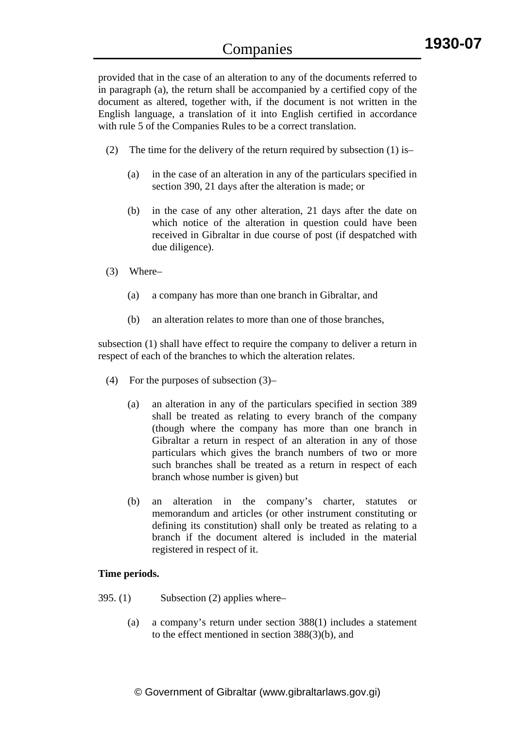provided that in the case of an alteration to any of the documents referred to in paragraph (a), the return shall be accompanied by a certified copy of the document as altered, together with, if the document is not written in the English language, a translation of it into English certified in accordance with rule 5 of the Companies Rules to be a correct translation.

- (2) The time for the delivery of the return required by subsection (1) is–
	- (a) in the case of an alteration in any of the particulars specified in section 390, 21 days after the alteration is made; or
	- (b) in the case of any other alteration, 21 days after the date on which notice of the alteration in question could have been received in Gibraltar in due course of post (if despatched with due diligence).
- (3) Where–
	- (a) a company has more than one branch in Gibraltar, and
	- (b) an alteration relates to more than one of those branches,

subsection (1) shall have effect to require the company to deliver a return in respect of each of the branches to which the alteration relates.

- (4) For the purposes of subsection (3)–
	- (a) an alteration in any of the particulars specified in section 389 shall be treated as relating to every branch of the company (though where the company has more than one branch in Gibraltar a return in respect of an alteration in any of those particulars which gives the branch numbers of two or more such branches shall be treated as a return in respect of each branch whose number is given) but
	- (b) an alteration in the company's charter, statutes or memorandum and articles (or other instrument constituting or defining its constitution) shall only be treated as relating to a branch if the document altered is included in the material registered in respect of it.

#### **Time periods.**

- 395. (1) Subsection (2) applies where–
	- (a) a company's return under section 388(1) includes a statement to the effect mentioned in section 388(3)(b), and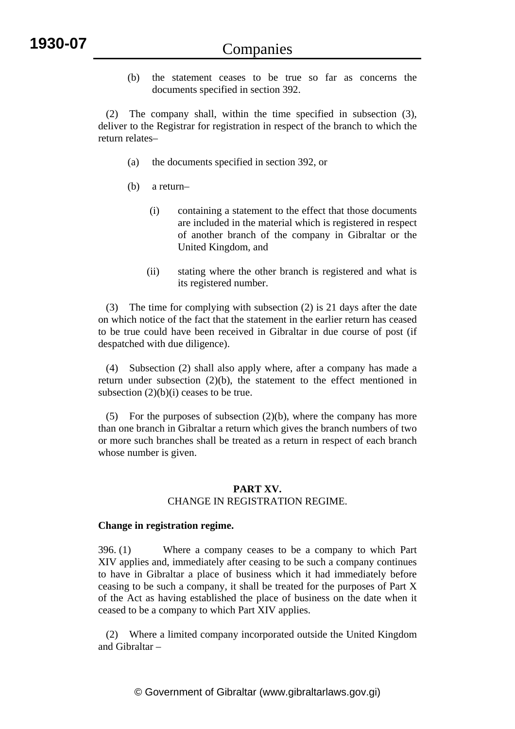(b) the statement ceases to be true so far as concerns the documents specified in section 392.

 (2) The company shall, within the time specified in subsection (3), deliver to the Registrar for registration in respect of the branch to which the return relates–

- (a) the documents specified in section 392, or
- (b) a return–
	- (i) containing a statement to the effect that those documents are included in the material which is registered in respect of another branch of the company in Gibraltar or the United Kingdom, and
	- (ii) stating where the other branch is registered and what is its registered number.

 (3) The time for complying with subsection (2) is 21 days after the date on which notice of the fact that the statement in the earlier return has ceased to be true could have been received in Gibraltar in due course of post (if despatched with due diligence).

 (4) Subsection (2) shall also apply where, after a company has made a return under subsection (2)(b), the statement to the effect mentioned in subsection  $(2)(b)(i)$  ceases to be true.

(5) For the purposes of subsection  $(2)(b)$ , where the company has more than one branch in Gibraltar a return which gives the branch numbers of two or more such branches shall be treated as a return in respect of each branch whose number is given.

#### **PART XV.**  CHANGE IN REGISTRATION REGIME.

# **Change in registration regime.**

396. (1) Where a company ceases to be a company to which Part XIV applies and, immediately after ceasing to be such a company continues to have in Gibraltar a place of business which it had immediately before ceasing to be such a company, it shall be treated for the purposes of Part X of the Act as having established the place of business on the date when it ceased to be a company to which Part XIV applies.

 (2) Where a limited company incorporated outside the United Kingdom and Gibraltar –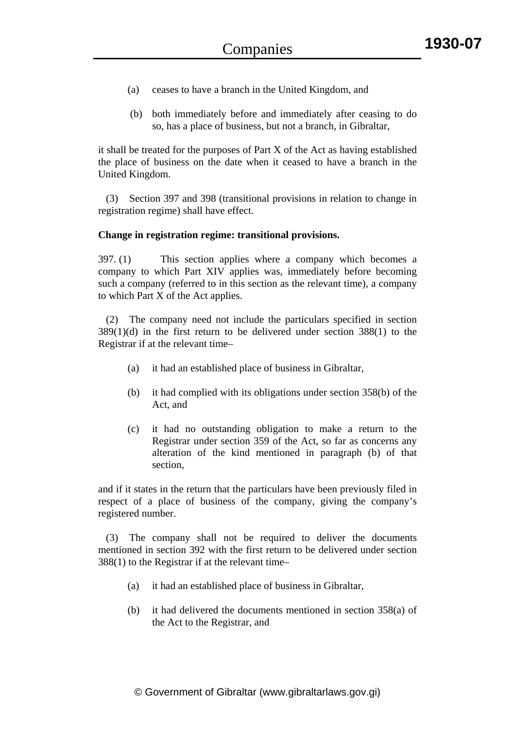- (a) ceases to have a branch in the United Kingdom, and
- (b) both immediately before and immediately after ceasing to do so, has a place of business, but not a branch, in Gibraltar,

it shall be treated for the purposes of Part X of the Act as having established the place of business on the date when it ceased to have a branch in the United Kingdom.

 (3) Section 397 and 398 (transitional provisions in relation to change in registration regime) shall have effect.

#### **Change in registration regime: transitional provisions.**

397. (1) This section applies where a company which becomes a company to which Part XIV applies was, immediately before becoming such a company (referred to in this section as the relevant time), a company to which Part X of the Act applies.

 (2) The company need not include the particulars specified in section  $389(1)(d)$  in the first return to be delivered under section  $388(1)$  to the Registrar if at the relevant time–

- (a) it had an established place of business in Gibraltar,
- (b) it had complied with its obligations under section 358(b) of the Act, and
- (c) it had no outstanding obligation to make a return to the Registrar under section 359 of the Act, so far as concerns any alteration of the kind mentioned in paragraph (b) of that section,

and if it states in the return that the particulars have been previously filed in respect of a place of business of the company, giving the company's registered number.

 (3) The company shall not be required to deliver the documents mentioned in section 392 with the first return to be delivered under section 388(1) to the Registrar if at the relevant time–

- (a) it had an established place of business in Gibraltar,
- (b) it had delivered the documents mentioned in section 358(a) of the Act to the Registrar, and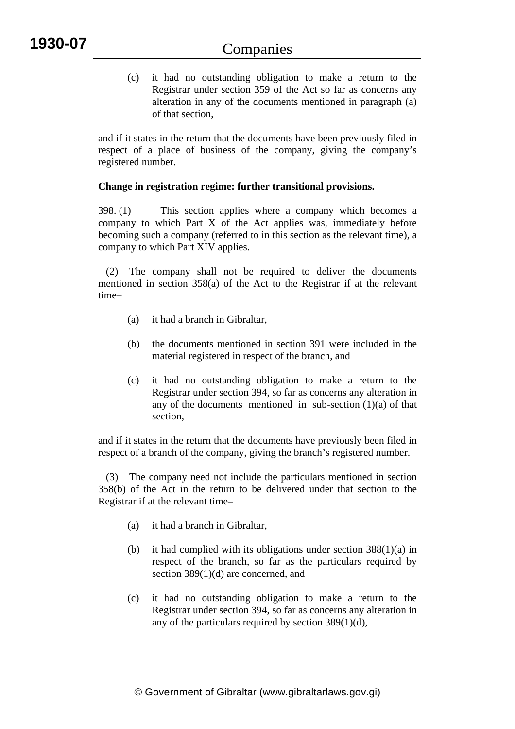(c) it had no outstanding obligation to make a return to the Registrar under section 359 of the Act so far as concerns any alteration in any of the documents mentioned in paragraph (a) of that section,

and if it states in the return that the documents have been previously filed in respect of a place of business of the company, giving the company's registered number.

### **Change in registration regime: further transitional provisions.**

398. (1) This section applies where a company which becomes a company to which Part X of the Act applies was, immediately before becoming such a company (referred to in this section as the relevant time), a company to which Part XIV applies.

 (2) The company shall not be required to deliver the documents mentioned in section 358(a) of the Act to the Registrar if at the relevant time–

- (a) it had a branch in Gibraltar,
- (b) the documents mentioned in section 391 were included in the material registered in respect of the branch, and
- (c) it had no outstanding obligation to make a return to the Registrar under section 394, so far as concerns any alteration in any of the documents mentioned in sub-section  $(1)(a)$  of that section,

and if it states in the return that the documents have previously been filed in respect of a branch of the company, giving the branch's registered number.

 (3) The company need not include the particulars mentioned in section 358(b) of the Act in the return to be delivered under that section to the Registrar if at the relevant time–

- (a) it had a branch in Gibraltar,
- (b) it had complied with its obligations under section 388(1)(a) in respect of the branch, so far as the particulars required by section 389(1)(d) are concerned, and
- (c) it had no outstanding obligation to make a return to the Registrar under section 394, so far as concerns any alteration in any of the particulars required by section 389(1)(d),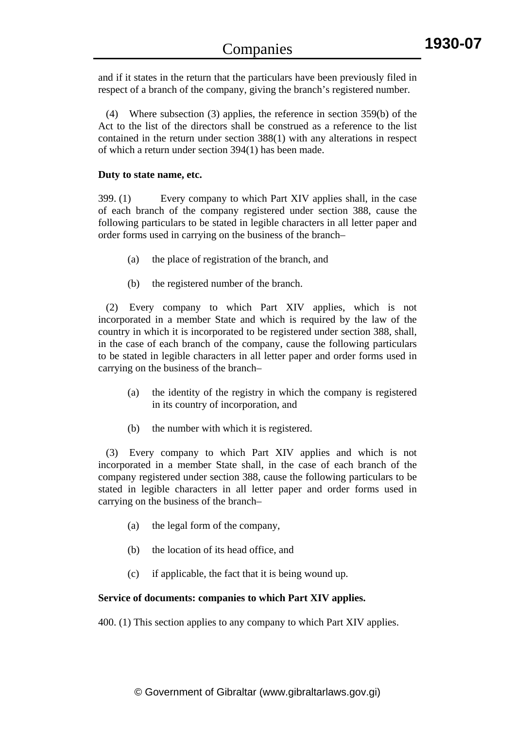and if it states in the return that the particulars have been previously filed in respect of a branch of the company, giving the branch's registered number.

Where subsection  $(3)$  applies, the reference in section 359(b) of the Act to the list of the directors shall be construed as a reference to the list contained in the return under section 388(1) with any alterations in respect of which a return under section 394(1) has been made.

#### **Duty to state name, etc.**

399. (1) Every company to which Part XIV applies shall, in the case of each branch of the company registered under section 388, cause the following particulars to be stated in legible characters in all letter paper and order forms used in carrying on the business of the branch–

- (a) the place of registration of the branch, and
- (b) the registered number of the branch.

 (2) Every company to which Part XIV applies, which is not incorporated in a member State and which is required by the law of the country in which it is incorporated to be registered under section 388, shall, in the case of each branch of the company, cause the following particulars to be stated in legible characters in all letter paper and order forms used in carrying on the business of the branch–

- (a) the identity of the registry in which the company is registered in its country of incorporation, and
- (b) the number with which it is registered.

 (3) Every company to which Part XIV applies and which is not incorporated in a member State shall, in the case of each branch of the company registered under section 388, cause the following particulars to be stated in legible characters in all letter paper and order forms used in carrying on the business of the branch–

- (a) the legal form of the company,
- (b) the location of its head office, and
- (c) if applicable, the fact that it is being wound up.

#### **Service of documents: companies to which Part XIV applies.**

400. (1) This section applies to any company to which Part XIV applies.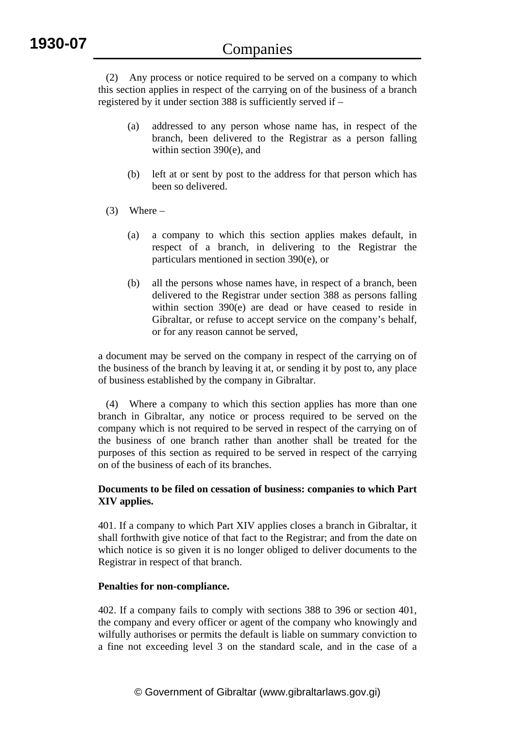(2) Any process or notice required to be served on a company to which this section applies in respect of the carrying on of the business of a branch registered by it under section 388 is sufficiently served if –

- (a) addressed to any person whose name has, in respect of the branch, been delivered to the Registrar as a person falling within section 390(e), and
- (b) left at or sent by post to the address for that person which has been so delivered.
- $(3)$  Where
	- (a) a company to which this section applies makes default, in respect of a branch, in delivering to the Registrar the particulars mentioned in section 390(e), or
	- (b) all the persons whose names have, in respect of a branch, been delivered to the Registrar under section 388 as persons falling within section 390(e) are dead or have ceased to reside in Gibraltar, or refuse to accept service on the company's behalf, or for any reason cannot be served,

a document may be served on the company in respect of the carrying on of the business of the branch by leaving it at, or sending it by post to, any place of business established by the company in Gibraltar.

 (4) Where a company to which this section applies has more than one branch in Gibraltar, any notice or process required to be served on the company which is not required to be served in respect of the carrying on of the business of one branch rather than another shall be treated for the purposes of this section as required to be served in respect of the carrying on of the business of each of its branches.

### **Documents to be filed on cessation of business: companies to which Part XIV applies.**

401. If a company to which Part XIV applies closes a branch in Gibraltar, it shall forthwith give notice of that fact to the Registrar; and from the date on which notice is so given it is no longer obliged to deliver documents to the Registrar in respect of that branch.

#### **Penalties for non-compliance.**

402. If a company fails to comply with sections 388 to 396 or section 401, the company and every officer or agent of the company who knowingly and wilfully authorises or permits the default is liable on summary conviction to a fine not exceeding level 3 on the standard scale, and in the case of a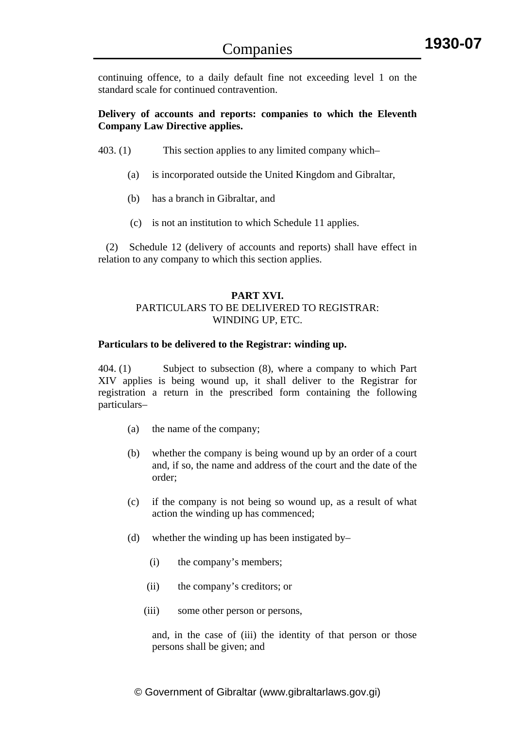continuing offence, to a daily default fine not exceeding level 1 on the standard scale for continued contravention.

# **Delivery of accounts and reports: companies to which the Eleventh Company Law Directive applies.**

- 403. (1) This section applies to any limited company which–
	- (a) is incorporated outside the United Kingdom and Gibraltar,
	- (b) has a branch in Gibraltar, and
	- (c) is not an institution to which Schedule 11 applies.

 (2) Schedule 12 (delivery of accounts and reports) shall have effect in relation to any company to which this section applies.

# **PART XVI.**  PARTICULARS TO BE DELIVERED TO REGISTRAR: WINDING UP, ETC.

### **Particulars to be delivered to the Registrar: winding up.**

404. (1) Subject to subsection (8), where a company to which Part XIV applies is being wound up, it shall deliver to the Registrar for registration a return in the prescribed form containing the following particulars–

- (a) the name of the company;
- (b) whether the company is being wound up by an order of a court and, if so, the name and address of the court and the date of the order;
- (c) if the company is not being so wound up, as a result of what action the winding up has commenced;
- (d) whether the winding up has been instigated by–
	- (i) the company's members;
	- (ii) the company's creditors; or
	- (iii) some other person or persons,

 and, in the case of (iii) the identity of that person or those persons shall be given; and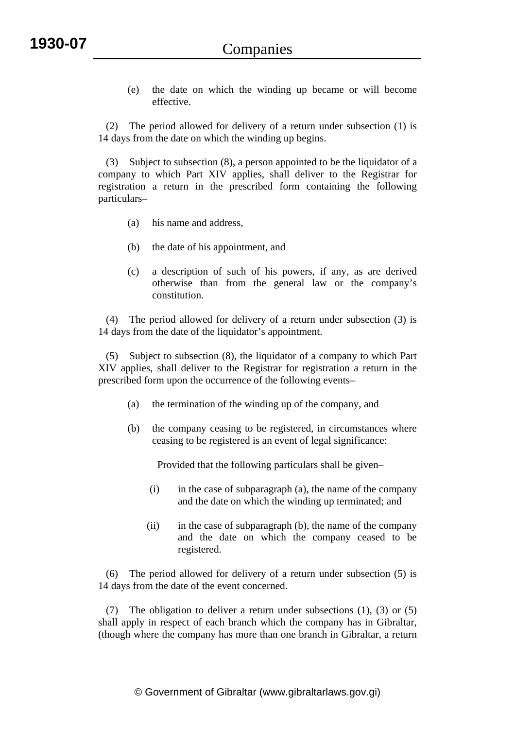(e) the date on which the winding up became or will become effective.

 (2) The period allowed for delivery of a return under subsection (1) is 14 days from the date on which the winding up begins.

 (3) Subject to subsection (8), a person appointed to be the liquidator of a company to which Part XIV applies, shall deliver to the Registrar for registration a return in the prescribed form containing the following particulars–

- (a) his name and address,
- (b) the date of his appointment, and
- (c) a description of such of his powers, if any, as are derived otherwise than from the general law or the company's constitution.

 (4) The period allowed for delivery of a return under subsection (3) is 14 days from the date of the liquidator's appointment.

 (5) Subject to subsection (8), the liquidator of a company to which Part XIV applies, shall deliver to the Registrar for registration a return in the prescribed form upon the occurrence of the following events–

- (a) the termination of the winding up of the company, and
- (b) the company ceasing to be registered, in circumstances where ceasing to be registered is an event of legal significance:

Provided that the following particulars shall be given–

- (i) in the case of subparagraph (a), the name of the company and the date on which the winding up terminated; and
- (ii) in the case of subparagraph (b), the name of the company and the date on which the company ceased to be registered.

 (6) The period allowed for delivery of a return under subsection (5) is 14 days from the date of the event concerned.

 (7) The obligation to deliver a return under subsections (1), (3) or (5) shall apply in respect of each branch which the company has in Gibraltar, (though where the company has more than one branch in Gibraltar, a return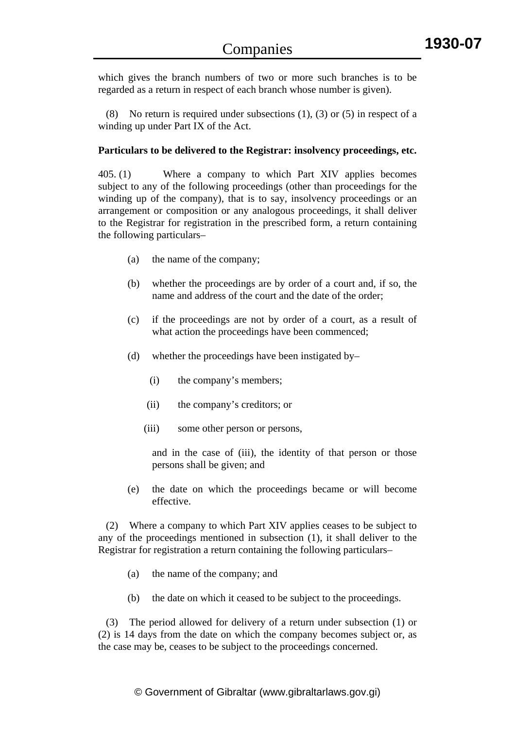which gives the branch numbers of two or more such branches is to be regarded as a return in respect of each branch whose number is given).

No return is required under subsections  $(1)$ ,  $(3)$  or  $(5)$  in respect of a winding up under Part IX of the Act.

#### **Particulars to be delivered to the Registrar: insolvency proceedings, etc.**

405. (1) Where a company to which Part XIV applies becomes subject to any of the following proceedings (other than proceedings for the winding up of the company), that is to say, insolvency proceedings or an arrangement or composition or any analogous proceedings, it shall deliver to the Registrar for registration in the prescribed form, a return containing the following particulars–

- (a) the name of the company;
- (b) whether the proceedings are by order of a court and, if so, the name and address of the court and the date of the order;
- (c) if the proceedings are not by order of a court, as a result of what action the proceedings have been commenced;
- (d) whether the proceedings have been instigated by–
	- (i) the company's members;
	- (ii) the company's creditors; or
	- (iii) some other person or persons,

 and in the case of (iii), the identity of that person or those persons shall be given; and

(e) the date on which the proceedings became or will become effective.

 (2) Where a company to which Part XIV applies ceases to be subject to any of the proceedings mentioned in subsection (1), it shall deliver to the Registrar for registration a return containing the following particulars–

- (a) the name of the company; and
- (b) the date on which it ceased to be subject to the proceedings.

 (3) The period allowed for delivery of a return under subsection (1) or (2) is 14 days from the date on which the company becomes subject or, as the case may be, ceases to be subject to the proceedings concerned.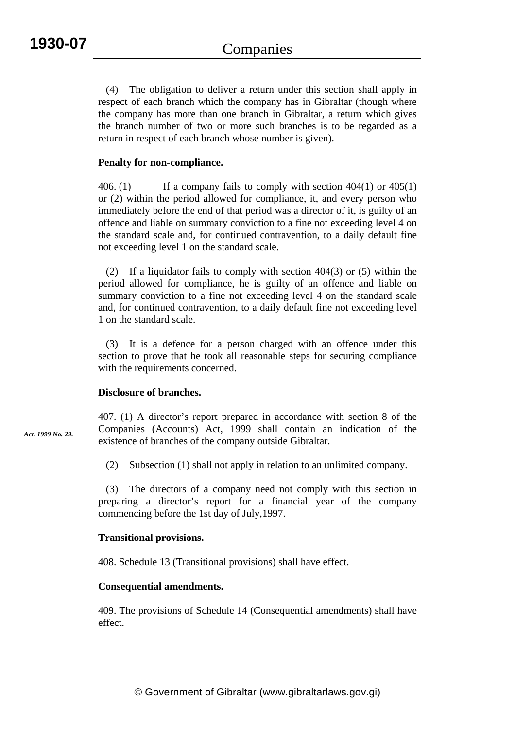(4) The obligation to deliver a return under this section shall apply in respect of each branch which the company has in Gibraltar (though where the company has more than one branch in Gibraltar, a return which gives the branch number of two or more such branches is to be regarded as a return in respect of each branch whose number is given).

### **Penalty for non-compliance.**

406. (1) If a company fails to comply with section  $404(1)$  or  $405(1)$ or (2) within the period allowed for compliance, it, and every person who immediately before the end of that period was a director of it, is guilty of an offence and liable on summary conviction to a fine not exceeding level 4 on the standard scale and, for continued contravention, to a daily default fine not exceeding level 1 on the standard scale.

 (2) If a liquidator fails to comply with section 404(3) or (5) within the period allowed for compliance, he is guilty of an offence and liable on summary conviction to a fine not exceeding level 4 on the standard scale and, for continued contravention, to a daily default fine not exceeding level 1 on the standard scale.

 (3) It is a defence for a person charged with an offence under this section to prove that he took all reasonable steps for securing compliance with the requirements concerned.

#### **Disclosure of branches.**

407. (1) A director's report prepared in accordance with section 8 of the Companies (Accounts) Act, 1999 shall contain an indication of the existence of branches of the company outside Gibraltar. *Act. 1999 No. 29.*

(2) Subsection (1) shall not apply in relation to an unlimited company.

 (3) The directors of a company need not comply with this section in preparing a director's report for a financial year of the company commencing before the 1st day of July,1997.

#### **Transitional provisions.**

408. Schedule 13 (Transitional provisions) shall have effect.

#### **Consequential amendments.**

409. The provisions of Schedule 14 (Consequential amendments) shall have effect.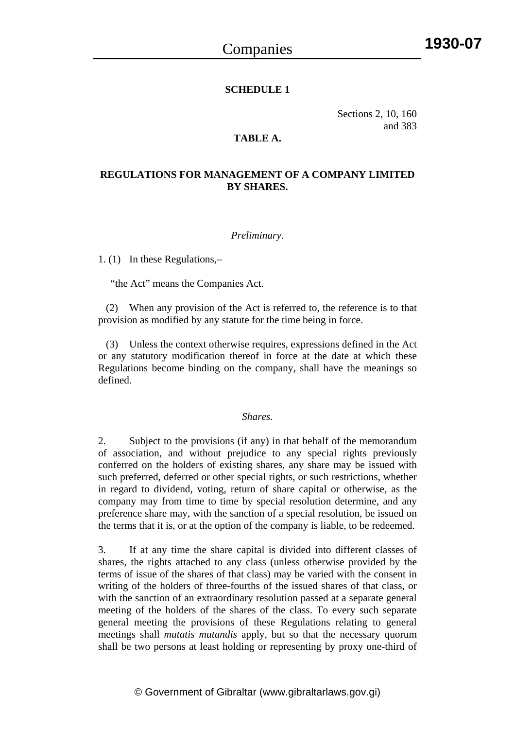### **SCHEDULE 1**

Sections 2, 10, 160 and 383

# **TABLE A.**

#### **REGULATIONS FOR MANAGEMENT OF A COMPANY LIMITED BY SHARES.**

#### *Preliminary.*

1. (1) In these Regulations,–

"the Act" means the Companies Act.

 (2) When any provision of the Act is referred to, the reference is to that provision as modified by any statute for the time being in force.

 (3) Unless the context otherwise requires, expressions defined in the Act or any statutory modification thereof in force at the date at which these Regulations become binding on the company, shall have the meanings so defined.

#### *Shares.*

2. Subject to the provisions (if any) in that behalf of the memorandum of association, and without prejudice to any special rights previously conferred on the holders of existing shares, any share may be issued with such preferred, deferred or other special rights, or such restrictions, whether in regard to dividend, voting, return of share capital or otherwise, as the company may from time to time by special resolution determine, and any preference share may, with the sanction of a special resolution, be issued on the terms that it is, or at the option of the company is liable, to be redeemed.

3. If at any time the share capital is divided into different classes of shares, the rights attached to any class (unless otherwise provided by the terms of issue of the shares of that class) may be varied with the consent in writing of the holders of three-fourths of the issued shares of that class, or with the sanction of an extraordinary resolution passed at a separate general meeting of the holders of the shares of the class. To every such separate general meeting the provisions of these Regulations relating to general meetings shall *mutatis mutandis* apply, but so that the necessary quorum shall be two persons at least holding or representing by proxy one-third of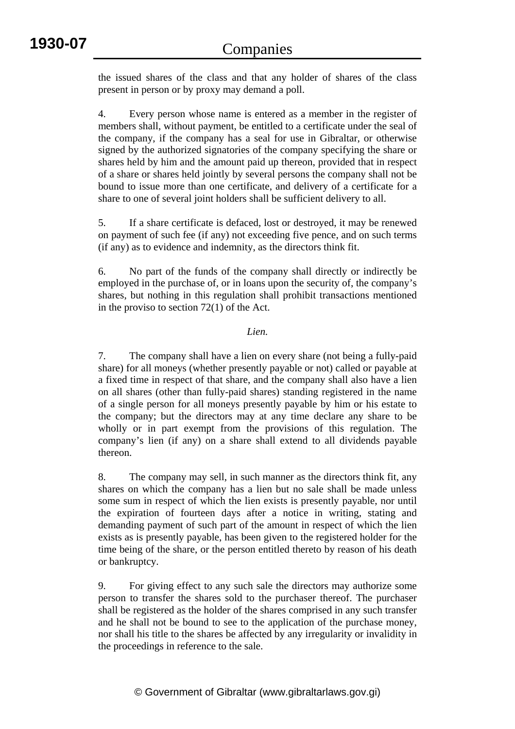the issued shares of the class and that any holder of shares of the class present in person or by proxy may demand a poll.

4. Every person whose name is entered as a member in the register of members shall, without payment, be entitled to a certificate under the seal of the company, if the company has a seal for use in Gibraltar, or otherwise signed by the authorized signatories of the company specifying the share or shares held by him and the amount paid up thereon, provided that in respect of a share or shares held jointly by several persons the company shall not be bound to issue more than one certificate, and delivery of a certificate for a share to one of several joint holders shall be sufficient delivery to all.

5. If a share certificate is defaced, lost or destroyed, it may be renewed on payment of such fee (if any) not exceeding five pence, and on such terms (if any) as to evidence and indemnity, as the directors think fit.

6. No part of the funds of the company shall directly or indirectly be employed in the purchase of, or in loans upon the security of, the company's shares, but nothing in this regulation shall prohibit transactions mentioned in the proviso to section 72(1) of the Act.

# *Lien.*

7. The company shall have a lien on every share (not being a fully-paid share) for all moneys (whether presently payable or not) called or payable at a fixed time in respect of that share, and the company shall also have a lien on all shares (other than fully-paid shares) standing registered in the name of a single person for all moneys presently payable by him or his estate to the company; but the directors may at any time declare any share to be wholly or in part exempt from the provisions of this regulation. The company's lien (if any) on a share shall extend to all dividends payable thereon.

8. The company may sell, in such manner as the directors think fit, any shares on which the company has a lien but no sale shall be made unless some sum in respect of which the lien exists is presently payable, nor until the expiration of fourteen days after a notice in writing, stating and demanding payment of such part of the amount in respect of which the lien exists as is presently payable, has been given to the registered holder for the time being of the share, or the person entitled thereto by reason of his death or bankruptcy.

9. For giving effect to any such sale the directors may authorize some person to transfer the shares sold to the purchaser thereof. The purchaser shall be registered as the holder of the shares comprised in any such transfer and he shall not be bound to see to the application of the purchase money, nor shall his title to the shares be affected by any irregularity or invalidity in the proceedings in reference to the sale.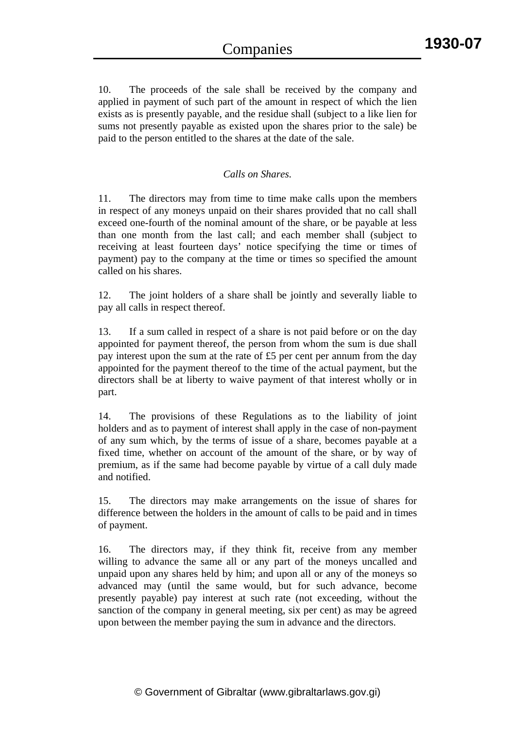10. The proceeds of the sale shall be received by the company and applied in payment of such part of the amount in respect of which the lien exists as is presently payable, and the residue shall (subject to a like lien for sums not presently payable as existed upon the shares prior to the sale) be paid to the person entitled to the shares at the date of the sale.

#### *Calls on Shares.*

11. The directors may from time to time make calls upon the members in respect of any moneys unpaid on their shares provided that no call shall exceed one-fourth of the nominal amount of the share, or be payable at less than one month from the last call; and each member shall (subject to receiving at least fourteen days' notice specifying the time or times of payment) pay to the company at the time or times so specified the amount called on his shares.

12. The joint holders of a share shall be jointly and severally liable to pay all calls in respect thereof.

13. If a sum called in respect of a share is not paid before or on the day appointed for payment thereof, the person from whom the sum is due shall pay interest upon the sum at the rate of £5 per cent per annum from the day appointed for the payment thereof to the time of the actual payment, but the directors shall be at liberty to waive payment of that interest wholly or in part.

14. The provisions of these Regulations as to the liability of joint holders and as to payment of interest shall apply in the case of non-payment of any sum which, by the terms of issue of a share, becomes payable at a fixed time, whether on account of the amount of the share, or by way of premium, as if the same had become payable by virtue of a call duly made and notified.

15. The directors may make arrangements on the issue of shares for difference between the holders in the amount of calls to be paid and in times of payment.

16. The directors may, if they think fit, receive from any member willing to advance the same all or any part of the moneys uncalled and unpaid upon any shares held by him; and upon all or any of the moneys so advanced may (until the same would, but for such advance, become presently payable) pay interest at such rate (not exceeding, without the sanction of the company in general meeting, six per cent) as may be agreed upon between the member paying the sum in advance and the directors.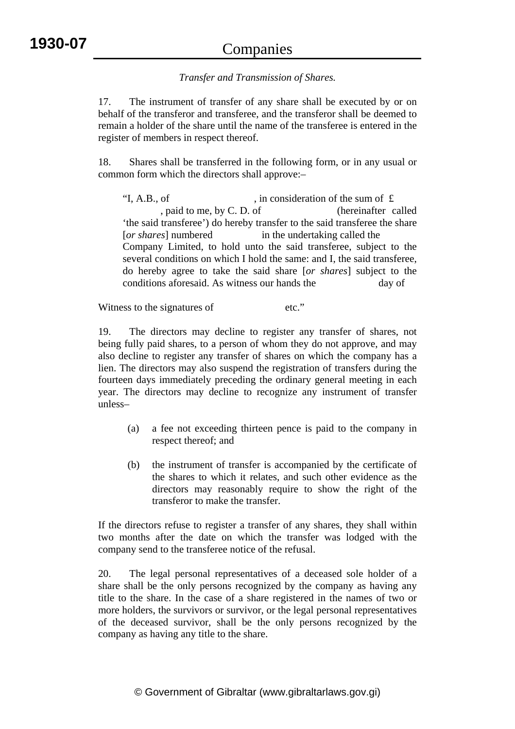# Companies

# *Transfer and Transmission of Shares.*

17. The instrument of transfer of any share shall be executed by or on behalf of the transferor and transferee, and the transferor shall be deemed to remain a holder of the share until the name of the transferee is entered in the register of members in respect thereof.

18. Shares shall be transferred in the following form, or in any usual or common form which the directors shall approve:–

"I, A.B., of , in consideration of the sum of  $\angle$  , paid to me, by C. D. of (hereinafter called 'the said transferee') do hereby transfer to the said transferee the share [*or shares*] numbered in the undertaking called the Company Limited, to hold unto the said transferee, subject to the several conditions on which I hold the same: and I, the said transferee, do hereby agree to take the said share [*or shares*] subject to the conditions aforesaid. As witness our hands the day of

Witness to the signatures of etc."

19. The directors may decline to register any transfer of shares, not being fully paid shares, to a person of whom they do not approve, and may also decline to register any transfer of shares on which the company has a lien. The directors may also suspend the registration of transfers during the fourteen days immediately preceding the ordinary general meeting in each year. The directors may decline to recognize any instrument of transfer unless–

- (a) a fee not exceeding thirteen pence is paid to the company in respect thereof; and
- (b) the instrument of transfer is accompanied by the certificate of the shares to which it relates, and such other evidence as the directors may reasonably require to show the right of the transferor to make the transfer.

If the directors refuse to register a transfer of any shares, they shall within two months after the date on which the transfer was lodged with the company send to the transferee notice of the refusal.

20. The legal personal representatives of a deceased sole holder of a share shall be the only persons recognized by the company as having any title to the share. In the case of a share registered in the names of two or more holders, the survivors or survivor, or the legal personal representatives of the deceased survivor, shall be the only persons recognized by the company as having any title to the share.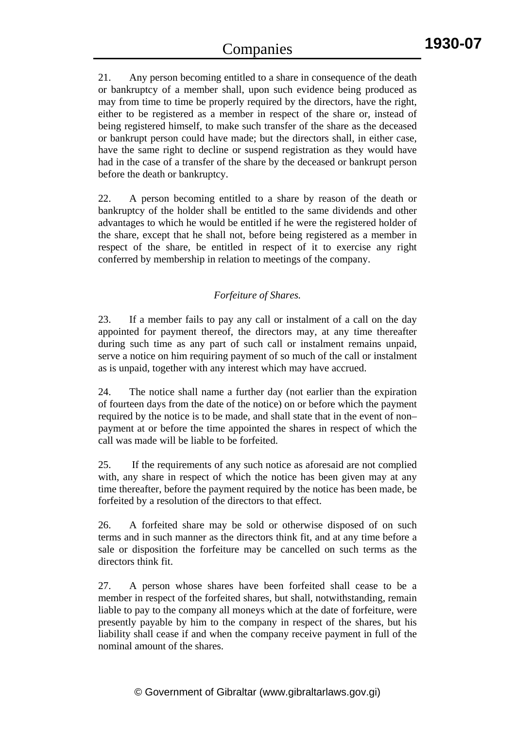21. Any person becoming entitled to a share in consequence of the death or bankruptcy of a member shall, upon such evidence being produced as may from time to time be properly required by the directors, have the right, either to be registered as a member in respect of the share or, instead of being registered himself, to make such transfer of the share as the deceased or bankrupt person could have made; but the directors shall, in either case, have the same right to decline or suspend registration as they would have had in the case of a transfer of the share by the deceased or bankrupt person before the death or bankruptcy.

22. A person becoming entitled to a share by reason of the death or bankruptcy of the holder shall be entitled to the same dividends and other advantages to which he would be entitled if he were the registered holder of the share, except that he shall not, before being registered as a member in respect of the share, be entitled in respect of it to exercise any right conferred by membership in relation to meetings of the company.

# *Forfeiture of Shares.*

23. If a member fails to pay any call or instalment of a call on the day appointed for payment thereof, the directors may, at any time thereafter during such time as any part of such call or instalment remains unpaid, serve a notice on him requiring payment of so much of the call or instalment as is unpaid, together with any interest which may have accrued.

24. The notice shall name a further day (not earlier than the expiration of fourteen days from the date of the notice) on or before which the payment required by the notice is to be made, and shall state that in the event of non– payment at or before the time appointed the shares in respect of which the call was made will be liable to be forfeited.

25. If the requirements of any such notice as aforesaid are not complied with, any share in respect of which the notice has been given may at any time thereafter, before the payment required by the notice has been made, be forfeited by a resolution of the directors to that effect.

26. A forfeited share may be sold or otherwise disposed of on such terms and in such manner as the directors think fit, and at any time before a sale or disposition the forfeiture may be cancelled on such terms as the directors think fit.

27. A person whose shares have been forfeited shall cease to be a member in respect of the forfeited shares, but shall, notwithstanding, remain liable to pay to the company all moneys which at the date of forfeiture, were presently payable by him to the company in respect of the shares, but his liability shall cease if and when the company receive payment in full of the nominal amount of the shares.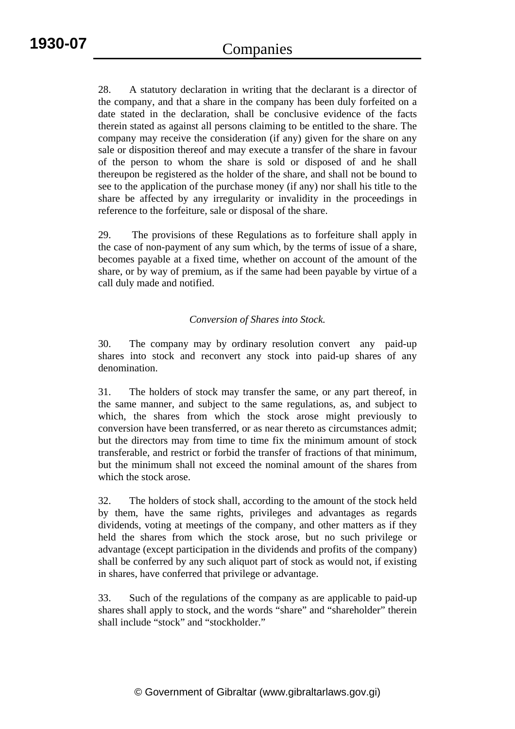28. A statutory declaration in writing that the declarant is a director of the company, and that a share in the company has been duly forfeited on a date stated in the declaration, shall be conclusive evidence of the facts therein stated as against all persons claiming to be entitled to the share. The company may receive the consideration (if any) given for the share on any sale or disposition thereof and may execute a transfer of the share in favour of the person to whom the share is sold or disposed of and he shall thereupon be registered as the holder of the share, and shall not be bound to see to the application of the purchase money (if any) nor shall his title to the share be affected by any irregularity or invalidity in the proceedings in reference to the forfeiture, sale or disposal of the share.

29. The provisions of these Regulations as to forfeiture shall apply in the case of non-payment of any sum which, by the terms of issue of a share, becomes payable at a fixed time, whether on account of the amount of the share, or by way of premium, as if the same had been payable by virtue of a call duly made and notified.

# *Conversion of Shares into Stock.*

30. The company may by ordinary resolution convert any paid-up shares into stock and reconvert any stock into paid-up shares of any denomination.

31. The holders of stock may transfer the same, or any part thereof, in the same manner, and subject to the same regulations, as, and subject to which, the shares from which the stock arose might previously to conversion have been transferred, or as near thereto as circumstances admit; but the directors may from time to time fix the minimum amount of stock transferable, and restrict or forbid the transfer of fractions of that minimum, but the minimum shall not exceed the nominal amount of the shares from which the stock arose.

32. The holders of stock shall, according to the amount of the stock held by them, have the same rights, privileges and advantages as regards dividends, voting at meetings of the company, and other matters as if they held the shares from which the stock arose, but no such privilege or advantage (except participation in the dividends and profits of the company) shall be conferred by any such aliquot part of stock as would not, if existing in shares, have conferred that privilege or advantage.

33. Such of the regulations of the company as are applicable to paid-up shares shall apply to stock, and the words "share" and "shareholder" therein shall include "stock" and "stockholder."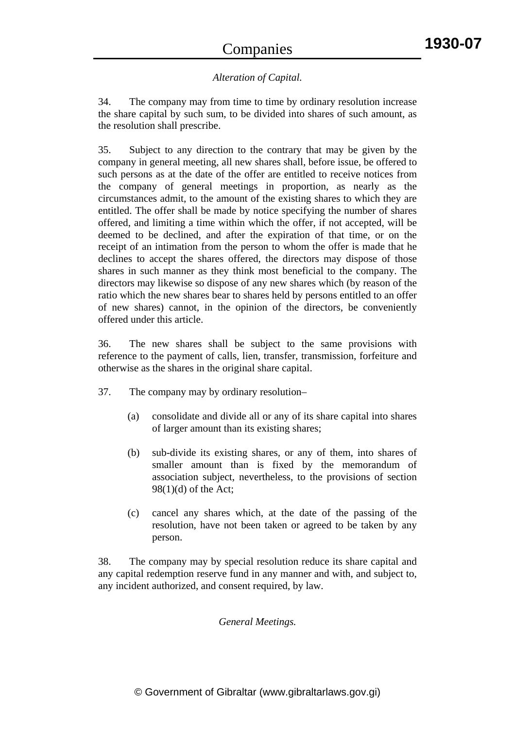# *Alteration of Capital.*

34. The company may from time to time by ordinary resolution increase the share capital by such sum, to be divided into shares of such amount, as the resolution shall prescribe.

35. Subject to any direction to the contrary that may be given by the company in general meeting, all new shares shall, before issue, be offered to such persons as at the date of the offer are entitled to receive notices from the company of general meetings in proportion, as nearly as the circumstances admit, to the amount of the existing shares to which they are entitled. The offer shall be made by notice specifying the number of shares offered, and limiting a time within which the offer, if not accepted, will be deemed to be declined, and after the expiration of that time, or on the receipt of an intimation from the person to whom the offer is made that he declines to accept the shares offered, the directors may dispose of those shares in such manner as they think most beneficial to the company. The directors may likewise so dispose of any new shares which (by reason of the ratio which the new shares bear to shares held by persons entitled to an offer of new shares) cannot, in the opinion of the directors, be conveniently offered under this article.

36. The new shares shall be subject to the same provisions with reference to the payment of calls, lien, transfer, transmission, forfeiture and otherwise as the shares in the original share capital.

- 37. The company may by ordinary resolution–
	- (a) consolidate and divide all or any of its share capital into shares of larger amount than its existing shares;
	- (b) sub-divide its existing shares, or any of them, into shares of smaller amount than is fixed by the memorandum of association subject, nevertheless, to the provisions of section 98(1)(d) of the Act;
	- (c) cancel any shares which, at the date of the passing of the resolution, have not been taken or agreed to be taken by any person.

38. The company may by special resolution reduce its share capital and any capital redemption reserve fund in any manner and with, and subject to, any incident authorized, and consent required, by law.

# *General Meetings.*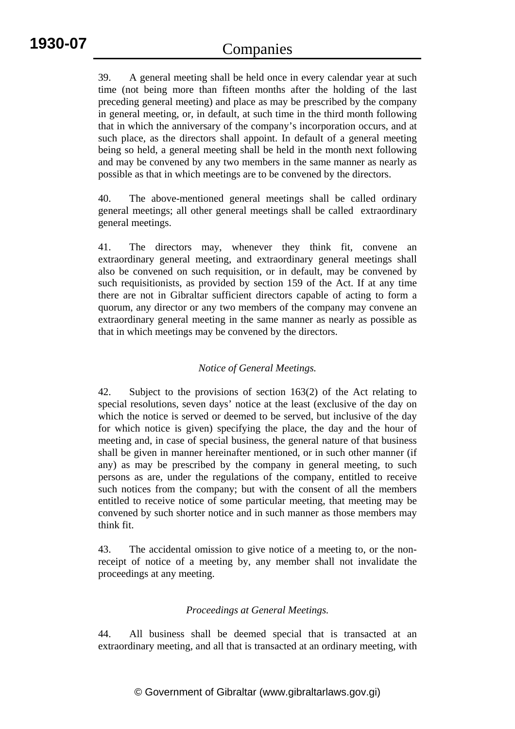39. A general meeting shall be held once in every calendar year at such time (not being more than fifteen months after the holding of the last preceding general meeting) and place as may be prescribed by the company in general meeting, or, in default, at such time in the third month following that in which the anniversary of the company's incorporation occurs, and at such place, as the directors shall appoint. In default of a general meeting being so held, a general meeting shall be held in the month next following and may be convened by any two members in the same manner as nearly as possible as that in which meetings are to be convened by the directors.

40. The above-mentioned general meetings shall be called ordinary general meetings; all other general meetings shall be called extraordinary general meetings.

41. The directors may, whenever they think fit, convene an extraordinary general meeting, and extraordinary general meetings shall also be convened on such requisition, or in default, may be convened by such requisitionists, as provided by section 159 of the Act. If at any time there are not in Gibraltar sufficient directors capable of acting to form a quorum, any director or any two members of the company may convene an extraordinary general meeting in the same manner as nearly as possible as that in which meetings may be convened by the directors.

# *Notice of General Meetings.*

42. Subject to the provisions of section 163(2) of the Act relating to special resolutions, seven days' notice at the least (exclusive of the day on which the notice is served or deemed to be served, but inclusive of the day for which notice is given) specifying the place, the day and the hour of meeting and, in case of special business, the general nature of that business shall be given in manner hereinafter mentioned, or in such other manner (if any) as may be prescribed by the company in general meeting, to such persons as are, under the regulations of the company, entitled to receive such notices from the company; but with the consent of all the members entitled to receive notice of some particular meeting, that meeting may be convened by such shorter notice and in such manner as those members may think fit.

43. The accidental omission to give notice of a meeting to, or the nonreceipt of notice of a meeting by, any member shall not invalidate the proceedings at any meeting.

# *Proceedings at General Meetings.*

44. All business shall be deemed special that is transacted at an extraordinary meeting, and all that is transacted at an ordinary meeting, with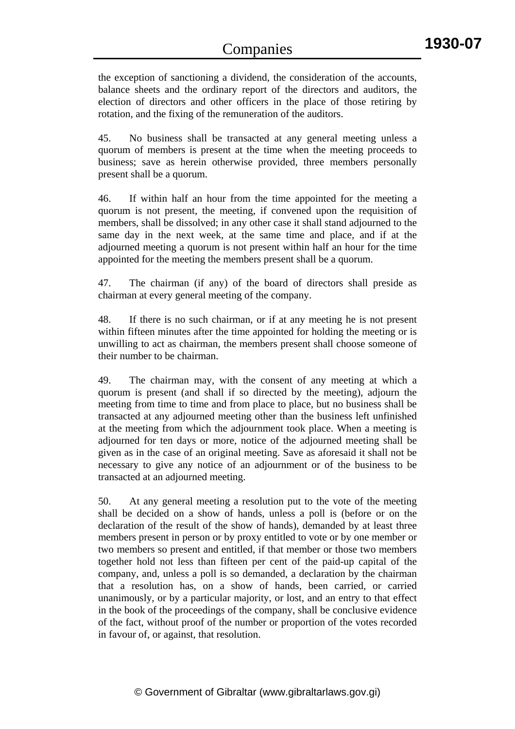the exception of sanctioning a dividend, the consideration of the accounts, balance sheets and the ordinary report of the directors and auditors, the election of directors and other officers in the place of those retiring by rotation, and the fixing of the remuneration of the auditors.

45. No business shall be transacted at any general meeting unless a quorum of members is present at the time when the meeting proceeds to business; save as herein otherwise provided, three members personally present shall be a quorum.

46. If within half an hour from the time appointed for the meeting a quorum is not present, the meeting, if convened upon the requisition of members, shall be dissolved; in any other case it shall stand adjourned to the same day in the next week, at the same time and place, and if at the adjourned meeting a quorum is not present within half an hour for the time appointed for the meeting the members present shall be a quorum.

47. The chairman (if any) of the board of directors shall preside as chairman at every general meeting of the company.

48. If there is no such chairman, or if at any meeting he is not present within fifteen minutes after the time appointed for holding the meeting or is unwilling to act as chairman, the members present shall choose someone of their number to be chairman.

49. The chairman may, with the consent of any meeting at which a quorum is present (and shall if so directed by the meeting), adjourn the meeting from time to time and from place to place, but no business shall be transacted at any adjourned meeting other than the business left unfinished at the meeting from which the adjournment took place. When a meeting is adjourned for ten days or more, notice of the adjourned meeting shall be given as in the case of an original meeting. Save as aforesaid it shall not be necessary to give any notice of an adjournment or of the business to be transacted at an adjourned meeting.

50. At any general meeting a resolution put to the vote of the meeting shall be decided on a show of hands, unless a poll is (before or on the declaration of the result of the show of hands), demanded by at least three members present in person or by proxy entitled to vote or by one member or two members so present and entitled, if that member or those two members together hold not less than fifteen per cent of the paid-up capital of the company, and, unless a poll is so demanded, a declaration by the chairman that a resolution has, on a show of hands, been carried, or carried unanimously, or by a particular majority, or lost, and an entry to that effect in the book of the proceedings of the company, shall be conclusive evidence of the fact, without proof of the number or proportion of the votes recorded in favour of, or against, that resolution.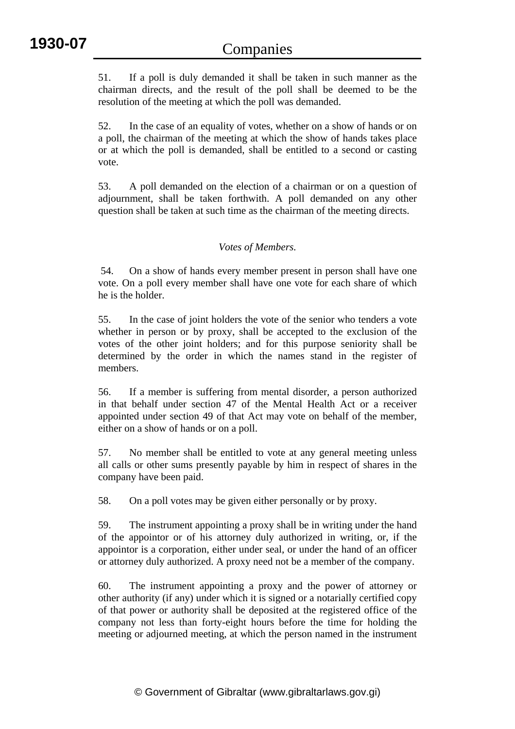51. If a poll is duly demanded it shall be taken in such manner as the chairman directs, and the result of the poll shall be deemed to be the resolution of the meeting at which the poll was demanded.

52. In the case of an equality of votes, whether on a show of hands or on a poll, the chairman of the meeting at which the show of hands takes place or at which the poll is demanded, shall be entitled to a second or casting vote.

53. A poll demanded on the election of a chairman or on a question of adjournment, shall be taken forthwith. A poll demanded on any other question shall be taken at such time as the chairman of the meeting directs.

# *Votes of Members.*

 54. On a show of hands every member present in person shall have one vote. On a poll every member shall have one vote for each share of which he is the holder.

55. In the case of joint holders the vote of the senior who tenders a vote whether in person or by proxy, shall be accepted to the exclusion of the votes of the other joint holders; and for this purpose seniority shall be determined by the order in which the names stand in the register of members.

56. If a member is suffering from mental disorder, a person authorized in that behalf under section 47 of the Mental Health Act or a receiver appointed under section 49 of that Act may vote on behalf of the member, either on a show of hands or on a poll.

57. No member shall be entitled to vote at any general meeting unless all calls or other sums presently payable by him in respect of shares in the company have been paid.

58. On a poll votes may be given either personally or by proxy.

59. The instrument appointing a proxy shall be in writing under the hand of the appointor or of his attorney duly authorized in writing, or, if the appointor is a corporation, either under seal, or under the hand of an officer or attorney duly authorized. A proxy need not be a member of the company.

60. The instrument appointing a proxy and the power of attorney or other authority (if any) under which it is signed or a notarially certified copy of that power or authority shall be deposited at the registered office of the company not less than forty-eight hours before the time for holding the meeting or adjourned meeting, at which the person named in the instrument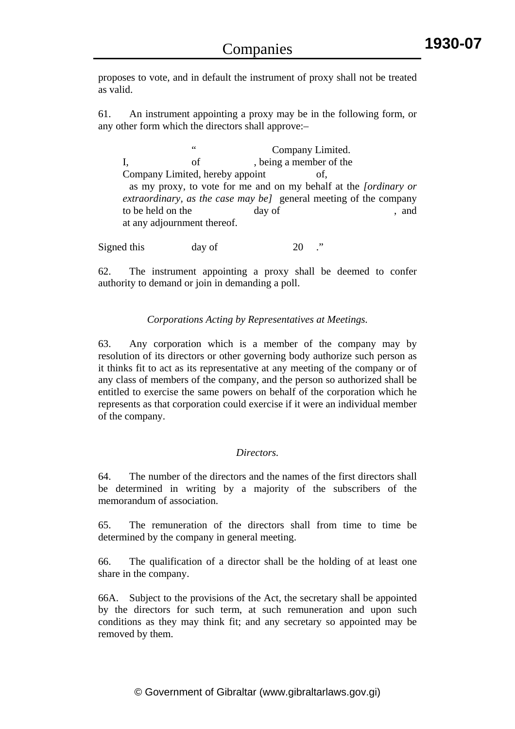proposes to vote, and in default the instrument of proxy shall not be treated as valid.

61. An instrument appointing a proxy may be in the following form, or any other form which the directors shall approve:–

 " Company Limited. I, of the set of the set of the set of the set of the set of the set of the set of the set of the set of the set of the set of the set of the set of the set of the set of the set of the set of the set of the set of the set Company Limited, hereby appoint of, as my proxy, to vote for me and on my behalf at the *[ordinary or extraordinary, as the case may be]* general meeting of the company to be held on the day of , and at any adjournment thereof.

Signed this day of 20 ."

62. The instrument appointing a proxy shall be deemed to confer authority to demand or join in demanding a poll.

# *Corporations Acting by Representatives at Meetings.*

63. Any corporation which is a member of the company may by resolution of its directors or other governing body authorize such person as it thinks fit to act as its representative at any meeting of the company or of any class of members of the company, and the person so authorized shall be entitled to exercise the same powers on behalf of the corporation which he represents as that corporation could exercise if it were an individual member of the company.

#### *Directors.*

64. The number of the directors and the names of the first directors shall be determined in writing by a majority of the subscribers of the memorandum of association.

65. The remuneration of the directors shall from time to time be determined by the company in general meeting.

66. The qualification of a director shall be the holding of at least one share in the company.

66A. Subject to the provisions of the Act, the secretary shall be appointed by the directors for such term, at such remuneration and upon such conditions as they may think fit; and any secretary so appointed may be removed by them.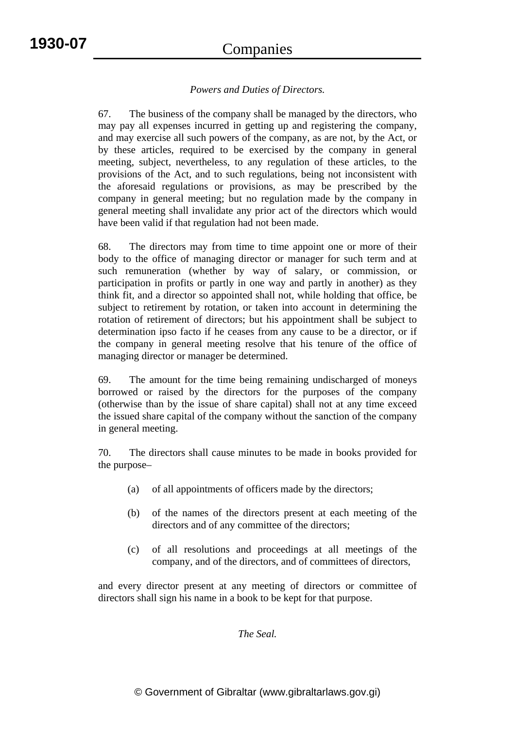# *Powers and Duties of Directors.*

67. The business of the company shall be managed by the directors, who may pay all expenses incurred in getting up and registering the company, and may exercise all such powers of the company, as are not, by the Act, or by these articles, required to be exercised by the company in general meeting, subject, nevertheless, to any regulation of these articles, to the provisions of the Act, and to such regulations, being not inconsistent with the aforesaid regulations or provisions, as may be prescribed by the company in general meeting; but no regulation made by the company in general meeting shall invalidate any prior act of the directors which would have been valid if that regulation had not been made.

68. The directors may from time to time appoint one or more of their body to the office of managing director or manager for such term and at such remuneration (whether by way of salary, or commission, or participation in profits or partly in one way and partly in another) as they think fit, and a director so appointed shall not, while holding that office, be subject to retirement by rotation, or taken into account in determining the rotation of retirement of directors; but his appointment shall be subject to determination ipso facto if he ceases from any cause to be a director, or if the company in general meeting resolve that his tenure of the office of managing director or manager be determined.

69. The amount for the time being remaining undischarged of moneys borrowed or raised by the directors for the purposes of the company (otherwise than by the issue of share capital) shall not at any time exceed the issued share capital of the company without the sanction of the company in general meeting.

70. The directors shall cause minutes to be made in books provided for the purpose–

- (a) of all appointments of officers made by the directors;
- (b) of the names of the directors present at each meeting of the directors and of any committee of the directors;
- (c) of all resolutions and proceedings at all meetings of the company, and of the directors, and of committees of directors,

and every director present at any meeting of directors or committee of directors shall sign his name in a book to be kept for that purpose.

*The Seal.*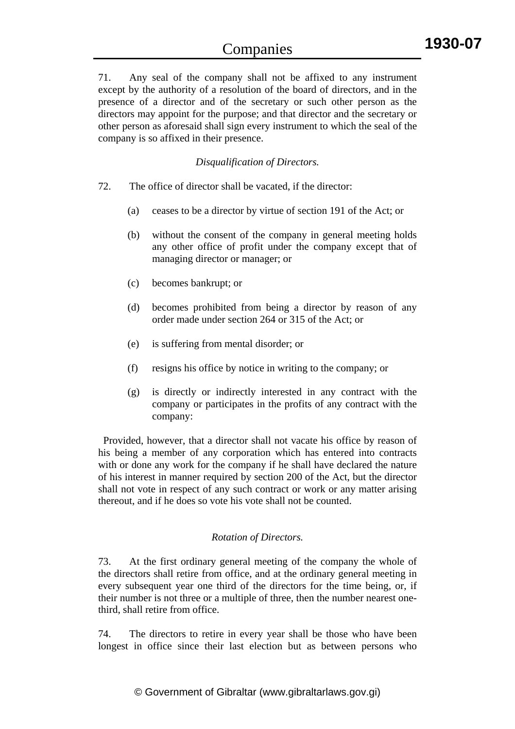71. Any seal of the company shall not be affixed to any instrument except by the authority of a resolution of the board of directors, and in the presence of a director and of the secretary or such other person as the directors may appoint for the purpose; and that director and the secretary or other person as aforesaid shall sign every instrument to which the seal of the company is so affixed in their presence.

*Disqualification of Directors.* 

- 72. The office of director shall be vacated, if the director:
	- (a) ceases to be a director by virtue of section 191 of the Act; or
	- (b) without the consent of the company in general meeting holds any other office of profit under the company except that of managing director or manager; or
	- (c) becomes bankrupt; or
	- (d) becomes prohibited from being a director by reason of any order made under section 264 or 315 of the Act; or
	- (e) is suffering from mental disorder; or
	- (f) resigns his office by notice in writing to the company; or
	- (g) is directly or indirectly interested in any contract with the company or participates in the profits of any contract with the company:

 Provided, however, that a director shall not vacate his office by reason of his being a member of any corporation which has entered into contracts with or done any work for the company if he shall have declared the nature of his interest in manner required by section 200 of the Act, but the director shall not vote in respect of any such contract or work or any matter arising thereout, and if he does so vote his vote shall not be counted.

#### *Rotation of Directors.*

73. At the first ordinary general meeting of the company the whole of the directors shall retire from office, and at the ordinary general meeting in every subsequent year one third of the directors for the time being, or, if their number is not three or a multiple of three, then the number nearest onethird, shall retire from office.

74. The directors to retire in every year shall be those who have been longest in office since their last election but as between persons who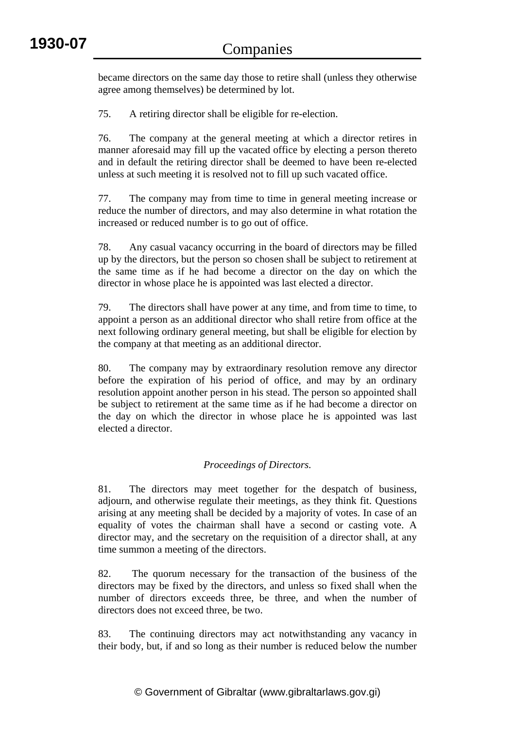became directors on the same day those to retire shall (unless they otherwise agree among themselves) be determined by lot.

75. A retiring director shall be eligible for re-election.

76. The company at the general meeting at which a director retires in manner aforesaid may fill up the vacated office by electing a person thereto and in default the retiring director shall be deemed to have been re-elected unless at such meeting it is resolved not to fill up such vacated office.

77. The company may from time to time in general meeting increase or reduce the number of directors, and may also determine in what rotation the increased or reduced number is to go out of office.

78. Any casual vacancy occurring in the board of directors may be filled up by the directors, but the person so chosen shall be subject to retirement at the same time as if he had become a director on the day on which the director in whose place he is appointed was last elected a director.

79. The directors shall have power at any time, and from time to time, to appoint a person as an additional director who shall retire from office at the next following ordinary general meeting, but shall be eligible for election by the company at that meeting as an additional director.

80. The company may by extraordinary resolution remove any director before the expiration of his period of office, and may by an ordinary resolution appoint another person in his stead. The person so appointed shall be subject to retirement at the same time as if he had become a director on the day on which the director in whose place he is appointed was last elected a director.

# *Proceedings of Directors.*

81. The directors may meet together for the despatch of business, adjourn, and otherwise regulate their meetings, as they think fit. Questions arising at any meeting shall be decided by a majority of votes. In case of an equality of votes the chairman shall have a second or casting vote. A director may, and the secretary on the requisition of a director shall, at any time summon a meeting of the directors.

82. The quorum necessary for the transaction of the business of the directors may be fixed by the directors, and unless so fixed shall when the number of directors exceeds three, be three, and when the number of directors does not exceed three, be two.

83. The continuing directors may act notwithstanding any vacancy in their body, but, if and so long as their number is reduced below the number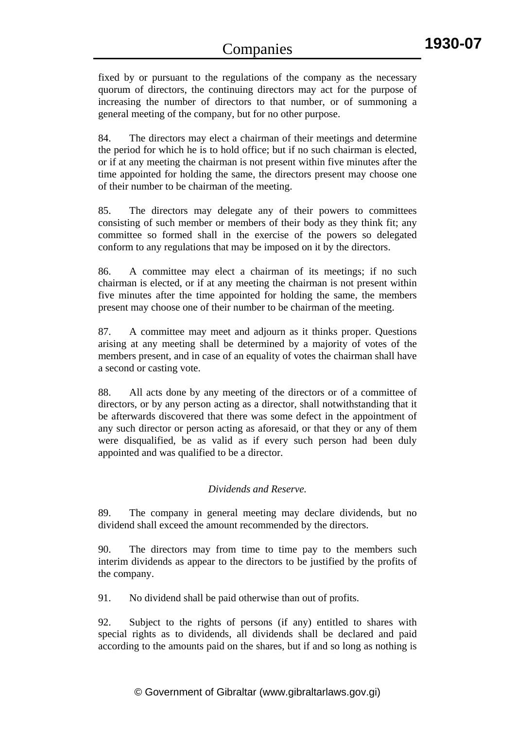fixed by or pursuant to the regulations of the company as the necessary quorum of directors, the continuing directors may act for the purpose of increasing the number of directors to that number, or of summoning a general meeting of the company, but for no other purpose.

84. The directors may elect a chairman of their meetings and determine the period for which he is to hold office; but if no such chairman is elected, or if at any meeting the chairman is not present within five minutes after the time appointed for holding the same, the directors present may choose one of their number to be chairman of the meeting.

85. The directors may delegate any of their powers to committees consisting of such member or members of their body as they think fit; any committee so formed shall in the exercise of the powers so delegated conform to any regulations that may be imposed on it by the directors.

86. A committee may elect a chairman of its meetings; if no such chairman is elected, or if at any meeting the chairman is not present within five minutes after the time appointed for holding the same, the members present may choose one of their number to be chairman of the meeting.

87. A committee may meet and adjourn as it thinks proper. Questions arising at any meeting shall be determined by a majority of votes of the members present, and in case of an equality of votes the chairman shall have a second or casting vote.

88. All acts done by any meeting of the directors or of a committee of directors, or by any person acting as a director, shall notwithstanding that it be afterwards discovered that there was some defect in the appointment of any such director or person acting as aforesaid, or that they or any of them were disqualified, be as valid as if every such person had been duly appointed and was qualified to be a director.

#### *Dividends and Reserve.*

89. The company in general meeting may declare dividends, but no dividend shall exceed the amount recommended by the directors.

90. The directors may from time to time pay to the members such interim dividends as appear to the directors to be justified by the profits of the company.

91. No dividend shall be paid otherwise than out of profits.

92. Subject to the rights of persons (if any) entitled to shares with special rights as to dividends, all dividends shall be declared and paid according to the amounts paid on the shares, but if and so long as nothing is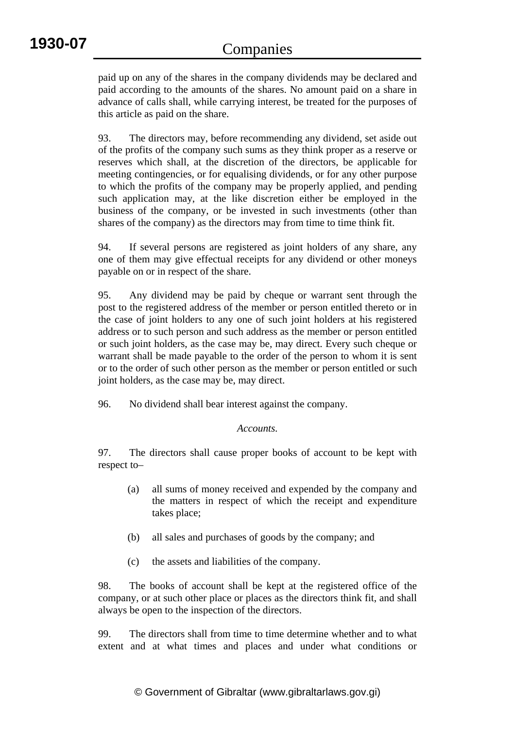paid up on any of the shares in the company dividends may be declared and paid according to the amounts of the shares. No amount paid on a share in advance of calls shall, while carrying interest, be treated for the purposes of this article as paid on the share.

93. The directors may, before recommending any dividend, set aside out of the profits of the company such sums as they think proper as a reserve or reserves which shall, at the discretion of the directors, be applicable for meeting contingencies, or for equalising dividends, or for any other purpose to which the profits of the company may be properly applied, and pending such application may, at the like discretion either be employed in the business of the company, or be invested in such investments (other than shares of the company) as the directors may from time to time think fit.

94. If several persons are registered as joint holders of any share, any one of them may give effectual receipts for any dividend or other moneys payable on or in respect of the share.

95. Any dividend may be paid by cheque or warrant sent through the post to the registered address of the member or person entitled thereto or in the case of joint holders to any one of such joint holders at his registered address or to such person and such address as the member or person entitled or such joint holders, as the case may be, may direct. Every such cheque or warrant shall be made payable to the order of the person to whom it is sent or to the order of such other person as the member or person entitled or such joint holders, as the case may be, may direct.

96. No dividend shall bear interest against the company.

# *Accounts.*

97. The directors shall cause proper books of account to be kept with respect to–

- (a) all sums of money received and expended by the company and the matters in respect of which the receipt and expenditure takes place;
- (b) all sales and purchases of goods by the company; and
- (c) the assets and liabilities of the company.

98. The books of account shall be kept at the registered office of the company, or at such other place or places as the directors think fit, and shall always be open to the inspection of the directors.

99. The directors shall from time to time determine whether and to what extent and at what times and places and under what conditions or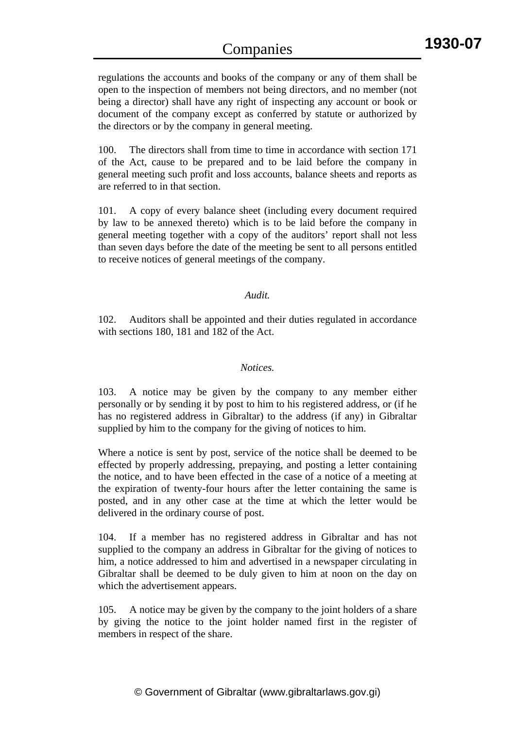regulations the accounts and books of the company or any of them shall be open to the inspection of members not being directors, and no member (not being a director) shall have any right of inspecting any account or book or document of the company except as conferred by statute or authorized by the directors or by the company in general meeting.

100. The directors shall from time to time in accordance with section 171 of the Act, cause to be prepared and to be laid before the company in general meeting such profit and loss accounts, balance sheets and reports as are referred to in that section.

101. A copy of every balance sheet (including every document required by law to be annexed thereto) which is to be laid before the company in general meeting together with a copy of the auditors' report shall not less than seven days before the date of the meeting be sent to all persons entitled to receive notices of general meetings of the company.

#### *Audit.*

102. Auditors shall be appointed and their duties regulated in accordance with sections 180, 181 and 182 of the Act.

#### *Notices.*

103. A notice may be given by the company to any member either personally or by sending it by post to him to his registered address, or (if he has no registered address in Gibraltar) to the address (if any) in Gibraltar supplied by him to the company for the giving of notices to him.

Where a notice is sent by post, service of the notice shall be deemed to be effected by properly addressing, prepaying, and posting a letter containing the notice, and to have been effected in the case of a notice of a meeting at the expiration of twenty-four hours after the letter containing the same is posted, and in any other case at the time at which the letter would be delivered in the ordinary course of post.

104. If a member has no registered address in Gibraltar and has not supplied to the company an address in Gibraltar for the giving of notices to him, a notice addressed to him and advertised in a newspaper circulating in Gibraltar shall be deemed to be duly given to him at noon on the day on which the advertisement appears.

105. A notice may be given by the company to the joint holders of a share by giving the notice to the joint holder named first in the register of members in respect of the share.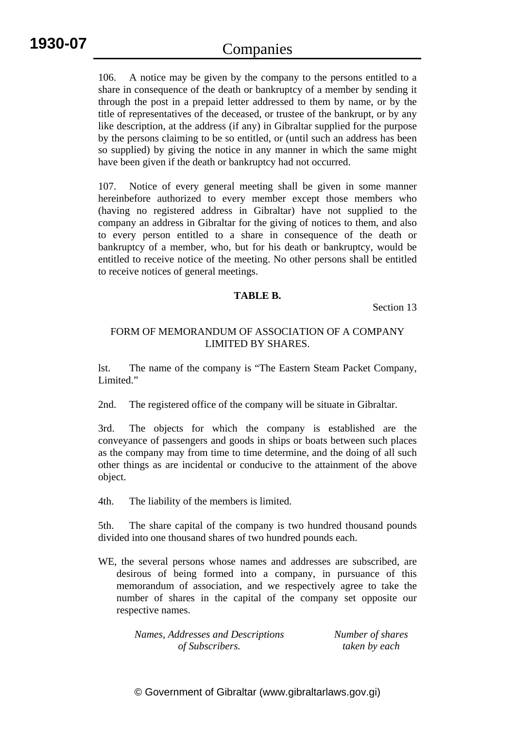106. A notice may be given by the company to the persons entitled to a share in consequence of the death or bankruptcy of a member by sending it through the post in a prepaid letter addressed to them by name, or by the title of representatives of the deceased, or trustee of the bankrupt, or by any like description, at the address (if any) in Gibraltar supplied for the purpose by the persons claiming to be so entitled, or (until such an address has been so supplied) by giving the notice in any manner in which the same might have been given if the death or bankruptcy had not occurred.

107. Notice of every general meeting shall be given in some manner hereinbefore authorized to every member except those members who (having no registered address in Gibraltar) have not supplied to the company an address in Gibraltar for the giving of notices to them, and also to every person entitled to a share in consequence of the death or bankruptcy of a member, who, but for his death or bankruptcy, would be entitled to receive notice of the meeting. No other persons shall be entitled to receive notices of general meetings.

#### **TABLE B.**

Section 13

# FORM OF MEMORANDUM OF ASSOCIATION OF A COMPANY LIMITED BY SHARES.

lst. The name of the company is "The Eastern Steam Packet Company, Limited."

2nd. The registered office of the company will be situate in Gibraltar.

3rd. The objects for which the company is established are the conveyance of passengers and goods in ships or boats between such places as the company may from time to time determine, and the doing of all such other things as are incidental or conducive to the attainment of the above object.

4th. The liability of the members is limited.

5th. The share capital of the company is two hundred thousand pounds divided into one thousand shares of two hundred pounds each.

WE, the several persons whose names and addresses are subscribed, are desirous of being formed into a company, in pursuance of this memorandum of association, and we respectively agree to take the number of shares in the capital of the company set opposite our respective names.

| Names, Addresses and Descriptions | Number of shares |
|-----------------------------------|------------------|
| of Subscribers.                   | taken by each    |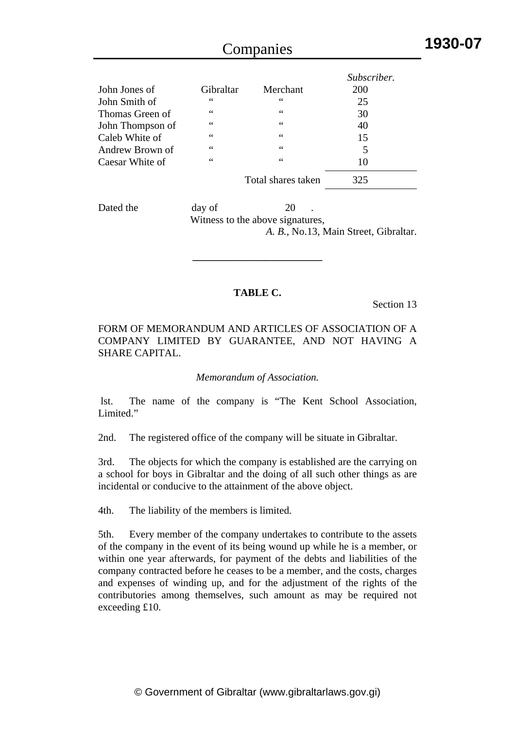|                  |           |                    | Subscriber. |  |
|------------------|-----------|--------------------|-------------|--|
| John Jones of    | Gibraltar | Merchant           | 200         |  |
| John Smith of    | 66        | 66                 | 25          |  |
| Thomas Green of  | 66        | 66                 | 30          |  |
| John Thompson of | 66        | 66                 | 40          |  |
| Caleb White of   | 66        | $\mbox{\bf 6}$     | 15          |  |
| Andrew Brown of  | 66        | 66                 | 5           |  |
| Caesar White of  | 66        | 66                 | 10          |  |
|                  |           | Total shares taken | 325         |  |

Dated the day of 20 Witness to the above signatures,

 *A. B.,* No.13, Main Street, Gibraltar.

#### **TABLE C.**

**\_\_\_\_\_\_\_\_\_\_\_\_\_\_\_\_\_\_\_\_\_\_\_\_\_** 

Section 13

FORM OF MEMORANDUM AND ARTICLES OF ASSOCIATION OF A COMPANY LIMITED BY GUARANTEE, AND NOT HAVING A SHARE CAPITAL.

#### *Memorandum of Association.*

 lst. The name of the company is "The Kent School Association, Limited."

2nd. The registered office of the company will be situate in Gibraltar.

3rd. The objects for which the company is established are the carrying on a school for boys in Gibraltar and the doing of all such other things as are incidental or conducive to the attainment of the above object.

4th. The liability of the members is limited.

5th. Every member of the company undertakes to contribute to the assets of the company in the event of its being wound up while he is a member, or within one year afterwards, for payment of the debts and liabilities of the company contracted before he ceases to be a member, and the costs, charges and expenses of winding up, and for the adjustment of the rights of the contributories among themselves, such amount as may be required not exceeding £10.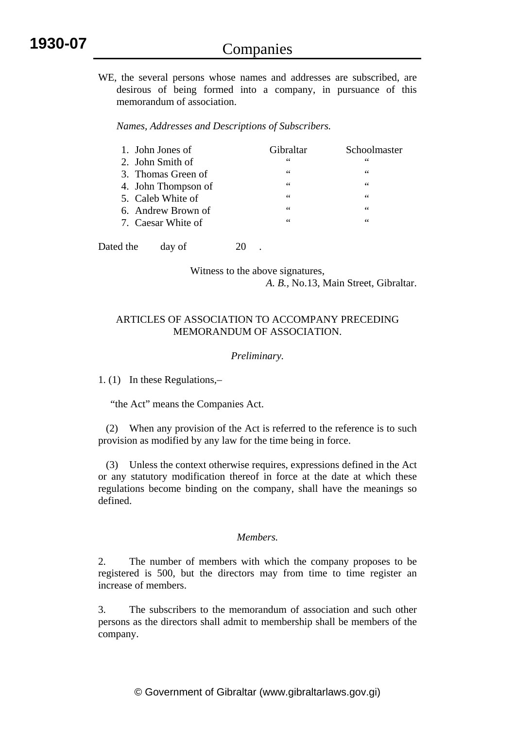WE, the several persons whose names and addresses are subscribed, are desirous of being formed into a company, in pursuance of this memorandum of association.

#### *Names, Addresses and Descriptions of Subscribers.*

| 1. John Jones of    | Gibraltar | Schoolmaster |
|---------------------|-----------|--------------|
| 2. John Smith of    | 66        | 66           |
| 3. Thomas Green of  | 66        | 66           |
| 4. John Thompson of | 66        | 66           |
| 5. Caleb White of   | 66        | 66           |
| 6. Andrew Brown of  | 66        | 66           |
| 7. Caesar White of  | 66        | 66           |

Dated the day of 20.

Witness to the above signatures,  *A. B.,* No.13, Main Street, Gibraltar.

# ARTICLES OF ASSOCIATION TO ACCOMPANY PRECEDING MEMORANDUM OF ASSOCIATION.

#### *Preliminary.*

1. (1) In these Regulations,–

"the Act" means the Companies Act.

 (2) When any provision of the Act is referred to the reference is to such provision as modified by any law for the time being in force.

 (3) Unless the context otherwise requires, expressions defined in the Act or any statutory modification thereof in force at the date at which these regulations become binding on the company, shall have the meanings so defined.

#### *Members.*

2. The number of members with which the company proposes to be registered is 500, but the directors may from time to time register an increase of members.

3. The subscribers to the memorandum of association and such other persons as the directors shall admit to membership shall be members of the company.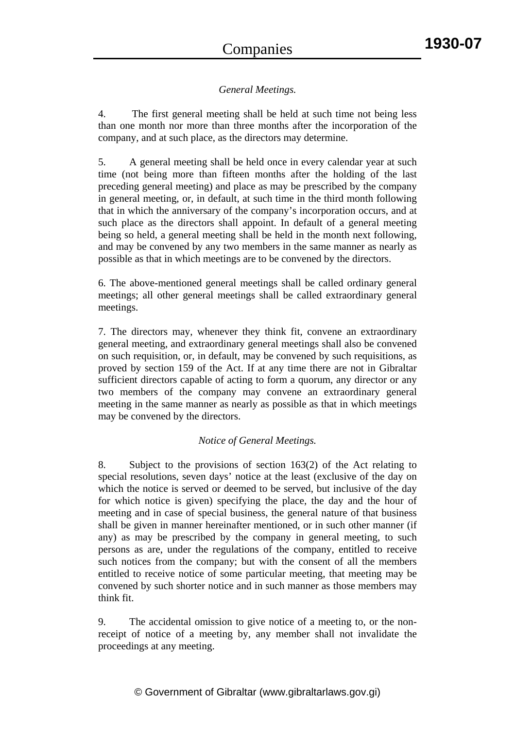# *General Meetings.*

4. The first general meeting shall be held at such time not being less than one month nor more than three months after the incorporation of the company, and at such place, as the directors may determine.

5. A general meeting shall be held once in every calendar year at such time (not being more than fifteen months after the holding of the last preceding general meeting) and place as may be prescribed by the company in general meeting, or, in default, at such time in the third month following that in which the anniversary of the company's incorporation occurs, and at such place as the directors shall appoint. In default of a general meeting being so held, a general meeting shall be held in the month next following, and may be convened by any two members in the same manner as nearly as possible as that in which meetings are to be convened by the directors.

6. The above-mentioned general meetings shall be called ordinary general meetings; all other general meetings shall be called extraordinary general meetings.

7. The directors may, whenever they think fit, convene an extraordinary general meeting, and extraordinary general meetings shall also be convened on such requisition, or, in default, may be convened by such requisitions, as proved by section 159 of the Act. If at any time there are not in Gibraltar sufficient directors capable of acting to form a quorum, any director or any two members of the company may convene an extraordinary general meeting in the same manner as nearly as possible as that in which meetings may be convened by the directors.

# *Notice of General Meetings.*

8. Subject to the provisions of section 163(2) of the Act relating to special resolutions, seven days' notice at the least (exclusive of the day on which the notice is served or deemed to be served, but inclusive of the day for which notice is given) specifying the place, the day and the hour of meeting and in case of special business, the general nature of that business shall be given in manner hereinafter mentioned, or in such other manner (if any) as may be prescribed by the company in general meeting, to such persons as are, under the regulations of the company, entitled to receive such notices from the company; but with the consent of all the members entitled to receive notice of some particular meeting, that meeting may be convened by such shorter notice and in such manner as those members may think fit.

9. The accidental omission to give notice of a meeting to, or the nonreceipt of notice of a meeting by, any member shall not invalidate the proceedings at any meeting.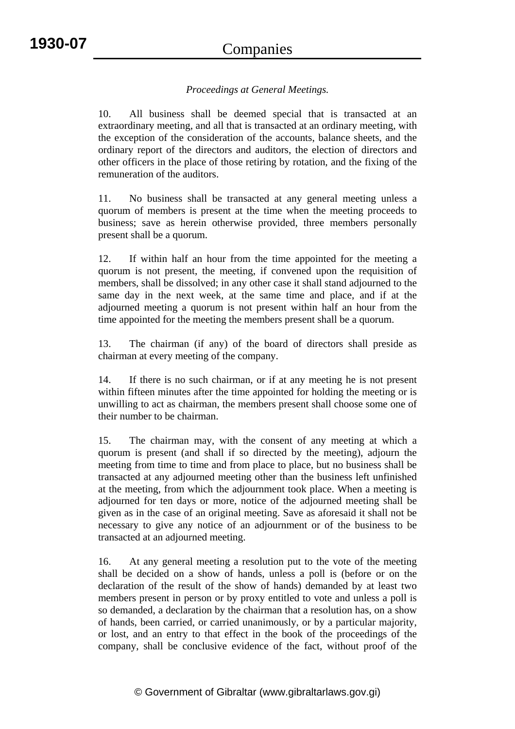# *Proceedings at General Meetings.*

10. All business shall be deemed special that is transacted at an extraordinary meeting, and all that is transacted at an ordinary meeting, with the exception of the consideration of the accounts, balance sheets, and the ordinary report of the directors and auditors, the election of directors and other officers in the place of those retiring by rotation, and the fixing of the remuneration of the auditors.

11. No business shall be transacted at any general meeting unless a quorum of members is present at the time when the meeting proceeds to business; save as herein otherwise provided, three members personally present shall be a quorum.

12. If within half an hour from the time appointed for the meeting a quorum is not present, the meeting, if convened upon the requisition of members, shall be dissolved; in any other case it shall stand adjourned to the same day in the next week, at the same time and place, and if at the adjourned meeting a quorum is not present within half an hour from the time appointed for the meeting the members present shall be a quorum.

13. The chairman (if any) of the board of directors shall preside as chairman at every meeting of the company.

14. If there is no such chairman, or if at any meeting he is not present within fifteen minutes after the time appointed for holding the meeting or is unwilling to act as chairman, the members present shall choose some one of their number to be chairman.

15. The chairman may, with the consent of any meeting at which a quorum is present (and shall if so directed by the meeting), adjourn the meeting from time to time and from place to place, but no business shall be transacted at any adjourned meeting other than the business left unfinished at the meeting, from which the adjournment took place. When a meeting is adjourned for ten days or more, notice of the adjourned meeting shall be given as in the case of an original meeting. Save as aforesaid it shall not be necessary to give any notice of an adjournment or of the business to be transacted at an adjourned meeting.

16. At any general meeting a resolution put to the vote of the meeting shall be decided on a show of hands, unless a poll is (before or on the declaration of the result of the show of hands) demanded by at least two members present in person or by proxy entitled to vote and unless a poll is so demanded, a declaration by the chairman that a resolution has, on a show of hands, been carried, or carried unanimously, or by a particular majority, or lost, and an entry to that effect in the book of the proceedings of the company, shall be conclusive evidence of the fact, without proof of the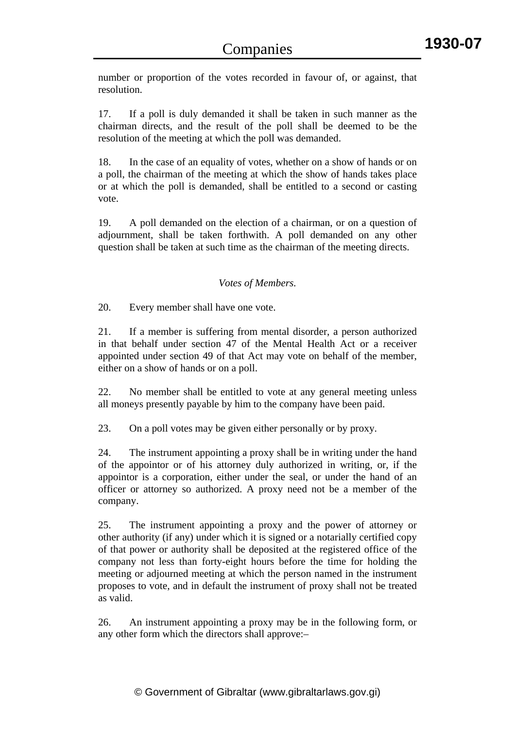number or proportion of the votes recorded in favour of, or against, that resolution.

17. If a poll is duly demanded it shall be taken in such manner as the chairman directs, and the result of the poll shall be deemed to be the resolution of the meeting at which the poll was demanded.

18. In the case of an equality of votes, whether on a show of hands or on a poll, the chairman of the meeting at which the show of hands takes place or at which the poll is demanded, shall be entitled to a second or casting vote.

19. A poll demanded on the election of a chairman, or on a question of adjournment, shall be taken forthwith. A poll demanded on any other question shall be taken at such time as the chairman of the meeting directs.

# *Votes of Members.*

20. Every member shall have one vote.

21. If a member is suffering from mental disorder, a person authorized in that behalf under section 47 of the Mental Health Act or a receiver appointed under section 49 of that Act may vote on behalf of the member, either on a show of hands or on a poll.

22. No member shall be entitled to vote at any general meeting unless all moneys presently payable by him to the company have been paid.

23. On a poll votes may be given either personally or by proxy.

24. The instrument appointing a proxy shall be in writing under the hand of the appointor or of his attorney duly authorized in writing, or, if the appointor is a corporation, either under the seal, or under the hand of an officer or attorney so authorized. A proxy need not be a member of the company.

25. The instrument appointing a proxy and the power of attorney or other authority (if any) under which it is signed or a notarially certified copy of that power or authority shall be deposited at the registered office of the company not less than forty-eight hours before the time for holding the meeting or adjourned meeting at which the person named in the instrument proposes to vote, and in default the instrument of proxy shall not be treated as valid.

26. An instrument appointing a proxy may be in the following form, or any other form which the directors shall approve:–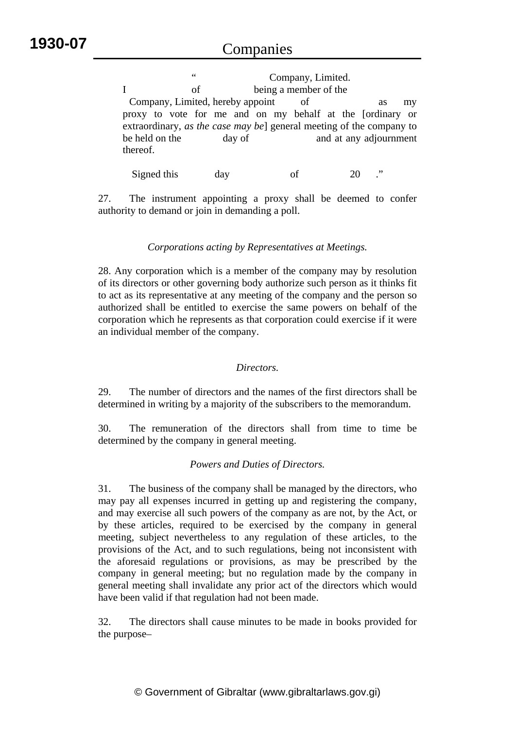" Company, Limited. I of being a member of the Company, Limited, hereby appoint of as my proxy to vote for me and on my behalf at the [ordinary or extraordinary, *as the case may be*] general meeting of the company to be held on the day of and at any adjournment thereof.

Signed this day of 20 ."

27. The instrument appointing a proxy shall be deemed to confer authority to demand or join in demanding a poll.

# *Corporations acting by Representatives at Meetings.*

28. Any corporation which is a member of the company may by resolution of its directors or other governing body authorize such person as it thinks fit to act as its representative at any meeting of the company and the person so authorized shall be entitled to exercise the same powers on behalf of the corporation which he represents as that corporation could exercise if it were an individual member of the company.

#### *Directors.*

29. The number of directors and the names of the first directors shall be determined in writing by a majority of the subscribers to the memorandum.

30. The remuneration of the directors shall from time to time be determined by the company in general meeting.

# *Powers and Duties of Directors.*

31. The business of the company shall be managed by the directors, who may pay all expenses incurred in getting up and registering the company, and may exercise all such powers of the company as are not, by the Act, or by these articles, required to be exercised by the company in general meeting, subject nevertheless to any regulation of these articles, to the provisions of the Act, and to such regulations, being not inconsistent with the aforesaid regulations or provisions, as may be prescribed by the company in general meeting; but no regulation made by the company in general meeting shall invalidate any prior act of the directors which would have been valid if that regulation had not been made.

32. The directors shall cause minutes to be made in books provided for the purpose–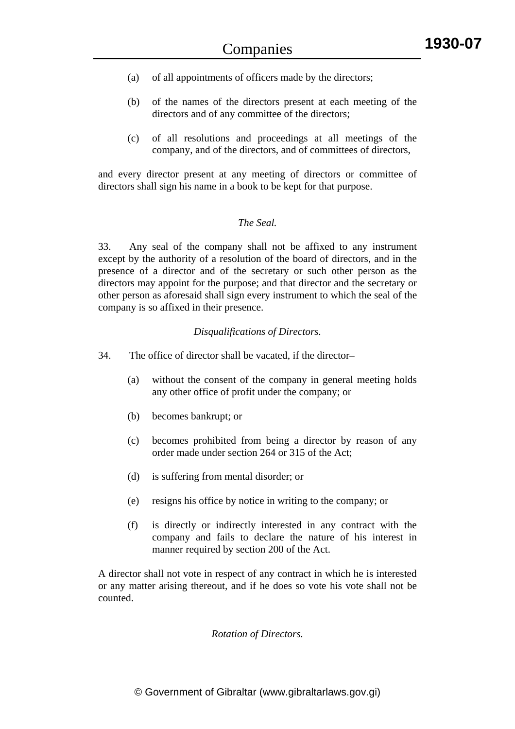- (a) of all appointments of officers made by the directors;
- (b) of the names of the directors present at each meeting of the directors and of any committee of the directors;
- (c) of all resolutions and proceedings at all meetings of the company, and of the directors, and of committees of directors,

and every director present at any meeting of directors or committee of directors shall sign his name in a book to be kept for that purpose.

# *The Seal.*

33. Any seal of the company shall not be affixed to any instrument except by the authority of a resolution of the board of directors, and in the presence of a director and of the secretary or such other person as the directors may appoint for the purpose; and that director and the secretary or other person as aforesaid shall sign every instrument to which the seal of the company is so affixed in their presence.

# *Disqualifications of Directors.*

- 34. The office of director shall be vacated, if the director–
	- (a) without the consent of the company in general meeting holds any other office of profit under the company; or
	- (b) becomes bankrupt; or
	- (c) becomes prohibited from being a director by reason of any order made under section 264 or 315 of the Act;
	- (d) is suffering from mental disorder; or
	- (e) resigns his office by notice in writing to the company; or
	- (f) is directly or indirectly interested in any contract with the company and fails to declare the nature of his interest in manner required by section 200 of the Act.

A director shall not vote in respect of any contract in which he is interested or any matter arising thereout, and if he does so vote his vote shall not be counted.

*Rotation of Directors.*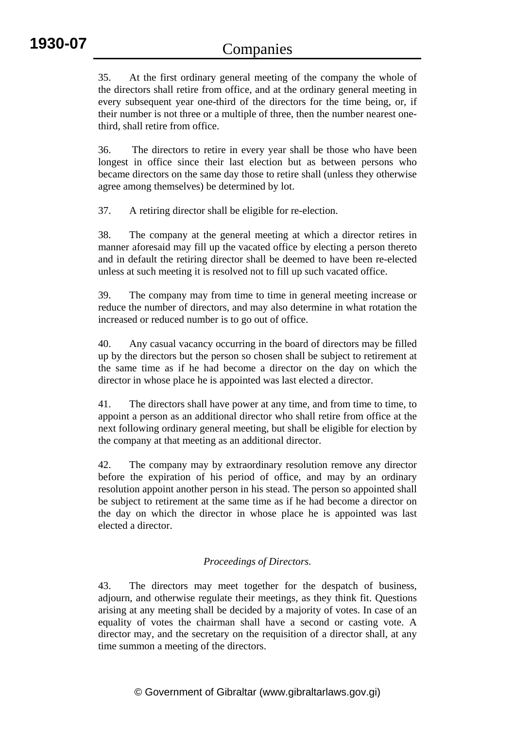35. At the first ordinary general meeting of the company the whole of the directors shall retire from office, and at the ordinary general meeting in every subsequent year one-third of the directors for the time being, or, if their number is not three or a multiple of three, then the number nearest onethird, shall retire from office.

36. The directors to retire in every year shall be those who have been longest in office since their last election but as between persons who became directors on the same day those to retire shall (unless they otherwise agree among themselves) be determined by lot.

37. A retiring director shall be eligible for re-election.

38. The company at the general meeting at which a director retires in manner aforesaid may fill up the vacated office by electing a person thereto and in default the retiring director shall be deemed to have been re-elected unless at such meeting it is resolved not to fill up such vacated office.

39. The company may from time to time in general meeting increase or reduce the number of directors, and may also determine in what rotation the increased or reduced number is to go out of office.

40. Any casual vacancy occurring in the board of directors may be filled up by the directors but the person so chosen shall be subject to retirement at the same time as if he had become a director on the day on which the director in whose place he is appointed was last elected a director.

41. The directors shall have power at any time, and from time to time, to appoint a person as an additional director who shall retire from office at the next following ordinary general meeting, but shall be eligible for election by the company at that meeting as an additional director.

42. The company may by extraordinary resolution remove any director before the expiration of his period of office, and may by an ordinary resolution appoint another person in his stead. The person so appointed shall be subject to retirement at the same time as if he had become a director on the day on which the director in whose place he is appointed was last elected a director.

# *Proceedings of Directors.*

43. The directors may meet together for the despatch of business, adjourn, and otherwise regulate their meetings, as they think fit. Questions arising at any meeting shall be decided by a majority of votes. In case of an equality of votes the chairman shall have a second or casting vote. A director may, and the secretary on the requisition of a director shall, at any time summon a meeting of the directors.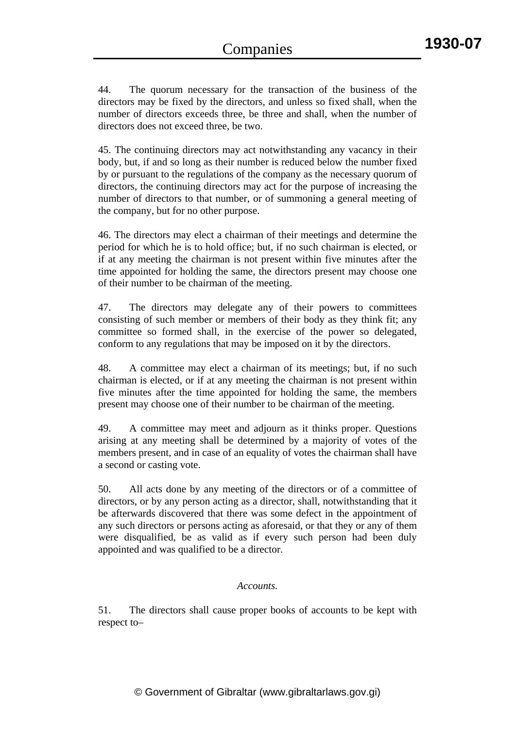44. The quorum necessary for the transaction of the business of the directors may be fixed by the directors, and unless so fixed shall, when the number of directors exceeds three, be three and shall, when the number of directors does not exceed three, be two.

45. The continuing directors may act notwithstanding any vacancy in their body, but, if and so long as their number is reduced below the number fixed by or pursuant to the regulations of the company as the necessary quorum of directors, the continuing directors may act for the purpose of increasing the number of directors to that number, or of summoning a general meeting of the company, but for no other purpose.

46. The directors may elect a chairman of their meetings and determine the period for which he is to hold office; but, if no such chairman is elected, or if at any meeting the chairman is not present within five minutes after the time appointed for holding the same, the directors present may choose one of their number to be chairman of the meeting.

47. The directors may delegate any of their powers to committees consisting of such member or members of their body as they think fit; any committee so formed shall, in the exercise of the power so delegated, conform to any regulations that may be imposed on it by the directors.

48. A committee may elect a chairman of its meetings; but, if no such chairman is elected, or if at any meeting the chairman is not present within five minutes after the time appointed for holding the same, the members present may choose one of their number to be chairman of the meeting.

49. A committee may meet and adjourn as it thinks proper. Questions arising at any meeting shall be determined by a majority of votes of the members present, and in case of an equality of votes the chairman shall have a second or casting vote.

50. All acts done by any meeting of the directors or of a committee of directors, or by any person acting as a director, shall, notwithstanding that it be afterwards discovered that there was some defect in the appointment of any such directors or persons acting as aforesaid, or that they or any of them were disqualified, be as valid as if every such person had been duly appointed and was qualified to be a director.

#### *Accounts.*

51. The directors shall cause proper books of accounts to be kept with respect to–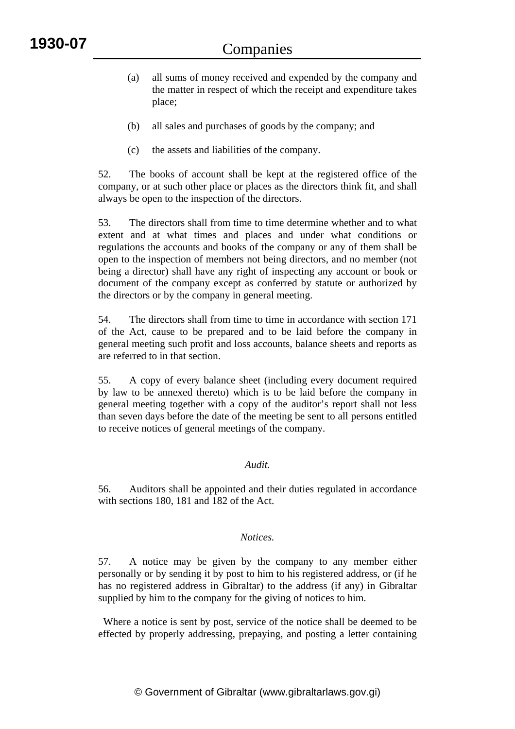- (a) all sums of money received and expended by the company and the matter in respect of which the receipt and expenditure takes place;
- (b) all sales and purchases of goods by the company; and
- (c) the assets and liabilities of the company.

52. The books of account shall be kept at the registered office of the company, or at such other place or places as the directors think fit, and shall always be open to the inspection of the directors.

53. The directors shall from time to time determine whether and to what extent and at what times and places and under what conditions or regulations the accounts and books of the company or any of them shall be open to the inspection of members not being directors, and no member (not being a director) shall have any right of inspecting any account or book or document of the company except as conferred by statute or authorized by the directors or by the company in general meeting.

54. The directors shall from time to time in accordance with section 171 of the Act, cause to be prepared and to be laid before the company in general meeting such profit and loss accounts, balance sheets and reports as are referred to in that section.

55. A copy of every balance sheet (including every document required by law to be annexed thereto) which is to be laid before the company in general meeting together with a copy of the auditor's report shall not less than seven days before the date of the meeting be sent to all persons entitled to receive notices of general meetings of the company.

# *Audit.*

56. Auditors shall be appointed and their duties regulated in accordance with sections 180, 181 and 182 of the Act.

# *Notices.*

57. A notice may be given by the company to any member either personally or by sending it by post to him to his registered address, or (if he has no registered address in Gibraltar) to the address (if any) in Gibraltar supplied by him to the company for the giving of notices to him.

 Where a notice is sent by post, service of the notice shall be deemed to be effected by properly addressing, prepaying, and posting a letter containing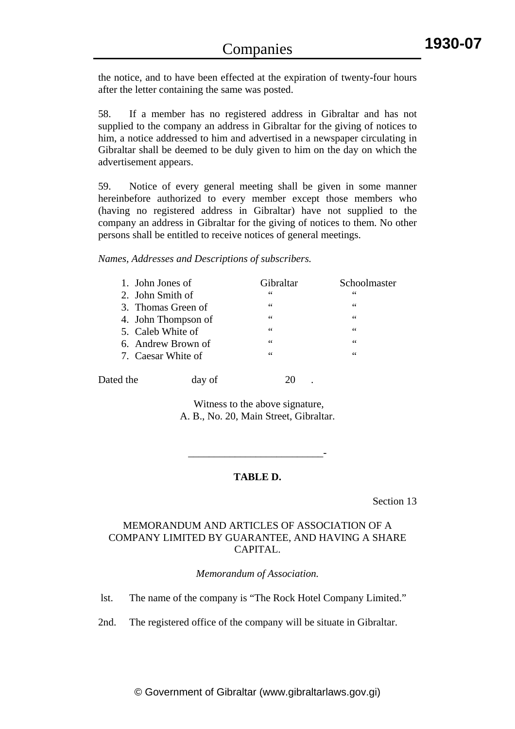the notice, and to have been effected at the expiration of twenty-four hours after the letter containing the same was posted.

58. If a member has no registered address in Gibraltar and has not supplied to the company an address in Gibraltar for the giving of notices to him, a notice addressed to him and advertised in a newspaper circulating in Gibraltar shall be deemed to be duly given to him on the day on which the advertisement appears.

59. Notice of every general meeting shall be given in some manner hereinbefore authorized to every member except those members who (having no registered address in Gibraltar) have not supplied to the company an address in Gibraltar for the giving of notices to them. No other persons shall be entitled to receive notices of general meetings.

*Names, Addresses and Descriptions of subscribers.* 

| 1. John Jones of   |                     | Gibraltar | Schoolmaster |
|--------------------|---------------------|-----------|--------------|
| 2. John Smith of   |                     | 66        | 66           |
| 3. Thomas Green of |                     | 66        | 66           |
|                    | 4. John Thompson of | 66        | 66           |
| 5. Caleb White of  |                     | 66        | 66           |
|                    | 6. Andrew Brown of  | 66        | 66           |
| 7. Caesar White of |                     | 66        | 66           |
| Dated the          | day of              |           |              |

 Witness to the above signature, A. B., No. 20, Main Street, Gibraltar.

# **TABLE D.**

\_\_\_\_\_\_\_\_\_\_\_\_\_\_\_\_\_\_\_\_\_\_\_\_\_\_-

Section 13

# MEMORANDUM AND ARTICLES OF ASSOCIATION OF A COMPANY LIMITED BY GUARANTEE, AND HAVING A SHARE CAPITAL.

#### *Memorandum of Association.*

lst. The name of the company is "The Rock Hotel Company Limited."

2nd. The registered office of the company will be situate in Gibraltar.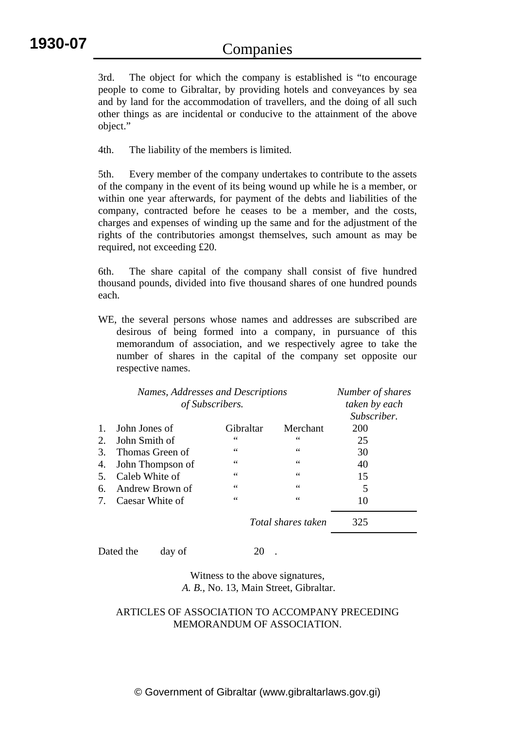3rd. The object for which the company is established is "to encourage people to come to Gibraltar, by providing hotels and conveyances by sea and by land for the accommodation of travellers, and the doing of all such other things as are incidental or conducive to the attainment of the above object."

4th. The liability of the members is limited.

5th. Every member of the company undertakes to contribute to the assets of the company in the event of its being wound up while he is a member, or within one year afterwards, for payment of the debts and liabilities of the company, contracted before he ceases to be a member, and the costs, charges and expenses of winding up the same and for the adjustment of the rights of the contributories amongst themselves, such amount as may be required, not exceeding £20.

6th. The share capital of the company shall consist of five hundred thousand pounds, divided into five thousand shares of one hundred pounds each.

WE, the several persons whose names and addresses are subscribed are desirous of being formed into a company, in pursuance of this memorandum of association, and we respectively agree to take the number of shares in the capital of the company set opposite our respective names.

|                                | Names, Addresses and Descriptions<br>of Subscribers. |           |                    | Number of shares<br>taken by each<br>Subscriber. |
|--------------------------------|------------------------------------------------------|-----------|--------------------|--------------------------------------------------|
| $\mathbf{1}$ .                 | John Jones of                                        | Gibraltar | Merchant           | 200                                              |
| 2.                             | John Smith of                                        | 66        | 66                 | 25                                               |
| 3.                             | Thomas Green of                                      | 66        | 66                 | 30                                               |
| 4.                             | John Thompson of                                     | 66        | 66                 | 40                                               |
| 5 <sub>1</sub>                 | Caleb White of                                       | 66        | 66                 | 15                                               |
| 6.                             | Andrew Brown of                                      | 66        | 66                 | 5                                                |
| $7_{\scriptscriptstyle{\sim}}$ | Caesar White of                                      | 66        | 66                 | 10                                               |
|                                |                                                      |           | Total shares taken | 325                                              |

Dated the day of 20.

Witness to the above signatures,  *A. B.,* No. 13, Main Street, Gibraltar.

#### ARTICLES OF ASSOCIATION TO ACCOMPANY PRECEDING MEMORANDUM OF ASSOCIATION.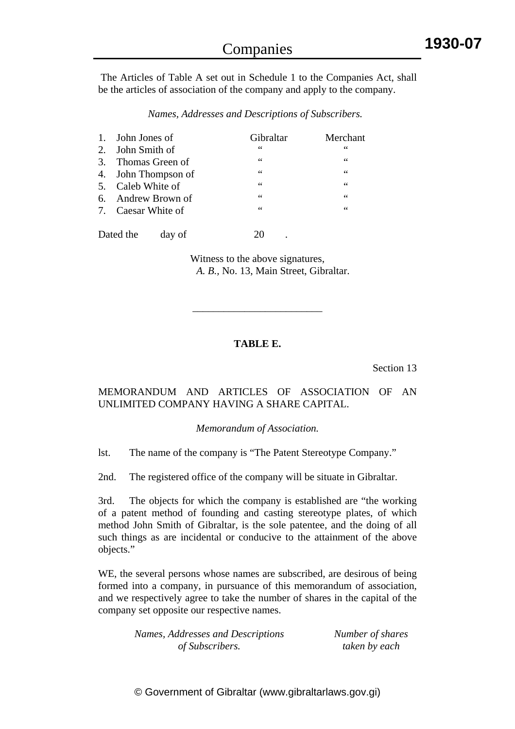The Articles of Table A set out in Schedule 1 to the Companies Act, shall be the articles of association of the company and apply to the company.

*Names, Addresses and Descriptions of Subscribers.* 

| 1. John Jones of    | Gibraltar      | Merchant        |
|---------------------|----------------|-----------------|
| 2. John Smith of    | 66             | 66              |
| 3. Thomas Green of  | $\zeta\,\zeta$ | 66              |
| 4. John Thompson of | $\zeta\,\zeta$ | $\zeta$ $\zeta$ |
| 5. Caleb White of   | 66             | 66              |
| 6. Andrew Brown of  | 66             | 66              |
| 7. Caesar White of  | 66             | 66              |
| Dated the<br>day of |                |                 |

Witness to the above signatures,  *A. B.,* No. 13, Main Street, Gibraltar.

# **TABLE E.**

\_\_\_\_\_\_\_\_\_\_\_\_\_\_\_\_\_\_\_\_\_\_\_\_\_

Section 13

# MEMORANDUM AND ARTICLES OF ASSOCIATION OF AN UNLIMITED COMPANY HAVING A SHARE CAPITAL.

*Memorandum of Association.* 

lst. The name of the company is "The Patent Stereotype Company."

2nd. The registered office of the company will be situate in Gibraltar.

3rd. The objects for which the company is established are "the working of a patent method of founding and casting stereotype plates, of which method John Smith of Gibraltar, is the sole patentee, and the doing of all such things as are incidental or conducive to the attainment of the above objects."

WE, the several persons whose names are subscribed, are desirous of being formed into a company, in pursuance of this memorandum of association, and we respectively agree to take the number of shares in the capital of the company set opposite our respective names.

| Names, Addresses and Descriptions | Number of shares |
|-----------------------------------|------------------|
| of Subscribers.                   | taken by each    |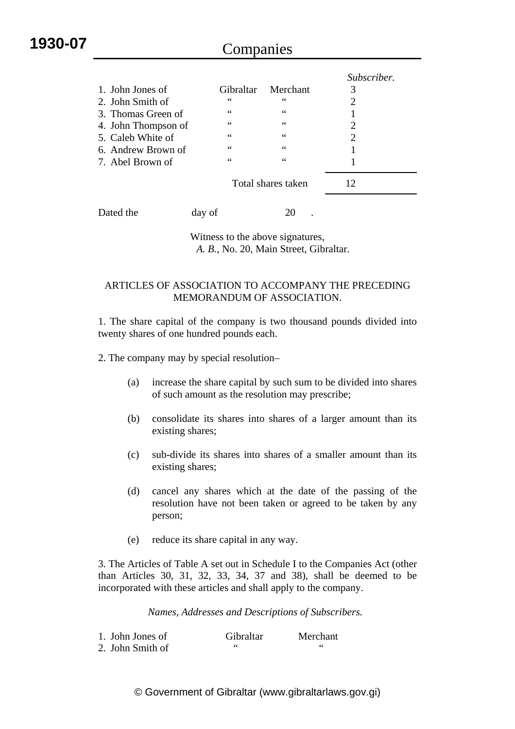# Companies

|                     |        |                  |                    | Subscriber. |
|---------------------|--------|------------------|--------------------|-------------|
| 1. John Jones of    |        | <b>Gibraltar</b> | Merchant           | 3           |
| 2. John Smith of    |        | 66               | 66                 | 2           |
| 3. Thomas Green of  |        | 66               | 66                 |             |
| 4. John Thompson of |        | 66               | 66                 | 2           |
| 5. Caleb White of   |        | 66               | 66                 | 2           |
| 6. Andrew Brown of  |        | 66               | 66                 |             |
| 7. Abel Brown of    |        | 66               | 66                 |             |
|                     |        |                  | Total shares taken | 12          |
| Dated the           | day of |                  |                    |             |

Witness to the above signatures,  *A. B.,* No. 20, Main Street, Gibraltar.

# ARTICLES OF ASSOCIATION TO ACCOMPANY THE PRECEDING MEMORANDUM OF ASSOCIATION.

1. The share capital of the company is two thousand pounds divided into twenty shares of one hundred pounds each.

2. The company may by special resolution–

- (a) increase the share capital by such sum to be divided into shares of such amount as the resolution may prescribe;
- (b) consolidate its shares into shares of a larger amount than its existing shares;
- (c) sub-divide its shares into shares of a smaller amount than its existing shares;
- (d) cancel any shares which at the date of the passing of the resolution have not been taken or agreed to be taken by any person;
- (e) reduce its share capital in any way.

3. The Articles of Table A set out in Schedule I to the Companies Act (other than Articles 30, 31, 32, 33, 34, 37 and 38), shall be deemed to be incorporated with these articles and shall apply to the company.

*Names, Addresses and Descriptions of Subscribers.* 

| 1. John Jones of | Gibraltar | Merchant |
|------------------|-----------|----------|
| 2. John Smith of |           |          |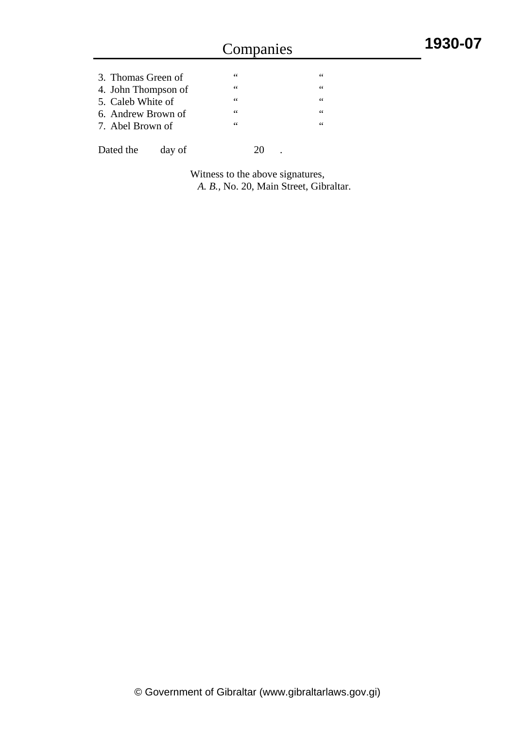| 3. Thomas Green of  | 66 | 66 |
|---------------------|----|----|
| 4. John Thompson of | 66 | 66 |
| 5. Caleb White of   | 66 | 66 |
| 6. Andrew Brown of  | 66 | 66 |
| 7. Abel Brown of    | 66 | 66 |
|                     |    |    |

Dated the day of 20 .

Witness to the above signatures,  *A. B.,* No. 20, Main Street, Gibraltar.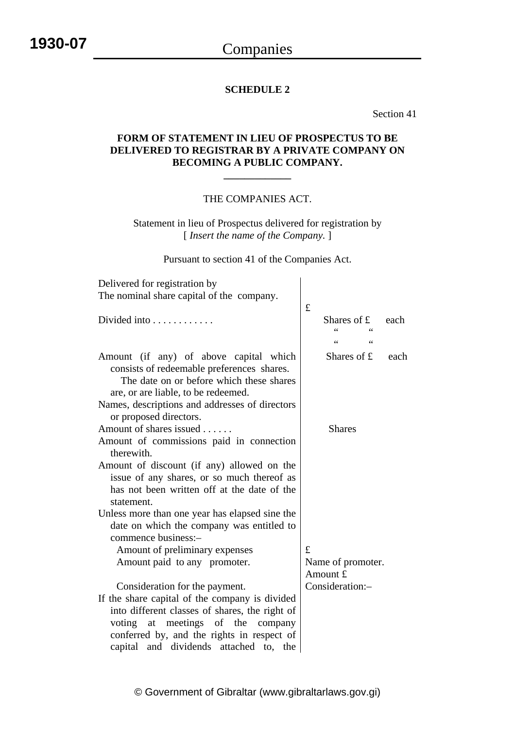# Companies

# **SCHEDULE 2**

Section 41

# **FORM OF STATEMENT IN LIEU OF PROSPECTUS TO BE DELIVERED TO REGISTRAR BY A PRIVATE COMPANY ON BECOMING A PUBLIC COMPANY.**

**\_\_\_\_\_\_\_\_\_\_\_\_\_** 

# THE COMPANIES ACT.

Statement in lieu of Prospectus delivered for registration by [ *Insert the name of the Company.* ]

Pursuant to section 41 of the Companies Act.

| $\pounds$<br>Shares of $f$<br>each<br>$\epsilon$ |
|--------------------------------------------------|
| Shares of $f$<br>each                            |
| <b>Shares</b>                                    |
|                                                  |
|                                                  |
|                                                  |
|                                                  |
|                                                  |
|                                                  |
| £                                                |
| Name of promoter.<br>Amount £                    |
| Consideration:-                                  |
|                                                  |
|                                                  |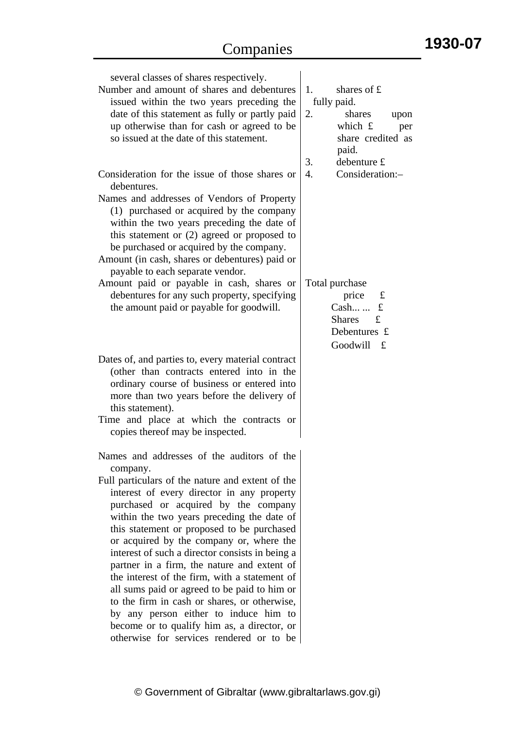| several classes of shares respectively.<br>Number and amount of shares and debentures<br>issued within the two years preceding the<br>date of this statement as fully or partly paid<br>up otherwise than for cash or agreed to be<br>so issued at the date of this statement.                                                                                                                                                                                                                                                                                                                                                                                                                                                  | shares of $E$<br>1.<br>fully paid.<br>2.<br>shares<br>upon<br>which $f$<br>per<br>share credited as<br>paid.                                |
|---------------------------------------------------------------------------------------------------------------------------------------------------------------------------------------------------------------------------------------------------------------------------------------------------------------------------------------------------------------------------------------------------------------------------------------------------------------------------------------------------------------------------------------------------------------------------------------------------------------------------------------------------------------------------------------------------------------------------------|---------------------------------------------------------------------------------------------------------------------------------------------|
| Consideration for the issue of those shares or<br>debentures.<br>Names and addresses of Vendors of Property<br>(1) purchased or acquired by the company<br>within the two years preceding the date of<br>this statement or (2) agreed or proposed to<br>be purchased or acquired by the company.<br>Amount (in cash, shares or debentures) paid or<br>payable to each separate vendor.<br>Amount paid or payable in cash, shares or<br>debentures for any such property, specifying<br>the amount paid or payable for goodwill.                                                                                                                                                                                                 | 3.<br>debenture £<br>Consideration:-<br>4.<br>Total purchase<br>price<br>£<br>Cash<br>£<br><b>Shares</b><br>£<br>Debentures £<br>Goodwill £ |
| Dates of, and parties to, every material contract<br>(other than contracts entered into in the<br>ordinary course of business or entered into<br>more than two years before the delivery of<br>this statement).<br>Time and place at which the contracts or<br>copies thereof may be inspected.                                                                                                                                                                                                                                                                                                                                                                                                                                 |                                                                                                                                             |
| Names and addresses of the auditors of the<br>company.<br>Full particulars of the nature and extent of the<br>interest of every director in any property<br>purchased or acquired by the company<br>within the two years preceding the date of<br>this statement or proposed to be purchased<br>or acquired by the company or, where the<br>interest of such a director consists in being a<br>partner in a firm, the nature and extent of<br>the interest of the firm, with a statement of<br>all sums paid or agreed to be paid to him or<br>to the firm in cash or shares, or otherwise,<br>by any person either to induce him to<br>become or to qualify him as, a director, or<br>otherwise for services rendered or to be |                                                                                                                                             |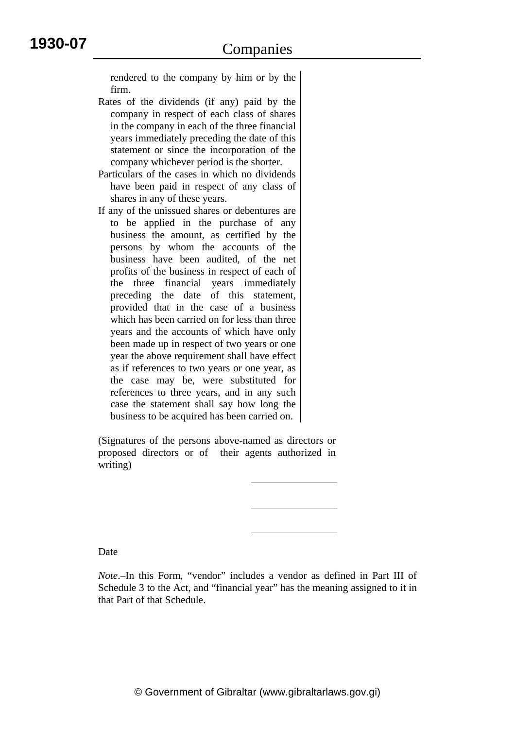rendered to the company by him or by the firm.

- Rates of the dividends (if any) paid by the company in respect of each class of shares in the company in each of the three financial years immediately preceding the date of this statement or since the incorporation of the company whichever period is the shorter.
- Particulars of the cases in which no dividends have been paid in respect of any class of shares in any of these years.
- If any of the unissued shares or debentures are to be applied in the purchase of any business the amount, as certified by the persons by whom the accounts of the business have been audited, of the net profits of the business in respect of each of the three financial years immediately preceding the date of this statement, provided that in the case of a business which has been carried on for less than three years and the accounts of which have only been made up in respect of two years or one year the above requirement shall have effect as if references to two years or one year, as the case may be, were substituted for references to three years, and in any such case the statement shall say how long the business to be acquired has been carried on.

(Signatures of the persons above-named as directors or proposed directors or of their agents authorized in writing)

Date

*Note*.–In this Form, "vendor" includes a vendor as defined in Part III of Schedule 3 to the Act, and "financial year" has the meaning assigned to it in that Part of that Schedule.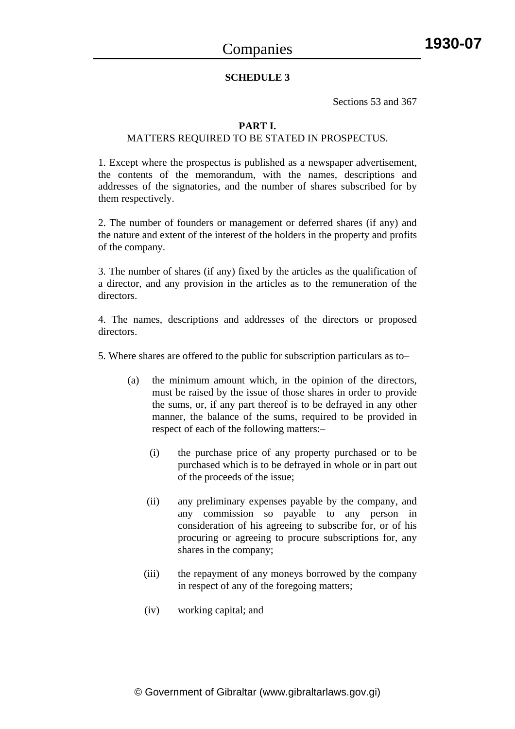# **SCHEDULE 3**

Sections 53 and 367

#### **PART I.**

#### MATTERS REQUIRED TO BE STATED IN PROSPECTUS.

1. Except where the prospectus is published as a newspaper advertisement, the contents of the memorandum, with the names, descriptions and addresses of the signatories, and the number of shares subscribed for by them respectively.

2. The number of founders or management or deferred shares (if any) and the nature and extent of the interest of the holders in the property and profits of the company.

3. The number of shares (if any) fixed by the articles as the qualification of a director, and any provision in the articles as to the remuneration of the directors.

4. The names, descriptions and addresses of the directors or proposed directors.

- 5. Where shares are offered to the public for subscription particulars as to–
	- (a) the minimum amount which, in the opinion of the directors, must be raised by the issue of those shares in order to provide the sums, or, if any part thereof is to be defrayed in any other manner, the balance of the sums, required to be provided in respect of each of the following matters:–
		- (i) the purchase price of any property purchased or to be purchased which is to be defrayed in whole or in part out of the proceeds of the issue;
		- (ii) any preliminary expenses payable by the company, and any commission so payable to any person in consideration of his agreeing to subscribe for, or of his procuring or agreeing to procure subscriptions for, any shares in the company;
		- (iii) the repayment of any moneys borrowed by the company in respect of any of the foregoing matters;
		- (iv) working capital; and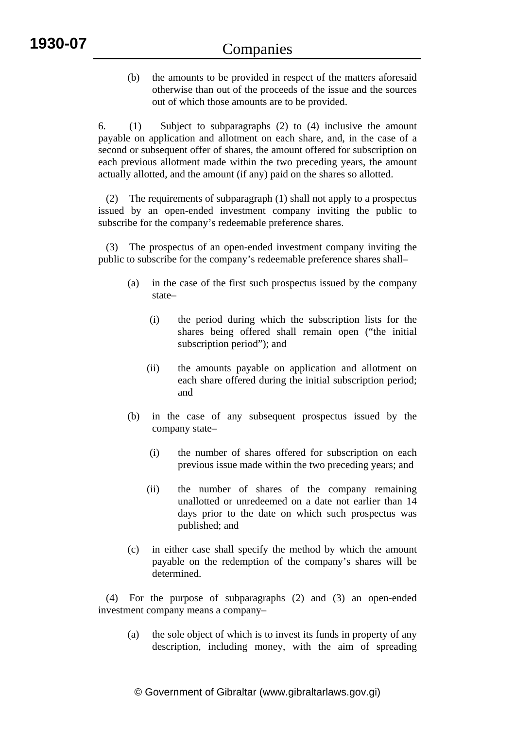(b) the amounts to be provided in respect of the matters aforesaid otherwise than out of the proceeds of the issue and the sources out of which those amounts are to be provided.

6. (1)Subject to subparagraphs (2) to (4) inclusive the amount payable on application and allotment on each share, and, in the case of a second or subsequent offer of shares, the amount offered for subscription on each previous allotment made within the two preceding years, the amount actually allotted, and the amount (if any) paid on the shares so allotted.

 (2) The requirements of subparagraph (1) shall not apply to a prospectus issued by an open-ended investment company inviting the public to subscribe for the company's redeemable preference shares.

 (3) The prospectus of an open-ended investment company inviting the public to subscribe for the company's redeemable preference shares shall–

- (a) in the case of the first such prospectus issued by the company state–
	- (i) the period during which the subscription lists for the shares being offered shall remain open ("the initial subscription period"); and
	- (ii) the amounts payable on application and allotment on each share offered during the initial subscription period; and
- (b) in the case of any subsequent prospectus issued by the company state–
	- (i) the number of shares offered for subscription on each previous issue made within the two preceding years; and
	- (ii) the number of shares of the company remaining unallotted or unredeemed on a date not earlier than 14 days prior to the date on which such prospectus was published; and
- (c) in either case shall specify the method by which the amount payable on the redemption of the company's shares will be determined.

 (4) For the purpose of subparagraphs (2) and (3) an open-ended investment company means a company–

(a) the sole object of which is to invest its funds in property of any description, including money, with the aim of spreading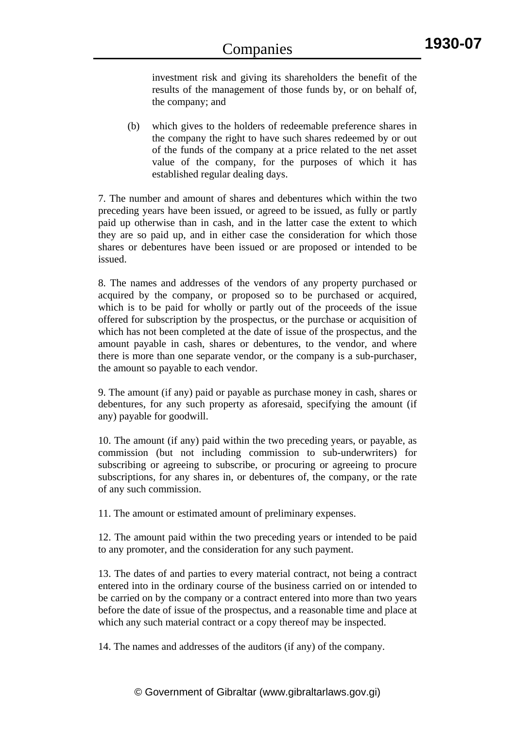investment risk and giving its shareholders the benefit of the results of the management of those funds by, or on behalf of, the company; and

(b) which gives to the holders of redeemable preference shares in the company the right to have such shares redeemed by or out of the funds of the company at a price related to the net asset value of the company, for the purposes of which it has established regular dealing days.

7. The number and amount of shares and debentures which within the two preceding years have been issued, or agreed to be issued, as fully or partly paid up otherwise than in cash, and in the latter case the extent to which they are so paid up, and in either case the consideration for which those shares or debentures have been issued or are proposed or intended to be issued.

8. The names and addresses of the vendors of any property purchased or acquired by the company, or proposed so to be purchased or acquired, which is to be paid for wholly or partly out of the proceeds of the issue offered for subscription by the prospectus, or the purchase or acquisition of which has not been completed at the date of issue of the prospectus, and the amount payable in cash, shares or debentures, to the vendor, and where there is more than one separate vendor, or the company is a sub-purchaser, the amount so payable to each vendor.

9. The amount (if any) paid or payable as purchase money in cash, shares or debentures, for any such property as aforesaid, specifying the amount (if any) payable for goodwill.

10. The amount (if any) paid within the two preceding years, or payable, as commission (but not including commission to sub-underwriters) for subscribing or agreeing to subscribe, or procuring or agreeing to procure subscriptions, for any shares in, or debentures of, the company, or the rate of any such commission.

11. The amount or estimated amount of preliminary expenses.

12. The amount paid within the two preceding years or intended to be paid to any promoter, and the consideration for any such payment.

13. The dates of and parties to every material contract, not being a contract entered into in the ordinary course of the business carried on or intended to be carried on by the company or a contract entered into more than two years before the date of issue of the prospectus, and a reasonable time and place at which any such material contract or a copy thereof may be inspected.

14. The names and addresses of the auditors (if any) of the company.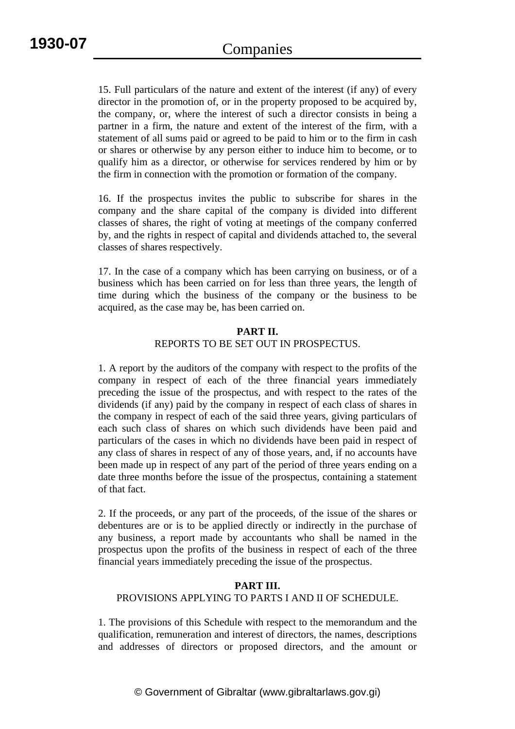15. Full particulars of the nature and extent of the interest (if any) of every director in the promotion of, or in the property proposed to be acquired by, the company, or, where the interest of such a director consists in being a partner in a firm, the nature and extent of the interest of the firm, with a statement of all sums paid or agreed to be paid to him or to the firm in cash or shares or otherwise by any person either to induce him to become, or to qualify him as a director, or otherwise for services rendered by him or by the firm in connection with the promotion or formation of the company.

16. If the prospectus invites the public to subscribe for shares in the company and the share capital of the company is divided into different classes of shares, the right of voting at meetings of the company conferred by, and the rights in respect of capital and dividends attached to, the several classes of shares respectively.

17. In the case of a company which has been carrying on business, or of a business which has been carried on for less than three years, the length of time during which the business of the company or the business to be acquired, as the case may be, has been carried on.

# **PART II.**  REPORTS TO BE SET OUT IN PROSPECTUS.

1. A report by the auditors of the company with respect to the profits of the company in respect of each of the three financial years immediately preceding the issue of the prospectus, and with respect to the rates of the dividends (if any) paid by the company in respect of each class of shares in the company in respect of each of the said three years, giving particulars of each such class of shares on which such dividends have been paid and particulars of the cases in which no dividends have been paid in respect of any class of shares in respect of any of those years, and, if no accounts have been made up in respect of any part of the period of three years ending on a date three months before the issue of the prospectus, containing a statement of that fact.

2. If the proceeds, or any part of the proceeds, of the issue of the shares or debentures are or is to be applied directly or indirectly in the purchase of any business, a report made by accountants who shall be named in the prospectus upon the profits of the business in respect of each of the three financial years immediately preceding the issue of the prospectus.

#### **PART III.**  PROVISIONS APPLYING TO PARTS I AND II OF SCHEDULE.

1. The provisions of this Schedule with respect to the memorandum and the qualification, remuneration and interest of directors, the names, descriptions and addresses of directors or proposed directors, and the amount or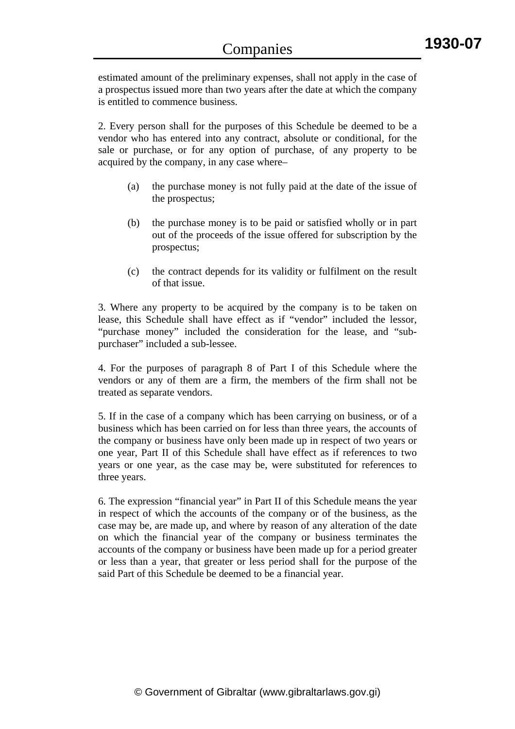estimated amount of the preliminary expenses, shall not apply in the case of a prospectus issued more than two years after the date at which the company is entitled to commence business.

2. Every person shall for the purposes of this Schedule be deemed to be a vendor who has entered into any contract, absolute or conditional, for the sale or purchase, or for any option of purchase, of any property to be acquired by the company, in any case where–

- (a) the purchase money is not fully paid at the date of the issue of the prospectus;
- (b) the purchase money is to be paid or satisfied wholly or in part out of the proceeds of the issue offered for subscription by the prospectus;
- (c) the contract depends for its validity or fulfilment on the result of that issue.

3. Where any property to be acquired by the company is to be taken on lease, this Schedule shall have effect as if "vendor" included the lessor, "purchase money" included the consideration for the lease, and "subpurchaser" included a sub-lessee.

4. For the purposes of paragraph 8 of Part I of this Schedule where the vendors or any of them are a firm, the members of the firm shall not be treated as separate vendors.

5. If in the case of a company which has been carrying on business, or of a business which has been carried on for less than three years, the accounts of the company or business have only been made up in respect of two years or one year, Part II of this Schedule shall have effect as if references to two years or one year, as the case may be, were substituted for references to three years.

6. The expression "financial year" in Part II of this Schedule means the year in respect of which the accounts of the company or of the business, as the case may be, are made up, and where by reason of any alteration of the date on which the financial year of the company or business terminates the accounts of the company or business have been made up for a period greater or less than a year, that greater or less period shall for the purpose of the said Part of this Schedule be deemed to be a financial year.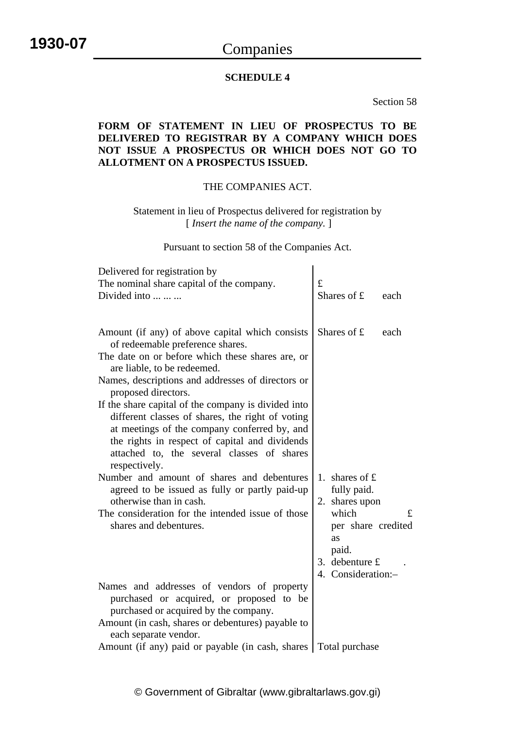# Companies

#### **SCHEDULE 4**

Section 58

# **FORM OF STATEMENT IN LIEU OF PROSPECTUS TO BE DELIVERED TO REGISTRAR BY A COMPANY WHICH DOES NOT ISSUE A PROSPECTUS OR WHICH DOES NOT GO TO ALLOTMENT ON A PROSPECTUS ISSUED.**

# THE COMPANIES ACT.

Statement in lieu of Prospectus delivered for registration by [ *Insert the name of the company.* ]

Pursuant to section 58 of the Companies Act.

| Delivered for registration by                                                                                                                                                                                                                                                                                                                                                                                 |                                                                                             |
|---------------------------------------------------------------------------------------------------------------------------------------------------------------------------------------------------------------------------------------------------------------------------------------------------------------------------------------------------------------------------------------------------------------|---------------------------------------------------------------------------------------------|
| The nominal share capital of the company.                                                                                                                                                                                                                                                                                                                                                                     | £                                                                                           |
| Divided into                                                                                                                                                                                                                                                                                                                                                                                                  | Shares of £<br>each                                                                         |
| Amount (if any) of above capital which consists<br>of redeemable preference shares.<br>The date on or before which these shares are, or<br>are liable, to be redeemed.<br>Names, descriptions and addresses of directors or<br>proposed directors.<br>If the share capital of the company is divided into<br>different classes of shares, the right of voting<br>at meetings of the company conferred by, and | Shares of $f$<br>each                                                                       |
| the rights in respect of capital and dividends<br>attached to, the several classes of shares<br>respectively.<br>Number and amount of shares and debentures<br>agreed to be issued as fully or partly paid-up<br>otherwise than in cash.                                                                                                                                                                      | 1. shares of $f$ .<br>fully paid.<br>2. shares upon                                         |
| The consideration for the intended issue of those<br>shares and debentures.                                                                                                                                                                                                                                                                                                                                   | which<br>£<br>per share credited<br>as<br>paid.<br>3. debenture $f$ .<br>4. Consideration:- |
| Names and addresses of vendors of property<br>purchased or acquired, or proposed to be<br>purchased or acquired by the company.<br>Amount (in cash, shares or debentures) payable to<br>each separate vendor.                                                                                                                                                                                                 |                                                                                             |
| Amount (if any) paid or payable (in cash, shares                                                                                                                                                                                                                                                                                                                                                              | Total purchase                                                                              |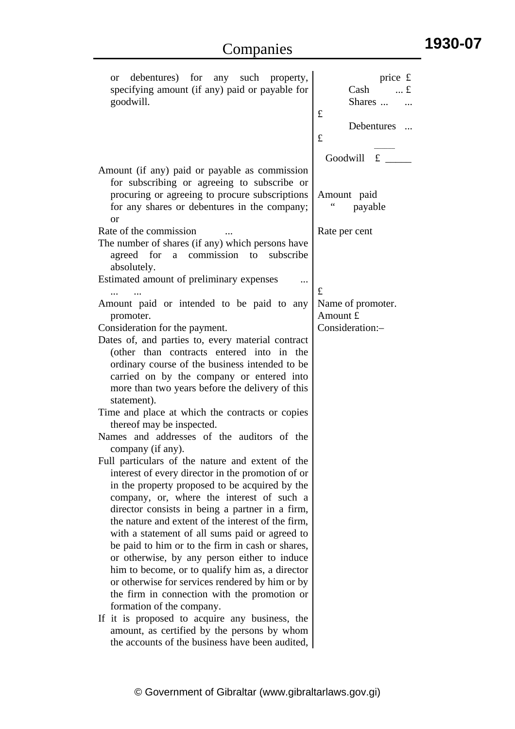| Amount (if any) paid or payable as commission<br>for subscribing or agreeing to subscribe or<br>procuring or agreeing to procure subscriptions<br>Amount paid<br>for any shares or debentures in the company;<br>or<br>Rate of the commission<br>Rate per cent<br>The number of shares (if any) which persons have<br>agreed for<br>a commission to subscribe<br>absolutely.<br>Estimated amount of preliminary expenses<br>£<br>Amount paid or intended to be paid to any<br>Name of promoter.<br>Amount £<br>promoter.<br>Consideration:-<br>Consideration for the payment.                                                                                                                                                                                                                                                                                                                                                                                                                                                                                                                                                                                                 | Debentures            |
|-------------------------------------------------------------------------------------------------------------------------------------------------------------------------------------------------------------------------------------------------------------------------------------------------------------------------------------------------------------------------------------------------------------------------------------------------------------------------------------------------------------------------------------------------------------------------------------------------------------------------------------------------------------------------------------------------------------------------------------------------------------------------------------------------------------------------------------------------------------------------------------------------------------------------------------------------------------------------------------------------------------------------------------------------------------------------------------------------------------------------------------------------------------------------------|-----------------------|
|                                                                                                                                                                                                                                                                                                                                                                                                                                                                                                                                                                                                                                                                                                                                                                                                                                                                                                                                                                                                                                                                                                                                                                               | Goodwill £<br>payable |
| Dates of, and parties to, every material contract<br>(other than contracts entered into in the<br>ordinary course of the business intended to be<br>carried on by the company or entered into<br>more than two years before the delivery of this<br>statement).<br>Time and place at which the contracts or copies<br>thereof may be inspected.<br>Names and addresses of the auditors of the<br>company (if any).<br>Full particulars of the nature and extent of the<br>interest of every director in the promotion of or<br>in the property proposed to be acquired by the<br>company, or, where the interest of such a<br>director consists in being a partner in a firm,<br>the nature and extent of the interest of the firm,<br>with a statement of all sums paid or agreed to<br>be paid to him or to the firm in cash or shares,<br>or otherwise, by any person either to induce<br>him to become, or to qualify him as, a director<br>or otherwise for services rendered by him or by<br>the firm in connection with the promotion or<br>formation of the company.<br>If it is proposed to acquire any business, the<br>amount, as certified by the persons by whom |                       |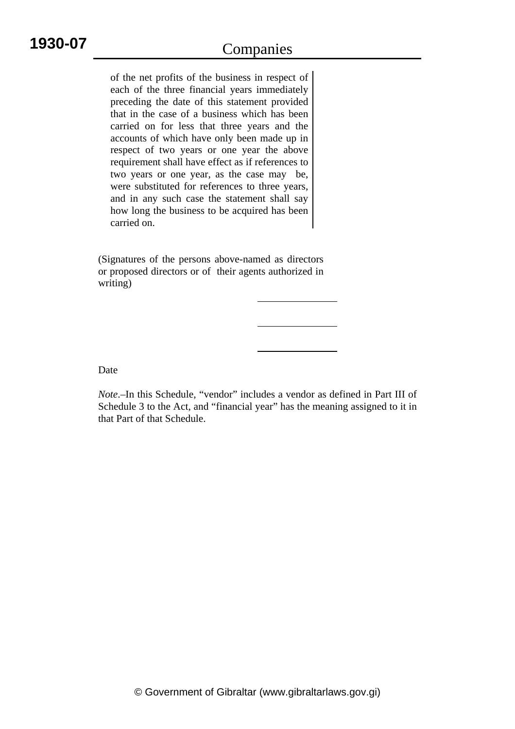of the net profits of the business in respect of each of the three financial years immediately preceding the date of this statement provided that in the case of a business which has been carried on for less that three years and the accounts of which have only been made up in respect of two years or one year the above requirement shall have effect as if references to two years or one year, as the case may be, were substituted for references to three years, and in any such case the statement shall say how long the business to be acquired has been carried on.

(Signatures of the persons above-named as directors or proposed directors or of their agents authorized in writing)

Date

*Note*.–In this Schedule, "vendor" includes a vendor as defined in Part III of Schedule 3 to the Act, and "financial year" has the meaning assigned to it in that Part of that Schedule.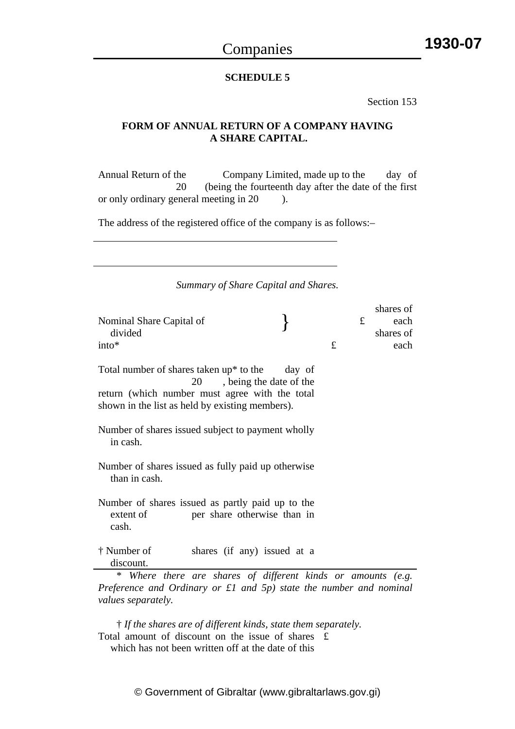**1930-07**

# **SCHEDULE 5**

Section 153

# **FORM OF ANNUAL RETURN OF A COMPANY HAVING A SHARE CAPITAL.**

Annual Return of the Company Limited, made up to the day of 20 (being the fourteenth day after the date of the first or only ordinary general meeting in 20  $\qquad$  ).

The address of the registered office of the company is as follows:–

|                                                                                                                                                       | Summary of Share Capital and Shares. |   |   |                                        |
|-------------------------------------------------------------------------------------------------------------------------------------------------------|--------------------------------------|---|---|----------------------------------------|
| Nominal Share Capital of<br>divided<br>$into*$                                                                                                        |                                      | £ | £ | shares of<br>each<br>shares of<br>each |
| Total number of shares taken $up^*$ to the<br>20<br>return (which number must agree with the total<br>shown in the list as held by existing members). | day of<br>, being the date of the    |   |   |                                        |
| Number of shares issued subject to payment wholly<br>in cash.                                                                                         |                                      |   |   |                                        |
| Number of shares issued as fully paid up otherwise<br>than in cash.                                                                                   |                                      |   |   |                                        |
| Number of shares issued as partly paid up to the<br>extent of<br>cash.                                                                                | per share otherwise than in          |   |   |                                        |
| † Number of<br>discount.                                                                                                                              | shares (if any) issued at a          |   |   |                                        |
| ∗<br>Where there are shares of different kinds or amounts $(e.g.$<br>Preference and Ordinary or $f1$ and $5p$ ) state the number and nominal          |                                      |   |   |                                        |

*Preference and Ordinary or £1 and 5p) state the number and nominal values separately.*

† *If the shares are of different kinds, state them separately.*  Total amount of discount on the issue of shares £ which has not been written off at the date of this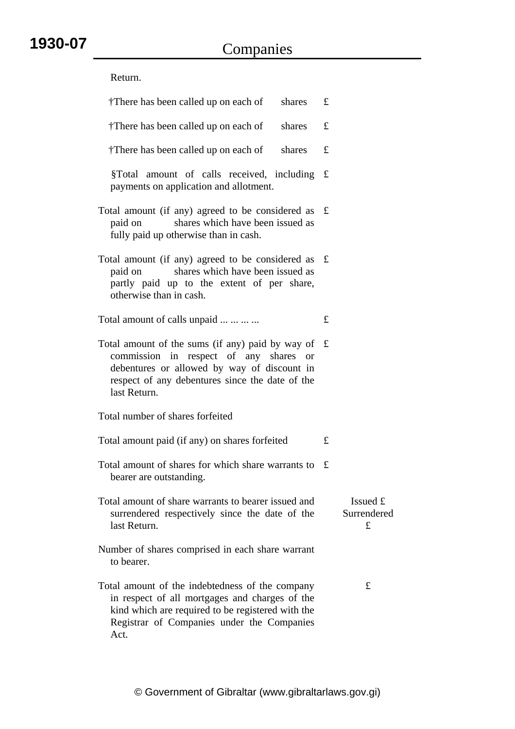| Return.                                                                                                                                                                                                                 |                              |
|-------------------------------------------------------------------------------------------------------------------------------------------------------------------------------------------------------------------------|------------------------------|
| †There has been called up on each of<br>shares                                                                                                                                                                          | £                            |
| †There has been called up on each of shares                                                                                                                                                                             | £                            |
| †There has been called up on each of<br>shares                                                                                                                                                                          | £                            |
| §Total amount of calls received, including<br>payments on application and allotment.                                                                                                                                    | f                            |
| Total amount (if any) agreed to be considered as<br>shares which have been issued as<br>paid on<br>fully paid up otherwise than in cash.                                                                                | £                            |
| Total amount (if any) agreed to be considered as<br>shares which have been issued as<br>paid on<br>partly paid up to the extent of per share,<br>otherwise than in cash.                                                | £                            |
| Total amount of calls unpaid                                                                                                                                                                                            | £                            |
| Total amount of the sums (if any) paid by way of $\epsilon$<br>commission in respect of any shares or<br>debentures or allowed by way of discount in<br>respect of any debentures since the date of the<br>last Return. |                              |
| Total number of shares forfeited                                                                                                                                                                                        |                              |
| Total amount paid (if any) on shares forfeited                                                                                                                                                                          | £                            |
| Total amount of shares for which share warrants to<br>bearer are outstanding.                                                                                                                                           | £                            |
| Total amount of share warrants to bearer issued and<br>surrendered respectively since the date of the<br>last Return.                                                                                                   | Issued £<br>Surrendered<br>£ |
| Number of shares comprised in each share warrant<br>to bearer.                                                                                                                                                          |                              |
| Total amount of the indebtedness of the company<br>in respect of all mortgages and charges of the<br>kind which are required to be registered with the<br>Registrar of Companies under the Companies<br>Act.            | £                            |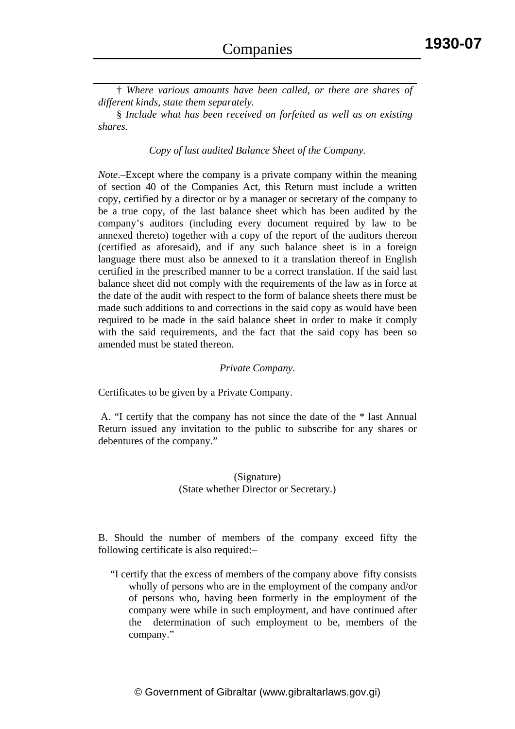† *Where various amounts have been called, or there are shares of different kinds, state them separately.* 

§ *Include what has been received on forfeited as well as on existing shares.* 

*Copy of last audited Balance Sheet of the Company.* 

*Note*.–Except where the company is a private company within the meaning of section 40 of the Companies Act, this Return must include a written copy, certified by a director or by a manager or secretary of the company to be a true copy, of the last balance sheet which has been audited by the company's auditors (including every document required by law to be annexed thereto) together with a copy of the report of the auditors thereon (certified as aforesaid), and if any such balance sheet is in a foreign language there must also be annexed to it a translation thereof in English certified in the prescribed manner to be a correct translation. If the said last balance sheet did not comply with the requirements of the law as in force at the date of the audit with respect to the form of balance sheets there must be made such additions to and corrections in the said copy as would have been required to be made in the said balance sheet in order to make it comply with the said requirements, and the fact that the said copy has been so amended must be stated thereon.

#### *Private Company.*

Certificates to be given by a Private Company.

 A. "I certify that the company has not since the date of the \* last Annual Return issued any invitation to the public to subscribe for any shares or debentures of the company."

## (Signature) (State whether Director or Secretary.)

B. Should the number of members of the company exceed fifty the following certificate is also required:–

"I certify that the excess of members of the company above fifty consists wholly of persons who are in the employment of the company and/or of persons who, having been formerly in the employment of the company were while in such employment, and have continued after the determination of such employment to be, members of the company."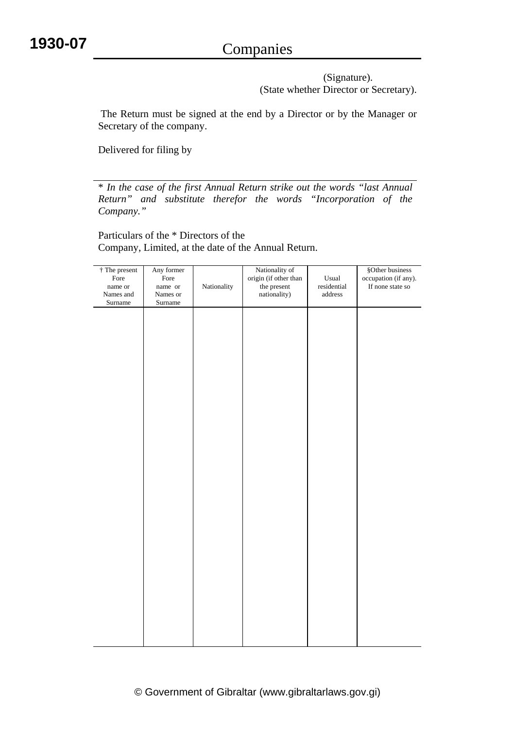(Signature). (State whether Director or Secretary).

 The Return must be signed at the end by a Director or by the Manager or Secretary of the company.

Delivered for filing by

\* *In the case of the first Annual Return strike out the words "last Annual Return" and substitute therefor the words "Incorporation of the Company."*

Particulars of the \* Directors of the Company, Limited, at the date of the Annual Return.

| † The present<br>Fore<br>name or<br>Names and<br>Surname | Any former<br>Fore<br>name or<br>Names or<br>Surname | Nationality | Nationality of<br>origin (if other than<br>the present<br>nationality) | Usual<br>$\rm{residential}$<br>$\texttt{address}$ | §Other business<br>occupation (if any).<br>If none state so |
|----------------------------------------------------------|------------------------------------------------------|-------------|------------------------------------------------------------------------|---------------------------------------------------|-------------------------------------------------------------|
|                                                          |                                                      |             |                                                                        |                                                   |                                                             |
|                                                          |                                                      |             |                                                                        |                                                   |                                                             |
|                                                          |                                                      |             |                                                                        |                                                   |                                                             |
|                                                          |                                                      |             |                                                                        |                                                   |                                                             |
|                                                          |                                                      |             |                                                                        |                                                   |                                                             |
|                                                          |                                                      |             |                                                                        |                                                   |                                                             |
|                                                          |                                                      |             |                                                                        |                                                   |                                                             |
|                                                          |                                                      |             |                                                                        |                                                   |                                                             |
|                                                          |                                                      |             |                                                                        |                                                   |                                                             |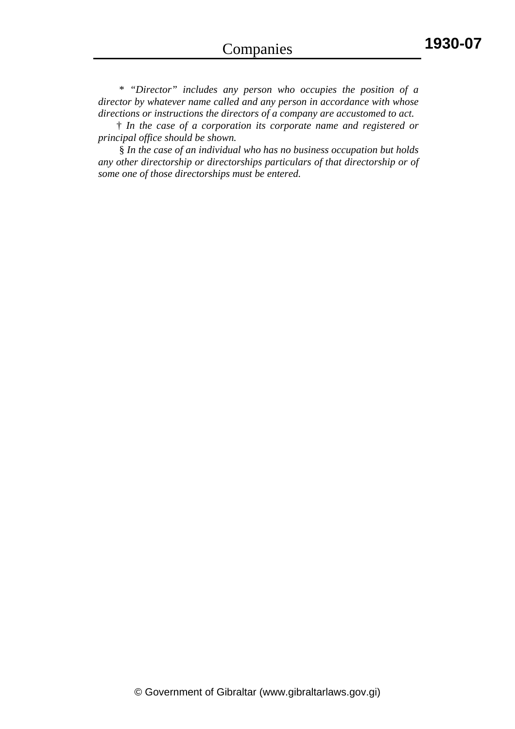\* *"Director" includes any person who occupies the position of a director by whatever name called and any person in accordance with whose directions or instructions the directors of a company are accustomed to act.* 

† *In the case of a corporation its corporate name and registered or principal office should be shown.*

 § *In the case of an individual who has no business occupation but holds any other directorship or directorships particulars of that directorship or of some one of those directorships must be entered.*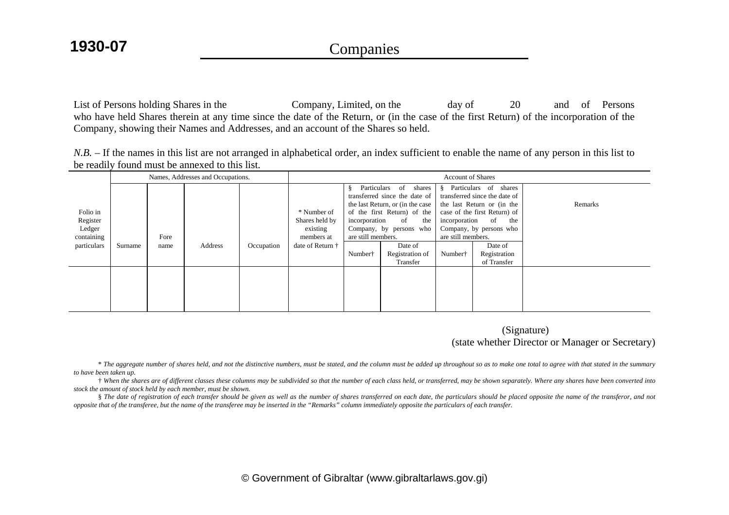List of Persons holding Shares in the Company, Limited, on the day of 20 and of Persons who have held Shares therein at any time since the date of the Return, or (in the case of the first Return) of the incorporation of the Company, showing their Names and Addresses, and an account of the Shares so held.

*N.B.* – If the names in this list are not arranged in alphabetical order, an index sufficient to enable the name of any person in this list to be readily found must be annexed to this list.

|                                              |         |      | Names, Addresses and Occupations. |            | <b>Account of Shares</b>                                |                                           |                                                                                                                                                                      |                                                              |                                                                                                                                               |         |
|----------------------------------------------|---------|------|-----------------------------------|------------|---------------------------------------------------------|-------------------------------------------|----------------------------------------------------------------------------------------------------------------------------------------------------------------------|--------------------------------------------------------------|-----------------------------------------------------------------------------------------------------------------------------------------------|---------|
| Folio in<br>Register<br>Ledger<br>containing |         | Fore |                                   |            | * Number of<br>Shares held by<br>existing<br>members at | §.<br>incorporation<br>are still members. | Particulars of<br>shares<br>transferred since the date of<br>the last Return, or (in the case<br>of the first Return) of the<br>the<br>of<br>Company, by persons who | Particulars of<br>\$.<br>incorporation<br>are still members. | shares<br>transferred since the date of<br>the last Return or (in the<br>case of the first Return) of<br>of<br>the<br>Company, by persons who | Remarks |
| particulars                                  | Surname | name | Address                           | Occupation | date of Return $\dagger$                                | Number <sup>†</sup>                       | Date of<br>Registration of<br>Transfer                                                                                                                               | Number <sup>†</sup>                                          | Date of<br>Registration<br>of Transfer                                                                                                        |         |
|                                              |         |      |                                   |            |                                                         |                                           |                                                                                                                                                                      |                                                              |                                                                                                                                               |         |

# (Signature) (state whether Director or Manager or Secretary)

\* *The aggregate number of shares held, and not the distinctive numbers, must be stated, and the column must be added up throughout so as to make one total to agree with that stated in the summary to have been taken up.* 

† *When the shares are of different classes these columns may be subdivided so that the number of each class held, or transferred, may be shown separately. Where any shares have been converted into stock the amount of stock held by each member, must be shown.* 

§ *The date of registration of each transfer should be given as well as the number of shares transferred on each date, the particulars should be placed opposite the name of the transferor, and not opposite that of the transferee, but the name of the transferee may be inserted in the "Remarks" column immediately opposite the particulars of each transfer.*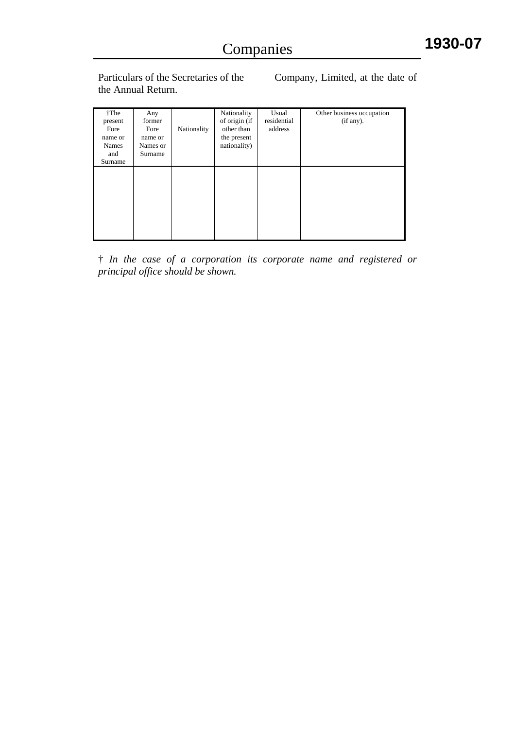Particulars of the Secretaries of the Company, Limited, at the date of the Annual Return.

| †The<br>present<br>Fore<br>name or<br><b>Names</b><br>and<br>Surname | Any<br>former<br>Fore<br>name or<br>Names or<br>Surname | Nationality | Nationality<br>of origin (if<br>other than<br>the present<br>nationality) | Usual<br>residential<br>address | Other business occupation<br>(if any). |
|----------------------------------------------------------------------|---------------------------------------------------------|-------------|---------------------------------------------------------------------------|---------------------------------|----------------------------------------|
|                                                                      |                                                         |             |                                                                           |                                 |                                        |

† *In the case of a corporation its corporate name and registered or principal office should be shown.*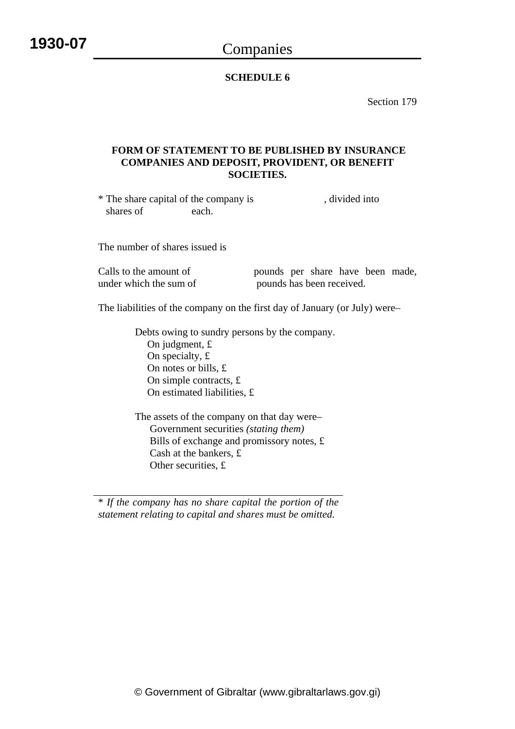# Companies

### **SCHEDULE 6**

Section 179

# **FORM OF STATEMENT TO BE PUBLISHED BY INSURANCE COMPANIES AND DEPOSIT, PROVIDENT, OR BENEFIT SOCIETIES.**

\* The share capital of the company is , divided into shares of each.

The number of shares issued is

| Calls to the amount of | pounds per share have been made, |  |  |  |
|------------------------|----------------------------------|--|--|--|
| under which the sum of | pounds has been received.        |  |  |  |

The liabilities of the company on the first day of January (or July) were–

Debts owing to sundry persons by the company. On judgment, £ On specialty, £ On notes or bills, £ On simple contracts, £ On estimated liabilities, £

The assets of the company on that day were– Government securities *(stating them)*  Bills of exchange and promissory notes, £ Cash at the bankers, £ Other securities, £

\* *If the company has no share capital the portion of the statement relating to capital and shares must be omitted.*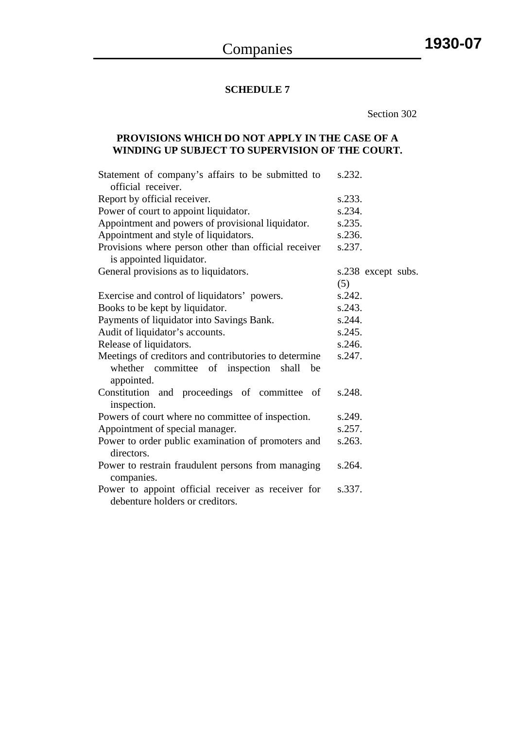Section 302

# **PROVISIONS WHICH DO NOT APPLY IN THE CASE OF A WINDING UP SUBJECT TO SUPERVISION OF THE COURT.**

| Statement of company's affairs to be submitted to                | s.232.             |
|------------------------------------------------------------------|--------------------|
| official receiver.                                               |                    |
| Report by official receiver.                                     | s.233.             |
| Power of court to appoint liquidator.                            | s.234.             |
| Appointment and powers of provisional liquidator.                | s.235.             |
| Appointment and style of liquidators.                            | s.236.             |
| Provisions where person other than official receiver             | s.237.             |
| is appointed liquidator.                                         |                    |
| General provisions as to liquidators.                            | s.238 except subs. |
|                                                                  | (5)                |
| Exercise and control of liquidators' powers.                     | s.242.             |
| Books to be kept by liquidator.                                  | s.243.             |
| Payments of liquidator into Savings Bank.                        | s.244.             |
| Audit of liquidator's accounts.                                  | s.245.             |
| Release of liquidators.                                          | s.246.             |
| Meetings of creditors and contributories to determine            | s.247.             |
| whether committee of inspection shall<br>be<br>appointed.        |                    |
| Constitution and proceedings of committee of<br>inspection.      | s.248.             |
| Powers of court where no committee of inspection.                | s.249.             |
| Appointment of special manager.                                  | s.257.             |
| Power to order public examination of promoters and<br>directors. | s.263.             |
| Power to restrain fraudulent persons from managing<br>companies. | s.264.             |
| Power to appoint official receiver as receiver for               | s.337.             |
| debenture holders or creditors.                                  |                    |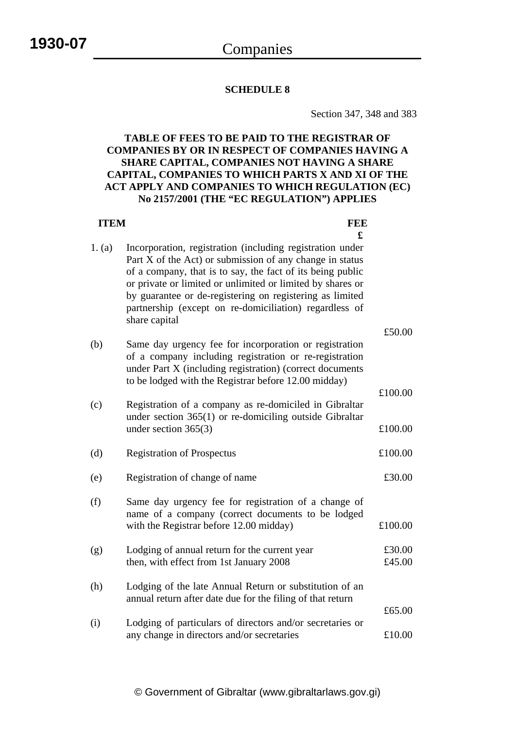Section 347, 348 and 383

# **TABLE OF FEES TO BE PAID TO THE REGISTRAR OF COMPANIES BY OR IN RESPECT OF COMPANIES HAVING A SHARE CAPITAL, COMPANIES NOT HAVING A SHARE CAPITAL, COMPANIES TO WHICH PARTS X AND XI OF THE ACT APPLY AND COMPANIES TO WHICH REGULATION (EC) No 2157/2001 (THE "EC REGULATION") APPLIES**

|        | <b>ITEM</b><br>FEE                                                                                                                                                                                                                                                                                                                                                                            |                  |
|--------|-----------------------------------------------------------------------------------------------------------------------------------------------------------------------------------------------------------------------------------------------------------------------------------------------------------------------------------------------------------------------------------------------|------------------|
| 1. (a) | £<br>Incorporation, registration (including registration under<br>Part X of the Act) or submission of any change in status<br>of a company, that is to say, the fact of its being public<br>or private or limited or unlimited or limited by shares or<br>by guarantee or de-registering on registering as limited<br>partnership (except on re-domiciliation) regardless of<br>share capital |                  |
|        |                                                                                                                                                                                                                                                                                                                                                                                               | £50.00           |
| (b)    | Same day urgency fee for incorporation or registration<br>of a company including registration or re-registration<br>under Part X (including registration) (correct documents<br>to be lodged with the Registrar before 12.00 midday)                                                                                                                                                          | £100.00          |
| (c)    | Registration of a company as re-domiciled in Gibraltar<br>under section 365(1) or re-domiciling outside Gibraltar<br>under section $365(3)$                                                                                                                                                                                                                                                   | £100.00          |
| (d)    | <b>Registration of Prospectus</b>                                                                                                                                                                                                                                                                                                                                                             | £100.00          |
| (e)    | Registration of change of name                                                                                                                                                                                                                                                                                                                                                                | £30.00           |
| (f)    | Same day urgency fee for registration of a change of<br>name of a company (correct documents to be lodged<br>with the Registrar before 12.00 midday)                                                                                                                                                                                                                                          | £100.00          |
| (g)    | Lodging of annual return for the current year<br>then, with effect from 1st January 2008                                                                                                                                                                                                                                                                                                      | £30.00<br>£45.00 |
| (h)    | Lodging of the late Annual Return or substitution of an<br>annual return after date due for the filing of that return                                                                                                                                                                                                                                                                         |                  |
|        | Lodging of particulars of directors and/or secretaries or                                                                                                                                                                                                                                                                                                                                     | £65.00           |
| (i)    | any change in directors and/or secretaries                                                                                                                                                                                                                                                                                                                                                    | £10.00           |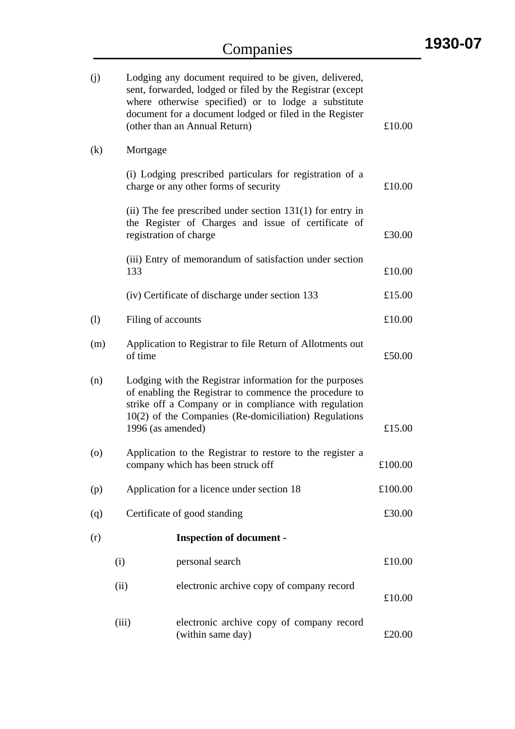| (j)     | Lodging any document required to be given, delivered,<br>sent, forwarded, lodged or filed by the Registrar (except<br>where otherwise specified) or to lodge a substitute<br>document for a document lodged or filed in the Register<br>(other than an Annual Return) | £10.00                                                                                                                                                                                                                                                   |         |  |  |  |  |
|---------|-----------------------------------------------------------------------------------------------------------------------------------------------------------------------------------------------------------------------------------------------------------------------|----------------------------------------------------------------------------------------------------------------------------------------------------------------------------------------------------------------------------------------------------------|---------|--|--|--|--|
| (k)     | Mortgage                                                                                                                                                                                                                                                              |                                                                                                                                                                                                                                                          |         |  |  |  |  |
|         |                                                                                                                                                                                                                                                                       | (i) Lodging prescribed particulars for registration of a<br>charge or any other forms of security                                                                                                                                                        | £10.00  |  |  |  |  |
|         |                                                                                                                                                                                                                                                                       | (ii) The fee prescribed under section $131(1)$ for entry in<br>the Register of Charges and issue of certificate of<br>registration of charge                                                                                                             | £30.00  |  |  |  |  |
|         | 133                                                                                                                                                                                                                                                                   | (iii) Entry of memorandum of satisfaction under section                                                                                                                                                                                                  |         |  |  |  |  |
|         |                                                                                                                                                                                                                                                                       | (iv) Certificate of discharge under section 133                                                                                                                                                                                                          | £15.00  |  |  |  |  |
| (1)     | Filing of accounts                                                                                                                                                                                                                                                    | £10.00                                                                                                                                                                                                                                                   |         |  |  |  |  |
| (m)     | Application to Registrar to file Return of Allotments out<br>of time                                                                                                                                                                                                  | £50.00                                                                                                                                                                                                                                                   |         |  |  |  |  |
| (n)     |                                                                                                                                                                                                                                                                       | Lodging with the Registrar information for the purposes<br>of enabling the Registrar to commence the procedure to<br>strike off a Company or in compliance with regulation<br>10(2) of the Companies (Re-domiciliation) Regulations<br>1996 (as amended) |         |  |  |  |  |
| $\circ$ |                                                                                                                                                                                                                                                                       | Application to the Registrar to restore to the register a<br>company which has been struck off                                                                                                                                                           |         |  |  |  |  |
| (p)     |                                                                                                                                                                                                                                                                       | Application for a licence under section 18                                                                                                                                                                                                               | £100.00 |  |  |  |  |
| (q)     | Certificate of good standing                                                                                                                                                                                                                                          |                                                                                                                                                                                                                                                          | £30.00  |  |  |  |  |
| (r)     |                                                                                                                                                                                                                                                                       | <b>Inspection of document -</b>                                                                                                                                                                                                                          |         |  |  |  |  |
|         | (i)                                                                                                                                                                                                                                                                   | personal search                                                                                                                                                                                                                                          | £10.00  |  |  |  |  |
|         | (ii)                                                                                                                                                                                                                                                                  | electronic archive copy of company record                                                                                                                                                                                                                | £10.00  |  |  |  |  |
|         | (iii)                                                                                                                                                                                                                                                                 | electronic archive copy of company record<br>(within same day)                                                                                                                                                                                           | £20.00  |  |  |  |  |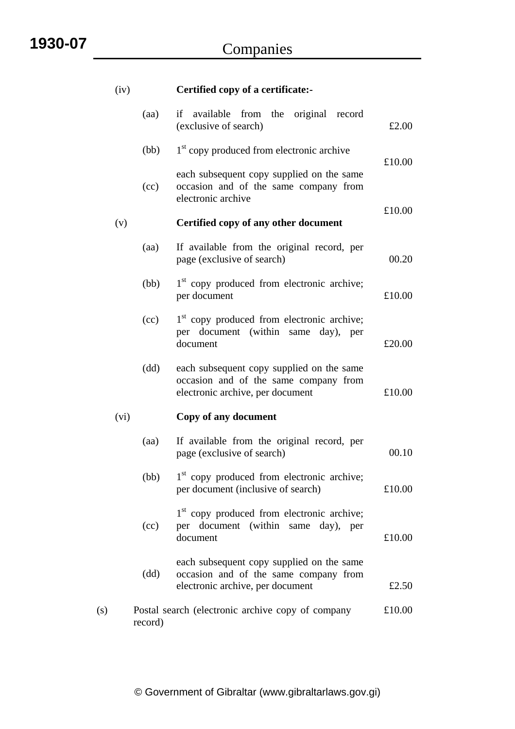| (iv) |         | Certified copy of a certificate:-                                                                                      |        |
|------|---------|------------------------------------------------------------------------------------------------------------------------|--------|
|      | (aa)    | if available from the original record<br>(exclusive of search)                                                         | £2.00  |
|      | (bb)    | 1 <sup>st</sup> copy produced from electronic archive                                                                  |        |
|      | (cc)    | each subsequent copy supplied on the same<br>occasion and of the same company from<br>electronic archive               | £10.00 |
| (v)  |         | Certified copy of any other document                                                                                   | £10.00 |
|      | (aa)    | If available from the original record, per<br>page (exclusive of search)                                               | 00.20  |
|      | (bb)    | 1 <sup>st</sup> copy produced from electronic archive;<br>per document                                                 | £10.00 |
|      | (cc)    | 1 <sup>st</sup> copy produced from electronic archive;<br>per document (within same day), per<br>document              | £20.00 |
|      | (dd)    | each subsequent copy supplied on the same<br>occasion and of the same company from<br>electronic archive, per document | £10.00 |
| (vi) |         | Copy of any document                                                                                                   |        |
|      | (aa)    | If available from the original record, per<br>page (exclusive of search)                                               | 00.10  |
|      | (bb)    | 1 <sup>st</sup> copy produced from electronic archive;<br>per document (inclusive of search)                           | £10.00 |
|      | (cc)    | 1 <sup>st</sup> copy produced from electronic archive;<br>per document (within same day), per<br>document              | £10.00 |
|      | (dd)    | each subsequent copy supplied on the same<br>occasion and of the same company from<br>electronic archive, per document | £2.50  |
| (s)  | record) | Postal search (electronic archive copy of company                                                                      | £10.00 |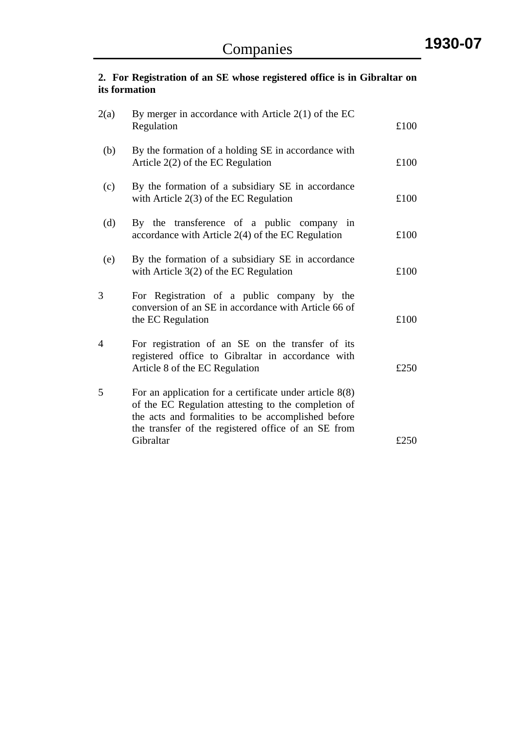# **2. For Registration of an SE whose registered office is in Gibraltar on its formation**

| 2(a) | By merger in accordance with Article $2(1)$ of the EC<br>Regulation                                                                                                                                                                        | £100 |
|------|--------------------------------------------------------------------------------------------------------------------------------------------------------------------------------------------------------------------------------------------|------|
| (b)  | By the formation of a holding SE in accordance with<br>Article $2(2)$ of the EC Regulation                                                                                                                                                 | £100 |
| (c)  | By the formation of a subsidiary SE in accordance<br>with Article $2(3)$ of the EC Regulation                                                                                                                                              | £100 |
| (d)  | By the transference of a public company in<br>accordance with Article $2(4)$ of the EC Regulation                                                                                                                                          | £100 |
| (e)  | By the formation of a subsidiary SE in accordance<br>with Article $3(2)$ of the EC Regulation                                                                                                                                              | £100 |
| 3    | For Registration of a public company by the<br>conversion of an SE in accordance with Article 66 of<br>the EC Regulation                                                                                                                   | £100 |
| 4    | For registration of an SE on the transfer of its<br>registered office to Gibraltar in accordance with<br>Article 8 of the EC Regulation                                                                                                    | £250 |
| 5    | For an application for a certificate under article $8(8)$<br>of the EC Regulation attesting to the completion of<br>the acts and formalities to be accomplished before<br>the transfer of the registered office of an SE from<br>Gibraltar | £250 |
|      |                                                                                                                                                                                                                                            |      |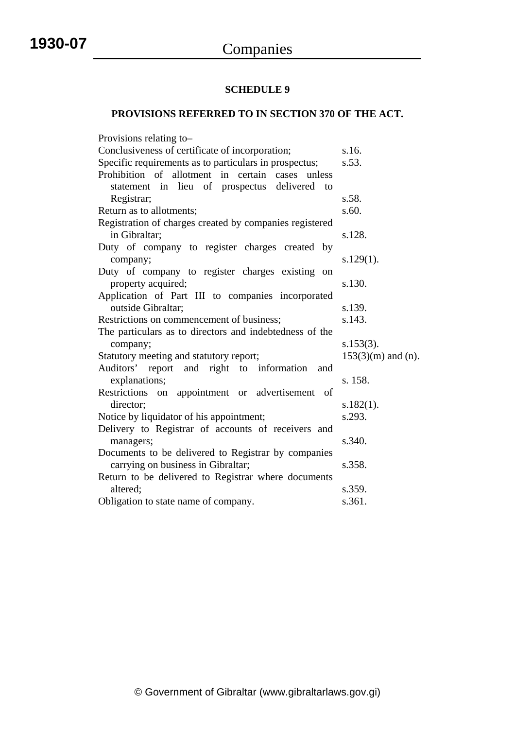# **PROVISIONS REFERRED TO IN SECTION 370 OF THE ACT.**

| Provisions relating to-                                 |                      |
|---------------------------------------------------------|----------------------|
| Conclusiveness of certificate of incorporation;         | s.16.                |
| Specific requirements as to particulars in prospectus;  | s.53.                |
| Prohibition of allotment in certain cases unless        |                      |
| statement in lieu of prospectus delivered<br>to         |                      |
| Registrar;                                              | s.58.                |
| Return as to allotments;                                | s.60.                |
| Registration of charges created by companies registered |                      |
| in Gibraltar;                                           | s.128.               |
| Duty of company to register charges created by          |                      |
| company;                                                | $s.129(1)$ .         |
| Duty of company to register charges existing on         |                      |
| property acquired;                                      | s.130.               |
| Application of Part III to companies incorporated       |                      |
| outside Gibraltar;                                      | s.139.               |
| Restrictions on commencement of business;               | s.143.               |
| The particulars as to directors and indebtedness of the |                      |
| company;                                                | $s.153(3)$ .         |
| Statutory meeting and statutory report;                 | $153(3)(m)$ and (n). |
| Auditors' report and right to information<br>and        |                      |
| explanations;                                           | s. 158.              |
| Restrictions on appointment or advertisement of         |                      |
| director:                                               | $s.182(1)$ .         |
| Notice by liquidator of his appointment;                | s.293.               |
| Delivery to Registrar of accounts of receivers and      |                      |
| managers;                                               | s.340.               |
| Documents to be delivered to Registrar by companies     |                      |
| carrying on business in Gibraltar;                      | s.358.               |
| Return to be delivered to Registrar where documents     |                      |
| altered:                                                | s.359.               |
| Obligation to state name of company.                    | s.361.               |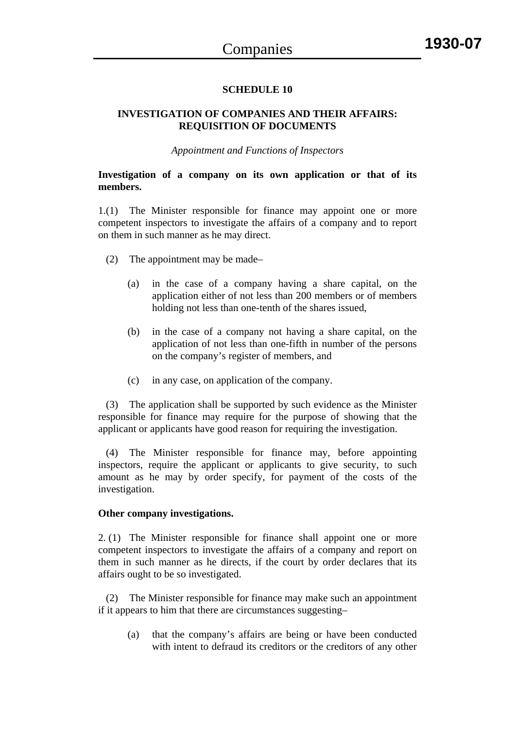# **INVESTIGATION OF COMPANIES AND THEIR AFFAIRS: REQUISITION OF DOCUMENTS**

#### *Appointment and Functions of Inspectors*

#### **Investigation of a company on its own application or that of its members.**

1.(1) The Minister responsible for finance may appoint one or more competent inspectors to investigate the affairs of a company and to report on them in such manner as he may direct.

- (2) The appointment may be made–
	- (a) in the case of a company having a share capital, on the application either of not less than 200 members or of members holding not less than one-tenth of the shares issued,
	- (b) in the case of a company not having a share capital, on the application of not less than one-fifth in number of the persons on the company's register of members, and
	- (c) in any case, on application of the company.

 (3) The application shall be supported by such evidence as the Minister responsible for finance may require for the purpose of showing that the applicant or applicants have good reason for requiring the investigation.

 (4) The Minister responsible for finance may, before appointing inspectors, require the applicant or applicants to give security, to such amount as he may by order specify, for payment of the costs of the investigation.

#### **Other company investigations.**

2. (1) The Minister responsible for finance shall appoint one or more competent inspectors to investigate the affairs of a company and report on them in such manner as he directs, if the court by order declares that its affairs ought to be so investigated.

 (2) The Minister responsible for finance may make such an appointment if it appears to him that there are circumstances suggesting–

(a) that the company's affairs are being or have been conducted with intent to defraud its creditors or the creditors of any other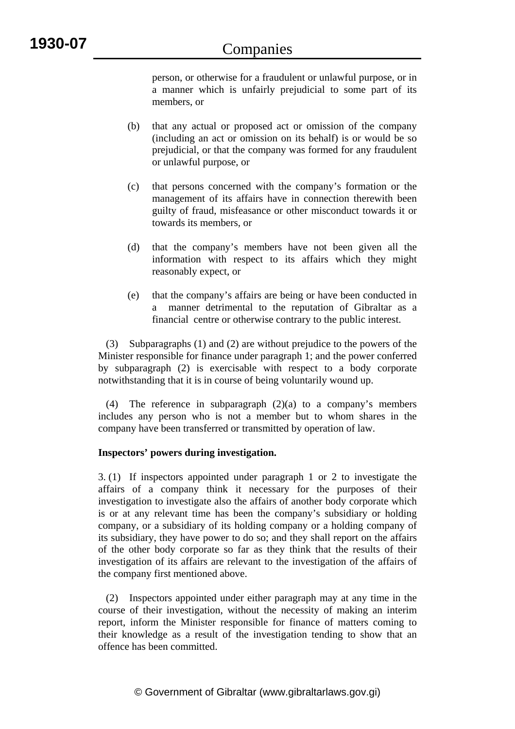person, or otherwise for a fraudulent or unlawful purpose, or in a manner which is unfairly prejudicial to some part of its members, or

- (b) that any actual or proposed act or omission of the company (including an act or omission on its behalf) is or would be so prejudicial, or that the company was formed for any fraudulent or unlawful purpose, or
- (c) that persons concerned with the company's formation or the management of its affairs have in connection therewith been guilty of fraud, misfeasance or other misconduct towards it or towards its members, or
- (d) that the company's members have not been given all the information with respect to its affairs which they might reasonably expect, or
- (e) that the company's affairs are being or have been conducted in a manner detrimental to the reputation of Gibraltar as a financial centre or otherwise contrary to the public interest.

 (3) Subparagraphs (1) and (2) are without prejudice to the powers of the Minister responsible for finance under paragraph 1; and the power conferred by subparagraph (2) is exercisable with respect to a body corporate notwithstanding that it is in course of being voluntarily wound up.

 (4) The reference in subparagraph (2)(a) to a company's members includes any person who is not a member but to whom shares in the company have been transferred or transmitted by operation of law.

# **Inspectors' powers during investigation.**

3. (1) If inspectors appointed under paragraph 1 or 2 to investigate the affairs of a company think it necessary for the purposes of their investigation to investigate also the affairs of another body corporate which is or at any relevant time has been the company's subsidiary or holding company, or a subsidiary of its holding company or a holding company of its subsidiary, they have power to do so; and they shall report on the affairs of the other body corporate so far as they think that the results of their investigation of its affairs are relevant to the investigation of the affairs of the company first mentioned above.

 (2) Inspectors appointed under either paragraph may at any time in the course of their investigation, without the necessity of making an interim report, inform the Minister responsible for finance of matters coming to their knowledge as a result of the investigation tending to show that an offence has been committed.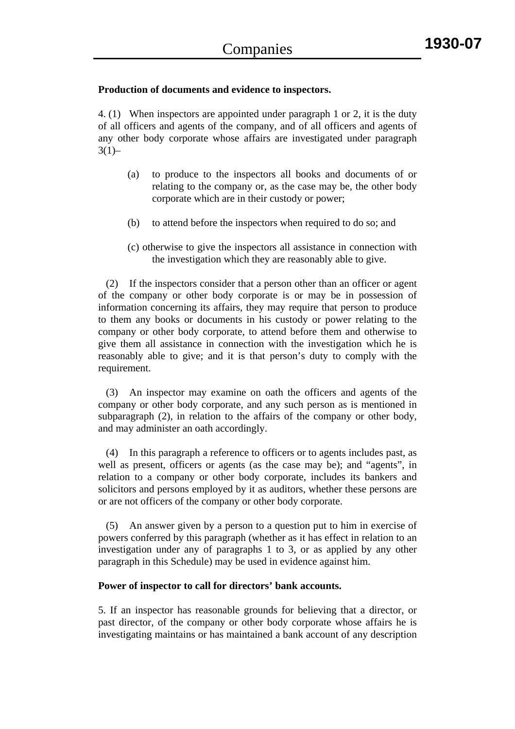# **Production of documents and evidence to inspectors.**

4. (1) When inspectors are appointed under paragraph 1 or 2, it is the duty of all officers and agents of the company, and of all officers and agents of any other body corporate whose affairs are investigated under paragraph  $3(1)$ –

- (a) to produce to the inspectors all books and documents of or relating to the company or, as the case may be, the other body corporate which are in their custody or power;
- (b) to attend before the inspectors when required to do so; and
- (c) otherwise to give the inspectors all assistance in connection with the investigation which they are reasonably able to give.

 (2) If the inspectors consider that a person other than an officer or agent of the company or other body corporate is or may be in possession of information concerning its affairs, they may require that person to produce to them any books or documents in his custody or power relating to the company or other body corporate, to attend before them and otherwise to give them all assistance in connection with the investigation which he is reasonably able to give; and it is that person's duty to comply with the requirement.

 (3) An inspector may examine on oath the officers and agents of the company or other body corporate, and any such person as is mentioned in subparagraph (2), in relation to the affairs of the company or other body, and may administer an oath accordingly.

 (4) In this paragraph a reference to officers or to agents includes past, as well as present, officers or agents (as the case may be); and "agents", in relation to a company or other body corporate, includes its bankers and solicitors and persons employed by it as auditors, whether these persons are or are not officers of the company or other body corporate.

 (5) An answer given by a person to a question put to him in exercise of powers conferred by this paragraph (whether as it has effect in relation to an investigation under any of paragraphs 1 to 3, or as applied by any other paragraph in this Schedule) may be used in evidence against him.

## **Power of inspector to call for directors' bank accounts.**

5. If an inspector has reasonable grounds for believing that a director, or past director, of the company or other body corporate whose affairs he is investigating maintains or has maintained a bank account of any description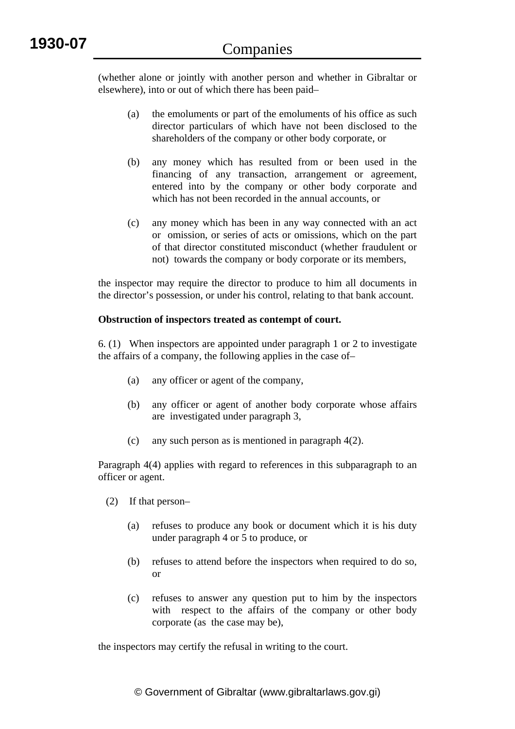(whether alone or jointly with another person and whether in Gibraltar or elsewhere), into or out of which there has been paid–

- (a) the emoluments or part of the emoluments of his office as such director particulars of which have not been disclosed to the shareholders of the company or other body corporate, or
- (b) any money which has resulted from or been used in the financing of any transaction, arrangement or agreement, entered into by the company or other body corporate and which has not been recorded in the annual accounts, or
- (c) any money which has been in any way connected with an act or omission, or series of acts or omissions, which on the part of that director constituted misconduct (whether fraudulent or not) towards the company or body corporate or its members,

the inspector may require the director to produce to him all documents in the director's possession, or under his control, relating to that bank account.

# **Obstruction of inspectors treated as contempt of court.**

6. (1) When inspectors are appointed under paragraph 1 or 2 to investigate the affairs of a company, the following applies in the case of–

- (a) any officer or agent of the company,
- (b) any officer or agent of another body corporate whose affairs are investigated under paragraph 3,
- (c) any such person as is mentioned in paragraph 4(2).

Paragraph 4(4) applies with regard to references in this subparagraph to an officer or agent.

- (2) If that person–
	- (a) refuses to produce any book or document which it is his duty under paragraph 4 or 5 to produce, or
	- (b) refuses to attend before the inspectors when required to do so, or
	- (c) refuses to answer any question put to him by the inspectors with respect to the affairs of the company or other body corporate (as the case may be),

the inspectors may certify the refusal in writing to the court.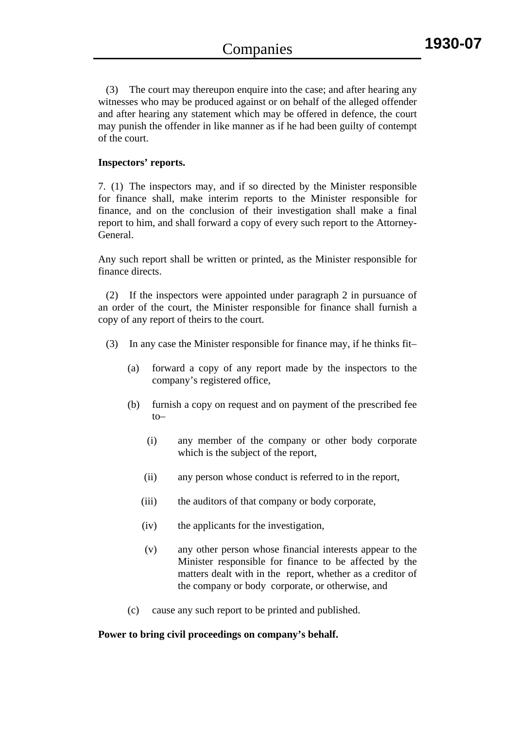(3) The court may thereupon enquire into the case; and after hearing any witnesses who may be produced against or on behalf of the alleged offender and after hearing any statement which may be offered in defence, the court may punish the offender in like manner as if he had been guilty of contempt of the court.

# **Inspectors' reports.**

7. (1) The inspectors may, and if so directed by the Minister responsible for finance shall, make interim reports to the Minister responsible for finance, and on the conclusion of their investigation shall make a final report to him, and shall forward a copy of every such report to the Attorney-General.

Any such report shall be written or printed, as the Minister responsible for finance directs.

 (2) If the inspectors were appointed under paragraph 2 in pursuance of an order of the court, the Minister responsible for finance shall furnish a copy of any report of theirs to the court.

- (3) In any case the Minister responsible for finance may, if he thinks fit–
	- (a) forward a copy of any report made by the inspectors to the company's registered office,
	- (b) furnish a copy on request and on payment of the prescribed fee to–
		- (i) any member of the company or other body corporate which is the subject of the report,
		- (ii) any person whose conduct is referred to in the report,
		- (iii) the auditors of that company or body corporate,
		- (iv) the applicants for the investigation,
		- (v) any other person whose financial interests appear to the Minister responsible for finance to be affected by the matters dealt with in the report, whether as a creditor of the company or body corporate, or otherwise, and
	- (c) cause any such report to be printed and published.

## **Power to bring civil proceedings on company's behalf.**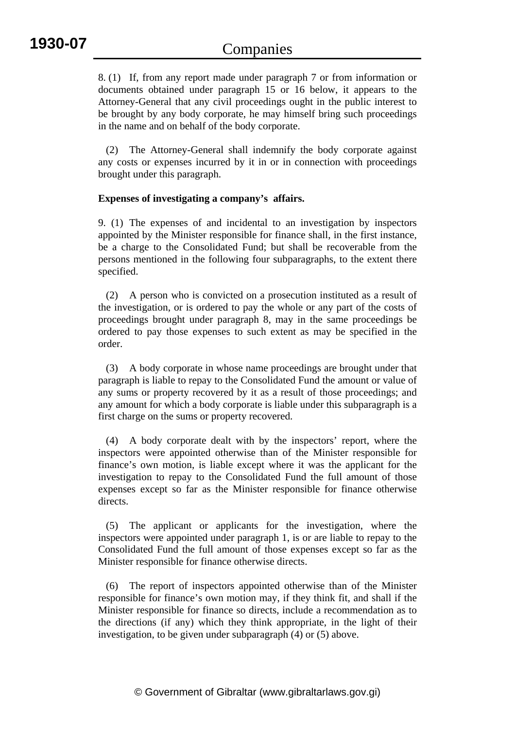8. (1) If, from any report made under paragraph 7 or from information or documents obtained under paragraph 15 or 16 below, it appears to the Attorney-General that any civil proceedings ought in the public interest to be brought by any body corporate, he may himself bring such proceedings in the name and on behalf of the body corporate.

 (2) The Attorney-General shall indemnify the body corporate against any costs or expenses incurred by it in or in connection with proceedings brought under this paragraph.

## **Expenses of investigating a company's affairs.**

9. (1) The expenses of and incidental to an investigation by inspectors appointed by the Minister responsible for finance shall, in the first instance, be a charge to the Consolidated Fund; but shall be recoverable from the persons mentioned in the following four subparagraphs, to the extent there specified.

 (2) A person who is convicted on a prosecution instituted as a result of the investigation, or is ordered to pay the whole or any part of the costs of proceedings brought under paragraph 8, may in the same proceedings be ordered to pay those expenses to such extent as may be specified in the order.

 (3) A body corporate in whose name proceedings are brought under that paragraph is liable to repay to the Consolidated Fund the amount or value of any sums or property recovered by it as a result of those proceedings; and any amount for which a body corporate is liable under this subparagraph is a first charge on the sums or property recovered.

 (4) A body corporate dealt with by the inspectors' report, where the inspectors were appointed otherwise than of the Minister responsible for finance's own motion, is liable except where it was the applicant for the investigation to repay to the Consolidated Fund the full amount of those expenses except so far as the Minister responsible for finance otherwise directs.

 (5) The applicant or applicants for the investigation, where the inspectors were appointed under paragraph 1, is or are liable to repay to the Consolidated Fund the full amount of those expenses except so far as the Minister responsible for finance otherwise directs.

 (6) The report of inspectors appointed otherwise than of the Minister responsible for finance's own motion may, if they think fit, and shall if the Minister responsible for finance so directs, include a recommendation as to the directions (if any) which they think appropriate, in the light of their investigation, to be given under subparagraph (4) or (5) above.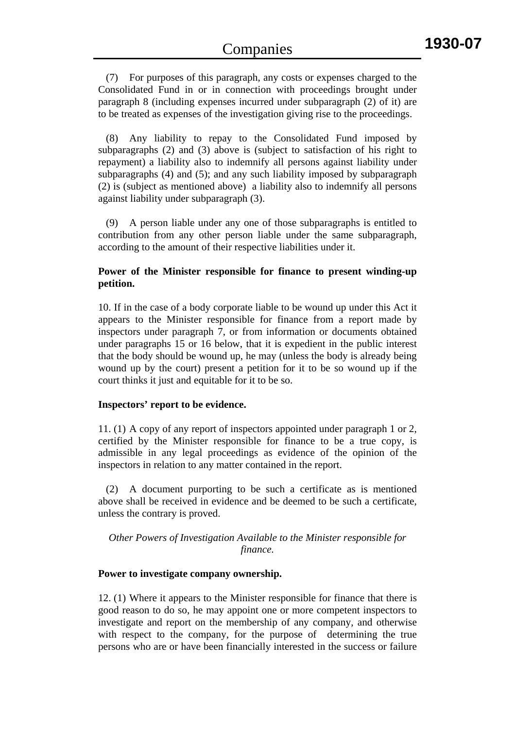(7) For purposes of this paragraph, any costs or expenses charged to the Consolidated Fund in or in connection with proceedings brought under paragraph 8 (including expenses incurred under subparagraph (2) of it) are to be treated as expenses of the investigation giving rise to the proceedings.

 (8) Any liability to repay to the Consolidated Fund imposed by subparagraphs (2) and (3) above is (subject to satisfaction of his right to repayment) a liability also to indemnify all persons against liability under subparagraphs (4) and (5); and any such liability imposed by subparagraph (2) is (subject as mentioned above) a liability also to indemnify all persons against liability under subparagraph (3).

 (9) A person liable under any one of those subparagraphs is entitled to contribution from any other person liable under the same subparagraph, according to the amount of their respective liabilities under it.

# **Power of the Minister responsible for finance to present winding-up petition.**

10. If in the case of a body corporate liable to be wound up under this Act it appears to the Minister responsible for finance from a report made by inspectors under paragraph 7, or from information or documents obtained under paragraphs 15 or 16 below, that it is expedient in the public interest that the body should be wound up, he may (unless the body is already being wound up by the court) present a petition for it to be so wound up if the court thinks it just and equitable for it to be so.

## **Inspectors' report to be evidence.**

11. (1) A copy of any report of inspectors appointed under paragraph 1 or 2, certified by the Minister responsible for finance to be a true copy, is admissible in any legal proceedings as evidence of the opinion of the inspectors in relation to any matter contained in the report.

 (2) A document purporting to be such a certificate as is mentioned above shall be received in evidence and be deemed to be such a certificate, unless the contrary is proved.

*Other Powers of Investigation Available to the Minister responsible for finance.* 

## **Power to investigate company ownership.**

12. (1) Where it appears to the Minister responsible for finance that there is good reason to do so, he may appoint one or more competent inspectors to investigate and report on the membership of any company, and otherwise with respect to the company, for the purpose of determining the true persons who are or have been financially interested in the success or failure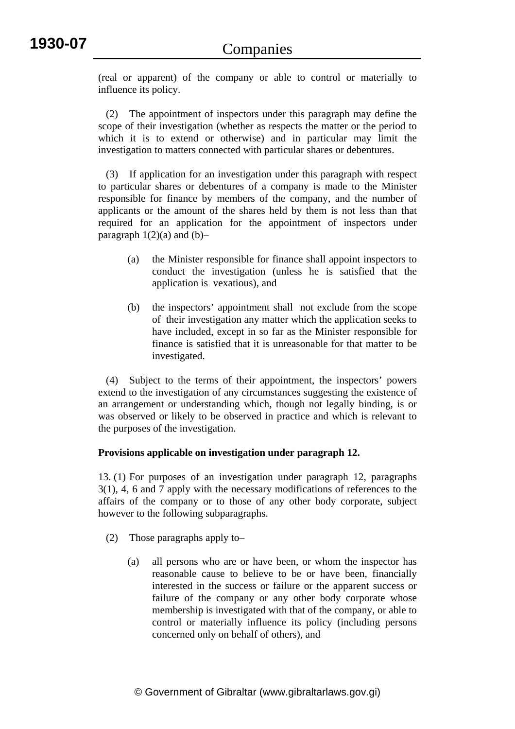(real or apparent) of the company or able to control or materially to influence its policy.

 (2) The appointment of inspectors under this paragraph may define the scope of their investigation (whether as respects the matter or the period to which it is to extend or otherwise) and in particular may limit the investigation to matters connected with particular shares or debentures.

 (3) If application for an investigation under this paragraph with respect to particular shares or debentures of a company is made to the Minister responsible for finance by members of the company, and the number of applicants or the amount of the shares held by them is not less than that required for an application for the appointment of inspectors under paragraph  $1(2)(a)$  and  $(b)$ -

- (a) the Minister responsible for finance shall appoint inspectors to conduct the investigation (unless he is satisfied that the application is vexatious), and
- (b) the inspectors' appointment shall not exclude from the scope of their investigation any matter which the application seeks to have included, except in so far as the Minister responsible for finance is satisfied that it is unreasonable for that matter to be investigated.

 (4) Subject to the terms of their appointment, the inspectors' powers extend to the investigation of any circumstances suggesting the existence of an arrangement or understanding which, though not legally binding, is or was observed or likely to be observed in practice and which is relevant to the purposes of the investigation.

# **Provisions applicable on investigation under paragraph 12.**

13. (1) For purposes of an investigation under paragraph 12, paragraphs 3(1), 4, 6 and 7 apply with the necessary modifications of references to the affairs of the company or to those of any other body corporate, subject however to the following subparagraphs.

(2) Those paragraphs apply to–

(a) all persons who are or have been, or whom the inspector has reasonable cause to believe to be or have been, financially interested in the success or failure or the apparent success or failure of the company or any other body corporate whose membership is investigated with that of the company, or able to control or materially influence its policy (including persons concerned only on behalf of others), and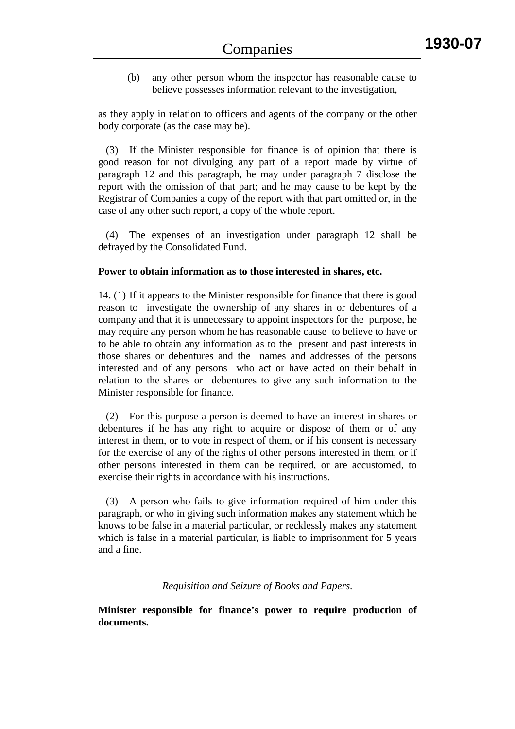(b) any other person whom the inspector has reasonable cause to believe possesses information relevant to the investigation,

as they apply in relation to officers and agents of the company or the other body corporate (as the case may be).

 (3) If the Minister responsible for finance is of opinion that there is good reason for not divulging any part of a report made by virtue of paragraph 12 and this paragraph, he may under paragraph 7 disclose the report with the omission of that part; and he may cause to be kept by the Registrar of Companies a copy of the report with that part omitted or, in the case of any other such report, a copy of the whole report.

 (4) The expenses of an investigation under paragraph 12 shall be defrayed by the Consolidated Fund.

#### **Power to obtain information as to those interested in shares, etc.**

14. (1) If it appears to the Minister responsible for finance that there is good reason to investigate the ownership of any shares in or debentures of a company and that it is unnecessary to appoint inspectors for the purpose, he may require any person whom he has reasonable cause to believe to have or to be able to obtain any information as to the present and past interests in those shares or debentures and the names and addresses of the persons interested and of any persons who act or have acted on their behalf in relation to the shares or debentures to give any such information to the Minister responsible for finance.

 (2) For this purpose a person is deemed to have an interest in shares or debentures if he has any right to acquire or dispose of them or of any interest in them, or to vote in respect of them, or if his consent is necessary for the exercise of any of the rights of other persons interested in them, or if other persons interested in them can be required, or are accustomed, to exercise their rights in accordance with his instructions.

 (3) A person who fails to give information required of him under this paragraph, or who in giving such information makes any statement which he knows to be false in a material particular, or recklessly makes any statement which is false in a material particular, is liable to imprisonment for 5 years and a fine.

## *Requisition and Seizure of Books and Papers.*

**Minister responsible for finance's power to require production of documents.**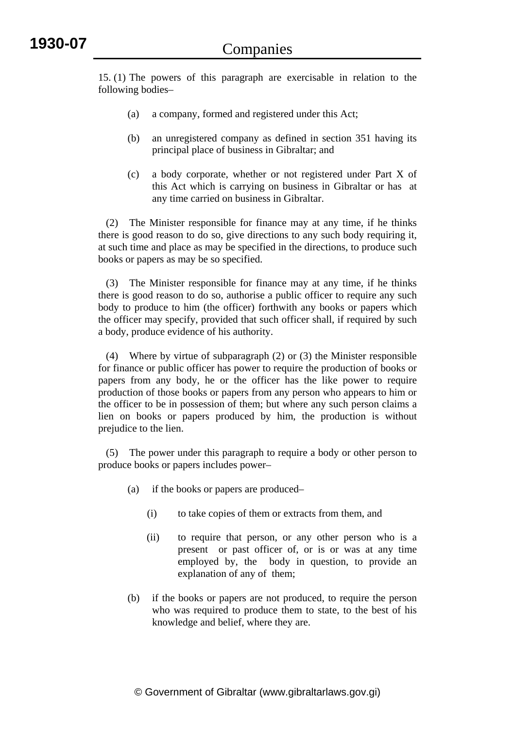15. (1) The powers of this paragraph are exercisable in relation to the following bodies–

- (a) a company, formed and registered under this Act;
- (b) an unregistered company as defined in section 351 having its principal place of business in Gibraltar; and
- (c) a body corporate, whether or not registered under Part X of this Act which is carrying on business in Gibraltar or has at any time carried on business in Gibraltar.

 (2) The Minister responsible for finance may at any time, if he thinks there is good reason to do so, give directions to any such body requiring it, at such time and place as may be specified in the directions, to produce such books or papers as may be so specified.

 (3) The Minister responsible for finance may at any time, if he thinks there is good reason to do so, authorise a public officer to require any such body to produce to him (the officer) forthwith any books or papers which the officer may specify, provided that such officer shall, if required by such a body, produce evidence of his authority.

 (4) Where by virtue of subparagraph (2) or (3) the Minister responsible for finance or public officer has power to require the production of books or papers from any body, he or the officer has the like power to require production of those books or papers from any person who appears to him or the officer to be in possession of them; but where any such person claims a lien on books or papers produced by him, the production is without prejudice to the lien.

 (5) The power under this paragraph to require a body or other person to produce books or papers includes power–

- (a) if the books or papers are produced–
	- (i) to take copies of them or extracts from them, and
	- (ii) to require that person, or any other person who is a present or past officer of, or is or was at any time employed by, the body in question, to provide an explanation of any of them;
- (b) if the books or papers are not produced, to require the person who was required to produce them to state, to the best of his knowledge and belief, where they are.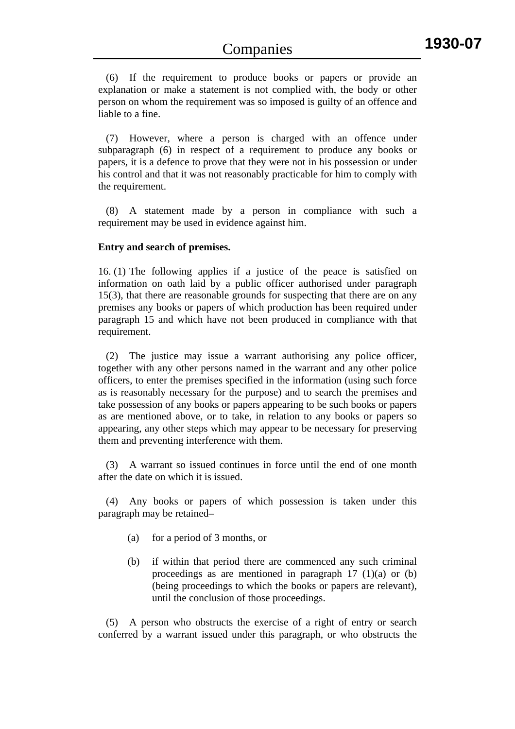(6) If the requirement to produce books or papers or provide an explanation or make a statement is not complied with, the body or other person on whom the requirement was so imposed is guilty of an offence and liable to a fine.

 (7) However, where a person is charged with an offence under subparagraph (6) in respect of a requirement to produce any books or papers, it is a defence to prove that they were not in his possession or under his control and that it was not reasonably practicable for him to comply with the requirement.

 (8) A statement made by a person in compliance with such a requirement may be used in evidence against him.

#### **Entry and search of premises.**

16. (1) The following applies if a justice of the peace is satisfied on information on oath laid by a public officer authorised under paragraph 15(3), that there are reasonable grounds for suspecting that there are on any premises any books or papers of which production has been required under paragraph 15 and which have not been produced in compliance with that requirement.

 (2) The justice may issue a warrant authorising any police officer, together with any other persons named in the warrant and any other police officers, to enter the premises specified in the information (using such force as is reasonably necessary for the purpose) and to search the premises and take possession of any books or papers appearing to be such books or papers as are mentioned above, or to take, in relation to any books or papers so appearing, any other steps which may appear to be necessary for preserving them and preventing interference with them.

 (3) A warrant so issued continues in force until the end of one month after the date on which it is issued.

 (4) Any books or papers of which possession is taken under this paragraph may be retained–

- (a) for a period of 3 months, or
- (b) if within that period there are commenced any such criminal proceedings as are mentioned in paragraph  $17 \text{ } (1)(a)$  or  $(b)$ (being proceedings to which the books or papers are relevant), until the conclusion of those proceedings.

 (5) A person who obstructs the exercise of a right of entry or search conferred by a warrant issued under this paragraph, or who obstructs the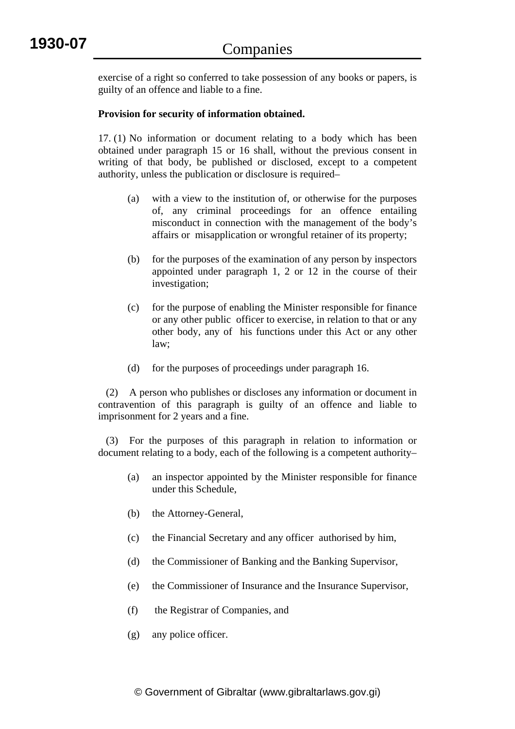exercise of a right so conferred to take possession of any books or papers, is guilty of an offence and liable to a fine.

# **Provision for security of information obtained.**

17. (1) No information or document relating to a body which has been obtained under paragraph 15 or 16 shall, without the previous consent in writing of that body, be published or disclosed, except to a competent authority, unless the publication or disclosure is required–

- (a) with a view to the institution of, or otherwise for the purposes of, any criminal proceedings for an offence entailing misconduct in connection with the management of the body's affairs or misapplication or wrongful retainer of its property;
- (b) for the purposes of the examination of any person by inspectors appointed under paragraph 1, 2 or 12 in the course of their investigation;
- (c) for the purpose of enabling the Minister responsible for finance or any other public officer to exercise, in relation to that or any other body, any of his functions under this Act or any other law;
- (d) for the purposes of proceedings under paragraph 16.

 (2) A person who publishes or discloses any information or document in contravention of this paragraph is guilty of an offence and liable to imprisonment for 2 years and a fine.

 (3) For the purposes of this paragraph in relation to information or document relating to a body, each of the following is a competent authority–

- (a) an inspector appointed by the Minister responsible for finance under this Schedule,
- (b) the Attorney-General,
- (c) the Financial Secretary and any officer authorised by him,
- (d) the Commissioner of Banking and the Banking Supervisor,
- (e) the Commissioner of Insurance and the Insurance Supervisor,
- (f) the Registrar of Companies, and
- (g) any police officer.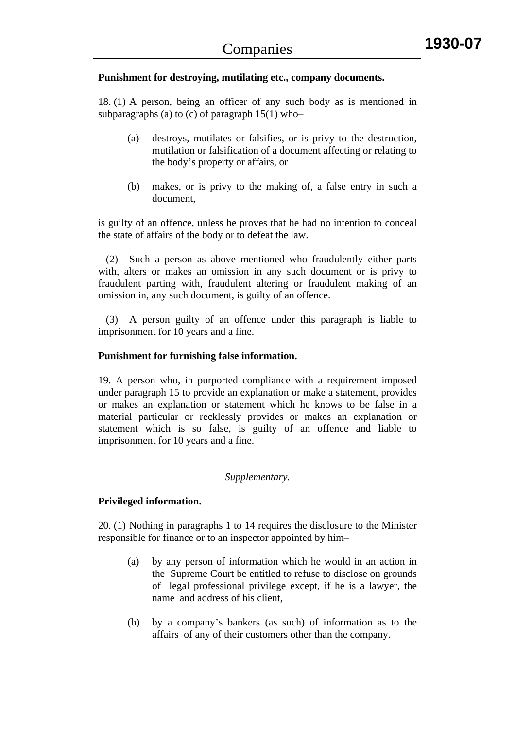# **Punishment for destroying, mutilating etc., company documents.**

18. (1) A person, being an officer of any such body as is mentioned in subparagraphs (a) to (c) of paragraph  $15(1)$  who-

- (a) destroys, mutilates or falsifies, or is privy to the destruction, mutilation or falsification of a document affecting or relating to the body's property or affairs, or
- (b) makes, or is privy to the making of, a false entry in such a document,

is guilty of an offence, unless he proves that he had no intention to conceal the state of affairs of the body or to defeat the law.

 (2) Such a person as above mentioned who fraudulently either parts with, alters or makes an omission in any such document or is privy to fraudulent parting with, fraudulent altering or fraudulent making of an omission in, any such document, is guilty of an offence.

 (3) A person guilty of an offence under this paragraph is liable to imprisonment for 10 years and a fine.

# **Punishment for furnishing false information.**

19. A person who, in purported compliance with a requirement imposed under paragraph 15 to provide an explanation or make a statement, provides or makes an explanation or statement which he knows to be false in a material particular or recklessly provides or makes an explanation or statement which is so false, is guilty of an offence and liable to imprisonment for 10 years and a fine.

## *Supplementary.*

# **Privileged information.**

20. (1) Nothing in paragraphs 1 to 14 requires the disclosure to the Minister responsible for finance or to an inspector appointed by him–

- (a) by any person of information which he would in an action in the Supreme Court be entitled to refuse to disclose on grounds of legal professional privilege except, if he is a lawyer, the name and address of his client,
- (b) by a company's bankers (as such) of information as to the affairs of any of their customers other than the company.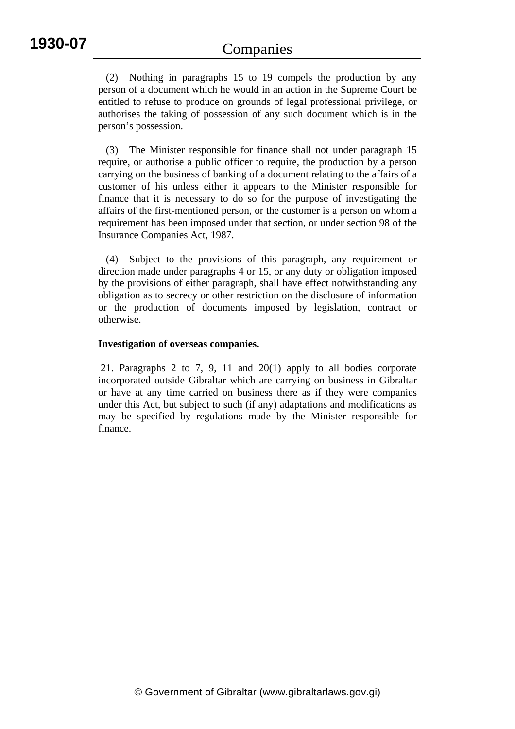(2) Nothing in paragraphs 15 to 19 compels the production by any person of a document which he would in an action in the Supreme Court be entitled to refuse to produce on grounds of legal professional privilege, or authorises the taking of possession of any such document which is in the person's possession.

 (3) The Minister responsible for finance shall not under paragraph 15 require, or authorise a public officer to require, the production by a person carrying on the business of banking of a document relating to the affairs of a customer of his unless either it appears to the Minister responsible for finance that it is necessary to do so for the purpose of investigating the affairs of the first-mentioned person, or the customer is a person on whom a requirement has been imposed under that section, or under section 98 of the Insurance Companies Act, 1987.

 (4) Subject to the provisions of this paragraph, any requirement or direction made under paragraphs 4 or 15, or any duty or obligation imposed by the provisions of either paragraph, shall have effect notwithstanding any obligation as to secrecy or other restriction on the disclosure of information or the production of documents imposed by legislation, contract or otherwise.

## **Investigation of overseas companies.**

 21. Paragraphs 2 to 7, 9, 11 and 20(1) apply to all bodies corporate incorporated outside Gibraltar which are carrying on business in Gibraltar or have at any time carried on business there as if they were companies under this Act, but subject to such (if any) adaptations and modifications as may be specified by regulations made by the Minister responsible for finance.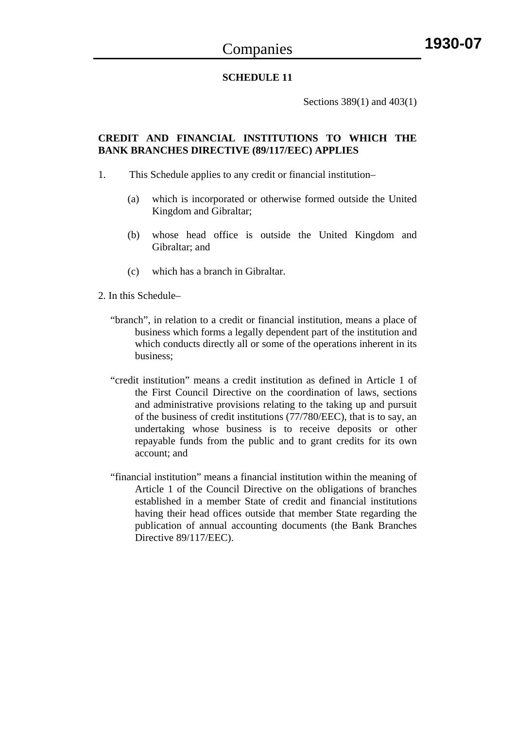Sections 389(1) and 403(1)

# **CREDIT AND FINANCIAL INSTITUTIONS TO WHICH THE BANK BRANCHES DIRECTIVE (89/117/EEC) APPLIES**

- 1. This Schedule applies to any credit or financial institution–
	- (a) which is incorporated or otherwise formed outside the United Kingdom and Gibraltar;
	- (b) whose head office is outside the United Kingdom and Gibraltar; and
	- (c) which has a branch in Gibraltar.
- 2. In this Schedule–
	- "branch", in relation to a credit or financial institution, means a place of business which forms a legally dependent part of the institution and which conducts directly all or some of the operations inherent in its business;
	- "credit institution" means a credit institution as defined in Article 1 of the First Council Directive on the coordination of laws, sections and administrative provisions relating to the taking up and pursuit of the business of credit institutions (77/780/EEC), that is to say, an undertaking whose business is to receive deposits or other repayable funds from the public and to grant credits for its own account; and
	- "financial institution" means a financial institution within the meaning of Article 1 of the Council Directive on the obligations of branches established in a member State of credit and financial institutions having their head offices outside that member State regarding the publication of annual accounting documents (the Bank Branches Directive 89/117/EEC).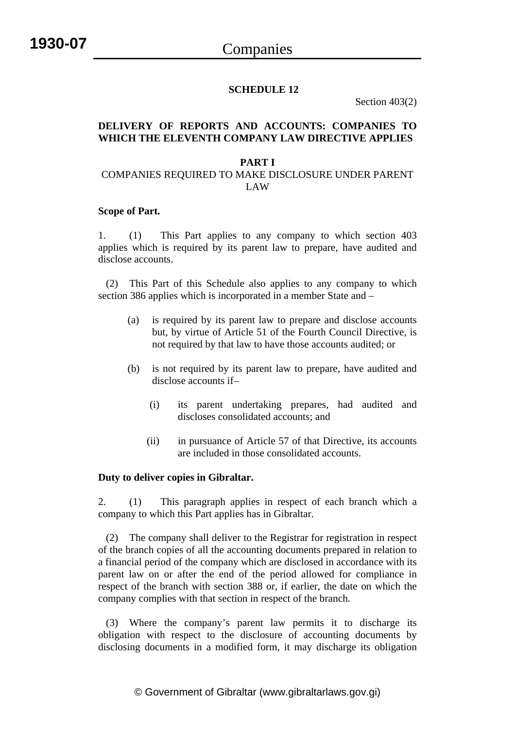Section 403(2)

# **DELIVERY OF REPORTS AND ACCOUNTS: COMPANIES TO WHICH THE ELEVENTH COMPANY LAW DIRECTIVE APPLIES**

# **PART I**

# COMPANIES REQUIRED TO MAKE DISCLOSURE UNDER PARENT LAW

#### **Scope of Part.**

1. (1) This Part applies to any company to which section 403 applies which is required by its parent law to prepare, have audited and disclose accounts.

 (2) This Part of this Schedule also applies to any company to which section 386 applies which is incorporated in a member State and –

- (a) is required by its parent law to prepare and disclose accounts but, by virtue of Article 51 of the Fourth Council Directive, is not required by that law to have those accounts audited; or
- (b) is not required by its parent law to prepare, have audited and disclose accounts if–
	- (i) its parent undertaking prepares, had audited and discloses consolidated accounts; and
	- (ii) in pursuance of Article 57 of that Directive, its accounts are included in those consolidated accounts.

#### **Duty to deliver copies in Gibraltar.**

2. (1) This paragraph applies in respect of each branch which a company to which this Part applies has in Gibraltar.

 (2) The company shall deliver to the Registrar for registration in respect of the branch copies of all the accounting documents prepared in relation to a financial period of the company which are disclosed in accordance with its parent law on or after the end of the period allowed for compliance in respect of the branch with section 388 or, if earlier, the date on which the company complies with that section in respect of the branch.

 (3) Where the company's parent law permits it to discharge its obligation with respect to the disclosure of accounting documents by disclosing documents in a modified form, it may discharge its obligation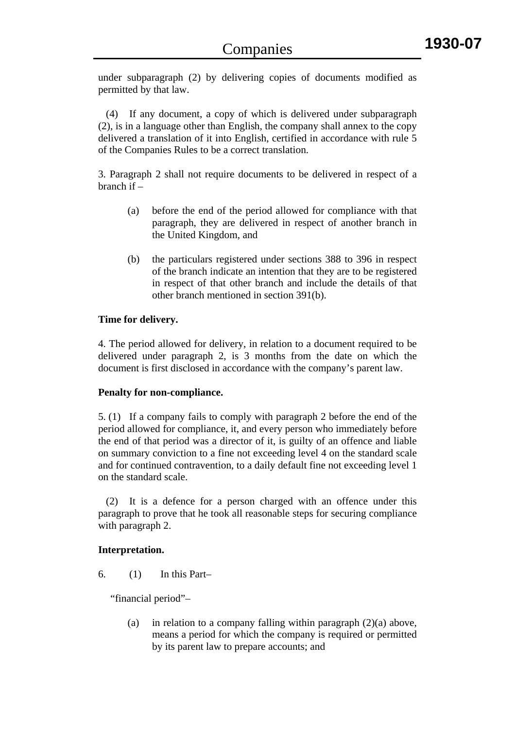under subparagraph (2) by delivering copies of documents modified as permitted by that law.

 (4) If any document, a copy of which is delivered under subparagraph (2), is in a language other than English, the company shall annex to the copy delivered a translation of it into English, certified in accordance with rule 5 of the Companies Rules to be a correct translation.

3. Paragraph 2 shall not require documents to be delivered in respect of a branch if –

- (a) before the end of the period allowed for compliance with that paragraph, they are delivered in respect of another branch in the United Kingdom, and
- (b) the particulars registered under sections 388 to 396 in respect of the branch indicate an intention that they are to be registered in respect of that other branch and include the details of that other branch mentioned in section 391(b).

# **Time for delivery.**

4. The period allowed for delivery, in relation to a document required to be delivered under paragraph 2, is 3 months from the date on which the document is first disclosed in accordance with the company's parent law.

## **Penalty for non-compliance.**

5. (1) If a company fails to comply with paragraph 2 before the end of the period allowed for compliance, it, and every person who immediately before the end of that period was a director of it, is guilty of an offence and liable on summary conviction to a fine not exceeding level 4 on the standard scale and for continued contravention, to a daily default fine not exceeding level 1 on the standard scale.

 (2) It is a defence for a person charged with an offence under this paragraph to prove that he took all reasonable steps for securing compliance with paragraph 2.

# **Interpretation.**

 $6.$  (1) In this Part–

"financial period"–

(a) in relation to a company falling within paragraph  $(2)(a)$  above, means a period for which the company is required or permitted by its parent law to prepare accounts; and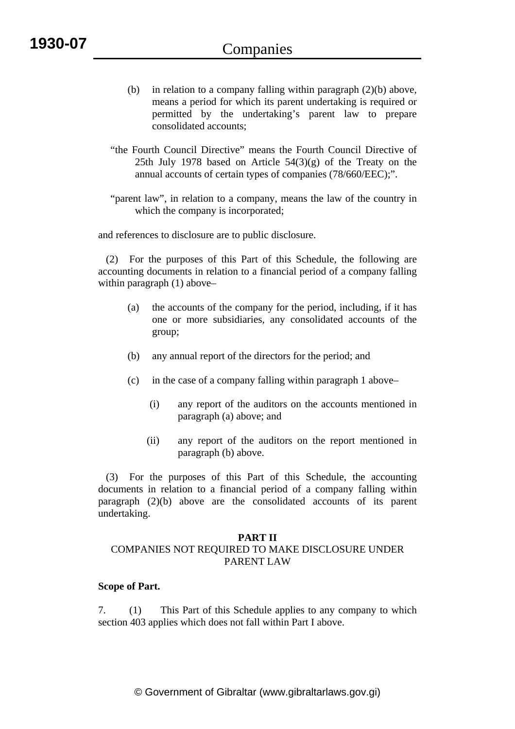- (b) in relation to a company falling within paragraph (2)(b) above, means a period for which its parent undertaking is required or permitted by the undertaking's parent law to prepare consolidated accounts;
- "the Fourth Council Directive" means the Fourth Council Directive of 25th July 1978 based on Article  $54(3)(g)$  of the Treaty on the annual accounts of certain types of companies (78/660/EEC);".

"parent law", in relation to a company, means the law of the country in which the company is incorporated;

and references to disclosure are to public disclosure.

 (2) For the purposes of this Part of this Schedule, the following are accounting documents in relation to a financial period of a company falling within paragraph (1) above–

- (a) the accounts of the company for the period, including, if it has one or more subsidiaries, any consolidated accounts of the group;
- (b) any annual report of the directors for the period; and
- (c) in the case of a company falling within paragraph 1 above–
	- (i) any report of the auditors on the accounts mentioned in paragraph (a) above; and
	- (ii) any report of the auditors on the report mentioned in paragraph (b) above.

 (3) For the purposes of this Part of this Schedule, the accounting documents in relation to a financial period of a company falling within paragraph (2)(b) above are the consolidated accounts of its parent undertaking.

# **PART II**  COMPANIES NOT REQUIRED TO MAKE DISCLOSURE UNDER PARENT LAW

## **Scope of Part.**

7. (1) This Part of this Schedule applies to any company to which section 403 applies which does not fall within Part I above.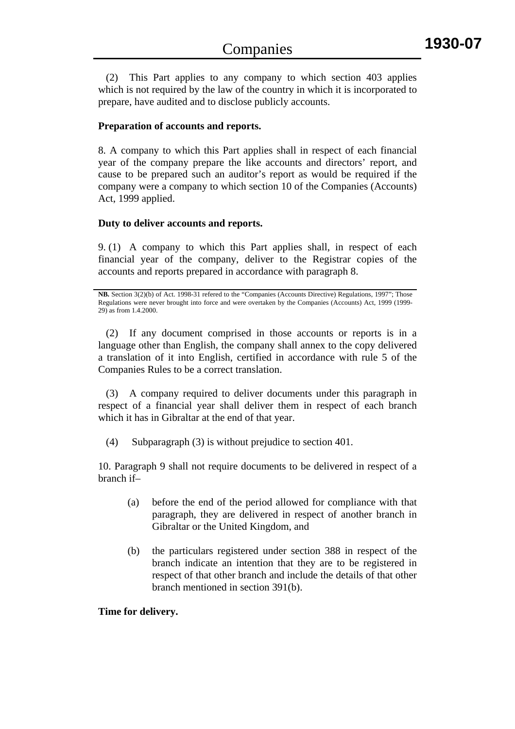(2) This Part applies to any company to which section 403 applies which is not required by the law of the country in which it is incorporated to prepare, have audited and to disclose publicly accounts.

# **Preparation of accounts and reports.**

8. A company to which this Part applies shall in respect of each financial year of the company prepare the like accounts and directors' report, and cause to be prepared such an auditor's report as would be required if the company were a company to which section 10 of the Companies (Accounts) Act, 1999 applied.

# **Duty to deliver accounts and reports.**

9. (1) A company to which this Part applies shall, in respect of each financial year of the company, deliver to the Registrar copies of the accounts and reports prepared in accordance with paragraph 8.

 (2) If any document comprised in those accounts or reports is in a language other than English, the company shall annex to the copy delivered a translation of it into English, certified in accordance with rule 5 of the Companies Rules to be a correct translation.

 (3) A company required to deliver documents under this paragraph in respect of a financial year shall deliver them in respect of each branch which it has in Gibraltar at the end of that year.

(4) Subparagraph (3) is without prejudice to section 401.

10. Paragraph 9 shall not require documents to be delivered in respect of a branch if–

- (a) before the end of the period allowed for compliance with that paragraph, they are delivered in respect of another branch in Gibraltar or the United Kingdom, and
- (b) the particulars registered under section 388 in respect of the branch indicate an intention that they are to be registered in respect of that other branch and include the details of that other branch mentioned in section 391(b).

# **Time for delivery.**

**NB.** Section 3(2)(b) of Act. 1998-31 refered to the "Companies (Accounts Directive) Regulations, 1997"; Those Regulations were never brought into force and were overtaken by the Companies (Accounts) Act, 1999 (1999- 29) as from 1.4.2000.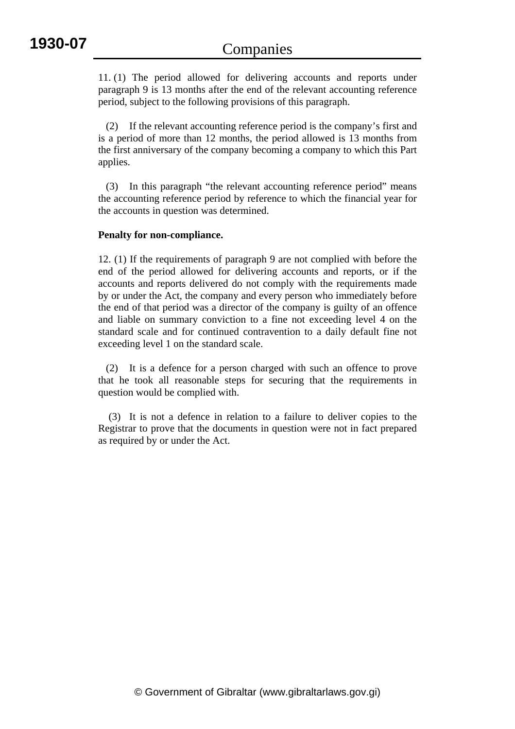11. (1) The period allowed for delivering accounts and reports under paragraph 9 is 13 months after the end of the relevant accounting reference period, subject to the following provisions of this paragraph.

 (2) If the relevant accounting reference period is the company's first and is a period of more than 12 months, the period allowed is 13 months from the first anniversary of the company becoming a company to which this Part applies.

 (3) In this paragraph "the relevant accounting reference period" means the accounting reference period by reference to which the financial year for the accounts in question was determined.

## **Penalty for non-compliance.**

12. (1) If the requirements of paragraph 9 are not complied with before the end of the period allowed for delivering accounts and reports, or if the accounts and reports delivered do not comply with the requirements made by or under the Act, the company and every person who immediately before the end of that period was a director of the company is guilty of an offence and liable on summary conviction to a fine not exceeding level 4 on the standard scale and for continued contravention to a daily default fine not exceeding level 1 on the standard scale.

 (2) It is a defence for a person charged with such an offence to prove that he took all reasonable steps for securing that the requirements in question would be complied with.

 (3) It is not a defence in relation to a failure to deliver copies to the Registrar to prove that the documents in question were not in fact prepared as required by or under the Act.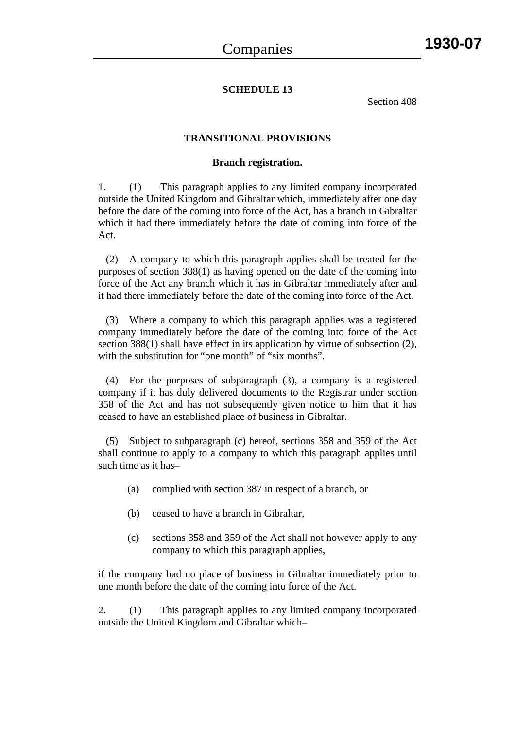Section 408

# **TRANSITIONAL PROVISIONS**

# **Branch registration.**

1. (1) This paragraph applies to any limited company incorporated outside the United Kingdom and Gibraltar which, immediately after one day before the date of the coming into force of the Act, has a branch in Gibraltar which it had there immediately before the date of coming into force of the Act.

 (2) A company to which this paragraph applies shall be treated for the purposes of section 388(1) as having opened on the date of the coming into force of the Act any branch which it has in Gibraltar immediately after and it had there immediately before the date of the coming into force of the Act.

 (3) Where a company to which this paragraph applies was a registered company immediately before the date of the coming into force of the Act section 388(1) shall have effect in its application by virtue of subsection (2), with the substitution for "one month" of "six months".

 (4) For the purposes of subparagraph (3), a company is a registered company if it has duly delivered documents to the Registrar under section 358 of the Act and has not subsequently given notice to him that it has ceased to have an established place of business in Gibraltar.

 (5) Subject to subparagraph (c) hereof, sections 358 and 359 of the Act shall continue to apply to a company to which this paragraph applies until such time as it has–

- (a) complied with section 387 in respect of a branch, or
- (b) ceased to have a branch in Gibraltar,
- (c) sections 358 and 359 of the Act shall not however apply to any company to which this paragraph applies,

if the company had no place of business in Gibraltar immediately prior to one month before the date of the coming into force of the Act.

2. (1) This paragraph applies to any limited company incorporated outside the United Kingdom and Gibraltar which–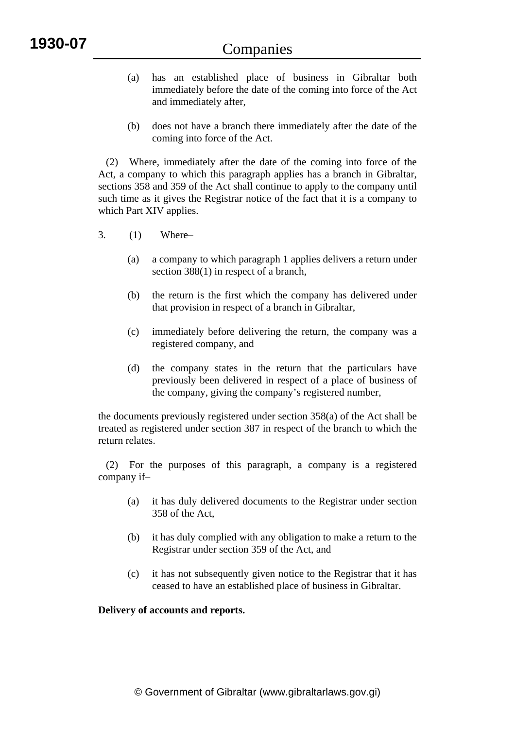- (a) has an established place of business in Gibraltar both immediately before the date of the coming into force of the Act and immediately after,
- (b) does not have a branch there immediately after the date of the coming into force of the Act.

 (2) Where, immediately after the date of the coming into force of the Act, a company to which this paragraph applies has a branch in Gibraltar, sections 358 and 359 of the Act shall continue to apply to the company until such time as it gives the Registrar notice of the fact that it is a company to which Part XIV applies.

- 3. (1) Where–
	- (a) a company to which paragraph 1 applies delivers a return under section 388(1) in respect of a branch,
	- (b) the return is the first which the company has delivered under that provision in respect of a branch in Gibraltar,
	- (c) immediately before delivering the return, the company was a registered company, and
	- (d) the company states in the return that the particulars have previously been delivered in respect of a place of business of the company, giving the company's registered number,

the documents previously registered under section 358(a) of the Act shall be treated as registered under section 387 in respect of the branch to which the return relates.

 (2) For the purposes of this paragraph, a company is a registered company if–

- (a) it has duly delivered documents to the Registrar under section 358 of the Act,
- (b) it has duly complied with any obligation to make a return to the Registrar under section 359 of the Act, and
- (c) it has not subsequently given notice to the Registrar that it has ceased to have an established place of business in Gibraltar.

## **Delivery of accounts and reports.**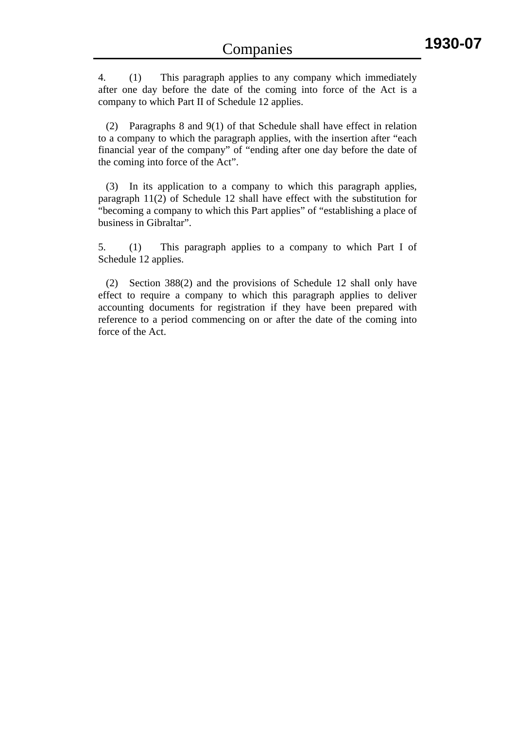4. (1) This paragraph applies to any company which immediately after one day before the date of the coming into force of the Act is a company to which Part II of Schedule 12 applies.

 (2) Paragraphs 8 and 9(1) of that Schedule shall have effect in relation to a company to which the paragraph applies, with the insertion after "each financial year of the company" of "ending after one day before the date of the coming into force of the Act".

 (3) In its application to a company to which this paragraph applies, paragraph 11(2) of Schedule 12 shall have effect with the substitution for "becoming a company to which this Part applies" of "establishing a place of business in Gibraltar".

5. (1) This paragraph applies to a company to which Part I of Schedule 12 applies.

 (2) Section 388(2) and the provisions of Schedule 12 shall only have effect to require a company to which this paragraph applies to deliver accounting documents for registration if they have been prepared with reference to a period commencing on or after the date of the coming into force of the Act.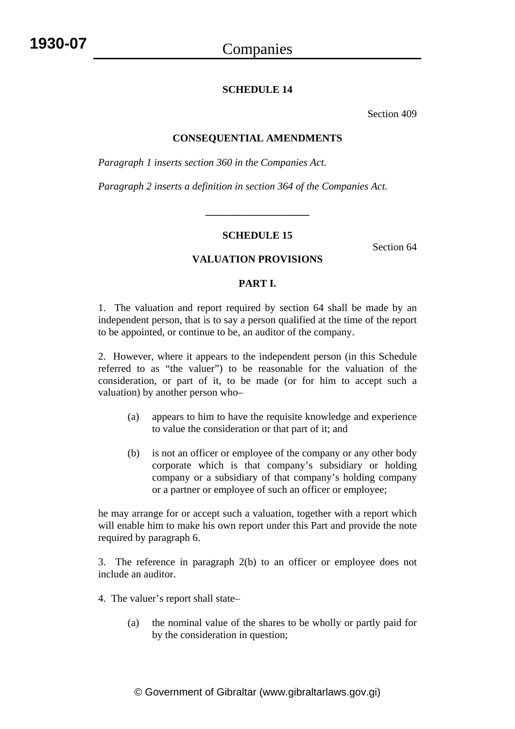## **SCHEDULE 14**

Section 409

### **CONSEQUENTIAL AMENDMENTS**

*Paragraph 1 inserts section 360 in the Companies Act.* 

*Paragraph 2 inserts a definition in section 364 of the Companies Act.*

#### **SCHEDULE 15**

**\_\_\_\_\_\_\_\_\_\_\_\_\_\_\_\_\_\_\_\_** 

Section 64

#### **VALUATION PROVISIONS**

# **PART I.**

1. The valuation and report required by section 64 shall be made by an independent person, that is to say a person qualified at the time of the report to be appointed, or continue to be, an auditor of the company.

2. However, where it appears to the independent person (in this Schedule referred to as "the valuer") to be reasonable for the valuation of the consideration, or part of it, to be made (or for him to accept such a valuation) by another person who–

- (a) appears to him to have the requisite knowledge and experience to value the consideration or that part of it; and
- (b) is not an officer or employee of the company or any other body corporate which is that company's subsidiary or holding company or a subsidiary of that company's holding company or a partner or employee of such an officer or employee;

he may arrange for or accept such a valuation, together with a report which will enable him to make his own report under this Part and provide the note required by paragraph 6.

3. The reference in paragraph 2(b) to an officer or employee does not include an auditor.

- 4. The valuer's report shall state–
	- (a) the nominal value of the shares to be wholly or partly paid for by the consideration in question;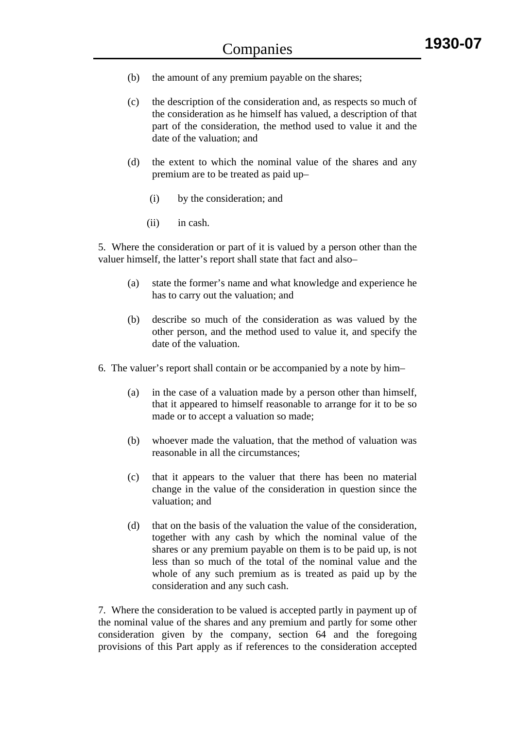- (b) the amount of any premium payable on the shares;
- (c) the description of the consideration and, as respects so much of the consideration as he himself has valued, a description of that part of the consideration, the method used to value it and the date of the valuation; and
- (d) the extent to which the nominal value of the shares and any premium are to be treated as paid up–
	- (i) by the consideration; and
	- (ii) in cash.

5. Where the consideration or part of it is valued by a person other than the valuer himself, the latter's report shall state that fact and also–

- (a) state the former's name and what knowledge and experience he has to carry out the valuation; and
- (b) describe so much of the consideration as was valued by the other person, and the method used to value it, and specify the date of the valuation.
- 6. The valuer's report shall contain or be accompanied by a note by him–
	- (a) in the case of a valuation made by a person other than himself, that it appeared to himself reasonable to arrange for it to be so made or to accept a valuation so made;
	- (b) whoever made the valuation, that the method of valuation was reasonable in all the circumstances;
	- (c) that it appears to the valuer that there has been no material change in the value of the consideration in question since the valuation; and
	- (d) that on the basis of the valuation the value of the consideration, together with any cash by which the nominal value of the shares or any premium payable on them is to be paid up, is not less than so much of the total of the nominal value and the whole of any such premium as is treated as paid up by the consideration and any such cash.

7. Where the consideration to be valued is accepted partly in payment up of the nominal value of the shares and any premium and partly for some other consideration given by the company, section 64 and the foregoing provisions of this Part apply as if references to the consideration accepted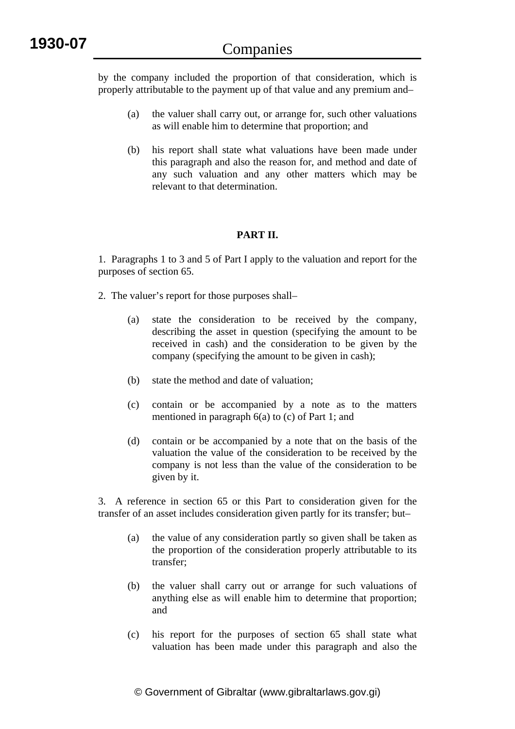by the company included the proportion of that consideration, which is properly attributable to the payment up of that value and any premium and–

- (a) the valuer shall carry out, or arrange for, such other valuations as will enable him to determine that proportion; and
- (b) his report shall state what valuations have been made under this paragraph and also the reason for, and method and date of any such valuation and any other matters which may be relevant to that determination.

## **PART II.**

1. Paragraphs 1 to 3 and 5 of Part I apply to the valuation and report for the purposes of section 65.

- 2. The valuer's report for those purposes shall–
	- (a) state the consideration to be received by the company, describing the asset in question (specifying the amount to be received in cash) and the consideration to be given by the company (specifying the amount to be given in cash);
	- (b) state the method and date of valuation;
	- (c) contain or be accompanied by a note as to the matters mentioned in paragraph 6(a) to (c) of Part 1; and
	- (d) contain or be accompanied by a note that on the basis of the valuation the value of the consideration to be received by the company is not less than the value of the consideration to be given by it.

3. A reference in section 65 or this Part to consideration given for the transfer of an asset includes consideration given partly for its transfer; but–

- (a) the value of any consideration partly so given shall be taken as the proportion of the consideration properly attributable to its transfer;
- (b) the valuer shall carry out or arrange for such valuations of anything else as will enable him to determine that proportion; and
- (c) his report for the purposes of section 65 shall state what valuation has been made under this paragraph and also the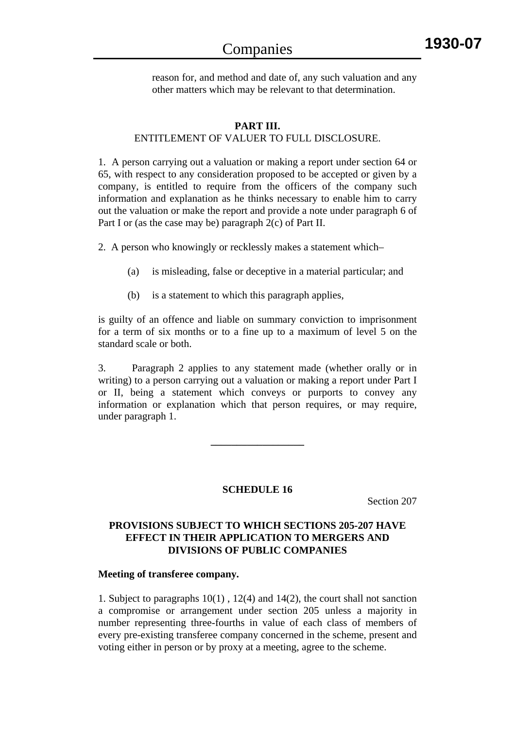reason for, and method and date of, any such valuation and any other matters which may be relevant to that determination.

## **PART III.**

#### ENTITLEMENT OF VALUER TO FULL DISCLOSURE.

1. A person carrying out a valuation or making a report under section 64 or 65, with respect to any consideration proposed to be accepted or given by a company, is entitled to require from the officers of the company such information and explanation as he thinks necessary to enable him to carry out the valuation or make the report and provide a note under paragraph 6 of Part I or (as the case may be) paragraph 2(c) of Part II.

2. A person who knowingly or recklessly makes a statement which–

- (a) is misleading, false or deceptive in a material particular; and
- (b) is a statement to which this paragraph applies,

is guilty of an offence and liable on summary conviction to imprisonment for a term of six months or to a fine up to a maximum of level 5 on the standard scale or both.

3. Paragraph 2 applies to any statement made (whether orally or in writing) to a person carrying out a valuation or making a report under Part I or II, being a statement which conveys or purports to convey any information or explanation which that person requires, or may require, under paragraph 1.

#### **SCHEDULE 16**

**\_\_\_\_\_\_\_\_\_\_\_\_\_\_\_\_\_\_** 

Section 207

# **PROVISIONS SUBJECT TO WHICH SECTIONS 205-207 HAVE EFFECT IN THEIR APPLICATION TO MERGERS AND DIVISIONS OF PUBLIC COMPANIES**

#### **Meeting of transferee company.**

1. Subject to paragraphs 10(1) , 12(4) and 14(2), the court shall not sanction a compromise or arrangement under section 205 unless a majority in number representing three-fourths in value of each class of members of every pre-existing transferee company concerned in the scheme, present and voting either in person or by proxy at a meeting, agree to the scheme.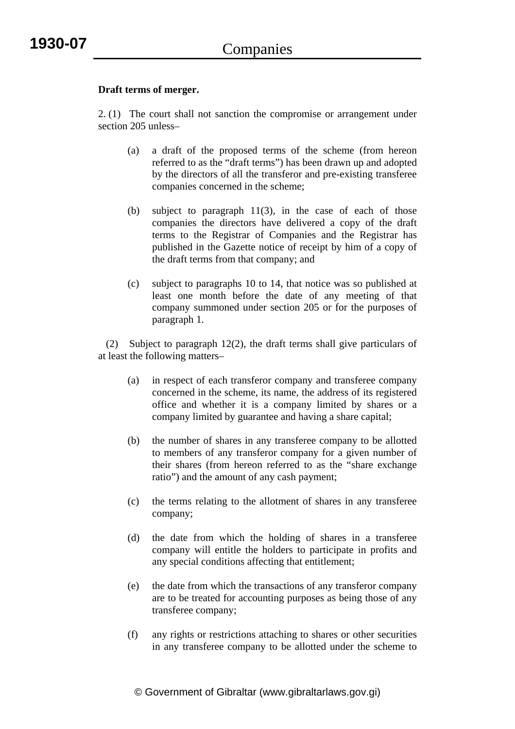### **Draft terms of merger.**

2. (1) The court shall not sanction the compromise or arrangement under section 205 unless–

- (a) a draft of the proposed terms of the scheme (from hereon referred to as the "draft terms") has been drawn up and adopted by the directors of all the transferor and pre-existing transferee companies concerned in the scheme;
- (b) subject to paragraph 11(3), in the case of each of those companies the directors have delivered a copy of the draft terms to the Registrar of Companies and the Registrar has published in the Gazette notice of receipt by him of a copy of the draft terms from that company; and
- (c) subject to paragraphs 10 to 14, that notice was so published at least one month before the date of any meeting of that company summoned under section 205 or for the purposes of paragraph 1.

 (2) Subject to paragraph 12(2), the draft terms shall give particulars of at least the following matters–

- (a) in respect of each transferor company and transferee company concerned in the scheme, its name, the address of its registered office and whether it is a company limited by shares or a company limited by guarantee and having a share capital;
- (b) the number of shares in any transferee company to be allotted to members of any transferor company for a given number of their shares (from hereon referred to as the "share exchange ratio") and the amount of any cash payment;
- (c) the terms relating to the allotment of shares in any transferee company;
- (d) the date from which the holding of shares in a transferee company will entitle the holders to participate in profits and any special conditions affecting that entitlement;
- (e) the date from which the transactions of any transferor company are to be treated for accounting purposes as being those of any transferee company;
- (f) any rights or restrictions attaching to shares or other securities in any transferee company to be allotted under the scheme to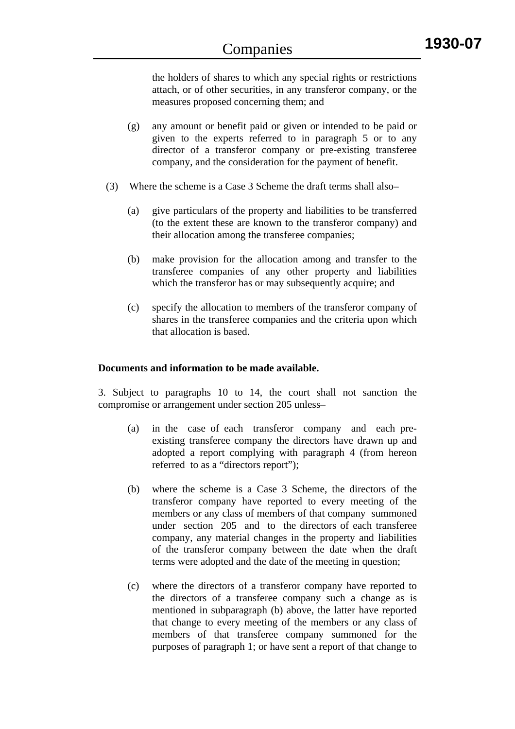the holders of shares to which any special rights or restrictions attach, or of other securities, in any transferor company, or the measures proposed concerning them; and

- (g) any amount or benefit paid or given or intended to be paid or given to the experts referred to in paragraph 5 or to any director of a transferor company or pre-existing transferee company, and the consideration for the payment of benefit.
- (3) Where the scheme is a Case 3 Scheme the draft terms shall also–
	- (a) give particulars of the property and liabilities to be transferred (to the extent these are known to the transferor company) and their allocation among the transferee companies;
	- (b) make provision for the allocation among and transfer to the transferee companies of any other property and liabilities which the transferor has or may subsequently acquire; and
	- (c) specify the allocation to members of the transferor company of shares in the transferee companies and the criteria upon which that allocation is based.

### **Documents and information to be made available.**

3. Subject to paragraphs 10 to 14, the court shall not sanction the compromise or arrangement under section 205 unless–

- (a) in the case of each transferor company and each preexisting transferee company the directors have drawn up and adopted a report complying with paragraph 4 (from hereon referred to as a "directors report");
- (b) where the scheme is a Case 3 Scheme, the directors of the transferor company have reported to every meeting of the members or any class of members of that company summoned under section 205 and to the directors of each transferee company, any material changes in the property and liabilities of the transferor company between the date when the draft terms were adopted and the date of the meeting in question;
- (c) where the directors of a transferor company have reported to the directors of a transferee company such a change as is mentioned in subparagraph (b) above, the latter have reported that change to every meeting of the members or any class of members of that transferee company summoned for the purposes of paragraph 1; or have sent a report of that change to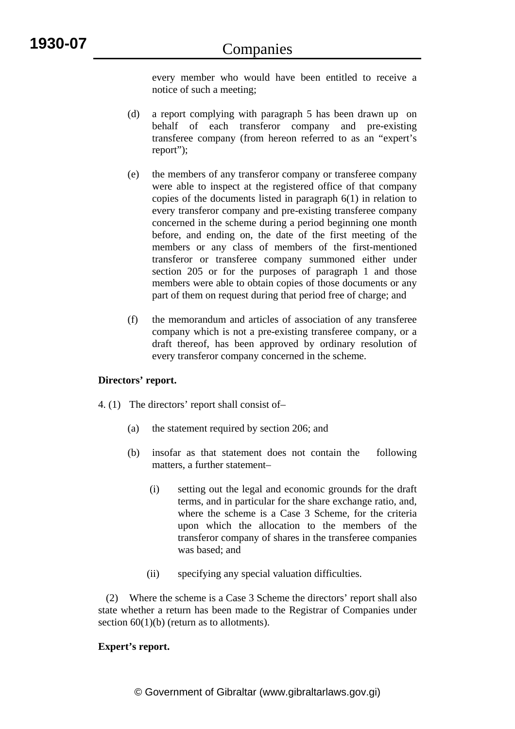every member who would have been entitled to receive a notice of such a meeting;

- (d) a report complying with paragraph 5 has been drawn up on behalf of each transferor company and pre-existing transferee company (from hereon referred to as an "expert's report");
- (e) the members of any transferor company or transferee company were able to inspect at the registered office of that company copies of the documents listed in paragraph 6(1) in relation to every transferor company and pre-existing transferee company concerned in the scheme during a period beginning one month before, and ending on, the date of the first meeting of the members or any class of members of the first-mentioned transferor or transferee company summoned either under section 205 or for the purposes of paragraph 1 and those members were able to obtain copies of those documents or any part of them on request during that period free of charge; and
- (f) the memorandum and articles of association of any transferee company which is not a pre-existing transferee company, or a draft thereof, has been approved by ordinary resolution of every transferor company concerned in the scheme.

#### **Directors' report.**

- 4. (1) The directors' report shall consist of–
	- (a) the statement required by section 206; and
	- (b) insofar as that statement does not contain the following matters, a further statement–
		- (i) setting out the legal and economic grounds for the draft terms, and in particular for the share exchange ratio, and, where the scheme is a Case 3 Scheme, for the criteria upon which the allocation to the members of the transferor company of shares in the transferee companies was based; and
		- (ii) specifying any special valuation difficulties.

 (2) Where the scheme is a Case 3 Scheme the directors' report shall also state whether a return has been made to the Registrar of Companies under section 60(1)(b) (return as to allotments).

# **Expert's report.**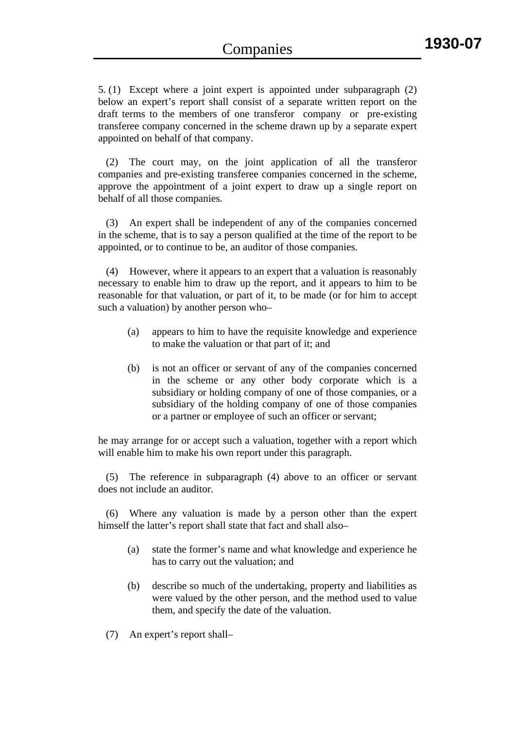5. (1) Except where a joint expert is appointed under subparagraph (2) below an expert's report shall consist of a separate written report on the draft terms to the members of one transferor company or pre-existing transferee company concerned in the scheme drawn up by a separate expert appointed on behalf of that company.

 (2) The court may, on the joint application of all the transferor companies and pre-existing transferee companies concerned in the scheme, approve the appointment of a joint expert to draw up a single report on behalf of all those companies.

 (3) An expert shall be independent of any of the companies concerned in the scheme, that is to say a person qualified at the time of the report to be appointed, or to continue to be, an auditor of those companies.

 (4) However, where it appears to an expert that a valuation is reasonably necessary to enable him to draw up the report, and it appears to him to be reasonable for that valuation, or part of it, to be made (or for him to accept such a valuation) by another person who–

- (a) appears to him to have the requisite knowledge and experience to make the valuation or that part of it; and
- (b) is not an officer or servant of any of the companies concerned in the scheme or any other body corporate which is a subsidiary or holding company of one of those companies, or a subsidiary of the holding company of one of those companies or a partner or employee of such an officer or servant;

he may arrange for or accept such a valuation, together with a report which will enable him to make his own report under this paragraph.

 (5) The reference in subparagraph (4) above to an officer or servant does not include an auditor.

 (6) Where any valuation is made by a person other than the expert himself the latter's report shall state that fact and shall also–

- (a) state the former's name and what knowledge and experience he has to carry out the valuation; and
- (b) describe so much of the undertaking, property and liabilities as were valued by the other person, and the method used to value them, and specify the date of the valuation.
- (7) An expert's report shall–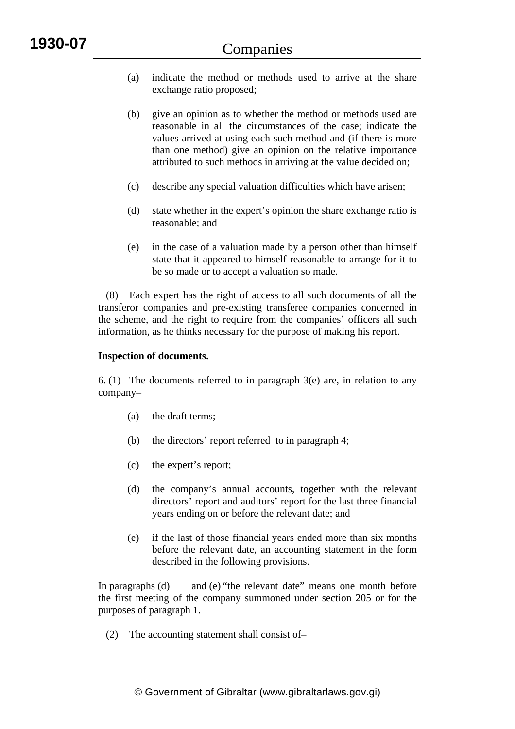- (a) indicate the method or methods used to arrive at the share exchange ratio proposed;
- (b) give an opinion as to whether the method or methods used are reasonable in all the circumstances of the case; indicate the values arrived at using each such method and (if there is more than one method) give an opinion on the relative importance attributed to such methods in arriving at the value decided on;
- (c) describe any special valuation difficulties which have arisen;
- (d) state whether in the expert's opinion the share exchange ratio is reasonable; and
- (e) in the case of a valuation made by a person other than himself state that it appeared to himself reasonable to arrange for it to be so made or to accept a valuation so made.

 (8) Each expert has the right of access to all such documents of all the transferor companies and pre-existing transferee companies concerned in the scheme, and the right to require from the companies' officers all such information, as he thinks necessary for the purpose of making his report.

## **Inspection of documents.**

6. (1) The documents referred to in paragraph  $3(e)$  are, in relation to any company–

- (a) the draft terms;
- (b) the directors' report referred to in paragraph 4;
- (c) the expert's report;
- (d) the company's annual accounts, together with the relevant directors' report and auditors' report for the last three financial years ending on or before the relevant date; and
- (e) if the last of those financial years ended more than six months before the relevant date, an accounting statement in the form described in the following provisions.

In paragraphs (d) and (e) "the relevant date" means one month before the first meeting of the company summoned under section 205 or for the purposes of paragraph 1.

(2) The accounting statement shall consist of–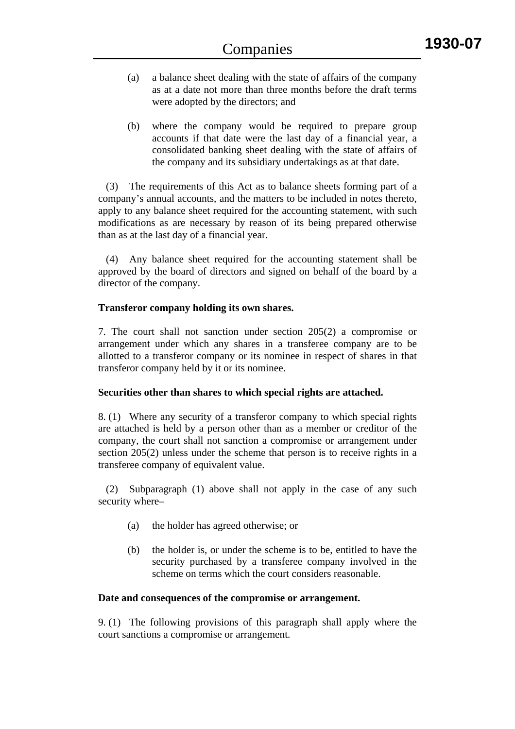- (a) a balance sheet dealing with the state of affairs of the company as at a date not more than three months before the draft terms were adopted by the directors; and
- (b) where the company would be required to prepare group accounts if that date were the last day of a financial year, a consolidated banking sheet dealing with the state of affairs of the company and its subsidiary undertakings as at that date.

 (3) The requirements of this Act as to balance sheets forming part of a company's annual accounts, and the matters to be included in notes thereto, apply to any balance sheet required for the accounting statement, with such modifications as are necessary by reason of its being prepared otherwise than as at the last day of a financial year.

 (4) Any balance sheet required for the accounting statement shall be approved by the board of directors and signed on behalf of the board by a director of the company.

## **Transferor company holding its own shares.**

7. The court shall not sanction under section 205(2) a compromise or arrangement under which any shares in a transferee company are to be allotted to a transferor company or its nominee in respect of shares in that transferor company held by it or its nominee.

#### **Securities other than shares to which special rights are attached.**

8. (1) Where any security of a transferor company to which special rights are attached is held by a person other than as a member or creditor of the company, the court shall not sanction a compromise or arrangement under section 205(2) unless under the scheme that person is to receive rights in a transferee company of equivalent value.

 (2) Subparagraph (1) above shall not apply in the case of any such security where–

- (a) the holder has agreed otherwise; or
- (b) the holder is, or under the scheme is to be, entitled to have the security purchased by a transferee company involved in the scheme on terms which the court considers reasonable.

#### **Date and consequences of the compromise or arrangement.**

9. (1) The following provisions of this paragraph shall apply where the court sanctions a compromise or arrangement.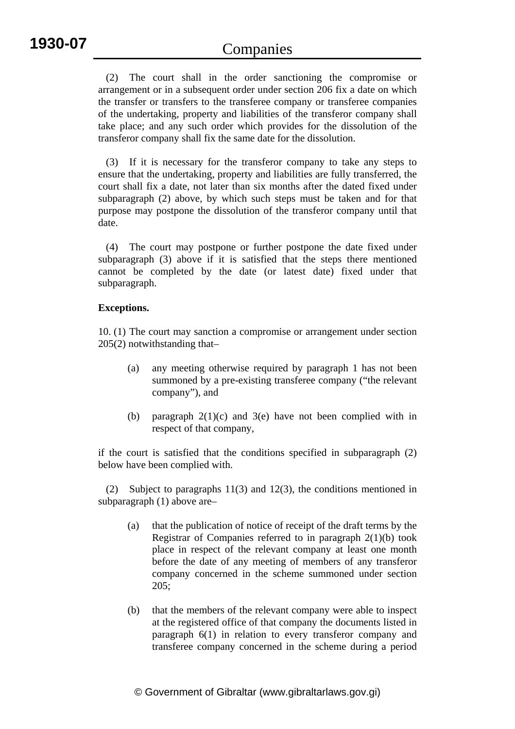(2) The court shall in the order sanctioning the compromise or arrangement or in a subsequent order under section 206 fix a date on which the transfer or transfers to the transferee company or transferee companies of the undertaking, property and liabilities of the transferor company shall take place; and any such order which provides for the dissolution of the transferor company shall fix the same date for the dissolution.

 (3) If it is necessary for the transferor company to take any steps to ensure that the undertaking, property and liabilities are fully transferred, the court shall fix a date, not later than six months after the dated fixed under subparagraph (2) above, by which such steps must be taken and for that purpose may postpone the dissolution of the transferor company until that date.

 (4) The court may postpone or further postpone the date fixed under subparagraph (3) above if it is satisfied that the steps there mentioned cannot be completed by the date (or latest date) fixed under that subparagraph.

# **Exceptions.**

10. (1) The court may sanction a compromise or arrangement under section 205(2) notwithstanding that–

- (a) any meeting otherwise required by paragraph 1 has not been summoned by a pre-existing transferee company ("the relevant company"), and
- (b) paragraph  $2(1)(c)$  and  $3(e)$  have not been complied with in respect of that company,

if the court is satisfied that the conditions specified in subparagraph (2) below have been complied with.

 (2) Subject to paragraphs 11(3) and 12(3), the conditions mentioned in subparagraph (1) above are–

- (a) that the publication of notice of receipt of the draft terms by the Registrar of Companies referred to in paragraph 2(1)(b) took place in respect of the relevant company at least one month before the date of any meeting of members of any transferor company concerned in the scheme summoned under section 205;
- (b) that the members of the relevant company were able to inspect at the registered office of that company the documents listed in paragraph 6(1) in relation to every transferor company and transferee company concerned in the scheme during a period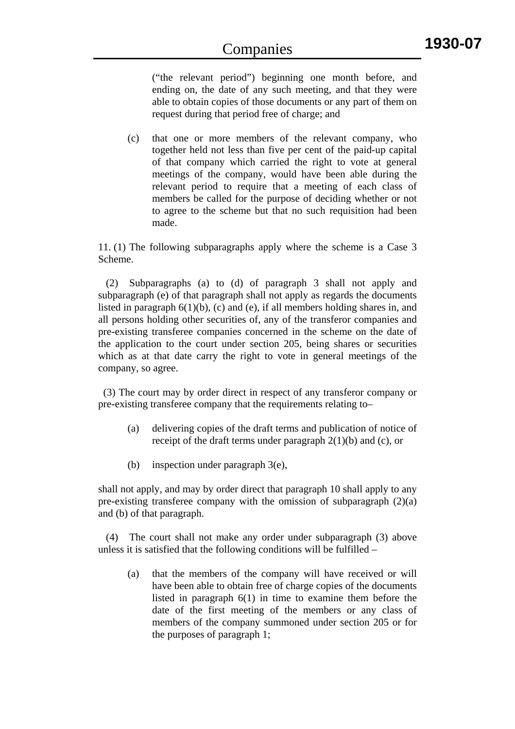("the relevant period") beginning one month before, and ending on, the date of any such meeting, and that they were able to obtain copies of those documents or any part of them on request during that period free of charge; and

(c) that one or more members of the relevant company, who together held not less than five per cent of the paid-up capital of that company which carried the right to vote at general meetings of the company, would have been able during the relevant period to require that a meeting of each class of members be called for the purpose of deciding whether or not to agree to the scheme but that no such requisition had been made.

11. (1) The following subparagraphs apply where the scheme is a Case 3 Scheme.

 (2) Subparagraphs (a) to (d) of paragraph 3 shall not apply and subparagraph (e) of that paragraph shall not apply as regards the documents listed in paragraph  $6(1)(b)$ , (c) and (e), if all members holding shares in, and all persons holding other securities of, any of the transferor companies and pre-existing transferee companies concerned in the scheme on the date of the application to the court under section 205, being shares or securities which as at that date carry the right to vote in general meetings of the company, so agree.

 (3) The court may by order direct in respect of any transferor company or pre-existing transferee company that the requirements relating to–

- (a) delivering copies of the draft terms and publication of notice of receipt of the draft terms under paragraph 2(1)(b) and (c), or
- (b) inspection under paragraph 3(e),

shall not apply, and may by order direct that paragraph 10 shall apply to any pre-existing transferee company with the omission of subparagraph (2)(a) and (b) of that paragraph.

 (4) The court shall not make any order under subparagraph (3) above unless it is satisfied that the following conditions will be fulfilled –

(a) that the members of the company will have received or will have been able to obtain free of charge copies of the documents listed in paragraph 6(1) in time to examine them before the date of the first meeting of the members or any class of members of the company summoned under section 205 or for the purposes of paragraph 1;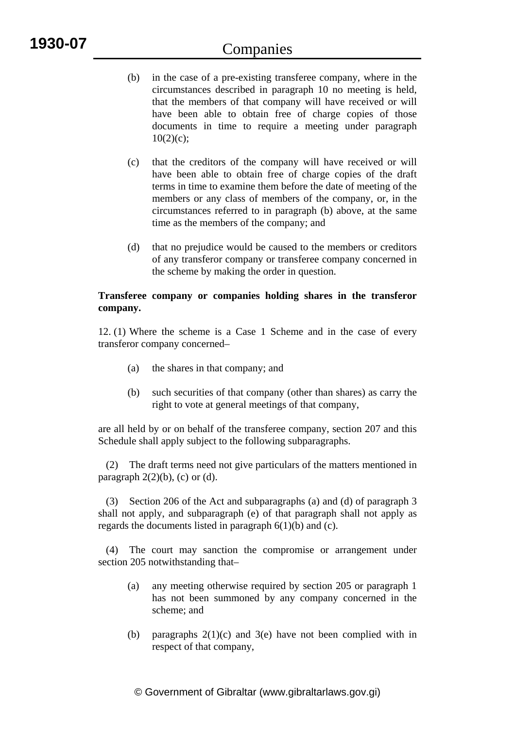- (b) in the case of a pre-existing transferee company, where in the circumstances described in paragraph 10 no meeting is held, that the members of that company will have received or will have been able to obtain free of charge copies of those documents in time to require a meeting under paragraph  $10(2)(c)$ ;
- (c) that the creditors of the company will have received or will have been able to obtain free of charge copies of the draft terms in time to examine them before the date of meeting of the members or any class of members of the company, or, in the circumstances referred to in paragraph (b) above, at the same time as the members of the company; and
- (d) that no prejudice would be caused to the members or creditors of any transferor company or transferee company concerned in the scheme by making the order in question.

### **Transferee company or companies holding shares in the transferor company.**

12. (1) Where the scheme is a Case 1 Scheme and in the case of every transferor company concerned–

- (a) the shares in that company; and
- (b) such securities of that company (other than shares) as carry the right to vote at general meetings of that company,

are all held by or on behalf of the transferee company, section 207 and this Schedule shall apply subject to the following subparagraphs.

 (2) The draft terms need not give particulars of the matters mentioned in paragraph  $2(2)(b)$ , (c) or (d).

 (3) Section 206 of the Act and subparagraphs (a) and (d) of paragraph 3 shall not apply, and subparagraph (e) of that paragraph shall not apply as regards the documents listed in paragraph 6(1)(b) and (c).

 (4) The court may sanction the compromise or arrangement under section 205 notwithstanding that–

- (a) any meeting otherwise required by section 205 or paragraph 1 has not been summoned by any company concerned in the scheme; and
- (b) paragraphs  $2(1)(c)$  and  $3(e)$  have not been complied with in respect of that company,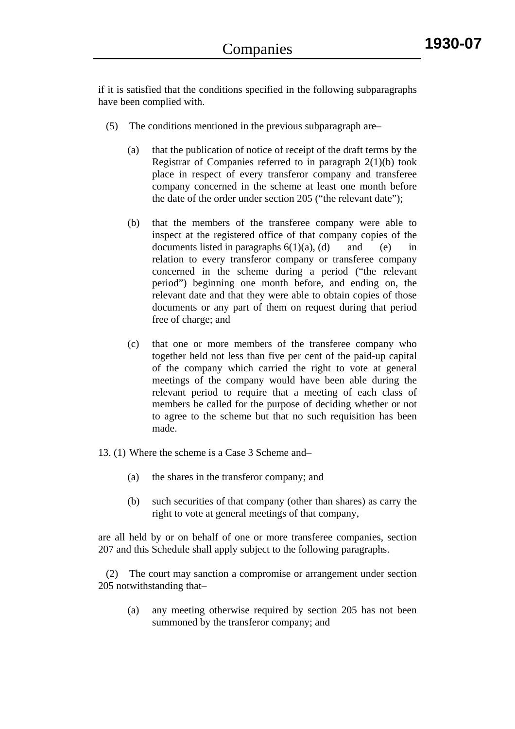if it is satisfied that the conditions specified in the following subparagraphs have been complied with.

- (5) The conditions mentioned in the previous subparagraph are–
	- (a) that the publication of notice of receipt of the draft terms by the Registrar of Companies referred to in paragraph 2(1)(b) took place in respect of every transferor company and transferee company concerned in the scheme at least one month before the date of the order under section 205 ("the relevant date");
	- (b) that the members of the transferee company were able to inspect at the registered office of that company copies of the documents listed in paragraphs  $6(1)(a)$ ,  $(d)$  and (e) in relation to every transferor company or transferee company concerned in the scheme during a period ("the relevant period") beginning one month before, and ending on, the relevant date and that they were able to obtain copies of those documents or any part of them on request during that period free of charge; and
	- (c) that one or more members of the transferee company who together held not less than five per cent of the paid-up capital of the company which carried the right to vote at general meetings of the company would have been able during the relevant period to require that a meeting of each class of members be called for the purpose of deciding whether or not to agree to the scheme but that no such requisition has been made.
- 13. (1) Where the scheme is a Case 3 Scheme and–
	- (a) the shares in the transferor company; and
	- (b) such securities of that company (other than shares) as carry the right to vote at general meetings of that company,

are all held by or on behalf of one or more transferee companies, section 207 and this Schedule shall apply subject to the following paragraphs.

 (2) The court may sanction a compromise or arrangement under section 205 notwithstanding that–

(a) any meeting otherwise required by section 205 has not been summoned by the transferor company; and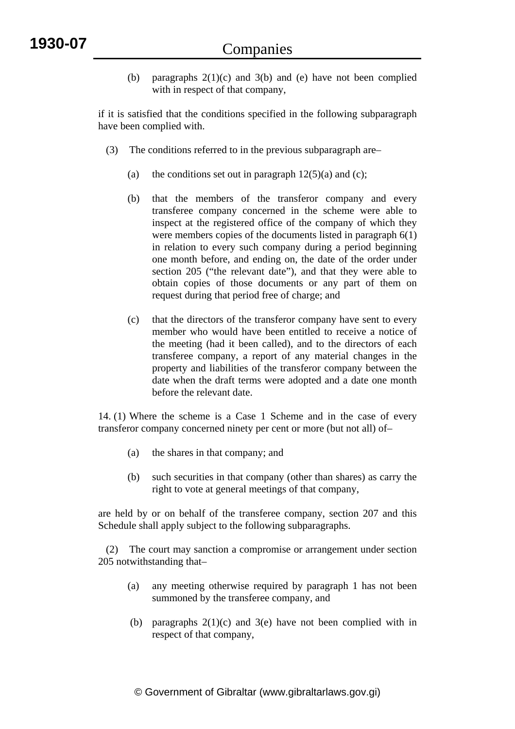(b) paragraphs  $2(1)(c)$  and  $3(b)$  and (e) have not been complied with in respect of that company,

if it is satisfied that the conditions specified in the following subparagraph have been complied with.

- (3) The conditions referred to in the previous subparagraph are–
	- (a) the conditions set out in paragraph  $12(5)(a)$  and (c);
	- (b) that the members of the transferor company and every transferee company concerned in the scheme were able to inspect at the registered office of the company of which they were members copies of the documents listed in paragraph 6(1) in relation to every such company during a period beginning one month before, and ending on, the date of the order under section 205 ("the relevant date"), and that they were able to obtain copies of those documents or any part of them on request during that period free of charge; and
	- (c) that the directors of the transferor company have sent to every member who would have been entitled to receive a notice of the meeting (had it been called), and to the directors of each transferee company, a report of any material changes in the property and liabilities of the transferor company between the date when the draft terms were adopted and a date one month before the relevant date.

14. (1) Where the scheme is a Case 1 Scheme and in the case of every transferor company concerned ninety per cent or more (but not all) of–

- (a) the shares in that company; and
- (b) such securities in that company (other than shares) as carry the right to vote at general meetings of that company,

are held by or on behalf of the transferee company, section 207 and this Schedule shall apply subject to the following subparagraphs.

 (2) The court may sanction a compromise or arrangement under section 205 notwithstanding that–

- (a) any meeting otherwise required by paragraph 1 has not been summoned by the transferee company, and
- (b) paragraphs  $2(1)(c)$  and  $3(e)$  have not been complied with in respect of that company,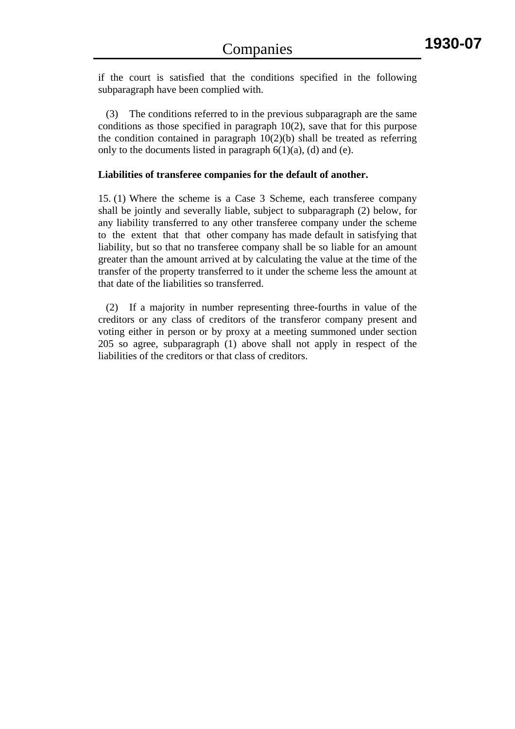if the court is satisfied that the conditions specified in the following subparagraph have been complied with.

 (3) The conditions referred to in the previous subparagraph are the same conditions as those specified in paragraph 10(2), save that for this purpose the condition contained in paragraph  $10(2)(b)$  shall be treated as referring only to the documents listed in paragraph  $6(1)(a)$ , (d) and (e).

#### **Liabilities of transferee companies for the default of another.**

15. (1) Where the scheme is a Case 3 Scheme, each transferee company shall be jointly and severally liable, subject to subparagraph (2) below, for any liability transferred to any other transferee company under the scheme to the extent that that other company has made default in satisfying that liability, but so that no transferee company shall be so liable for an amount greater than the amount arrived at by calculating the value at the time of the transfer of the property transferred to it under the scheme less the amount at that date of the liabilities so transferred.

 (2) If a majority in number representing three-fourths in value of the creditors or any class of creditors of the transferor company present and voting either in person or by proxy at a meeting summoned under section 205 so agree, subparagraph (1) above shall not apply in respect of the liabilities of the creditors or that class of creditors.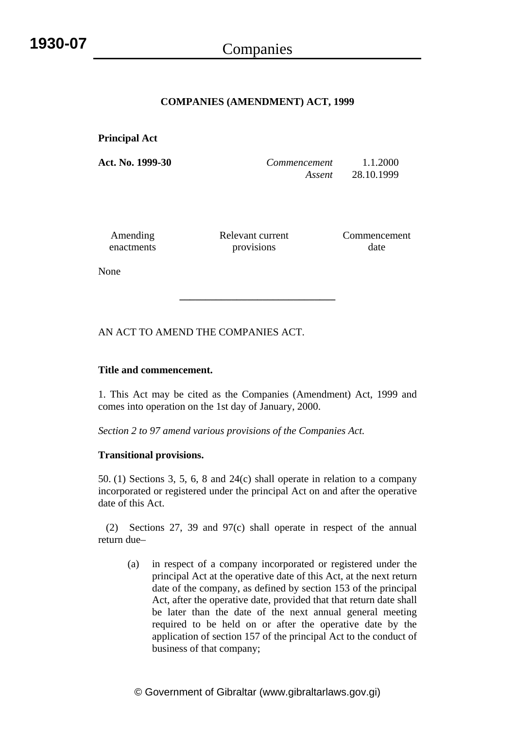## **COMPANIES (AMENDMENT) ACT, 1999**

**Principal Act** 

**Act. No. 1999-30** *Commencement* 1.1.2000 *Assent* 28.10.1999

Amending enactments Relevant current provisions

**\_\_\_\_\_\_\_\_\_\_\_\_\_\_\_\_\_\_\_\_\_\_\_\_\_\_\_\_\_\_** 

Commencement date

None

AN ACT TO AMEND THE COMPANIES ACT.

#### **Title and commencement.**

1. This Act may be cited as the Companies (Amendment) Act, 1999 and comes into operation on the 1st day of January, 2000.

*Section 2 to 97 amend various provisions of the Companies Act.* 

#### **Transitional provisions.**

50. (1) Sections 3, 5, 6, 8 and 24(c) shall operate in relation to a company incorporated or registered under the principal Act on and after the operative date of this Act.

 (2) Sections 27, 39 and 97(c) shall operate in respect of the annual return due–

(a) in respect of a company incorporated or registered under the principal Act at the operative date of this Act, at the next return date of the company, as defined by section 153 of the principal Act, after the operative date, provided that that return date shall be later than the date of the next annual general meeting required to be held on or after the operative date by the application of section 157 of the principal Act to the conduct of business of that company;